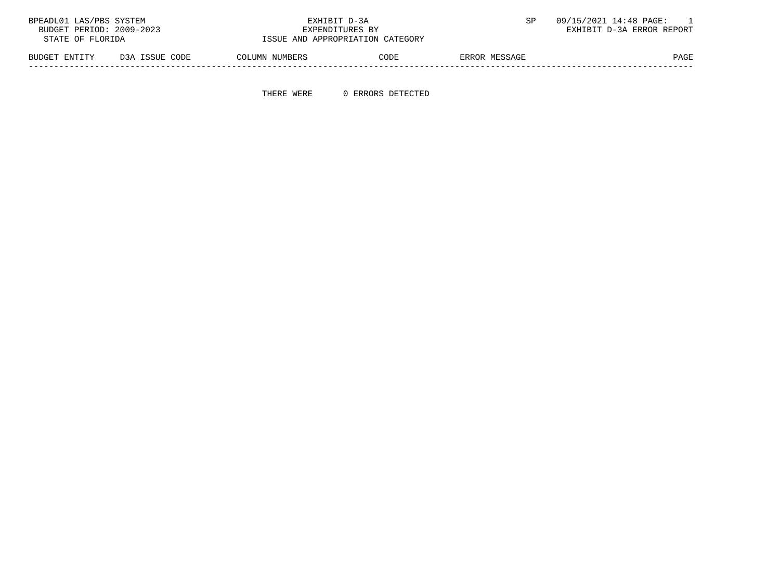| BPEADL01 LAS/PBS SYSTEM  |                | EXHIBIT D-3A    |                                  |               | 09/15/2021 14:48 PAGE:    |
|--------------------------|----------------|-----------------|----------------------------------|---------------|---------------------------|
| BUDGET PERIOD: 2009-2023 |                | EXPENDITURES BY |                                  |               | EXHIBIT D-3A ERROR REPORT |
| STATE OF FLORIDA         |                |                 | ISSUE AND APPROPRIATION CATEGORY |               |                           |
| BUDGET ENTITY            | D3A ISSUE CODE | COLUMN NUMBERS  | CODE                             | ERROR MESSAGE | PAGE                      |

-----------------------------------------------------------------------------------------------------------------------------------

THERE WERE 0 ERRORS DETECTED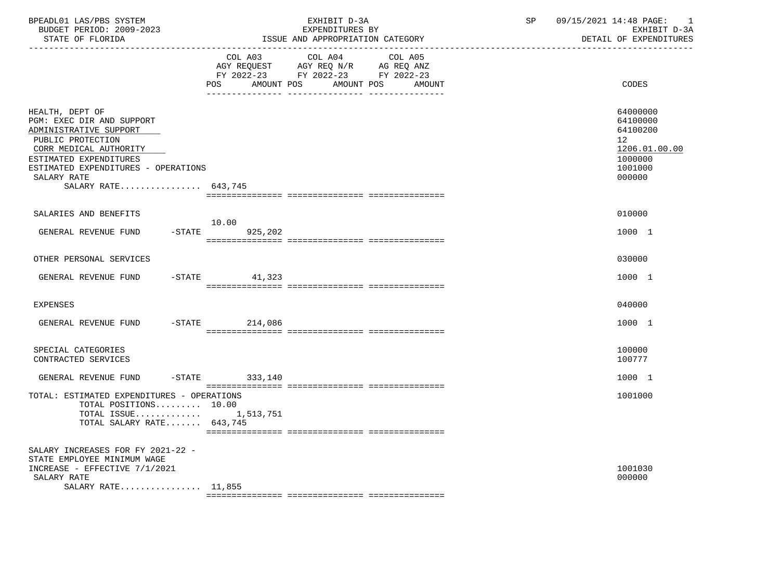| BPEADL01 LAS/PBS SYSTEM<br>BUDGET PERIOD: 2009-2023<br>STATE OF FLORIDA<br>-----------------                                                                                                                                 |                          | EXHIBIT D-3A<br>EXPENDITURES BY<br>ISSUE AND APPROPRIATION CATEGORY                                                          | SP | 09/15/2021 14:48 PAGE:<br>$\overline{\phantom{0}}$<br>EXHIBIT D-3A<br>DETAIL OF EXPENDITURES         |
|------------------------------------------------------------------------------------------------------------------------------------------------------------------------------------------------------------------------------|--------------------------|------------------------------------------------------------------------------------------------------------------------------|----|------------------------------------------------------------------------------------------------------|
|                                                                                                                                                                                                                              | <b>POS</b><br>AMOUNT POS | COL A03 COL A04<br>COL A05<br>AGY REQUEST AGY REQ N/R AG REQ ANZ<br>FY 2022-23 FY 2022-23 FY 2022-23<br>AMOUNT POS<br>AMOUNT |    | CODES                                                                                                |
| HEALTH, DEPT OF<br>PGM: EXEC DIR AND SUPPORT<br>ADMINISTRATIVE SUPPORT<br>PUBLIC PROTECTION<br>CORR MEDICAL AUTHORITY<br>ESTIMATED EXPENDITURES<br>ESTIMATED EXPENDITURES - OPERATIONS<br>SALARY RATE<br>SALARY RATE 643,745 |                          |                                                                                                                              |    | 64000000<br>64100000<br>64100200<br>12 <sup>°</sup><br>1206.01.00.00<br>1000000<br>1001000<br>000000 |
| SALARIES AND BENEFITS                                                                                                                                                                                                        | 10.00                    |                                                                                                                              |    | 010000                                                                                               |
| GENERAL REVENUE FUND                                                                                                                                                                                                         | $-$ STATE<br>925,202     |                                                                                                                              |    | 1000 1                                                                                               |
| OTHER PERSONAL SERVICES                                                                                                                                                                                                      |                          |                                                                                                                              |    | 030000                                                                                               |
| GENERAL REVENUE FUND                                                                                                                                                                                                         | $-STATE$ 41,323          |                                                                                                                              |    | 1000 1                                                                                               |
| EXPENSES                                                                                                                                                                                                                     |                          |                                                                                                                              |    | 040000                                                                                               |
| GENERAL REVENUE FUND                                                                                                                                                                                                         | $-STATE$ 214,086         |                                                                                                                              |    | 1000 1                                                                                               |
| SPECIAL CATEGORIES<br>CONTRACTED SERVICES                                                                                                                                                                                    |                          |                                                                                                                              |    | 100000<br>100777                                                                                     |
| GENERAL REVENUE FUND                                                                                                                                                                                                         | -STATE 333,140           |                                                                                                                              |    | 1000 1                                                                                               |
| TOTAL: ESTIMATED EXPENDITURES - OPERATIONS<br>TOTAL POSITIONS 10.00<br>TOTAL ISSUE $1,513,751$<br>TOTAL SALARY RATE 643,745                                                                                                  |                          |                                                                                                                              |    | 1001000                                                                                              |
| SALARY INCREASES FOR FY 2021-22 -<br>STATE EMPLOYEE MINIMUM WAGE<br>INCREASE - EFFECTIVE 7/1/2021<br>SALARY RATE<br>SALARY RATE $11,855$                                                                                     |                          |                                                                                                                              |    | 1001030<br>000000                                                                                    |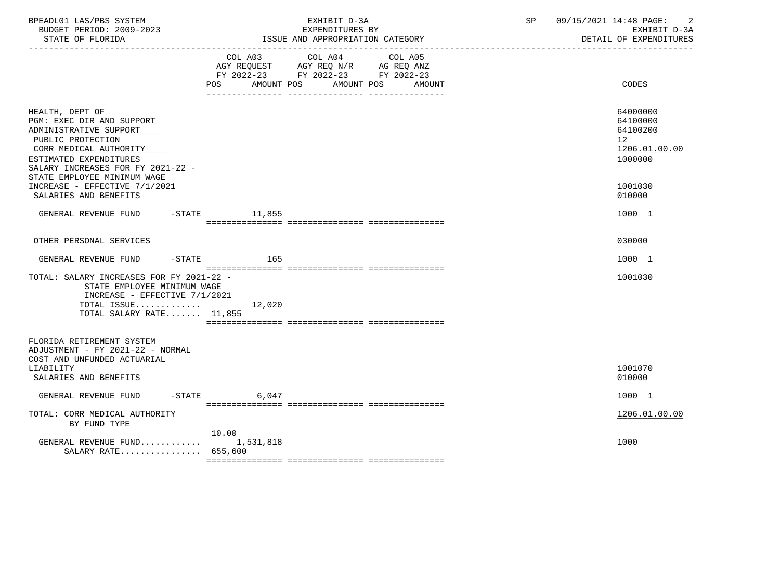| BPEADL01 LAS/PBS SYSTEM<br>BUDGET PERIOD: 2009-2023<br>STATE OF FLORIDA                                                                                                              |                   | EXHIBIT D-3A<br>EXPENDITURES BY<br>ISSUE AND APPROPRIATION CATEGORY                                                          | SP 09/15/2021 14:48 PAGE:<br>$\overline{2}$<br>EXHIBIT D-3A<br>DETAIL OF EXPENDITURES |
|--------------------------------------------------------------------------------------------------------------------------------------------------------------------------------------|-------------------|------------------------------------------------------------------------------------------------------------------------------|---------------------------------------------------------------------------------------|
|                                                                                                                                                                                      | POS AMOUNT POS    | COL A03 COL A04<br>COL A05<br>AGY REQUEST AGY REQ N/R AG REQ ANZ<br>FY 2022-23 FY 2022-23 FY 2022-23<br>AMOUNT POS<br>AMOUNT | CODES                                                                                 |
| HEALTH, DEPT OF<br>PGM: EXEC DIR AND SUPPORT<br>ADMINISTRATIVE SUPPORT<br>PUBLIC PROTECTION<br>CORR MEDICAL AUTHORITY<br>ESTIMATED EXPENDITURES<br>SALARY INCREASES FOR FY 2021-22 - |                   |                                                                                                                              | 64000000<br>64100000<br>64100200<br>12 <sup>°</sup><br>1206.01.00.00<br>1000000       |
| STATE EMPLOYEE MINIMUM WAGE<br>INCREASE - EFFECTIVE 7/1/2021<br>SALARIES AND BENEFITS                                                                                                |                   |                                                                                                                              | 1001030<br>010000                                                                     |
| GENERAL REVENUE FUND -STATE 11,855                                                                                                                                                   |                   |                                                                                                                              | 1000 1                                                                                |
| OTHER PERSONAL SERVICES                                                                                                                                                              |                   |                                                                                                                              | 030000                                                                                |
| GENERAL REVENUE FUND -STATE 165                                                                                                                                                      |                   |                                                                                                                              | 1000 1                                                                                |
| TOTAL: SALARY INCREASES FOR FY 2021-22 -<br>STATE EMPLOYEE MINIMUM WAGE<br>INCREASE - EFFECTIVE 7/1/2021<br>TOTAL ISSUE $12,020$<br>TOTAL SALARY RATE 11,855                         |                   |                                                                                                                              | 1001030                                                                               |
| FLORIDA RETIREMENT SYSTEM<br>ADJUSTMENT - FY 2021-22 - NORMAL<br>COST AND UNFUNDED ACTUARIAL<br>LIABILITY                                                                            |                   |                                                                                                                              | 1001070                                                                               |
| SALARIES AND BENEFITS                                                                                                                                                                |                   |                                                                                                                              | 010000                                                                                |
| GENERAL REVENUE FUND                                                                                                                                                                 | $-STATE$<br>6,047 |                                                                                                                              | 1000 1                                                                                |
| TOTAL: CORR MEDICAL AUTHORITY<br>BY FUND TYPE                                                                                                                                        | 10.00             |                                                                                                                              | 1206.01.00.00                                                                         |
| GENERAL REVENUE FUND<br>SALARY RATE 655,600                                                                                                                                          | 1,531,818         |                                                                                                                              | 1000                                                                                  |
|                                                                                                                                                                                      |                   |                                                                                                                              |                                                                                       |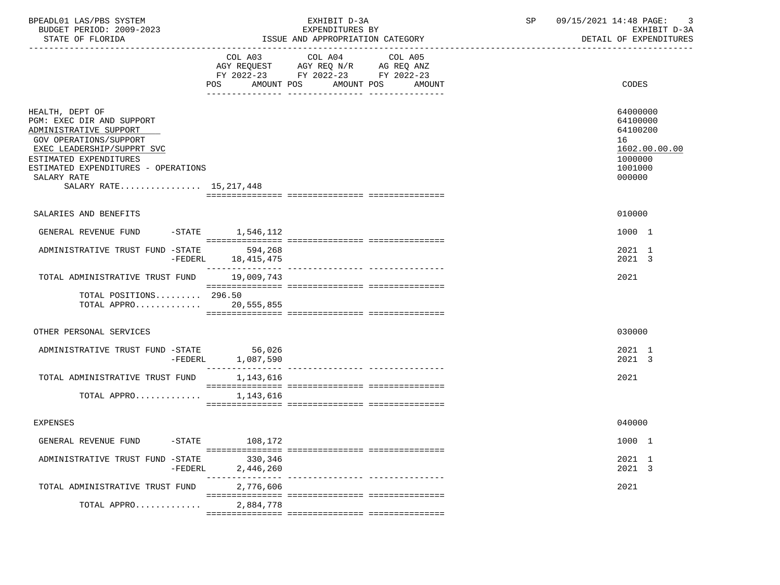| BPEADL01 LAS/PBS SYSTEM<br>BUDGET PERIOD: 2009-2023<br>STATE OF FLORIDA                                                                                                                                                                           |                              | EXHIBIT D-3A<br>EXPENDITURES BY<br>ISSUE AND APPROPRIATION CATEGORY                                                  | SP | 09/15/2021 14:48 PAGE: 3<br>EXHIBIT D-3A<br>DETAIL OF EXPENDITURES                      |
|---------------------------------------------------------------------------------------------------------------------------------------------------------------------------------------------------------------------------------------------------|------------------------------|----------------------------------------------------------------------------------------------------------------------|----|-----------------------------------------------------------------------------------------|
|                                                                                                                                                                                                                                                   | COL A03<br>AMOUNT POS<br>POS | COL A04<br>COL A05<br>AGY REQUEST AGY REQ N/R AG REQ ANZ<br>FY 2022-23 FY 2022-23 FY 2022-23<br>AMOUNT POS<br>AMOUNT |    | CODES                                                                                   |
| HEALTH, DEPT OF<br>PGM: EXEC DIR AND SUPPORT<br>ADMINISTRATIVE SUPPORT<br><b>GOV OPERATIONS/SUPPORT</b><br>EXEC LEADERSHIP/SUPPRT SVC<br>ESTIMATED EXPENDITURES<br>ESTIMATED EXPENDITURES - OPERATIONS<br>SALARY RATE<br>SALARY RATE 15, 217, 448 |                              |                                                                                                                      |    | 64000000<br>64100000<br>64100200<br>16<br>1602.00.00.00<br>1000000<br>1001000<br>000000 |
|                                                                                                                                                                                                                                                   |                              |                                                                                                                      |    |                                                                                         |
| SALARIES AND BENEFITS                                                                                                                                                                                                                             |                              |                                                                                                                      |    | 010000                                                                                  |
| GENERAL REVENUE FUND -STATE 1,546,112                                                                                                                                                                                                             |                              |                                                                                                                      |    | 1000 1                                                                                  |
| ADMINISTRATIVE TRUST FUND -STATE 594,268                                                                                                                                                                                                          | -FEDERL 18,415,475           |                                                                                                                      |    | 2021 1<br>2021 3                                                                        |
| TOTAL ADMINISTRATIVE TRUST FUND 19,009,743                                                                                                                                                                                                        |                              |                                                                                                                      |    | 2021                                                                                    |
| TOTAL POSITIONS 296.50<br>TOTAL APPRO 20,555,855                                                                                                                                                                                                  |                              |                                                                                                                      |    |                                                                                         |
| OTHER PERSONAL SERVICES                                                                                                                                                                                                                           |                              |                                                                                                                      |    | 030000                                                                                  |
| ADMINISTRATIVE TRUST FUND -STATE<br>-FEDERL                                                                                                                                                                                                       | 56,026<br>1,087,590          |                                                                                                                      |    | 2021 1<br>2021 3                                                                        |
| TOTAL ADMINISTRATIVE TRUST FUND                                                                                                                                                                                                                   | 1,143,616                    |                                                                                                                      |    | 2021                                                                                    |
| TOTAL APPRO                                                                                                                                                                                                                                       | 1,143,616                    |                                                                                                                      |    |                                                                                         |
| <b>EXPENSES</b>                                                                                                                                                                                                                                   |                              |                                                                                                                      |    | 040000                                                                                  |
| GENERAL REVENUE FUND<br>$-STATE$                                                                                                                                                                                                                  | 108,172                      |                                                                                                                      |    | 1000 1                                                                                  |
| ADMINISTRATIVE TRUST FUND -STATE<br>-FEDERL                                                                                                                                                                                                       | 330,346<br>2,446,260         |                                                                                                                      |    | 2021 1<br>2021 3                                                                        |
| TOTAL ADMINISTRATIVE TRUST FUND                                                                                                                                                                                                                   | 2,776,606                    |                                                                                                                      |    | 2021                                                                                    |
| TOTAL APPRO                                                                                                                                                                                                                                       | 2,884,778                    |                                                                                                                      |    |                                                                                         |
|                                                                                                                                                                                                                                                   |                              |                                                                                                                      |    |                                                                                         |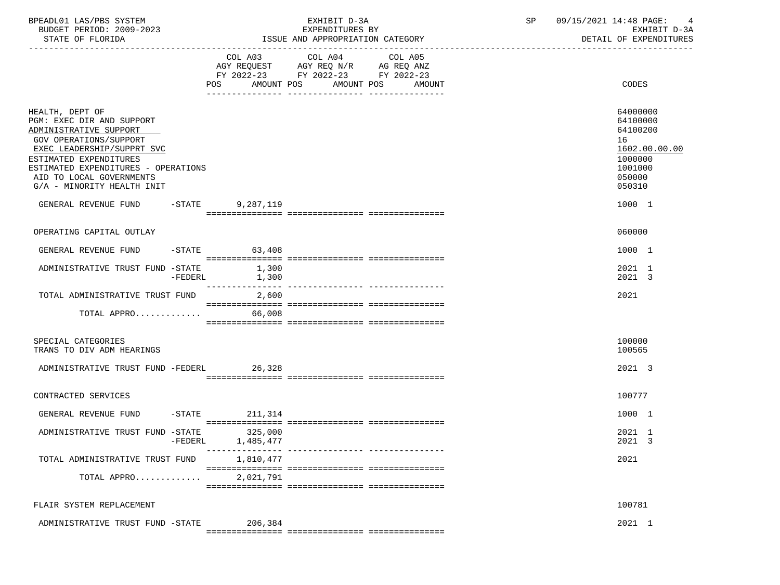| BPEADL01 LAS/PBS SYSTEM<br>BUDGET PERIOD: 2009-2023<br>STATE OF FLORIDA                                                                                                                                                                                   |           | EXHIBIT D-3A<br>EXPENDITURES BY<br>ISSUE AND APPROPRIATION CATEGORY |        |                                                                                                                               | SP      | 09/15/2021 14:48 PAGE:<br>EXHIBIT D-3A<br>DETAIL OF EXPENDITURES |  |  |                                                                                                   |
|-----------------------------------------------------------------------------------------------------------------------------------------------------------------------------------------------------------------------------------------------------------|-----------|---------------------------------------------------------------------|--------|-------------------------------------------------------------------------------------------------------------------------------|---------|------------------------------------------------------------------|--|--|---------------------------------------------------------------------------------------------------|
|                                                                                                                                                                                                                                                           |           |                                                                     |        | COL A03 COL A04<br>AGY REQUEST AGY REQ N/R AG REQ ANZ<br>FY 2022-23 FY 2022-23 FY 2022-23<br>POS AMOUNT POS AMOUNT POS AMOUNT | COL A05 |                                                                  |  |  | CODES                                                                                             |
| HEALTH, DEPT OF<br>PGM: EXEC DIR AND SUPPORT<br>ADMINISTRATIVE SUPPORT<br>GOV OPERATIONS/SUPPORT<br>EXEC LEADERSHIP/SUPPRT SVC<br>ESTIMATED EXPENDITURES<br>ESTIMATED EXPENDITURES - OPERATIONS<br>AID TO LOCAL GOVERNMENTS<br>G/A - MINORITY HEALTH INIT |           |                                                                     |        |                                                                                                                               |         |                                                                  |  |  | 64000000<br>64100000<br>64100200<br>16<br>1602.00.00.00<br>1000000<br>1001000<br>050000<br>050310 |
| GENERAL REVENUE FUND -STATE 9.287.119                                                                                                                                                                                                                     |           |                                                                     |        |                                                                                                                               |         |                                                                  |  |  | 1000 1                                                                                            |
| OPERATING CAPITAL OUTLAY                                                                                                                                                                                                                                  |           |                                                                     |        |                                                                                                                               |         |                                                                  |  |  | 060000                                                                                            |
| GENERAL REVENUE FUND                                                                                                                                                                                                                                      |           | $-STATE$ 63,408                                                     |        |                                                                                                                               |         |                                                                  |  |  | 1000 1                                                                                            |
| ADMINISTRATIVE TRUST FUND -STATE 1,300                                                                                                                                                                                                                    | $-FEDERL$ | 1,300                                                               |        |                                                                                                                               |         |                                                                  |  |  | 2021 1<br>2021 3                                                                                  |
| TOTAL ADMINISTRATIVE TRUST FUND 2,600<br>TOTAL APPRO                                                                                                                                                                                                      |           |                                                                     | 66,008 |                                                                                                                               |         |                                                                  |  |  | 2021                                                                                              |
| SPECIAL CATEGORIES<br>TRANS TO DIV ADM HEARINGS                                                                                                                                                                                                           |           |                                                                     |        |                                                                                                                               |         |                                                                  |  |  | 100000<br>100565                                                                                  |
| ADMINISTRATIVE TRUST FUND -FEDERL 26,328                                                                                                                                                                                                                  |           |                                                                     |        |                                                                                                                               |         |                                                                  |  |  | 2021 3                                                                                            |
| CONTRACTED SERVICES                                                                                                                                                                                                                                       |           |                                                                     |        |                                                                                                                               |         |                                                                  |  |  | 100777                                                                                            |
| GENERAL REVENUE FUND -STATE 211,314                                                                                                                                                                                                                       |           |                                                                     |        |                                                                                                                               |         |                                                                  |  |  | 1000 1                                                                                            |
| ADMINISTRATIVE TRUST FUND -STATE 325,000                                                                                                                                                                                                                  | $-FEDERL$ | 1,485,477                                                           |        |                                                                                                                               |         |                                                                  |  |  | 2021 1<br>2021 3                                                                                  |
| TOTAL ADMINISTRATIVE TRUST FUND                                                                                                                                                                                                                           |           | 1,810,477                                                           |        | ---------------- ----------------                                                                                             |         |                                                                  |  |  | 2021                                                                                              |
| TOTAL APPRO                                                                                                                                                                                                                                               |           | 2,021,791                                                           |        |                                                                                                                               |         |                                                                  |  |  |                                                                                                   |
| FLAIR SYSTEM REPLACEMENT                                                                                                                                                                                                                                  |           |                                                                     |        |                                                                                                                               |         |                                                                  |  |  | 100781                                                                                            |
| ADMINISTRATIVE TRUST FUND -STATE                                                                                                                                                                                                                          |           | 206,384                                                             |        |                                                                                                                               |         |                                                                  |  |  | 2021 1                                                                                            |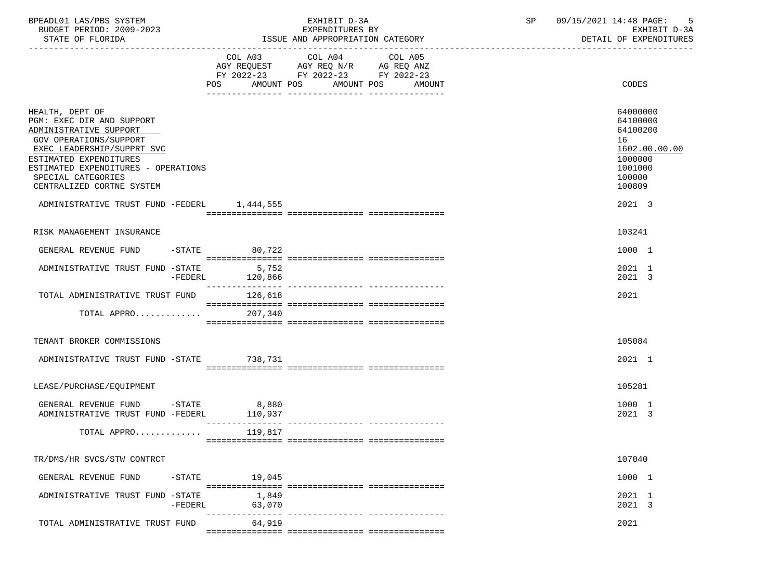| BPEADL01 LAS/PBS SYSTEM<br>BUDGET PERIOD: 2009-2023<br>STATE OF FLORIDA                                                                                                                                                                            |                 | EXHIBIT D-3A<br>EXPENDITURES BY<br>ISSUE AND APPROPRIATION CATEGORY                                                                   | 09/15/2021 14:48 PAGE:<br>SP<br>- 5<br>EXHIBIT D-3A<br>DETAIL OF EXPENDITURES                     |
|----------------------------------------------------------------------------------------------------------------------------------------------------------------------------------------------------------------------------------------------------|-----------------|---------------------------------------------------------------------------------------------------------------------------------------|---------------------------------------------------------------------------------------------------|
|                                                                                                                                                                                                                                                    |                 | COL A03 COL A04 COL A05<br>AGY REQUEST AGY REQ N/R AG REQ ANZ<br>FY 2022-23 FY 2022-23 FY 2022-23<br>POS AMOUNT POS AMOUNT POS AMOUNT | CODES                                                                                             |
| HEALTH, DEPT OF<br>PGM: EXEC DIR AND SUPPORT<br>ADMINISTRATIVE SUPPORT<br>GOV OPERATIONS/SUPPORT<br>EXEC LEADERSHIP/SUPPRT SVC<br>ESTIMATED EXPENDITURES<br>ESTIMATED EXPENDITURES - OPERATIONS<br>SPECIAL CATEGORIES<br>CENTRALIZED CORTNE SYSTEM |                 |                                                                                                                                       | 64000000<br>64100000<br>64100200<br>16<br>1602.00.00.00<br>1000000<br>1001000<br>100000<br>100809 |
| ADMINISTRATIVE TRUST FUND -FEDERL 1,444,555                                                                                                                                                                                                        |                 |                                                                                                                                       | 2021 3                                                                                            |
| RISK MANAGEMENT INSURANCE                                                                                                                                                                                                                          |                 |                                                                                                                                       | 103241                                                                                            |
| GENERAL REVENUE FUND                                                                                                                                                                                                                               | $-STATE$ 80,722 |                                                                                                                                       | 1000 1                                                                                            |
| ADMINISTRATIVE TRUST FUND -STATE 5,752                                                                                                                                                                                                             |                 |                                                                                                                                       | 2021 1<br>2021 3                                                                                  |
| TOTAL ADMINISTRATIVE TRUST FUND 126,618                                                                                                                                                                                                            |                 |                                                                                                                                       | 2021                                                                                              |
| TOTAL APPRO                                                                                                                                                                                                                                        | 207,340         |                                                                                                                                       |                                                                                                   |
| TENANT BROKER COMMISSIONS                                                                                                                                                                                                                          |                 |                                                                                                                                       | 105084                                                                                            |
| ADMINISTRATIVE TRUST FUND -STATE 738,731                                                                                                                                                                                                           |                 |                                                                                                                                       | 2021 1                                                                                            |
| LEASE/PURCHASE/EQUIPMENT                                                                                                                                                                                                                           |                 |                                                                                                                                       | 105281                                                                                            |
| GENERAL REVENUE FUND -STATE 8,880<br>ADMINISTRATIVE TRUST FUND -FEDERL 110,937                                                                                                                                                                     |                 |                                                                                                                                       | 1000 1<br>2021 3                                                                                  |
| TOTAL APPRO $119,817$                                                                                                                                                                                                                              |                 |                                                                                                                                       |                                                                                                   |
| TR/DMS/HR SVCS/STW CONTRCT                                                                                                                                                                                                                         |                 |                                                                                                                                       | 107040                                                                                            |
| GENERAL REVENUE FUND<br>$-$ STATE                                                                                                                                                                                                                  | 19,045          |                                                                                                                                       | 1000 1                                                                                            |
| ADMINISTRATIVE TRUST FUND -STATE<br>-FEDERL                                                                                                                                                                                                        | 63,070          | 1,849                                                                                                                                 | 2021 1<br>2021 3                                                                                  |
| TOTAL ADMINISTRATIVE TRUST FUND                                                                                                                                                                                                                    | 64,919          |                                                                                                                                       | 2021                                                                                              |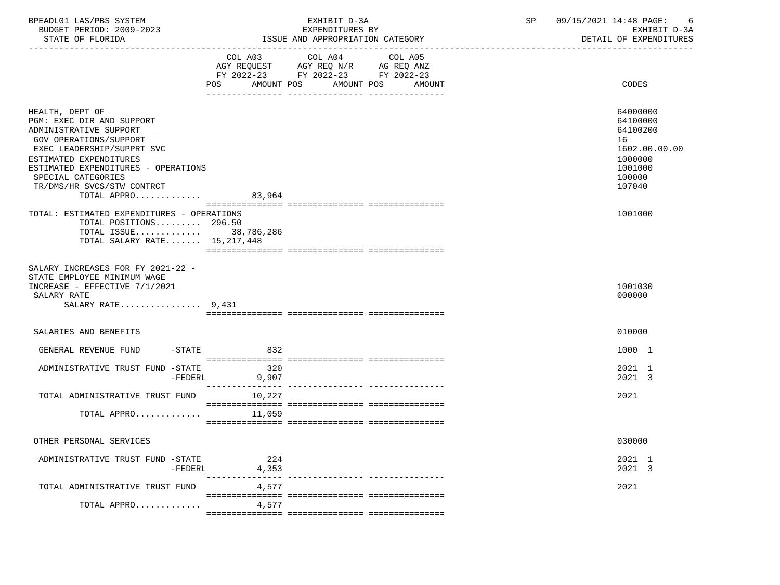| BPEADL01 LAS/PBS SYSTEM  | EXHIBIT D-3A                     | 09/15/2021 14:48 PAGE: |
|--------------------------|----------------------------------|------------------------|
| BUDGET PERIOD: 2009-2023 | EXPENDITURES BY                  | EXHIBIT D-3A           |
| STATE OF FLORIDA         | ISSUE AND APPROPRIATION CATEGORY | DETAIL OF EXPENDITURES |

| STATE OF FLORIDA                                                                                                                                                                                                                                                          | ISSUE AND APPROPRIATION CATEGORY                                                                                                      | DETAIL OF EXPENDITURES                                                                            |  |  |
|---------------------------------------------------------------------------------------------------------------------------------------------------------------------------------------------------------------------------------------------------------------------------|---------------------------------------------------------------------------------------------------------------------------------------|---------------------------------------------------------------------------------------------------|--|--|
|                                                                                                                                                                                                                                                                           | COL A03 COL A04 COL A05<br>AGY REQUEST AGY REQ N/R AG REQ ANZ<br>FY 2022-23 FY 2022-23 FY 2022-23<br>POS AMOUNT POS AMOUNT POS AMOUNT | CODES                                                                                             |  |  |
| HEALTH, DEPT OF<br>PGM: EXEC DIR AND SUPPORT<br>ADMINISTRATIVE SUPPORT<br>GOV OPERATIONS/SUPPORT<br>EXEC LEADERSHIP/SUPPRT SVC<br>ESTIMATED EXPENDITURES<br>ESTIMATED EXPENDITURES - OPERATIONS<br>SPECIAL CATEGORIES<br>TR/DMS/HR SVCS/STW CONTRCT<br>TOTAL APPRO 83,964 |                                                                                                                                       | 64000000<br>64100000<br>64100200<br>16<br>1602.00.00.00<br>1000000<br>1001000<br>100000<br>107040 |  |  |
| TOTAL: ESTIMATED EXPENDITURES - OPERATIONS<br>TOTAL POSITIONS 296.50<br>TOTAL ISSUE 38,786,286<br>TOTAL SALARY RATE 15, 217, 448                                                                                                                                          |                                                                                                                                       | 1001000                                                                                           |  |  |
| SALARY INCREASES FOR FY 2021-22 -<br>STATE EMPLOYEE MINIMUM WAGE<br>INCREASE - EFFECTIVE 7/1/2021<br>SALARY RATE<br>SALARY RATE $9,431$                                                                                                                                   |                                                                                                                                       | 1001030<br>000000                                                                                 |  |  |
| SALARIES AND BENEFITS                                                                                                                                                                                                                                                     |                                                                                                                                       | 010000                                                                                            |  |  |
| GENERAL REVENUE FUND -STATE<br>ADMINISTRATIVE TRUST FUND -STATE<br>-FEDERL                                                                                                                                                                                                | 832<br>320<br>9,907                                                                                                                   | 1000 1<br>$2021$ 1<br>2021 3                                                                      |  |  |
| TOTAL ADMINISTRATIVE TRUST FUND<br>TOTAL APPRO $11,059$                                                                                                                                                                                                                   | 10,227                                                                                                                                | 2021                                                                                              |  |  |
| OTHER PERSONAL SERVICES                                                                                                                                                                                                                                                   |                                                                                                                                       | 030000                                                                                            |  |  |
| ADMINISTRATIVE TRUST FUND -STATE                                                                                                                                                                                                                                          | 224<br>$-FEDERL$ 4,353                                                                                                                | 2021 1<br>2021 3                                                                                  |  |  |
| TOTAL ADMINISTRATIVE TRUST FUND                                                                                                                                                                                                                                           | 4,577                                                                                                                                 | 2021                                                                                              |  |  |
| TOTAL APPRO                                                                                                                                                                                                                                                               | 4,577                                                                                                                                 |                                                                                                   |  |  |
|                                                                                                                                                                                                                                                                           |                                                                                                                                       |                                                                                                   |  |  |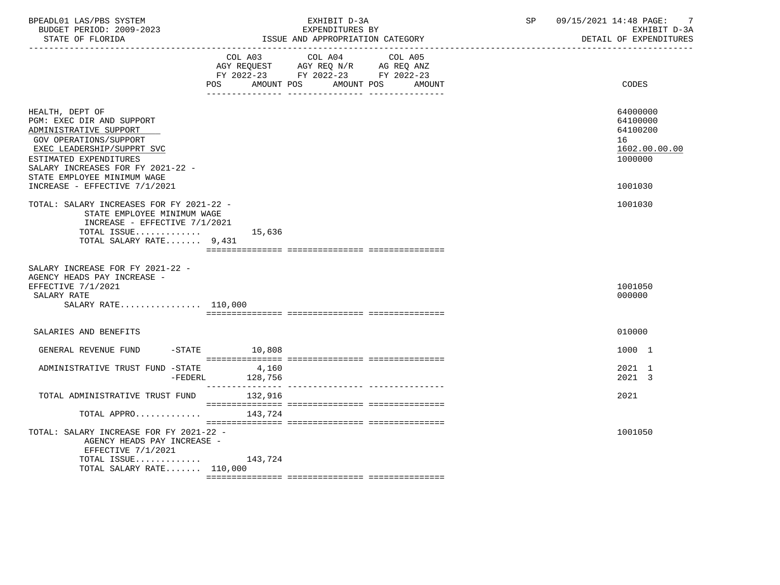| BPEADL01 LAS/PBS SYSTEM<br>BUDGET PERIOD: 2009-2023<br>STATE OF FLORIDA<br>------------------                                                                                                                                    | EXHIBIT D-3A<br>EXPENDITURES BY<br>ISSUE AND APPROPRIATION CATEGORY                                                                                | 09/15/2021 14:48 PAGE:<br>-7<br>SP<br>EXHIBIT D-3A<br>DETAIL OF EXPENDITURES |
|----------------------------------------------------------------------------------------------------------------------------------------------------------------------------------------------------------------------------------|----------------------------------------------------------------------------------------------------------------------------------------------------|------------------------------------------------------------------------------|
|                                                                                                                                                                                                                                  | COL A03 COL A04<br>COL A05<br>AGY REQUEST AGY REQ N/R AG REQ ANZ<br>FY 2022-23 FY 2022-23 FY 2022-23<br>POS.<br>AMOUNT POS<br>AMOUNT POS<br>AMOUNT | CODES                                                                        |
| HEALTH, DEPT OF<br>PGM: EXEC DIR AND SUPPORT<br>ADMINISTRATIVE SUPPORT<br>GOV OPERATIONS/SUPPORT<br>EXEC LEADERSHIP/SUPPRT SVC<br>ESTIMATED EXPENDITURES<br>SALARY INCREASES FOR FY 2021-22 -<br>STATE EMPLOYEE MINIMUM WAGE     |                                                                                                                                                    | 64000000<br>64100000<br>64100200<br>16<br>1602.00.00.00<br>1000000           |
| INCREASE - EFFECTIVE 7/1/2021                                                                                                                                                                                                    |                                                                                                                                                    | 1001030                                                                      |
| TOTAL: SALARY INCREASES FOR FY 2021-22 -<br>STATE EMPLOYEE MINIMUM WAGE<br>INCREASE - EFFECTIVE $7/1/2021$<br>TOTAL ISSUE $15,636$<br>TOTAL SALARY RATE 9,431<br>SALARY INCREASE FOR FY 2021-22 -<br>AGENCY HEADS PAY INCREASE - |                                                                                                                                                    |                                                                              |
| EFFECTIVE 7/1/2021<br>SALARY RATE                                                                                                                                                                                                |                                                                                                                                                    | 1001050<br>000000                                                            |
| SALARY RATE 110,000                                                                                                                                                                                                              |                                                                                                                                                    |                                                                              |
|                                                                                                                                                                                                                                  |                                                                                                                                                    |                                                                              |
| SALARIES AND BENEFITS                                                                                                                                                                                                            |                                                                                                                                                    | 010000                                                                       |
| GENERAL REVENUE FUND                                                                                                                                                                                                             | $-$ STATE 10,808                                                                                                                                   | 1000 1                                                                       |
| ADMINISTRATIVE TRUST FUND -STATE<br>$-FEDERL$                                                                                                                                                                                    | 4,160<br>128,756                                                                                                                                   | 2021 1<br>2021 3                                                             |
| TOTAL ADMINISTRATIVE TRUST FUND                                                                                                                                                                                                  | 132,916                                                                                                                                            | 2021                                                                         |
| TOTAL APPRO                                                                                                                                                                                                                      | 143,724                                                                                                                                            |                                                                              |
| TOTAL: SALARY INCREASE FOR FY 2021-22 -<br>AGENCY HEADS PAY INCREASE -<br>EFFECTIVE 7/1/2021                                                                                                                                     |                                                                                                                                                    | 1001050                                                                      |
| TOTAL ISSUE<br>TOTAL SALARY RATE 110,000                                                                                                                                                                                         | 143.724                                                                                                                                            |                                                                              |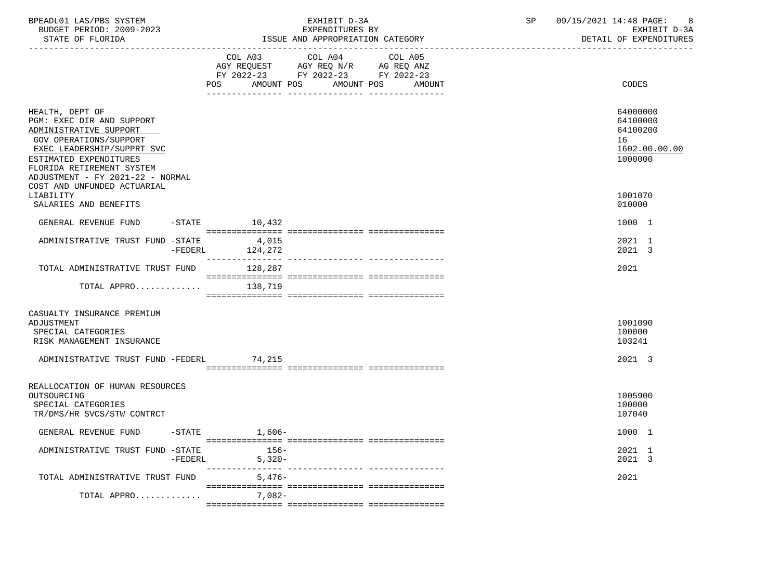| BPEADL01 LAS/PBS SYSTEM<br>BUDGET PERIOD: 2009-2023<br>STATE OF FLORIDA<br>------------------------------                                                                                                                 | EXHIBIT D-3A<br>EXPENDITURES BY<br>ISSUE AND APPROPRIATION CATEGORY                                                                               | 09/15/2021 14:48 PAGE:<br>8<br>SP<br>EXHIBIT D-3A<br>DETAIL OF EXPENDITURES<br>------------------------------ |
|---------------------------------------------------------------------------------------------------------------------------------------------------------------------------------------------------------------------------|---------------------------------------------------------------------------------------------------------------------------------------------------|---------------------------------------------------------------------------------------------------------------|
|                                                                                                                                                                                                                           | COL A03<br>COL A04<br>COL A05<br>AGY REQUEST AGY REQ N/R AG REQ ANZ<br>FY 2022-23 FY 2022-23 FY 2022-23<br>AMOUNT POS AMOUNT POS<br>POS<br>AMOUNT | CODES                                                                                                         |
| HEALTH, DEPT OF<br>PGM: EXEC DIR AND SUPPORT<br>ADMINISTRATIVE SUPPORT<br>GOV OPERATIONS/SUPPORT<br>EXEC LEADERSHIP/SUPPRT SVC<br>ESTIMATED EXPENDITURES<br>FLORIDA RETIREMENT SYSTEM<br>ADJUSTMENT - FY 2021-22 - NORMAL |                                                                                                                                                   | 64000000<br>64100000<br>64100200<br>16<br>1602.00.00.00<br>1000000                                            |
| COST AND UNFUNDED ACTUARIAL<br>LIABILITY<br>SALARIES AND BENEFITS                                                                                                                                                         |                                                                                                                                                   | 1001070<br>010000                                                                                             |
| GENERAL REVENUE FUND                                                                                                                                                                                                      | $-STATE$ 10,432                                                                                                                                   | 1000 1                                                                                                        |
| ADMINISTRATIVE TRUST FUND -STATE<br>$-FEDERL$                                                                                                                                                                             | 4,015<br>124,272                                                                                                                                  | 2021 1<br>2021 3                                                                                              |
| TOTAL ADMINISTRATIVE TRUST FUND                                                                                                                                                                                           | 128,287                                                                                                                                           | 2021                                                                                                          |
| TOTAL APPRO                                                                                                                                                                                                               | 138,719                                                                                                                                           |                                                                                                               |
| CASUALTY INSURANCE PREMIUM<br>ADJUSTMENT<br>SPECIAL CATEGORIES<br>RISK MANAGEMENT INSURANCE<br>ADMINISTRATIVE TRUST FUND -FEDERL 74,215                                                                                   |                                                                                                                                                   | 1001090<br>100000<br>103241<br>2021 3                                                                         |
|                                                                                                                                                                                                                           |                                                                                                                                                   |                                                                                                               |
| REALLOCATION OF HUMAN RESOURCES<br>OUTSOURCING<br>SPECIAL CATEGORIES<br>TR/DMS/HR SVCS/STW CONTRCT                                                                                                                        |                                                                                                                                                   | 1005900<br>100000<br>107040                                                                                   |
| GENERAL REVENUE FUND                                                                                                                                                                                                      | $-$ STATE $1,606-$                                                                                                                                | 1000 1                                                                                                        |
| ADMINISTRATIVE TRUST FUND -STATE<br>$-FEDERL$                                                                                                                                                                             | $156-$<br>$5,320-$                                                                                                                                | 2021 1<br>2021 3                                                                                              |
| TOTAL ADMINISTRATIVE TRUST FUND                                                                                                                                                                                           | $5,476-$                                                                                                                                          | 2021                                                                                                          |
| TOTAL APPRO                                                                                                                                                                                                               | 7,082-                                                                                                                                            |                                                                                                               |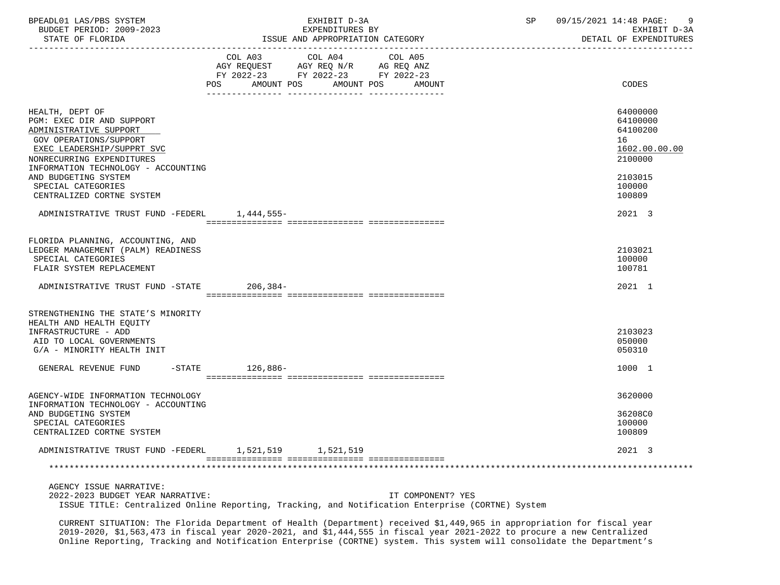| BPEADL01 LAS/PBS SYSTEM     | EXHIBIT D-3A    | חכ | 09<br>/15/2021<br>14:48 PAGE: |
|-----------------------------|-----------------|----|-------------------------------|
| BUDGET PERIOD:<br>2009-2023 | EXPENDITURES BY |    | EXHIBIT D-3A                  |

STATE OF FLORIDA **ISSUE AND APPROPRIATION CATEGORY ISSUE AND APPROPRIATION** CATEGORY

|                                                                                                                                                                                                    | COL A03<br>AGY REQUEST AGY REQ N/R AG REQ ANZ<br>FY 2022-23 FY 2022-23 FY 2022-23<br>POS AMOUNT POS | COL A04<br>AMOUNT POS | COL A05 | AMOUNT | CODES                                                              |
|----------------------------------------------------------------------------------------------------------------------------------------------------------------------------------------------------|-----------------------------------------------------------------------------------------------------|-----------------------|---------|--------|--------------------------------------------------------------------|
|                                                                                                                                                                                                    |                                                                                                     |                       |         |        |                                                                    |
| HEALTH, DEPT OF<br>PGM: EXEC DIR AND SUPPORT<br>ADMINISTRATIVE SUPPORT<br>GOV OPERATIONS/SUPPORT<br>EXEC LEADERSHIP/SUPPRT SVC<br>NONRECURRING EXPENDITURES<br>INFORMATION TECHNOLOGY - ACCOUNTING |                                                                                                     |                       |         |        | 64000000<br>64100000<br>64100200<br>16<br>1602.00.00.00<br>2100000 |
| AND BUDGETING SYSTEM<br>SPECIAL CATEGORIES<br>CENTRALIZED CORTNE SYSTEM                                                                                                                            |                                                                                                     |                       |         |        | 2103015<br>100000<br>100809                                        |
| ADMINISTRATIVE TRUST FUND -FEDERL 1,444,555-                                                                                                                                                       |                                                                                                     |                       |         |        | 2021 3                                                             |
| FLORIDA PLANNING, ACCOUNTING, AND                                                                                                                                                                  |                                                                                                     |                       |         |        |                                                                    |
| LEDGER MANAGEMENT (PALM) READINESS<br>SPECIAL CATEGORIES<br>FLAIR SYSTEM REPLACEMENT                                                                                                               |                                                                                                     |                       |         |        | 2103021<br>100000<br>100781                                        |
| ADMINISTRATIVE TRUST FUND -STATE                                                                                                                                                                   | 206,384-                                                                                            |                       |         |        | 2021 1                                                             |
| STRENGTHENING THE STATE'S MINORITY                                                                                                                                                                 |                                                                                                     |                       |         |        |                                                                    |
| HEALTH AND HEALTH EOUITY<br>INFRASTRUCTURE - ADD<br>AID TO LOCAL GOVERNMENTS<br>G/A - MINORITY HEALTH INIT                                                                                         |                                                                                                     |                       |         |        | 2103023<br>050000<br>050310                                        |
| $-$ STATE<br>GENERAL REVENUE FUND                                                                                                                                                                  | 126,886-                                                                                            |                       |         |        | 1000 1                                                             |
| AGENCY-WIDE INFORMATION TECHNOLOGY                                                                                                                                                                 |                                                                                                     |                       |         |        | 3620000                                                            |
| INFORMATION TECHNOLOGY - ACCOUNTING<br>AND BUDGETING SYSTEM<br>SPECIAL CATEGORIES<br>CENTRALIZED CORTNE SYSTEM                                                                                     |                                                                                                     |                       |         |        | 36208C0<br>100000<br>100809                                        |
| ADMINISTRATIVE TRUST FUND -FEDERL 1,521,519 1,521,519                                                                                                                                              |                                                                                                     |                       |         |        | 2021 3                                                             |
|                                                                                                                                                                                                    |                                                                                                     |                       |         |        |                                                                    |
| ACRICULTOCHE MARRATILE.                                                                                                                                                                            |                                                                                                     |                       |         |        |                                                                    |

 AGENCY ISSUE NARRATIVE: 2022-2023 BUDGET YEAR NARRATIVE: IT COMPONENT? YES ISSUE TITLE: Centralized Online Reporting, Tracking, and Notification Enterprise (CORTNE) System

 CURRENT SITUATION: The Florida Department of Health (Department) received \$1,449,965 in appropriation for fiscal year 2019-2020, \$1,563,473 in fiscal year 2020-2021, and \$1,444,555 in fiscal year 2021-2022 to procure a new Centralized Online Reporting, Tracking and Notification Enterprise (CORTNE) system. This system will consolidate the Department's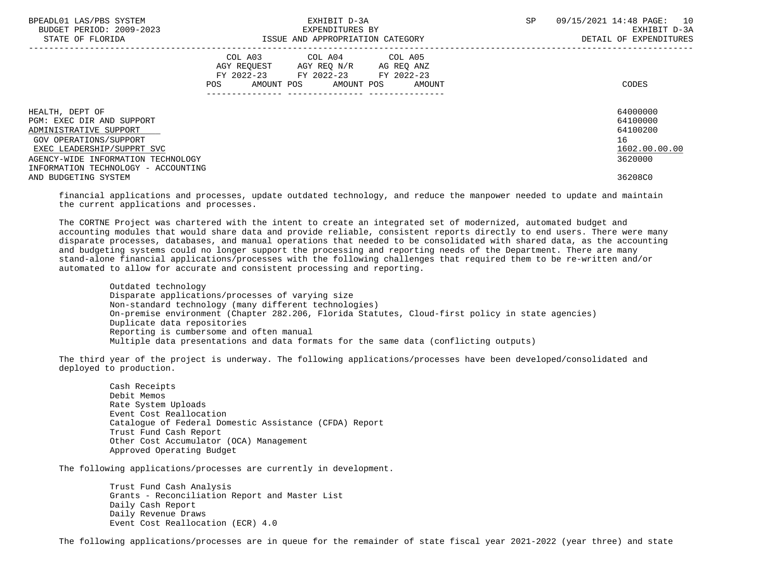| BPEADL01 LAS/PBS SYSTEM<br>BUDGET PERIOD: 2009-2023 | EXHIBIT D-3A<br>EXPENDITURES BY |                                    |  | SP | 09/15/2021 14:48 PAGE:<br>10<br>EXHIBIT D-3A |  |
|-----------------------------------------------------|---------------------------------|------------------------------------|--|----|----------------------------------------------|--|
| STATE OF FLORIDA                                    |                                 | ISSUE AND APPROPRIATION CATEGORY   |  |    | DETAIL OF EXPENDITURES                       |  |
|                                                     |                                 | COL A03 COL A04 COL A05            |  |    |                                              |  |
|                                                     |                                 | AGY REQUEST AGY REQ N/R AG REQ ANZ |  |    |                                              |  |
|                                                     |                                 | FY 2022-23 FY 2022-23 FY 2022-23   |  |    |                                              |  |
|                                                     | POS                             | AMOUNT POS AMOUNT POS AMOUNT       |  |    | CODES                                        |  |
|                                                     |                                 |                                    |  |    |                                              |  |
| HEALTH, DEPT OF                                     |                                 |                                    |  |    | 64000000                                     |  |
| PGM: EXEC DIR AND SUPPORT                           |                                 |                                    |  |    | 64100000                                     |  |
| ADMINISTRATIVE SUPPORT                              |                                 |                                    |  |    | 64100200                                     |  |
| GOV OPERATIONS/SUPPORT                              |                                 |                                    |  |    | 16                                           |  |
| EXEC LEADERSHIP/SUPPRT SVC                          |                                 |                                    |  |    | 1602.00.00.00                                |  |
| AGENCY-WIDE INFORMATION TECHNOLOGY                  |                                 |                                    |  |    | 3620000                                      |  |
| INFORMATION TECHNOLOGY - ACCOUNTING                 |                                 |                                    |  |    |                                              |  |
| AND BUDGETING SYSTEM                                |                                 |                                    |  |    | 36208C0                                      |  |

 financial applications and processes, update outdated technology, and reduce the manpower needed to update and maintain the current applications and processes.

 The CORTNE Project was chartered with the intent to create an integrated set of modernized, automated budget and accounting modules that would share data and provide reliable, consistent reports directly to end users. There were many disparate processes, databases, and manual operations that needed to be consolidated with shared data, as the accounting and budgeting systems could no longer support the processing and reporting needs of the Department. There are many stand-alone financial applications/processes with the following challenges that required them to be re-written and/or automated to allow for accurate and consistent processing and reporting.

 Outdated technology Disparate applications/processes of varying size Non-standard technology (many different technologies) On-premise environment (Chapter 282.206, Florida Statutes, Cloud-first policy in state agencies) Duplicate data repositories Reporting is cumbersome and often manual Multiple data presentations and data formats for the same data (conflicting outputs)

 The third year of the project is underway. The following applications/processes have been developed/consolidated and deployed to production.

 Cash Receipts Debit Memos Rate System Uploads Event Cost Reallocation Catalogue of Federal Domestic Assistance (CFDA) Report Trust Fund Cash Report Other Cost Accumulator (OCA) Management Approved Operating Budget

The following applications/processes are currently in development.

 Trust Fund Cash Analysis Grants - Reconciliation Report and Master List Daily Cash Report Daily Revenue Draws Event Cost Reallocation (ECR) 4.0

The following applications/processes are in queue for the remainder of state fiscal year 2021-2022 (year three) and state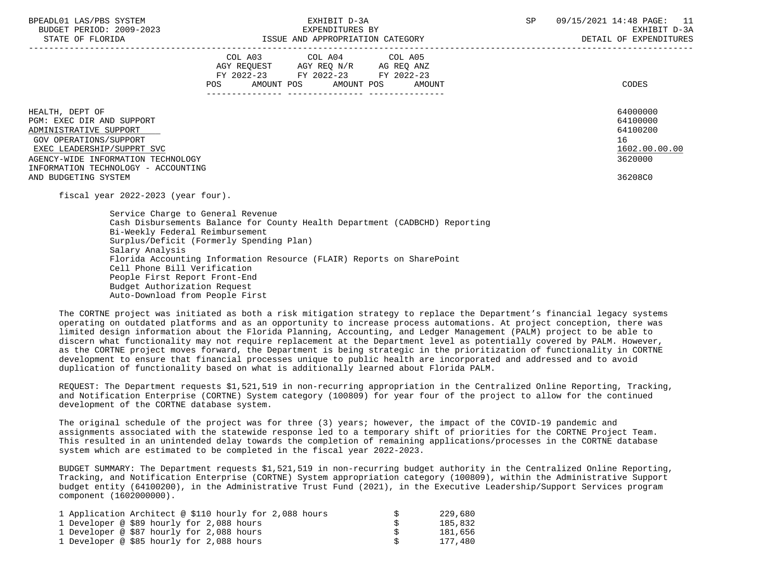|                                                                                                                                | COL A03<br>AGY REQUEST<br>FY 2022-23<br>POS<br>AMOUNT POS | COL A04<br>AGY REQ N/R<br>FY 2022-23<br>AMOUNT POS | COL A05<br>AG REQ ANZ<br>FY 2022-23<br>AMOUNT | CODES                                                   |
|--------------------------------------------------------------------------------------------------------------------------------|-----------------------------------------------------------|----------------------------------------------------|-----------------------------------------------|---------------------------------------------------------|
| HEALTH, DEPT OF<br>PGM: EXEC DIR AND SUPPORT<br>ADMINISTRATIVE SUPPORT<br>GOV OPERATIONS/SUPPORT<br>EXEC LEADERSHIP/SUPPRT SVC |                                                           |                                                    |                                               | 64000000<br>64100000<br>64100200<br>16<br>1602.00.00.00 |
| AGENCY-WIDE INFORMATION TECHNOLOGY                                                                                             |                                                           |                                                    |                                               | 3620000                                                 |
| INFORMATION TECHNOLOGY - ACCOUNTING                                                                                            |                                                           |                                                    |                                               |                                                         |
| AND BUDGETING SYSTEM                                                                                                           |                                                           |                                                    |                                               | 36208C0                                                 |

fiscal year 2022-2023 (year four).

 Service Charge to General Revenue Cash Disbursements Balance for County Health Department (CADBCHD) Reporting Bi-Weekly Federal Reimbursement Surplus/Deficit (Formerly Spending Plan) Salary Analysis Florida Accounting Information Resource (FLAIR) Reports on SharePoint Cell Phone Bill Verification People First Report Front-End Budget Authorization Request Auto-Download from People First

 The CORTNE project was initiated as both a risk mitigation strategy to replace the Department's financial legacy systems operating on outdated platforms and as an opportunity to increase process automations. At project conception, there was limited design information about the Florida Planning, Accounting, and Ledger Management (PALM) project to be able to discern what functionality may not require replacement at the Department level as potentially covered by PALM. However, as the CORTNE project moves forward, the Department is being strategic in the prioritization of functionality in CORTNE development to ensure that financial processes unique to public health are incorporated and addressed and to avoid duplication of functionality based on what is additionally learned about Florida PALM.

 REQUEST: The Department requests \$1,521,519 in non-recurring appropriation in the Centralized Online Reporting, Tracking, and Notification Enterprise (CORTNE) System category (100809) for year four of the project to allow for the continued development of the CORTNE database system.

 The original schedule of the project was for three (3) years; however, the impact of the COVID-19 pandemic and assignments associated with the statewide response led to a temporary shift of priorities for the CORTNE Project Team. This resulted in an unintended delay towards the completion of remaining applications/processes in the CORTNE database system which are estimated to be completed in the fiscal year 2022-2023.

 BUDGET SUMMARY: The Department requests \$1,521,519 in non-recurring budget authority in the Centralized Online Reporting, Tracking, and Notification Enterprise (CORTNE) System appropriation category (100809), within the Administrative Support budget entity (64100200), in the Administrative Trust Fund (2021), in the Executive Leadership/Support Services program component (1602000000).

| 1 Application Architect @ \$110 hourly for 2,088 hours | -S | 229,680 |
|--------------------------------------------------------|----|---------|
| 1 Developer @ \$89 hourly for 2,088 hours              |    | 185,832 |
| 1 Developer @ \$87 hourly for 2,088 hours              |    | 181,656 |
| 1 Developer @ \$85 hourly for 2,088 hours              |    | 177,480 |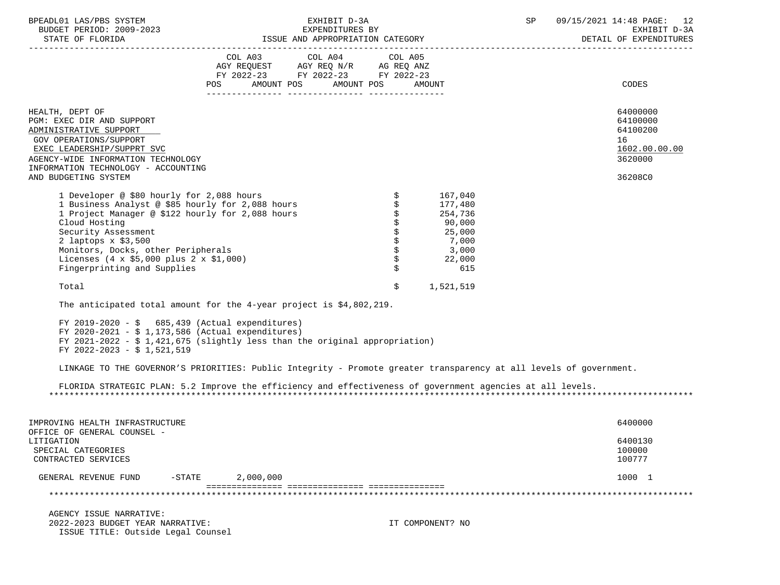|          |                                |                       | ----------------------      |                     |        |
|----------|--------------------------------|-----------------------|-----------------------------|---------------------|--------|
| BUDGET   | 2009-2023<br>PERIOD:<br>⊥∪D ⊷  | TURES BY<br>PENDI!    | rvu                         | חדרי<br>- ⊷         |        |
| BPEADL01 | A S/D R S<br>SYSTEM<br>EAS / ' | .<br>-------<br>د م ب | .10<br>ノクロン<br>ם ר<br>14:48 | $\sqrt{2}$<br>PAGL. | $\sim$ |

STATE OF FLORIDA GERM ISSUE AND APPROPRIATION CATEGORY GERM ISSUE AND A PROPROPRIATION CATEGORY GERM ISSUE AND A PROPROPRIATION CATEGORY GERM ISSUE AND A PROPROPRIATION CATEGORY GERM ISSUE AND A PROPROPRIATION CATEGORY GER

|                                                                                                                                                                                                                                                                                                                                                       | COL A03<br>AGY REQUEST AGY REQ N/R AG REQ ANZ<br>FY 2022-23 FY 2022-23 FY 2022-23<br><b>POS</b> | COL A04<br>AMOUNT POS AMOUNT POS | COL A05 | AMOUNT                                                                               | CODES                                                   |
|-------------------------------------------------------------------------------------------------------------------------------------------------------------------------------------------------------------------------------------------------------------------------------------------------------------------------------------------------------|-------------------------------------------------------------------------------------------------|----------------------------------|---------|--------------------------------------------------------------------------------------|---------------------------------------------------------|
| HEALTH, DEPT OF<br>PGM: EXEC DIR AND SUPPORT<br>ADMINISTRATIVE SUPPORT<br>GOV OPERATIONS/SUPPORT<br>EXEC LEADERSHIP/SUPPRT SVC                                                                                                                                                                                                                        |                                                                                                 |                                  |         |                                                                                      | 64000000<br>64100000<br>64100200<br>16<br>1602.00.00.00 |
| AGENCY-WIDE INFORMATION TECHNOLOGY<br>INFORMATION TECHNOLOGY - ACCOUNTING<br>AND BUDGETING SYSTEM                                                                                                                                                                                                                                                     |                                                                                                 |                                  |         |                                                                                      | 3620000<br>36208C0                                      |
| 1 Developer @ \$80 hourly for 2,088 hours<br>1 Business Analyst @ \$85 hourly for 2,088 hours<br>1 Project Manager @ \$122 hourly for 2,088 hours<br>Cloud Hosting<br>Security Assessment<br>2 laptops $x$ \$3,500<br>Monitors, Docks, other Peripherals<br>Licenses $(4 \times $5,000 \text{ plus } 2 \times $1,000)$<br>Fingerprinting and Supplies |                                                                                                 |                                  | \$      | 167,040<br>177,480<br>254,736<br>90,000<br>25,000<br>7,000<br>3,000<br>22,000<br>615 |                                                         |
| Total                                                                                                                                                                                                                                                                                                                                                 |                                                                                                 |                                  | \$      | 1,521,519                                                                            |                                                         |

-----------------------------------------------------------------------------------------------------------------------------------

The anticipated total amount for the 4-year project is \$4,802,219.

FY 2019-2020 -  $\sin 685,439$  (Actual expenditures) FY 2020-2021 - \$ 1,173,586 (Actual expenditures) FY 2021-2022 -  $$ 1,421,675$  (slightly less than the original appropriation) FY 2022-2023 - \$ 1,521,519

LINKAGE TO THE GOVERNOR'S PRIORITIES: Public Integrity - Promote greater transparency at all levels of government.

 FLORIDA STRATEGIC PLAN: 5.2 Improve the efficiency and effectiveness of government agencies at all levels. \*\*\*\*\*\*\*\*\*\*\*\*\*\*\*\*\*\*\*\*\*\*\*\*\*\*\*\*\*\*\*\*\*\*\*\*\*\*\*\*\*\*\*\*\*\*\*\*\*\*\*\*\*\*\*\*\*\*\*\*\*\*\*\*\*\*\*\*\*\*\*\*\*\*\*\*\*\*\*\*\*\*\*\*\*\*\*\*\*\*\*\*\*\*\*\*\*\*\*\*\*\*\*\*\*\*\*\*\*\*\*\*\*\*\*\*\*\*\*\*\*\*\*\*\*\*\*

| IMPROVING HEALTH INFRASTRUCTURE<br>OFFICE OF GENERAL COUNSEL - |           |           | 6400000                     |
|----------------------------------------------------------------|-----------|-----------|-----------------------------|
| LITIGATION<br>SPECIAL CATEGORIES<br>CONTRACTED SERVICES        |           |           | 6400130<br>100000<br>100777 |
| GENERAL REVENUE FUND                                           | $-$ STATE | 2,000,000 | 1000                        |
|                                                                |           |           |                             |

 AGENCY ISSUE NARRATIVE: 2022-2023 BUDGET YEAR NARRATIVE: IT COMPONENT? NO ISSUE TITLE: Outside Legal Counsel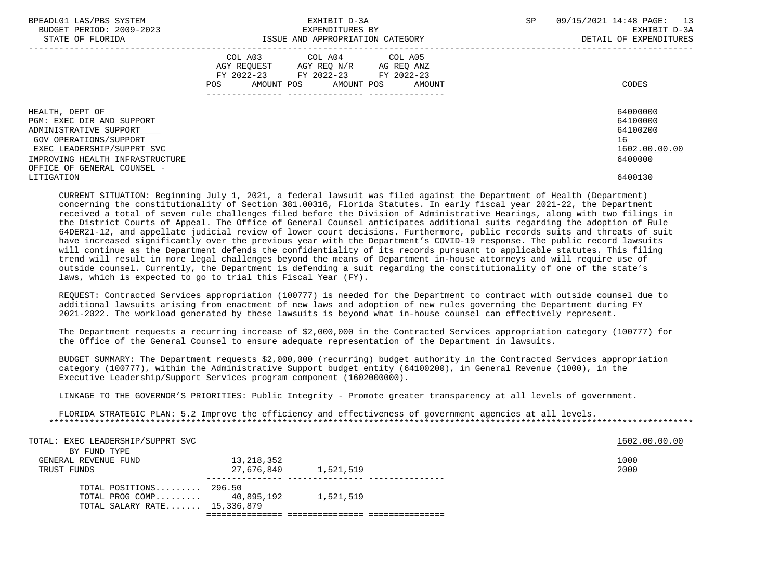| BPEADL01 LAS/PBS SYSTEM         | EXHIBIT D-3A                           | 09/15/2021 14:48 PAGE: 13<br>SP |
|---------------------------------|----------------------------------------|---------------------------------|
| BUDGET PERIOD: 2009-2023        | EXPENDITURES BY                        | EXHIBIT D-3A                    |
| STATE OF FLORIDA                | ISSUE AND APPROPRIATION CATEGORY       | DETAIL OF EXPENDITURES          |
|                                 | COL A03 COL A04 COL A05                |                                 |
|                                 | AGY REQUEST AGY REQ N/R AG REQ ANZ     |                                 |
|                                 | FY 2022-23 FY 2022-23 FY 2022-23       |                                 |
|                                 | AMOUNT POS AMOUNT POS<br>POS<br>AMOUNT | CODES                           |
|                                 |                                        |                                 |
| HEALTH, DEPT OF                 |                                        | 64000000                        |
| PGM: EXEC DIR AND SUPPORT       |                                        | 64100000                        |
| ADMINISTRATIVE SUPPORT          |                                        | 64100200                        |
| GOV OPERATIONS/SUPPORT          |                                        | 16                              |
| EXEC LEADERSHIP/SUPPRT SVC      |                                        | 1602.00.00.00                   |
| IMPROVING HEALTH INFRASTRUCTURE |                                        | 6400000                         |
| OFFICE OF GENERAL COUNSEL -     |                                        |                                 |
| LITIGATION                      |                                        | 6400130                         |
|                                 |                                        |                                 |

 CURRENT SITUATION: Beginning July 1, 2021, a federal lawsuit was filed against the Department of Health (Department) concerning the constitutionality of Section 381.00316, Florida Statutes. In early fiscal year 2021-22, the Department received a total of seven rule challenges filed before the Division of Administrative Hearings, along with two filings in the District Courts of Appeal. The Office of General Counsel anticipates additional suits regarding the adoption of Rule 64DER21-12, and appellate judicial review of lower court decisions. Furthermore, public records suits and threats of suit have increased significantly over the previous year with the Department's COVID-19 response. The public record lawsuits will continue as the Department defends the confidentiality of its records pursuant to applicable statutes. This filing trend will result in more legal challenges beyond the means of Department in-house attorneys and will require use of outside counsel. Currently, the Department is defending a suit regarding the constitutionality of one of the state's laws, which is expected to go to trial this Fiscal Year (FY).

 REQUEST: Contracted Services appropriation (100777) is needed for the Department to contract with outside counsel due to additional lawsuits arising from enactment of new laws and adoption of new rules governing the Department during FY 2021-2022. The workload generated by these lawsuits is beyond what in-house counsel can effectively represent.

 The Department requests a recurring increase of \$2,000,000 in the Contracted Services appropriation category (100777) for the Office of the General Counsel to ensure adequate representation of the Department in lawsuits.

 BUDGET SUMMARY: The Department requests \$2,000,000 (recurring) budget authority in the Contracted Services appropriation category (100777), within the Administrative Support budget entity (64100200), in General Revenue (1000), in the Executive Leadership/Support Services program component (1602000000).

LINKAGE TO THE GOVERNOR'S PRIORITIES: Public Integrity - Promote greater transparency at all levels of government.

 FLORIDA STRATEGIC PLAN: 5.2 Improve the efficiency and effectiveness of government agencies at all levels. \*\*\*\*\*\*\*\*\*\*\*\*\*\*\*\*\*\*\*\*\*\*\*\*\*\*\*\*\*\*\*\*\*\*\*\*\*\*\*\*\*\*\*\*\*\*\*\*\*\*\*\*\*\*\*\*\*\*\*\*\*\*\*\*\*\*\*\*\*\*\*\*\*\*\*\*\*\*\*\*\*\*\*\*\*\*\*\*\*\*\*\*\*\*\*\*\*\*\*\*\*\*\*\*\*\*\*\*\*\*\*\*\*\*\*\*\*\*\*\*\*\*\*\*\*\*\*

| TOTAL: EXEC LEADERSHIP/SUPPRT SVC |            |           |  | 1602.00.00.00 |
|-----------------------------------|------------|-----------|--|---------------|
| BY FUND TYPE                      |            |           |  |               |
| GENERAL REVENUE FUND              | 13,218,352 |           |  | 1000          |
| TRUST FUNDS                       | 27,676,840 | 1,521,519 |  | 2000          |
|                                   |            |           |  |               |
| TOTAL POSITIONS $296.50$          |            |           |  |               |
| TOTAL PROG COMP $40.895.192$      |            | 1,521,519 |  |               |
| TOTAL SALARY RATE 15,336,879      |            |           |  |               |
|                                   |            |           |  |               |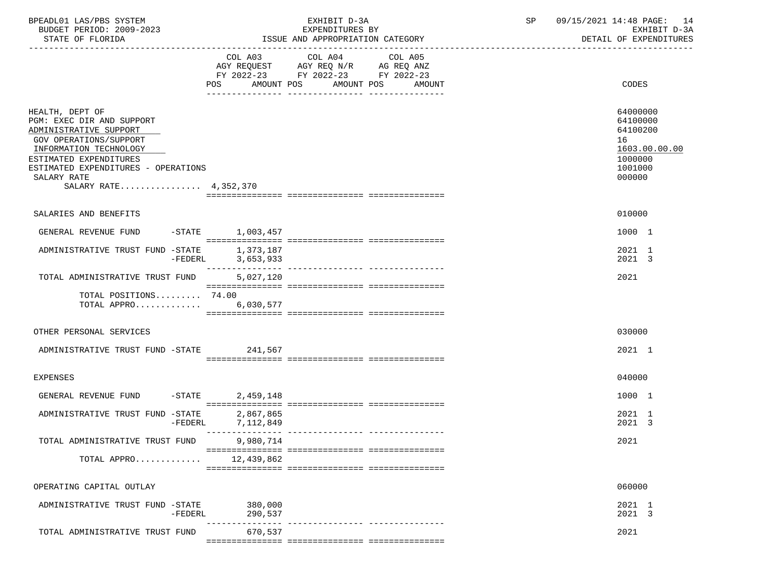| BPEADL01 LAS/PBS SYSTEM<br>BUDGET PERIOD: 2009-2023<br>STATE OF FLORIDA                                                                                                                                                             |                                     | EXHIBIT D-3A<br>EXPENDITURES BY<br>ISSUE AND APPROPRIATION CATEGORY                                                                         | SP | 09/15/2021 14:48 PAGE: 14<br>EXHIBIT D-3A<br>DETAIL OF EXPENDITURES                     |
|-------------------------------------------------------------------------------------------------------------------------------------------------------------------------------------------------------------------------------------|-------------------------------------|---------------------------------------------------------------------------------------------------------------------------------------------|----|-----------------------------------------------------------------------------------------|
|                                                                                                                                                                                                                                     |                                     | COL A03 COL A04<br>COL A05<br>AGY REQUEST AGY REQ N/R AG REQ ANZ<br>FY 2022-23 FY 2022-23 FY 2022-23<br>POS AMOUNT POS AMOUNT POS<br>AMOUNT |    | CODES                                                                                   |
| HEALTH, DEPT OF<br>PGM: EXEC DIR AND SUPPORT<br>ADMINISTRATIVE SUPPORT<br>GOV OPERATIONS/SUPPORT<br>INFORMATION TECHNOLOGY<br>ESTIMATED EXPENDITURES<br>ESTIMATED EXPENDITURES - OPERATIONS<br>SALARY RATE<br>SALARY RATE 4,352,370 |                                     |                                                                                                                                             |    | 64000000<br>64100000<br>64100200<br>16<br>1603.00.00.00<br>1000000<br>1001000<br>000000 |
| SALARIES AND BENEFITS                                                                                                                                                                                                               |                                     |                                                                                                                                             |    | 010000                                                                                  |
| GENERAL REVENUE FUND -STATE 1,003,457                                                                                                                                                                                               |                                     |                                                                                                                                             |    | 1000 1                                                                                  |
| ADMINISTRATIVE TRUST FUND -STATE                                                                                                                                                                                                    | 1,373,187<br>$-FEDERL$<br>3,653,933 |                                                                                                                                             |    | 2021 1<br>2021 3                                                                        |
| TOTAL ADMINISTRATIVE TRUST FUND                                                                                                                                                                                                     | 5,027,120                           |                                                                                                                                             |    | 2021                                                                                    |
| TOTAL POSITIONS 74.00<br>TOTAL APPRO 6,030,577                                                                                                                                                                                      |                                     |                                                                                                                                             |    |                                                                                         |
| OTHER PERSONAL SERVICES                                                                                                                                                                                                             |                                     |                                                                                                                                             |    | 030000                                                                                  |
| ADMINISTRATIVE TRUST FUND -STATE 241,567                                                                                                                                                                                            |                                     |                                                                                                                                             |    | 2021 1                                                                                  |
| <b>EXPENSES</b>                                                                                                                                                                                                                     |                                     |                                                                                                                                             |    | 040000                                                                                  |
| GENERAL REVENUE FUND                                                                                                                                                                                                                | $-$ STATE<br>2,459,148              |                                                                                                                                             |    | 1000 1                                                                                  |
| ADMINISTRATIVE TRUST FUND -STATE<br>$-FEDERL$                                                                                                                                                                                       | 2,867,865<br>7,112,849              |                                                                                                                                             |    | 2021 1<br>2021 3                                                                        |
| TOTAL ADMINISTRATIVE TRUST FUND                                                                                                                                                                                                     | 9,980,714                           |                                                                                                                                             |    | 2021                                                                                    |
| TOTAL APPRO                                                                                                                                                                                                                         | 12,439,862                          |                                                                                                                                             |    |                                                                                         |
| OPERATING CAPITAL OUTLAY                                                                                                                                                                                                            |                                     |                                                                                                                                             |    | 060000                                                                                  |
| ADMINISTRATIVE TRUST FUND -STATE<br>$-FEDERL$                                                                                                                                                                                       | 380,000<br>290,537                  |                                                                                                                                             |    | 2021 1<br>2021 3                                                                        |
| TOTAL ADMINISTRATIVE TRUST FUND                                                                                                                                                                                                     | 670,537                             |                                                                                                                                             |    | 2021                                                                                    |
|                                                                                                                                                                                                                                     |                                     |                                                                                                                                             |    |                                                                                         |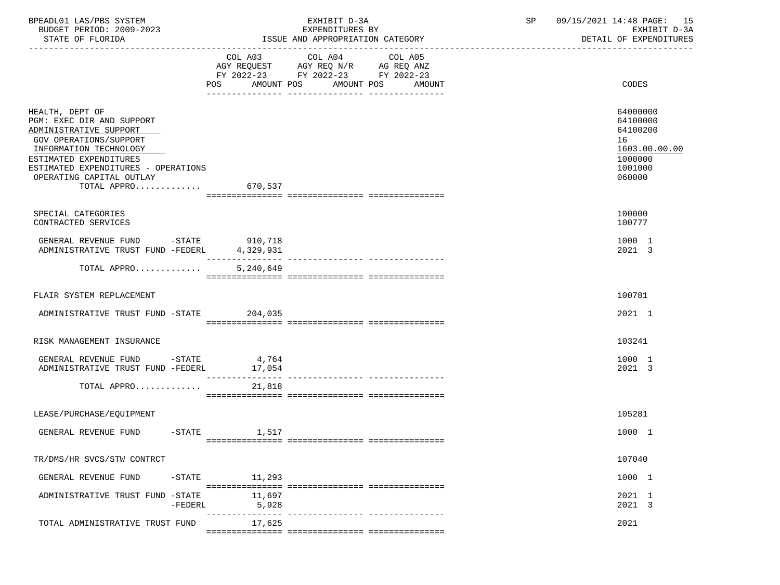| BPEADL01 LAS/PBS SYSTEM<br>BUDGET PERIOD: 2009-2023<br>STATE OF FLORIDA                                                                                                                                                                          | EXHIBIT D-3A<br>EXPENDITURES BY<br>ISSUE AND APPROPRIATION CATEGORY                                                                 |         | SP | 09/15/2021 14:48 PAGE: 15<br>EXHIBIT D-3A<br>DETAIL OF EXPENDITURES                     |
|--------------------------------------------------------------------------------------------------------------------------------------------------------------------------------------------------------------------------------------------------|-------------------------------------------------------------------------------------------------------------------------------------|---------|----|-----------------------------------------------------------------------------------------|
|                                                                                                                                                                                                                                                  | COL A03<br>COL A04<br>AGY REQUEST AGY REQ N/R AG REQ ANZ<br>FY 2022-23 FY 2022-23 FY 2022-23<br>AMOUNT POS AMOUNT POS AMOUNT<br>POS | COL A05 |    | CODES                                                                                   |
| HEALTH, DEPT OF<br>PGM: EXEC DIR AND SUPPORT<br>ADMINISTRATIVE SUPPORT<br>GOV OPERATIONS/SUPPORT<br>INFORMATION TECHNOLOGY<br>ESTIMATED EXPENDITURES<br>ESTIMATED EXPENDITURES - OPERATIONS<br>OPERATING CAPITAL OUTLAY<br>TOTAL APPRO $670,537$ |                                                                                                                                     |         |    | 64000000<br>64100000<br>64100200<br>16<br>1603.00.00.00<br>1000000<br>1001000<br>060000 |
| SPECIAL CATEGORIES<br>CONTRACTED SERVICES                                                                                                                                                                                                        |                                                                                                                                     |         |    | 100000<br>100777                                                                        |
| GENERAL REVENUE FUND -STATE 910,718<br>ADMINISTRATIVE TRUST FUND -FEDERL 4,329,931                                                                                                                                                               |                                                                                                                                     |         |    | 1000 1<br>2021 3                                                                        |
| TOTAL APPRO                                                                                                                                                                                                                                      | 5,240,649                                                                                                                           |         |    |                                                                                         |
| FLAIR SYSTEM REPLACEMENT                                                                                                                                                                                                                         |                                                                                                                                     |         |    | 100781                                                                                  |
| ADMINISTRATIVE TRUST FUND -STATE 204,035                                                                                                                                                                                                         |                                                                                                                                     |         |    | 2021 1                                                                                  |
| RISK MANAGEMENT INSURANCE                                                                                                                                                                                                                        |                                                                                                                                     |         |    | 103241                                                                                  |
| GENERAL REVENUE FUND -STATE 4,764<br>ADMINISTRATIVE TRUST FUND -FEDERL                                                                                                                                                                           | 17,054                                                                                                                              |         |    | 1000 1<br>2021 3                                                                        |
| TOTAL APPRO                                                                                                                                                                                                                                      | 21,818                                                                                                                              |         |    |                                                                                         |
| LEASE/PURCHASE/EQUIPMENT                                                                                                                                                                                                                         |                                                                                                                                     |         |    | 105281                                                                                  |
| GENERAL REVENUE FUND -STATE 1,517                                                                                                                                                                                                                |                                                                                                                                     |         |    | 1000 1                                                                                  |
| TR/DMS/HR SVCS/STW CONTRCT                                                                                                                                                                                                                       |                                                                                                                                     |         |    | 107040                                                                                  |
| GENERAL REVENUE FUND<br>$-$ STATE                                                                                                                                                                                                                | 11,293                                                                                                                              |         |    | 1000 1                                                                                  |
| ADMINISTRATIVE TRUST FUND -STATE<br>$-FEDERL$                                                                                                                                                                                                    | 11,697<br>5,928                                                                                                                     |         |    | 2021 1<br>2021 3                                                                        |
| TOTAL ADMINISTRATIVE TRUST FUND                                                                                                                                                                                                                  | 17,625                                                                                                                              |         |    | 2021                                                                                    |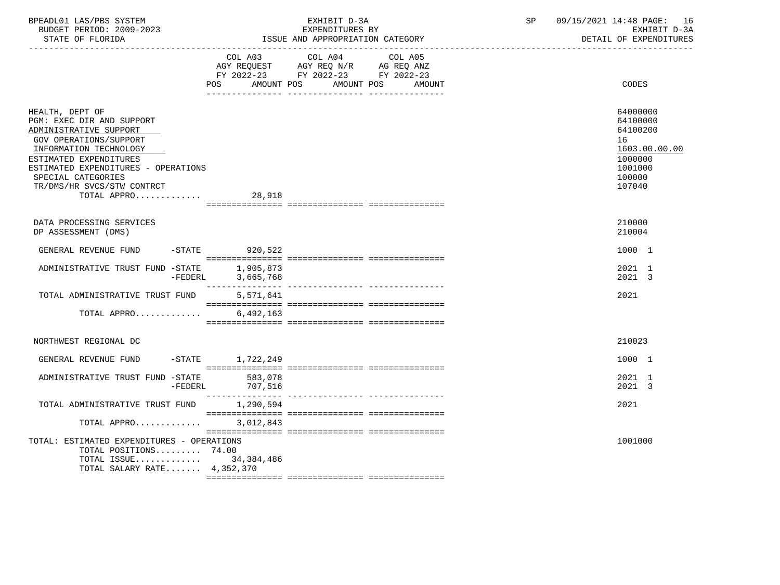| BPEADL01 LAS/PBS SYSTEM  | EXHIBIT D-3A                     | 09/15/2021 14:48 PAGE: 16 |
|--------------------------|----------------------------------|---------------------------|
| BUDGET PERIOD: 2009-2023 | EXPENDITURES BY                  | EXHIBIT D-3A              |
| STATE OF FLORIDA         | ISSUE AND APPROPRIATION CATEGORY | DETAIL OF EXPENDITURES    |

|                                                                                                                                                                                                                                                                | AMOUNT POS<br>POS      | COL A03 COL A04 COL A05<br>AGY REQUEST AGY REQ N/R AG REQ ANZ<br>FY 2022-23 FY 2022-23 FY 2022-23<br>AMOUNT POS | AMOUNT | CODES                                                                                             |
|----------------------------------------------------------------------------------------------------------------------------------------------------------------------------------------------------------------------------------------------------------------|------------------------|-----------------------------------------------------------------------------------------------------------------|--------|---------------------------------------------------------------------------------------------------|
| HEALTH, DEPT OF<br>PGM: EXEC DIR AND SUPPORT<br>ADMINISTRATIVE SUPPORT<br>GOV OPERATIONS/SUPPORT<br>INFORMATION TECHNOLOGY<br>ESTIMATED EXPENDITURES<br>ESTIMATED EXPENDITURES - OPERATIONS<br>SPECIAL CATEGORIES<br>TR/DMS/HR SVCS/STW CONTRCT<br>TOTAL APPRO | 28,918                 |                                                                                                                 |        | 64000000<br>64100000<br>64100200<br>16<br>1603.00.00.00<br>1000000<br>1001000<br>100000<br>107040 |
|                                                                                                                                                                                                                                                                |                        |                                                                                                                 |        |                                                                                                   |
| DATA PROCESSING SERVICES<br>DP ASSESSMENT (DMS)                                                                                                                                                                                                                |                        |                                                                                                                 |        | 210000<br>210004                                                                                  |
| GENERAL REVENUE FUND                                                                                                                                                                                                                                           | -STATE 920,522         |                                                                                                                 |        | 1000 1                                                                                            |
| ADMINISTRATIVE TRUST FUND -STATE<br>-FEDERL                                                                                                                                                                                                                    | 1,905,873<br>3,665,768 |                                                                                                                 |        | 2021 1<br>2021 3                                                                                  |
| TOTAL ADMINISTRATIVE TRUST FUND                                                                                                                                                                                                                                | 5,571,641              |                                                                                                                 |        | 2021                                                                                              |
| TOTAL APPRO 6,492,163                                                                                                                                                                                                                                          |                        |                                                                                                                 |        |                                                                                                   |
|                                                                                                                                                                                                                                                                |                        |                                                                                                                 |        |                                                                                                   |
| NORTHWEST REGIONAL DC                                                                                                                                                                                                                                          |                        |                                                                                                                 |        | 210023                                                                                            |
| GENERAL REVENUE FUND                                                                                                                                                                                                                                           | -STATE 1,722,249       |                                                                                                                 |        | 1000 1                                                                                            |
| ADMINISTRATIVE TRUST FUND -STATE<br>$-FEDERL$                                                                                                                                                                                                                  | 583,078<br>707,516     |                                                                                                                 |        | 2021 1<br>2021 3                                                                                  |
| TOTAL ADMINISTRATIVE TRUST FUND                                                                                                                                                                                                                                | 1,290,594              |                                                                                                                 |        | 2021                                                                                              |
| TOTAL APPRO                                                                                                                                                                                                                                                    | 3,012,843              |                                                                                                                 |        |                                                                                                   |
|                                                                                                                                                                                                                                                                |                        |                                                                                                                 |        |                                                                                                   |
| TOTAL: ESTIMATED EXPENDITURES - OPERATIONS<br>TOTAL POSITIONS 74.00                                                                                                                                                                                            |                        |                                                                                                                 |        | 1001000                                                                                           |
| TOTAL ISSUE 34,384,486                                                                                                                                                                                                                                         |                        |                                                                                                                 |        |                                                                                                   |
| TOTAL SALARY RATE 4,352,370                                                                                                                                                                                                                                    |                        |                                                                                                                 |        |                                                                                                   |
|                                                                                                                                                                                                                                                                |                        |                                                                                                                 |        |                                                                                                   |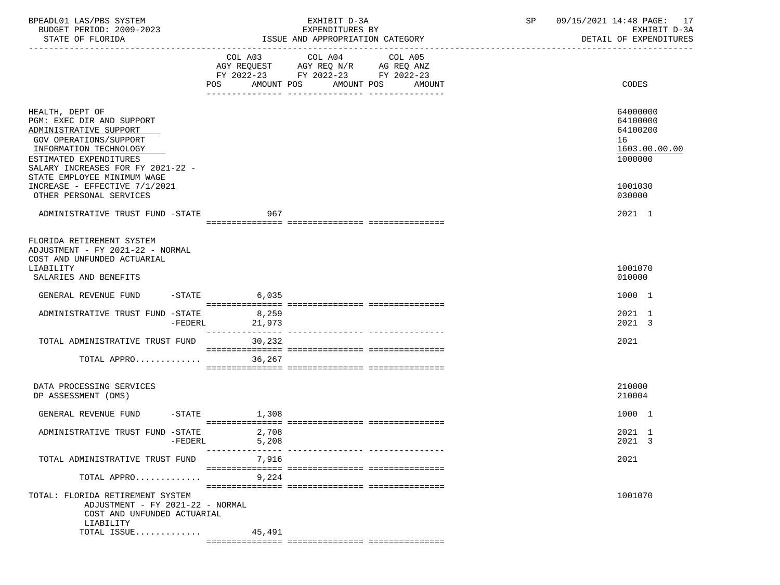| BPEADL01 LAS/PBS SYSTEM<br>BUDGET PERIOD: 2009-2023<br>STATE OF FLORIDA                                                                                                                                                  |                | EXHIBIT D-3A<br>EXPENDITURES BY<br>ISSUE AND APPROPRIATION CATEGORY                                                                                                                                                                                                               | SP | 09/15/2021 14:48 PAGE: 17<br>EXHIBIT D-3A<br>DETAIL OF EXPENDITURES |
|--------------------------------------------------------------------------------------------------------------------------------------------------------------------------------------------------------------------------|----------------|-----------------------------------------------------------------------------------------------------------------------------------------------------------------------------------------------------------------------------------------------------------------------------------|----|---------------------------------------------------------------------|
|                                                                                                                                                                                                                          |                | $\begin{tabular}{lllllllllll} COL & A03 & \multicolumn{2}{l}COL & A04 & \multicolumn{2}{l}COL & A05 \\ AGY & REQUEST & \multicolumn{2}{l}AGY & REQ & N/R & \multicolumn{2}{l}AG & REQ & ANZ \\ \end{tabular}$<br>FY 2022-23 FY 2022-23 FY 2022-23<br>AMOUNT POS AMOUNT POS AMOUNT |    | CODES                                                               |
| HEALTH, DEPT OF<br>PGM: EXEC DIR AND SUPPORT<br>ADMINISTRATIVE SUPPORT<br>GOV OPERATIONS/SUPPORT<br>INFORMATION TECHNOLOGY<br>ESTIMATED EXPENDITURES<br>SALARY INCREASES FOR FY 2021-22 -<br>STATE EMPLOYEE MINIMUM WAGE |                |                                                                                                                                                                                                                                                                                   |    | 64000000<br>64100000<br>64100200<br>16<br>1603.00.00.00<br>1000000  |
| INCREASE - EFFECTIVE 7/1/2021<br>OTHER PERSONAL SERVICES                                                                                                                                                                 |                |                                                                                                                                                                                                                                                                                   |    | 1001030<br>030000                                                   |
| ADMINISTRATIVE TRUST FUND -STATE                                                                                                                                                                                         | 967            |                                                                                                                                                                                                                                                                                   |    | 2021 1                                                              |
| FLORIDA RETIREMENT SYSTEM<br>ADJUSTMENT - FY 2021-22 - NORMAL<br>COST AND UNFUNDED ACTUARIAL<br>LIABILITY<br>SALARIES AND BENEFITS                                                                                       |                |                                                                                                                                                                                                                                                                                   |    | 1001070<br>010000                                                   |
| GENERAL REVENUE FUND -STATE 6,035                                                                                                                                                                                        |                |                                                                                                                                                                                                                                                                                   |    | 1000 1                                                              |
| ADMINISTRATIVE TRUST FUND -STATE 8,259<br>$-FEDERL$                                                                                                                                                                      | 21,973         |                                                                                                                                                                                                                                                                                   |    | 2021 1<br>2021 3                                                    |
| TOTAL ADMINISTRATIVE TRUST FUND                                                                                                                                                                                          | 30,232         |                                                                                                                                                                                                                                                                                   |    | 2021                                                                |
| TOTAL APPRO                                                                                                                                                                                                              | 36,267         |                                                                                                                                                                                                                                                                                   |    |                                                                     |
| DATA PROCESSING SERVICES<br>DP ASSESSMENT (DMS)                                                                                                                                                                          |                |                                                                                                                                                                                                                                                                                   |    | 210000<br>210004                                                    |
| GENERAL REVENUE FUND -STATE 1,308                                                                                                                                                                                        |                |                                                                                                                                                                                                                                                                                   |    | 1000 1                                                              |
| ADMINISTRATIVE TRUST FUND -STATE<br>-FEDERL                                                                                                                                                                              | 2,708<br>5,208 |                                                                                                                                                                                                                                                                                   |    | 2021 1<br>2021 3                                                    |
| TOTAL ADMINISTRATIVE TRUST FUND                                                                                                                                                                                          | 7,916          |                                                                                                                                                                                                                                                                                   |    | 2021                                                                |
| TOTAL APPRO                                                                                                                                                                                                              | 9,224          |                                                                                                                                                                                                                                                                                   |    |                                                                     |
| TOTAL: FLORIDA RETIREMENT SYSTEM<br>ADJUSTMENT - FY 2021-22 - NORMAL<br>COST AND UNFUNDED ACTUARIAL                                                                                                                      |                |                                                                                                                                                                                                                                                                                   |    | 1001070                                                             |
| LIABILITY<br>TOTAL ISSUE $45,491$                                                                                                                                                                                        |                |                                                                                                                                                                                                                                                                                   |    |                                                                     |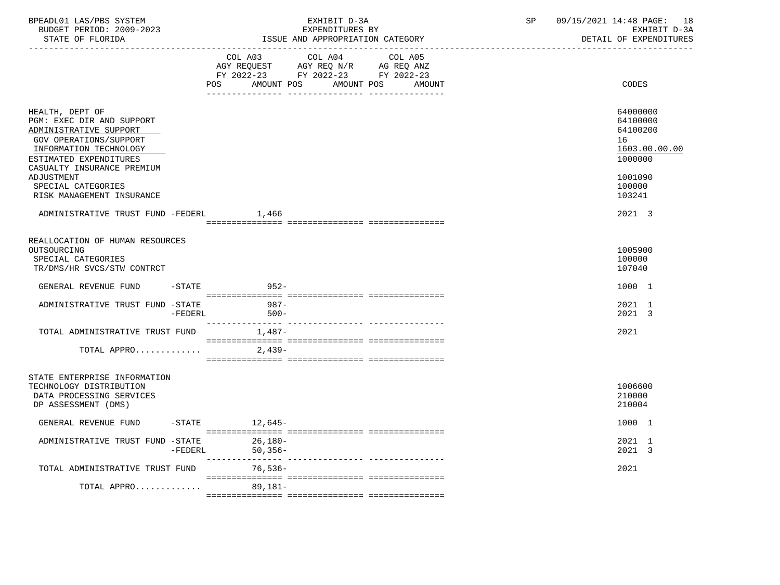| BPEADL01 LAS/PBS SYSTEM  | EXHIBIT D                             | $\cap$ $\Gamma$ | 09/15/2021 14:48 PAGE:<br>18 |
|--------------------------|---------------------------------------|-----------------|------------------------------|
| BUDGET PERIOD: 2009-2023 | EXPENDITURES BY                       |                 | EXHIBIT D-3A                 |
| STATE OF FLORIDA         | : AND APPROPRIATION CATEGORY<br>"SSUE |                 | DETAIL OF EXPENDITURES       |

|                                                                                                                                                                                    | COL A03<br><b>POS</b><br>AMOUNT POS | COL A04<br>AGY REQUEST AGY REQ N/R AG REQ ANZ<br>FY 2022-23 FY 2022-23 FY 2022-23 | COL A05<br>AMOUNT POS | AMOUNT | CODES                                                              |
|------------------------------------------------------------------------------------------------------------------------------------------------------------------------------------|-------------------------------------|-----------------------------------------------------------------------------------|-----------------------|--------|--------------------------------------------------------------------|
| HEALTH, DEPT OF<br>PGM: EXEC DIR AND SUPPORT<br>ADMINISTRATIVE SUPPORT<br>GOV OPERATIONS/SUPPORT<br>INFORMATION TECHNOLOGY<br>ESTIMATED EXPENDITURES<br>CASUALTY INSURANCE PREMIUM |                                     |                                                                                   |                       |        | 64000000<br>64100000<br>64100200<br>16<br>1603.00.00.00<br>1000000 |
| ADJUSTMENT<br>SPECIAL CATEGORIES<br>RISK MANAGEMENT INSURANCE                                                                                                                      |                                     |                                                                                   |                       |        | 1001090<br>100000<br>103241                                        |
| ADMINISTRATIVE TRUST FUND -FEDERL                                                                                                                                                  | 1,466                               |                                                                                   |                       |        | 2021 3                                                             |
| REALLOCATION OF HUMAN RESOURCES<br>OUTSOURCING<br>SPECIAL CATEGORIES<br>TR/DMS/HR SVCS/STW CONTRCT                                                                                 |                                     |                                                                                   |                       |        | 1005900<br>100000<br>107040                                        |
| GENERAL REVENUE FUND<br>$-$ STATE                                                                                                                                                  | $952 -$                             |                                                                                   |                       |        | 1000 1                                                             |
| ADMINISTRATIVE TRUST FUND -STATE<br>$-FEDERL$                                                                                                                                      | 987-<br>$500 -$                     |                                                                                   |                       |        | 2021 1<br>2021 3                                                   |
| TOTAL ADMINISTRATIVE TRUST FUND                                                                                                                                                    | $1,487-$                            |                                                                                   |                       |        | 2021                                                               |
| TOTAL APPRO                                                                                                                                                                        | 2,439-                              |                                                                                   |                       |        |                                                                    |
| STATE ENTERPRISE INFORMATION<br>TECHNOLOGY DISTRIBUTION<br>DATA PROCESSING SERVICES<br>DP ASSESSMENT (DMS)                                                                         |                                     |                                                                                   |                       |        | 1006600<br>210000<br>210004                                        |
| GENERAL REVENUE FUND -STATE 12,645-                                                                                                                                                |                                     |                                                                                   |                       |        | 1000 1                                                             |
| ADMINISTRATIVE TRUST FUND -STATE<br>-FEDERL                                                                                                                                        | 26,180-<br>$50,356-$                |                                                                                   |                       |        | 2021 1<br>2021 3                                                   |
| TOTAL ADMINISTRATIVE TRUST FUND                                                                                                                                                    | 76,536-                             |                                                                                   |                       |        | 2021                                                               |
| TOTAL APPRO 89,181-                                                                                                                                                                |                                     |                                                                                   |                       |        |                                                                    |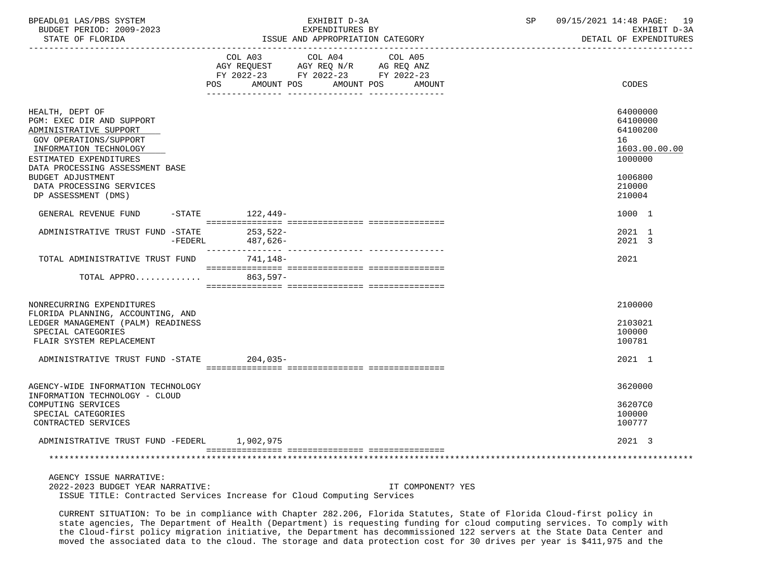| BPEADL01 LAS/PBS SYSTEM  | EXHIBIT D-3A    |  | 09/15/2021 14:48 PAGE: | 19 |
|--------------------------|-----------------|--|------------------------|----|
| BUDGET PERIOD: 2009-2023 | EXPENDITURES BY |  | EXHIBIT D-3A           |    |

|                                                                                                                                                      | COL A03 COL A04 COL A05<br>AGY REQUEST AGY REQ N/R AG REQ ANZ<br>FY 2022-23 FY 2022-23 FY 2022-23 |                                                                    |
|------------------------------------------------------------------------------------------------------------------------------------------------------|---------------------------------------------------------------------------------------------------|--------------------------------------------------------------------|
|                                                                                                                                                      | POS AMOUNT POS<br>AMOUNT POS AMOUNT                                                               | CODES                                                              |
| HEALTH, DEPT OF<br>PGM: EXEC DIR AND SUPPORT<br>ADMINISTRATIVE SUPPORT<br>GOV OPERATIONS/SUPPORT<br>INFORMATION TECHNOLOGY<br>ESTIMATED EXPENDITURES |                                                                                                   | 64000000<br>64100000<br>64100200<br>16<br>1603.00.00.00<br>1000000 |
| DATA PROCESSING ASSESSMENT BASE<br><b>BUDGET ADJUSTMENT</b><br>DATA PROCESSING SERVICES<br>DP ASSESSMENT (DMS)                                       |                                                                                                   | 1006800<br>210000<br>210004                                        |
| GENERAL REVENUE FUND                                                                                                                                 | -STATE 122,449-                                                                                   | 1000 1                                                             |
| ADMINISTRATIVE TRUST FUND -STATE<br>$-FEDERL$                                                                                                        | 253,522-<br>487,626-                                                                              | 2021 1<br>2021 3                                                   |
| TOTAL ADMINISTRATIVE TRUST FUND                                                                                                                      | 741,148-                                                                                          | 2021                                                               |
| TOTAL APPRO                                                                                                                                          | $863.597-$                                                                                        |                                                                    |
| NONRECURRING EXPENDITURES<br>FLORIDA PLANNING, ACCOUNTING, AND                                                                                       |                                                                                                   | 2100000                                                            |
| LEDGER MANAGEMENT (PALM) READINESS<br>SPECIAL CATEGORIES<br>FLAIR SYSTEM REPLACEMENT                                                                 |                                                                                                   | 2103021<br>100000<br>100781                                        |
| ADMINISTRATIVE TRUST FUND -STATE                                                                                                                     | $204,035-$                                                                                        | 2021 1                                                             |
| AGENCY-WIDE INFORMATION TECHNOLOGY<br>INFORMATION TECHNOLOGY - CLOUD                                                                                 |                                                                                                   | 3620000                                                            |
| COMPUTING SERVICES<br>SPECIAL CATEGORIES<br>CONTRACTED SERVICES                                                                                      |                                                                                                   | 36207C0<br>100000<br>100777                                        |
| ADMINISTRATIVE TRUST FUND -FEDERL 1,902,975                                                                                                          |                                                                                                   | 2021 3                                                             |
|                                                                                                                                                      |                                                                                                   |                                                                    |

 AGENCY ISSUE NARRATIVE: 2022-2023 BUDGET YEAR NARRATIVE: IT COMPONENT? YES ISSUE TITLE: Contracted Services Increase for Cloud Computing Services

 CURRENT SITUATION: To be in compliance with Chapter 282.206, Florida Statutes, State of Florida Cloud-first policy in state agencies, The Department of Health (Department) is requesting funding for cloud computing services. To comply with the Cloud-first policy migration initiative, the Department has decommissioned 122 servers at the State Data Center and moved the associated data to the cloud. The storage and data protection cost for 30 drives per year is \$411,975 and the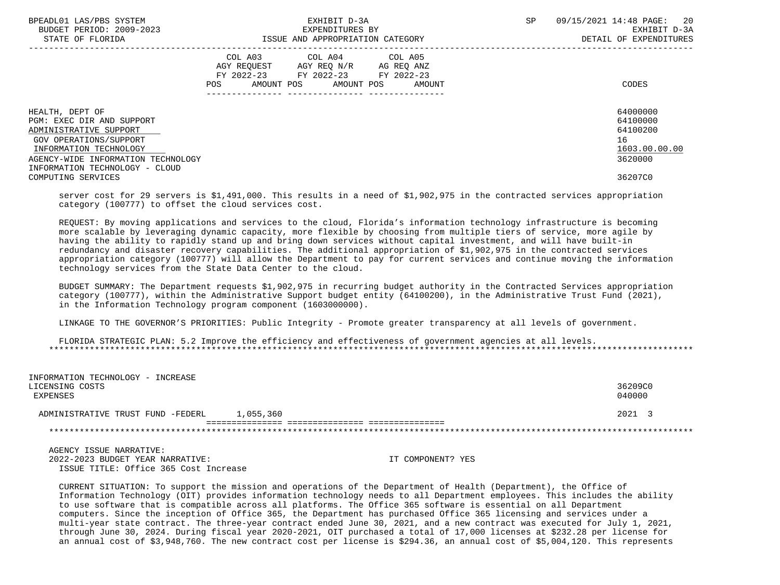| STATE OF FLORIDA<br>ISSUE AND APPROPRIATION CATEGORY                                                                                        |                                  |
|---------------------------------------------------------------------------------------------------------------------------------------------|----------------------------------|
| COL A03 COL A04 COL A05<br>AGY REQUEST AGY REQ N/R AG REQ ANZ<br>FY 2022-23 FY 2022-23 FY 2022-23<br>AMOUNT POS AMOUNT POS<br>POS<br>AMOUNT | CODES                            |
| HEALTH, DEPT OF<br>PGM: EXEC DIR AND SUPPORT<br>ADMINISTRATIVE SUPPORT                                                                      | 64000000<br>64100000<br>64100200 |
| GOV OPERATIONS/SUPPORT                                                                                                                      | 16                               |
| INFORMATION TECHNOLOGY<br>AGENCY-WIDE INFORMATION TECHNOLOGY<br>INFORMATION TECHNOLOGY - CLOUD                                              | 1603.00.00.00<br>3620000         |
| COMPUTING SERVICES                                                                                                                          | 36207C0                          |

 server cost for 29 servers is \$1,491,000. This results in a need of \$1,902,975 in the contracted services appropriation category (100777) to offset the cloud services cost.

 REQUEST: By moving applications and services to the cloud, Florida's information technology infrastructure is becoming more scalable by leveraging dynamic capacity, more flexible by choosing from multiple tiers of service, more agile by having the ability to rapidly stand up and bring down services without capital investment, and will have built-in redundancy and disaster recovery capabilities. The additional appropriation of \$1,902,975 in the contracted services appropriation category (100777) will allow the Department to pay for current services and continue moving the information technology services from the State Data Center to the cloud.

 BUDGET SUMMARY: The Department requests \$1,902,975 in recurring budget authority in the Contracted Services appropriation category (100777), within the Administrative Support budget entity (64100200), in the Administrative Trust Fund (2021), in the Information Technology program component (1603000000).

LINKAGE TO THE GOVERNOR'S PRIORITIES: Public Integrity - Promote greater transparency at all levels of government.

 FLORIDA STRATEGIC PLAN: 5.2 Improve the efficiency and effectiveness of government agencies at all levels. \*\*\*\*\*\*\*\*\*\*\*\*\*\*\*\*\*\*\*\*\*\*\*\*\*\*\*\*\*\*\*\*\*\*\*\*\*\*\*\*\*\*\*\*\*\*\*\*\*\*\*\*\*\*\*\*\*\*\*\*\*\*\*\*\*\*\*\*\*\*\*\*\*\*\*\*\*\*\*\*\*\*\*\*\*\*\*\*\*\*\*\*\*\*\*\*\*\*\*\*\*\*\*\*\*\*\*\*\*\*\*\*\*\*\*\*\*\*\*\*\*\*\*\*\*\*\*

| INFORMATION TECHNOLOGY - INCREASE |           |         |
|-----------------------------------|-----------|---------|
| LICENSING COSTS                   |           | 36209C0 |
| EXPENSES                          |           | 040000  |
|                                   |           |         |
| ADMINISTRATIVE TRUST FUND -FEDERL | 1,055,360 | 2021 3  |
|                                   |           |         |
|                                   |           |         |

 AGENCY ISSUE NARRATIVE: 2022-2023 BUDGET YEAR NARRATIVE: IT COMPONENT? YES ISSUE TITLE: Office 365 Cost Increase

 CURRENT SITUATION: To support the mission and operations of the Department of Health (Department), the Office of Information Technology (OIT) provides information technology needs to all Department employees. This includes the ability to use software that is compatible across all platforms. The Office 365 software is essential on all Department computers. Since the inception of Office 365, the Department has purchased Office 365 licensing and services under a multi-year state contract. The three-year contract ended June 30, 2021, and a new contract was executed for July 1, 2021, through June 30, 2024. During fiscal year 2020-2021, OIT purchased a total of 17,000 licenses at \$232.28 per license for an annual cost of \$3,948,760. The new contract cost per license is \$294.36, an annual cost of \$5,004,120. This represents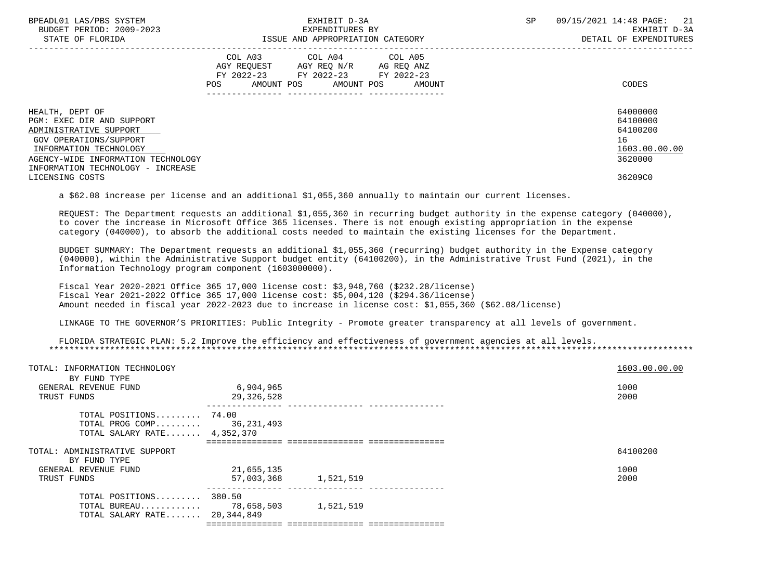| BPEADL01 LAS/PBS SYSTEM<br>BUDGET PERIOD: 2009-2023<br>STATE OF FLORIDA                                                                                                                               | EXHIBIT D-3A<br>EXPENDITURES BY<br>ISSUE AND APPROPRIATION CATEGORY                                                                         | 09/15/2021 14:48 PAGE: 21<br><b>SP</b><br>EXHIBIT D-3A<br>DETAIL OF EXPENDITURES |
|-------------------------------------------------------------------------------------------------------------------------------------------------------------------------------------------------------|---------------------------------------------------------------------------------------------------------------------------------------------|----------------------------------------------------------------------------------|
|                                                                                                                                                                                                       | COL A03 COL A04 COL A05<br>AGY REQUEST AGY REQ N/R AG REQ ANZ<br>FY 2022-23 FY 2022-23 FY 2022-23<br>AMOUNT POS AMOUNT POS<br>POS<br>AMOUNT | CODES                                                                            |
| HEALTH, DEPT OF<br>PGM: EXEC DIR AND SUPPORT<br>ADMINISTRATIVE SUPPORT<br>GOV OPERATIONS/SUPPORT<br>INFORMATION TECHNOLOGY<br>AGENCY-WIDE INFORMATION TECHNOLOGY<br>INFORMATION TECHNOLOGY - INCREASE |                                                                                                                                             | 64000000<br>64100000<br>64100200<br>16<br>1603.00.00.00<br>3620000               |
| LICENSING COSTS                                                                                                                                                                                       |                                                                                                                                             | 36209C0                                                                          |

a \$62.08 increase per license and an additional \$1,055,360 annually to maintain our current licenses.

 REQUEST: The Department requests an additional \$1,055,360 in recurring budget authority in the expense category (040000), to cover the increase in Microsoft Office 365 licenses. There is not enough existing appropriation in the expense category (040000), to absorb the additional costs needed to maintain the existing licenses for the Department.

 BUDGET SUMMARY: The Department requests an additional \$1,055,360 (recurring) budget authority in the Expense category (040000), within the Administrative Support budget entity (64100200), in the Administrative Trust Fund (2021), in the Information Technology program component (1603000000).

 Fiscal Year 2020-2021 Office 365 17,000 license cost: \$3,948,760 (\$232.28/license) Fiscal Year 2021-2022 Office 365 17,000 license cost: \$5,004,120 (\$294.36/license) Amount needed in fiscal year 2022-2023 due to increase in license cost: \$1,055,360 (\$62.08/license)

LINKAGE TO THE GOVERNOR'S PRIORITIES: Public Integrity - Promote greater transparency at all levels of government.

 FLORIDA STRATEGIC PLAN: 5.2 Improve the efficiency and effectiveness of government agencies at all levels. \*\*\*\*\*\*\*\*\*\*\*\*\*\*\*\*\*\*\*\*\*\*\*\*\*\*\*\*\*\*\*\*\*\*\*\*\*\*\*\*\*\*\*\*\*\*\*\*\*\*\*\*\*\*\*\*\*\*\*\*\*\*\*\*\*\*\*\*\*\*\*\*\*\*\*\*\*\*\*\*\*\*\*\*\*\*\*\*\*\*\*\*\*\*\*\*\*\*\*\*\*\*\*\*\*\*\*\*\*\*\*\*\*\*\*\*\*\*\*\*\*\*\*\*\*\*\*

| TOTAL: INFORMATION TECHNOLOGY<br>BY FUND TYPE                                        |                         |           |  | 1603.00.00.00 |
|--------------------------------------------------------------------------------------|-------------------------|-----------|--|---------------|
| GENERAL REVENUE FUND<br>TRUST FUNDS                                                  | 6,904,965<br>29,326,528 |           |  | 1000<br>2000  |
| TOTAL POSITIONS 74.00<br>TOTAL PROG COMP 36,231,493<br>TOTAL SALARY RATE $4,352,370$ |                         |           |  |               |
|                                                                                      |                         |           |  |               |
| TOTAL: ADMINISTRATIVE SUPPORT<br>BY FUND TYPE                                        |                         |           |  | 64100200      |
| GENERAL REVENUE FUND                                                                 | 21,655,135              |           |  | 1000          |
| TRUST FUNDS                                                                          | 57,003,368 1,521,519    |           |  | 2000          |
| TOTAL POSITIONS 380.50<br>TOTAL BUREAU 78,658,503<br>TOTAL SALARY RATE 20,344,849    |                         | 1,521,519 |  |               |
|                                                                                      |                         |           |  |               |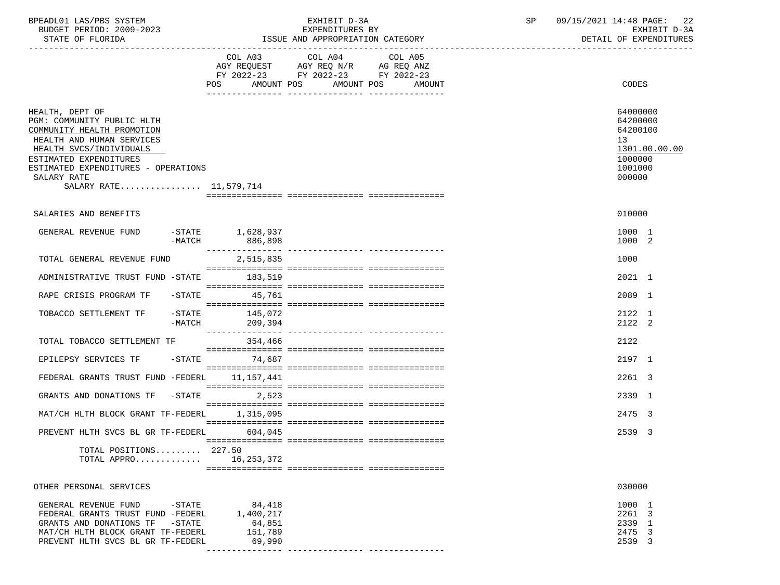| BPEADL01 LAS/PBS SYSTEM<br>BUDGET PERIOD: 2009-2023                                                                                                                                                                                           |                  |                                                    | EXHIBIT D-3A<br>EXPENDITURES BY          |                                                                                             | SP | 09/15/2021 14:48 PAGE: 22<br>EXHIBIT D-3A                                               |  |
|-----------------------------------------------------------------------------------------------------------------------------------------------------------------------------------------------------------------------------------------------|------------------|----------------------------------------------------|------------------------------------------|---------------------------------------------------------------------------------------------|----|-----------------------------------------------------------------------------------------|--|
| STATE OF FLORIDA                                                                                                                                                                                                                              |                  |                                                    |                                          | ISSUE AND APPROPRIATION CATEGORY                                                            |    | DETAIL OF EXPENDITURES                                                                  |  |
|                                                                                                                                                                                                                                               |                  | <b>POS</b>                                         | COL A03 COL A04<br>AMOUNT POS AMOUNT POS | COL A05<br>AGY REQUEST AGY REQ N/R AG REQ ANZ<br>FY 2022-23 FY 2022-23 FY 2022-23<br>AMOUNT |    | <b>CODES</b>                                                                            |  |
| HEALTH, DEPT OF<br>PGM: COMMUNITY PUBLIC HLTH<br>COMMUNITY HEALTH PROMOTION<br>HEALTH AND HUMAN SERVICES<br>HEALTH SVCS/INDIVIDUALS<br>ESTIMATED EXPENDITURES<br>ESTIMATED EXPENDITURES - OPERATIONS<br>SALARY RATE<br>SALARY RATE 11,579,714 |                  |                                                    |                                          |                                                                                             |    | 64000000<br>64200000<br>64200100<br>13<br>1301.00.00.00<br>1000000<br>1001000<br>000000 |  |
| SALARIES AND BENEFITS                                                                                                                                                                                                                         |                  |                                                    |                                          |                                                                                             |    | 010000                                                                                  |  |
| GENERAL REVENUE FUND                                                                                                                                                                                                                          |                  | STATE 1,628,937-<br>-MATCH 886,898                 |                                          |                                                                                             |    | 1000 1<br>1000 2                                                                        |  |
| TOTAL GENERAL REVENUE FUND                                                                                                                                                                                                                    |                  | 2,515,835                                          |                                          |                                                                                             |    | 1000                                                                                    |  |
| ADMINISTRATIVE TRUST FUND -STATE 183,519                                                                                                                                                                                                      |                  |                                                    |                                          |                                                                                             |    | $2021$ 1                                                                                |  |
| RAPE CRISIS PROGRAM TF                                                                                                                                                                                                                        |                  | $-$ STATE 45,761                                   |                                          |                                                                                             |    | 2089 1                                                                                  |  |
| TOBACCO SETTLEMENT TF -STATE 145,072                                                                                                                                                                                                          | -MATCH           | 209,394                                            |                                          |                                                                                             |    | 2122 1<br>2122 2                                                                        |  |
| TOTAL TOBACCO SETTLEMENT TF                                                                                                                                                                                                                   |                  | 354,466                                            |                                          |                                                                                             |    | 2122                                                                                    |  |
| EPILEPSY SERVICES TF -STATE 74,687                                                                                                                                                                                                            |                  |                                                    |                                          |                                                                                             |    | 2197 1                                                                                  |  |
| FEDERAL GRANTS TRUST FUND -FEDERL 11,157,441                                                                                                                                                                                                  |                  |                                                    |                                          |                                                                                             |    | 2261 3                                                                                  |  |
| GRANTS AND DONATIONS TF -STATE 2,523                                                                                                                                                                                                          |                  |                                                    |                                          |                                                                                             |    | 2339 1                                                                                  |  |
| MAT/CH HLTH BLOCK GRANT TF-FEDERL 1,315,095                                                                                                                                                                                                   |                  |                                                    |                                          |                                                                                             |    | 2475 3                                                                                  |  |
| PREVENT HLTH SVCS BL GR TF-FEDERL 604,045                                                                                                                                                                                                     |                  |                                                    |                                          |                                                                                             |    | 2539 3                                                                                  |  |
| TOTAL POSITIONS 227.50<br>TOTAL APPRO                                                                                                                                                                                                         |                  | 16, 253, 372                                       |                                          |                                                                                             |    |                                                                                         |  |
| OTHER PERSONAL SERVICES                                                                                                                                                                                                                       |                  |                                                    |                                          |                                                                                             |    | 030000                                                                                  |  |
| GENERAL REVENUE FUND<br>FEDERAL GRANTS TRUST FUND -FEDERL<br>GRANTS AND DONATIONS TF<br>MAT/CH HLTH BLOCK GRANT TF-FEDERL<br>PREVENT HLTH SVCS BL GR TF-FEDERL                                                                                | -STATE<br>-STATE | 84,418<br>1,400,217<br>64,851<br>151,789<br>69,990 |                                          |                                                                                             |    | 1000 1<br>2261 3<br>2339 1<br>2475 3<br>2539 3                                          |  |

--------------- --------------- ---------------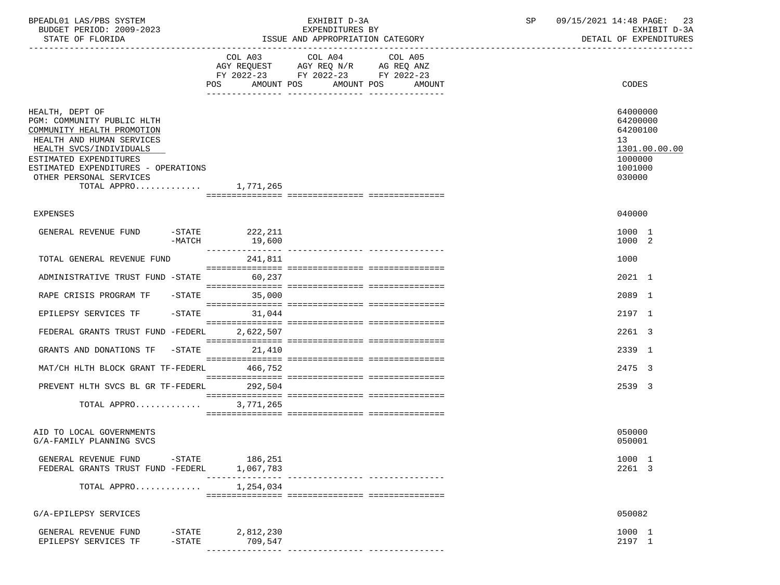| ISSUE AND APPROPRIATION CATEGORY<br>STATE OF FLORIDA<br>COL A03 COL A04<br>COL A05<br>AGY REQUEST AGY REQ N/R AG REQ ANZ<br>FY 2022-23 FY 2022-23 FY 2022-23                                                                                             | DETAIL OF EXPENDITURES<br>CODES                                                                      |
|----------------------------------------------------------------------------------------------------------------------------------------------------------------------------------------------------------------------------------------------------------|------------------------------------------------------------------------------------------------------|
| POS AMOUNT POS AMOUNT POS AMOUNT                                                                                                                                                                                                                         |                                                                                                      |
| HEALTH, DEPT OF<br>PGM: COMMUNITY PUBLIC HLTH<br>COMMUNITY HEALTH PROMOTION<br>HEALTH AND HUMAN SERVICES<br>HEALTH SVCS/INDIVIDUALS<br>ESTIMATED EXPENDITURES<br>ESTIMATED EXPENDITURES - OPERATIONS<br>OTHER PERSONAL SERVICES<br>TOTAL APPRO 1,771,265 | 64000000<br>64200000<br>64200100<br>13 <sup>°</sup><br>1301.00.00.00<br>1000000<br>1001000<br>030000 |
| <b>EXPENSES</b>                                                                                                                                                                                                                                          | 040000                                                                                               |
| GENERAL REVENUE FUND -STATE 222,211<br>$-MATCH$ 19,600                                                                                                                                                                                                   | 1000 1<br>1000 2                                                                                     |
| 241,811<br>TOTAL GENERAL REVENUE FUND                                                                                                                                                                                                                    | 1000                                                                                                 |
| ADMINISTRATIVE TRUST FUND -STATE 60,237                                                                                                                                                                                                                  | 2021 1                                                                                               |
| RAPE CRISIS PROGRAM TF -STATE<br>35,000                                                                                                                                                                                                                  | 2089 1                                                                                               |
| EPILEPSY SERVICES TF -STATE<br>31,044                                                                                                                                                                                                                    | 2197 1                                                                                               |
| FEDERAL GRANTS TRUST FUND -FEDERL 2,622,507                                                                                                                                                                                                              | 2261 3                                                                                               |
| GRANTS AND DONATIONS TF -STATE 21,410<br>MAT/CH HLTH BLOCK GRANT TF-FEDERL 466,752                                                                                                                                                                       | 2339 1<br>2475 3                                                                                     |
| PREVENT HLTH SVCS BL GR TF-FEDERL 292,504                                                                                                                                                                                                                | 2539 3                                                                                               |
| TOTAL APPRO<br>3,771,265                                                                                                                                                                                                                                 |                                                                                                      |
| AID TO LOCAL GOVERNMENTS<br>G/A-FAMILY PLANNING SVCS                                                                                                                                                                                                     | 050000<br>050001                                                                                     |
| GENERAL REVENUE FUND -STATE 186,251<br>FEDERAL GRANTS TRUST FUND -FEDERL<br>1,067,783                                                                                                                                                                    | 1000 1<br>2261 3                                                                                     |
| ----------------<br>--------------- ---------------<br>1,254,034<br>TOTAL APPRO                                                                                                                                                                          |                                                                                                      |
| G/A-EPILEPSY SERVICES                                                                                                                                                                                                                                    | 050082                                                                                               |
| -STATE<br>2,812,230<br>GENERAL REVENUE FUND<br>EPILEPSY SERVICES TF<br>-STATE<br>709,547                                                                                                                                                                 | 1000 1<br>2197 1                                                                                     |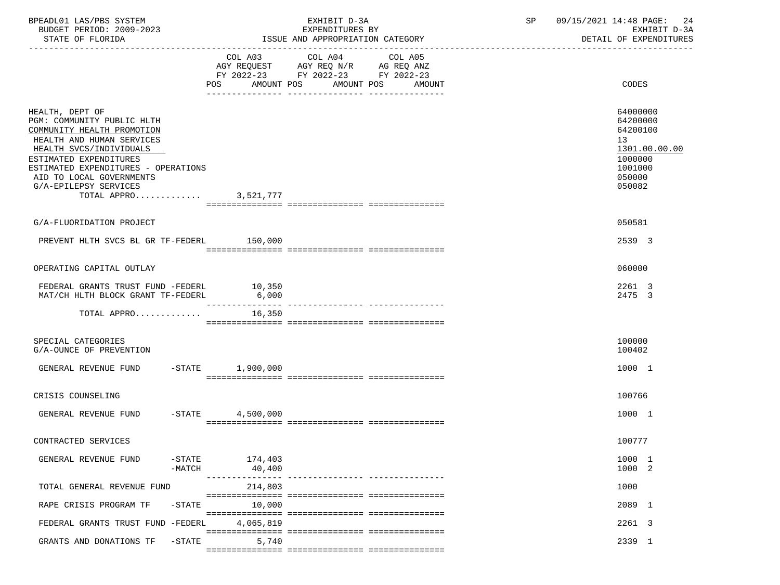| BPEADL01 LAS/PBS SYSTEM  | EXHIBIT                          | 09/15/2021 14:48 PAGE:<br>24 |
|--------------------------|----------------------------------|------------------------------|
| BUDGET PERIOD: 2009-2023 | EXPENDITURES BY                  | EXHIBIT D-3A                 |
| STATE OF FLORIDA         | ISSUE AND APPROPRIATION CATEGORY | DETAIL OF EXPENDITURES       |

|                                                                                                                                                                                                                                  |           | POS AMOUNT POS            | FY 2022-23 FY 2022-23 FY 2022-23<br>AMOUNT POS | AMOUNT                           | CODES                                                                                   |
|----------------------------------------------------------------------------------------------------------------------------------------------------------------------------------------------------------------------------------|-----------|---------------------------|------------------------------------------------|----------------------------------|-----------------------------------------------------------------------------------------|
|                                                                                                                                                                                                                                  |           |                           |                                                |                                  |                                                                                         |
| HEALTH, DEPT OF<br>PGM: COMMUNITY PUBLIC HLTH<br>COMMUNITY HEALTH PROMOTION<br>HEALTH AND HUMAN SERVICES<br>HEALTH SVCS/INDIVIDUALS<br>ESTIMATED EXPENDITURES<br>ESTIMATED EXPENDITURES - OPERATIONS<br>AID TO LOCAL GOVERNMENTS |           |                           |                                                |                                  | 64000000<br>64200000<br>64200100<br>13<br>1301.00.00.00<br>1000000<br>1001000<br>050000 |
| G/A-EPILEPSY SERVICES                                                                                                                                                                                                            |           |                           |                                                |                                  | 050082                                                                                  |
| TOTAL APPRO 3,521,777                                                                                                                                                                                                            |           |                           |                                                |                                  |                                                                                         |
|                                                                                                                                                                                                                                  |           |                           |                                                |                                  |                                                                                         |
| G/A-FLUORIDATION PROJECT                                                                                                                                                                                                         |           |                           |                                                |                                  | 050581                                                                                  |
| PREVENT HLTH SVCS BL GR TF-FEDERL 150,000                                                                                                                                                                                        |           |                           |                                                |                                  | 2539 3                                                                                  |
|                                                                                                                                                                                                                                  |           |                           |                                                |                                  |                                                                                         |
| OPERATING CAPITAL OUTLAY                                                                                                                                                                                                         |           |                           |                                                |                                  | 060000                                                                                  |
| FEDERAL GRANTS TRUST FUND -FEDERL<br>MAT/CH HLTH BLOCK GRANT TF-FEDERL                                                                                                                                                           |           | 10,350<br>6,000           |                                                |                                  | 2261 3<br>2475 3                                                                        |
| TOTAL APPRO                                                                                                                                                                                                                      |           | ---------------<br>16,350 |                                                | ---------------- --------------- |                                                                                         |
|                                                                                                                                                                                                                                  |           |                           |                                                |                                  |                                                                                         |
| SPECIAL CATEGORIES<br>G/A-OUNCE OF PREVENTION                                                                                                                                                                                    |           |                           |                                                |                                  | 100000<br>100402                                                                        |
| GENERAL REVENUE FUND                                                                                                                                                                                                             |           | -STATE 1,900,000          |                                                |                                  | 1000 1                                                                                  |
|                                                                                                                                                                                                                                  |           |                           |                                                |                                  |                                                                                         |
| CRISIS COUNSELING                                                                                                                                                                                                                |           |                           |                                                |                                  | 100766                                                                                  |
| GENERAL REVENUE FUND                                                                                                                                                                                                             | $-$ STATE | 4,500,000                 |                                                |                                  | 1000 1                                                                                  |
|                                                                                                                                                                                                                                  |           |                           |                                                |                                  |                                                                                         |
| CONTRACTED SERVICES                                                                                                                                                                                                              |           |                           |                                                |                                  | 100777                                                                                  |
| GENERAL REVENUE FUND                                                                                                                                                                                                             | $-MATCH$  | -STATE 174,403<br>40,400  |                                                |                                  | 1000 1<br>1000 2                                                                        |
| TOTAL GENERAL REVENUE FUND                                                                                                                                                                                                       |           | 214,803                   |                                                |                                  | 1000                                                                                    |
| RAPE CRISIS PROGRAM TF                                                                                                                                                                                                           | $-$ STATE | 10,000                    |                                                |                                  | 2089 1                                                                                  |
| FEDERAL GRANTS TRUST FUND -FEDERL                                                                                                                                                                                                |           | 4,065,819                 |                                                |                                  | 2261 3                                                                                  |
| GRANTS AND DONATIONS TF                                                                                                                                                                                                          | $-$ STATE | 5,740                     |                                                |                                  | 2339 1                                                                                  |
|                                                                                                                                                                                                                                  |           |                           |                                                |                                  |                                                                                         |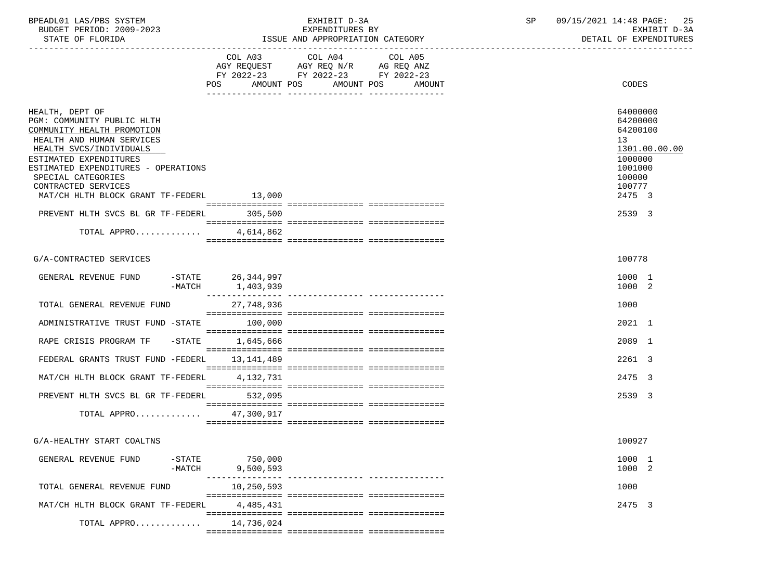| BPEADL01 LAS/PBS SYSTEM  | EXHIBIT D                             | $\cap$ $\Gamma$ | 09/15/2021 14:48 PAGE:<br>25 |
|--------------------------|---------------------------------------|-----------------|------------------------------|
| BUDGET PERIOD: 2009-2023 | EXPENDITURES BY                       |                 | EXHIBIT D-3A                 |
| STATE OF FLORIDA         | : AND APPROPRIATION CATEGORY<br>"SSUE |                 | DETAIL OF EXPENDITURES       |

|                                                                                                                                                                                                                                                                                                                                                   | COL A03 COL A04 COL A05<br>AGY REQUEST AGY REQ N/R AG REQ ANZ<br>FY 2022-23 FY 2022-23 FY 2022-23<br>POS AMOUNT POS AMOUNT POS | AMOUNT                           | CODES                                                                                                                 |
|---------------------------------------------------------------------------------------------------------------------------------------------------------------------------------------------------------------------------------------------------------------------------------------------------------------------------------------------------|--------------------------------------------------------------------------------------------------------------------------------|----------------------------------|-----------------------------------------------------------------------------------------------------------------------|
| HEALTH, DEPT OF<br>PGM: COMMUNITY PUBLIC HLTH<br>COMMUNITY HEALTH PROMOTION<br>HEALTH AND HUMAN SERVICES<br>HEALTH SVCS/INDIVIDUALS<br>ESTIMATED EXPENDITURES<br>ESTIMATED EXPENDITURES - OPERATIONS<br>SPECIAL CATEGORIES<br>CONTRACTED SERVICES<br>MAT/CH HLTH BLOCK GRANT TF-FEDERL 13,000<br>PREVENT HLTH SVCS BL GR TF-FEDERL<br>TOTAL APPRO | 305,500<br>4,614,862                                                                                                           |                                  | 64000000<br>64200000<br>64200100<br>13<br>1301.00.00.00<br>1000000<br>1001000<br>100000<br>100777<br>2475 3<br>2539 3 |
|                                                                                                                                                                                                                                                                                                                                                   |                                                                                                                                |                                  |                                                                                                                       |
| G/A-CONTRACTED SERVICES                                                                                                                                                                                                                                                                                                                           |                                                                                                                                |                                  | 100778                                                                                                                |
| GENERAL REVENUE FUND<br>-MATCH                                                                                                                                                                                                                                                                                                                    | -STATE 26,344,997<br>1,403,939                                                                                                 |                                  | 1000 1<br>1000 2                                                                                                      |
| TOTAL GENERAL REVENUE FUND                                                                                                                                                                                                                                                                                                                        | 27,748,936                                                                                                                     |                                  | 1000                                                                                                                  |
| ADMINISTRATIVE TRUST FUND -STATE                                                                                                                                                                                                                                                                                                                  | 100,000                                                                                                                        |                                  | 2021 1                                                                                                                |
| RAPE CRISIS PROGRAM TF -STATE                                                                                                                                                                                                                                                                                                                     | 1,645,666                                                                                                                      |                                  | 2089 1                                                                                                                |
| FEDERAL GRANTS TRUST FUND -FEDERL                                                                                                                                                                                                                                                                                                                 | 13,141,489                                                                                                                     |                                  | 2261 3                                                                                                                |
| MAT/CH HLTH BLOCK GRANT TF-FEDERL                                                                                                                                                                                                                                                                                                                 | 4,132,731                                                                                                                      |                                  | 2475 3                                                                                                                |
| PREVENT HLTH SVCS BL GR TF-FEDERL 532,095                                                                                                                                                                                                                                                                                                         |                                                                                                                                |                                  | 2539 3                                                                                                                |
| TOTAL APPRO 47,300,917                                                                                                                                                                                                                                                                                                                            |                                                                                                                                |                                  |                                                                                                                       |
| G/A-HEALTHY START COALTNS                                                                                                                                                                                                                                                                                                                         |                                                                                                                                |                                  | 100927                                                                                                                |
| GENERAL REVENUE FUND -STATE 750,000<br>$-MATCH$                                                                                                                                                                                                                                                                                                   | 9,500,593                                                                                                                      | -------------- ----------------- | 1000 1<br>1000 2                                                                                                      |
| TOTAL GENERAL REVENUE FUND                                                                                                                                                                                                                                                                                                                        | 10,250,593                                                                                                                     |                                  | 1000                                                                                                                  |
| MAT/CH HLTH BLOCK GRANT TF-FEDERL                                                                                                                                                                                                                                                                                                                 | 4,485,431                                                                                                                      |                                  | 2475 3                                                                                                                |
| TOTAL APPRO                                                                                                                                                                                                                                                                                                                                       | 14,736,024                                                                                                                     |                                  |                                                                                                                       |
|                                                                                                                                                                                                                                                                                                                                                   |                                                                                                                                |                                  |                                                                                                                       |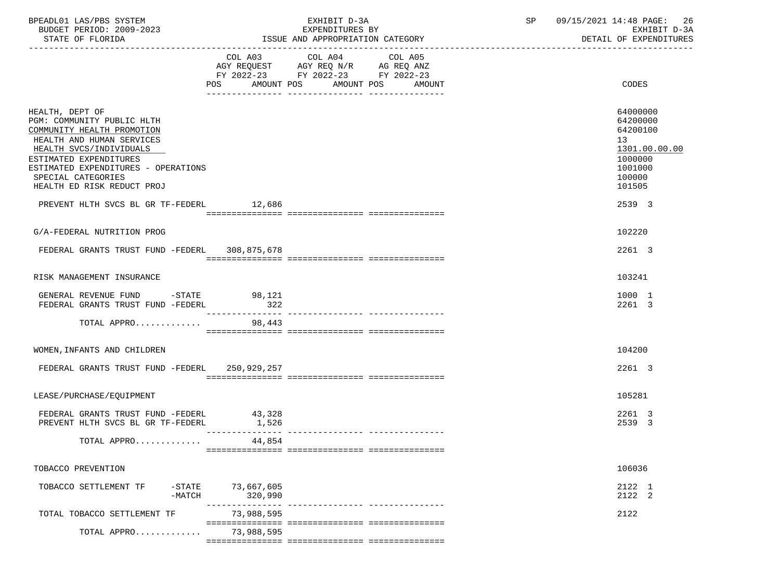| BPEADL01 LAS/PBS SYSTEM<br>BUDGET PERIOD: 2009-2023<br>STATE OF FLORIDA                                                                                                                                                                                                                              |                       | EXHIBIT D-3A<br>EXPENDITURES BY<br>ISSUE AND APPROPRIATION CATEGORY                       | SP                                          | 09/15/2021 14:48 PAGE: 26<br>EXHIBIT D-3A<br>DETAIL OF EXPENDITURES |                                                                                                             |
|------------------------------------------------------------------------------------------------------------------------------------------------------------------------------------------------------------------------------------------------------------------------------------------------------|-----------------------|-------------------------------------------------------------------------------------------|---------------------------------------------|---------------------------------------------------------------------|-------------------------------------------------------------------------------------------------------------|
|                                                                                                                                                                                                                                                                                                      |                       | COL A03 COL A04<br>AGY REQUEST AGY REQ N/R AG REQ ANZ<br>FY 2022-23 FY 2022-23 FY 2022-23 | COL A05<br>POS AMOUNT POS AMOUNT POS AMOUNT |                                                                     | CODES                                                                                                       |
| HEALTH, DEPT OF<br>PGM: COMMUNITY PUBLIC HLTH<br>COMMUNITY HEALTH PROMOTION<br>HEALTH AND HUMAN SERVICES<br>HEALTH SVCS/INDIVIDUALS<br>ESTIMATED EXPENDITURES<br>ESTIMATED EXPENDITURES - OPERATIONS<br>SPECIAL CATEGORIES<br>HEALTH ED RISK REDUCT PROJ<br>PREVENT HLTH SVCS BL GR TF-FEDERL 12,686 |                       |                                                                                           |                                             |                                                                     | 64000000<br>64200000<br>64200100<br>13<br>1301.00.00.00<br>1000000<br>1001000<br>100000<br>101505<br>2539 3 |
| G/A-FEDERAL NUTRITION PROG                                                                                                                                                                                                                                                                           |                       |                                                                                           |                                             |                                                                     | 102220                                                                                                      |
| FEDERAL GRANTS TRUST FUND -FEDERL 308,875,678                                                                                                                                                                                                                                                        |                       |                                                                                           |                                             |                                                                     | 2261 3                                                                                                      |
| RISK MANAGEMENT INSURANCE                                                                                                                                                                                                                                                                            |                       |                                                                                           |                                             |                                                                     | 103241                                                                                                      |
| GENERAL REVENUE FUND -STATE 98,121<br>FEDERAL GRANTS TRUST FUND -FEDERL                                                                                                                                                                                                                              | 322                   |                                                                                           |                                             |                                                                     | 1000 1<br>2261 3                                                                                            |
| TOTAL APPRO 98,443                                                                                                                                                                                                                                                                                   |                       |                                                                                           |                                             |                                                                     |                                                                                                             |
| WOMEN, INFANTS AND CHILDREN                                                                                                                                                                                                                                                                          |                       |                                                                                           |                                             |                                                                     | 104200                                                                                                      |
| FEDERAL GRANTS TRUST FUND -FEDERL 250,929,257                                                                                                                                                                                                                                                        |                       |                                                                                           |                                             |                                                                     | 2261 3                                                                                                      |
| LEASE/PURCHASE/EQUIPMENT                                                                                                                                                                                                                                                                             |                       |                                                                                           |                                             |                                                                     | 105281                                                                                                      |
| FEDERAL GRANTS TRUST FUND -FEDERL 43,328<br>PREVENT HLTH SVCS BL GR TF-FEDERL                                                                                                                                                                                                                        | 1,526                 |                                                                                           |                                             |                                                                     | 2261 3<br>2539 3                                                                                            |
| TOTAL APPRO                                                                                                                                                                                                                                                                                          | 44,854                |                                                                                           |                                             |                                                                     |                                                                                                             |
| TOBACCO PREVENTION                                                                                                                                                                                                                                                                                   |                       |                                                                                           |                                             |                                                                     | 106036                                                                                                      |
| $-$ STATE<br>TOBACCO SETTLEMENT TF<br>$-MATCH$                                                                                                                                                                                                                                                       | 73,667,605<br>320,990 |                                                                                           |                                             |                                                                     | 2122 1<br>2122 2                                                                                            |
| TOTAL TOBACCO SETTLEMENT TF                                                                                                                                                                                                                                                                          | 73,988,595            |                                                                                           | ________________________________            |                                                                     | 2122                                                                                                        |
| TOTAL APPRO                                                                                                                                                                                                                                                                                          | 73,988,595            |                                                                                           |                                             |                                                                     |                                                                                                             |

=============== =============== ===============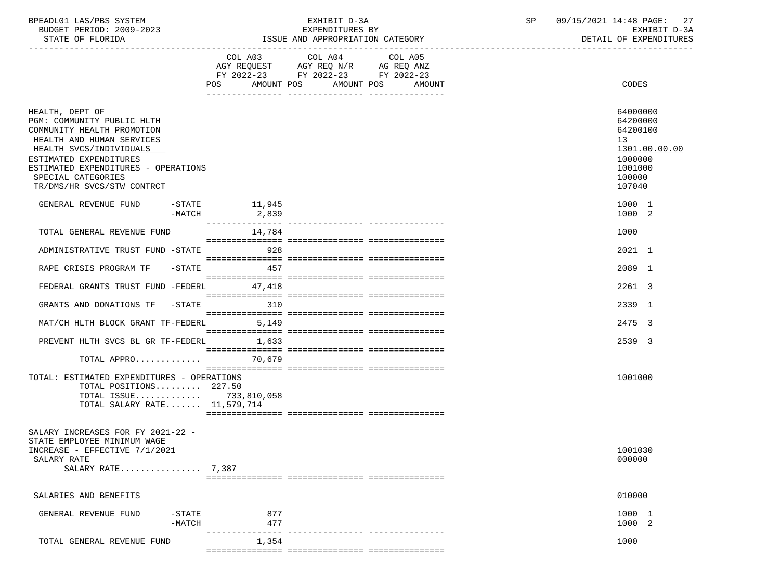| BPEADL01 LAS/PBS SYSTEM  | EXHIBIT D-3A                     | 09/15/2021 14:48 PAGE: 27 |
|--------------------------|----------------------------------|---------------------------|
| BUDGET PERIOD: 2009-2023 | EXPENDITURES BY                  | EXHIBIT D-3A              |
| STATE OF FLORIDA         | ISSUE AND APPROPRIATION CATEGORY | DETAIL OF EXPENDITURES    |

|                                                                                                                                                                                                                                                          | POS AMOUNT POS AMOUNT POS AMOUNT | FY 2022-23 FY 2022-23 FY 2022-23 |  | CODES                                                                                             |
|----------------------------------------------------------------------------------------------------------------------------------------------------------------------------------------------------------------------------------------------------------|----------------------------------|----------------------------------|--|---------------------------------------------------------------------------------------------------|
|                                                                                                                                                                                                                                                          |                                  |                                  |  |                                                                                                   |
| HEALTH, DEPT OF<br>PGM: COMMUNITY PUBLIC HLTH<br>COMMUNITY HEALTH PROMOTION<br>HEALTH AND HUMAN SERVICES<br>HEALTH SVCS/INDIVIDUALS<br>ESTIMATED EXPENDITURES<br>ESTIMATED EXPENDITURES - OPERATIONS<br>SPECIAL CATEGORIES<br>TR/DMS/HR SVCS/STW CONTRCT |                                  |                                  |  | 64000000<br>64200000<br>64200100<br>13<br>1301.00.00.00<br>1000000<br>1001000<br>100000<br>107040 |
| GENERAL REVENUE FUND -STATE 11,945<br>-MATCH                                                                                                                                                                                                             | 2,839                            |                                  |  | 1000 1<br>1000 2                                                                                  |
| TOTAL GENERAL REVENUE FUND                                                                                                                                                                                                                               | 14,784                           |                                  |  | 1000                                                                                              |
| ADMINISTRATIVE TRUST FUND -STATE 928                                                                                                                                                                                                                     |                                  |                                  |  | 2021 1                                                                                            |
| RAPE CRISIS PROGRAM TF -STATE                                                                                                                                                                                                                            | 457                              |                                  |  | 2089 1                                                                                            |
| FEDERAL GRANTS TRUST FUND -FEDERL 47,418                                                                                                                                                                                                                 |                                  |                                  |  | 2261 3                                                                                            |
| GRANTS AND DONATIONS TF -STATE                                                                                                                                                                                                                           | 310                              |                                  |  | 2339 1                                                                                            |
| MAT/CH HLTH BLOCK GRANT TF-FEDERL 5,149                                                                                                                                                                                                                  |                                  |                                  |  | 2475 3                                                                                            |
| PREVENT HLTH SVCS BL GR TF-FEDERL                                                                                                                                                                                                                        | 1,633                            |                                  |  | 2539 3                                                                                            |
| TOTAL APPRO                                                                                                                                                                                                                                              | 70,679                           |                                  |  |                                                                                                   |
| TOTAL: ESTIMATED EXPENDITURES - OPERATIONS<br>TOTAL POSITIONS 227.50<br>TOTAL ISSUE 733,810,058<br>TOTAL SALARY RATE 11,579,714                                                                                                                          |                                  |                                  |  | 1001000                                                                                           |
| SALARY INCREASES FOR FY 2021-22 -<br>STATE EMPLOYEE MINIMUM WAGE<br>INCREASE - EFFECTIVE 7/1/2021<br>SALARY RATE<br>SALARY RATE 7,387                                                                                                                    |                                  |                                  |  | 1001030<br>000000                                                                                 |
| SALARIES AND BENEFITS                                                                                                                                                                                                                                    |                                  |                                  |  | 010000                                                                                            |
| GENERAL REVENUE FUND<br>$-$ STATE<br>$-MATCH$                                                                                                                                                                                                            | 877<br>477                       |                                  |  | 1000 1<br>1000 2                                                                                  |
| TOTAL GENERAL REVENUE FUND                                                                                                                                                                                                                               | 1,354                            |                                  |  | 1000                                                                                              |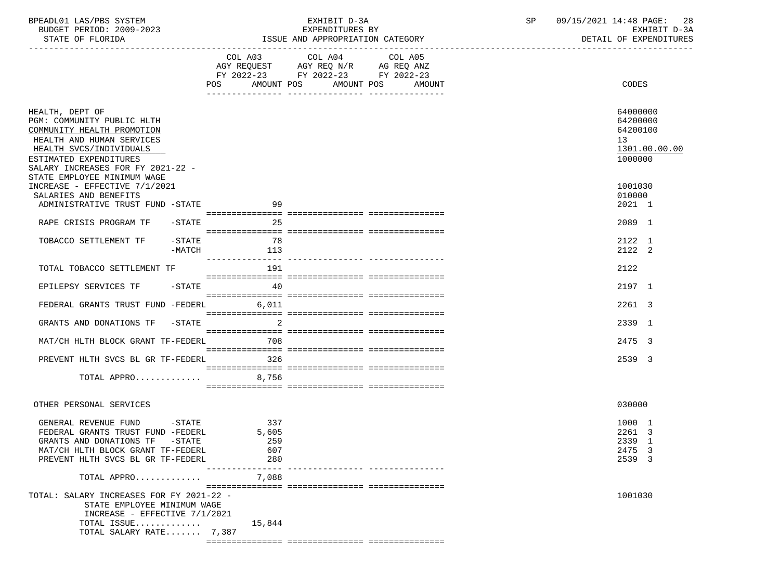| BPEADL01 LAS/PBS SYSTEM<br>BUDGET PERIOD: 2009-2023<br>STATE OF FLORIDA                                                                                                                                                           |           | EXHIBIT D-3A<br>EXPENDITURES BY<br>ISSUE AND APPROPRIATION CATEGORY                               | SP and the set of the set of the set of the set of the set of the set of the set of the set of the set of the set of the set of the set of the set of the set of the set of the set of the set of the set of the set of the se | 09/15/2021 14:48 PAGE: 28<br>EXHIBIT D-3A<br>DETAIL OF EXPENDITURES             |
|-----------------------------------------------------------------------------------------------------------------------------------------------------------------------------------------------------------------------------------|-----------|---------------------------------------------------------------------------------------------------|--------------------------------------------------------------------------------------------------------------------------------------------------------------------------------------------------------------------------------|---------------------------------------------------------------------------------|
|                                                                                                                                                                                                                                   |           | COL A03 COL A04 COL A05<br>AGY REQUEST AGY REQ N/R AG REQ ANZ<br>FY 2022-23 FY 2022-23 FY 2022-23 |                                                                                                                                                                                                                                |                                                                                 |
|                                                                                                                                                                                                                                   |           | POS AMOUNT POS AMOUNT POS AMOUNT                                                                  |                                                                                                                                                                                                                                | CODES                                                                           |
| HEALTH, DEPT OF<br>PGM: COMMUNITY PUBLIC HLTH<br>COMMUNITY HEALTH PROMOTION<br>HEALTH AND HUMAN SERVICES<br>HEALTH SVCS/INDIVIDUALS<br>ESTIMATED EXPENDITURES<br>SALARY INCREASES FOR FY 2021-22 -<br>STATE EMPLOYEE MINIMUM WAGE |           |                                                                                                   |                                                                                                                                                                                                                                | 64000000<br>64200000<br>64200100<br>13 <sup>7</sup><br>1301.00.00.00<br>1000000 |
| INCREASE - EFFECTIVE 7/1/2021                                                                                                                                                                                                     |           |                                                                                                   |                                                                                                                                                                                                                                | 1001030                                                                         |
| SALARIES AND BENEFITS<br>ADMINISTRATIVE TRUST FUND -STATE                                                                                                                                                                         | 99        |                                                                                                   |                                                                                                                                                                                                                                | 010000<br>2021 1                                                                |
| RAPE CRISIS PROGRAM TF<br>$-$ STATE                                                                                                                                                                                               | 25        |                                                                                                   |                                                                                                                                                                                                                                | 2089 1                                                                          |
| TOBACCO SETTLEMENT TF<br>-STATE<br>-MATCH                                                                                                                                                                                         | 78<br>113 |                                                                                                   |                                                                                                                                                                                                                                | 2122 1<br>2122 2                                                                |
| TOTAL TOBACCO SETTLEMENT TF                                                                                                                                                                                                       | 191       |                                                                                                   |                                                                                                                                                                                                                                | 2122                                                                            |
| EPILEPSY SERVICES TF -STATE                                                                                                                                                                                                       | 40        |                                                                                                   |                                                                                                                                                                                                                                | 2197 1                                                                          |
| FEDERAL GRANTS TRUST FUND -FEDERL 6,011                                                                                                                                                                                           |           |                                                                                                   |                                                                                                                                                                                                                                | 2261 3                                                                          |
|                                                                                                                                                                                                                                   |           |                                                                                                   |                                                                                                                                                                                                                                |                                                                                 |
| GRANTS AND DONATIONS TF -STATE                                                                                                                                                                                                    |           |                                                                                                   |                                                                                                                                                                                                                                | 2339 1                                                                          |
| MAT/CH HLTH BLOCK GRANT TF-FEDERL                                                                                                                                                                                                 | 708       |                                                                                                   |                                                                                                                                                                                                                                | 2475 3                                                                          |
| PREVENT HLTH SVCS BL GR TF-FEDERL                                                                                                                                                                                                 | 326       |                                                                                                   |                                                                                                                                                                                                                                | 2539 3                                                                          |
| TOTAL APPRO                                                                                                                                                                                                                       | 8,756     |                                                                                                   |                                                                                                                                                                                                                                |                                                                                 |
| OTHER PERSONAL SERVICES                                                                                                                                                                                                           |           |                                                                                                   |                                                                                                                                                                                                                                | 030000                                                                          |
|                                                                                                                                                                                                                                   |           |                                                                                                   |                                                                                                                                                                                                                                |                                                                                 |
| GENERAL REVENUE FUND -STATE<br>FEDERAL GRANTS TRUST FUND -FEDERL 5.605                                                                                                                                                            | 337       |                                                                                                   |                                                                                                                                                                                                                                | 1000 1<br>2261 3                                                                |
| GRANTS AND DONATIONS TF -STATE                                                                                                                                                                                                    | 259       |                                                                                                   |                                                                                                                                                                                                                                | 2339 1                                                                          |
| MAT/CH HLTH BLOCK GRANT TF-FEDERL                                                                                                                                                                                                 | 607       |                                                                                                   |                                                                                                                                                                                                                                | 2475 3                                                                          |
| PREVENT HLTH SVCS BL GR TF-FEDERL                                                                                                                                                                                                 | 280       |                                                                                                   |                                                                                                                                                                                                                                | 2539 3                                                                          |
| TOTAL APPRO                                                                                                                                                                                                                       | 7,088     |                                                                                                   |                                                                                                                                                                                                                                |                                                                                 |
| TOTAL: SALARY INCREASES FOR FY 2021-22 -<br>STATE EMPLOYEE MINIMUM WAGE<br>INCREASE - EFFECTIVE 7/1/2021<br>TOTAL ISSUE                                                                                                           | 15,844    |                                                                                                   |                                                                                                                                                                                                                                | 1001030                                                                         |
| TOTAL SALARY RATE 7,387                                                                                                                                                                                                           |           |                                                                                                   |                                                                                                                                                                                                                                |                                                                                 |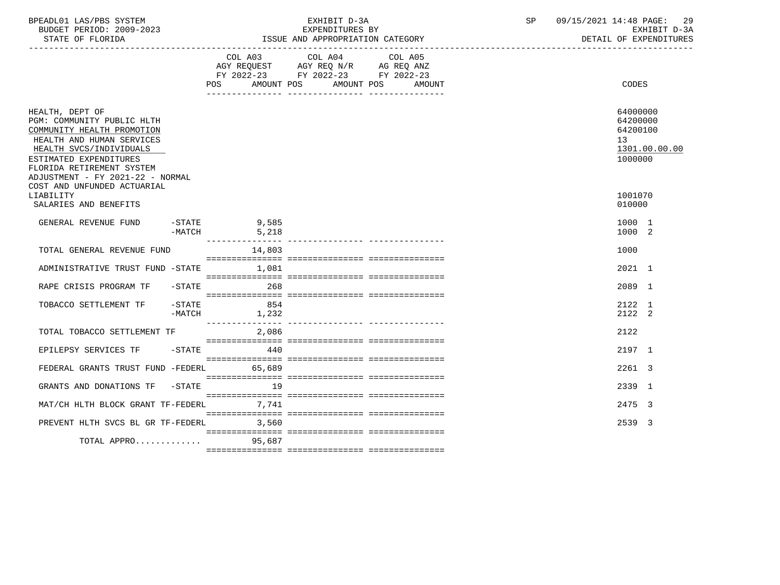| BPEADL01 LAS/PBS SYSTEM<br>BUDGET PERIOD: 2009-2023<br>STATE OF FLORIDA                                                                                                                                                        |                       | EXHIBIT D-3A<br>EXPENDITURES BY<br>ISSUE AND APPROPRIATION CATEGORY                                                                                                                                                                                                                                                                                                                                                                 | SP and the set of the set of the set of the set of the set of the set of the set of the set of the set of the set of the set of the set of the set of the set of the set of the set of the set of the set of the set of the se | 09/15/2021 14:48 PAGE: 29<br>EXHIBIT D-3A<br>DETAIL OF EXPENDITURES             |
|--------------------------------------------------------------------------------------------------------------------------------------------------------------------------------------------------------------------------------|-----------------------|-------------------------------------------------------------------------------------------------------------------------------------------------------------------------------------------------------------------------------------------------------------------------------------------------------------------------------------------------------------------------------------------------------------------------------------|--------------------------------------------------------------------------------------------------------------------------------------------------------------------------------------------------------------------------------|---------------------------------------------------------------------------------|
|                                                                                                                                                                                                                                |                       | COL A03 COL A04 COL A05<br>AGY REQUEST AGY REQ N/R AG REQ ANZ<br>FY 2022-23 FY 2022-23 FY 2022-23<br>POS AMOUNT POS AMOUNT POS<br>AMOUNT                                                                                                                                                                                                                                                                                            |                                                                                                                                                                                                                                | CODES                                                                           |
| HEALTH, DEPT OF<br>PGM: COMMUNITY PUBLIC HLTH<br>COMMUNITY HEALTH PROMOTION<br>HEALTH AND HUMAN SERVICES<br>HEALTH SVCS/INDIVIDUALS<br>ESTIMATED EXPENDITURES<br>FLORIDA RETIREMENT SYSTEM<br>ADJUSTMENT - FY 2021-22 - NORMAL |                       |                                                                                                                                                                                                                                                                                                                                                                                                                                     |                                                                                                                                                                                                                                | 64000000<br>64200000<br>64200100<br>13 <sup>7</sup><br>1301.00.00.00<br>1000000 |
| COST AND UNFUNDED ACTUARIAL<br>LIABILITY<br>SALARIES AND BENEFITS                                                                                                                                                              |                       |                                                                                                                                                                                                                                                                                                                                                                                                                                     |                                                                                                                                                                                                                                | 1001070<br>010000                                                               |
| $-$ STATE<br>GENERAL REVENUE FUND<br>$-MATCH$                                                                                                                                                                                  | 9,585<br>5,218        |                                                                                                                                                                                                                                                                                                                                                                                                                                     |                                                                                                                                                                                                                                | 1000 1<br>1000 2                                                                |
| TOTAL GENERAL REVENUE FUND                                                                                                                                                                                                     | 14,803                |                                                                                                                                                                                                                                                                                                                                                                                                                                     |                                                                                                                                                                                                                                | 1000                                                                            |
| ADMINISTRATIVE TRUST FUND -STATE 1,081                                                                                                                                                                                         |                       | $\begin{minipage}{0.03\textwidth} \begin{tabular}{l} \textbf{1} & \textbf{2} & \textbf{3} & \textbf{5} & \textbf{6} & \textbf{7} & \textbf{8} & \textbf{9} & \textbf{9} & \textbf{9} & \textbf{9} & \textbf{9} & \textbf{9} & \textbf{9} & \textbf{9} & \textbf{9} & \textbf{9} & \textbf{9} & \textbf{9} & \textbf{9} & \textbf{9} & \textbf{9} & \textbf{9} & \textbf{9} & \textbf{9} & \textbf{9} & \textbf{9} & \textbf{9} & \$ |                                                                                                                                                                                                                                | 2021 1                                                                          |
| RAPE CRISIS PROGRAM TF                                                                                                                                                                                                         | $-STATE$<br>268       |                                                                                                                                                                                                                                                                                                                                                                                                                                     |                                                                                                                                                                                                                                | 2089 1                                                                          |
| $-$ STATE<br>TOBACCO SETTLEMENT TF                                                                                                                                                                                             | 854<br>$-MATCH$ 1,232 |                                                                                                                                                                                                                                                                                                                                                                                                                                     |                                                                                                                                                                                                                                | 2122 1<br>2122 2                                                                |
| TOTAL TOBACCO SETTLEMENT TF                                                                                                                                                                                                    | 2,086                 |                                                                                                                                                                                                                                                                                                                                                                                                                                     |                                                                                                                                                                                                                                | 2122                                                                            |
| EPILEPSY SERVICES TF -STATE 440                                                                                                                                                                                                |                       |                                                                                                                                                                                                                                                                                                                                                                                                                                     |                                                                                                                                                                                                                                | 2197 1                                                                          |
| FEDERAL GRANTS TRUST FUND -FEDERL 65.689                                                                                                                                                                                       |                       |                                                                                                                                                                                                                                                                                                                                                                                                                                     |                                                                                                                                                                                                                                | 2261 3                                                                          |
| GRANTS AND DONATIONS TF                                                                                                                                                                                                        | $-STATE$ 19           |                                                                                                                                                                                                                                                                                                                                                                                                                                     |                                                                                                                                                                                                                                | 2339 1                                                                          |
| MAT/CH HLTH BLOCK GRANT TF-FEDERL 7,741                                                                                                                                                                                        |                       |                                                                                                                                                                                                                                                                                                                                                                                                                                     |                                                                                                                                                                                                                                | 2475 3                                                                          |
| PREVENT HLTH SVCS BL GR TF-FEDERL 3,560                                                                                                                                                                                        |                       |                                                                                                                                                                                                                                                                                                                                                                                                                                     |                                                                                                                                                                                                                                | 2539 3                                                                          |
| TOTAL APPRO 95,687                                                                                                                                                                                                             |                       |                                                                                                                                                                                                                                                                                                                                                                                                                                     |                                                                                                                                                                                                                                |                                                                                 |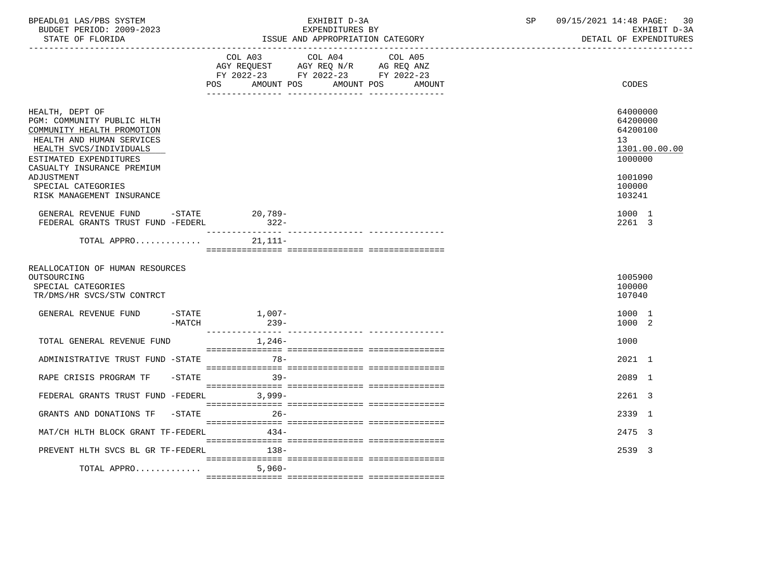| BPEADL01 LAS/PBS SYSTEM<br>BUDGET PERIOD: 2009-2023<br>STATE OF FLORIDA                                                                                                                     | EXHIBIT D-3A<br>EXPENDITURES BY<br>ISSUE AND APPROPRIATION CATEGORY                                                                      | 09/15/2021 14:48 PAGE: 30<br>SP<br>EXHIBIT D-3A<br>DETAIL OF EXPENDITURES |
|---------------------------------------------------------------------------------------------------------------------------------------------------------------------------------------------|------------------------------------------------------------------------------------------------------------------------------------------|---------------------------------------------------------------------------|
|                                                                                                                                                                                             | COL A03 COL A04<br>COL A05<br>AGY REQUEST AGY REQ N/R AG REQ ANZ<br>FY 2022-23 FY 2022-23 FY 2022-23<br>POS AMOUNT POS AMOUNT POS AMOUNT | CODES                                                                     |
| HEALTH, DEPT OF<br>PGM: COMMUNITY PUBLIC HLTH<br>COMMUNITY HEALTH PROMOTION<br>HEALTH AND HUMAN SERVICES<br>HEALTH SVCS/INDIVIDUALS<br>ESTIMATED EXPENDITURES<br>CASUALTY INSURANCE PREMIUM |                                                                                                                                          | 64000000<br>64200000<br>64200100<br>13<br>1301.00.00.00<br>1000000        |
| ADJUSTMENT<br>SPECIAL CATEGORIES<br>RISK MANAGEMENT INSURANCE                                                                                                                               |                                                                                                                                          | 1001090<br>100000<br>103241                                               |
| GENERAL REVENUE FUND -STATE 20,789-<br>FEDERAL GRANTS TRUST FUND -FEDERL                                                                                                                    | $322 -$                                                                                                                                  | 1000 1<br>2261 3                                                          |
| TOTAL APPRO $21,111-$                                                                                                                                                                       |                                                                                                                                          |                                                                           |
| REALLOCATION OF HUMAN RESOURCES<br>OUTSOURCING<br>SPECIAL CATEGORIES<br>TR/DMS/HR SVCS/STW CONTRCT                                                                                          |                                                                                                                                          | 1005900<br>100000<br>107040                                               |
| GENERAL REVENUE FUND -STATE 1,007-<br>$-MATCH$                                                                                                                                              | $239 -$                                                                                                                                  | 1000 1<br>1000 2                                                          |
| TOTAL GENERAL REVENUE FUND                                                                                                                                                                  | $1,246-$                                                                                                                                 | 1000                                                                      |
| ADMINISTRATIVE TRUST FUND -STATE                                                                                                                                                            | $78 -$                                                                                                                                   | 2021 1                                                                    |
| RAPE CRISIS PROGRAM TF                                                                                                                                                                      | $-STATE$ 39-                                                                                                                             | 2089 1                                                                    |
| FEDERAL GRANTS TRUST FUND -FEDERL 3,999-                                                                                                                                                    |                                                                                                                                          | 2261 3                                                                    |
| GRANTS AND DONATIONS TF -STATE 26-                                                                                                                                                          |                                                                                                                                          | 2339 1                                                                    |
| MAT/CH HLTH BLOCK GRANT TF-FEDERL                                                                                                                                                           | $434-$                                                                                                                                   | 2475 3                                                                    |
| PREVENT HLTH SVCS BL GR TF-FEDERL                                                                                                                                                           | $138-$                                                                                                                                   | 2539 3                                                                    |
| TOTAL APPRO                                                                                                                                                                                 | 5,960-                                                                                                                                   |                                                                           |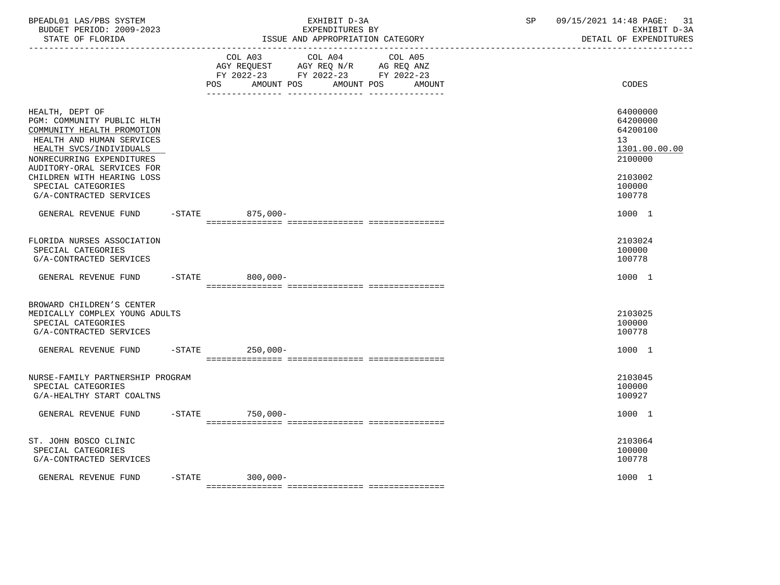| BPEADL01 LAS/PBS SYSTEM<br>BUDGET PERIOD: 2009-2023<br>STATE OF FLORIDA                                                                                                                                                                                                       |           | EXHIBIT D-3A<br>EXPENDITURES BY<br>ISSUE AND APPROPRIATION CATEGORY                                                                                                                                                                                      | 09/15/2021 14:48 PAGE:<br>SP | 31<br>EXHIBIT D-3A<br>DETAIL OF EXPENDITURES                                                      |
|-------------------------------------------------------------------------------------------------------------------------------------------------------------------------------------------------------------------------------------------------------------------------------|-----------|----------------------------------------------------------------------------------------------------------------------------------------------------------------------------------------------------------------------------------------------------------|------------------------------|---------------------------------------------------------------------------------------------------|
|                                                                                                                                                                                                                                                                               |           | COL A03 COL A04<br>COL A05<br>$\begin{tabular}{lllllll} AGY & \texttt{REQUEST} & \texttt{AGY REQ} & \texttt{N/R} & \texttt{AG REQ} & \texttt{ANZ} \end{tabular}$<br>FY 2022-23 FY 2022-23 FY 2022-23<br>AMOUNT POS<br>AMOUNT POS<br><b>POS</b><br>AMOUNT |                              | CODES                                                                                             |
| HEALTH, DEPT OF<br>PGM: COMMUNITY PUBLIC HLTH<br>COMMUNITY HEALTH PROMOTION<br>HEALTH AND HUMAN SERVICES<br>HEALTH SVCS/INDIVIDUALS<br>NONRECURRING EXPENDITURES<br>AUDITORY-ORAL SERVICES FOR<br>CHILDREN WITH HEARING LOSS<br>SPECIAL CATEGORIES<br>G/A-CONTRACTED SERVICES |           |                                                                                                                                                                                                                                                          |                              | 64000000<br>64200000<br>64200100<br>13<br>1301.00.00.00<br>2100000<br>2103002<br>100000<br>100778 |
| GENERAL REVENUE FUND                                                                                                                                                                                                                                                          |           | -STATE 875,000-                                                                                                                                                                                                                                          |                              | 1000 1                                                                                            |
| FLORIDA NURSES ASSOCIATION<br>SPECIAL CATEGORIES<br>G/A-CONTRACTED SERVICES                                                                                                                                                                                                   |           |                                                                                                                                                                                                                                                          |                              | 2103024<br>100000<br>100778                                                                       |
| GENERAL REVENUE FUND                                                                                                                                                                                                                                                          |           | $-$ STATE<br>$800,000 -$                                                                                                                                                                                                                                 |                              | 1000 1                                                                                            |
| BROWARD CHILDREN'S CENTER<br>MEDICALLY COMPLEX YOUNG ADULTS<br>SPECIAL CATEGORIES<br>G/A-CONTRACTED SERVICES                                                                                                                                                                  |           |                                                                                                                                                                                                                                                          |                              | 2103025<br>100000<br>100778                                                                       |
| GENERAL REVENUE FUND                                                                                                                                                                                                                                                          | $-$ STATE | $250,000-$                                                                                                                                                                                                                                               |                              | 1000 1                                                                                            |
| NURSE-FAMILY PARTNERSHIP PROGRAM<br>SPECIAL CATEGORIES<br>G/A-HEALTHY START COALTNS                                                                                                                                                                                           |           |                                                                                                                                                                                                                                                          |                              | 2103045<br>100000<br>100927                                                                       |
| GENERAL REVENUE FUND                                                                                                                                                                                                                                                          | $-$ STATE | 750,000-                                                                                                                                                                                                                                                 |                              | 1000 1                                                                                            |
| ST. JOHN BOSCO CLINIC<br>SPECIAL CATEGORIES<br>G/A-CONTRACTED SERVICES                                                                                                                                                                                                        |           |                                                                                                                                                                                                                                                          |                              | 2103064<br>100000<br>100778                                                                       |
| GENERAL REVENUE FUND                                                                                                                                                                                                                                                          | $-$ STATE | 300,000-                                                                                                                                                                                                                                                 |                              | 1000 1                                                                                            |
|                                                                                                                                                                                                                                                                               |           |                                                                                                                                                                                                                                                          |                              |                                                                                                   |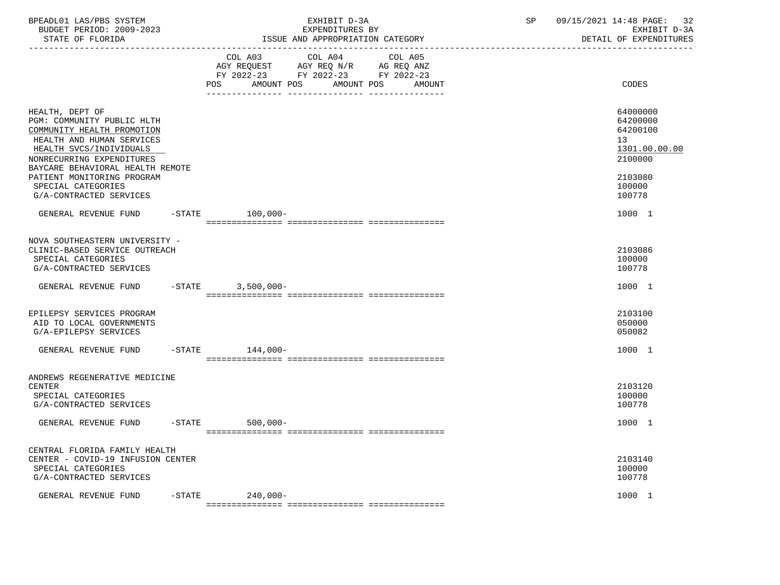| BPEADL01 LAS/PBS SYSTEM<br>BUDGET PERIOD: 2009-2023<br>STATE OF FLORIDA                                                                                                                                                                                                             |           | EXHIBIT D-3A<br>EXPENDITURES BY<br>ISSUE AND APPROPRIATION CATEGORY                                                                            | 09/15/2021 14:48 PAGE:<br>SP<br>32<br>EXHIBIT D-3A<br>DETAIL OF EXPENDITURES                      |
|-------------------------------------------------------------------------------------------------------------------------------------------------------------------------------------------------------------------------------------------------------------------------------------|-----------|------------------------------------------------------------------------------------------------------------------------------------------------|---------------------------------------------------------------------------------------------------|
|                                                                                                                                                                                                                                                                                     |           | COL A03<br>COL A04<br>COL A05<br>AGY REQUEST AGY REQ N/R AG REQ ANZ<br>FY 2022-23 FY 2022-23 FY 2022-23<br>AMOUNT POS AMOUNT POS AMOUNT<br>POS | CODES                                                                                             |
| HEALTH, DEPT OF<br>PGM: COMMUNITY PUBLIC HLTH<br>COMMUNITY HEALTH PROMOTION<br>HEALTH AND HUMAN SERVICES<br>HEALTH SVCS/INDIVIDUALS<br>NONRECURRING EXPENDITURES<br>BAYCARE BEHAVIORAL HEALTH REMOTE<br>PATIENT MONITORING PROGRAM<br>SPECIAL CATEGORIES<br>G/A-CONTRACTED SERVICES |           |                                                                                                                                                | 64000000<br>64200000<br>64200100<br>13<br>1301.00.00.00<br>2100000<br>2103080<br>100000<br>100778 |
| GENERAL REVENUE FUND                                                                                                                                                                                                                                                                | $-$ STATE | 100,000-                                                                                                                                       | 1000 1                                                                                            |
| NOVA SOUTHEASTERN UNIVERSITY -<br>CLINIC-BASED SERVICE OUTREACH<br>SPECIAL CATEGORIES<br>G/A-CONTRACTED SERVICES                                                                                                                                                                    |           |                                                                                                                                                | 2103086<br>100000<br>100778                                                                       |
| GENERAL REVENUE FUND                                                                                                                                                                                                                                                                |           | $-STATE$ 3,500,000-                                                                                                                            | 1000 1                                                                                            |
| EPILEPSY SERVICES PROGRAM<br>AID TO LOCAL GOVERNMENTS<br>G/A-EPILEPSY SERVICES                                                                                                                                                                                                      |           |                                                                                                                                                | 2103100<br>050000<br>050082                                                                       |
| GENERAL REVENUE FUND                                                                                                                                                                                                                                                                |           | $-$ STATE $144,000-$                                                                                                                           | 1000 1                                                                                            |
| ANDREWS REGENERATIVE MEDICINE<br><b>CENTER</b><br>SPECIAL CATEGORIES<br>G/A-CONTRACTED SERVICES                                                                                                                                                                                     |           |                                                                                                                                                | 2103120<br>100000<br>100778                                                                       |
| GENERAL REVENUE FUND                                                                                                                                                                                                                                                                |           | $-$ STATE<br>$500,000 -$                                                                                                                       | 1000 1                                                                                            |
| CENTRAL FLORIDA FAMILY HEALTH<br>CENTER - COVID-19 INFUSION CENTER<br>SPECIAL CATEGORIES<br>G/A-CONTRACTED SERVICES                                                                                                                                                                 |           |                                                                                                                                                | 2103140<br>100000<br>100778                                                                       |
| GENERAL REVENUE FUND                                                                                                                                                                                                                                                                |           | -STATE 240,000-<br>- sissisisisisisi sissisisisisisi sissisisisisis                                                                            | 1000 1                                                                                            |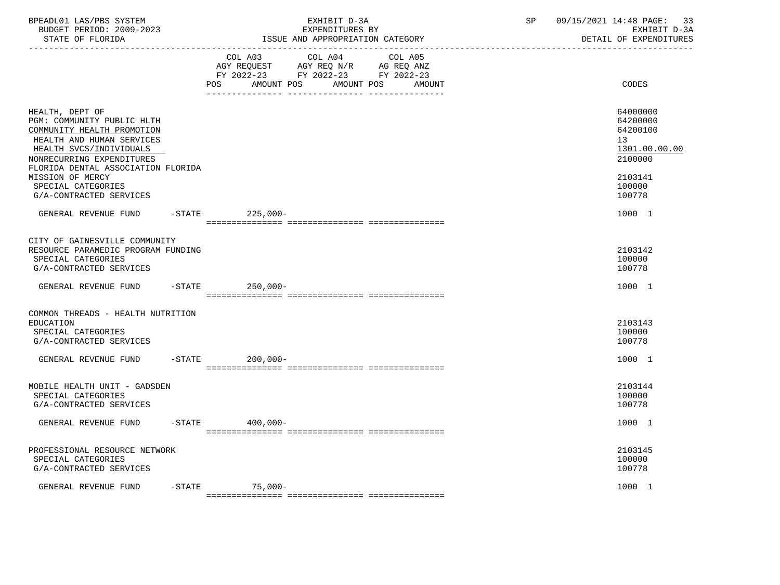| BPEADL01 LAS/PBS SYSTEM  | EXHIBIT D                             | $\cap$ $\Gamma$ | 09/15/2021 14:48 PAGE: |
|--------------------------|---------------------------------------|-----------------|------------------------|
| BUDGET PERIOD: 2009-2023 | EXPENDITURES BY                       |                 | EXHIBIT D-3A           |
| STATE OF FLORIDA         | : AND APPROPRIATION CATEGORY<br>"SSUE |                 | DETAIL OF EXPENDITURES |

|                                                                                                                                                                                                        |           | COL A03<br>AGY REQUEST AGY REQ N/R AG REQ ANZ<br>FY 2022-23 FY 2022-23 FY 2022-23                                            | COL A04    | COL A05 |        |                                                   |               |
|--------------------------------------------------------------------------------------------------------------------------------------------------------------------------------------------------------|-----------|------------------------------------------------------------------------------------------------------------------------------|------------|---------|--------|---------------------------------------------------|---------------|
|                                                                                                                                                                                                        |           | AMOUNT POS<br>POS FOR THE POST OF THE STATE STATE STATE STATE STATE STATE STATE STATE STATE STATE STATE STATE STATE STATE ST | AMOUNT POS |         | AMOUNT | CODES                                             |               |
| HEALTH, DEPT OF<br>PGM: COMMUNITY PUBLIC HLTH<br>COMMUNITY HEALTH PROMOTION<br>HEALTH AND HUMAN SERVICES<br>HEALTH SVCS/INDIVIDUALS<br>NONRECURRING EXPENDITURES<br>FLORIDA DENTAL ASSOCIATION FLORIDA |           |                                                                                                                              |            |         |        | 64000000<br>64200000<br>64200100<br>13<br>2100000 | 1301.00.00.00 |
| MISSION OF MERCY<br>SPECIAL CATEGORIES<br>G/A-CONTRACTED SERVICES                                                                                                                                      |           |                                                                                                                              |            |         |        | 2103141<br>100000<br>100778                       |               |
| GENERAL REVENUE FUND                                                                                                                                                                                   | $-$ STATE | $225.000 -$                                                                                                                  |            |         |        | 1000 1                                            |               |
| CITY OF GAINESVILLE COMMUNITY<br>RESOURCE PARAMEDIC PROGRAM FUNDING<br>SPECIAL CATEGORIES<br>G/A-CONTRACTED SERVICES                                                                                   |           |                                                                                                                              |            |         |        | 2103142<br>100000<br>100778                       |               |
| GENERAL REVENUE FUND                                                                                                                                                                                   | $-$ STATE | $250.000 -$                                                                                                                  |            |         |        | 1000 1                                            |               |
|                                                                                                                                                                                                        |           |                                                                                                                              |            |         |        |                                                   |               |
| COMMON THREADS - HEALTH NUTRITION<br>EDUCATION<br>SPECIAL CATEGORIES<br>G/A-CONTRACTED SERVICES                                                                                                        |           |                                                                                                                              |            |         |        | 2103143<br>100000<br>100778                       |               |
| GENERAL REVENUE FUND -STATE                                                                                                                                                                            |           | $200,000 -$                                                                                                                  |            |         |        | 1000 1                                            |               |
|                                                                                                                                                                                                        |           |                                                                                                                              |            |         |        |                                                   |               |
| MOBILE HEALTH UNIT - GADSDEN<br>SPECIAL CATEGORIES<br>G/A-CONTRACTED SERVICES                                                                                                                          |           |                                                                                                                              |            |         |        | 2103144<br>100000<br>100778                       |               |
| GENERAL REVENUE FUND -STATE                                                                                                                                                                            |           | $400,000 -$                                                                                                                  |            |         |        | 1000 1                                            |               |
| PROFESSIONAL RESOURCE NETWORK<br>SPECIAL CATEGORIES<br>G/A-CONTRACTED SERVICES                                                                                                                         |           |                                                                                                                              |            |         |        | 2103145<br>100000<br>100778                       |               |
| GENERAL REVENUE FUND                                                                                                                                                                                   |           | -STATE 75,000-                                                                                                               |            |         |        | 1000 1                                            |               |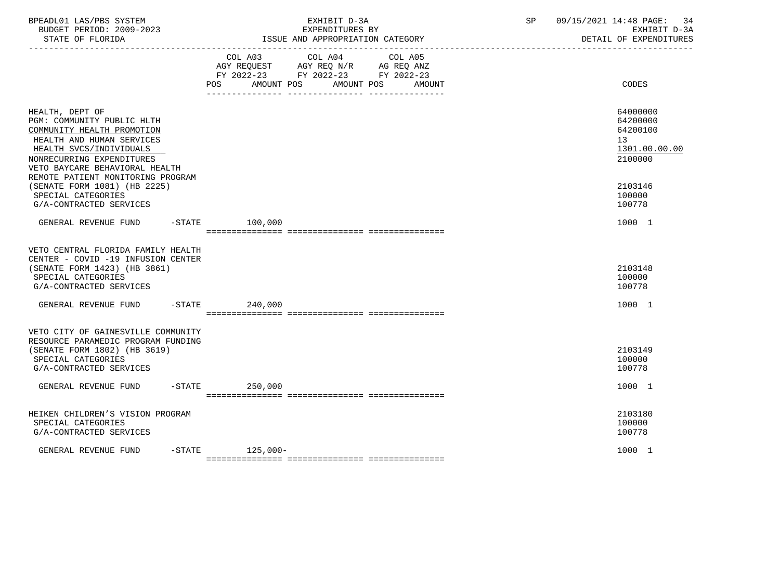| BPEADL01 LAS/PBS SYSTEM<br>BUDGET PERIOD: 2009-2023<br>STATE OF FLORIDA                                                                                                                                                                                                 |                 | EXHIBIT D-3A<br>EXPENDITURES BY<br>ISSUE AND APPROPRIATION CATEGORY                                                                         | 09/15/2021 14:48 PAGE: 34<br>SP<br>EXHIBIT D-3A<br>DETAIL OF EXPENDITURES                  |
|-------------------------------------------------------------------------------------------------------------------------------------------------------------------------------------------------------------------------------------------------------------------------|-----------------|---------------------------------------------------------------------------------------------------------------------------------------------|--------------------------------------------------------------------------------------------|
|                                                                                                                                                                                                                                                                         |                 | COL A03 COL A04<br>COL A05<br>AGY REQUEST AGY REQ N/R AG REQ ANZ<br>FY 2022-23 FY 2022-23 FY 2022-23<br>POS AMOUNT POS AMOUNT POS<br>AMOUNT | CODES                                                                                      |
| HEALTH, DEPT OF<br>PGM: COMMUNITY PUBLIC HLTH<br>COMMUNITY HEALTH PROMOTION<br>HEALTH AND HUMAN SERVICES<br>HEALTH SVCS/INDIVIDUALS<br>NONRECURRING EXPENDITURES<br>VETO BAYCARE BEHAVIORAL HEALTH<br>REMOTE PATIENT MONITORING PROGRAM<br>(SENATE FORM 1081) (HB 2225) |                 |                                                                                                                                             | 64000000<br>64200000<br>64200100<br>13 <sup>°</sup><br>1301.00.00.00<br>2100000<br>2103146 |
| SPECIAL CATEGORIES<br>G/A-CONTRACTED SERVICES                                                                                                                                                                                                                           |                 |                                                                                                                                             | 100000<br>100778                                                                           |
| GENERAL REVENUE FUND -STATE 100,000                                                                                                                                                                                                                                     |                 |                                                                                                                                             | 1000 1                                                                                     |
| VETO CENTRAL FLORIDA FAMILY HEALTH<br>CENTER - COVID -19 INFUSION CENTER<br>(SENATE FORM 1423) (HB 3861)<br>SPECIAL CATEGORIES<br>G/A-CONTRACTED SERVICES                                                                                                               |                 |                                                                                                                                             | 2103148<br>100000<br>100778                                                                |
| GENERAL REVENUE FUND -STATE 240,000                                                                                                                                                                                                                                     |                 |                                                                                                                                             | 1000 1                                                                                     |
| VETO CITY OF GAINESVILLE COMMUNITY<br>RESOURCE PARAMEDIC PROGRAM FUNDING<br>(SENATE FORM 1802) (HB 3619)<br>SPECIAL CATEGORIES<br>G/A-CONTRACTED SERVICES                                                                                                               |                 |                                                                                                                                             | 2103149<br>100000<br>100778                                                                |
| GENERAL REVENUE FUND -STATE 250,000                                                                                                                                                                                                                                     |                 |                                                                                                                                             | 1000 1                                                                                     |
| HEIKEN CHILDREN'S VISION PROGRAM<br>SPECIAL CATEGORIES<br>G/A-CONTRACTED SERVICES                                                                                                                                                                                       |                 |                                                                                                                                             | 2103180<br>100000<br>100778                                                                |
| GENERAL REVENUE FUND                                                                                                                                                                                                                                                    | -STATE 125,000- |                                                                                                                                             | 1000 1                                                                                     |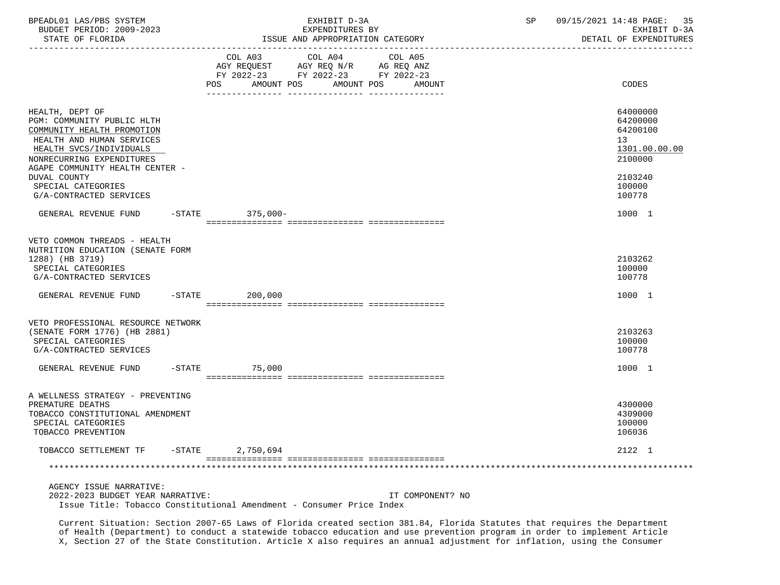| BPEADL01 LAS/PBS SYSTEM<br>BUDGET PERIOD: 2009-2023<br>STATE OF FLORIDA                                                                                                                                                                                              | -------------------------- | EXHIBIT D-3A<br>EXPENDITURES BY<br>ISSUE AND APPROPRIATION CATEGORY                                                                                                                                                                                                                 | 09/15/2021 14:48 PAGE:<br>35<br>SP<br>EXHIBIT D-3A<br>DETAIL OF EXPENDITURES                      |
|----------------------------------------------------------------------------------------------------------------------------------------------------------------------------------------------------------------------------------------------------------------------|----------------------------|-------------------------------------------------------------------------------------------------------------------------------------------------------------------------------------------------------------------------------------------------------------------------------------|---------------------------------------------------------------------------------------------------|
|                                                                                                                                                                                                                                                                      |                            | $\begin{tabular}{lllllllll} COL & A03 & \multicolumn{2}{l}COL & A04 & \multicolumn{2}{l}COL & A05 \\ AGY & REQUEST & \multicolumn{2}{l}AGY & REQ & N/R & \multicolumn{2}{l}AG & REQ & ANZ \\ \end{tabular}$<br>FY 2022-23 FY 2022-23 FY 2022-23<br>POS AMOUNT POS AMOUNT POS AMOUNT | <b>CODES</b>                                                                                      |
| HEALTH, DEPT OF<br>PGM: COMMUNITY PUBLIC HLTH<br>COMMUNITY HEALTH PROMOTION<br>HEALTH AND HUMAN SERVICES<br>HEALTH SVCS/INDIVIDUALS<br>NONRECURRING EXPENDITURES<br>AGAPE COMMUNITY HEALTH CENTER -<br>DUVAL COUNTY<br>SPECIAL CATEGORIES<br>G/A-CONTRACTED SERVICES |                            |                                                                                                                                                                                                                                                                                     | 64000000<br>64200000<br>64200100<br>13<br>1301.00.00.00<br>2100000<br>2103240<br>100000<br>100778 |
| GENERAL REVENUE FUND -STATE 375,000-                                                                                                                                                                                                                                 |                            |                                                                                                                                                                                                                                                                                     | 1000 1                                                                                            |
| VETO COMMON THREADS - HEALTH<br>NUTRITION EDUCATION (SENATE FORM<br>1288) (HB 3719)<br>SPECIAL CATEGORIES<br>G/A-CONTRACTED SERVICES<br>GENERAL REVENUE FUND -STATE 200,000                                                                                          |                            |                                                                                                                                                                                                                                                                                     | 2103262<br>100000<br>100778<br>1000 1                                                             |
| VETO PROFESSIONAL RESOURCE NETWORK                                                                                                                                                                                                                                   |                            |                                                                                                                                                                                                                                                                                     |                                                                                                   |
| (SENATE FORM 1776) (HB 2881)<br>SPECIAL CATEGORIES<br>G/A-CONTRACTED SERVICES                                                                                                                                                                                        |                            |                                                                                                                                                                                                                                                                                     | 2103263<br>100000<br>100778                                                                       |
| GENERAL REVENUE FUND -STATE 75,000                                                                                                                                                                                                                                   |                            |                                                                                                                                                                                                                                                                                     | 1000 1                                                                                            |
| A WELLNESS STRATEGY - PREVENTING<br>PREMATURE DEATHS<br>TOBACCO CONSTITUTIONAL AMENDMENT<br>SPECIAL CATEGORIES<br>TOBACCO PREVENTION                                                                                                                                 |                            |                                                                                                                                                                                                                                                                                     | 4300000<br>4309000<br>100000<br>106036                                                            |
| TOBACCO SETTLEMENT TF -STATE 2,750,694                                                                                                                                                                                                                               |                            |                                                                                                                                                                                                                                                                                     | 2122 1                                                                                            |
|                                                                                                                                                                                                                                                                      |                            |                                                                                                                                                                                                                                                                                     |                                                                                                   |
| AGENCY ISSUE NARRATIVE:<br>2022-2023 BUDGET YEAR NARRATIVE:<br>Issue Title: Tobacco Constitutional Amendment - Consumer Price Index                                                                                                                                  |                            | IT COMPONENT? NO                                                                                                                                                                                                                                                                    |                                                                                                   |

 Current Situation: Section 2007-65 Laws of Florida created section 381.84, Florida Statutes that requires the Department of Health (Department) to conduct a statewide tobacco education and use prevention program in order to implement Article X, Section 27 of the State Constitution. Article X also requires an annual adjustment for inflation, using the Consumer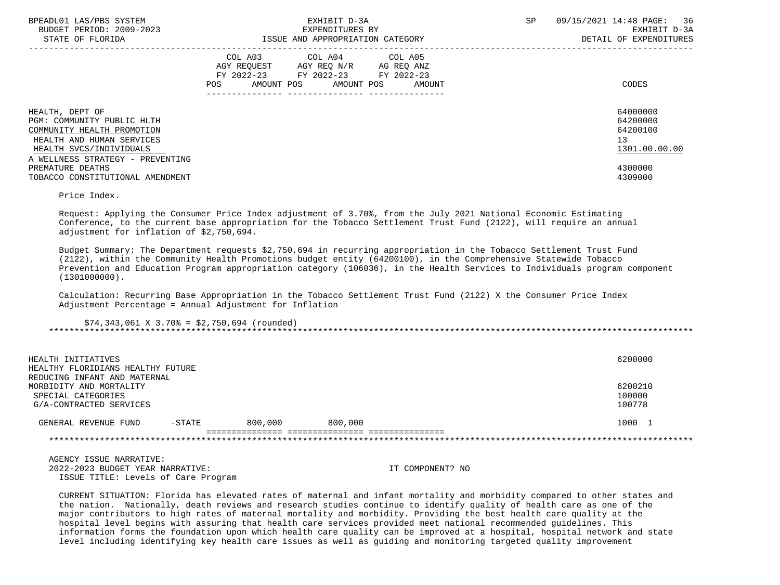| BPEADL01 LAS/PBS SYSTEM<br>BUDGET PERIOD: 2009-2023<br>STATE OF FLORIDA                                                                                                 | EXHIBIT D-3A<br>EXPENDITURES BY<br>ISSUE AND APPROPRIATION CATEGORY                                                                      | 09/15/2021 14:48 PAGE: 36<br>SP<br>EXHIBIT D-3A<br>DETAIL OF EXPENDITURES |
|-------------------------------------------------------------------------------------------------------------------------------------------------------------------------|------------------------------------------------------------------------------------------------------------------------------------------|---------------------------------------------------------------------------|
|                                                                                                                                                                         | COL A03 COL A04 COL A05<br>AGY REQUEST AGY REQ N/R AG REQ ANZ<br>FY 2022-23 FY 2022-23 FY 2022-23<br>AMOUNT POS AMOUNT POS AMOUNT<br>POS | CODES                                                                     |
| HEALTH, DEPT OF<br>PGM: COMMUNITY PUBLIC HLTH<br>COMMUNITY HEALTH PROMOTION<br>HEALTH AND HUMAN SERVICES<br>HEALTH SVCS/INDIVIDUALS<br>A WELLNESS STRATEGY - PREVENTING |                                                                                                                                          | 64000000<br>64200000<br>64200100<br>13 <sup>°</sup><br>1301.00.00.00      |
| PREMATURE DEATHS<br>TOBACCO CONSTITUTIONAL AMENDMENT                                                                                                                    |                                                                                                                                          | 4300000<br>4309000                                                        |

Price Index.

 Request: Applying the Consumer Price Index adjustment of 3.70%, from the July 2021 National Economic Estimating Conference, to the current base appropriation for the Tobacco Settlement Trust Fund (2122), will require an annual adjustment for inflation of \$2,750,694.

 Budget Summary: The Department requests \$2,750,694 in recurring appropriation in the Tobacco Settlement Trust Fund (2122), within the Community Health Promotions budget entity (64200100), in the Comprehensive Statewide Tobacco Prevention and Education Program appropriation category (106036), in the Health Services to Individuals program component  $(1301000000)$ .

 Calculation: Recurring Base Appropriation in the Tobacco Settlement Trust Fund (2122) X the Consumer Price Index Adjustment Percentage = Annual Adjustment for Inflation

 $$74,343,061 \t{X} \t{3.70\t{5}} = $2,750,694 \t{rounded}}$ \*\*\*\*\*\*\*\*\*\*\*\*\*\*\*\*\*\*\*\*\*\*\*\*\*\*\*\*\*\*\*\*\*\*\*\*\*\*\*\*\*\*\*\*\*\*\*\*\*\*\*\*\*\*\*\*\*\*\*\*\*\*\*\*\*\*\*\*\*\*\*\*\*\*\*\*\*\*\*\*\*\*\*\*\*\*\*\*\*\*\*\*\*\*\*\*\*\*\*\*\*\*\*\*\*\*\*\*\*\*\*\*\*\*\*\*\*\*\*\*\*\*\*\*\*\*\*

| HEALTH INITIATIVES<br>HEALTHY FLORIDIANS HEALTHY FUTURE<br>REDUCING INFANT AND MATERNAL |           |         |         | 6200000                     |
|-----------------------------------------------------------------------------------------|-----------|---------|---------|-----------------------------|
| MORBIDITY AND MORTALITY<br>SPECIAL CATEGORIES<br>G/A-CONTRACTED SERVICES                |           |         |         | 6200210<br>100000<br>100778 |
| GENERAL REVENUE FUND                                                                    | $-$ STATE | 800,000 | 800,000 | 1000                        |
|                                                                                         |           |         |         |                             |

 AGENCY ISSUE NARRATIVE: 2022-2023 BUDGET YEAR NARRATIVE: IT COMPONENT? NO ISSUE TITLE: Levels of Care Program

 CURRENT SITUATION: Florida has elevated rates of maternal and infant mortality and morbidity compared to other states and the nation. Nationally, death reviews and research studies continue to identify quality of health care as one of the major contributors to high rates of maternal mortality and morbidity. Providing the best health care quality at the hospital level begins with assuring that health care services provided meet national recommended guidelines. This information forms the foundation upon which health care quality can be improved at a hospital, hospital network and state level including identifying key health care issues as well as guiding and monitoring targeted quality improvement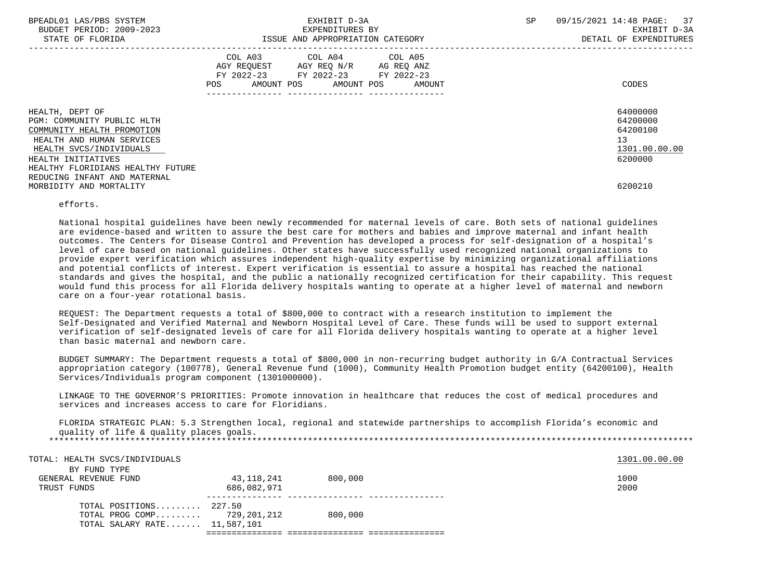| BPEADL01 LAS/PBS SYSTEM<br>BUDGET PERIOD: 2009-2023<br>STATE OF FLORIDA                                                                                   | EXHIBIT D-3A<br>EXPENDITURES BY<br>ISSUE AND APPROPRIATION CATEGORY                                                                      | 09/15/2021 14:48 PAGE: 37<br>SP<br>EXHIBIT D-3A<br>DETAIL OF EXPENDITURES |
|-----------------------------------------------------------------------------------------------------------------------------------------------------------|------------------------------------------------------------------------------------------------------------------------------------------|---------------------------------------------------------------------------|
|                                                                                                                                                           | COL A03 COL A04 COL A05<br>AGY REQUEST AGY REQ N/R AG REQ ANZ<br>FY 2022-23 FY 2022-23 FY 2022-23<br>POS<br>AMOUNT POS AMOUNT POS AMOUNT | CODES                                                                     |
| HEALTH, DEPT OF<br>PGM: COMMUNITY PUBLIC HLTH<br>COMMUNITY HEALTH PROMOTION<br>HEALTH AND HUMAN SERVICES<br>HEALTH SVCS/INDIVIDUALS<br>HEALTH INITIATIVES |                                                                                                                                          | 64000000<br>64200000<br>64200100<br>13<br>1301.00.00.00<br>6200000        |
| HEALTHY FLORIDIANS HEALTHY FUTURE<br>REDUCING INFANT AND MATERNAL<br>MORBIDITY AND MORTALITY                                                              |                                                                                                                                          | 6200210                                                                   |

## efforts.

 National hospital guidelines have been newly recommended for maternal levels of care. Both sets of national guidelines are evidence-based and written to assure the best care for mothers and babies and improve maternal and infant health outcomes. The Centers for Disease Control and Prevention has developed a process for self-designation of a hospital's level of care based on national guidelines. Other states have successfully used recognized national organizations to provide expert verification which assures independent high-quality expertise by minimizing organizational affiliations and potential conflicts of interest. Expert verification is essential to assure a hospital has reached the national standards and gives the hospital, and the public a nationally recognized certification for their capability. This request would fund this process for all Florida delivery hospitals wanting to operate at a higher level of maternal and newborn care on a four-year rotational basis.

 REQUEST: The Department requests a total of \$800,000 to contract with a research institution to implement the Self-Designated and Verified Maternal and Newborn Hospital Level of Care. These funds will be used to support external verification of self-designated levels of care for all Florida delivery hospitals wanting to operate at a higher level than basic maternal and newborn care.

 BUDGET SUMMARY: The Department requests a total of \$800,000 in non-recurring budget authority in G/A Contractual Services appropriation category (100778), General Revenue fund (1000), Community Health Promotion budget entity (64200100), Health Services/Individuals program component (1301000000).

 LINKAGE TO THE GOVERNOR'S PRIORITIES: Promote innovation in healthcare that reduces the cost of medical procedures and services and increases access to care for Floridians.

 FLORIDA STRATEGIC PLAN: 5.3 Strengthen local, regional and statewide partnerships to accomplish Florida's economic and quality of life & quality places goals. \*\*\*\*\*\*\*\*\*\*\*\*\*\*\*\*\*\*\*\*\*\*\*\*\*\*\*\*\*\*\*\*\*\*\*\*\*\*\*\*\*\*\*\*\*\*\*\*\*\*\*\*\*\*\*\*\*\*\*\*\*\*\*\*\*\*\*\*\*\*\*\*\*\*\*\*\*\*\*\*\*\*\*\*\*\*\*\*\*\*\*\*\*\*\*\*\*\*\*\*\*\*\*\*\*\*\*\*\*\*\*\*\*\*\*\*\*\*\*\*\*\*\*\*\*\*\*

| TOTAL: HEALTH SVCS/INDIVIDUALS       |             |         | 1301.00.00.00 |
|--------------------------------------|-------------|---------|---------------|
| BY FUND TYPE<br>GENERAL REVENUE FUND | 43,118,241  | 800,000 | 1000          |
| TRUST FUNDS                          | 686,082,971 |         | 2000          |
| TOTAL POSITIONS 227.50               |             |         |               |
| TOTAL PROG COMP $729,201,212$        |             | 800,000 |               |
| TOTAL SALARY RATE 11,587,101         |             |         |               |
|                                      |             |         |               |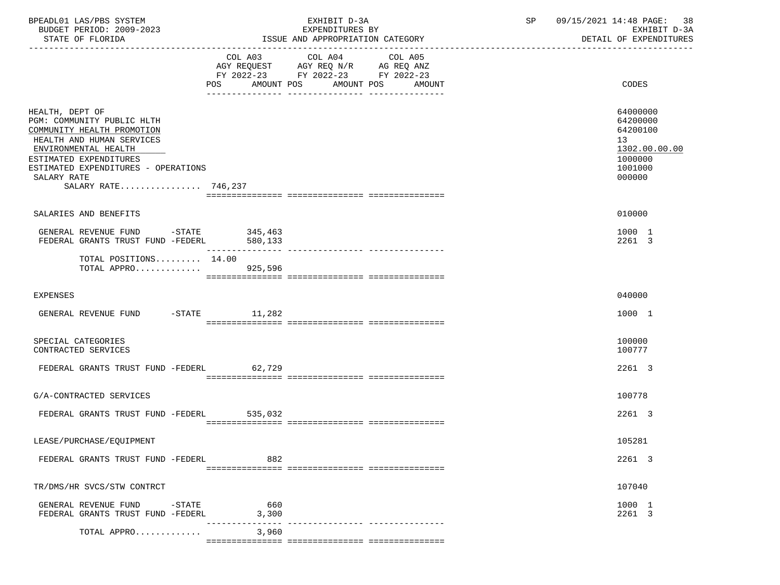| BPEADL01 LAS/PBS SYSTEM<br>BUDGET PERIOD: 2009-2023<br>STATE OF FLORIDA                                                                                                                                                                 | EXHIBIT D-3A<br>EXPENDITURES BY<br>ISSUE AND APPROPRIATION CATEGORY |                                                                                           |                                             | SP | 09/15/2021 14:48 PAGE: 38<br>EXHIBIT D-3A<br>DETAIL OF EXPENDITURES                     |  |
|-----------------------------------------------------------------------------------------------------------------------------------------------------------------------------------------------------------------------------------------|---------------------------------------------------------------------|-------------------------------------------------------------------------------------------|---------------------------------------------|----|-----------------------------------------------------------------------------------------|--|
|                                                                                                                                                                                                                                         |                                                                     | COL A03 COL A04<br>AGY REQUEST AGY REQ N/R AG REQ ANZ<br>FY 2022-23 FY 2022-23 FY 2022-23 | COL A05<br>POS AMOUNT POS AMOUNT POS AMOUNT |    | CODES                                                                                   |  |
| HEALTH, DEPT OF<br>PGM: COMMUNITY PUBLIC HLTH<br>COMMUNITY HEALTH PROMOTION<br>HEALTH AND HUMAN SERVICES<br>ENVIRONMENTAL HEALTH<br>ESTIMATED EXPENDITURES<br>ESTIMATED EXPENDITURES - OPERATIONS<br>SALARY RATE<br>SALARY RATE 746,237 |                                                                     |                                                                                           |                                             |    | 64000000<br>64200000<br>64200100<br>13<br>1302.00.00.00<br>1000000<br>1001000<br>000000 |  |
| SALARIES AND BENEFITS                                                                                                                                                                                                                   |                                                                     |                                                                                           |                                             |    | 010000                                                                                  |  |
| GENERAL REVENUE FUND -STATE 345,463<br>FEDERAL GRANTS TRUST FUND -FEDERL 580,133                                                                                                                                                        |                                                                     |                                                                                           |                                             |    | 1000 1<br>2261 3                                                                        |  |
| TOTAL POSITIONS $14.00$<br>TOTAL APPRO 925,596                                                                                                                                                                                          |                                                                     |                                                                                           |                                             |    |                                                                                         |  |
| <b>EXPENSES</b>                                                                                                                                                                                                                         |                                                                     |                                                                                           |                                             |    | 040000                                                                                  |  |
| GENERAL REVENUE FUND -STATE 11,282                                                                                                                                                                                                      |                                                                     |                                                                                           |                                             |    | 1000 1                                                                                  |  |
| SPECIAL CATEGORIES<br>CONTRACTED SERVICES                                                                                                                                                                                               |                                                                     |                                                                                           |                                             |    | 100000<br>100777                                                                        |  |
| FEDERAL GRANTS TRUST FUND -FEDERL 62,729                                                                                                                                                                                                |                                                                     |                                                                                           |                                             |    | 2261 3                                                                                  |  |
| G/A-CONTRACTED SERVICES                                                                                                                                                                                                                 |                                                                     |                                                                                           |                                             |    | 100778                                                                                  |  |
| FEDERAL GRANTS TRUST FUND -FEDERL 535,032                                                                                                                                                                                               |                                                                     |                                                                                           |                                             |    | 2261 3                                                                                  |  |
| LEASE/PURCHASE/EQUIPMENT                                                                                                                                                                                                                |                                                                     |                                                                                           |                                             |    | 105281                                                                                  |  |
| FEDERAL GRANTS TRUST FUND -FEDERL                                                                                                                                                                                                       | 882                                                                 |                                                                                           |                                             |    | 2261 3                                                                                  |  |
| TR/DMS/HR SVCS/STW CONTRCT                                                                                                                                                                                                              |                                                                     |                                                                                           |                                             |    | 107040                                                                                  |  |
| GENERAL REVENUE FUND<br>$-$ STATE<br>FEDERAL GRANTS TRUST FUND -FEDERL                                                                                                                                                                  | 660<br>3,300                                                        |                                                                                           |                                             |    | 1000 1<br>2261 3                                                                        |  |
| TOTAL APPRO                                                                                                                                                                                                                             | 3,960                                                               |                                                                                           |                                             |    |                                                                                         |  |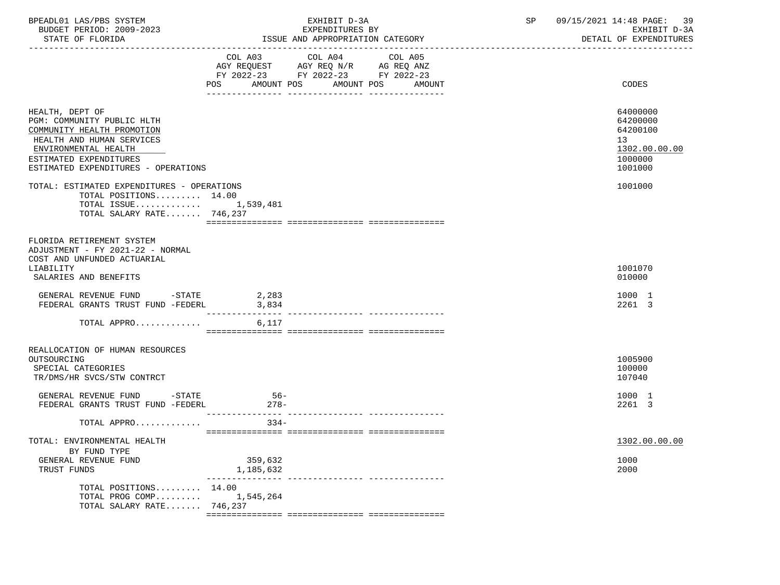| BPEADL01 LAS/PBS SYSTEM<br>BUDGET PERIOD: 2009-2023<br>STATE OF FLORIDA                                                                                                                           |                          | EXHIBIT D-3A<br>EXPENDITURES BY<br>ISSUE AND APPROPRIATION CATEGORY                               | SP<br>09/15/2021 14:48 PAGE: 39<br>EXHIBIT D-3A<br>DETAIL OF EXPENDITURES |                                                                               |
|---------------------------------------------------------------------------------------------------------------------------------------------------------------------------------------------------|--------------------------|---------------------------------------------------------------------------------------------------|---------------------------------------------------------------------------|-------------------------------------------------------------------------------|
|                                                                                                                                                                                                   |                          | COL A03 COL A04 COL A05<br>AGY REQUEST AGY REQ N/R AG REQ ANZ<br>FY 2022-23 FY 2022-23 FY 2022-23 |                                                                           |                                                                               |
|                                                                                                                                                                                                   | POS                      | AMOUNT POS AMOUNT POS<br>AMOUNT                                                                   |                                                                           | CODES                                                                         |
| HEALTH, DEPT OF<br>PGM: COMMUNITY PUBLIC HLTH<br>COMMUNITY HEALTH PROMOTION<br>HEALTH AND HUMAN SERVICES<br>ENVIRONMENTAL HEALTH<br>ESTIMATED EXPENDITURES<br>ESTIMATED EXPENDITURES - OPERATIONS |                          |                                                                                                   |                                                                           | 64000000<br>64200000<br>64200100<br>13<br>1302.00.00.00<br>1000000<br>1001000 |
| TOTAL: ESTIMATED EXPENDITURES - OPERATIONS<br>TOTAL POSITIONS 14.00<br>TOTAL ISSUE $1,539,481$<br>TOTAL SALARY RATE 746,237                                                                       |                          |                                                                                                   |                                                                           | 1001000                                                                       |
| FLORIDA RETIREMENT SYSTEM<br>ADJUSTMENT - FY 2021-22 - NORMAL<br>COST AND UNFUNDED ACTUARIAL<br>LIABILITY<br>SALARIES AND BENEFITS                                                                |                          |                                                                                                   |                                                                           | 1001070<br>010000                                                             |
| GENERAL REVENUE FUND -STATE 2,283<br>FEDERAL GRANTS TRUST FUND -FEDERL                                                                                                                            | 3,834<br>--------------- |                                                                                                   |                                                                           | 1000 1<br>2261 3                                                              |
| TOTAL APPRO                                                                                                                                                                                       | 6,117                    |                                                                                                   |                                                                           |                                                                               |
| REALLOCATION OF HUMAN RESOURCES<br>OUTSOURCING<br>SPECIAL CATEGORIES<br>TR/DMS/HR SVCS/STW CONTRCT<br>GENERAL REVENUE FUND -STATE                                                                 | $56-$                    |                                                                                                   |                                                                           | 1005900<br>100000<br>107040<br>1000 1                                         |
| FEDERAL GRANTS TRUST FUND -FEDERL                                                                                                                                                                 | $278-$                   |                                                                                                   |                                                                           | 2261 3                                                                        |
| TOTAL APPRO                                                                                                                                                                                       | $334-$                   |                                                                                                   |                                                                           |                                                                               |
| TOTAL: ENVIRONMENTAL HEALTH<br>BY FUND TYPE<br>GENERAL REVENUE FUND                                                                                                                               | 359,632                  |                                                                                                   |                                                                           | 1302.00.00.00<br>1000                                                         |
| TRUST FUNDS<br>TOTAL POSITIONS 14.00<br>TOTAL PROG COMP<br>TOTAL SALARY RATE 746,237                                                                                                              | 1,185,632<br>1,545,264   | --------------- ----------------                                                                  |                                                                           | 2000                                                                          |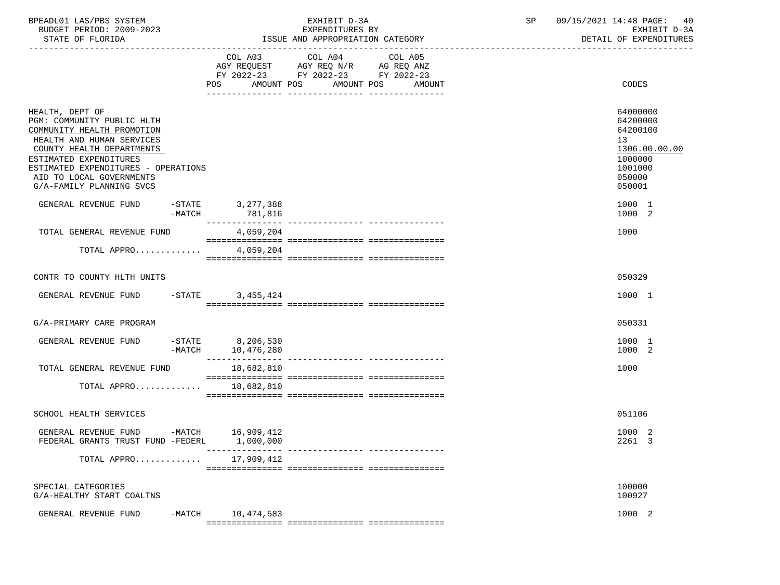| BPEADL01 LAS/PBS SYSTEM<br>BUDGET PERIOD: 2009-2023<br>STATE OF FLORIDA                                                                                                                                                                                        |           | EXHIBIT D-3A<br>EXPENDITURES BY<br>ISSUE AND APPROPRIATION CATEGORY |                                                                                           |                                  | $\operatorname{SP}$ | 09/15/2021 14:48 PAGE:<br>-40<br>EXHIBIT D-3A<br>DETAIL OF EXPENDITURES                           |
|----------------------------------------------------------------------------------------------------------------------------------------------------------------------------------------------------------------------------------------------------------------|-----------|---------------------------------------------------------------------|-------------------------------------------------------------------------------------------|----------------------------------|---------------------|---------------------------------------------------------------------------------------------------|
|                                                                                                                                                                                                                                                                |           | POS AMOUNT POS AMOUNT POS                                           | COL A03 COL A04<br>AGY REQUEST AGY REQ N/R AG REQ ANZ<br>FY 2022-23 FY 2022-23 FY 2022-23 | COL A05<br>AMOUNT                |                     | CODES                                                                                             |
| HEALTH, DEPT OF<br>PGM: COMMUNITY PUBLIC HLTH<br>COMMUNITY HEALTH PROMOTION<br>HEALTH AND HUMAN SERVICES<br>COUNTY HEALTH DEPARTMENTS<br>ESTIMATED EXPENDITURES<br>ESTIMATED EXPENDITURES - OPERATIONS<br>AID TO LOCAL GOVERNMENTS<br>G/A-FAMILY PLANNING SVCS |           |                                                                     |                                                                                           |                                  |                     | 64000000<br>64200000<br>64200100<br>13<br>1306.00.00.00<br>1000000<br>1001000<br>050000<br>050001 |
| GENERAL REVENUE FUND                                                                                                                                                                                                                                           | -MATCH    | $-STATE$ 3, 277, 388<br>781,816                                     |                                                                                           |                                  |                     | 1000 1<br>1000 2                                                                                  |
| TOTAL GENERAL REVENUE FUND                                                                                                                                                                                                                                     |           | 4,059,204                                                           |                                                                                           |                                  |                     | 1000                                                                                              |
| TOTAL APPRO                                                                                                                                                                                                                                                    |           | 4,059,204                                                           |                                                                                           |                                  |                     |                                                                                                   |
| CONTR TO COUNTY HLTH UNITS                                                                                                                                                                                                                                     |           |                                                                     |                                                                                           |                                  |                     | 050329                                                                                            |
| GENERAL REVENUE FUND                                                                                                                                                                                                                                           | $-$ STATE | 3,455,424                                                           |                                                                                           |                                  |                     | 1000 1                                                                                            |
| G/A-PRIMARY CARE PROGRAM                                                                                                                                                                                                                                       |           |                                                                     |                                                                                           |                                  |                     | 050331                                                                                            |
| GENERAL REVENUE FUND                                                                                                                                                                                                                                           | $-MATCH$  | $-STATE$ 8,206,530<br>10,476,280                                    |                                                                                           |                                  |                     | 1000 1<br>1000 2                                                                                  |
| TOTAL GENERAL REVENUE FUND                                                                                                                                                                                                                                     |           | 18,682,810                                                          |                                                                                           |                                  |                     | 1000                                                                                              |
| TOTAL APPRO                                                                                                                                                                                                                                                    |           | 18,682,810                                                          |                                                                                           |                                  |                     |                                                                                                   |
| SCHOOL HEALTH SERVICES                                                                                                                                                                                                                                         |           |                                                                     |                                                                                           |                                  |                     | 051106                                                                                            |
| GENERAL REVENUE FUND -MATCH 16,909,412<br>FEDERAL GRANTS TRUST FUND -FEDERL                                                                                                                                                                                    |           | 1,000,000                                                           |                                                                                           | --------------- ---------------- |                     | 1000 2<br>2261 3                                                                                  |
| TOTAL APPRO                                                                                                                                                                                                                                                    |           | 17,909,412                                                          |                                                                                           |                                  |                     |                                                                                                   |
| SPECIAL CATEGORIES<br>G/A-HEALTHY START COALTNS                                                                                                                                                                                                                |           |                                                                     |                                                                                           |                                  |                     | 100000<br>100927                                                                                  |
| GENERAL REVENUE FUND                                                                                                                                                                                                                                           | -MATCH    | 10,474,583                                                          |                                                                                           |                                  |                     | 1000 2                                                                                            |
|                                                                                                                                                                                                                                                                |           |                                                                     |                                                                                           |                                  |                     |                                                                                                   |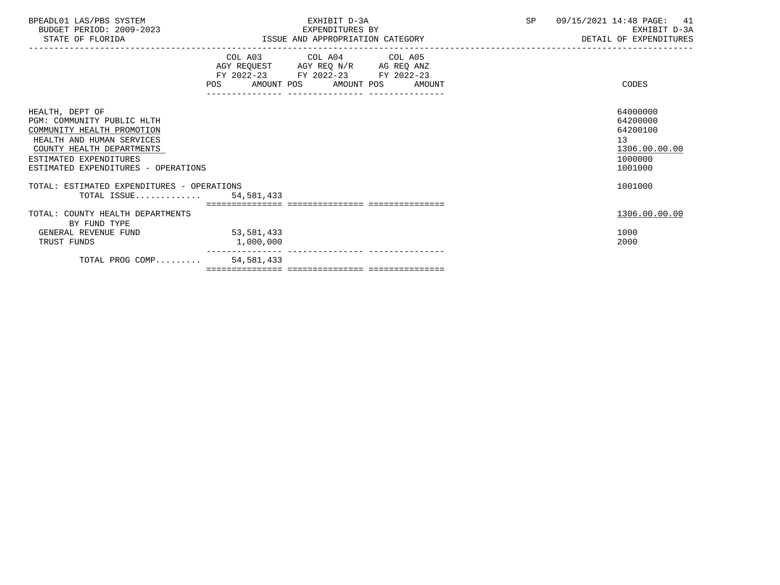| BPEADL01 LAS/PBS SYSTEM<br>BUDGET PERIOD: 2009-2023<br>STATE OF FLORIDA                                                                                                                                | EXHIBIT D-3A<br>EXPENDITURES BY<br>ISSUE AND APPROPRIATION CATEGORY                                                                   | SP<br>09/15/2021 14:48 PAGE: 41<br>EXHIBIT D-3A<br>DETAIL OF EXPENDITURES     |
|--------------------------------------------------------------------------------------------------------------------------------------------------------------------------------------------------------|---------------------------------------------------------------------------------------------------------------------------------------|-------------------------------------------------------------------------------|
|                                                                                                                                                                                                        | COL A03 COL A04 COL A05<br>AGY REQUEST AGY REQ N/R AG REQ ANZ<br>FY 2022-23 FY 2022-23 FY 2022-23<br>POS AMOUNT POS AMOUNT POS AMOUNT | CODES                                                                         |
| HEALTH, DEPT OF<br>PGM: COMMUNITY PUBLIC HLTH<br>COMMUNITY HEALTH PROMOTION<br>HEALTH AND HUMAN SERVICES<br>COUNTY HEALTH DEPARTMENTS<br>ESTIMATED EXPENDITURES<br>ESTIMATED EXPENDITURES - OPERATIONS |                                                                                                                                       | 64000000<br>64200000<br>64200100<br>13<br>1306.00.00.00<br>1000000<br>1001000 |
| TOTAL: ESTIMATED EXPENDITURES - OPERATIONS<br>TOTAL ISSUE $54,581,433$                                                                                                                                 |                                                                                                                                       | 1001000                                                                       |
|                                                                                                                                                                                                        |                                                                                                                                       |                                                                               |
| TOTAL: COUNTY HEALTH DEPARTMENTS<br>BY FUND TYPE                                                                                                                                                       |                                                                                                                                       | 1306.00.00.00                                                                 |
| GENERAL REVENUE FUND                                                                                                                                                                                   | 53,581,433                                                                                                                            | 1000                                                                          |
| TRUST FUNDS                                                                                                                                                                                            | 1,000,000                                                                                                                             | 2000                                                                          |
| TOTAL PROG COMP 54,581,433                                                                                                                                                                             |                                                                                                                                       |                                                                               |
|                                                                                                                                                                                                        |                                                                                                                                       |                                                                               |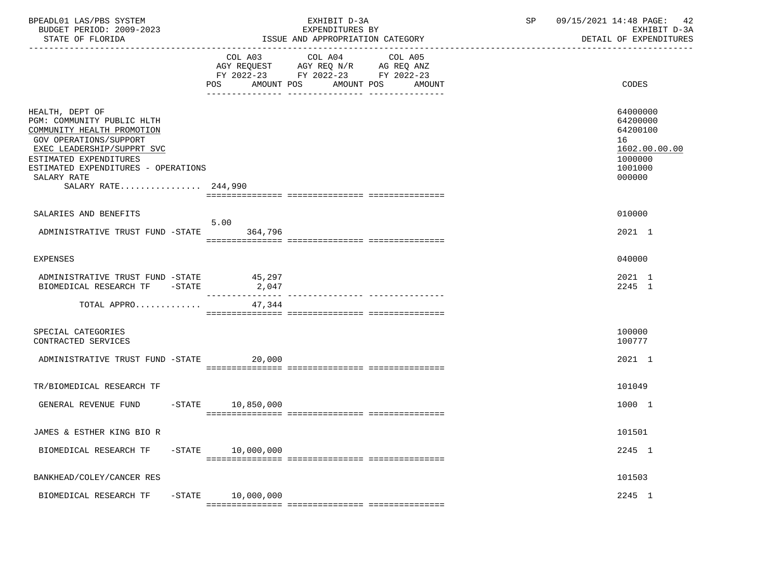| BPEADL01 LAS/PBS SYSTEM<br>BUDGET PERIOD: 2009-2023<br>STATE OF FLORIDA                                                                                                                                                                    |                              | EXHIBIT D-3A<br>EXPENDITURES BY<br>ISSUE AND APPROPRIATION CATEGORY                                               | SP | 09/15/2021 14:48 PAGE:<br>42<br>EXHIBIT D-3A<br>DETAIL OF EXPENDITURES                  |
|--------------------------------------------------------------------------------------------------------------------------------------------------------------------------------------------------------------------------------------------|------------------------------|-------------------------------------------------------------------------------------------------------------------|----|-----------------------------------------------------------------------------------------|
|                                                                                                                                                                                                                                            | COL A03<br>POS<br>AMOUNT POS | COL A04 COL A05<br>AGY REQUEST AGY REQ N/R AG REQ ANZ<br>FY 2022-23 FY 2022-23 FY 2022-23<br>AMOUNT POS<br>AMOUNT |    | CODES                                                                                   |
| HEALTH, DEPT OF<br>PGM: COMMUNITY PUBLIC HLTH<br>COMMUNITY HEALTH PROMOTION<br>GOV OPERATIONS/SUPPORT<br>EXEC LEADERSHIP/SUPPRT SVC<br>ESTIMATED EXPENDITURES<br>ESTIMATED EXPENDITURES - OPERATIONS<br>SALARY RATE<br>SALARY RATE 244,990 |                              |                                                                                                                   |    | 64000000<br>64200000<br>64200100<br>16<br>1602.00.00.00<br>1000000<br>1001000<br>000000 |
| SALARIES AND BENEFITS                                                                                                                                                                                                                      |                              |                                                                                                                   |    | 010000                                                                                  |
| ADMINISTRATIVE TRUST FUND -STATE                                                                                                                                                                                                           | 5.00<br>364,796              |                                                                                                                   |    | 2021 1                                                                                  |
| <b>EXPENSES</b>                                                                                                                                                                                                                            |                              |                                                                                                                   |    | 040000                                                                                  |
| ADMINISTRATIVE TRUST FUND -STATE<br>BIOMEDICAL RESEARCH TF -STATE                                                                                                                                                                          | 45,297<br>2,047              |                                                                                                                   |    | 2021 1<br>2245 1                                                                        |
| TOTAL APPRO                                                                                                                                                                                                                                | 47,344                       |                                                                                                                   |    |                                                                                         |
| SPECIAL CATEGORIES<br>CONTRACTED SERVICES                                                                                                                                                                                                  |                              |                                                                                                                   |    | 100000<br>100777                                                                        |
| ADMINISTRATIVE TRUST FUND -STATE 20,000                                                                                                                                                                                                    |                              |                                                                                                                   |    | 2021 1                                                                                  |
| TR/BIOMEDICAL RESEARCH TF                                                                                                                                                                                                                  |                              |                                                                                                                   |    | 101049                                                                                  |
| GENERAL REVENUE FUND                                                                                                                                                                                                                       | $-$ STATE $10, 850, 000$     |                                                                                                                   |    | 1000 1                                                                                  |
| JAMES & ESTHER KING BIO R                                                                                                                                                                                                                  |                              |                                                                                                                   |    | 101501                                                                                  |
| BIOMEDICAL RESEARCH TF                                                                                                                                                                                                                     | $-STATE$ 10,000,000          |                                                                                                                   |    | 2245 1                                                                                  |
| BANKHEAD/COLEY/CANCER RES                                                                                                                                                                                                                  |                              |                                                                                                                   |    | 101503                                                                                  |
| BIOMEDICAL RESEARCH TF                                                                                                                                                                                                                     | $-STATE$ 10,000,000          |                                                                                                                   |    | 2245 1                                                                                  |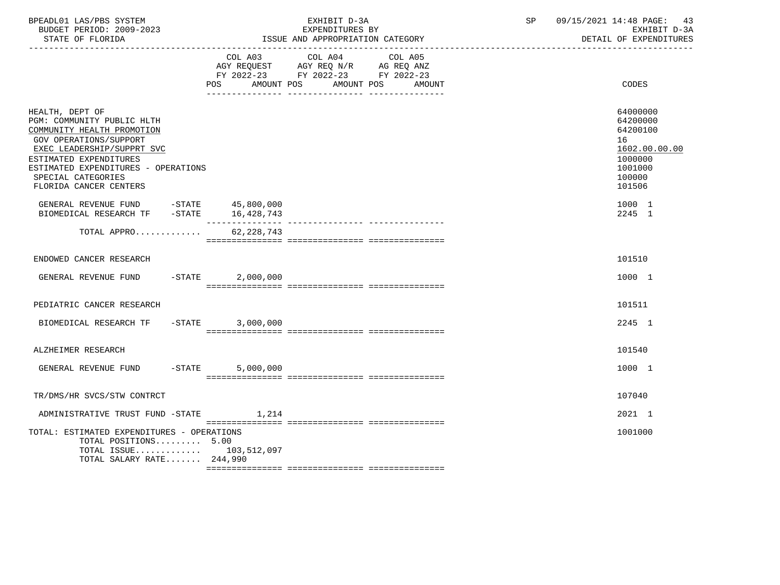| BPEADL01 LAS/PBS SYSTEM<br>BUDGET PERIOD: 2009-2023<br>STATE OF FLORIDA                                                                                                                                                                                     |                    | EXHIBIT D-3A<br>EXPENDITURES BY<br>ISSUE AND APPROPRIATION CATEGORY                                                                  | $\operatorname{SP}$ | 09/15/2021 14:48 PAGE:<br>43<br>EXHIBIT D-3A<br>DETAIL OF EXPENDITURES                            |
|-------------------------------------------------------------------------------------------------------------------------------------------------------------------------------------------------------------------------------------------------------------|--------------------|--------------------------------------------------------------------------------------------------------------------------------------|---------------------|---------------------------------------------------------------------------------------------------|
|                                                                                                                                                                                                                                                             | <b>POS</b>         | COL A03 COL A04 COL A05<br>AGY REQUEST AGY REQ N/R AG REQ ANZ<br>FY 2022-23 FY 2022-23 FY 2022-23<br>AMOUNT POS AMOUNT POS<br>AMOUNT |                     | CODES                                                                                             |
| HEALTH, DEPT OF<br>PGM: COMMUNITY PUBLIC HLTH<br>COMMUNITY HEALTH PROMOTION<br><b>GOV OPERATIONS/SUPPORT</b><br>EXEC LEADERSHIP/SUPPRT SVC<br>ESTIMATED EXPENDITURES<br>ESTIMATED EXPENDITURES - OPERATIONS<br>SPECIAL CATEGORIES<br>FLORIDA CANCER CENTERS |                    |                                                                                                                                      |                     | 64000000<br>64200000<br>64200100<br>16<br>1602.00.00.00<br>1000000<br>1001000<br>100000<br>101506 |
| GENERAL REVENUE FUND -STATE 45,800,000<br>BIOMEDICAL RESEARCH TF -STATE 16,428,743                                                                                                                                                                          |                    |                                                                                                                                      |                     | 1000 1<br>2245 1                                                                                  |
| TOTAL APPRO                                                                                                                                                                                                                                                 | 62, 228, 743       |                                                                                                                                      |                     |                                                                                                   |
| ENDOWED CANCER RESEARCH                                                                                                                                                                                                                                     |                    |                                                                                                                                      |                     | 101510                                                                                            |
| GENERAL REVENUE FUND -STATE                                                                                                                                                                                                                                 | 2,000,000          |                                                                                                                                      |                     | 1000 1                                                                                            |
| PEDIATRIC CANCER RESEARCH                                                                                                                                                                                                                                   |                    |                                                                                                                                      |                     | 101511                                                                                            |
| BIOMEDICAL RESEARCH TF                                                                                                                                                                                                                                      | $-STATE$ 3,000,000 |                                                                                                                                      |                     | 2245 1                                                                                            |
| ALZHEIMER RESEARCH                                                                                                                                                                                                                                          |                    |                                                                                                                                      |                     | 101540                                                                                            |
| GENERAL REVENUE FUND<br>$-STATE$                                                                                                                                                                                                                            | 5,000,000          |                                                                                                                                      |                     | 1000 1                                                                                            |
| TR/DMS/HR SVCS/STW CONTRCT                                                                                                                                                                                                                                  |                    |                                                                                                                                      |                     | 107040                                                                                            |
| ADMINISTRATIVE TRUST FUND -STATE                                                                                                                                                                                                                            | 1,214              |                                                                                                                                      |                     | 2021 1                                                                                            |
| TOTAL: ESTIMATED EXPENDITURES - OPERATIONS<br>TOTAL POSITIONS 5.00<br>TOTAL ISSUE $103,512,097$<br>TOTAL SALARY RATE 244,990                                                                                                                                |                    |                                                                                                                                      |                     | 1001000                                                                                           |
|                                                                                                                                                                                                                                                             |                    |                                                                                                                                      |                     |                                                                                                   |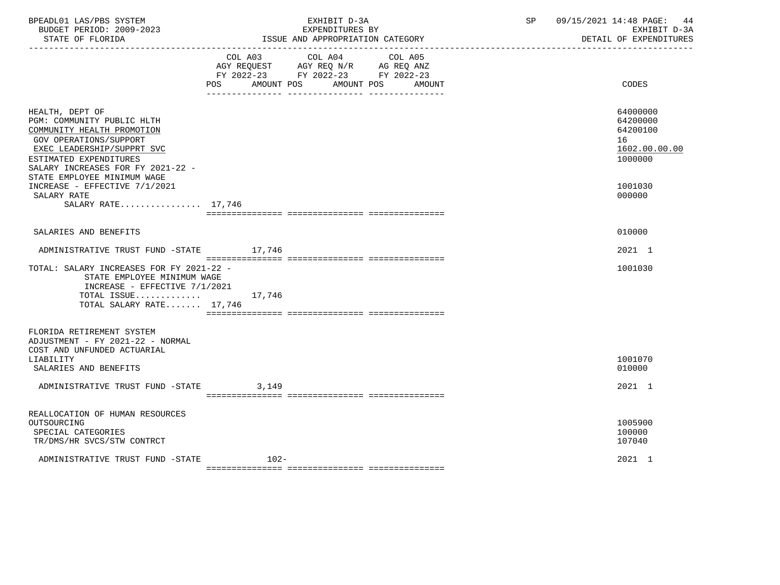| BPEADL01 LAS/PBS SYSTEM<br>BUDGET PERIOD: 2009-2023<br>STATE OF FLORIDA<br>. _ _ _ _ _ _ _ _ _ _ _ _ _ _ _ _ _                                                                                     | EXHIBIT D-3A<br>EXPENDITURES BY<br>ISSUE AND APPROPRIATION CATEGORY                                                                               | 09/15/2021 14:48 PAGE:<br>44<br>SP<br>EXHIBIT D-3A<br>DETAIL OF EXPENDITURES |
|----------------------------------------------------------------------------------------------------------------------------------------------------------------------------------------------------|---------------------------------------------------------------------------------------------------------------------------------------------------|------------------------------------------------------------------------------|
|                                                                                                                                                                                                    | COL A03 COL A04<br>COL A05<br>AGY REQUEST AGY REQ N/R AG REQ ANZ<br>FY 2022-23 FY 2022-23 FY 2022-23<br>POS<br>AMOUNT POS<br>AMOUNT POS<br>AMOUNT | CODES                                                                        |
| HEALTH, DEPT OF<br>PGM: COMMUNITY PUBLIC HLTH<br>COMMUNITY HEALTH PROMOTION<br>GOV OPERATIONS/SUPPORT<br>EXEC LEADERSHIP/SUPPRT SVC<br>ESTIMATED EXPENDITURES<br>SALARY INCREASES FOR FY 2021-22 - |                                                                                                                                                   | 64000000<br>64200000<br>64200100<br>16<br>1602.00.00.00<br>1000000           |
| STATE EMPLOYEE MINIMUM WAGE<br>INCREASE - EFFECTIVE 7/1/2021<br>SALARY RATE<br>SALARY RATE 17,746                                                                                                  |                                                                                                                                                   | 1001030<br>000000                                                            |
| SALARIES AND BENEFITS                                                                                                                                                                              |                                                                                                                                                   | 010000                                                                       |
| ADMINISTRATIVE TRUST FUND -STATE 17,746                                                                                                                                                            |                                                                                                                                                   | 2021 1                                                                       |
| TOTAL: SALARY INCREASES FOR FY 2021-22 -<br>STATE EMPLOYEE MINIMUM WAGE<br>INCREASE - EFFECTIVE 7/1/2021<br>TOTAL ISSUE<br>TOTAL SALARY RATE 17,746                                                | 17,746                                                                                                                                            | 1001030                                                                      |
| FLORIDA RETIREMENT SYSTEM<br>ADJUSTMENT - FY 2021-22 - NORMAL<br>COST AND UNFUNDED ACTUARIAL<br>LIABILITY<br>SALARIES AND BENEFITS                                                                 |                                                                                                                                                   | 1001070<br>010000                                                            |
| ADMINISTRATIVE TRUST FUND -STATE                                                                                                                                                                   | 3,149                                                                                                                                             | 2021 1                                                                       |
| REALLOCATION OF HUMAN RESOURCES<br>OUTSOURCING<br>SPECIAL CATEGORIES<br>TR/DMS/HR SVCS/STW CONTRCT                                                                                                 |                                                                                                                                                   | 1005900<br>100000<br>107040                                                  |
| ADMINISTRATIVE TRUST FUND -STATE                                                                                                                                                                   | $102-$                                                                                                                                            | 2021 1                                                                       |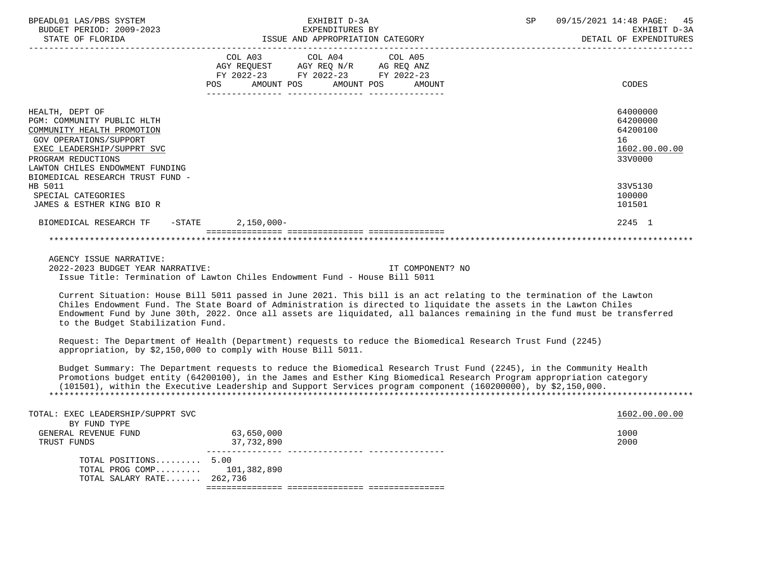| BPEADL01 LAS/PBS SYSTEM<br>BUDGET PERIOD: 2009-2023<br>STATE OF FLORIDA                                                                                                                             | EXHIBIT D-3A<br>EXPENDITURES BY<br>ISSUE AND APPROPRIATION CATEGORY                                                                                                                                                                                                                                                                                                     | 09/15/2021 14:48 PAGE:<br>SP<br>45<br>EXHIBIT D-3A<br>DETAIL OF EXPENDITURES |
|-----------------------------------------------------------------------------------------------------------------------------------------------------------------------------------------------------|-------------------------------------------------------------------------------------------------------------------------------------------------------------------------------------------------------------------------------------------------------------------------------------------------------------------------------------------------------------------------|------------------------------------------------------------------------------|
|                                                                                                                                                                                                     | COL A03 COL A04 COL A05<br>AGY REQUEST AGY REQ N/R AG REQ ANZ<br>FY 2022-23 FY 2022-23 FY 2022-23<br>AMOUNT POS<br>AMOUNT POS<br>POS<br>AMOUNT                                                                                                                                                                                                                          | CODES                                                                        |
|                                                                                                                                                                                                     |                                                                                                                                                                                                                                                                                                                                                                         |                                                                              |
| HEALTH, DEPT OF<br>PGM: COMMUNITY PUBLIC HLTH<br>COMMUNITY HEALTH PROMOTION<br><b>GOV OPERATIONS/SUPPORT</b><br>EXEC LEADERSHIP/SUPPRT SVC<br>PROGRAM REDUCTIONS<br>LAWTON CHILES ENDOWMENT FUNDING |                                                                                                                                                                                                                                                                                                                                                                         | 64000000<br>64200000<br>64200100<br>16<br>1602.00.00.00<br>33V0000           |
| BIOMEDICAL RESEARCH TRUST FUND -                                                                                                                                                                    |                                                                                                                                                                                                                                                                                                                                                                         |                                                                              |
| HB 5011<br>SPECIAL CATEGORIES<br>JAMES & ESTHER KING BIO R                                                                                                                                          |                                                                                                                                                                                                                                                                                                                                                                         | 33V5130<br>100000<br>101501                                                  |
| BIOMEDICAL RESEARCH TF -STATE 2,150,000-                                                                                                                                                            |                                                                                                                                                                                                                                                                                                                                                                         | 2245 1                                                                       |
|                                                                                                                                                                                                     |                                                                                                                                                                                                                                                                                                                                                                         |                                                                              |
| AGENCY ISSUE NARRATIVE:<br>2022-2023 BUDGET YEAR NARRATIVE:                                                                                                                                         | IT COMPONENT? NO<br>Issue Title: Termination of Lawton Chiles Endowment Fund - House Bill 5011                                                                                                                                                                                                                                                                          |                                                                              |
| to the Budget Stabilization Fund.                                                                                                                                                                   | Current Situation: House Bill 5011 passed in June 2021. This bill is an act relating to the termination of the Lawton<br>Chiles Endowment Fund. The State Board of Administration is directed to liquidate the assets in the Lawton Chiles<br>Endowment Fund by June 30th, 2022. Once all assets are liquidated, all balances remaining in the fund must be transferred |                                                                              |
|                                                                                                                                                                                                     | Request: The Department of Health (Department) requests to reduce the Biomedical Research Trust Fund (2245)<br>appropriation, by \$2,150,000 to comply with House Bill 5011.                                                                                                                                                                                            |                                                                              |
|                                                                                                                                                                                                     | Budget Summary: The Department requests to reduce the Biomedical Research Trust Fund (2245), in the Community Health<br>Promotions budget entity (64200100), in the James and Esther King Biomedical Research Program appropriation category<br>(101501), within the Executive Leadership and Support Services program component (160200000), by \$2,150,000.           |                                                                              |
| TOTAL: EXEC LEADERSHIP/SUPPRT SVC                                                                                                                                                                   |                                                                                                                                                                                                                                                                                                                                                                         | 1602.00.00.00                                                                |
| BY FUND TYPE<br>GENERAL REVENUE FUND<br>TRUST FUNDS                                                                                                                                                 | 63,650,000<br>37,732,890                                                                                                                                                                                                                                                                                                                                                | 1000<br>2000                                                                 |
| TOTAL POSITIONS 5.00<br>TOTAL PROG COMP 101,382,890<br>TOTAL SALARY RATE 262,736                                                                                                                    |                                                                                                                                                                                                                                                                                                                                                                         |                                                                              |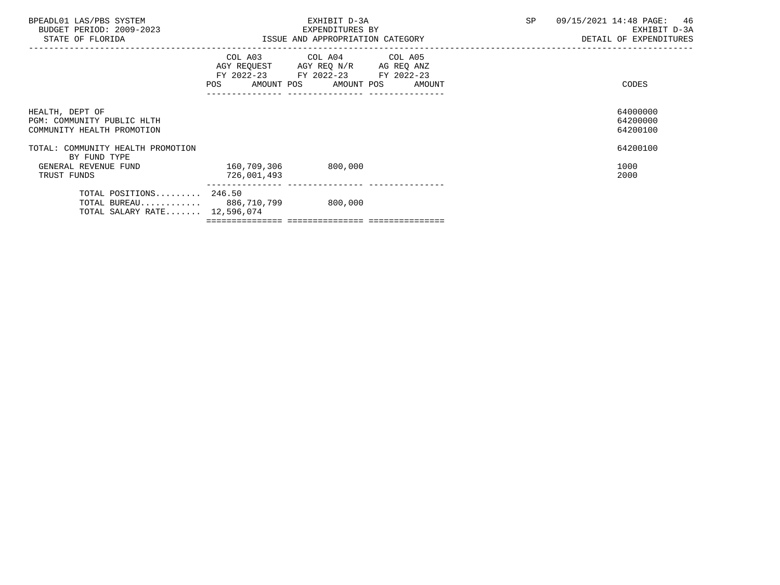| BPEADL01 LAS/PBS SYSTEM<br>BUDGET PERIOD: 2009-2023<br>STATE OF FLORIDA                    |                                    | EXHIBIT D-3A<br>EXPENDITURES BY<br>ISSUE AND APPROPRIATION CATEGORY                                                                   | SP | 09/15/2021 14:48 PAGE: 46<br>EXHIBIT D-3A<br>DETAIL OF EXPENDITURES |  |
|--------------------------------------------------------------------------------------------|------------------------------------|---------------------------------------------------------------------------------------------------------------------------------------|----|---------------------------------------------------------------------|--|
|                                                                                            |                                    | COL A03 COL A04 COL A05<br>AGY REQUEST AGY REQ N/R AG REQ ANZ<br>FY 2022-23 FY 2022-23 FY 2022-23<br>POS AMOUNT POS AMOUNT POS AMOUNT |    | CODES                                                               |  |
| HEALTH, DEPT OF<br>PGM: COMMUNITY PUBLIC HLTH<br>COMMUNITY HEALTH PROMOTION                |                                    |                                                                                                                                       |    | 64000000<br>64200000<br>64200100                                    |  |
| TOTAL: COMMUNITY HEALTH PROMOTION<br>BY FUND TYPE                                          |                                    |                                                                                                                                       |    | 64200100                                                            |  |
| GENERAL REVENUE FUND<br>TRUST FUNDS                                                        | 160,709,306 800,000<br>726,001,493 |                                                                                                                                       |    | 1000<br>2000                                                        |  |
| TOTAL POSITIONS 246.50<br>TOTAL BUREAU 886,710,799 800,000<br>TOTAL SALARY RATE 12,596,074 |                                    |                                                                                                                                       |    |                                                                     |  |

=============== =============== ===============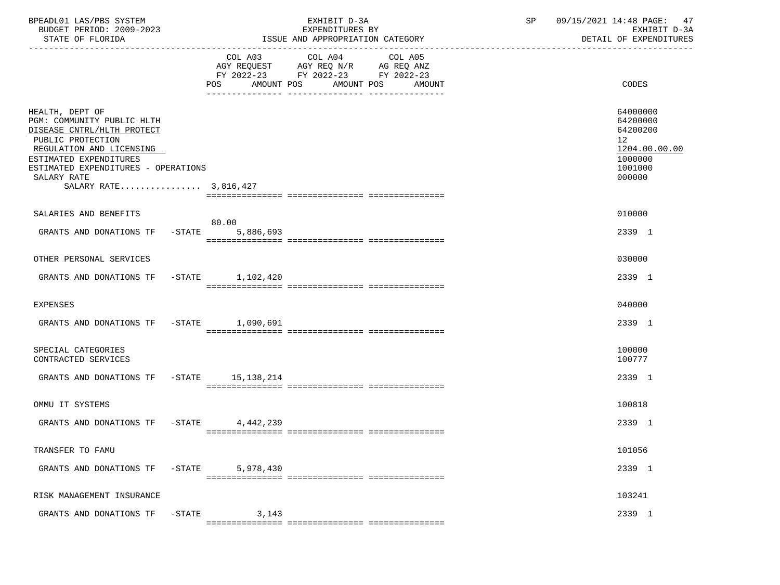| BPEADL01 LAS/PBS SYSTEM<br>BUDGET PERIOD: 2009-2023<br>STATE OF FLORIDA                                                                                                                                                               |           |                   | EXHIBIT D-3A<br>EXPENDITURES BY<br>ISSUE AND APPROPRIATION CATEGORY                       |                       |        | SP | 09/15/2021 14:48 PAGE: 47<br>EXHIBIT D-3A<br>DETAIL OF EXPENDITURES                     |
|---------------------------------------------------------------------------------------------------------------------------------------------------------------------------------------------------------------------------------------|-----------|-------------------|-------------------------------------------------------------------------------------------|-----------------------|--------|----|-----------------------------------------------------------------------------------------|
|                                                                                                                                                                                                                                       |           | POS<br>AMOUNT POS | COL A03 COL A04<br>AGY REQUEST AGY REQ N/R AG REQ ANZ<br>FY 2022-23 FY 2022-23 FY 2022-23 | COL A05<br>AMOUNT POS | AMOUNT |    | <b>CODES</b>                                                                            |
| HEALTH, DEPT OF<br>PGM: COMMUNITY PUBLIC HLTH<br>DISEASE CNTRL/HLTH PROTECT<br>PUBLIC PROTECTION<br>REGULATION AND LICENSING<br>ESTIMATED EXPENDITURES<br>ESTIMATED EXPENDITURES - OPERATIONS<br>SALARY RATE<br>SALARY RATE 3,816,427 |           |                   |                                                                                           |                       |        |    | 64000000<br>64200000<br>64200200<br>12<br>1204.00.00.00<br>1000000<br>1001000<br>000000 |
| SALARIES AND BENEFITS                                                                                                                                                                                                                 |           |                   |                                                                                           |                       |        |    | 010000                                                                                  |
| GRANTS AND DONATIONS TF -STATE 5,886,693                                                                                                                                                                                              |           | 80.00             |                                                                                           |                       |        |    | 2339 1                                                                                  |
| OTHER PERSONAL SERVICES                                                                                                                                                                                                               |           |                   |                                                                                           |                       |        |    | 030000                                                                                  |
| GRANTS AND DONATIONS TF -STATE 1,102,420                                                                                                                                                                                              |           |                   |                                                                                           |                       |        |    | 2339 1                                                                                  |
| EXPENSES                                                                                                                                                                                                                              |           |                   |                                                                                           |                       |        |    | 040000                                                                                  |
| GRANTS AND DONATIONS TF -STATE 1,090,691                                                                                                                                                                                              |           |                   |                                                                                           |                       |        |    | 2339 1                                                                                  |
| SPECIAL CATEGORIES<br>CONTRACTED SERVICES                                                                                                                                                                                             |           |                   |                                                                                           |                       |        |    | 100000<br>100777                                                                        |
| GRANTS AND DONATIONS TF -STATE 15, 138, 214                                                                                                                                                                                           |           |                   |                                                                                           |                       |        |    | 2339 1                                                                                  |
| OMMU IT SYSTEMS                                                                                                                                                                                                                       |           |                   |                                                                                           |                       |        |    | 100818                                                                                  |
| GRANTS AND DONATIONS TF -STATE 4.442.239                                                                                                                                                                                              |           |                   |                                                                                           |                       |        |    | 2339 1                                                                                  |
| TRANSFER TO FAMU                                                                                                                                                                                                                      |           |                   |                                                                                           |                       |        |    | 101056                                                                                  |
| GRANTS AND DONATIONS TF                                                                                                                                                                                                               | $-$ STATE | 5,978,430         |                                                                                           |                       |        |    | 2339 1                                                                                  |
| RISK MANAGEMENT INSURANCE                                                                                                                                                                                                             |           |                   |                                                                                           |                       |        |    | 103241                                                                                  |
| GRANTS AND DONATIONS TF                                                                                                                                                                                                               | $-$ STATE | 3,143             |                                                                                           |                       |        |    | 2339 1                                                                                  |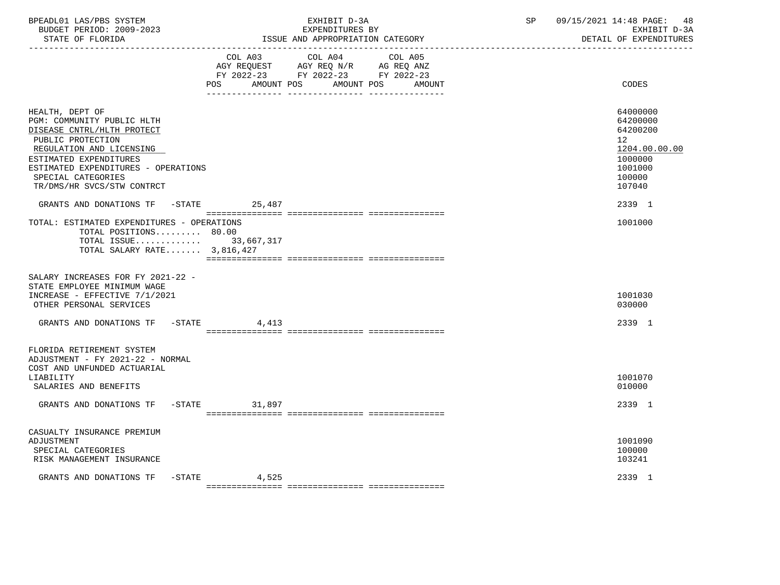| BPEADL01 LAS/PBS SYSTEM  | EXHIBIT                                | SΡ | 09/15/2021 14:48 PAGE:<br>48 |
|--------------------------|----------------------------------------|----|------------------------------|
| BUDGET PERIOD: 2009-2023 | EXPENDITURES BY                        |    | EXHIBIT D-3A                 |
| STATE OF FLORIDA         | : AND APPROPRIATION CATEGORY<br>'SSUE- |    | DETAIL OF EXPENDITURES       |

|                                                                                                                                                                                                                                                   | COL A03<br>POS FOR<br>AMOUNT POS | COL A04<br>COL A05<br>AGY REQUEST AGY REQ N/R AG REQ ANZ<br>FY 2022-23 FY 2022-23 FY 2022-23<br>AMOUNT POS<br>AMOUNT | CODES                                                                                             |
|---------------------------------------------------------------------------------------------------------------------------------------------------------------------------------------------------------------------------------------------------|----------------------------------|----------------------------------------------------------------------------------------------------------------------|---------------------------------------------------------------------------------------------------|
| HEALTH, DEPT OF<br>PGM: COMMUNITY PUBLIC HLTH<br>DISEASE CNTRL/HLTH PROTECT<br>PUBLIC PROTECTION<br>REGULATION AND LICENSING<br>ESTIMATED EXPENDITURES<br>ESTIMATED EXPENDITURES - OPERATIONS<br>SPECIAL CATEGORIES<br>TR/DMS/HR SVCS/STW CONTRCT |                                  |                                                                                                                      | 64000000<br>64200000<br>64200200<br>12<br>1204.00.00.00<br>1000000<br>1001000<br>100000<br>107040 |
| GRANTS AND DONATIONS TF - STATE                                                                                                                                                                                                                   | 25,487                           |                                                                                                                      | 2339 1                                                                                            |
| TOTAL: ESTIMATED EXPENDITURES - OPERATIONS<br>TOTAL POSITIONS 80.00<br>TOTAL ISSUE 33,667,317<br>TOTAL SALARY RATE 3,816,427                                                                                                                      |                                  |                                                                                                                      | 1001000                                                                                           |
| SALARY INCREASES FOR FY 2021-22 -<br>STATE EMPLOYEE MINIMUM WAGE<br>INCREASE - EFFECTIVE 7/1/2021<br>OTHER PERSONAL SERVICES                                                                                                                      |                                  |                                                                                                                      | 1001030<br>030000                                                                                 |
| GRANTS AND DONATIONS TF -STATE                                                                                                                                                                                                                    | 4,413                            |                                                                                                                      | 2339 1                                                                                            |
| FLORIDA RETIREMENT SYSTEM<br>ADJUSTMENT - FY 2021-22 - NORMAL<br>COST AND UNFUNDED ACTUARIAL<br>LIABILITY<br>SALARIES AND BENEFITS                                                                                                                |                                  |                                                                                                                      | 1001070<br>010000                                                                                 |
| GRANTS AND DONATIONS TF -STATE                                                                                                                                                                                                                    | 31,897                           |                                                                                                                      | 2339 1                                                                                            |
| CASUALTY INSURANCE PREMIUM<br>ADJUSTMENT<br>SPECIAL CATEGORIES<br>RISK MANAGEMENT INSURANCE                                                                                                                                                       |                                  |                                                                                                                      | 1001090<br>100000<br>103241                                                                       |
| GRANTS AND DONATIONS TF -STATE                                                                                                                                                                                                                    | 4,525                            |                                                                                                                      | 2339 1                                                                                            |

=============== =============== ===============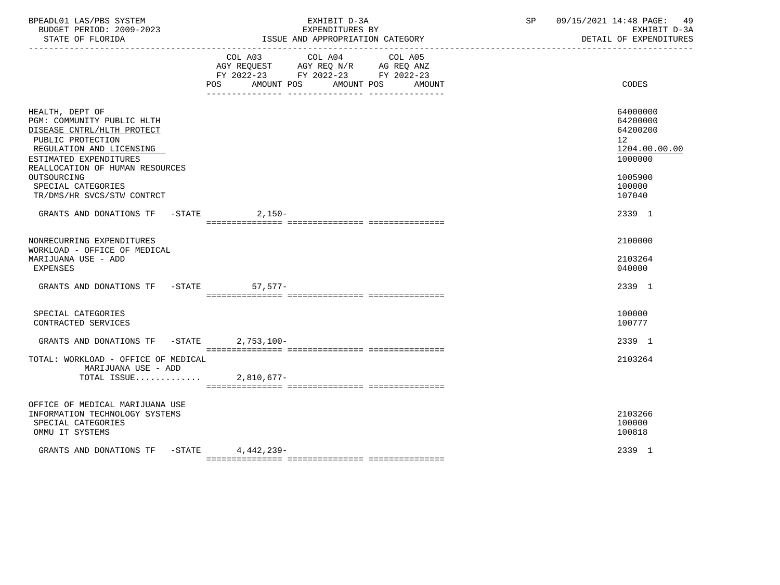| BPEADL01 LAS/PBS SYSTEM<br>BUDGET PERIOD: 2009-2023<br>STATE OF FLORIDA                                                                                                                                                                                      | EXHIBIT D-3A<br>EXPENDITURES BY<br>ISSUE AND APPROPRIATION CATEGORY                                                                            | SP<br>09/15/2021 14:48 PAGE: 49<br>EXHIBIT D-3A<br>DETAIL OF EXPENDITURES                         |
|--------------------------------------------------------------------------------------------------------------------------------------------------------------------------------------------------------------------------------------------------------------|------------------------------------------------------------------------------------------------------------------------------------------------|---------------------------------------------------------------------------------------------------|
|                                                                                                                                                                                                                                                              | COL A03 COL A04<br>COL A05<br>AGY REQUEST AGY REQ N/R AG REQ ANZ<br>FY 2022-23 FY 2022-23 FY 2022-23<br>POS AMOUNT POS<br>AMOUNT POS<br>AMOUNT | CODES                                                                                             |
| HEALTH, DEPT OF<br>PGM: COMMUNITY PUBLIC HLTH<br>DISEASE CNTRL/HLTH PROTECT<br>PUBLIC PROTECTION<br>REGULATION AND LICENSING<br>ESTIMATED EXPENDITURES<br>REALLOCATION OF HUMAN RESOURCES<br>OUTSOURCING<br>SPECIAL CATEGORIES<br>TR/DMS/HR SVCS/STW CONTRCT |                                                                                                                                                | 64000000<br>64200000<br>64200200<br>12<br>1204.00.00.00<br>1000000<br>1005900<br>100000<br>107040 |
| GRANTS AND DONATIONS TF -STATE 2,150-                                                                                                                                                                                                                        |                                                                                                                                                | 2339 1                                                                                            |
| NONRECURRING EXPENDITURES<br>WORKLOAD - OFFICE OF MEDICAL<br>MARIJUANA USE - ADD<br><b>EXPENSES</b>                                                                                                                                                          |                                                                                                                                                | 2100000<br>2103264<br>040000                                                                      |
| GRANTS AND DONATIONS TF -STATE                                                                                                                                                                                                                               | $57,577-$                                                                                                                                      | 2339 1                                                                                            |
| SPECIAL CATEGORIES<br>CONTRACTED SERVICES                                                                                                                                                                                                                    |                                                                                                                                                | 100000<br>100777                                                                                  |
| GRANTS AND DONATIONS TF -STATE 2,753,100-                                                                                                                                                                                                                    |                                                                                                                                                | 2339 1                                                                                            |
| TOTAL: WORKLOAD - OFFICE OF MEDICAL<br>MARIJUANA USE - ADD<br>TOTAL ISSUE                                                                                                                                                                                    | $2,810,677-$                                                                                                                                   | 2103264                                                                                           |
| OFFICE OF MEDICAL MARIJUANA USE<br>INFORMATION TECHNOLOGY SYSTEMS<br>SPECIAL CATEGORIES<br>OMMU IT SYSTEMS                                                                                                                                                   |                                                                                                                                                | 2103266<br>100000<br>100818                                                                       |
| GRANTS AND DONATIONS TF -STATE 4,442,239-                                                                                                                                                                                                                    |                                                                                                                                                | 2339 1                                                                                            |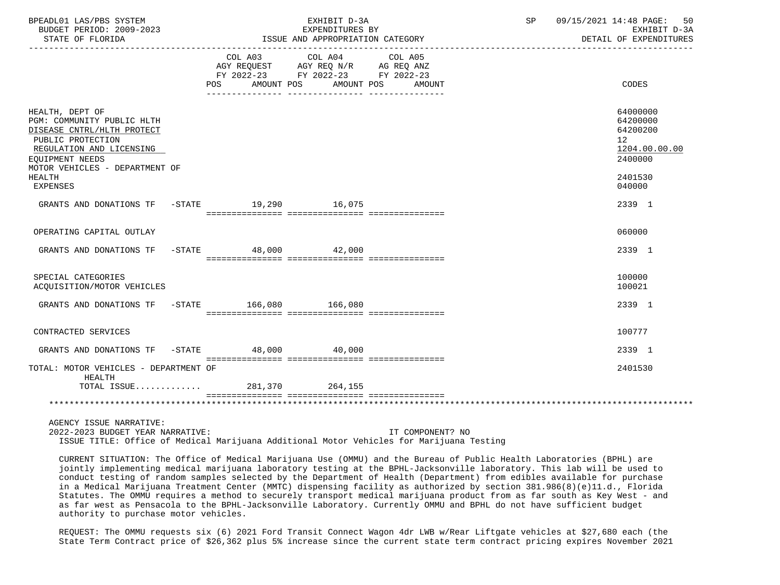| BPEADL01 LAS/PBS SYSTEM<br>BUDGET PERIOD: 2009-2023<br>STATE OF FLORIDA                                                                                                           | EXHIBIT D-3A<br>EXPENDITURES BY<br>ISSUE AND APPROPRIATION CATEGORY                                                           |                  | SP <sub>3</sub> | 09/15/2021 14:48 PAGE: 50<br>EXHIBIT D-3A<br>DETAIL OF EXPENDITURES             |
|-----------------------------------------------------------------------------------------------------------------------------------------------------------------------------------|-------------------------------------------------------------------------------------------------------------------------------|------------------|-----------------|---------------------------------------------------------------------------------|
|                                                                                                                                                                                   | COL A03 COL A04<br>AGY REQUEST AGY REQ N/R AG REQ ANZ<br>FY 2022-23 FY 2022-23 FY 2022-23<br>POS AMOUNT POS AMOUNT POS AMOUNT | COL A05          |                 | <b>CODES</b>                                                                    |
| HEALTH, DEPT OF<br>PGM: COMMUNITY PUBLIC HLTH<br>DISEASE CNTRL/HLTH PROTECT<br>PUBLIC PROTECTION<br>REGULATION AND LICENSING<br>EOUIPMENT NEEDS<br>MOTOR VEHICLES - DEPARTMENT OF |                                                                                                                               |                  |                 | 64000000<br>64200000<br>64200200<br>12 <sup>°</sup><br>1204.00.00.00<br>2400000 |
| HEALTH<br><b>EXPENSES</b>                                                                                                                                                         |                                                                                                                               |                  |                 | 2401530<br>040000                                                               |
| GRANTS AND DONATIONS TF -STATE 19,290 16,075                                                                                                                                      |                                                                                                                               |                  |                 | 2339 1                                                                          |
| OPERATING CAPITAL OUTLAY                                                                                                                                                          |                                                                                                                               |                  |                 | 060000                                                                          |
| GRANTS AND DONATIONS TF -STATE 48,000 42,000                                                                                                                                      |                                                                                                                               |                  |                 | 2339 1                                                                          |
| SPECIAL CATEGORIES<br>ACQUISITION/MOTOR VEHICLES                                                                                                                                  |                                                                                                                               |                  |                 | 100000<br>100021                                                                |
| GRANTS AND DONATIONS TF -STATE 166,080 166,080                                                                                                                                    |                                                                                                                               |                  |                 | 2339 1                                                                          |
| CONTRACTED SERVICES                                                                                                                                                               |                                                                                                                               |                  |                 | 100777                                                                          |
| GRANTS AND DONATIONS TF -STATE 48,000 40,000                                                                                                                                      |                                                                                                                               |                  |                 | 2339 1                                                                          |
| TOTAL: MOTOR VEHICLES - DEPARTMENT OF<br>HEALTH<br>TOTAL ISSUE 281,370 264,155                                                                                                    |                                                                                                                               |                  |                 | 2401530                                                                         |
|                                                                                                                                                                                   |                                                                                                                               |                  |                 |                                                                                 |
| AGENCY ISSUE NARRATIVE:<br>2022-2023 BUDGET YEAR NARRATIVE:                                                                                                                       |                                                                                                                               | IT COMPONENT? NO |                 |                                                                                 |

ISSUE TITLE: Office of Medical Marijuana Additional Motor Vehicles for Marijuana Testing

 CURRENT SITUATION: The Office of Medical Marijuana Use (OMMU) and the Bureau of Public Health Laboratories (BPHL) are jointly implementing medical marijuana laboratory testing at the BPHL-Jacksonville laboratory. This lab will be used to conduct testing of random samples selected by the Department of Health (Department) from edibles available for purchase in a Medical Marijuana Treatment Center (MMTC) dispensing facility as authorized by section 381.986(8)(e)11.d., Florida Statutes. The OMMU requires a method to securely transport medical marijuana product from as far south as Key West - and as far west as Pensacola to the BPHL-Jacksonville Laboratory. Currently OMMU and BPHL do not have sufficient budget authority to purchase motor vehicles.

 REQUEST: The OMMU requests six (6) 2021 Ford Transit Connect Wagon 4dr LWB w/Rear Liftgate vehicles at \$27,680 each (the State Term Contract price of \$26,362 plus 5% increase since the current state term contract pricing expires November 2021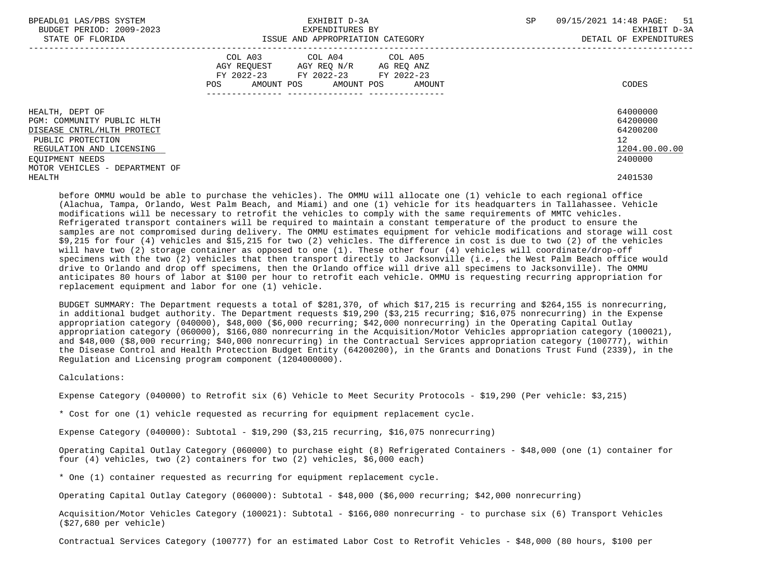| BPEADL01 LAS/PBS SYSTEM<br>BUDGET PERIOD: 2009-2023<br>STATE OF FLORIDA                                                                                                           | EXHIBIT D-3A<br>EXPENDITURES BY<br>ISSUE AND APPROPRIATION CATEGORY                                                                      | <b>SP</b><br>09/15/2021 14:48 PAGE: 51<br>EXHIBIT D-3A<br>DETAIL OF EXPENDITURES |
|-----------------------------------------------------------------------------------------------------------------------------------------------------------------------------------|------------------------------------------------------------------------------------------------------------------------------------------|----------------------------------------------------------------------------------|
|                                                                                                                                                                                   | COL A03 COL A04 COL A05<br>AGY REQUEST AGY REQ N/R AG REQ ANZ<br>FY 2022-23 FY 2022-23 FY 2022-23<br>AMOUNT POS AMOUNT POS AMOUNT<br>POS | CODES                                                                            |
| HEALTH, DEPT OF<br>PGM: COMMUNITY PUBLIC HLTH<br>DISEASE CNTRL/HLTH PROTECT<br>PUBLIC PROTECTION<br>REGULATION AND LICENSING<br>EOUIPMENT NEEDS<br>MOTOR VEHICLES - DEPARTMENT OF |                                                                                                                                          | 64000000<br>64200000<br>64200200<br>12 <sup>12</sup><br>1204.00.00.00<br>2400000 |
| HEALTH                                                                                                                                                                            |                                                                                                                                          | 2401530                                                                          |

 before OMMU would be able to purchase the vehicles). The OMMU will allocate one (1) vehicle to each regional office (Alachua, Tampa, Orlando, West Palm Beach, and Miami) and one (1) vehicle for its headquarters in Tallahassee. Vehicle modifications will be necessary to retrofit the vehicles to comply with the same requirements of MMTC vehicles. Refrigerated transport containers will be required to maintain a constant temperature of the product to ensure the samples are not compromised during delivery. The OMMU estimates equipment for vehicle modifications and storage will cost \$9,215 for four (4) vehicles and \$15,215 for two (2) vehicles. The difference in cost is due to two (2) of the vehicles will have two (2) storage container as opposed to one (1). These other four (4) vehicles will coordinate/drop-off specimens with the two (2) vehicles that then transport directly to Jacksonville (i.e., the West Palm Beach office would drive to Orlando and drop off specimens, then the Orlando office will drive all specimens to Jacksonville). The OMMU anticipates 80 hours of labor at \$100 per hour to retrofit each vehicle. OMMU is requesting recurring appropriation for replacement equipment and labor for one (1) vehicle.

 BUDGET SUMMARY: The Department requests a total of \$281,370, of which \$17,215 is recurring and \$264,155 is nonrecurring, in additional budget authority. The Department requests \$19,290 (\$3,215 recurring; \$16,075 nonrecurring) in the Expense appropriation category (040000), \$48,000 (\$6,000 recurring; \$42,000 nonrecurring) in the Operating Capital Outlay appropriation category (060000), \$166,080 nonrecurring in the Acquisition/Motor Vehicles appropriation category (100021), and \$48,000 (\$8,000 recurring; \$40,000 nonrecurring) in the Contractual Services appropriation category (100777), within the Disease Control and Health Protection Budget Entity (64200200), in the Grants and Donations Trust Fund (2339), in the Regulation and Licensing program component (1204000000).

Calculations:

Expense Category (040000) to Retrofit six (6) Vehicle to Meet Security Protocols - \$19,290 (Per vehicle: \$3,215)

\* Cost for one (1) vehicle requested as recurring for equipment replacement cycle.

Expense Category (040000): Subtotal - \$19,290 (\$3,215 recurring, \$16,075 nonrecurring)

 Operating Capital Outlay Category (060000) to purchase eight (8) Refrigerated Containers - \$48,000 (one (1) container for four (4) vehicles, two (2) containers for two (2) vehicles, \$6,000 each)

\* One (1) container requested as recurring for equipment replacement cycle.

Operating Capital Outlay Category (060000): Subtotal - \$48,000 (\$6,000 recurring; \$42,000 nonrecurring)

 Acquisition/Motor Vehicles Category (100021): Subtotal - \$166,080 nonrecurring - to purchase six (6) Transport Vehicles (\$27,680 per vehicle)

Contractual Services Category (100777) for an estimated Labor Cost to Retrofit Vehicles - \$48,000 (80 hours, \$100 per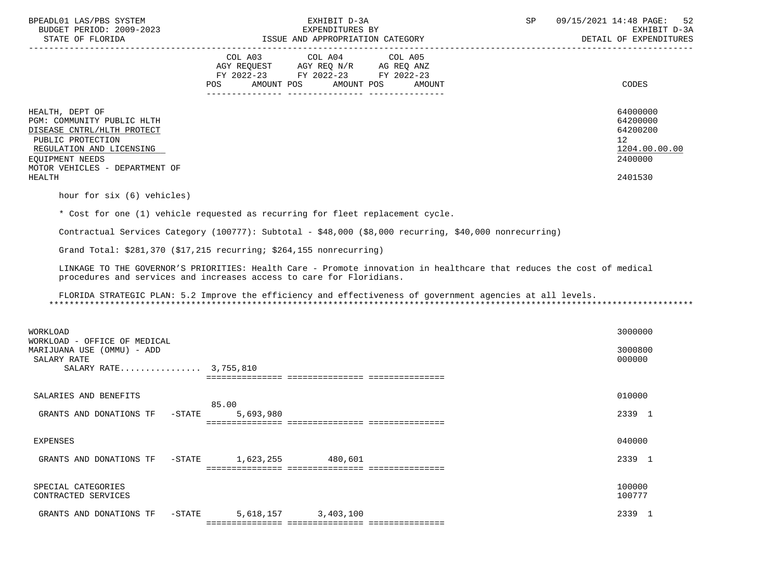| BPEADL01 LAS/PBS SYSTEM<br>BUDGET PERIOD: 2009-2023<br>STATE OF FLORIDA                                                                                                                     | EXHIBIT D-3A<br>EXPENDITURES BY<br>ISSUE AND APPROPRIATION CATEGORY                                                                                                                           | SP<br>09/15/2021 14:48 PAGE:<br>52<br>EXHIBIT D-3A<br>DETAIL OF EXPENDITURES  |
|---------------------------------------------------------------------------------------------------------------------------------------------------------------------------------------------|-----------------------------------------------------------------------------------------------------------------------------------------------------------------------------------------------|-------------------------------------------------------------------------------|
|                                                                                                                                                                                             | COL A03<br>COL A04<br>COL A05<br>AGY REQUEST AGY REQ N/R AG REQ ANZ<br>FY 2022-23 FY 2022-23 FY 2022-23<br>AMOUNT POS<br>AMOUNT POS<br>AMOUNT<br>POS                                          | CODES                                                                         |
| HEALTH, DEPT OF<br>PGM: COMMUNITY PUBLIC HLTH<br>DISEASE CNTRL/HLTH PROTECT<br>PUBLIC PROTECTION<br>REGULATION AND LICENSING<br>EOUIPMENT NEEDS<br>MOTOR VEHICLES - DEPARTMENT OF<br>HEALTH |                                                                                                                                                                                               | 64000000<br>64200000<br>64200200<br>12<br>1204.00.00.00<br>2400000<br>2401530 |
| hour for six (6) vehicles)                                                                                                                                                                  |                                                                                                                                                                                               |                                                                               |
|                                                                                                                                                                                             | * Cost for one (1) vehicle requested as recurring for fleet replacement cycle.                                                                                                                |                                                                               |
|                                                                                                                                                                                             | Contractual Services Category (100777): Subtotal - \$48,000 (\$8,000 recurring, \$40,000 nonrecurring)                                                                                        |                                                                               |
|                                                                                                                                                                                             | Grand Total: $$281,370$ ( $$17,215$ recurring; $$264,155$ nonrecurring)                                                                                                                       |                                                                               |
|                                                                                                                                                                                             | LINKAGE TO THE GOVERNOR'S PRIORITIES: Health Care - Promote innovation in healthcare that reduces the cost of medical<br>procedures and services and increases access to care for Floridians. |                                                                               |
|                                                                                                                                                                                             | FLORIDA STRATEGIC PLAN: 5.2 Improve the efficiency and effectiveness of government agencies at all levels.                                                                                    |                                                                               |
| WORKLOAD<br>WORKLOAD - OFFICE OF MEDICAL                                                                                                                                                    |                                                                                                                                                                                               | 3000000                                                                       |
| MARIJUANA USE (OMMU) - ADD<br>SALARY RATE<br>SALARY RATE 3,755,810                                                                                                                          |                                                                                                                                                                                               | 3000800<br>000000                                                             |
|                                                                                                                                                                                             |                                                                                                                                                                                               |                                                                               |
| SALARIES AND BENEFITS                                                                                                                                                                       |                                                                                                                                                                                               | 010000                                                                        |
| GRANTS AND DONATIONS TF<br>-STATE                                                                                                                                                           | 85.00<br>5,693,980                                                                                                                                                                            | 2339 1                                                                        |
| <b>EXPENSES</b>                                                                                                                                                                             |                                                                                                                                                                                               | 040000                                                                        |
| GRANTS AND DONATIONS TF<br>$-$ STATE                                                                                                                                                        | 1,623,255<br>480,601                                                                                                                                                                          | 2339 1                                                                        |
| SPECIAL CATEGORIES<br>CONTRACTED SERVICES                                                                                                                                                   |                                                                                                                                                                                               | 100000<br>100777                                                              |
| $-$ STATE<br>GRANTS AND DONATIONS TF                                                                                                                                                        | 5,618,157<br>3,403,100                                                                                                                                                                        | 2339 1                                                                        |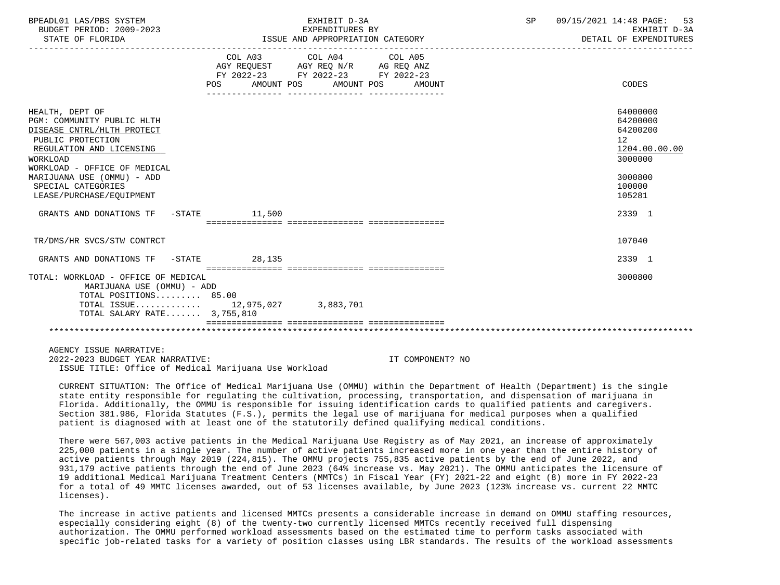| BPEADL01 LAS/PBS SYSTEM<br>BUDGET PERIOD: 2009-2023<br>STATE OF FLORIDA                                                                                                                                                                                  |                                                                                      | EXHIBIT D-3A<br>EXPENDITURES BY<br>ISSUE AND APPROPRIATION CATEGORY |                  | SP | 09/15/2021 14:48 PAGE:<br>53<br>EXHIBIT D-3A<br>DETAIL OF EXPENDITURES                            |
|----------------------------------------------------------------------------------------------------------------------------------------------------------------------------------------------------------------------------------------------------------|--------------------------------------------------------------------------------------|---------------------------------------------------------------------|------------------|----|---------------------------------------------------------------------------------------------------|
|                                                                                                                                                                                                                                                          | AGY REQUEST AGY REQ N/R AG REQ ANZ<br>FY 2022-23 FY 2022-23 FY 2022-23<br><b>POS</b> | COL A03 COL A04 COL A05<br>AMOUNT POS AMOUNT POS                    | AMOUNT           |    | CODES                                                                                             |
| HEALTH, DEPT OF<br>PGM: COMMUNITY PUBLIC HLTH<br>DISEASE CNTRL/HLTH PROTECT<br>PUBLIC PROTECTION<br>REGULATION AND LICENSING<br>WORKLOAD<br>WORKLOAD - OFFICE OF MEDICAL<br>MARIJUANA USE (OMMU) - ADD<br>SPECIAL CATEGORIES<br>LEASE/PURCHASE/EQUIPMENT |                                                                                      |                                                                     |                  |    | 64000000<br>64200000<br>64200200<br>12<br>1204.00.00.00<br>3000000<br>3000800<br>100000<br>105281 |
| GRANTS AND DONATIONS TF                                                                                                                                                                                                                                  | -STATE 11,500                                                                        |                                                                     |                  |    | 2339 1                                                                                            |
| TR/DMS/HR SVCS/STW CONTRCT                                                                                                                                                                                                                               |                                                                                      |                                                                     |                  |    | 107040                                                                                            |
| GRANTS AND DONATIONS TF -STATE 28,135                                                                                                                                                                                                                    |                                                                                      |                                                                     |                  |    | 2339 1                                                                                            |
| TOTAL: WORKLOAD - OFFICE OF MEDICAL<br>MARIJUANA USE (OMMU) - ADD<br>TOTAL POSITIONS 85.00<br>TOTAL ISSUE 12,975,027 3,883,701<br>TOTAL SALARY RATE 3,755,810                                                                                            |                                                                                      |                                                                     |                  |    | 3000800                                                                                           |
|                                                                                                                                                                                                                                                          |                                                                                      |                                                                     |                  |    |                                                                                                   |
| AGENCY ISSUE NARRATIVE:<br>2022-2023 BUDGET YEAR NARRATIVE:<br>ISSUE TITLE: Office of Medical Marijuana Use Workload                                                                                                                                     |                                                                                      |                                                                     | IT COMPONENT? NO |    |                                                                                                   |

 CURRENT SITUATION: The Office of Medical Marijuana Use (OMMU) within the Department of Health (Department) is the single state entity responsible for regulating the cultivation, processing, transportation, and dispensation of marijuana in Florida. Additionally, the OMMU is responsible for issuing identification cards to qualified patients and caregivers. Section 381.986, Florida Statutes (F.S.), permits the legal use of marijuana for medical purposes when a qualified patient is diagnosed with at least one of the statutorily defined qualifying medical conditions.

 There were 567,003 active patients in the Medical Marijuana Use Registry as of May 2021, an increase of approximately 225,000 patients in a single year. The number of active patients increased more in one year than the entire history of active patients through May 2019 (224,815). The OMMU projects 755,835 active patients by the end of June 2022, and 931,179 active patients through the end of June 2023 (64% increase vs. May 2021). The OMMU anticipates the licensure of 19 additional Medical Marijuana Treatment Centers (MMTCs) in Fiscal Year (FY) 2021-22 and eight (8) more in FY 2022-23 for a total of 49 MMTC licenses awarded, out of 53 licenses available, by June 2023 (123% increase vs. current 22 MMTC licenses).

 The increase in active patients and licensed MMTCs presents a considerable increase in demand on OMMU staffing resources, especially considering eight (8) of the twenty-two currently licensed MMTCs recently received full dispensing authorization. The OMMU performed workload assessments based on the estimated time to perform tasks associated with specific job-related tasks for a variety of position classes using LBR standards. The results of the workload assessments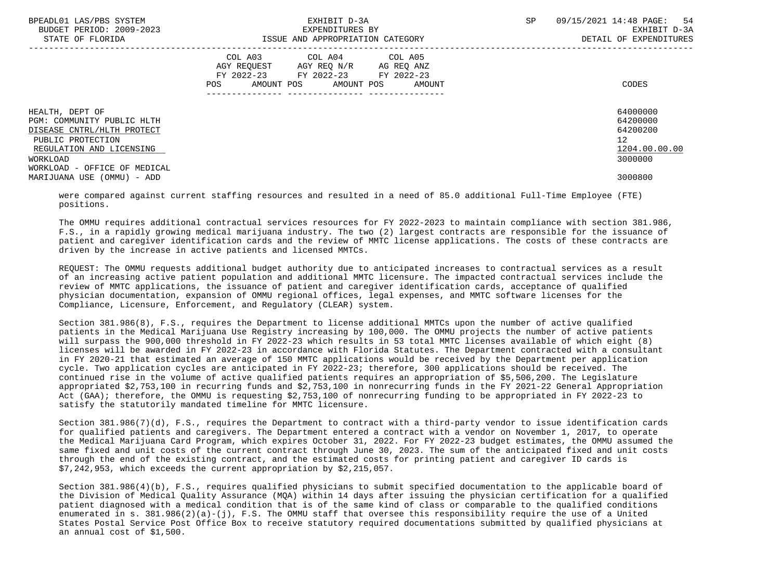| BPEADL01 LAS/PBS SYSTEM<br>BUDGET PERIOD: 2009-2023<br>STATE OF FLORIDA                                                                  | EXHIBIT D-3A<br>EXPENDITURES BY<br>ISSUE AND APPROPRIATION CATEGORY                                                                      | SP<br>09/15/2021 14:48 PAGE:<br>-54<br>EXHIBIT D-3A<br>DETAIL OF EXPENDITURES   |
|------------------------------------------------------------------------------------------------------------------------------------------|------------------------------------------------------------------------------------------------------------------------------------------|---------------------------------------------------------------------------------|
|                                                                                                                                          | COL A03 COL A04 COL A05<br>AGY REOUEST AGY REO N/R<br>AG REQ ANZ<br>FY 2022-23 FY 2022-23 FY 2022-23<br>POS AMOUNT POS AMOUNT POS AMOUNT | CODES                                                                           |
| HEALTH, DEPT OF<br>PGM: COMMUNITY PUBLIC HLTH<br>DISEASE CNTRL/HLTH PROTECT<br>PUBLIC PROTECTION<br>REGULATION AND LICENSING<br>WORKLOAD |                                                                                                                                          | 64000000<br>64200000<br>64200200<br>12 <sup>°</sup><br>1204.00.00.00<br>3000000 |
| WORKLOAD - OFFICE OF MEDICAL<br>MARIJUANA USE (OMMU) - ADD                                                                               |                                                                                                                                          | 3000800                                                                         |

 were compared against current staffing resources and resulted in a need of 85.0 additional Full-Time Employee (FTE) positions.

 The OMMU requires additional contractual services resources for FY 2022-2023 to maintain compliance with section 381.986, F.S., in a rapidly growing medical marijuana industry. The two (2) largest contracts are responsible for the issuance of patient and caregiver identification cards and the review of MMTC license applications. The costs of these contracts are driven by the increase in active patients and licensed MMTCs.

 REQUEST: The OMMU requests additional budget authority due to anticipated increases to contractual services as a result of an increasing active patient population and additional MMTC licensure. The impacted contractual services include the review of MMTC applications, the issuance of patient and caregiver identification cards, acceptance of qualified physician documentation, expansion of OMMU regional offices, legal expenses, and MMTC software licenses for the Compliance, Licensure, Enforcement, and Regulatory (CLEAR) system.

 Section 381.986(8), F.S., requires the Department to license additional MMTCs upon the number of active qualified patients in the Medical Marijuana Use Registry increasing by 100,000. The OMMU projects the number of active patients will surpass the 900,000 threshold in FY 2022-23 which results in 53 total MMTC licenses available of which eight (8) licenses will be awarded in FY 2022-23 in accordance with Florida Statutes. The Department contracted with a consultant in FY 2020-21 that estimated an average of 150 MMTC applications would be received by the Department per application cycle. Two application cycles are anticipated in FY 2022-23; therefore, 300 applications should be received. The continued rise in the volume of active qualified patients requires an appropriation of \$5,506,200. The Legislature appropriated \$2,753,100 in recurring funds and \$2,753,100 in nonrecurring funds in the FY 2021-22 General Appropriation Act (GAA); therefore, the OMMU is requesting \$2,753,100 of nonrecurring funding to be appropriated in FY 2022-23 to satisfy the statutorily mandated timeline for MMTC licensure.

 Section 381.986(7)(d), F.S., requires the Department to contract with a third-party vendor to issue identification cards for qualified patients and caregivers. The Department entered a contract with a vendor on November 1, 2017, to operate the Medical Marijuana Card Program, which expires October 31, 2022. For FY 2022-23 budget estimates, the OMMU assumed the same fixed and unit costs of the current contract through June 30, 2023. The sum of the anticipated fixed and unit costs through the end of the existing contract, and the estimated costs for printing patient and caregiver ID cards is \$7,242,953, which exceeds the current appropriation by \$2,215,057.

 Section 381.986(4)(b), F.S., requires qualified physicians to submit specified documentation to the applicable board of the Division of Medical Quality Assurance (MQA) within 14 days after issuing the physician certification for a qualified patient diagnosed with a medical condition that is of the same kind of class or comparable to the qualified conditions enumerated in s. 381.986(2)(a)-(j), F.S. The OMMU staff that oversee this responsibility require the use of a United States Postal Service Post Office Box to receive statutory required documentations submitted by qualified physicians at an annual cost of \$1,500.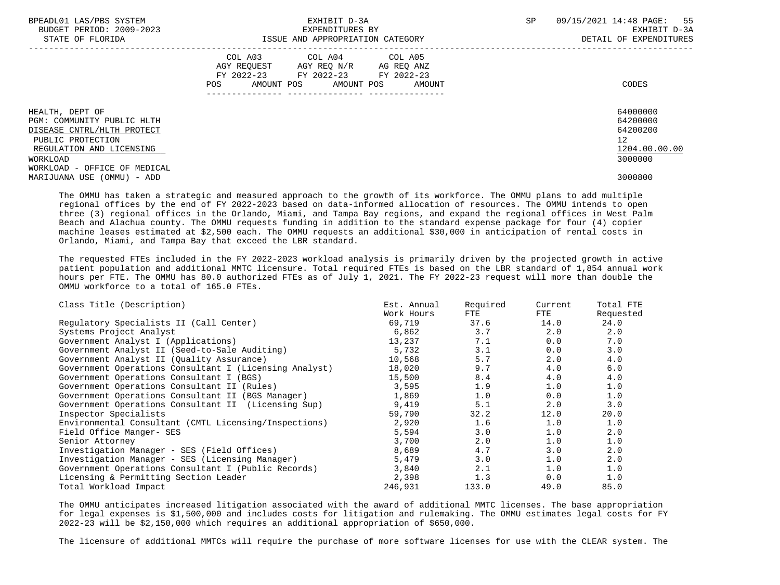| BPEADL01 LAS/PBS SYSTEM<br>BUDGET PERIOD: 2009-2023<br>STATE OF FLORIDA | EXHIBIT D-3A<br>EXPENDITURES BY<br>ISSUE AND APPROPRIATION CATEGORY                                                                                                                                                                                 | 55<br>SP<br>09/15/2021 14:48 PAGE:<br>EXHIBIT D-3A<br>DETAIL OF EXPENDITURES |
|-------------------------------------------------------------------------|-----------------------------------------------------------------------------------------------------------------------------------------------------------------------------------------------------------------------------------------------------|------------------------------------------------------------------------------|
|                                                                         | COL A03 COL A04 COL A05<br>AGY REQUEST AGY REQ N/R AG REQ ANZ<br>FY 2022-23 FY 2022-23 FY 2022-23<br>AMOUNT POS AMOUNT POS AMOUNT<br>POS FOR THE POST OF THE POST OF THE POST OF THE POST OF THE POST OF THE POST OF THE POST OF THE POST OF THE PO | CODES                                                                        |
| HEALTH, DEPT OF<br>PGM: COMMUNITY PUBLIC HLTH                           |                                                                                                                                                                                                                                                     | 64000000<br>64200000                                                         |
| DISEASE CNTRL/HLTH PROTECT<br>PUBLIC PROTECTION                         |                                                                                                                                                                                                                                                     | 64200200<br>12 <sup>°</sup>                                                  |
| REGULATION AND LICENSING                                                |                                                                                                                                                                                                                                                     | 1204.00.00.00                                                                |
| WORKLOAD<br>WORKLOAD - OFFICE OF MEDICAL                                |                                                                                                                                                                                                                                                     | 3000000                                                                      |
| MARIJUANA USE (OMMU) - ADD                                              |                                                                                                                                                                                                                                                     | 3000800                                                                      |

 The OMMU has taken a strategic and measured approach to the growth of its workforce. The OMMU plans to add multiple regional offices by the end of FY 2022-2023 based on data-informed allocation of resources. The OMMU intends to open three (3) regional offices in the Orlando, Miami, and Tampa Bay regions, and expand the regional offices in West Palm Beach and Alachua county. The OMMU requests funding in addition to the standard expense package for four (4) copier machine leases estimated at \$2,500 each. The OMMU requests an additional \$30,000 in anticipation of rental costs in Orlando, Miami, and Tampa Bay that exceed the LBR standard.

 The requested FTEs included in the FY 2022-2023 workload analysis is primarily driven by the projected growth in active patient population and additional MMTC licensure. Total required FTEs is based on the LBR standard of 1,854 annual work hours per FTE. The OMMU has 80.0 authorized FTEs as of July 1, 2021. The FY 2022-23 request will more than double the OMMU workforce to a total of 165.0 FTEs.

| Class Title (Description)                              | Est. Annual | Required | Current | Total FTE |
|--------------------------------------------------------|-------------|----------|---------|-----------|
|                                                        | Work Hours  | FTE      | FTE     | Requested |
| Regulatory Specialists II (Call Center)                | 69,719      | 37.6     | 14.0    | 24.0      |
| Systems Project Analyst                                | 6,862       | 3.7      | 2.0     | 2.0       |
| Government Analyst I (Applications)                    | 13,237      | 7.1      | 0.0     | 7.0       |
| Government Analyst II (Seed-to-Sale Auditing)          | 5,732       | 3.1      | 0.0     | 3.0       |
| Government Analyst II (Quality Assurance)              | 10,568      | 5.7      | 2.0     | 4.0       |
| Government Operations Consultant I (Licensing Analyst) | 18,020      | 9.7      | 4.0     | 6.0       |
| Government Operations Consultant I (BGS)               | 15,500      | 8.4      | 4.0     | 4.0       |
| Government Operations Consultant II (Rules)            | 3.595       | 1.9      | 1.0     | 1.0       |
| Government Operations Consultant II (BGS Manager)      | 1,869       | 1.0      | 0.0     | 1.0       |
| Government Operations Consultant II (Licensing Sup)    | 9,419       | 5.1      | 2.0     | 3.0       |
| Inspector Specialists                                  | 59,790      | 32.2     | 12.0    | 20.0      |
| Environmental Consultant (CMTL Licensing/Inspections)  | 2,920       | 1.6      | 1.0     | 1.0       |
| Field Office Manger- SES                               | 5,594       | 3.0      | 1.0     | 2.0       |
| Senior Attorney                                        | 3,700       | 2.0      | 1.0     | 1.0       |
| Investigation Manager - SES (Field Offices)            | 8,689       | 4.7      | 3.0     | 2.0       |
| Investigation Manager - SES (Licensing Manager)        | 5,479       | 3.0      | 1.0     | 2.0       |
| Government Operations Consultant I (Public Records)    | 3,840       | 2.1      | 1.0     | 1.0       |
| Licensing & Permitting Section Leader                  | 2,398       | 1.3      | 0.0     | 1.0       |
| Total Workload Impact                                  | 246,931     | 133.0    | 49.0    | 85.0      |

 The OMMU anticipates increased litigation associated with the award of additional MMTC licenses. The base appropriation for legal expenses is \$1,500,000 and includes costs for litigation and rulemaking. The OMMU estimates legal costs for FY 2022-23 will be \$2,150,000 which requires an additional appropriation of \$650,000.

The licensure of additional MMTCs will require the purchase of more software licenses for use with the CLEAR system. The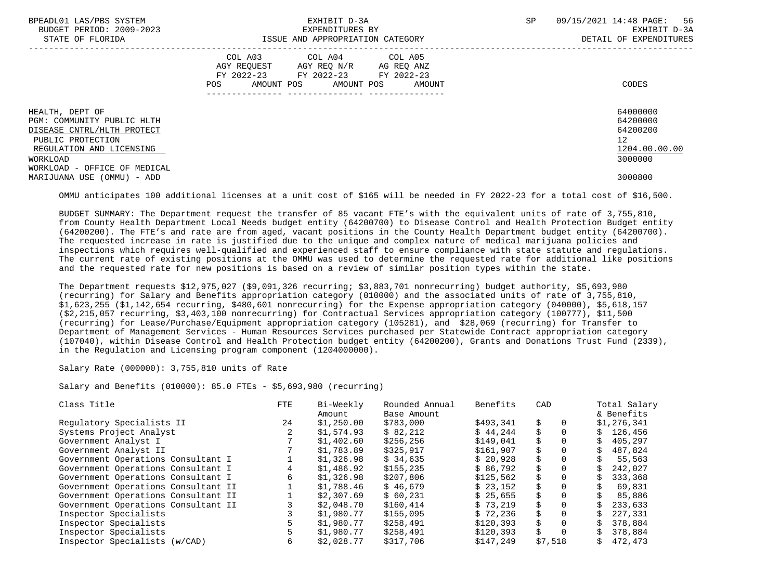| BPEADL01 LAS/PBS SYSTEM      | EXHIBIT D-3A                           | -56<br>09/15/2021 14:48 PAGE:<br>SP |
|------------------------------|----------------------------------------|-------------------------------------|
| BUDGET PERIOD: 2009-2023     | EXPENDITURES BY                        | EXHIBIT D-3A                        |
| STATE OF FLORIDA             | ISSUE AND APPROPRIATION CATEGORY       | DETAIL OF EXPENDITURES              |
|                              | COL A03 COL A04 COL A05                |                                     |
|                              | AGY REQUEST AGY REQ N/R AG REQ ANZ     |                                     |
|                              | FY 2022-23 FY 2022-23 FY 2022-23       |                                     |
|                              | AMOUNT POS AMOUNT POS<br>POS<br>AMOUNT | CODES                               |
|                              |                                        |                                     |
| HEALTH, DEPT OF              |                                        | 64000000                            |
| PGM: COMMUNITY PUBLIC HLTH   |                                        | 64200000                            |
| DISEASE CNTRL/HLTH PROTECT   |                                        | 64200200                            |
| PUBLIC PROTECTION            |                                        | 12 <sup>°</sup>                     |
| REGULATION AND LICENSING     |                                        | 1204.00.00.00                       |
| WORKLOAD                     |                                        | 3000000                             |
| WORKLOAD - OFFICE OF MEDICAL |                                        |                                     |
| MARIJUANA USE (OMMU) - ADD   |                                        | 3000800                             |

OMMU anticipates 100 additional licenses at a unit cost of \$165 will be needed in FY 2022-23 for a total cost of \$16,500.

 BUDGET SUMMARY: The Department request the transfer of 85 vacant FTE's with the equivalent units of rate of 3,755,810, from County Health Department Local Needs budget entity (64200700) to Disease Control and Health Protection Budget entity (64200200). The FTE's and rate are from aged, vacant positions in the County Health Department budget entity (64200700). The requested increase in rate is justified due to the unique and complex nature of medical marijuana policies and inspections which requires well-qualified and experienced staff to ensure compliance with state statute and regulations. The current rate of existing positions at the OMMU was used to determine the requested rate for additional like positions and the requested rate for new positions is based on a review of similar position types within the state.

 The Department requests \$12,975,027 (\$9,091,326 recurring; \$3,883,701 nonrecurring) budget authority, \$5,693,980 (recurring) for Salary and Benefits appropriation category (010000) and the associated units of rate of 3,755,810, \$1,623,255 (\$1,142,654 recurring, \$480,601 nonrecurring) for the Expense appropriation category (040000), \$5,618,157 (\$2,215,057 recurring, \$3,403,100 nonrecurring) for Contractual Services appropriation category (100777), \$11,500 (recurring) for Lease/Purchase/Equipment appropriation category (105281), and \$28,069 (recurring) for Transfer to Department of Management Services - Human Resources Services purchased per Statewide Contract appropriation category (107040), within Disease Control and Health Protection budget entity (64200200), Grants and Donations Trust Fund (2339), in the Regulation and Licensing program component (1204000000).

Salary Rate (000000): 3,755,810 units of Rate

Salary and Benefits (010000): 85.0 FTEs - \$5,693,980 (recurring)

| Class Title                         | <b>FTE</b> | Bi-Weekly<br>Amount | Rounded Annual<br>Base Amount | Benefits  | CAD     |                | Total Salary<br>& Benefits |
|-------------------------------------|------------|---------------------|-------------------------------|-----------|---------|----------------|----------------------------|
| Regulatory Specialists II           | 24         | \$1,250.00          | \$783,000                     | \$493,341 | \$      | 0              | \$1,276,341                |
| Systems Project Analyst             |            | \$1,574.93          | \$82,212                      | \$44.244  | Ŝ.      |                | \$126,456                  |
| Government Analyst I                |            | \$1,402.60          | \$256,256                     | \$149,041 | \$      | S.             | 405,297                    |
| Government Analyst II               |            | \$1,783.89          | \$325,917                     | \$161,907 | \$      | 0              | 487,824                    |
| Government Operations Consultant I  |            | \$1,326.98          | \$34,635                      | \$20.928  | \$      | $\Omega$       | 55,563                     |
| Government Operations Consultant I  | 4          | \$1,486.92          | \$155,235                     | \$86,792  | Ŝ.      | $\Omega$       | 242,027                    |
| Government Operations Consultant I  | 6          | \$1,326.98          | \$207,806                     | \$125,562 | Ŝ.      | 0              | 333,368                    |
| Government Operations Consultant II |            | \$1,788.46          | \$46,679                      | \$23,152  | \$      | $\Omega$       | 69,831                     |
| Government Operations Consultant II |            | \$2,307.69          | \$60,231                      | \$25,655  | Ŝ.      | 0              | 85,886                     |
| Government Operations Consultant II |            | \$2,048.70          | \$160,414                     | \$73.219  | \$      | $\Omega$       | 233,633                    |
| Inspector Specialists               |            | \$1,980.77          | \$155,095                     | \$72,236  | \$      | S.             | 227,331                    |
| Inspector Specialists               |            | \$1,980.77          | \$258,491                     | \$120,393 | \$      |                | 378,884                    |
| Inspector Specialists               | 5          | \$1,980.77          | \$258,491                     | \$120,393 | \$      | $\Omega$<br>S. | 378,884                    |
| Inspector Specialists (w/CAD)       | 6          | \$2,028.77          | \$317,706                     | \$147,249 | \$7,518 | S.             | 472,473                    |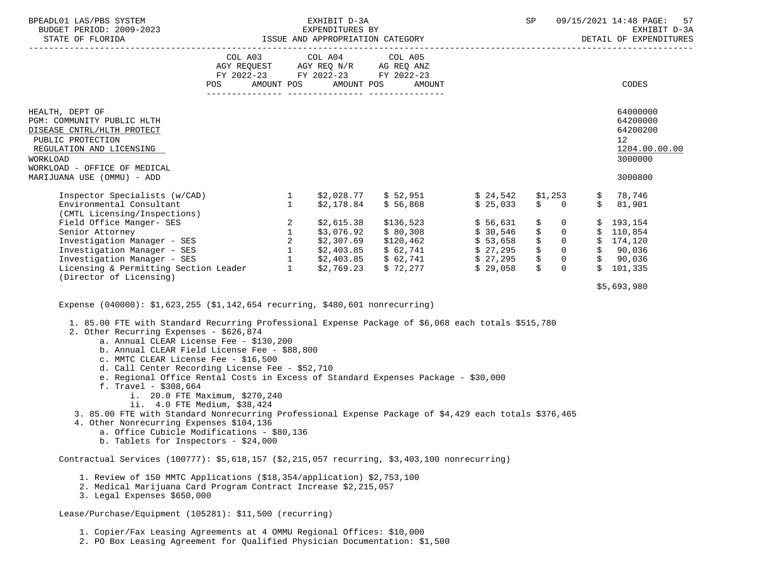|     |                                                                                                                                             |                                         |                                              |                                                                                                                                                                                                                                                   | SP |                                                           |                                                                                                    | 57<br>09/15/2021 14:48 PAGE:<br>EXHIBIT D-3A<br>DETAIL OF EXPENDITURES                                                                                                                                                                                                                                                                                                                             |
|-----|---------------------------------------------------------------------------------------------------------------------------------------------|-----------------------------------------|----------------------------------------------|---------------------------------------------------------------------------------------------------------------------------------------------------------------------------------------------------------------------------------------------------|----|-----------------------------------------------------------|----------------------------------------------------------------------------------------------------|----------------------------------------------------------------------------------------------------------------------------------------------------------------------------------------------------------------------------------------------------------------------------------------------------------------------------------------------------------------------------------------------------|
| POS |                                                                                                                                             |                                         | AMOUNT                                       |                                                                                                                                                                                                                                                   |    |                                                           |                                                                                                    | CODES                                                                                                                                                                                                                                                                                                                                                                                              |
|     |                                                                                                                                             |                                         |                                              |                                                                                                                                                                                                                                                   |    |                                                           |                                                                                                    | 64000000<br>64200000<br>64200200<br>12 <sup>°</sup><br>1204.00.00.00<br>3000000                                                                                                                                                                                                                                                                                                                    |
|     |                                                                                                                                             |                                         |                                              |                                                                                                                                                                                                                                                   |    |                                                           |                                                                                                    | 3000800                                                                                                                                                                                                                                                                                                                                                                                            |
|     |                                                                                                                                             |                                         |                                              |                                                                                                                                                                                                                                                   |    |                                                           |                                                                                                    | \$78,746<br>\$3,901                                                                                                                                                                                                                                                                                                                                                                                |
|     |                                                                                                                                             |                                         |                                              |                                                                                                                                                                                                                                                   |    |                                                           |                                                                                                    |                                                                                                                                                                                                                                                                                                                                                                                                    |
|     |                                                                                                                                             |                                         |                                              |                                                                                                                                                                                                                                                   |    |                                                           |                                                                                                    |                                                                                                                                                                                                                                                                                                                                                                                                    |
|     |                                                                                                                                             |                                         |                                              |                                                                                                                                                                                                                                                   |    |                                                           |                                                                                                    | \$5,693,980                                                                                                                                                                                                                                                                                                                                                                                        |
|     |                                                                                                                                             |                                         |                                              |                                                                                                                                                                                                                                                   |    |                                                           |                                                                                                    |                                                                                                                                                                                                                                                                                                                                                                                                    |
|     | BUDGET PERIOD: 2009-2023<br>(CMTL Licensing/Inspections)<br>2. Other Recurring Expenses - \$626,874<br>c. MMTC CLEAR License Fee - \$16,500 | a. Annual CLEAR License Fee - \$130,200 | b. Annual CLEAR Field License Fee - \$88,800 | EXHIBIT D-3A<br>EXPENDITURES BY<br>COL A03 COL A04 COL A05<br>AGY REQUEST AGY REQ N/R AG REQ ANZ<br>FY 2022-23 FY 2022-23 FY 2022-23<br>AMOUNT POS AMOUNT POS<br>Expense $(040000)$ : \$1,623,255 (\$1,142,654 recurring, \$480,601 nonrecurring) |    | -2023 EXPENDITURES BY<br>ISSUE AND APPROPRIATION CATEGORY | 1. 85.00 FTE with Standard Recurring Professional Expense Package of \$6,068 each totals \$515,780 | Inspector Specialists (w/CAD) 1 \$2,028.77 \$ 52,951 \$ 24,542 \$1,253<br>Environmental Consultant 1 \$2,178.84 \$ 56,868 \$ 25,033 \$ 0<br>Field Office Manger-SES<br>Senior Attorney<br>Investigation Manager - SES<br>Investigation Manager - SES<br>2 \$2,3076.92 \$ 80,308 \$ 30,546 \$ 0 \$ 110,854<br>Investigation Manager - SES<br>2 \$2,307.69 \$120,462 \$ 53,658 \$ 0 \$ 174,120<br>In |

- d. Call Center Recording License Fee \$52,710
- e. Regional Office Rental Costs in Excess of Standard Expenses Package \$30,000
- f. Travel \$308,664
	- i. 20.0 FTE Maximum, \$270,240
	- ii. 4.0 FTE Medium, \$38,424
- 3. 85.00 FTE with Standard Nonrecurring Professional Expense Package of \$4,429 each totals \$376,465
- 4. Other Nonrecurring Expenses \$104,136
	- a. Office Cubicle Modifications \$80,136
	- b. Tablets for Inspectors \$24,000

Contractual Services (100777): \$5,618,157 (\$2,215,057 recurring, \$3,403,100 nonrecurring)

- 1. Review of 150 MMTC Applications (\$18,354/application) \$2,753,100
- 2. Medical Marijuana Card Program Contract Increase \$2,215,057
- 3. Legal Expenses \$650,000

Lease/Purchase/Equipment (105281): \$11,500 (recurring)

1. Copier/Fax Leasing Agreements at 4 OMMU Regional Offices: \$10,000

2. PO Box Leasing Agreement for Qualified Physician Documentation: \$1,500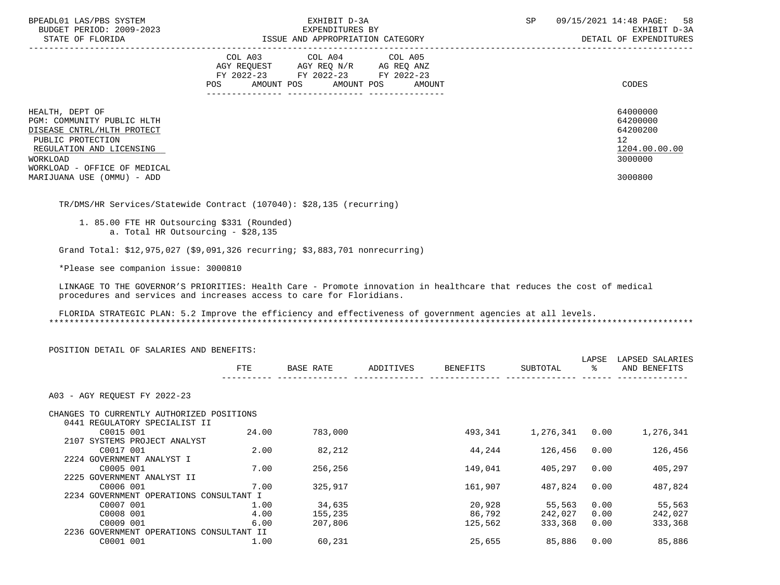| BPEADL01 LAS/PBS SYSTEM<br>BUDGET PERIOD: 2009-2023<br>STATE OF FLORIDA                                                                                                  | EXHIBIT D-3A<br>EXPENDITURES BY<br>ISSUE AND APPROPRIATION CATEGORY                                                                            | 09/15/2021 14:48 PAGE: 58<br>SP<br>EXHIBIT D-3A<br>DETAIL OF EXPENDITURES       |
|--------------------------------------------------------------------------------------------------------------------------------------------------------------------------|------------------------------------------------------------------------------------------------------------------------------------------------|---------------------------------------------------------------------------------|
|                                                                                                                                                                          | COL A03 COL A04 COL A05<br>AGY REOUEST<br>AGY REO N/R AG REO ANZ<br>FY 2022-23 FY 2022-23 FY 2022-23<br>POS<br>AMOUNT POS AMOUNT POS<br>AMOUNT | CODES                                                                           |
| HEALTH, DEPT OF<br>PGM: COMMUNITY PUBLIC HLTH<br>DISEASE CNTRL/HLTH PROTECT<br>PUBLIC PROTECTION<br>REGULATION AND LICENSING<br>WORKLOAD<br>WORKLOAD - OFFICE OF MEDICAL |                                                                                                                                                | 64000000<br>64200000<br>64200200<br>12 <sup>°</sup><br>1204.00.00.00<br>3000000 |
| MARIJUANA USE (OMMU) - ADD                                                                                                                                               |                                                                                                                                                | 3000800                                                                         |

TR/DMS/HR Services/Statewide Contract (107040): \$28,135 (recurring)

 1. 85.00 FTE HR Outsourcing \$331 (Rounded) a. Total HR Outsourcing - \$28,135

Grand Total: \$12,975,027 (\$9,091,326 recurring; \$3,883,701 nonrecurring)

\*Please see companion issue: 3000810

 LINKAGE TO THE GOVERNOR'S PRIORITIES: Health Care - Promote innovation in healthcare that reduces the cost of medical procedures and services and increases access to care for Floridians.

 FLORIDA STRATEGIC PLAN: 5.2 Improve the efficiency and effectiveness of government agencies at all levels. \*\*\*\*\*\*\*\*\*\*\*\*\*\*\*\*\*\*\*\*\*\*\*\*\*\*\*\*\*\*\*\*\*\*\*\*\*\*\*\*\*\*\*\*\*\*\*\*\*\*\*\*\*\*\*\*\*\*\*\*\*\*\*\*\*\*\*\*\*\*\*\*\*\*\*\*\*\*\*\*\*\*\*\*\*\*\*\*\*\*\*\*\*\*\*\*\*\*\*\*\*\*\*\*\*\*\*\*\*\*\*\*\*\*\*\*\*\*\*\*\*\*\*\*\*\*\*

| POSITION DETAIL OF SALARIES AND BENEFITS: |       |           |           |                 |           | LAPSE | LAPSED SALARIES |
|-------------------------------------------|-------|-----------|-----------|-----------------|-----------|-------|-----------------|
|                                           | FTE   | BASE RATE | ADDITIVES | <b>BENEFITS</b> | SUBTOTAL  | ႜ     | AND BENEFITS    |
| A03 - AGY REOUEST FY 2022-23              |       |           |           |                 |           |       |                 |
| CHANGES TO CURRENTLY AUTHORIZED POSITIONS |       |           |           |                 |           |       |                 |
| 0441 REGULATORY SPECIALIST II             |       |           |           |                 |           |       |                 |
| C0015 001                                 | 24.00 | 783,000   |           | 493,341         | 1,276,341 | 0.00  | 1,276,341       |
| 2107 SYSTEMS PROJECT ANALYST              |       |           |           |                 |           |       |                 |
| C0017 001                                 | 2.00  | 82,212    |           | 44,244          | 126,456   | 0.00  | 126,456         |
| 2224 GOVERNMENT ANALYST I                 |       |           |           |                 |           |       |                 |
| C0005 001                                 | 7.00  | 256,256   |           | 149,041         | 405,297   | 0.00  | 405,297         |
| 2225 GOVERNMENT ANALYST II                |       |           |           |                 |           |       |                 |
| C0006 001                                 | 7.00  | 325,917   |           | 161,907         | 487,824   | 0.00  | 487,824         |
| 2234 GOVERNMENT OPERATIONS CONSULTANT I   |       |           |           |                 |           |       |                 |
| C0007 001                                 | 1.00  | 34,635    |           | 20,928          | 55,563    | 0.00  | 55,563          |
| C0008 001                                 | 4.00  | 155,235   |           | 86,792          | 242,027   | 0.00  | 242,027         |
| C0009 001                                 | 6.00  | 207,806   |           | 125,562         | 333,368   | 0.00  | 333,368         |
| 2236 GOVERNMENT OPERATIONS CONSULTANT II  |       |           |           |                 |           |       |                 |
| C0001 001                                 | 1.00  | 60,231    |           | 25,655          | 85,886    | 0.00  | 85,886          |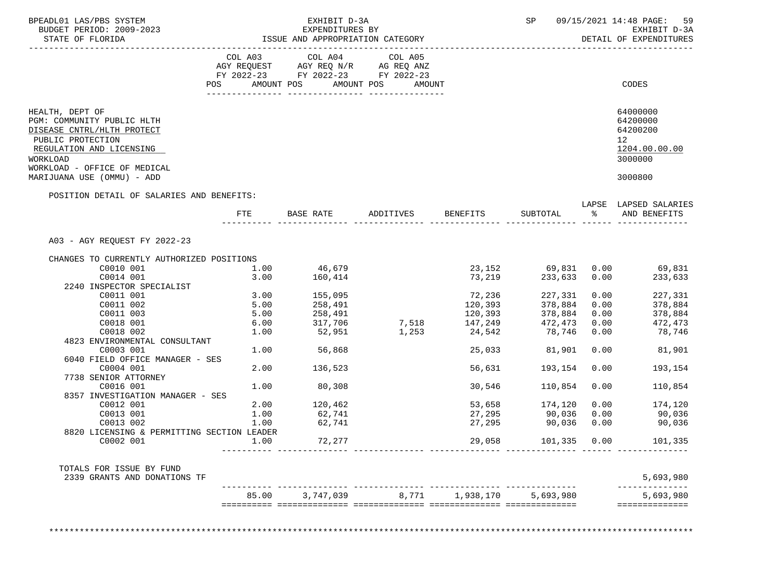| BUDGET PERIOD: 2009-2023<br>STATE OF FLORIDA                                                                                             |                                             | EXPENDITURES BY<br>ISSUE AND APPROPRIATION CATEGORY   | EXHIBIT D-3A                 |                   | SP and the set of the set of the set of the set of the set of the set of the set of the set of the set of the s |            | 09/15/2021 14:48 PAGE: 59<br>EXHIBIT D-3A<br>DETAIL OF EXPENDITURES             |
|------------------------------------------------------------------------------------------------------------------------------------------|---------------------------------------------|-------------------------------------------------------|------------------------------|-------------------|-----------------------------------------------------------------------------------------------------------------|------------|---------------------------------------------------------------------------------|
| ----------------------                                                                                                                   |                                             |                                                       |                              |                   |                                                                                                                 |            |                                                                                 |
|                                                                                                                                          |                                             | COL A03 COL A04<br>AGY REQUEST AGY REQ N/R AG REQ ANZ | COL A05                      |                   |                                                                                                                 |            |                                                                                 |
|                                                                                                                                          |                                             | FY 2022-23 FY 2022-23 FY 2022-23                      |                              |                   |                                                                                                                 |            |                                                                                 |
|                                                                                                                                          | <b>POS</b>                                  | AMOUNT POS AMOUNT POS                                 | AMOUNT                       |                   |                                                                                                                 |            | CODES                                                                           |
|                                                                                                                                          |                                             |                                                       |                              |                   |                                                                                                                 |            |                                                                                 |
| HEALTH, DEPT OF<br>PGM: COMMUNITY PUBLIC HLTH<br>DISEASE CNTRL/HLTH PROTECT<br>PUBLIC PROTECTION<br>REGULATION AND LICENSING<br>WORKLOAD |                                             |                                                       |                              |                   |                                                                                                                 |            | 64000000<br>64200000<br>64200200<br>12 <sup>°</sup><br>1204.00.00.00<br>3000000 |
| WORKLOAD - OFFICE OF MEDICAL<br>MARIJUANA USE (OMMU) - ADD                                                                               |                                             |                                                       |                              |                   |                                                                                                                 |            | 3000800                                                                         |
| POSITION DETAIL OF SALARIES AND BENEFITS:                                                                                                |                                             |                                                       |                              |                   |                                                                                                                 |            |                                                                                 |
|                                                                                                                                          | FTE FILE                                    |                                                       | BASE RATE ADDITIVES BENEFITS |                   | SUBTOTAL                                                                                                        | $\epsilon$ | LAPSE LAPSED SALARIES<br>AND BENEFITS                                           |
|                                                                                                                                          |                                             |                                                       |                              |                   |                                                                                                                 |            |                                                                                 |
| A03 - AGY REQUEST FY 2022-23                                                                                                             |                                             |                                                       |                              |                   |                                                                                                                 |            |                                                                                 |
| CHANGES TO CURRENTLY AUTHORIZED POSITIONS                                                                                                |                                             |                                                       |                              |                   |                                                                                                                 |            |                                                                                 |
| C0010 001                                                                                                                                | 1.00                                        | 46,679                                                |                              |                   |                                                                                                                 |            | 23,152 69,831 0.00 69,831                                                       |
| C0014 001                                                                                                                                | 3.00                                        | 160,414                                               |                              | 73,219            | 233,633 0.00                                                                                                    |            | 233,633                                                                         |
| 2240 INSPECTOR SPECIALIST                                                                                                                |                                             |                                                       |                              |                   |                                                                                                                 |            |                                                                                 |
| C0011 001                                                                                                                                | 3.00                                        | 155,095                                               |                              | 72,236<br>120.393 | 227,331                                                                                                         | 0.00       | 227,331                                                                         |
| C0011 002                                                                                                                                | 5.00<br>5.00                                | 258,491                                               |                              | 120,393           | 378,884                                                                                                         | 0.00       | 378,884                                                                         |
| C0011 003                                                                                                                                |                                             | 258,491                                               |                              | 120, 393          | 378,884                                                                                                         | 0.00       | 378,884                                                                         |
| C0018 001                                                                                                                                | $\begin{array}{c} 6.00 \\ 1.00 \end{array}$ | 31/7                                                  |                              | 7,518 147,249     | 472,473                                                                                                         | 0.00       | 472,473                                                                         |
| C0018 002                                                                                                                                | 1.00                                        |                                                       | 1,253                        | 24,542            | 78,746                                                                                                          | 0.00       | 78,746                                                                          |
| 4823 ENVIRONMENTAL CONSULTANT                                                                                                            |                                             | 56,868                                                |                              |                   |                                                                                                                 |            |                                                                                 |
| C0003 001                                                                                                                                | 1.00                                        |                                                       |                              | 25,033            | 81,901                                                                                                          | 0.00       | 81,901                                                                          |
| 6040 FIELD OFFICE MANAGER - SES                                                                                                          |                                             |                                                       |                              |                   |                                                                                                                 |            |                                                                                 |
| C0004 001<br>7738 SENIOR ATTORNEY                                                                                                        | 2.00                                        | 136,523                                               |                              | 56,631            | 193,154                                                                                                         | 0.00       | 193,154                                                                         |
| C0016 001                                                                                                                                | 1.00                                        | 80,308                                                |                              | 30,546            | 110,854                                                                                                         | 0.00       | 110,854                                                                         |
| 8357 INVESTIGATION MANAGER - SES                                                                                                         |                                             |                                                       |                              |                   |                                                                                                                 |            |                                                                                 |
| C0012 001                                                                                                                                |                                             | 2.00 120,462                                          |                              |                   | 53,658 174,120                                                                                                  |            | 0.00<br>174,120                                                                 |
| C0013 001                                                                                                                                | 1.00                                        | 62,741                                                |                              |                   | 27,295 90,036                                                                                                   |            | $0.00$ 90,036                                                                   |
| C0013 002                                                                                                                                | 1.00                                        | 62,741                                                |                              | 27,295            | 90,036                                                                                                          | 0.00       | 90,036                                                                          |
| 8820 LICENSING & PERMITTING SECTION LEADER                                                                                               |                                             |                                                       |                              |                   |                                                                                                                 |            |                                                                                 |
| C0002 001                                                                                                                                |                                             | 72,277                                                |                              |                   | 29,058 101,335 0.00                                                                                             |            | 101,335                                                                         |
|                                                                                                                                          |                                             |                                                       |                              |                   |                                                                                                                 |            |                                                                                 |
| TOTALS FOR ISSUE BY FUND<br>2339 GRANTS AND DONATIONS TF                                                                                 |                                             |                                                       |                              |                   |                                                                                                                 |            | 5,693,980                                                                       |
|                                                                                                                                          |                                             | 85.00 3,747,039 8,771 1,938,170 5,693,980             |                              |                   |                                                                                                                 |            | 5,693,980                                                                       |
|                                                                                                                                          |                                             |                                                       |                              |                   |                                                                                                                 |            |                                                                                 |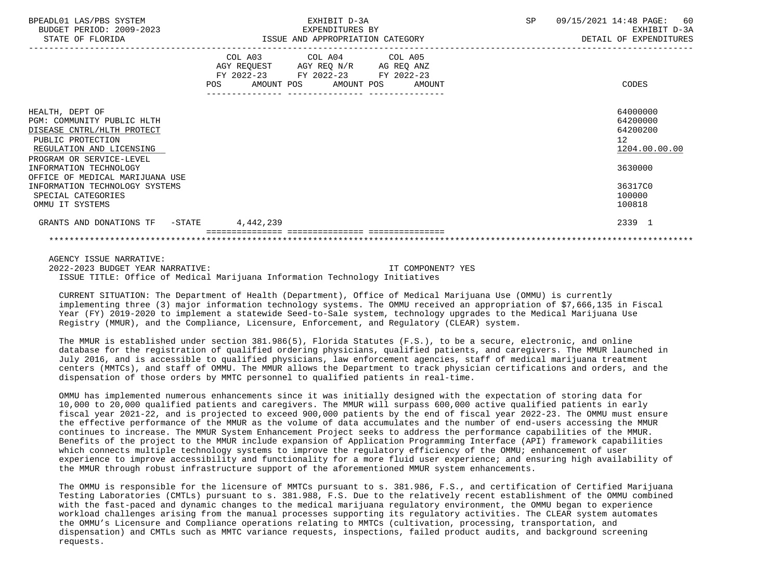| BPEADL01 LAS/PBS SYSTEM<br>BUDGET PERIOD: 2009-2023<br>STATE OF FLORIDA                                                      | EXHIBIT D-3A<br>EXPENDITURES BY<br>ISSUE AND APPROPRIATION CATEGORY                                                                   | <b>SP</b> | 09/15/2021 14:48 PAGE: 60<br>EXHIBIT D-3A<br>DETAIL OF EXPENDITURES |
|------------------------------------------------------------------------------------------------------------------------------|---------------------------------------------------------------------------------------------------------------------------------------|-----------|---------------------------------------------------------------------|
|                                                                                                                              | COL A03 COL A04 COL A05<br>AGY REQUEST AGY REQ N/R AG REQ ANZ<br>FY 2022-23 FY 2022-23 FY 2022-23<br>POS AMOUNT POS AMOUNT POS AMOUNT |           | CODES                                                               |
| HEALTH, DEPT OF<br>PGM: COMMUNITY PUBLIC HLTH<br>DISEASE CNTRL/HLTH PROTECT<br>PUBLIC PROTECTION<br>REGULATION AND LICENSING |                                                                                                                                       |           | 64000000<br>64200000<br>64200200<br>12<br>1204.00.00.00             |
| PROGRAM OR SERVICE-LEVEL<br>INFORMATION TECHNOLOGY<br>OFFICE OF MEDICAL MARIJUANA USE<br>INFORMATION TECHNOLOGY SYSTEMS      |                                                                                                                                       |           | 3630000<br>36317C0                                                  |
| SPECIAL CATEGORIES<br>OMMU IT SYSTEMS                                                                                        |                                                                                                                                       |           | 100000<br>100818                                                    |
| GRANTS AND DONATIONS TF -STATE 4,442,239                                                                                     |                                                                                                                                       |           | 2339 1                                                              |
|                                                                                                                              |                                                                                                                                       |           |                                                                     |

AGENCY ISSUE NARRATIVE:

 2022-2023 BUDGET YEAR NARRATIVE: IT COMPONENT? YES ISSUE TITLE: Office of Medical Marijuana Information Technology Initiatives

 CURRENT SITUATION: The Department of Health (Department), Office of Medical Marijuana Use (OMMU) is currently implementing three (3) major information technology systems. The OMMU received an appropriation of \$7,666,135 in Fiscal Year (FY) 2019-2020 to implement a statewide Seed-to-Sale system, technology upgrades to the Medical Marijuana Use Registry (MMUR), and the Compliance, Licensure, Enforcement, and Regulatory (CLEAR) system.

 The MMUR is established under section 381.986(5), Florida Statutes (F.S.), to be a secure, electronic, and online database for the registration of qualified ordering physicians, qualified patients, and caregivers. The MMUR launched in July 2016, and is accessible to qualified physicians, law enforcement agencies, staff of medical marijuana treatment centers (MMTCs), and staff of OMMU. The MMUR allows the Department to track physician certifications and orders, and the dispensation of those orders by MMTC personnel to qualified patients in real-time.

 OMMU has implemented numerous enhancements since it was initially designed with the expectation of storing data for 10,000 to 20,000 qualified patients and caregivers. The MMUR will surpass 600,000 active qualified patients in early fiscal year 2021-22, and is projected to exceed 900,000 patients by the end of fiscal year 2022-23. The OMMU must ensure the effective performance of the MMUR as the volume of data accumulates and the number of end-users accessing the MMUR continues to increase. The MMUR System Enhancement Project seeks to address the performance capabilities of the MMUR. Benefits of the project to the MMUR include expansion of Application Programming Interface (API) framework capabilities which connects multiple technology systems to improve the regulatory efficiency of the OMMU; enhancement of user experience to improve accessibility and functionality for a more fluid user experience; and ensuring high availability of the MMUR through robust infrastructure support of the aforementioned MMUR system enhancements.

 The OMMU is responsible for the licensure of MMTCs pursuant to s. 381.986, F.S., and certification of Certified Marijuana Testing Laboratories (CMTLs) pursuant to s. 381.988, F.S. Due to the relatively recent establishment of the OMMU combined with the fast-paced and dynamic changes to the medical marijuana regulatory environment, the OMMU began to experience workload challenges arising from the manual processes supporting its regulatory activities. The CLEAR system automates the OMMU's Licensure and Compliance operations relating to MMTCs (cultivation, processing, transportation, and dispensation) and CMTLs such as MMTC variance requests, inspections, failed product audits, and background screening requests.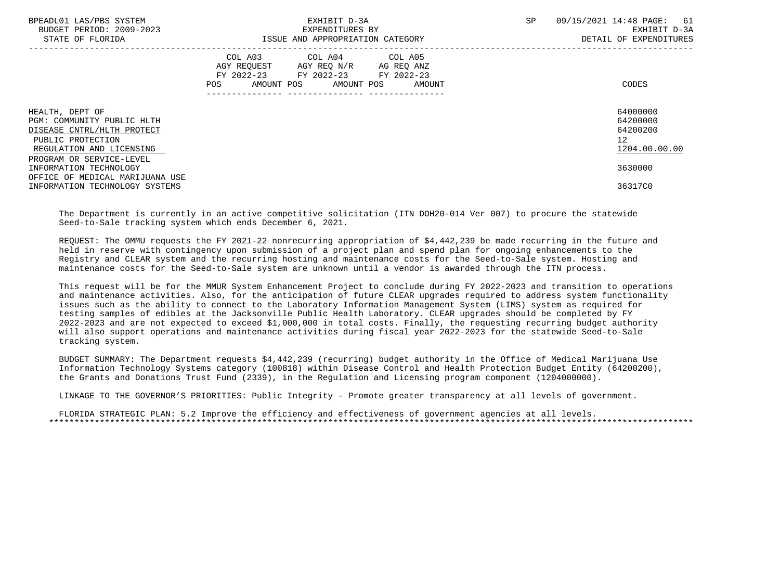| BPEADL01 LAS/PBS SYSTEM<br>BUDGET PERIOD: 2009-2023<br>STATE OF FLORIDA                                                      | EXHIBIT D-3A<br>EXPENDITURES BY<br>ISSUE AND APPROPRIATION CATEGORY                                                                      | SP<br>09/15/2021 14:48 PAGE:<br>61<br>EXHIBIT D-3A<br>DETAIL OF EXPENDITURES |
|------------------------------------------------------------------------------------------------------------------------------|------------------------------------------------------------------------------------------------------------------------------------------|------------------------------------------------------------------------------|
|                                                                                                                              | COL A03 COL A04 COL A05<br>AGY REQUEST AGY REQ N/R AG REQ ANZ<br>FY 2022-23 FY 2022-23 FY 2022-23<br>AMOUNT POS AMOUNT POS AMOUNT<br>POS | CODES                                                                        |
| HEALTH, DEPT OF<br>PGM: COMMUNITY PUBLIC HLTH<br>DISEASE CNTRL/HLTH PROTECT<br>PUBLIC PROTECTION<br>REGULATION AND LICENSING |                                                                                                                                          | 64000000<br>64200000<br>64200200<br>12<br>1204.00.00.00                      |
| PROGRAM OR SERVICE-LEVEL<br>INFORMATION TECHNOLOGY<br>OFFICE OF MEDICAL MARIJUANA USE                                        |                                                                                                                                          | 3630000                                                                      |
| INFORMATION TECHNOLOGY SYSTEMS                                                                                               |                                                                                                                                          | 36317C0                                                                      |

 The Department is currently in an active competitive solicitation (ITN DOH20-014 Ver 007) to procure the statewide Seed-to-Sale tracking system which ends December 6, 2021.

 REQUEST: The OMMU requests the FY 2021-22 nonrecurring appropriation of \$4,442,239 be made recurring in the future and held in reserve with contingency upon submission of a project plan and spend plan for ongoing enhancements to the Registry and CLEAR system and the recurring hosting and maintenance costs for the Seed-to-Sale system. Hosting and maintenance costs for the Seed-to-Sale system are unknown until a vendor is awarded through the ITN process.

 This request will be for the MMUR System Enhancement Project to conclude during FY 2022-2023 and transition to operations and maintenance activities. Also, for the anticipation of future CLEAR upgrades required to address system functionality issues such as the ability to connect to the Laboratory Information Management System (LIMS) system as required for testing samples of edibles at the Jacksonville Public Health Laboratory. CLEAR upgrades should be completed by FY 2022-2023 and are not expected to exceed \$1,000,000 in total costs. Finally, the requesting recurring budget authority will also support operations and maintenance activities during fiscal year 2022-2023 for the statewide Seed-to-Sale tracking system.

 BUDGET SUMMARY: The Department requests \$4,442,239 (recurring) budget authority in the Office of Medical Marijuana Use Information Technology Systems category (100818) within Disease Control and Health Protection Budget Entity (64200200), the Grants and Donations Trust Fund (2339), in the Regulation and Licensing program component (1204000000).

LINKAGE TO THE GOVERNOR'S PRIORITIES: Public Integrity - Promote greater transparency at all levels of government.

 FLORIDA STRATEGIC PLAN: 5.2 Improve the efficiency and effectiveness of government agencies at all levels. \*\*\*\*\*\*\*\*\*\*\*\*\*\*\*\*\*\*\*\*\*\*\*\*\*\*\*\*\*\*\*\*\*\*\*\*\*\*\*\*\*\*\*\*\*\*\*\*\*\*\*\*\*\*\*\*\*\*\*\*\*\*\*\*\*\*\*\*\*\*\*\*\*\*\*\*\*\*\*\*\*\*\*\*\*\*\*\*\*\*\*\*\*\*\*\*\*\*\*\*\*\*\*\*\*\*\*\*\*\*\*\*\*\*\*\*\*\*\*\*\*\*\*\*\*\*\*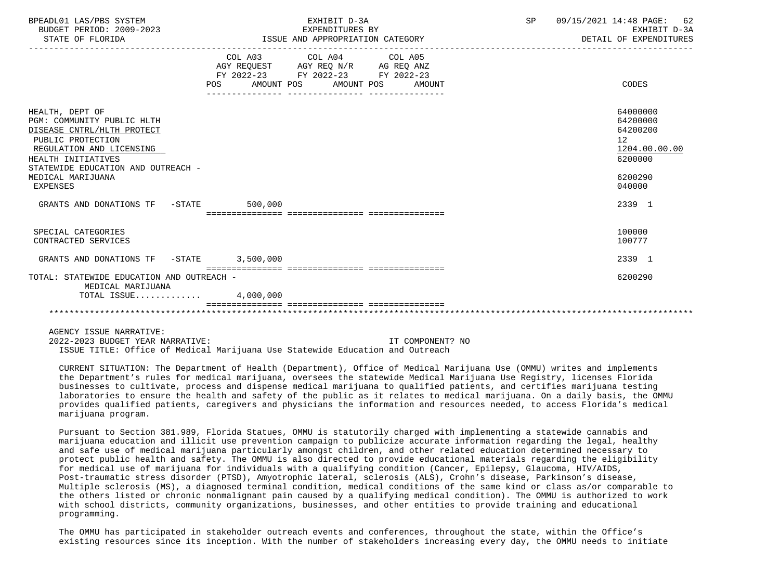| BPEADL01 LAS/PBS SYSTEM<br>BUDGET PERIOD: 2009-2023<br>STATE OF FLORIDA                                                                                                                                                          | EXHIBIT D-3A<br>EXPENDITURES BY<br>EXPENDITURES BY<br>ISSUE AND APPROPRIATION CATEGORY                                                | SP | 09/15/2021 14:48 PAGE: 62<br>EXHIBIT D-3A<br>DETAIL OF EXPENDITURES                     |
|----------------------------------------------------------------------------------------------------------------------------------------------------------------------------------------------------------------------------------|---------------------------------------------------------------------------------------------------------------------------------------|----|-----------------------------------------------------------------------------------------|
|                                                                                                                                                                                                                                  | COL A03 COL A04 COL A05<br>AGY REQUEST AGY REQ N/R AG REQ ANZ<br>FY 2022-23 FY 2022-23 FY 2022-23<br>POS AMOUNT POS AMOUNT POS AMOUNT |    | CODES                                                                                   |
| HEALTH, DEPT OF<br>PGM: COMMUNITY PUBLIC HLTH<br>DISEASE CNTRL/HLTH PROTECT<br>PUBLIC PROTECTION<br>REGULATION AND LICENSING<br>HEALTH INITIATIVES<br>STATEWIDE EDUCATION AND OUTREACH -<br>MEDICAL MARIJUANA<br><b>EXPENSES</b> |                                                                                                                                       |    | 64000000<br>64200000<br>64200200<br>12<br>1204.00.00.00<br>6200000<br>6200290<br>040000 |
| GRANTS AND DONATIONS TF -STATE 500,000                                                                                                                                                                                           |                                                                                                                                       |    | 2339 1                                                                                  |
| SPECIAL CATEGORIES<br>CONTRACTED SERVICES                                                                                                                                                                                        |                                                                                                                                       |    | 100000<br>100777                                                                        |
| GRANTS AND DONATIONS TF -STATE 3,500,000                                                                                                                                                                                         |                                                                                                                                       |    | 2339 1                                                                                  |
| TOTAL: STATEWIDE EDUCATION AND OUTREACH -<br>MEDICAL MARIJUANA                                                                                                                                                                   |                                                                                                                                       |    | 6200290                                                                                 |
| TOTAL ISSUE $4,000,000$                                                                                                                                                                                                          |                                                                                                                                       |    |                                                                                         |
|                                                                                                                                                                                                                                  |                                                                                                                                       |    |                                                                                         |

AGENCY ISSUE NARRATIVE:

 2022-2023 BUDGET YEAR NARRATIVE: IT COMPONENT? NO ISSUE TITLE: Office of Medical Marijuana Use Statewide Education and Outreach

 CURRENT SITUATION: The Department of Health (Department), Office of Medical Marijuana Use (OMMU) writes and implements the Department's rules for medical marijuana, oversees the statewide Medical Marijuana Use Registry, licenses Florida businesses to cultivate, process and dispense medical marijuana to qualified patients, and certifies marijuana testing laboratories to ensure the health and safety of the public as it relates to medical marijuana. On a daily basis, the OMMU provides qualified patients, caregivers and physicians the information and resources needed, to access Florida's medical marijuana program.

 Pursuant to Section 381.989, Florida Statues, OMMU is statutorily charged with implementing a statewide cannabis and marijuana education and illicit use prevention campaign to publicize accurate information regarding the legal, healthy and safe use of medical marijuana particularly amongst children, and other related education determined necessary to protect public health and safety. The OMMU is also directed to provide educational materials regarding the eligibility for medical use of marijuana for individuals with a qualifying condition (Cancer, Epilepsy, Glaucoma, HIV/AIDS, Post-traumatic stress disorder (PTSD), Amyotrophic lateral, sclerosis (ALS), Crohn's disease, Parkinson's disease, Multiple sclerosis (MS), a diagnosed terminal condition, medical conditions of the same kind or class as/or comparable to the others listed or chronic nonmalignant pain caused by a qualifying medical condition). The OMMU is authorized to work with school districts, community organizations, businesses, and other entities to provide training and educational programming.

 The OMMU has participated in stakeholder outreach events and conferences, throughout the state, within the Office's existing resources since its inception. With the number of stakeholders increasing every day, the OMMU needs to initiate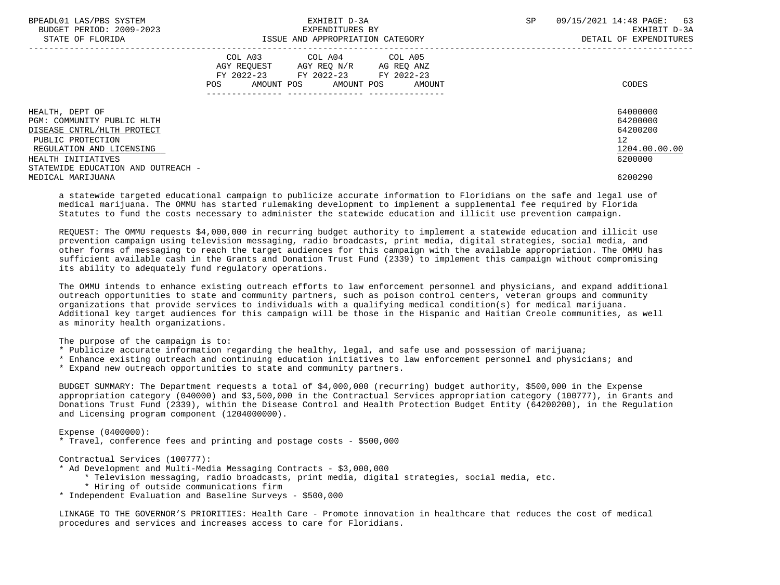| BPEADL01 LAS/PBS SYSTEM<br>BUDGET PERIOD: 2009-2023<br>STATE OF FLORIDA | EXHIBIT D-3A<br>EXPENDITURES BY<br>ISSUE AND APPROPRIATION CATEGORY                                                                                  | 09/15/2021 14:48 PAGE: 63<br><b>SP</b><br>EXHIBIT D-3A<br>DETAIL OF EXPENDITURES |
|-------------------------------------------------------------------------|------------------------------------------------------------------------------------------------------------------------------------------------------|----------------------------------------------------------------------------------|
|                                                                         | COL A03 COL A04 COL A05<br>AGY REOUEST<br>AGY REO N/R<br>AG REO ANZ<br>FY 2022-23 FY 2022-23<br>FY 2022-23<br>AMOUNT POS AMOUNT POS<br>POS<br>AMOUNT | CODES                                                                            |
| HEALTH, DEPT OF                                                         |                                                                                                                                                      | 64000000                                                                         |
| PGM: COMMUNITY PUBLIC HLTH<br>DISEASE CNTRL/HLTH PROTECT                |                                                                                                                                                      | 64200000<br>64200200                                                             |
| PUBLIC PROTECTION                                                       |                                                                                                                                                      | 12 <sup>°</sup>                                                                  |
| REGULATION AND LICENSING                                                |                                                                                                                                                      | 1204.00.00.00                                                                    |
| HEALTH INITIATIVES                                                      |                                                                                                                                                      | 6200000                                                                          |
| STATEWIDE EDUCATION AND OUTREACH -                                      |                                                                                                                                                      |                                                                                  |
| MEDICAL MARIJUANA                                                       |                                                                                                                                                      | 6200290                                                                          |

 a statewide targeted educational campaign to publicize accurate information to Floridians on the safe and legal use of medical marijuana. The OMMU has started rulemaking development to implement a supplemental fee required by Florida Statutes to fund the costs necessary to administer the statewide education and illicit use prevention campaign.

 REQUEST: The OMMU requests \$4,000,000 in recurring budget authority to implement a statewide education and illicit use prevention campaign using television messaging, radio broadcasts, print media, digital strategies, social media, and other forms of messaging to reach the target audiences for this campaign with the available appropriation. The OMMU has sufficient available cash in the Grants and Donation Trust Fund (2339) to implement this campaign without compromising its ability to adequately fund regulatory operations.

 The OMMU intends to enhance existing outreach efforts to law enforcement personnel and physicians, and expand additional outreach opportunities to state and community partners, such as poison control centers, veteran groups and community organizations that provide services to individuals with a qualifying medical condition(s) for medical marijuana. Additional key target audiences for this campaign will be those in the Hispanic and Haitian Creole communities, as well as minority health organizations.

The purpose of the campaign is to:

- \* Publicize accurate information regarding the healthy, legal, and safe use and possession of marijuana;
- \* Enhance existing outreach and continuing education initiatives to law enforcement personnel and physicians; and
- \* Expand new outreach opportunities to state and community partners.

 BUDGET SUMMARY: The Department requests a total of \$4,000,000 (recurring) budget authority, \$500,000 in the Expense appropriation category (040000) and \$3,500,000 in the Contractual Services appropriation category (100777), in Grants and Donations Trust Fund (2339), within the Disease Control and Health Protection Budget Entity (64200200), in the Regulation and Licensing program component (1204000000).

Expense (0400000):

\* Travel, conference fees and printing and postage costs - \$500,000

Contractual Services (100777):

- \* Ad Development and Multi-Media Messaging Contracts \$3,000,000
	- \* Television messaging, radio broadcasts, print media, digital strategies, social media, etc.
	- \* Hiring of outside communications firm
- \* Independent Evaluation and Baseline Surveys \$500,000

 LINKAGE TO THE GOVERNOR'S PRIORITIES: Health Care - Promote innovation in healthcare that reduces the cost of medical procedures and services and increases access to care for Floridians.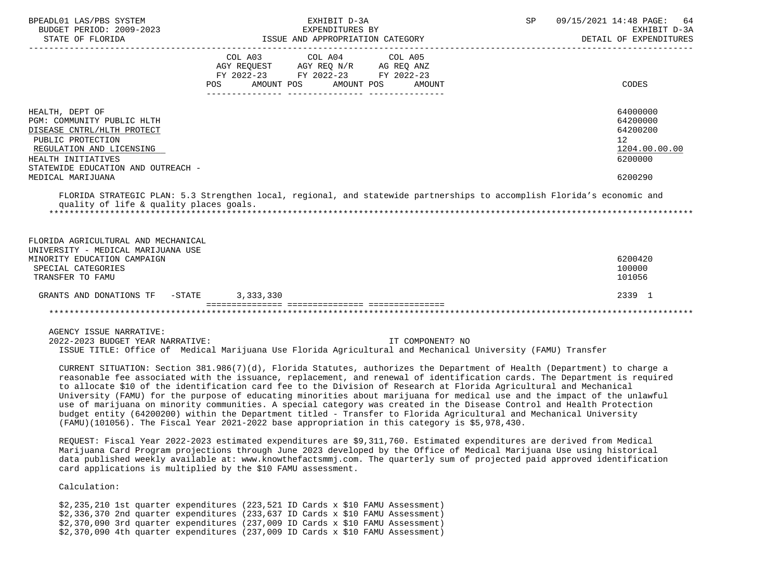| BPEADL01 LAS/PBS SYSTEM<br>BUDGET PERIOD: 2009-2023                                                                                                                                      |                           | EXHIBIT D-3A<br>EXPENDITURES BY                                                                             | SP | 09/15/2021 14:48 PAGE: 64<br>EXHIBIT D-3A                          |
|------------------------------------------------------------------------------------------------------------------------------------------------------------------------------------------|---------------------------|-------------------------------------------------------------------------------------------------------------|----|--------------------------------------------------------------------|
| STATE OF FLORIDA                                                                                                                                                                         |                           | ISSUE AND APPROPRIATION CATEGORY                                                                            |    | DETAIL OF EXPENDITURES                                             |
|                                                                                                                                                                                          | POS AMOUNT POS AMOUNT POS | COL A03 COL A04 COL A05<br>AGY REQUEST AGY REQ N/R AG REQ ANZ<br>FY 2022-23 FY 2022-23 FY 2022-23<br>AMOUNT |    | CODES                                                              |
| HEALTH, DEPT OF<br>PGM: COMMUNITY PUBLIC HLTH<br>DISEASE CNTRL/HLTH PROTECT<br>PUBLIC PROTECTION<br>REGULATION AND LICENSING<br>HEALTH INITIATIVES<br>STATEWIDE EDUCATION AND OUTREACH - |                           |                                                                                                             |    | 64000000<br>64200000<br>64200200<br>12<br>1204.00.00.00<br>6200000 |
| MEDICAL MARIJUANA                                                                                                                                                                        |                           |                                                                                                             |    | 6200290                                                            |
| FLORIDA STRATEGIC PLAN: 5.3 Strengthen local, regional, and statewide partnerships to accomplish Florida's economic and<br>quality of life & quality places goals.                       |                           |                                                                                                             |    |                                                                    |
| FLORIDA AGRICULTURAL AND MECHANICAL<br>UNIVERSITY - MEDICAL MARIJUANA USE                                                                                                                |                           |                                                                                                             |    |                                                                    |
| MINORITY EDUCATION CAMPAIGN<br>SPECIAL CATEGORIES<br>TRANSFER TO FAMU                                                                                                                    |                           |                                                                                                             |    | 6200420<br>100000<br>101056                                        |
| GRANTS AND DONATIONS TF - STATE                                                                                                                                                          | 3, 333, 330               |                                                                                                             |    | 2339 1                                                             |
|                                                                                                                                                                                          |                           |                                                                                                             |    |                                                                    |
| AGENCY ISSUE NARRATIVE:                                                                                                                                                                  |                           |                                                                                                             |    |                                                                    |
| 2022-2023 BUDGET YEAR NARRATIVE:                                                                                                                                                         |                           | IT COMPONENT? NO                                                                                            |    |                                                                    |

 ISSUE TITLE: Office of Medical Marijuana Use Florida Agricultural and Mechanical University (FAMU) Transfer CURRENT SITUATION: Section 381.986(7)(d), Florida Statutes, authorizes the Department of Health (Department) to charge a

 reasonable fee associated with the issuance, replacement, and renewal of identification cards. The Department is required to allocate \$10 of the identification card fee to the Division of Research at Florida Agricultural and Mechanical University (FAMU) for the purpose of educating minorities about marijuana for medical use and the impact of the unlawful use of marijuana on minority communities. A special category was created in the Disease Control and Health Protection budget entity (64200200) within the Department titled - Transfer to Florida Agricultural and Mechanical University (FAMU)(101056). The Fiscal Year 2021-2022 base appropriation in this category is \$5,978,430.

 REQUEST: Fiscal Year 2022-2023 estimated expenditures are \$9,311,760. Estimated expenditures are derived from Medical Marijuana Card Program projections through June 2023 developed by the Office of Medical Marijuana Use using historical data published weekly available at: www.knowthefactsmmj.com. The quarterly sum of projected paid approved identification card applications is multiplied by the \$10 FAMU assessment.

Calculation:

 \$2,235,210 1st quarter expenditures (223,521 ID Cards x \$10 FAMU Assessment) \$2,336,370 2nd quarter expenditures (233,637 ID Cards x \$10 FAMU Assessment) \$2,370,090 3rd quarter expenditures (237,009 ID Cards x \$10 FAMU Assessment) \$2,370,090 4th quarter expenditures (237,009 ID Cards x \$10 FAMU Assessment)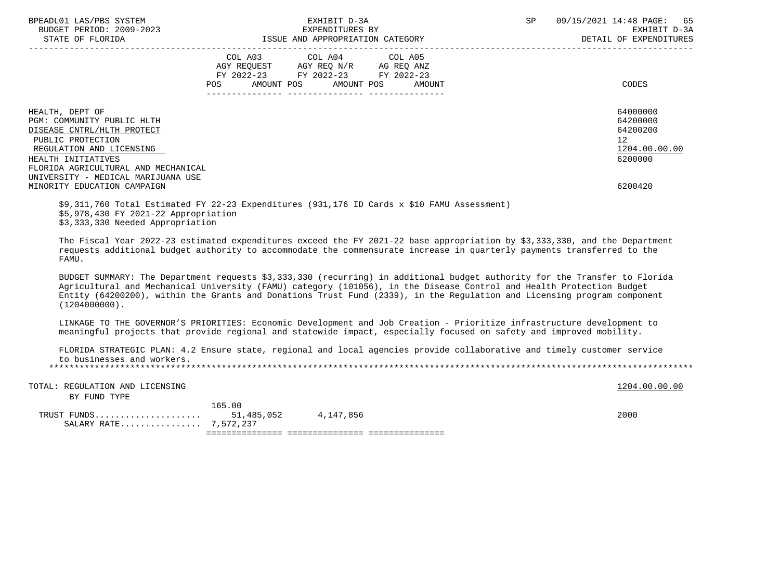| BPEADL01 LAS/PBS SYSTEM<br>BUDGET PERIOD: 2009-2023                                                                                                                                                                                                                                                                                                                                               |                                                                                                            | EXHIBIT D-3A<br>EXPENDITURES BY | SP <sub>2</sub> | 09/15/2021 14:48 PAGE: 65<br>EXHIBIT D-3A<br>DETAIL OF EXPENDITURES |
|---------------------------------------------------------------------------------------------------------------------------------------------------------------------------------------------------------------------------------------------------------------------------------------------------------------------------------------------------------------------------------------------------|------------------------------------------------------------------------------------------------------------|---------------------------------|-----------------|---------------------------------------------------------------------|
|                                                                                                                                                                                                                                                                                                                                                                                                   | AGY REQUEST AGY REQ N/R AG REQ ANZ<br>FY 2022-23 FY 2022-23 FY 2022-23<br>POS AMOUNT POS AMOUNT POS AMOUNT | COL A03 COL A04 COL A05         |                 | CODES                                                               |
| HEALTH, DEPT OF<br>PGM: COMMUNITY PUBLIC HLTH<br>DISEASE CNTRL/HLTH PROTECT<br>PUBLIC PROTECTION<br>REGULATION AND LICENSING<br>HEALTH INITIATIVES<br>FLORIDA AGRICULTURAL AND MECHANICAL<br>UNIVERSITY - MEDICAL MARIJUANA USE                                                                                                                                                                   |                                                                                                            |                                 |                 | 64000000<br>64200000<br>64200200<br>12<br>1204.00.00.00<br>6200000  |
| MINORITY EDUCATION CAMPAIGN<br>\$9,311,760 Total Estimated FY 22-23 Expenditures (931,176 ID Cards x \$10 FAMU Assessment)<br>\$5,978,430 FY 2021-22 Appropriation<br>\$3,333,330 Needed Appropriation                                                                                                                                                                                            |                                                                                                            |                                 |                 | 6200420                                                             |
| The Fiscal Year 2022-23 estimated expenditures exceed the FY 2021-22 base appropriation by \$3,333,330, and the Department<br>requests additional budget authority to accommodate the commensurate increase in quarterly payments transferred to the<br>FAMU.                                                                                                                                     |                                                                                                            |                                 |                 |                                                                     |
| BUDGET SUMMARY: The Department requests \$3,333,330 (recurring) in additional budget authority for the Transfer to Florida<br>Agricultural and Mechanical University (FAMU) category (101056), in the Disease Control and Health Protection Budget<br>Entity (64200200), within the Grants and Donations Trust Fund (2339), in the Requlation and Licensing program component<br>$(1204000000)$ . |                                                                                                            |                                 |                 |                                                                     |

 LINKAGE TO THE GOVERNOR'S PRIORITIES: Economic Development and Job Creation - Prioritize infrastructure development to meaningful projects that provide regional and statewide impact, especially focused on safety and improved mobility.

 FLORIDA STRATEGIC PLAN: 4.2 Ensure state, regional and local agencies provide collaborative and timely customer service to businesses and workers. \*\*\*\*\*\*\*\*\*\*\*\*\*\*\*\*\*\*\*\*\*\*\*\*\*\*\*\*\*\*\*\*\*\*\*\*\*\*\*\*\*\*\*\*\*\*\*\*\*\*\*\*\*\*\*\*\*\*\*\*\*\*\*\*\*\*\*\*\*\*\*\*\*\*\*\*\*\*\*\*\*\*\*\*\*\*\*\*\*\*\*\*\*\*\*\*\*\*\*\*\*\*\*\*\*\*\*\*\*\*\*\*\*\*\*\*\*\*\*\*\*\*\*\*\*\*\*

TOTAL: REGULATION AND LICENSING 1204.00.00 COLLECTED AND LICENSING BY FUND TYPE 165.00

 TRUST FUNDS..................... 51,485,052 4,147,856 2000 SALARY RATE................ 7,572,237 =============== =============== ===============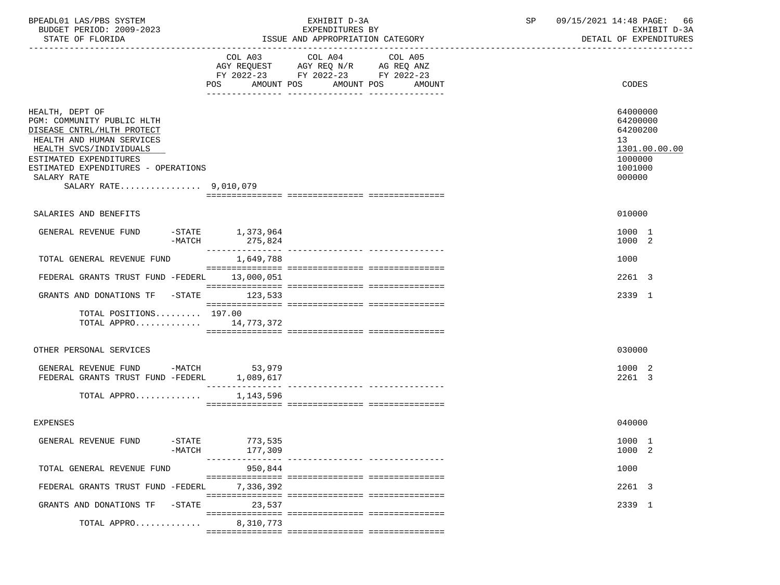| BPEADL01 LAS/PBS SYSTEM<br>BUDGET PERIOD: 2009-2023<br>STATE OF FLORIDA                                                                                                                                                                      |                                    | EXHIBIT D-3A<br>EXPENDITURES BY<br>ISSUE AND APPROPRIATION CATEGORY                                                                     | SP | 09/15/2021 14:48 PAGE: 66<br>EXHIBIT D-3A<br>DETAIL OF EXPENDITURES                     |
|----------------------------------------------------------------------------------------------------------------------------------------------------------------------------------------------------------------------------------------------|------------------------------------|-----------------------------------------------------------------------------------------------------------------------------------------|----|-----------------------------------------------------------------------------------------|
|                                                                                                                                                                                                                                              | POS                                | COL A03 COL A04<br>COL A05<br>AGY REQUEST AGY REQ N/R AG REQ ANZ<br>FY 2022-23 FY 2022-23 FY 2022-23<br>AMOUNT POS AMOUNT POS<br>AMOUNT |    | CODES                                                                                   |
| HEALTH, DEPT OF<br>PGM: COMMUNITY PUBLIC HLTH<br>DISEASE CNTRL/HLTH PROTECT<br>HEALTH AND HUMAN SERVICES<br>HEALTH SVCS/INDIVIDUALS<br>ESTIMATED EXPENDITURES<br>ESTIMATED EXPENDITURES - OPERATIONS<br>SALARY RATE<br>SALARY RATE 9,010,079 |                                    |                                                                                                                                         |    | 64000000<br>64200000<br>64200200<br>13<br>1301.00.00.00<br>1000000<br>1001000<br>000000 |
| SALARIES AND BENEFITS                                                                                                                                                                                                                        |                                    |                                                                                                                                         |    | 010000                                                                                  |
| GENERAL REVENUE FUND<br>-MATCH                                                                                                                                                                                                               | $-$ STATE $1, 373, 964$<br>275,824 |                                                                                                                                         |    | 1000 1<br>1000 2                                                                        |
| TOTAL GENERAL REVENUE FUND                                                                                                                                                                                                                   | 1,649,788                          |                                                                                                                                         |    | 1000                                                                                    |
| FEDERAL GRANTS TRUST FUND -FEDERL 13,000,051                                                                                                                                                                                                 |                                    |                                                                                                                                         |    | 2261 3                                                                                  |
| GRANTS AND DONATIONS TF -STATE 123,533                                                                                                                                                                                                       |                                    |                                                                                                                                         |    | 2339 1                                                                                  |
| TOTAL POSITIONS 197.00<br>TOTAL APPRO 14,773,372                                                                                                                                                                                             |                                    |                                                                                                                                         |    |                                                                                         |
| OTHER PERSONAL SERVICES                                                                                                                                                                                                                      |                                    |                                                                                                                                         |    | 030000                                                                                  |
| GENERAL REVENUE FUND -MATCH 53,979<br>FEDERAL GRANTS TRUST FUND -FEDERL 1,089,617                                                                                                                                                            |                                    |                                                                                                                                         |    | 1000 2<br>2261 3                                                                        |
| TOTAL APPRO                                                                                                                                                                                                                                  | 1,143,596                          |                                                                                                                                         |    |                                                                                         |
| <b>EXPENSES</b>                                                                                                                                                                                                                              |                                    |                                                                                                                                         |    | 040000                                                                                  |
| GENERAL REVENUE FUND<br>$-$ STATE<br>$-MATCH$                                                                                                                                                                                                | 773,535<br>177,309                 |                                                                                                                                         |    | 1000 1<br>1000 2                                                                        |
| TOTAL GENERAL REVENUE FUND                                                                                                                                                                                                                   | -------------<br>950,844           |                                                                                                                                         |    | 1000                                                                                    |
| FEDERAL GRANTS TRUST FUND -FEDERL                                                                                                                                                                                                            | 7.336.392                          |                                                                                                                                         |    | 2261 3                                                                                  |
| GRANTS AND DONATIONS TF -STATE                                                                                                                                                                                                               | 23,537                             |                                                                                                                                         |    | 2339 1                                                                                  |
| TOTAL APPRO                                                                                                                                                                                                                                  | 8,310,773                          |                                                                                                                                         |    |                                                                                         |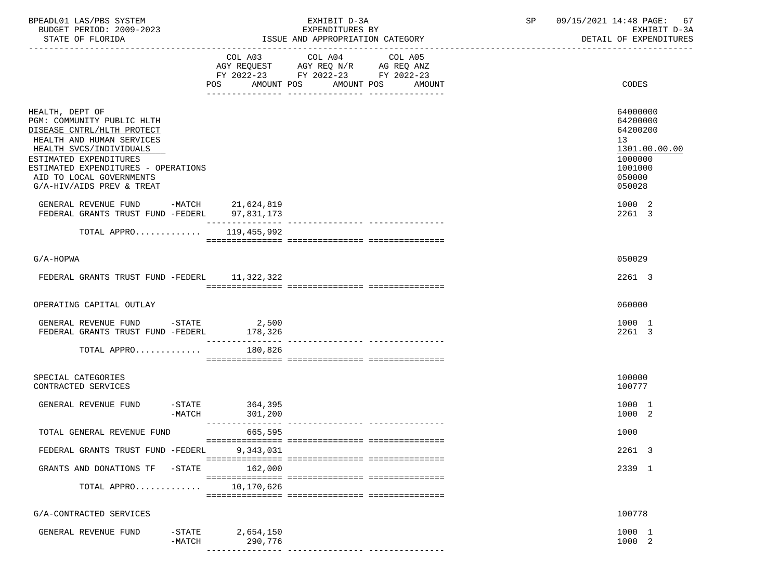| BPEADL01 LAS/PBS SYSTEM<br>BUDGET PERIOD: 2009-2023<br>STATE OF FLORIDA                                                                                                                                                                                                                                 |                                               | EXHIBIT D-3A<br>EXPENDITURES BY<br>ISSUE AND APPROPRIATION CATEGORY                                                                      | 09/15/2021 14:48 PAGE:<br>SP<br>67<br>EXHIBIT D-3A<br>DETAIL OF EXPENDITURES                                |
|---------------------------------------------------------------------------------------------------------------------------------------------------------------------------------------------------------------------------------------------------------------------------------------------------------|-----------------------------------------------|------------------------------------------------------------------------------------------------------------------------------------------|-------------------------------------------------------------------------------------------------------------|
|                                                                                                                                                                                                                                                                                                         |                                               | COL A03 COL A04 COL A05<br>AGY REQUEST AGY REQ N/R AG REQ ANZ<br>FY 2022-23 FY 2022-23 FY 2022-23<br>POS AMOUNT POS AMOUNT POS<br>AMOUNT | CODES                                                                                                       |
| HEALTH, DEPT OF<br>PGM: COMMUNITY PUBLIC HLTH<br>DISEASE CNTRL/HLTH PROTECT<br>HEALTH AND HUMAN SERVICES<br>HEALTH SVCS/INDIVIDUALS<br>ESTIMATED EXPENDITURES<br>ESTIMATED EXPENDITURES - OPERATIONS<br>AID TO LOCAL GOVERNMENTS<br>G/A-HIV/AIDS PREV & TREAT<br>GENERAL REVENUE FUND -MATCH 21,624,819 |                                               |                                                                                                                                          | 64000000<br>64200000<br>64200200<br>13<br>1301.00.00.00<br>1000000<br>1001000<br>050000<br>050028<br>1000 2 |
| FEDERAL GRANTS TRUST FUND -FEDERL 97,831,173                                                                                                                                                                                                                                                            |                                               |                                                                                                                                          | 2261 3                                                                                                      |
| TOTAL APPRO 119,455,992                                                                                                                                                                                                                                                                                 |                                               |                                                                                                                                          |                                                                                                             |
| $G/A-HOPWA$                                                                                                                                                                                                                                                                                             |                                               |                                                                                                                                          | 050029                                                                                                      |
| FEDERAL GRANTS TRUST FUND -FEDERL 11,322,322                                                                                                                                                                                                                                                            |                                               |                                                                                                                                          | 2261 3                                                                                                      |
| OPERATING CAPITAL OUTLAY                                                                                                                                                                                                                                                                                |                                               |                                                                                                                                          | 060000                                                                                                      |
| GENERAL REVENUE FUND $-$ STATE 2,500<br>FEDERAL GRANTS TRUST FUND -FEDERL 178,326                                                                                                                                                                                                                       |                                               |                                                                                                                                          | 1000 1<br>2261 3                                                                                            |
| TOTAL APPRO                                                                                                                                                                                                                                                                                             | 180,826                                       |                                                                                                                                          |                                                                                                             |
| SPECIAL CATEGORIES<br>CONTRACTED SERVICES                                                                                                                                                                                                                                                               |                                               |                                                                                                                                          | 100000<br>100777                                                                                            |
| GENERAL REVENUE FUND                                                                                                                                                                                                                                                                                    | $-STATE$ 364,395<br>-MATCH<br>301,200         |                                                                                                                                          | 1000 1<br>1000 2                                                                                            |
| TOTAL GENERAL REVENUE FUND                                                                                                                                                                                                                                                                              | 665,595                                       |                                                                                                                                          | 1000                                                                                                        |
| FEDERAL GRANTS TRUST FUND -FEDERL                                                                                                                                                                                                                                                                       | 9,343,031                                     |                                                                                                                                          | 2261 3                                                                                                      |
| GRANTS AND DONATIONS TF -STATE                                                                                                                                                                                                                                                                          | 162,000                                       |                                                                                                                                          | 2339 1                                                                                                      |
| TOTAL APPRO                                                                                                                                                                                                                                                                                             | 10,170,626                                    |                                                                                                                                          |                                                                                                             |
| G/A-CONTRACTED SERVICES                                                                                                                                                                                                                                                                                 |                                               |                                                                                                                                          | 100778                                                                                                      |
| GENERAL REVENUE FUND                                                                                                                                                                                                                                                                                    | $-$ STATE<br>2,654,150<br>$-MATCH$<br>290,776 | ---------------- ----------------                                                                                                        | 1000 1<br>1000 2                                                                                            |
|                                                                                                                                                                                                                                                                                                         |                                               |                                                                                                                                          |                                                                                                             |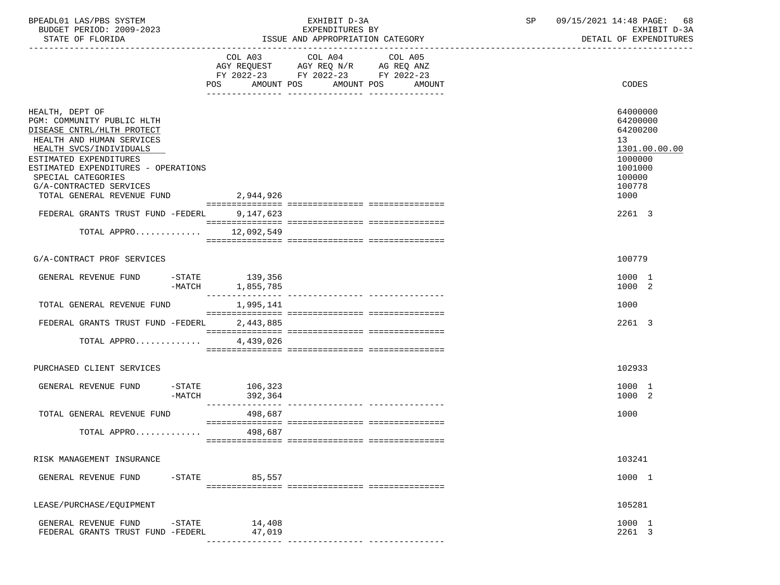| BPEADL01 LAS/PBS SYSTEM  | EXHIBIT D                             | $\cap$ $\Gamma$ | 09/15/2021 14:48 PAGE:<br>68 |
|--------------------------|---------------------------------------|-----------------|------------------------------|
| BUDGET PERIOD: 2009-2023 | EXPENDITURES BY                       |                 | EXHIBIT D-3A                 |
| STATE OF FLORIDA         | : AND APPROPRIATION CATEGORY<br>"SSUE |                 | DETAIL OF EXPENDITURES       |

|                                                                                                                                                                                                                                                                                     | FY 2022-23 FY 2022-23 FY 2022-23    |                                                                                                           |
|-------------------------------------------------------------------------------------------------------------------------------------------------------------------------------------------------------------------------------------------------------------------------------------|-------------------------------------|-----------------------------------------------------------------------------------------------------------|
|                                                                                                                                                                                                                                                                                     | POS AMOUNT POS AMOUNT POS<br>AMOUNT | CODES                                                                                                     |
| HEALTH, DEPT OF<br>PGM: COMMUNITY PUBLIC HLTH<br>DISEASE CNTRL/HLTH PROTECT<br>HEALTH AND HUMAN SERVICES<br>HEALTH SVCS/INDIVIDUALS<br>ESTIMATED EXPENDITURES<br>ESTIMATED EXPENDITURES - OPERATIONS<br>SPECIAL CATEGORIES<br>G/A-CONTRACTED SERVICES<br>TOTAL GENERAL REVENUE FUND | 2,944,926                           | 64000000<br>64200000<br>64200200<br>13<br>1301.00.00.00<br>1000000<br>1001000<br>100000<br>100778<br>1000 |
| FEDERAL GRANTS TRUST FUND -FEDERL                                                                                                                                                                                                                                                   | 9,147,623                           | 2261 3                                                                                                    |
| TOTAL APPRO                                                                                                                                                                                                                                                                         | 12,092,549                          |                                                                                                           |
| G/A-CONTRACT PROF SERVICES                                                                                                                                                                                                                                                          |                                     | 100779                                                                                                    |
| GENERAL REVENUE FUND<br>$-MATCH$                                                                                                                                                                                                                                                    | $-STATE$ 139,356<br>1,855,785       | 1000 1<br>1000 2                                                                                          |
| TOTAL GENERAL REVENUE FUND                                                                                                                                                                                                                                                          | 1,995,141                           | 1000                                                                                                      |
| FEDERAL GRANTS TRUST FUND -FEDERL                                                                                                                                                                                                                                                   | 2,443,885                           | 2261 3                                                                                                    |
| TOTAL APPRO                                                                                                                                                                                                                                                                         | 4,439,026                           |                                                                                                           |
| PURCHASED CLIENT SERVICES                                                                                                                                                                                                                                                           |                                     | 102933                                                                                                    |
| GENERAL REVENUE FUND<br>-MATCH                                                                                                                                                                                                                                                      | $-STATE$ 106,323<br>392,364         | 1000 1<br>1000 2                                                                                          |
| TOTAL GENERAL REVENUE FUND                                                                                                                                                                                                                                                          | 498,687                             | 1000                                                                                                      |
| TOTAL APPRO                                                                                                                                                                                                                                                                         | 498,687                             |                                                                                                           |
| RISK MANAGEMENT INSURANCE                                                                                                                                                                                                                                                           |                                     | 103241                                                                                                    |
| $-$ STATE<br>GENERAL REVENUE FUND                                                                                                                                                                                                                                                   | 85,557                              | 1000 1                                                                                                    |
| LEASE/PURCHASE/EQUIPMENT                                                                                                                                                                                                                                                            |                                     | 105281                                                                                                    |
| GENERAL REVENUE FUND<br>$-$ STATE<br>FEDERAL GRANTS TRUST FUND -FEDERL                                                                                                                                                                                                              | 14,408<br>47,019                    | 1000 1<br>2261 3                                                                                          |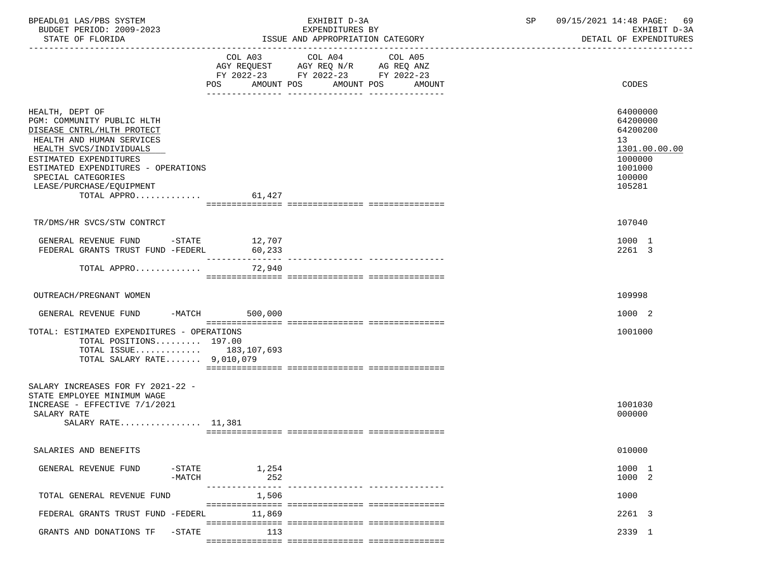| BPEADL01 LAS/PBS SYSTEM |                  |                          | EXHIBIT D-3A                     | 09/15/2021 14:48 PAGE: 69 |                        |  |
|-------------------------|------------------|--------------------------|----------------------------------|---------------------------|------------------------|--|
|                         |                  | BUDGET PERIOD: 2009-2023 | EXPENDITURES BY                  |                           | EXHIBIT D-3A           |  |
|                         | STATE OF FLORIDA |                          | ISSUE AND APPROPRIATION CATEGORY |                           | DETAIL OF EXPENDITURES |  |

|                                                                                                                                                                                                                                                                       |                           | FY 2022-23 FY 2022-23 FY 2022-23 |                                         |                                                                                                   |
|-----------------------------------------------------------------------------------------------------------------------------------------------------------------------------------------------------------------------------------------------------------------------|---------------------------|----------------------------------|-----------------------------------------|---------------------------------------------------------------------------------------------------|
|                                                                                                                                                                                                                                                                       | POS AMOUNT POS            | ------------                     | AMOUNT POS<br>AMOUNT<br>_______________ | CODES                                                                                             |
| HEALTH, DEPT OF<br>PGM: COMMUNITY PUBLIC HLTH<br>DISEASE CNTRL/HLTH PROTECT<br>HEALTH AND HUMAN SERVICES<br>HEALTH SVCS/INDIVIDUALS<br>ESTIMATED EXPENDITURES<br>ESTIMATED EXPENDITURES - OPERATIONS<br>SPECIAL CATEGORIES<br>LEASE/PURCHASE/EQUIPMENT<br>TOTAL APPRO | 61,427                    |                                  |                                         | 64000000<br>64200000<br>64200200<br>13<br>1301.00.00.00<br>1000000<br>1001000<br>100000<br>105281 |
| TR/DMS/HR SVCS/STW CONTRCT                                                                                                                                                                                                                                            |                           |                                  |                                         | 107040                                                                                            |
| GENERAL REVENUE FUND -STATE 12,707<br>FEDERAL GRANTS TRUST FUND -FEDERL                                                                                                                                                                                               | 60,233<br>--------------- |                                  |                                         | 1000 1<br>2261 3                                                                                  |
| TOTAL APPRO                                                                                                                                                                                                                                                           | 72,940                    |                                  |                                         |                                                                                                   |
| OUTREACH/PREGNANT WOMEN                                                                                                                                                                                                                                               |                           |                                  |                                         | 109998                                                                                            |
| GENERAL REVENUE FUND                                                                                                                                                                                                                                                  | 500,000<br>$-MATCH$       |                                  |                                         | 1000 2                                                                                            |
| TOTAL: ESTIMATED EXPENDITURES - OPERATIONS<br>TOTAL POSITIONS 197.00<br>TOTAL ISSUE 183, 107, 693<br>TOTAL SALARY RATE $9,010,079$                                                                                                                                    |                           |                                  |                                         | 1001000                                                                                           |
| SALARY INCREASES FOR FY 2021-22 -                                                                                                                                                                                                                                     |                           |                                  |                                         |                                                                                                   |
| STATE EMPLOYEE MINIMUM WAGE<br>INCREASE - EFFECTIVE 7/1/2021<br>SALARY RATE<br>SALARY RATE 11,381                                                                                                                                                                     |                           |                                  |                                         | 1001030<br>000000                                                                                 |
| SALARIES AND BENEFITS                                                                                                                                                                                                                                                 |                           |                                  |                                         | 010000                                                                                            |
| GENERAL REVENUE FUND<br>$-$ STATE<br>$-MATCH$                                                                                                                                                                                                                         | 1,254<br>252              |                                  |                                         | 1000 1<br>1000 2                                                                                  |
| TOTAL GENERAL REVENUE FUND                                                                                                                                                                                                                                            | ---------------<br>1,506  |                                  |                                         | 1000                                                                                              |
| FEDERAL GRANTS TRUST FUND -FEDERL                                                                                                                                                                                                                                     | 11,869                    |                                  |                                         | 2261 3                                                                                            |
| $-$ STATE<br>GRANTS AND DONATIONS TF                                                                                                                                                                                                                                  | 113                       |                                  |                                         | 2339 1                                                                                            |
|                                                                                                                                                                                                                                                                       |                           |                                  |                                         |                                                                                                   |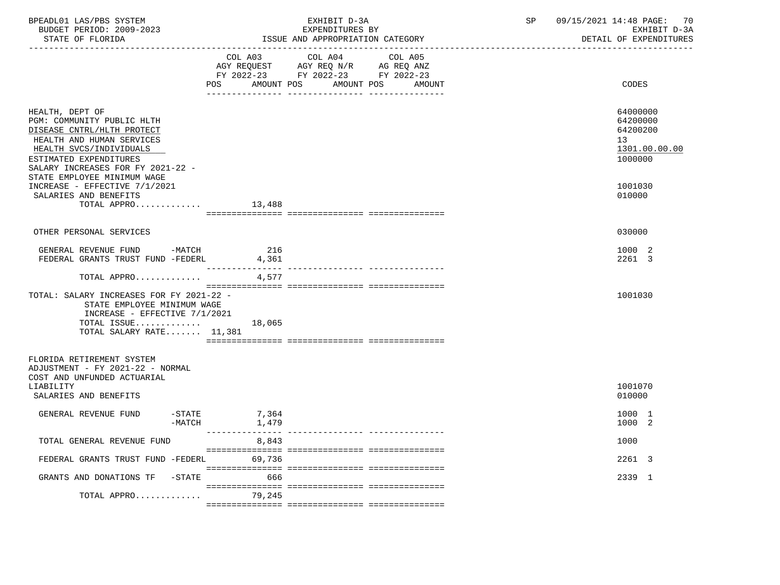| BPEADL01 LAS/PBS SYSTEM<br>BUDGET PERIOD: 2009-2023<br>STATE OF FLORIDA                                                                                                                                                           |                         | EXHIBIT D-3A<br>EXPENDITURES BY<br>ISSUE AND APPROPRIATION CATEGORY<br>_________________________                                  | SP | 09/15/2021 14:48 PAGE: 70<br>EXHIBIT D-3A<br>DETAIL OF EXPENDITURES |
|-----------------------------------------------------------------------------------------------------------------------------------------------------------------------------------------------------------------------------------|-------------------------|-----------------------------------------------------------------------------------------------------------------------------------|----|---------------------------------------------------------------------|
|                                                                                                                                                                                                                                   | POS                     | COL A03 COL A04 COL A05<br>AGY REQUEST AGY REQ N/R AG REQ ANZ<br>FY 2022-23 FY 2022-23 FY 2022-23<br>AMOUNT POS AMOUNT POS AMOUNT |    | CODES                                                               |
| HEALTH, DEPT OF<br>PGM: COMMUNITY PUBLIC HLTH<br>DISEASE CNTRL/HLTH PROTECT<br>HEALTH AND HUMAN SERVICES<br>HEALTH SVCS/INDIVIDUALS<br>ESTIMATED EXPENDITURES<br>SALARY INCREASES FOR FY 2021-22 -<br>STATE EMPLOYEE MINIMUM WAGE |                         |                                                                                                                                   |    | 64000000<br>64200000<br>64200200<br>13<br>1301.00.00.00<br>1000000  |
| INCREASE - EFFECTIVE 7/1/2021<br>SALARIES AND BENEFITS<br>TOTAL APPRO $13,488$                                                                                                                                                    |                         |                                                                                                                                   |    | 1001030<br>010000                                                   |
| OTHER PERSONAL SERVICES                                                                                                                                                                                                           |                         |                                                                                                                                   |    | 030000                                                              |
| GENERAL REVENUE FUND -MATCH<br>FEDERAL GRANTS TRUST FUND -FEDERL                                                                                                                                                                  | 216<br>4,361            |                                                                                                                                   |    | 1000 2<br>2261 3                                                    |
| TOTAL APPRO                                                                                                                                                                                                                       | 4,577                   |                                                                                                                                   |    |                                                                     |
| TOTAL: SALARY INCREASES FOR FY 2021-22 -<br>STATE EMPLOYEE MINIMUM WAGE<br>INCREASE - EFFECTIVE 7/1/2021<br>TOTAL ISSUE $18,065$<br>TOTAL SALARY RATE 11,381                                                                      |                         |                                                                                                                                   |    | 1001030                                                             |
| FLORIDA RETIREMENT SYSTEM<br>ADJUSTMENT - FY 2021-22 - NORMAL<br>COST AND UNFUNDED ACTUARIAL<br>LIABILITY<br>SALARIES AND BENEFITS                                                                                                |                         |                                                                                                                                   |    | 1001070<br>010000                                                   |
| GENERAL REVENUE FUND<br>-MATCH                                                                                                                                                                                                    | $-STATE$ 7,364<br>1,479 |                                                                                                                                   |    | 1000 1<br>1000 2                                                    |
| TOTAL GENERAL REVENUE FUND                                                                                                                                                                                                        | 8,843                   |                                                                                                                                   |    | 1000                                                                |
| FEDERAL GRANTS TRUST FUND -FEDERL                                                                                                                                                                                                 | 69,736                  |                                                                                                                                   |    | 2261 3                                                              |
| GRANTS AND DONATIONS TF -STATE                                                                                                                                                                                                    | 666                     |                                                                                                                                   |    | 2339 1                                                              |
| TOTAL APPRO 79,245                                                                                                                                                                                                                |                         |                                                                                                                                   |    |                                                                     |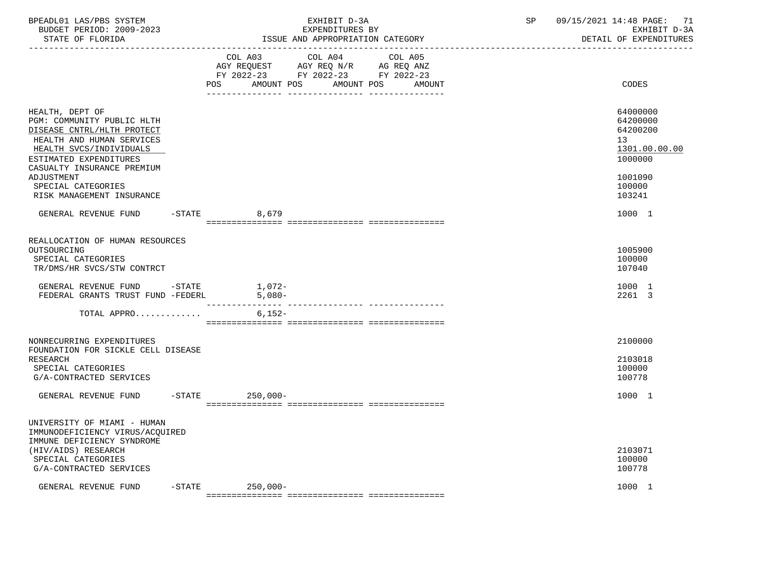| BPEADL01 LAS/PBS SYSTEM<br>BUDGET PERIOD: 2009-2023<br>STATE OF FLORIDA                                                                                                                     | EXHIBIT D-3A<br>EXPENDITURES BY<br>ISSUE AND APPROPRIATION CATEGORY |                                                                                                                                             |  | 09/15/2021 14:48 PAGE: 71<br>EXHIBIT D-3A<br>DETAIL OF EXPENDITURES             |
|---------------------------------------------------------------------------------------------------------------------------------------------------------------------------------------------|---------------------------------------------------------------------|---------------------------------------------------------------------------------------------------------------------------------------------|--|---------------------------------------------------------------------------------|
|                                                                                                                                                                                             |                                                                     | COL A03 COL A04<br>COL A05<br>AGY REQUEST AGY REQ N/R AG REQ ANZ<br>FY 2022-23 FY 2022-23 FY 2022-23<br>POS AMOUNT POS AMOUNT POS<br>AMOUNT |  | CODES                                                                           |
| HEALTH, DEPT OF<br>PGM: COMMUNITY PUBLIC HLTH<br>DISEASE CNTRL/HLTH PROTECT<br>HEALTH AND HUMAN SERVICES<br>HEALTH SVCS/INDIVIDUALS<br>ESTIMATED EXPENDITURES<br>CASUALTY INSURANCE PREMIUM |                                                                     |                                                                                                                                             |  | 64000000<br>64200000<br>64200200<br>13 <sup>°</sup><br>1301.00.00.00<br>1000000 |
| ADJUSTMENT<br>SPECIAL CATEGORIES<br>RISK MANAGEMENT INSURANCE                                                                                                                               |                                                                     |                                                                                                                                             |  | 1001090<br>100000<br>103241                                                     |
| GENERAL REVENUE FUND                                                                                                                                                                        | $-STATE$<br>8,679                                                   |                                                                                                                                             |  | 1000 1                                                                          |
| REALLOCATION OF HUMAN RESOURCES<br>OUTSOURCING<br>SPECIAL CATEGORIES<br>TR/DMS/HR SVCS/STW CONTRCT                                                                                          |                                                                     |                                                                                                                                             |  | 1005900<br>100000<br>107040                                                     |
| GENERAL REVENUE FUND -STATE 1,072-<br>FEDERAL GRANTS TRUST FUND -FEDERL                                                                                                                     | $5,080-$                                                            |                                                                                                                                             |  | 1000 1<br>2261 3                                                                |
| TOTAL APPRO                                                                                                                                                                                 | $6,152-$                                                            |                                                                                                                                             |  |                                                                                 |
| NONRECURRING EXPENDITURES<br>FOUNDATION FOR SICKLE CELL DISEASE                                                                                                                             |                                                                     |                                                                                                                                             |  | 2100000                                                                         |
| RESEARCH<br>SPECIAL CATEGORIES<br>G/A-CONTRACTED SERVICES                                                                                                                                   |                                                                     |                                                                                                                                             |  | 2103018<br>100000<br>100778                                                     |
| GENERAL REVENUE FUND                                                                                                                                                                        | $-$ STATE<br>$250,000 -$                                            |                                                                                                                                             |  | 1000 1                                                                          |
| UNIVERSITY OF MIAMI - HUMAN<br>IMMUNODEFICIENCY VIRUS/ACQUIRED                                                                                                                              |                                                                     |                                                                                                                                             |  |                                                                                 |
| IMMUNE DEFICIENCY SYNDROME<br>(HIV/AIDS) RESEARCH<br>SPECIAL CATEGORIES<br>G/A-CONTRACTED SERVICES                                                                                          |                                                                     |                                                                                                                                             |  | 2103071<br>100000<br>100778                                                     |
| $-$ STATE<br>GENERAL REVENUE FUND                                                                                                                                                           | $250,000 -$                                                         |                                                                                                                                             |  | 1000 1                                                                          |

=============== =============== ===============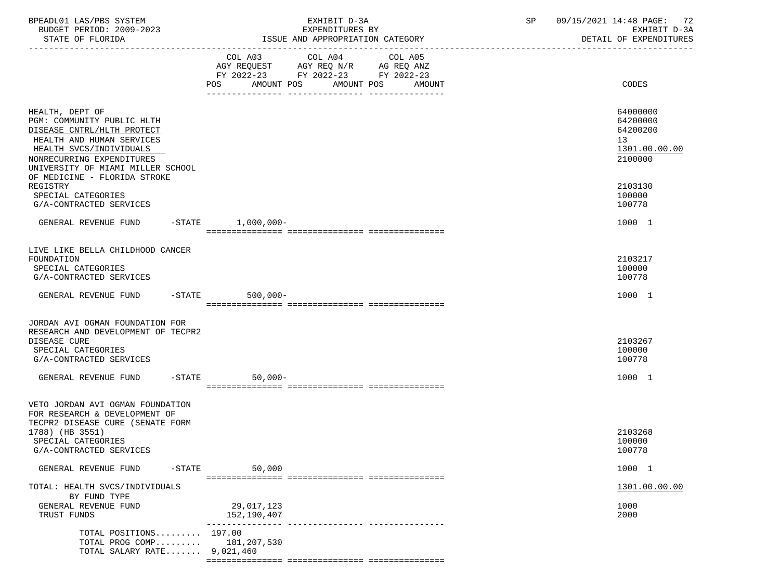| BPEADL01 LAS/PBS SYSTEM<br>BUDGET PERIOD: 2009-2023                                                                                                                                                                                               | EXHIBIT D-3A<br>EXPENDITURES BY                                                                                                         | 09/15/2021 14:48 PAGE: 72<br>SP<br>EXHIBIT D-3A                               |
|---------------------------------------------------------------------------------------------------------------------------------------------------------------------------------------------------------------------------------------------------|-----------------------------------------------------------------------------------------------------------------------------------------|-------------------------------------------------------------------------------|
| STATE OF FLORIDA                                                                                                                                                                                                                                  | ISSUE AND APPROPRIATION CATEGORY                                                                                                        | DETAIL OF EXPENDITURES                                                        |
|                                                                                                                                                                                                                                                   | COL A03 COL A04<br>COL A05<br>AGY REQUEST AGY REQ N/R AG REQ ANZ<br>FY 2022-23 FY 2022-23 FY 2022-23<br>AMOUNT POS AMOUNT POS<br>AMOUNT | CODES                                                                         |
| HEALTH, DEPT OF<br>PGM: COMMUNITY PUBLIC HLTH<br>DISEASE CNTRL/HLTH PROTECT<br>HEALTH AND HUMAN SERVICES<br>HEALTH SVCS/INDIVIDUALS<br>NONRECURRING EXPENDITURES<br>UNIVERSITY OF MIAMI MILLER SCHOOL<br>OF MEDICINE - FLORIDA STROKE<br>REGISTRY |                                                                                                                                         | 64000000<br>64200000<br>64200200<br>13<br>1301.00.00.00<br>2100000<br>2103130 |
| SPECIAL CATEGORIES<br>G/A-CONTRACTED SERVICES                                                                                                                                                                                                     |                                                                                                                                         | 100000<br>100778                                                              |
| GENERAL REVENUE FUND -STATE 1,000,000-                                                                                                                                                                                                            |                                                                                                                                         | 1000 1                                                                        |
| LIVE LIKE BELLA CHILDHOOD CANCER<br>FOUNDATION<br>SPECIAL CATEGORIES<br>G/A-CONTRACTED SERVICES                                                                                                                                                   |                                                                                                                                         | 2103217<br>100000<br>100778                                                   |
| GENERAL REVENUE FUND -STATE                                                                                                                                                                                                                       | $500,000 -$                                                                                                                             | 1000 1                                                                        |
| JORDAN AVI OGMAN FOUNDATION FOR<br>RESEARCH AND DEVELOPMENT OF TECPR2<br>DISEASE CURE<br>SPECIAL CATEGORIES<br>G/A-CONTRACTED SERVICES                                                                                                            |                                                                                                                                         | 2103267<br>100000<br>100778                                                   |
| GENERAL REVENUE FUND -STATE                                                                                                                                                                                                                       | $50,000-$                                                                                                                               | 1000 1                                                                        |
| VETO JORDAN AVI OGMAN FOUNDATION<br>FOR RESEARCH & DEVELOPMENT OF<br>TECPR2 DISEASE CURE (SENATE FORM<br>1788) (HB 3551)<br>SPECIAL CATEGORIES<br>G/A-CONTRACTED SERVICES                                                                         |                                                                                                                                         | 2103268<br>100000<br>100778                                                   |
| $-$ STATE<br>GENERAL REVENUE FUND                                                                                                                                                                                                                 | 50,000                                                                                                                                  | 1000 1                                                                        |
| TOTAL: HEALTH SVCS/INDIVIDUALS<br>BY FUND TYPE                                                                                                                                                                                                    |                                                                                                                                         | 1301.00.00.00                                                                 |
| GENERAL REVENUE FUND<br>TRUST FUNDS                                                                                                                                                                                                               | 29,017,123<br>152,190,407                                                                                                               | 1000<br>2000                                                                  |
| TOTAL POSITIONS 197.00<br>TOTAL PROG COMP 181,207,530<br>TOTAL SALARY RATE 9,021,460                                                                                                                                                              |                                                                                                                                         |                                                                               |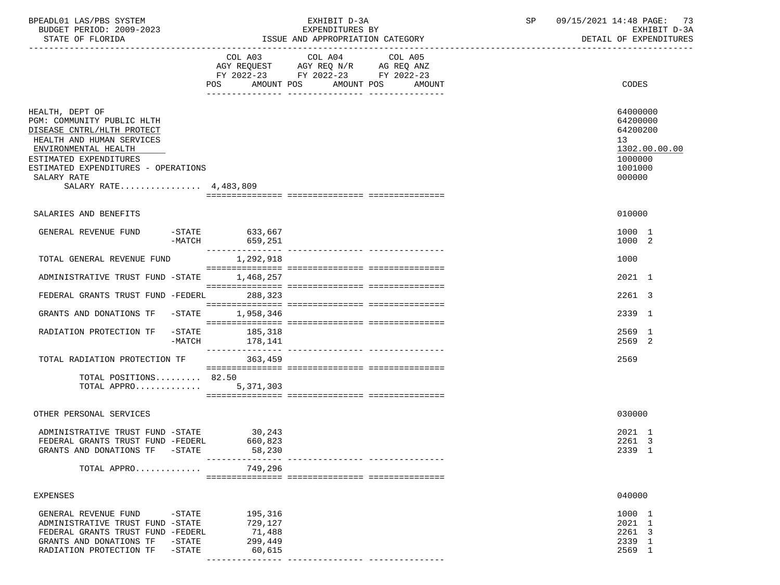| BPEADL01 LAS/PBS SYSTEM<br>BUDGET PERIOD: 2009-2023                                                                                                                                                                                       |                                                   | EXHIBIT D-3A<br>EXPENDITURES BY                                                                                                             | 09/15/2021 14:48 PAGE: 73<br>SP<br>EXHIBIT D-3A                                         |
|-------------------------------------------------------------------------------------------------------------------------------------------------------------------------------------------------------------------------------------------|---------------------------------------------------|---------------------------------------------------------------------------------------------------------------------------------------------|-----------------------------------------------------------------------------------------|
| STATE OF FLORIDA                                                                                                                                                                                                                          |                                                   | ISSUE AND APPROPRIATION CATEGORY                                                                                                            | DETAIL OF EXPENDITURES                                                                  |
|                                                                                                                                                                                                                                           |                                                   | COL A03 COL A04<br>COL A05<br>AGY REQUEST AGY REQ N/R AG REQ ANZ<br>FY 2022-23 FY 2022-23 FY 2022-23<br>POS AMOUNT POS AMOUNT POS<br>AMOUNT | CODES                                                                                   |
| HEALTH, DEPT OF<br>PGM: COMMUNITY PUBLIC HLTH<br>DISEASE CNTRL/HLTH PROTECT<br>HEALTH AND HUMAN SERVICES<br>ENVIRONMENTAL HEALTH<br>ESTIMATED EXPENDITURES<br>ESTIMATED EXPENDITURES - OPERATIONS<br>SALARY RATE<br>SALARY RATE 4,483,809 |                                                   |                                                                                                                                             | 64000000<br>64200000<br>64200200<br>13<br>1302.00.00.00<br>1000000<br>1001000<br>000000 |
| SALARIES AND BENEFITS                                                                                                                                                                                                                     |                                                   |                                                                                                                                             | 010000                                                                                  |
| GENERAL REVENUE FUND                                                                                                                                                                                                                      | -STATE 633,667<br>$-MATCH$ 659,251                |                                                                                                                                             | 1000 1<br>1000 2                                                                        |
| TOTAL GENERAL REVENUE FUND                                                                                                                                                                                                                | 1,292,918                                         |                                                                                                                                             | 1000                                                                                    |
| ADMINISTRATIVE TRUST FUND -STATE                                                                                                                                                                                                          | 1,468,257                                         |                                                                                                                                             | 2021 1                                                                                  |
| FEDERAL GRANTS TRUST FUND -FEDERL 288,323                                                                                                                                                                                                 |                                                   |                                                                                                                                             | 2261 3                                                                                  |
| GRANTS AND DONATIONS TF -STATE                                                                                                                                                                                                            | 1,958,346                                         |                                                                                                                                             | 2339 1                                                                                  |
| RADIATION PROTECTION TF                                                                                                                                                                                                                   | -STATE 185,318<br>-MATCH<br>178,141               |                                                                                                                                             | 2569 1<br>2569 2                                                                        |
| TOTAL RADIATION PROTECTION TF                                                                                                                                                                                                             | 363,459                                           |                                                                                                                                             | 2569                                                                                    |
| TOTAL POSITIONS 82.50<br>TOTAL APPRO                                                                                                                                                                                                      | 5,371,303                                         |                                                                                                                                             |                                                                                         |
| OTHER PERSONAL SERVICES                                                                                                                                                                                                                   |                                                   |                                                                                                                                             | 030000                                                                                  |
| ADMINISTRATIVE TRUST FUND -STATE<br>FEDERAL GRANTS TRUST FUND -FEDERL<br>GRANTS AND DONATIONS TF<br>$-$ STATE                                                                                                                             | 30, 243<br>660,823<br>58,230                      |                                                                                                                                             | 2021 1<br>2261 3<br>2339 1                                                              |
| TOTAL APPRO                                                                                                                                                                                                                               | 749,296                                           |                                                                                                                                             |                                                                                         |
| EXPENSES                                                                                                                                                                                                                                  |                                                   |                                                                                                                                             | 040000                                                                                  |
| GENERAL REVENUE FUND<br>$-$ STATE<br>ADMINISTRATIVE TRUST FUND -STATE<br>FEDERAL GRANTS TRUST FUND -FEDERL<br>GRANTS AND DONATIONS TF<br>$-STATE$<br>RADIATION PROTECTION TF<br>$-STATE$                                                  | 195,316<br>729,127<br>71,488<br>299,449<br>60,615 |                                                                                                                                             | 1000 1<br>2021 1<br>2261 3<br>2339 1<br>2569 1                                          |

--------------- --------------- ---------------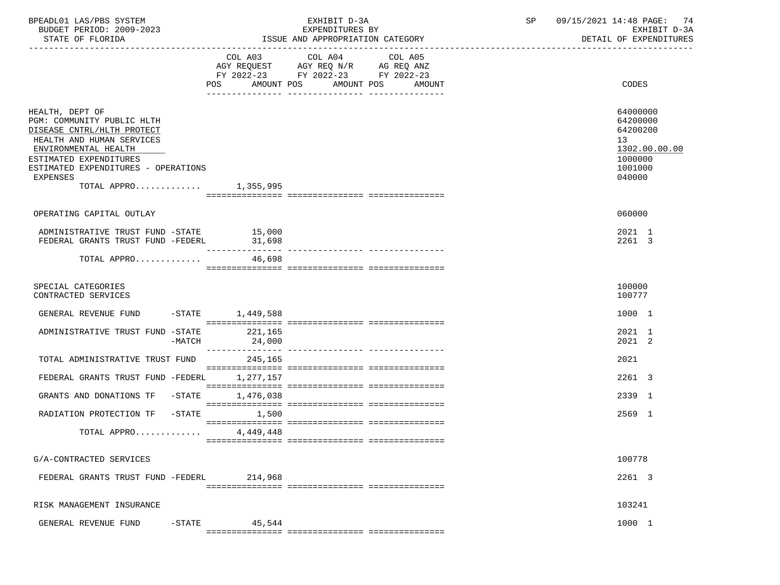| BPEADL01 LAS/PBS SYSTEM<br>BUDGET PERIOD: 2009-2023<br>STATE OF FLORIDA                                                                                                                                                                       |                   | EXHIBIT D-3A<br>EXPENDITURES BY<br>ISSUE AND APPROPRIATION CATEGORY                                                       | SP | 09/15/2021 14:48 PAGE: 74<br>EXHIBIT D-3A<br>DETAIL OF EXPENDITURES                     |
|-----------------------------------------------------------------------------------------------------------------------------------------------------------------------------------------------------------------------------------------------|-------------------|---------------------------------------------------------------------------------------------------------------------------|----|-----------------------------------------------------------------------------------------|
|                                                                                                                                                                                                                                               | AMOUNT POS<br>POS | COL A03 COL A04 COL A05<br>AGY REQUEST AGY REQ N/R AG REQ ANZ<br>FY 2022-23 FY 2022-23 FY 2022-23<br>AMOUNT POS<br>AMOUNT |    | CODES                                                                                   |
| HEALTH, DEPT OF<br>PGM: COMMUNITY PUBLIC HLTH<br>DISEASE CNTRL/HLTH PROTECT<br>HEALTH AND HUMAN SERVICES<br>ENVIRONMENTAL HEALTH<br>ESTIMATED EXPENDITURES<br>ESTIMATED EXPENDITURES - OPERATIONS<br><b>EXPENSES</b><br>TOTAL APPRO 1,355,995 |                   |                                                                                                                           |    | 64000000<br>64200000<br>64200200<br>13<br>1302.00.00.00<br>1000000<br>1001000<br>040000 |
| OPERATING CAPITAL OUTLAY                                                                                                                                                                                                                      |                   |                                                                                                                           |    | 060000                                                                                  |
| ADMINISTRATIVE TRUST FUND -STATE 15,000<br>FEDERAL GRANTS TRUST FUND -FEDERL                                                                                                                                                                  | 31,698            |                                                                                                                           |    | 2021 1<br>2261 3                                                                        |
| TOTAL APPRO                                                                                                                                                                                                                                   | 46,698            |                                                                                                                           |    |                                                                                         |
| SPECIAL CATEGORIES<br>CONTRACTED SERVICES                                                                                                                                                                                                     |                   |                                                                                                                           |    | 100000<br>100777                                                                        |
| GENERAL REVENUE FUND -STATE 1,449,588                                                                                                                                                                                                         |                   |                                                                                                                           |    | 1000 1                                                                                  |
| ADMINISTRATIVE TRUST FUND -STATE<br>-MATCH                                                                                                                                                                                                    | 221,165<br>24,000 |                                                                                                                           |    | 2021 1<br>2021 2                                                                        |
| TOTAL ADMINISTRATIVE TRUST FUND                                                                                                                                                                                                               | 245,165           |                                                                                                                           |    | 2021                                                                                    |
| FEDERAL GRANTS TRUST FUND -FEDERL 1,277,157                                                                                                                                                                                                   |                   |                                                                                                                           |    | 2261 3                                                                                  |
| GRANTS AND DONATIONS TF -STATE                                                                                                                                                                                                                | 1,476,038         |                                                                                                                           |    | 2339 1                                                                                  |
| RADIATION PROTECTION TF -STATE                                                                                                                                                                                                                | 1,500             |                                                                                                                           |    | 2569 1                                                                                  |
| TOTAL APPRO $4,449,448$                                                                                                                                                                                                                       |                   |                                                                                                                           |    |                                                                                         |
| G/A-CONTRACTED SERVICES                                                                                                                                                                                                                       |                   |                                                                                                                           |    | 100778                                                                                  |
| FEDERAL GRANTS TRUST FUND -FEDERL                                                                                                                                                                                                             | 214,968           |                                                                                                                           |    | 2261 3                                                                                  |
| RISK MANAGEMENT INSURANCE                                                                                                                                                                                                                     |                   |                                                                                                                           |    | 103241                                                                                  |
| GENERAL REVENUE FUND<br>$-$ STATE                                                                                                                                                                                                             | 45,544            |                                                                                                                           |    | 1000 1                                                                                  |
|                                                                                                                                                                                                                                               |                   |                                                                                                                           |    |                                                                                         |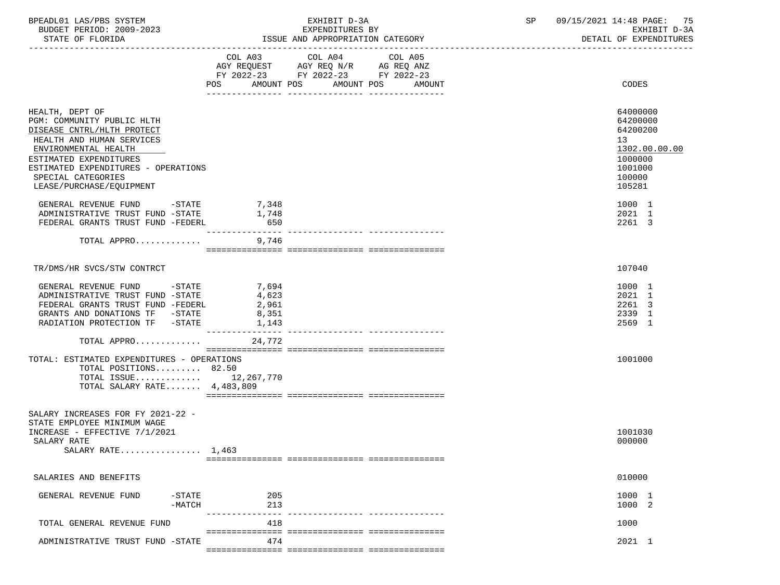| BPEADL01 LAS/PBS SYSTEM  | EXHIBIT D-3A                     | 09/15/2021 14:48 PAGE: 75 |
|--------------------------|----------------------------------|---------------------------|
| BUDGET PERIOD: 2009-2023 | EXPENDITURES BY                  | EXHIBIT D-3A              |
| STATE OF FLORIDA         | ISSUE AND APPROPRIATION CATEGORY | DETAIL OF EXPENDITURES    |

|                                                                                                                                                                                                                                                     | POS AMOUNT POS             | COL A03 COL A04 COL A05<br>AGY REQUEST AGY REQ N/R AG REQ ANZ<br>FY 2022-23 FY 2022-23 FY 2022-23 | AMOUNT POS<br>AMOUNT | CODES                                                                                             |
|-----------------------------------------------------------------------------------------------------------------------------------------------------------------------------------------------------------------------------------------------------|----------------------------|---------------------------------------------------------------------------------------------------|----------------------|---------------------------------------------------------------------------------------------------|
| HEALTH, DEPT OF<br>PGM: COMMUNITY PUBLIC HLTH<br>DISEASE CNTRL/HLTH PROTECT<br>HEALTH AND HUMAN SERVICES<br>ENVIRONMENTAL HEALTH<br>ESTIMATED EXPENDITURES<br>ESTIMATED EXPENDITURES - OPERATIONS<br>SPECIAL CATEGORIES<br>LEASE/PURCHASE/EQUIPMENT |                            |                                                                                                   |                      | 64000000<br>64200000<br>64200200<br>13<br>1302.00.00.00<br>1000000<br>1001000<br>100000<br>105281 |
| GENERAL REVENUE FUND -STATE                                                                                                                                                                                                                         | 7,348                      |                                                                                                   |                      | 1000 1                                                                                            |
| ADMINISTRATIVE TRUST FUND -STATE                                                                                                                                                                                                                    | 1,748                      |                                                                                                   |                      | 2021 1                                                                                            |
| FEDERAL GRANTS TRUST FUND -FEDERL                                                                                                                                                                                                                   | 650                        |                                                                                                   |                      | 2261 3                                                                                            |
| TOTAL APPRO                                                                                                                                                                                                                                         | 9,746                      |                                                                                                   |                      |                                                                                                   |
| TR/DMS/HR SVCS/STW CONTRCT                                                                                                                                                                                                                          |                            |                                                                                                   |                      | 107040                                                                                            |
| GENERAL REVENUE FUND -STATE                                                                                                                                                                                                                         | 7,694                      |                                                                                                   |                      | 1000 1                                                                                            |
| ADMINISTRATIVE TRUST FUND -STATE                                                                                                                                                                                                                    | 4,623                      |                                                                                                   |                      | 2021 1                                                                                            |
| FEDERAL GRANTS TRUST FUND -FEDERL                                                                                                                                                                                                                   | 2,961                      |                                                                                                   |                      | 2261 3                                                                                            |
| GRANTS AND DONATIONS TF -STATE                                                                                                                                                                                                                      | 8,351                      |                                                                                                   |                      | 2339 1                                                                                            |
| RADIATION PROTECTION TF -STATE                                                                                                                                                                                                                      | 1,143                      |                                                                                                   |                      | 2569 1                                                                                            |
| TOTAL APPRO                                                                                                                                                                                                                                         | ----------------<br>24,772 |                                                                                                   |                      |                                                                                                   |
|                                                                                                                                                                                                                                                     |                            |                                                                                                   |                      | 1001000                                                                                           |
| TOTAL: ESTIMATED EXPENDITURES - OPERATIONS<br>TOTAL POSITIONS 82.50                                                                                                                                                                                 |                            |                                                                                                   |                      |                                                                                                   |
| TOTAL ISSUE 12,267,770                                                                                                                                                                                                                              |                            |                                                                                                   |                      |                                                                                                   |
| TOTAL SALARY RATE $4,483,809$                                                                                                                                                                                                                       |                            |                                                                                                   |                      |                                                                                                   |
|                                                                                                                                                                                                                                                     |                            |                                                                                                   |                      |                                                                                                   |
| SALARY INCREASES FOR FY 2021-22 -<br>STATE EMPLOYEE MINIMUM WAGE<br>INCREASE - EFFECTIVE 7/1/2021<br>SALARY RATE                                                                                                                                    |                            |                                                                                                   |                      | 1001030<br>000000                                                                                 |
| SALARY RATE $1,463$                                                                                                                                                                                                                                 |                            |                                                                                                   |                      |                                                                                                   |
|                                                                                                                                                                                                                                                     |                            |                                                                                                   |                      |                                                                                                   |
| SALARIES AND BENEFITS                                                                                                                                                                                                                               |                            |                                                                                                   |                      | 010000                                                                                            |
| $-STATE$<br>GENERAL REVENUE FUND<br>$-MATCH$                                                                                                                                                                                                        | 205<br>213                 |                                                                                                   |                      | 1000 1<br>1000 2                                                                                  |
| TOTAL GENERAL REVENUE FUND                                                                                                                                                                                                                          | 418                        |                                                                                                   |                      | 1000                                                                                              |
| ADMINISTRATIVE TRUST FUND -STATE                                                                                                                                                                                                                    | 474                        |                                                                                                   |                      | 2021 1                                                                                            |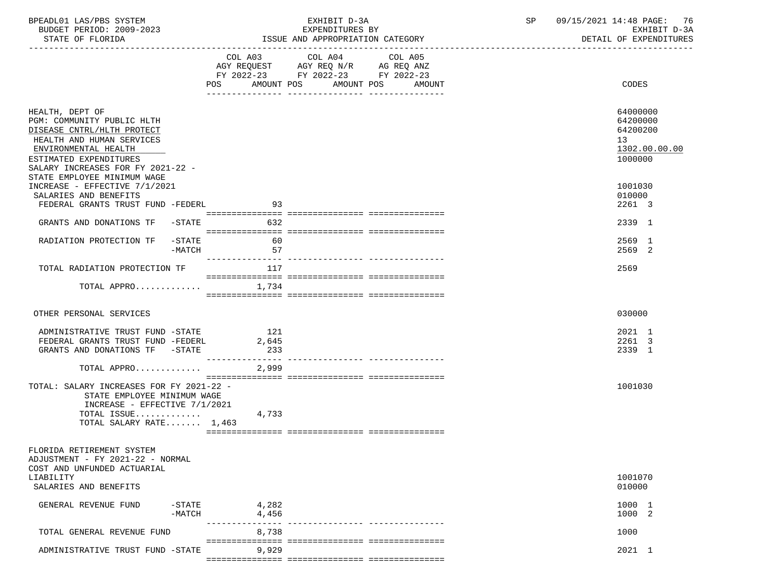| BPEADL01 LAS/PBS SYSTEM<br>BUDGET PERIOD: 2009-2023                                                                                                                                             |                     | EXHIBIT D-3A<br>EXPENDITURES BY                                                                                                          | 09/15/2021 14:48 PAGE: 76<br>SP<br>EXHIBIT D-3A                    |
|-------------------------------------------------------------------------------------------------------------------------------------------------------------------------------------------------|---------------------|------------------------------------------------------------------------------------------------------------------------------------------|--------------------------------------------------------------------|
| STATE OF FLORIDA                                                                                                                                                                                |                     | ISSUE AND APPROPRIATION CATEGORY                                                                                                         | DETAIL OF EXPENDITURES                                             |
|                                                                                                                                                                                                 |                     | COL A03 COL A04<br>COL A05<br>AGY REQUEST AGY REQ N/R AG REQ ANZ<br>FY 2022-23 FY 2022-23 FY 2022-23<br>POS AMOUNT POS AMOUNT POS AMOUNT | CODES                                                              |
| HEALTH, DEPT OF<br>PGM: COMMUNITY PUBLIC HLTH<br>DISEASE CNTRL/HLTH PROTECT<br>HEALTH AND HUMAN SERVICES<br>ENVIRONMENTAL HEALTH<br>ESTIMATED EXPENDITURES<br>SALARY INCREASES FOR FY 2021-22 - |                     |                                                                                                                                          | 64000000<br>64200000<br>64200200<br>13<br>1302.00.00.00<br>1000000 |
| STATE EMPLOYEE MINIMUM WAGE<br>INCREASE - EFFECTIVE 7/1/2021<br>SALARIES AND BENEFITS<br>FEDERAL GRANTS TRUST FUND -FEDERL                                                                      | 93                  |                                                                                                                                          | 1001030<br>010000<br>2261 3                                        |
| GRANTS AND DONATIONS TF -STATE                                                                                                                                                                  | 632                 |                                                                                                                                          | 2339 1                                                             |
| RADIATION PROTECTION TF -STATE<br>-MATCH                                                                                                                                                        | 60<br>57            |                                                                                                                                          | 2569 1<br>2569 2                                                   |
| TOTAL RADIATION PROTECTION TF                                                                                                                                                                   | 117                 |                                                                                                                                          | 2569                                                               |
| TOTAL APPRO $1,734$                                                                                                                                                                             |                     |                                                                                                                                          |                                                                    |
| OTHER PERSONAL SERVICES                                                                                                                                                                         |                     |                                                                                                                                          | 030000                                                             |
| ADMINISTRATIVE TRUST FUND -STATE<br>FEDERAL GRANTS TRUST FUND -FEDERL<br>GRANTS AND DONATIONS TF -STATE                                                                                         | 121<br>2,645<br>233 |                                                                                                                                          | 2021 1<br>2261 3<br>2339 1                                         |
| TOTAL APPRO $2,999$                                                                                                                                                                             |                     |                                                                                                                                          |                                                                    |
| TOTAL: SALARY INCREASES FOR FY 2021-22 -<br>STATE EMPLOYEE MINIMUM WAGE<br>INCREASE - EFFECTIVE $7/1/2021$<br>TOTAL ISSUE $4,733$<br>TOTAL SALARY RATE 1,463                                    |                     |                                                                                                                                          | 1001030                                                            |
| FLORIDA RETIREMENT SYSTEM<br>ADJUSTMENT - FY 2021-22 - NORMAL<br>COST AND UNFUNDED ACTUARIAL<br>LIABILITY<br>SALARIES AND BENEFITS                                                              |                     |                                                                                                                                          | 1001070<br>010000                                                  |
| $-$ STATE<br>GENERAL REVENUE FUND<br>$-MATCH$                                                                                                                                                   | 4,282<br>4,456      |                                                                                                                                          | 1000 1<br>1000 2                                                   |
| TOTAL GENERAL REVENUE FUND                                                                                                                                                                      | 8,738               |                                                                                                                                          | 1000                                                               |
| ADMINISTRATIVE TRUST FUND -STATE                                                                                                                                                                | 9,929               |                                                                                                                                          | 2021 1                                                             |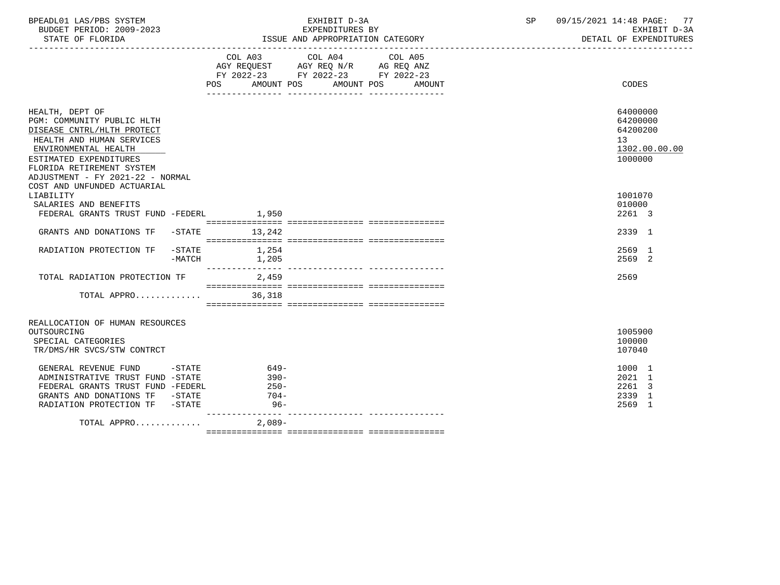| BPEADL01 LAS/PBS SYSTEM<br>BUDGET PERIOD: 2009-2023                                                                                                                                                                         |                            | EXHIBIT D-3A<br>EXPENDITURES BY                                                                                           | SP | 09/15/2021 14:48 PAGE: 77<br>EXHIBIT D-3A                          |
|-----------------------------------------------------------------------------------------------------------------------------------------------------------------------------------------------------------------------------|----------------------------|---------------------------------------------------------------------------------------------------------------------------|----|--------------------------------------------------------------------|
| STATE OF FLORIDA                                                                                                                                                                                                            |                            | ISSUE AND APPROPRIATION CATEGORY                                                                                          |    | DETAIL OF EXPENDITURES                                             |
|                                                                                                                                                                                                                             | AMOUNT POS<br>POS FOR      | COL A03 COL A04 COL A05<br>AGY REQUEST AGY REQ N/R AG REQ ANZ<br>FY 2022-23 FY 2022-23 FY 2022-23<br>AMOUNT POS<br>AMOUNT |    | CODES                                                              |
| HEALTH, DEPT OF<br>PGM: COMMUNITY PUBLIC HLTH<br>DISEASE CNTRL/HLTH PROTECT<br>HEALTH AND HUMAN SERVICES<br>ENVIRONMENTAL HEALTH<br>ESTIMATED EXPENDITURES<br>FLORIDA RETIREMENT SYSTEM<br>ADJUSTMENT - FY 2021-22 - NORMAL |                            |                                                                                                                           |    | 64000000<br>64200000<br>64200200<br>13<br>1302.00.00.00<br>1000000 |
| COST AND UNFUNDED ACTUARIAL<br>LIABILITY                                                                                                                                                                                    |                            |                                                                                                                           |    | 1001070                                                            |
| SALARIES AND BENEFITS<br>FEDERAL GRANTS TRUST FUND -FEDERL 1,950                                                                                                                                                            |                            |                                                                                                                           |    | 010000<br>2261 3                                                   |
|                                                                                                                                                                                                                             |                            |                                                                                                                           |    |                                                                    |
| GRANTS AND DONATIONS TF -STATE 13,242                                                                                                                                                                                       |                            |                                                                                                                           |    | 2339 1                                                             |
| RADIATION PROTECTION TF<br>$-MATCH$                                                                                                                                                                                         | $-$ STATE $1,254$<br>1,205 |                                                                                                                           |    | 2569 1<br>2569 2                                                   |
| TOTAL RADIATION PROTECTION TF                                                                                                                                                                                               | 2,459                      |                                                                                                                           |    | 2569                                                               |
| TOTAL APPRO                                                                                                                                                                                                                 | 36,318                     |                                                                                                                           |    |                                                                    |
| REALLOCATION OF HUMAN RESOURCES                                                                                                                                                                                             |                            |                                                                                                                           |    |                                                                    |
| OUTSOURCING                                                                                                                                                                                                                 |                            |                                                                                                                           |    | 1005900                                                            |
| SPECIAL CATEGORIES<br>TR/DMS/HR SVCS/STW CONTRCT                                                                                                                                                                            |                            |                                                                                                                           |    | 100000<br>107040                                                   |
| GENERAL REVENUE FUND<br>$-$ STATE                                                                                                                                                                                           | $649-$                     |                                                                                                                           |    | 1000 1                                                             |
| ADMINISTRATIVE TRUST FUND -STATE                                                                                                                                                                                            | $390 -$                    |                                                                                                                           |    | $2021$ 1                                                           |
| FEDERAL GRANTS TRUST FUND -FEDERL                                                                                                                                                                                           | $250-$                     |                                                                                                                           |    | 2261 3                                                             |
| GRANTS AND DONATIONS TF -STATE                                                                                                                                                                                              | $704-$                     |                                                                                                                           |    | 2339 1                                                             |
| RADIATION PROTECTION TF -STATE                                                                                                                                                                                              | $96 -$                     |                                                                                                                           |    | 2569 1                                                             |
| TOTAL APPRO                                                                                                                                                                                                                 | $2,089-$                   |                                                                                                                           |    |                                                                    |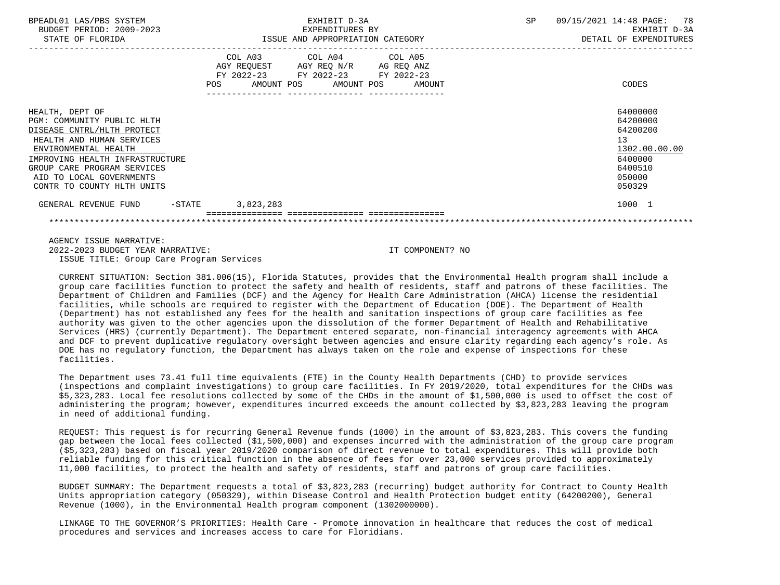| BPEADL01 LAS/PBS SYSTEM<br>BUDGET PERIOD: 2009-2023<br>STATE OF FLORIDA                                                                                                                                                                                      | EXHIBIT D-3A<br>EXPENDITURES BY<br>ISSUE AND APPROPRIATION CATEGORY                                                                      | SP<br>09/15/2021 14:48 PAGE:<br>78<br>EXHIBIT D-3A<br>DETAIL OF EXPENDITURES                      |
|--------------------------------------------------------------------------------------------------------------------------------------------------------------------------------------------------------------------------------------------------------------|------------------------------------------------------------------------------------------------------------------------------------------|---------------------------------------------------------------------------------------------------|
|                                                                                                                                                                                                                                                              | COL A03 COL A04 COL A05<br>AGY REQUEST AGY REQ N/R AG REQ ANZ<br>FY 2022-23 FY 2022-23 FY 2022-23<br>POS<br>AMOUNT POS AMOUNT POS AMOUNT | CODES                                                                                             |
| HEALTH, DEPT OF<br>PGM: COMMUNITY PUBLIC HLTH<br>DISEASE CNTRL/HLTH PROTECT<br>HEALTH AND HUMAN SERVICES<br>ENVIRONMENTAL HEALTH<br>IMPROVING HEALTH INFRASTRUCTURE<br>GROUP CARE PROGRAM SERVICES<br>AID TO LOCAL GOVERNMENTS<br>CONTR TO COUNTY HLTH UNITS |                                                                                                                                          | 64000000<br>64200000<br>64200200<br>13<br>1302.00.00.00<br>6400000<br>6400510<br>050000<br>050329 |
| $-$ STATE<br>GENERAL REVENUE FUND                                                                                                                                                                                                                            | 3,823,283                                                                                                                                | 1000 1                                                                                            |
|                                                                                                                                                                                                                                                              |                                                                                                                                          |                                                                                                   |

 AGENCY ISSUE NARRATIVE: 2022-2023 BUDGET YEAR NARRATIVE: IT COMPONENT? NO ISSUE TITLE: Group Care Program Services

 CURRENT SITUATION: Section 381.006(15), Florida Statutes, provides that the Environmental Health program shall include a group care facilities function to protect the safety and health of residents, staff and patrons of these facilities. The Department of Children and Families (DCF) and the Agency for Health Care Administration (AHCA) license the residential facilities, while schools are required to register with the Department of Education (DOE). The Department of Health (Department) has not established any fees for the health and sanitation inspections of group care facilities as fee authority was given to the other agencies upon the dissolution of the former Department of Health and Rehabilitative Services (HRS) (currently Department). The Department entered separate, non-financial interagency agreements with AHCA and DCF to prevent duplicative regulatory oversight between agencies and ensure clarity regarding each agency's role. As DOE has no regulatory function, the Department has always taken on the role and expense of inspections for these facilities.

 The Department uses 73.41 full time equivalents (FTE) in the County Health Departments (CHD) to provide services (inspections and complaint investigations) to group care facilities. In FY 2019/2020, total expenditures for the CHDs was \$5,323,283. Local fee resolutions collected by some of the CHDs in the amount of \$1,500,000 is used to offset the cost of administering the program; however, expenditures incurred exceeds the amount collected by \$3,823,283 leaving the program in need of additional funding.

 REQUEST: This request is for recurring General Revenue funds (1000) in the amount of \$3,823,283. This covers the funding gap between the local fees collected (\$1,500,000) and expenses incurred with the administration of the group care program (\$5,323,283) based on fiscal year 2019/2020 comparison of direct revenue to total expenditures. This will provide both reliable funding for this critical function in the absence of fees for over 23,000 services provided to approximately 11,000 facilities, to protect the health and safety of residents, staff and patrons of group care facilities.

 BUDGET SUMMARY: The Department requests a total of \$3,823,283 (recurring) budget authority for Contract to County Health Units appropriation category (050329), within Disease Control and Health Protection budget entity (64200200), General Revenue (1000), in the Environmental Health program component (1302000000).

 LINKAGE TO THE GOVERNOR'S PRIORITIES: Health Care - Promote innovation in healthcare that reduces the cost of medical procedures and services and increases access to care for Floridians.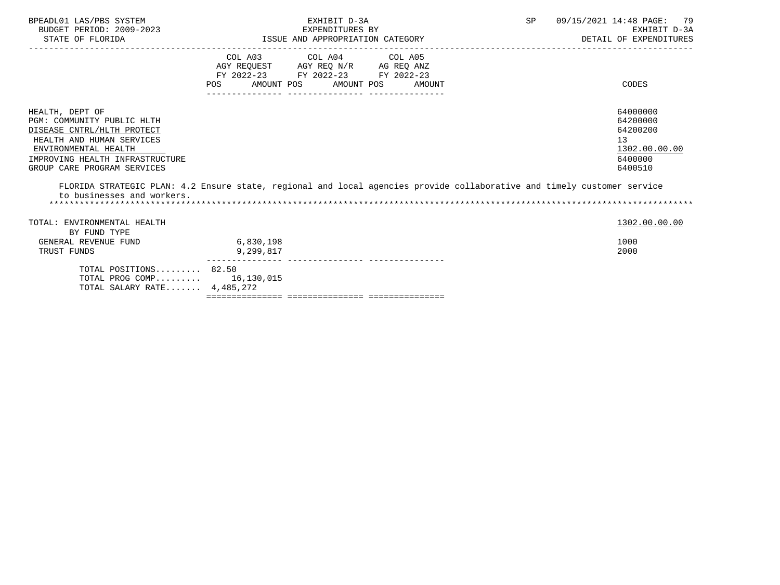| BPEADL01 LAS/PBS SYSTEM<br>BUDGET PERIOD: 2009-2023<br>STATE OF FLORIDA                                                                                                                            | EXHIBIT D-3A<br>EXPENDITURES BY<br>ISSUE AND APPROPRIATION CATEGORY |                                                                                                                            | SP     | 09/15/2021 14:48 PAGE: 79<br>EXHIBIT D-3A<br>DETAIL OF EXPENDITURES                                                     |                                                                               |
|----------------------------------------------------------------------------------------------------------------------------------------------------------------------------------------------------|---------------------------------------------------------------------|----------------------------------------------------------------------------------------------------------------------------|--------|-------------------------------------------------------------------------------------------------------------------------|-------------------------------------------------------------------------------|
|                                                                                                                                                                                                    | <b>POS</b>                                                          | COL A03 COL A04 COL A05<br>AGY REQUEST AGY REQ N/R AG REQ ANZ<br>FY 2022-23 FY 2022-23 FY 2022-23<br>AMOUNT POS AMOUNT POS | AMOUNT |                                                                                                                         | CODES                                                                         |
| HEALTH, DEPT OF<br>PGM: COMMUNITY PUBLIC HLTH<br>DISEASE CNTRL/HLTH PROTECT<br>HEALTH AND HUMAN SERVICES<br>ENVIRONMENTAL HEALTH<br>IMPROVING HEALTH INFRASTRUCTURE<br>GROUP CARE PROGRAM SERVICES |                                                                     |                                                                                                                            |        |                                                                                                                         | 64000000<br>64200000<br>64200200<br>13<br>1302.00.00.00<br>6400000<br>6400510 |
| to businesses and workers.                                                                                                                                                                         |                                                                     |                                                                                                                            |        | FLORIDA STRATEGIC PLAN: 4.2 Ensure state, regional and local agencies provide collaborative and timely customer service |                                                                               |
| TOTAL: ENVIRONMENTAL HEALTH<br>BY FUND TYPE                                                                                                                                                        |                                                                     |                                                                                                                            |        |                                                                                                                         | 1302.00.00.00                                                                 |
| GENERAL REVENUE FUND<br>TRUST FUNDS                                                                                                                                                                | 6,830,198<br>9,299,817                                              |                                                                                                                            |        |                                                                                                                         | 1000<br>2000                                                                  |
| TOTAL POSITIONS $82.50$<br>TOTAL PROG COMP $16,130,015$<br>TOTAL SALARY RATE $4,485,272$                                                                                                           |                                                                     |                                                                                                                            |        |                                                                                                                         |                                                                               |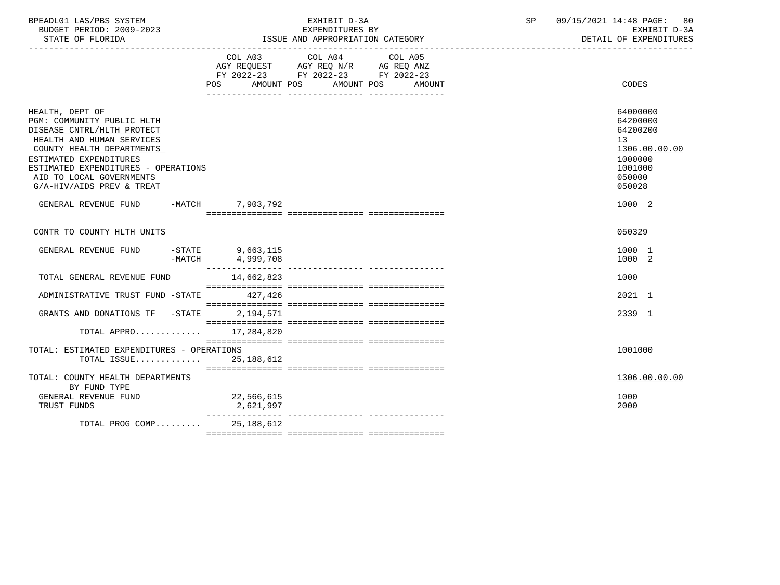| BPEADL01 LAS/PBS SYSTEM  | EXHIBIT D-3A                     | 09/15/2021 14:48 PAGE: 80 |
|--------------------------|----------------------------------|---------------------------|
| BUDGET PERIOD: 2009-2023 | EXPENDITURES BY                  | EXHIBIT D-3A              |
| STATE OF FLORIDA         | ISSUE AND APPROPRIATION CATEGORY | DETAIL OF EXPENDITURES    |

|                                                                                                                                                                                                                                                                 |                                              | COL A03 COL A04 COL A05<br>AGY REQUEST AGY REQ N/R AG REQ ANZ<br>FY 2022-23 FY 2022-23 FY 2022-23<br>POS AMOUNT POS AMOUNT POS<br>AMOUNT | CODES                                                                                             |
|-----------------------------------------------------------------------------------------------------------------------------------------------------------------------------------------------------------------------------------------------------------------|----------------------------------------------|------------------------------------------------------------------------------------------------------------------------------------------|---------------------------------------------------------------------------------------------------|
| HEALTH, DEPT OF<br>PGM: COMMUNITY PUBLIC HLTH<br>DISEASE CNTRL/HLTH PROTECT<br>HEALTH AND HUMAN SERVICES<br>COUNTY HEALTH DEPARTMENTS<br>ESTIMATED EXPENDITURES<br>ESTIMATED EXPENDITURES - OPERATIONS<br>AID TO LOCAL GOVERNMENTS<br>G/A-HIV/AIDS PREV & TREAT |                                              |                                                                                                                                          | 64000000<br>64200000<br>64200200<br>13<br>1306.00.00.00<br>1000000<br>1001000<br>050000<br>050028 |
| GENERAL REVENUE FUND -MATCH 7,903,792                                                                                                                                                                                                                           |                                              |                                                                                                                                          | 1000 2                                                                                            |
| CONTR TO COUNTY HLTH UNITS                                                                                                                                                                                                                                      |                                              |                                                                                                                                          | 050329                                                                                            |
| GENERAL REVENUE FUND                                                                                                                                                                                                                                            | $-$ STATE 9,663,115<br>$-MATCH$<br>4,999,708 |                                                                                                                                          | 1000 1<br>1000 2                                                                                  |
| TOTAL GENERAL REVENUE FUND                                                                                                                                                                                                                                      | 14,662,823                                   |                                                                                                                                          | 1000                                                                                              |
| ADMINISTRATIVE TRUST FUND -STATE 427,426                                                                                                                                                                                                                        |                                              |                                                                                                                                          | 2021 1                                                                                            |
| GRANTS AND DONATIONS TF -STATE                                                                                                                                                                                                                                  | 2,194,571                                    |                                                                                                                                          | 2339 1                                                                                            |
| TOTAL APPRO                                                                                                                                                                                                                                                     | 17,284,820                                   |                                                                                                                                          |                                                                                                   |
| TOTAL: ESTIMATED EXPENDITURES - OPERATIONS<br>TOTAL ISSUE 25,188,612                                                                                                                                                                                            |                                              |                                                                                                                                          | 1001000                                                                                           |
| TOTAL: COUNTY HEALTH DEPARTMENTS<br>BY FUND TYPE                                                                                                                                                                                                                |                                              |                                                                                                                                          | 1306.00.00.00                                                                                     |
| GENERAL REVENUE FUND<br>TRUST FUNDS                                                                                                                                                                                                                             | 22,566,615<br>2,621,997                      |                                                                                                                                          | 1000<br>2000                                                                                      |
| TOTAL PROG COMP 25,188,612                                                                                                                                                                                                                                      |                                              |                                                                                                                                          |                                                                                                   |

ISSUE AND APPROPRIATION CATEGORY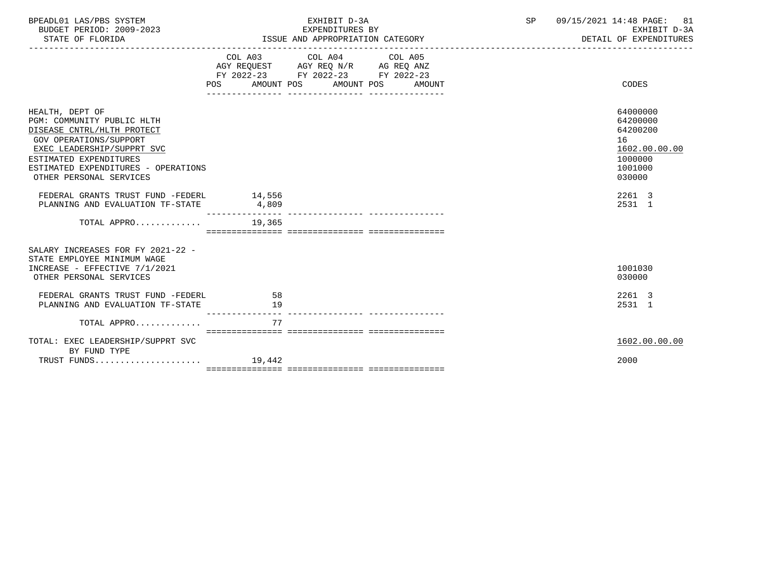| BPEADL01 LAS/PBS SYSTEM<br>BUDGET PERIOD: 2009-2023<br>STATE OF FLORIDA                                                                                                                                                                |                           | EXHIBIT D-3A<br>EXPENDITURES BY<br>ISSUE AND APPROPRIATION CATEGORY                                                                  | SP | 09/15/2021 14:48 PAGE: 81<br>EXHIBIT D-3A<br>DETAIL OF EXPENDITURES                     |
|----------------------------------------------------------------------------------------------------------------------------------------------------------------------------------------------------------------------------------------|---------------------------|--------------------------------------------------------------------------------------------------------------------------------------|----|-----------------------------------------------------------------------------------------|
|                                                                                                                                                                                                                                        | POS                       | COL A03 COL A04 COL A05<br>AGY REQUEST AGY REQ N/R AG REQ ANZ<br>FY 2022-23 FY 2022-23 FY 2022-23<br>AMOUNT POS AMOUNT POS<br>AMOUNT |    | CODES                                                                                   |
| HEALTH, DEPT OF<br>PGM: COMMUNITY PUBLIC HLTH<br>DISEASE CNTRL/HLTH PROTECT<br><b>GOV OPERATIONS/SUPPORT</b><br>EXEC LEADERSHIP/SUPPRT SVC<br>ESTIMATED EXPENDITURES<br>ESTIMATED EXPENDITURES - OPERATIONS<br>OTHER PERSONAL SERVICES |                           |                                                                                                                                      |    | 64000000<br>64200000<br>64200200<br>16<br>1602.00.00.00<br>1000000<br>1001000<br>030000 |
| FEDERAL GRANTS TRUST FUND -FEDERL<br>PLANNING AND EVALUATION TF-STATE 4,809                                                                                                                                                            | 14,556<br>_______________ |                                                                                                                                      |    | 2261 3<br>2531 1                                                                        |
| TOTAL APPRO $19,365$                                                                                                                                                                                                                   |                           |                                                                                                                                      |    |                                                                                         |
| SALARY INCREASES FOR FY 2021-22 -<br>STATE EMPLOYEE MINIMUM WAGE<br>INCREASE - EFFECTIVE 7/1/2021<br>OTHER PERSONAL SERVICES                                                                                                           |                           |                                                                                                                                      |    | 1001030<br>030000                                                                       |
| FEDERAL GRANTS TRUST FUND -FEDERL<br>PLANNING AND EVALUATION TF-STATE                                                                                                                                                                  | -58<br>19                 |                                                                                                                                      |    | 2261 3<br>2531 1                                                                        |
| TOTAL APPRO                                                                                                                                                                                                                            | 77                        |                                                                                                                                      |    |                                                                                         |
| TOTAL: EXEC LEADERSHIP/SUPPRT SVC<br>BY FUND TYPE                                                                                                                                                                                      |                           |                                                                                                                                      |    | 1602.00.00.00                                                                           |
|                                                                                                                                                                                                                                        |                           |                                                                                                                                      |    | 2000                                                                                    |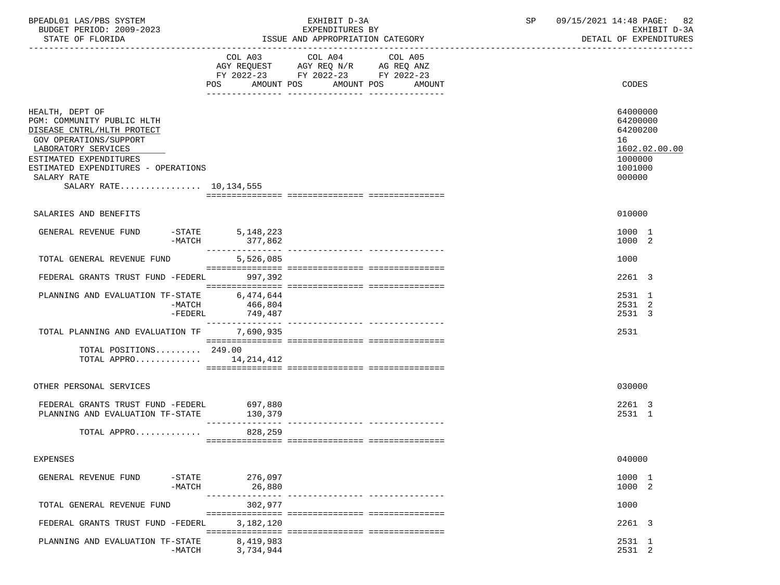| BPEADL01 LAS/PBS SYSTEM<br>BUDGET PERIOD: 2009-2023<br>STATE OF FLORIDA                                                                                                                                                                  |                                           | EXHIBIT D-3A<br>EXPENDITURES BY<br>ISSUE AND APPROPRIATION CATEGORY                       | SP      | 09/15/2021 14:48 PAGE: 82<br>EXHIBIT D-3A<br>DETAIL OF EXPENDITURES |                                                                                         |
|------------------------------------------------------------------------------------------------------------------------------------------------------------------------------------------------------------------------------------------|-------------------------------------------|-------------------------------------------------------------------------------------------|---------|---------------------------------------------------------------------|-----------------------------------------------------------------------------------------|
|                                                                                                                                                                                                                                          | POS AMOUNT POS AMOUNT POS AMOUNT          | COL A03 COL A04<br>AGY REQUEST AGY REQ N/R AG REQ ANZ<br>FY 2022-23 FY 2022-23 FY 2022-23 | COL A05 |                                                                     | CODES                                                                                   |
| HEALTH, DEPT OF<br>PGM: COMMUNITY PUBLIC HLTH<br>DISEASE CNTRL/HLTH PROTECT<br>GOV OPERATIONS/SUPPORT<br>LABORATORY SERVICES<br>ESTIMATED EXPENDITURES<br>ESTIMATED EXPENDITURES - OPERATIONS<br>SALARY RATE<br>SALARY RATE 10, 134, 555 |                                           |                                                                                           |         |                                                                     | 64000000<br>64200000<br>64200200<br>16<br>1602.02.00.00<br>1000000<br>1001000<br>000000 |
| SALARIES AND BENEFITS                                                                                                                                                                                                                    |                                           |                                                                                           |         |                                                                     | 010000                                                                                  |
| GENERAL REVENUE FUND                                                                                                                                                                                                                     | STATE 5,148,223-<br>MATCH 377,862-        |                                                                                           |         |                                                                     | 1000 1<br>1000 2                                                                        |
| TOTAL GENERAL REVENUE FUND                                                                                                                                                                                                               | 5,526,085                                 |                                                                                           |         |                                                                     | 1000                                                                                    |
| FEDERAL GRANTS TRUST FUND -FEDERL 997,392                                                                                                                                                                                                |                                           |                                                                                           |         |                                                                     | 2261 3                                                                                  |
| PLANNING AND EVALUATION TF-STATE 6,474,644                                                                                                                                                                                               | ->1A1CH<br>-MATCH 400,-<br>FEDERL 749,487 |                                                                                           |         |                                                                     | 2531 1<br>2531 2<br>2531 3                                                              |
| TOTAL PLANNING AND EVALUATION TF 7,690,935                                                                                                                                                                                               |                                           |                                                                                           |         |                                                                     | 2531                                                                                    |
| TOTAL POSITIONS 249.00<br>TOTAL APPRO $14,214,412$                                                                                                                                                                                       |                                           |                                                                                           |         |                                                                     |                                                                                         |
| OTHER PERSONAL SERVICES                                                                                                                                                                                                                  |                                           |                                                                                           |         |                                                                     | 030000                                                                                  |
| FEDERAL GRANTS TRUST FUND -FEDERL<br>PLANNING AND EVALUATION TF-STATE                                                                                                                                                                    | 697,880<br>130,379                        |                                                                                           |         |                                                                     | 2261 3<br>2531 1                                                                        |
| TOTAL APPRO 828,259                                                                                                                                                                                                                      |                                           |                                                                                           |         |                                                                     |                                                                                         |
| <b>EXPENSES</b>                                                                                                                                                                                                                          |                                           |                                                                                           |         |                                                                     | 040000                                                                                  |
| GENERAL REVENUE FUND<br>$-MATCH$                                                                                                                                                                                                         | -STATE 276,097<br>26,880                  |                                                                                           |         |                                                                     | 1000 1<br>1000 2                                                                        |
| TOTAL GENERAL REVENUE FUND                                                                                                                                                                                                               | 302,977                                   |                                                                                           |         |                                                                     | 1000                                                                                    |
| FEDERAL GRANTS TRUST FUND -FEDERL                                                                                                                                                                                                        | 3,182,120                                 |                                                                                           |         |                                                                     | 2261 3                                                                                  |
| PLANNING AND EVALUATION TF-STATE<br>$-MATCH$                                                                                                                                                                                             | 8,419,983<br>3,734,944                    |                                                                                           |         |                                                                     | 2531 1<br>2531 2                                                                        |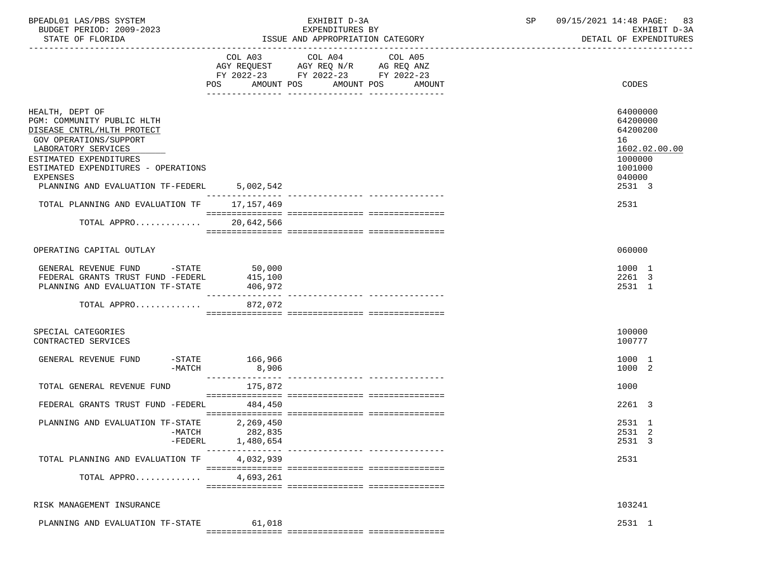| BPEADL01 LAS/PBS SYSTEM |                          |
|-------------------------|--------------------------|
|                         | BUDGET PERIOD: 2009-2023 |

 BUDGET PERIOD: 2009-2023 EXPENDITURES BY EXHIBIT D-3A ISSUE AND APPROPRIATION CATEGORY ----------------------------------------------------------------------------------------------------------------------------------- COL A03 COL A04 COL A05 AGY REQUEST AGY REQ N/R AG REQ ANZ FY 2022-23 FY 2022-23 FY 2022-23

POS AMOUNT POS AMOUNT POS AMOUNT CODES

| HEALTH, DEPT OF<br>PGM: COMMUNITY PUBLIC HLTH<br>DISEASE CNTRL/HLTH PROTECT<br>GOV OPERATIONS/SUPPORT<br>LABORATORY SERVICES<br>ESTIMATED EXPENDITURES<br>ESTIMATED EXPENDITURES - OPERATIONS<br><b>EXPENSES</b><br>PLANNING AND EVALUATION TF-FEDERL | 5,002,542                                     | 16 | 64000000<br>64200000<br>64200200<br>1602.02.00.00<br>1000000<br>1001000<br>040000<br>2531 3 |
|-------------------------------------------------------------------------------------------------------------------------------------------------------------------------------------------------------------------------------------------------------|-----------------------------------------------|----|---------------------------------------------------------------------------------------------|
| TOTAL PLANNING AND EVALUATION TF                                                                                                                                                                                                                      | 17,157,469                                    |    | 2531                                                                                        |
| TOTAL APPRO                                                                                                                                                                                                                                           | 20,642,566                                    |    |                                                                                             |
| OPERATING CAPITAL OUTLAY                                                                                                                                                                                                                              |                                               |    | 060000                                                                                      |
| GENERAL REVENUE FUND -STATE 50,000<br>FEDERAL GRANTS TRUST FUND -FEDERL<br>PLANNING AND EVALUATION TF-STATE                                                                                                                                           | 415,100<br>406,972<br>----------------        |    | 1000 1<br>2261 3<br>2531 1                                                                  |
| TOTAL APPRO                                                                                                                                                                                                                                           | 872,072                                       |    |                                                                                             |
| SPECIAL CATEGORIES<br>CONTRACTED SERVICES                                                                                                                                                                                                             |                                               |    | 100000<br>100777                                                                            |
| GENERAL REVENUE FUND<br>-MATCH                                                                                                                                                                                                                        | $-$ STATE 166,966<br>8,906<br>_______________ |    | 1000 1<br>1000 2                                                                            |
| TOTAL GENERAL REVENUE FUND                                                                                                                                                                                                                            | 175,872                                       |    | 1000                                                                                        |
| FEDERAL GRANTS TRUST FUND -FEDERL                                                                                                                                                                                                                     | 484,450                                       |    | 2261 3                                                                                      |
| PLANNING AND EVALUATION TF-STATE<br>$-FEDERL$                                                                                                                                                                                                         | 2,269,450<br>-MATCH 282,835<br>1,480,654      |    | 2531 1<br>2531 2<br>2531 3                                                                  |
| TOTAL PLANNING AND EVALUATION TF                                                                                                                                                                                                                      | 4,032,939                                     |    | 2531                                                                                        |
| TOTAL APPRO                                                                                                                                                                                                                                           | 4,693,261                                     |    |                                                                                             |
| RISK MANAGEMENT INSURANCE                                                                                                                                                                                                                             |                                               |    | 103241                                                                                      |
| PLANNING AND EVALUATION TF-STATE                                                                                                                                                                                                                      | 61,018                                        |    | 2531 1                                                                                      |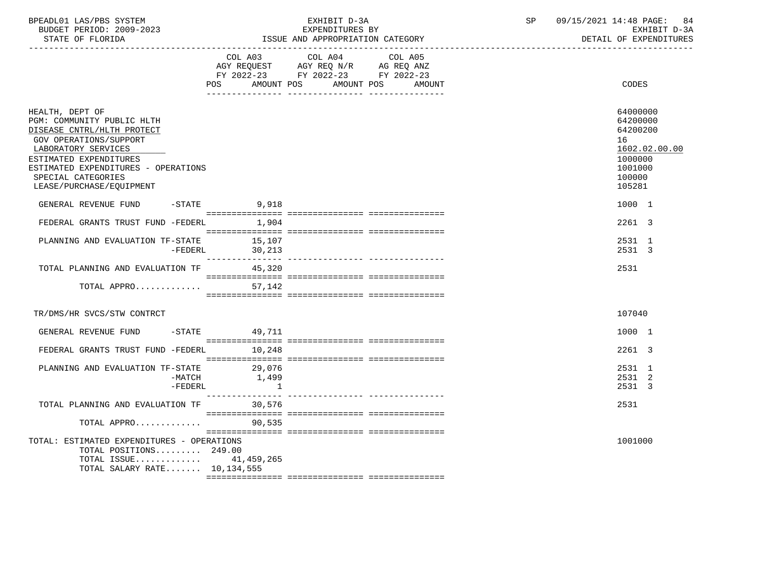| BPEADL01 LAS/PBS SYSTEM  | EXHIBIT D-3A                     | 09/15/2021 14:48 PAGE: 84 |
|--------------------------|----------------------------------|---------------------------|
| BUDGET PERIOD: 2009-2023 | EXPENDITURES BY                  | EXHIBIT D-3A              |
| STATE OF FLORIDA         | ISSUE AND APPROPRIATION CATEGORY | DETAIL OF EXPENDITURES    |

|                                                                                                                                                                                                                                                 | POS AMOUNT POS                    | COL A03 COL A04 COL A05<br>AGY REQUEST AGY REQ N/R AG REQ ANZ<br>FY 2022-23 FY 2022-23 FY 2022-23 | AMOUNT POS | AMOUNT | CODES                                                                                             |
|-------------------------------------------------------------------------------------------------------------------------------------------------------------------------------------------------------------------------------------------------|-----------------------------------|---------------------------------------------------------------------------------------------------|------------|--------|---------------------------------------------------------------------------------------------------|
| HEALTH, DEPT OF<br>PGM: COMMUNITY PUBLIC HLTH<br>DISEASE CNTRL/HLTH PROTECT<br>GOV OPERATIONS/SUPPORT<br>LABORATORY SERVICES<br>ESTIMATED EXPENDITURES<br>ESTIMATED EXPENDITURES - OPERATIONS<br>SPECIAL CATEGORIES<br>LEASE/PURCHASE/EQUIPMENT |                                   |                                                                                                   |            |        | 64000000<br>64200000<br>64200200<br>16<br>1602.02.00.00<br>1000000<br>1001000<br>100000<br>105281 |
| GENERAL REVENUE FUND -STATE 9,918                                                                                                                                                                                                               |                                   |                                                                                                   |            |        | 1000 1                                                                                            |
| FEDERAL GRANTS TRUST FUND -FEDERL                                                                                                                                                                                                               | 1,904                             |                                                                                                   |            |        | 2261 3                                                                                            |
| PLANNING AND EVALUATION TF-STATE<br>-FEDERL                                                                                                                                                                                                     | 15,107<br>30, 213                 |                                                                                                   |            |        | 2531 1<br>2531 3                                                                                  |
| TOTAL PLANNING AND EVALUATION TF 45,320                                                                                                                                                                                                         |                                   |                                                                                                   |            |        | 2531                                                                                              |
| TOTAL APPRO                                                                                                                                                                                                                                     | 57,142                            |                                                                                                   |            |        |                                                                                                   |
| TR/DMS/HR SVCS/STW CONTRCT                                                                                                                                                                                                                      |                                   |                                                                                                   |            |        | 107040                                                                                            |
| GENERAL REVENUE FUND -STATE 49,711                                                                                                                                                                                                              |                                   |                                                                                                   |            |        | 1000 1                                                                                            |
| FEDERAL GRANTS TRUST FUND -FEDERL 10,248                                                                                                                                                                                                        |                                   |                                                                                                   |            |        | 2261 3                                                                                            |
| PLANNING AND EVALUATION TF-STATE<br>-MATCH<br>-FEDERL                                                                                                                                                                                           | 29,076<br>1,499<br>$\overline{1}$ |                                                                                                   |            |        | 2531 1<br>2531 2<br>2531 3                                                                        |
| TOTAL PLANNING AND EVALUATION TF                                                                                                                                                                                                                | 30,576                            |                                                                                                   |            |        | 2531                                                                                              |
| TOTAL APPRO                                                                                                                                                                                                                                     | 90,535                            |                                                                                                   |            |        |                                                                                                   |
| TOTAL: ESTIMATED EXPENDITURES - OPERATIONS<br>TOTAL POSITIONS 249.00<br>TOTAL ISSUE $41,459,265$<br>TOTAL SALARY RATE 10,134,555                                                                                                                |                                   |                                                                                                   |            |        | 1001000                                                                                           |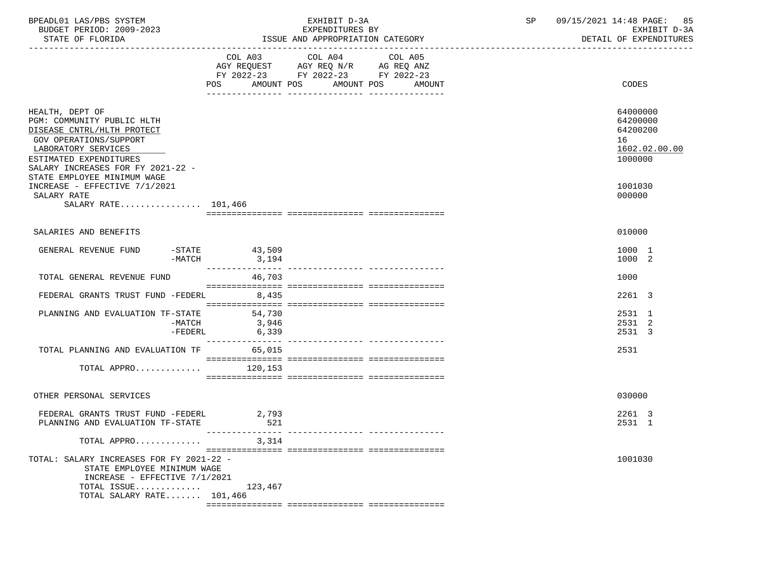| BPEADL01 LAS/PBS SYSTEM<br>BUDGET PERIOD: 2009-2023<br>STATE OF FLORIDA                                                                                                                     |                          | EXHIBIT D-3A<br>EXPENDITURES BY<br>ISSUE AND APPROPRIATION CATEGORY                                                                      | SP | 09/15/2021 14:48 PAGE: 85<br>EXHIBIT D-3A<br>DETAIL OF EXPENDITURES |
|---------------------------------------------------------------------------------------------------------------------------------------------------------------------------------------------|--------------------------|------------------------------------------------------------------------------------------------------------------------------------------|----|---------------------------------------------------------------------|
|                                                                                                                                                                                             |                          | COL A03 COL A04<br>COL A05<br>AGY REQUEST AGY REQ N/R AG REQ ANZ<br>FY 2022-23 FY 2022-23 FY 2022-23<br>POS AMOUNT POS AMOUNT POS AMOUNT |    | CODES                                                               |
| HEALTH, DEPT OF<br>PGM: COMMUNITY PUBLIC HLTH<br>DISEASE CNTRL/HLTH PROTECT<br>GOV OPERATIONS/SUPPORT<br>LABORATORY SERVICES<br>ESTIMATED EXPENDITURES<br>SALARY INCREASES FOR FY 2021-22 - |                          |                                                                                                                                          |    | 64000000<br>64200000<br>64200200<br>16<br>1602.02.00.00<br>1000000  |
| STATE EMPLOYEE MINIMUM WAGE<br>INCREASE - EFFECTIVE 7/1/2021<br>SALARY RATE<br>SALARY RATE $101.466$                                                                                        |                          |                                                                                                                                          |    | 1001030<br>000000                                                   |
| SALARIES AND BENEFITS                                                                                                                                                                       |                          |                                                                                                                                          |    | 010000                                                              |
| GENERAL REVENUE FUND<br>$-MATCH$                                                                                                                                                            | $-STATE$ 43,509<br>3,194 |                                                                                                                                          |    | 1000 1<br>1000 2                                                    |
| TOTAL GENERAL REVENUE FUND                                                                                                                                                                  | 46,703                   |                                                                                                                                          |    | 1000                                                                |
| FEDERAL GRANTS TRUST FUND -FEDERL                                                                                                                                                           | 8,435                    |                                                                                                                                          |    | 2261 3                                                              |
| PLANNING AND EVALUATION TF-STATE 54,730<br>$-MATCH$<br>$-FEDERL$                                                                                                                            | 3,946<br>6,339           |                                                                                                                                          |    | 2531 1<br>2531 2<br>2531 3                                          |
| TOTAL PLANNING AND EVALUATION TF 65,015                                                                                                                                                     |                          |                                                                                                                                          |    | 2531                                                                |
| TOTAL APPRO $120,153$                                                                                                                                                                       |                          |                                                                                                                                          |    |                                                                     |
| OTHER PERSONAL SERVICES                                                                                                                                                                     |                          |                                                                                                                                          |    | 030000                                                              |
| FEDERAL GRANTS TRUST FUND -FEDERL 2,793<br>PLANNING AND EVALUATION TF-STATE                                                                                                                 | 521                      |                                                                                                                                          |    | 2261 3<br>2531 1                                                    |
| TOTAL APPRO                                                                                                                                                                                 | 3,314                    |                                                                                                                                          |    |                                                                     |
| TOTAL: SALARY INCREASES FOR FY 2021-22 -<br>STATE EMPLOYEE MINIMUM WAGE<br>INCREASE - EFFECTIVE 7/1/2021                                                                                    |                          |                                                                                                                                          |    | 1001030                                                             |
| TOTAL ISSUE<br>TOTAL SALARY RATE 101,466                                                                                                                                                    | 123,467                  |                                                                                                                                          |    |                                                                     |
|                                                                                                                                                                                             |                          |                                                                                                                                          |    |                                                                     |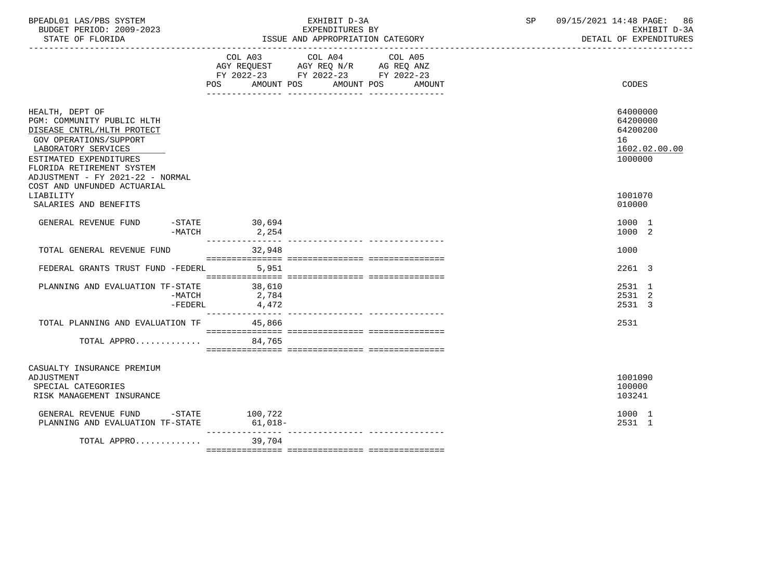| BPEADL01 LAS/PBS SYSTEM<br>BUDGET PERIOD: 2009-2023<br>STATE OF FLORIDA                                                                                                                                                 |                                                                                                                                | EXHIBIT D-3A<br>EXPENDITURES BY<br>ISSUE AND APPROPRIATION CATEGORY                                                                                                                                                                                                                                                                                                                                                                                             | SP 09/15/2021 14:48 PAGE: 86<br>EXHIBIT D-3A<br>DETAIL OF EXPENDITURES |
|-------------------------------------------------------------------------------------------------------------------------------------------------------------------------------------------------------------------------|--------------------------------------------------------------------------------------------------------------------------------|-----------------------------------------------------------------------------------------------------------------------------------------------------------------------------------------------------------------------------------------------------------------------------------------------------------------------------------------------------------------------------------------------------------------------------------------------------------------|------------------------------------------------------------------------|
|                                                                                                                                                                                                                         | COL A03 COL A04 COL A05<br>AGY REQUEST AGY REQ N/R AG REQ ANZ<br>FY 2022-23 FY 2022-23 FY 2022-23<br>POS AMOUNT POS AMOUNT POS | AMOUNT                                                                                                                                                                                                                                                                                                                                                                                                                                                          | CODES                                                                  |
| HEALTH, DEPT OF<br>PGM: COMMUNITY PUBLIC HLTH<br>DISEASE CNTRL/HLTH PROTECT<br>GOV OPERATIONS/SUPPORT<br>LABORATORY SERVICES<br>ESTIMATED EXPENDITURES<br>FLORIDA RETIREMENT SYSTEM<br>ADJUSTMENT - FY 2021-22 - NORMAL |                                                                                                                                |                                                                                                                                                                                                                                                                                                                                                                                                                                                                 | 64000000<br>64200000<br>64200200<br>16<br>1602.02.00.00<br>1000000     |
| COST AND UNFUNDED ACTUARIAL<br>LIABILITY<br>SALARIES AND BENEFITS                                                                                                                                                       |                                                                                                                                |                                                                                                                                                                                                                                                                                                                                                                                                                                                                 | 1001070<br>010000                                                      |
| GENERAL REVENUE FUND<br>$-MATCH$                                                                                                                                                                                        | $-STATE$ 30,694<br>2,254                                                                                                       |                                                                                                                                                                                                                                                                                                                                                                                                                                                                 | 1000 1<br>1000 2                                                       |
| TOTAL GENERAL REVENUE FUND                                                                                                                                                                                              | 32,948                                                                                                                         |                                                                                                                                                                                                                                                                                                                                                                                                                                                                 | 1000                                                                   |
| FEDERAL GRANTS TRUST FUND -FEDERL 5,951                                                                                                                                                                                 |                                                                                                                                |                                                                                                                                                                                                                                                                                                                                                                                                                                                                 | 2261 3                                                                 |
| PLANNING AND EVALUATION TF-STATE<br>$-MATCH$                                                                                                                                                                            | 38,610<br>2,784<br>$-FEDERL$ 4,472                                                                                             |                                                                                                                                                                                                                                                                                                                                                                                                                                                                 | 2531 1<br>2531 2<br>2531 3                                             |
| TOTAL PLANNING AND EVALUATION TF 45,866                                                                                                                                                                                 |                                                                                                                                |                                                                                                                                                                                                                                                                                                                                                                                                                                                                 | 2531                                                                   |
| TOTAL APPRO 84,765                                                                                                                                                                                                      |                                                                                                                                | $\begin{minipage}{0.03\textwidth} \begin{tabular}{l} \textbf{0.04\textwidth} \textbf{0.04\textwidth} \textbf{0.04\textwidth} \textbf{0.04\textwidth} \textbf{0.04\textwidth} \textbf{0.04\textwidth} \textbf{0.04\textwidth} \textbf{0.04\textwidth} \textbf{0.04\textwidth} \textbf{0.04\textwidth} \textbf{0.04\textwidth} \textbf{0.04\textwidth} \textbf{0.04\textwidth} \textbf{0.04\textwidth} \textbf{0.04\textwidth} \textbf{0.04\textwidth} \textbf{0$ |                                                                        |
| CASUALTY INSURANCE PREMIUM<br>ADJUSTMENT<br>SPECIAL CATEGORIES<br>RISK MANAGEMENT INSURANCE                                                                                                                             |                                                                                                                                |                                                                                                                                                                                                                                                                                                                                                                                                                                                                 | 1001090<br>100000<br>103241                                            |
| GENERAL REVENUE FUND -STATE 100,722<br>PLANNING AND EVALUATION TF-STATE 61,018-                                                                                                                                         |                                                                                                                                |                                                                                                                                                                                                                                                                                                                                                                                                                                                                 | 1000 1<br>2531 1                                                       |
| TOTAL APPRO 39.704                                                                                                                                                                                                      |                                                                                                                                |                                                                                                                                                                                                                                                                                                                                                                                                                                                                 |                                                                        |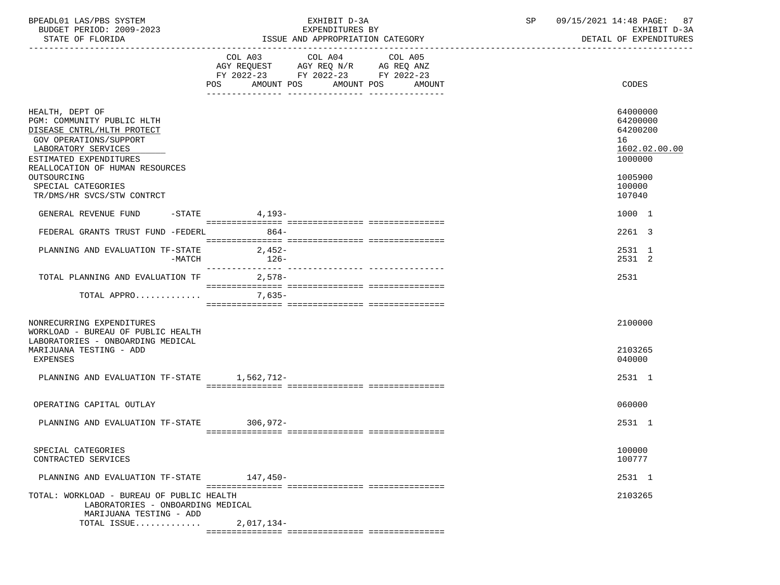| BPEADL01 LAS/PBS SYSTEM  | EXHIBIT D-3A                     | 09/15/2021 14:48 PAGE: 87 |
|--------------------------|----------------------------------|---------------------------|
| BUDGET PERIOD: 2009-2023 | EXPENDITURES BY                  | EXHIBIT D-3A              |
| STATE OF FLORIDA         | ISSUE AND APPROPRIATION CATEGORY | DETAIL OF EXPENDITURES    |

|                                                                                                                                                                                                                                                              | COL A03<br>POS<br>AMOUNT POS                                                                                                                                                                                                                                                                                                                                                                                                                                    | COL A04 | COL A05<br>AMOUNT POS AMOUNT | CODES                                                                                             |
|--------------------------------------------------------------------------------------------------------------------------------------------------------------------------------------------------------------------------------------------------------------|-----------------------------------------------------------------------------------------------------------------------------------------------------------------------------------------------------------------------------------------------------------------------------------------------------------------------------------------------------------------------------------------------------------------------------------------------------------------|---------|------------------------------|---------------------------------------------------------------------------------------------------|
| HEALTH, DEPT OF<br>PGM: COMMUNITY PUBLIC HLTH<br>DISEASE CNTRL/HLTH PROTECT<br>GOV OPERATIONS/SUPPORT<br>LABORATORY SERVICES<br>ESTIMATED EXPENDITURES<br>REALLOCATION OF HUMAN RESOURCES<br>OUTSOURCING<br>SPECIAL CATEGORIES<br>TR/DMS/HR SVCS/STW CONTRCT |                                                                                                                                                                                                                                                                                                                                                                                                                                                                 |         |                              | 64000000<br>64200000<br>64200200<br>16<br>1602.02.00.00<br>1000000<br>1005900<br>100000<br>107040 |
|                                                                                                                                                                                                                                                              |                                                                                                                                                                                                                                                                                                                                                                                                                                                                 |         |                              |                                                                                                   |
| GENERAL REVENUE FUND                                                                                                                                                                                                                                         | $-$ STATE 4, 193-                                                                                                                                                                                                                                                                                                                                                                                                                                               |         |                              | 1000 1                                                                                            |
| FEDERAL GRANTS TRUST FUND -FEDERL                                                                                                                                                                                                                            | $864-$                                                                                                                                                                                                                                                                                                                                                                                                                                                          |         |                              | 2261 3                                                                                            |
| PLANNING AND EVALUATION TF-STATE<br>-MATCH                                                                                                                                                                                                                   | $2,452-$<br>$126-$                                                                                                                                                                                                                                                                                                                                                                                                                                              |         |                              | 2531 1<br>2531 2                                                                                  |
| TOTAL PLANNING AND EVALUATION TF 2,578-                                                                                                                                                                                                                      | $\begin{minipage}{0.03\textwidth} \begin{tabular}{l} \textbf{0.04\textwidth} \textbf{0.04\textwidth} \textbf{0.04\textwidth} \textbf{0.04\textwidth} \textbf{0.04\textwidth} \textbf{0.04\textwidth} \textbf{0.04\textwidth} \textbf{0.04\textwidth} \textbf{0.04\textwidth} \textbf{0.04\textwidth} \textbf{0.04\textwidth} \textbf{0.04\textwidth} \textbf{0.04\textwidth} \textbf{0.04\textwidth} \textbf{0.04\textwidth} \textbf{0.04\textwidth} \textbf{0$ |         |                              | 2531                                                                                              |
| TOTAL APPRO 7,635-                                                                                                                                                                                                                                           |                                                                                                                                                                                                                                                                                                                                                                                                                                                                 |         |                              |                                                                                                   |
| NONRECURRING EXPENDITURES<br>WORKLOAD - BUREAU OF PUBLIC HEALTH<br>LABORATORIES - ONBOARDING MEDICAL                                                                                                                                                         |                                                                                                                                                                                                                                                                                                                                                                                                                                                                 |         |                              | 2100000<br>2103265                                                                                |
| MARIJUANA TESTING - ADD<br>EXPENSES                                                                                                                                                                                                                          |                                                                                                                                                                                                                                                                                                                                                                                                                                                                 |         |                              | 040000                                                                                            |
| PLANNING AND EVALUATION TF-STATE 1,562,712-                                                                                                                                                                                                                  |                                                                                                                                                                                                                                                                                                                                                                                                                                                                 |         |                              | 2531 1                                                                                            |
| OPERATING CAPITAL OUTLAY                                                                                                                                                                                                                                     |                                                                                                                                                                                                                                                                                                                                                                                                                                                                 |         |                              | 060000                                                                                            |
| PLANNING AND EVALUATION TF-STATE 306,972-                                                                                                                                                                                                                    |                                                                                                                                                                                                                                                                                                                                                                                                                                                                 |         |                              | 2531 1                                                                                            |
| SPECIAL CATEGORIES<br>CONTRACTED SERVICES                                                                                                                                                                                                                    |                                                                                                                                                                                                                                                                                                                                                                                                                                                                 |         |                              | 100000<br>100777                                                                                  |
| PLANNING AND EVALUATION TF-STATE 147,450-                                                                                                                                                                                                                    |                                                                                                                                                                                                                                                                                                                                                                                                                                                                 |         |                              | 2531 1                                                                                            |
| TOTAL: WORKLOAD - BUREAU OF PUBLIC HEALTH<br>LABORATORIES - ONBOARDING MEDICAL<br>MARIJUANA TESTING - ADD                                                                                                                                                    |                                                                                                                                                                                                                                                                                                                                                                                                                                                                 |         |                              | 2103265                                                                                           |
| TOTAL ISSUE                                                                                                                                                                                                                                                  | 2,017,134-                                                                                                                                                                                                                                                                                                                                                                                                                                                      |         |                              |                                                                                                   |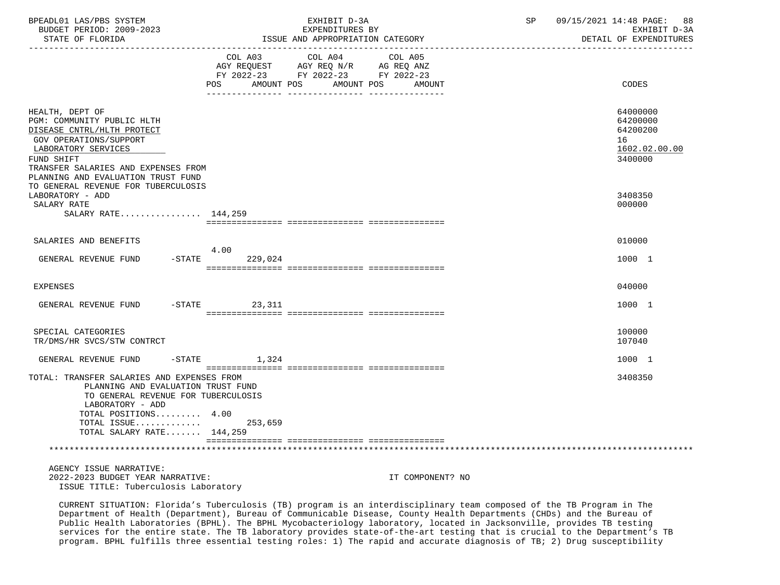| BPEADL01 LAS/PBS SYSTEM<br>BUDGET PERIOD: 2009-2023<br>STATE OF FLORIDA                                                                                                                                                 |                                                                                                                              | EXHIBIT D-3A<br>EXPENDITURES BY<br>ISSUE AND APPROPRIATION CATEGORY                                                       | SP | 09/15/2021 14:48 PAGE:<br>88<br>EXHIBIT D-3A<br>DETAIL OF EXPENDITURES |
|-------------------------------------------------------------------------------------------------------------------------------------------------------------------------------------------------------------------------|------------------------------------------------------------------------------------------------------------------------------|---------------------------------------------------------------------------------------------------------------------------|----|------------------------------------------------------------------------|
|                                                                                                                                                                                                                         | POS FOR THE POST OF THE STATE STATE STATE STATE STATE STATE STATE STATE STATE STATE STATE STATE STATE STATE ST<br>AMOUNT POS | COL A03 COL A04 COL A05<br>AGY REQUEST AGY REQ N/R AG REQ ANZ<br>FY 2022-23 FY 2022-23 FY 2022-23<br>AMOUNT POS<br>AMOUNT |    | CODES                                                                  |
| HEALTH, DEPT OF<br>PGM: COMMUNITY PUBLIC HLTH<br>DISEASE CNTRL/HLTH PROTECT<br>GOV OPERATIONS/SUPPORT<br>LABORATORY SERVICES<br>FUND SHIFT<br>TRANSFER SALARIES AND EXPENSES FROM<br>PLANNING AND EVALUATION TRUST FUND |                                                                                                                              |                                                                                                                           |    | 64000000<br>64200000<br>64200200<br>16<br>1602.02.00.00<br>3400000     |
| TO GENERAL REVENUE FOR TUBERCULOSIS<br>LABORATORY - ADD<br>SALARY RATE<br>SALARY RATE 144,259                                                                                                                           |                                                                                                                              |                                                                                                                           |    | 3408350<br>000000                                                      |
|                                                                                                                                                                                                                         |                                                                                                                              |                                                                                                                           |    |                                                                        |
| SALARIES AND BENEFITS                                                                                                                                                                                                   |                                                                                                                              |                                                                                                                           |    | 010000                                                                 |
| GENERAL REVENUE FUND                                                                                                                                                                                                    | 4.00<br>$-STATE$<br>229,024                                                                                                  |                                                                                                                           |    | 1000 1                                                                 |
| <b>EXPENSES</b>                                                                                                                                                                                                         |                                                                                                                              |                                                                                                                           |    | 040000                                                                 |
| GENERAL REVENUE FUND                                                                                                                                                                                                    | $-STATE$ 23, 311                                                                                                             |                                                                                                                           |    | 1000 1                                                                 |
| SPECIAL CATEGORIES<br>TR/DMS/HR SVCS/STW CONTRCT                                                                                                                                                                        |                                                                                                                              |                                                                                                                           |    | 100000<br>107040                                                       |
| GENERAL REVENUE FUND                                                                                                                                                                                                    | $-$ STATE 1,324                                                                                                              |                                                                                                                           |    | 1000 1                                                                 |
| TOTAL: TRANSFER SALARIES AND EXPENSES FROM<br>PLANNING AND EVALUATION TRUST FUND<br>TO GENERAL REVENUE FOR TUBERCULOSIS<br>LABORATORY - ADD<br>TOTAL POSITIONS 4.00<br>TOTAL ISSUE<br>TOTAL SALARY RATE 144,259         | 253,659                                                                                                                      |                                                                                                                           |    | 3408350                                                                |
|                                                                                                                                                                                                                         |                                                                                                                              |                                                                                                                           |    |                                                                        |
| AGENCY ISSUE NARRATIVE:<br>2022-2023 BUDGET YEAR NARRATIVE:<br>ISSUE TITLE: Tuberculosis Laboratory                                                                                                                     |                                                                                                                              | IT COMPONENT? NO                                                                                                          |    |                                                                        |

 CURRENT SITUATION: Florida's Tuberculosis (TB) program is an interdisciplinary team composed of the TB Program in The Department of Health (Department), Bureau of Communicable Disease, County Health Departments (CHDs) and the Bureau of Public Health Laboratories (BPHL). The BPHL Mycobacteriology laboratory, located in Jacksonville, provides TB testing services for the entire state. The TB laboratory provides state-of-the-art testing that is crucial to the Department's TB program. BPHL fulfills three essential testing roles: 1) The rapid and accurate diagnosis of TB; 2) Drug susceptibility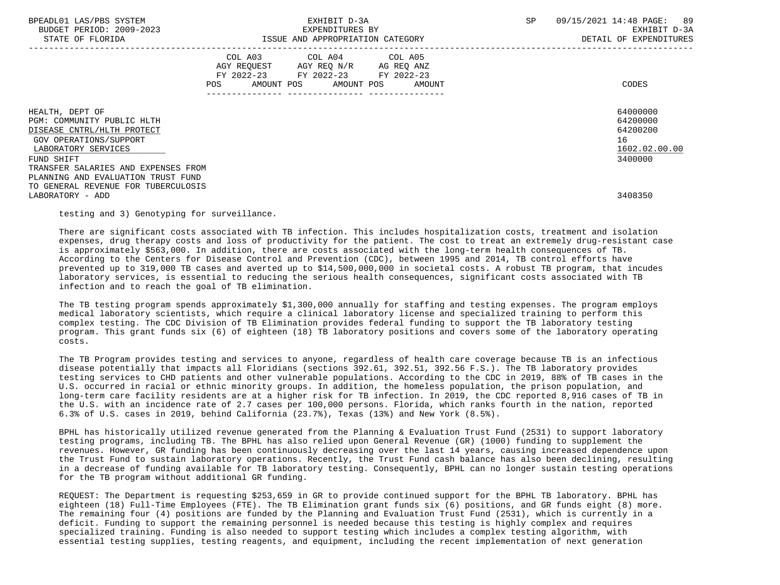| BPEADL01 LAS/PBS SYSTEM |                   |                          |
|-------------------------|-------------------|--------------------------|
|                         |                   | BUDGET PERIOD: 2009-2023 |
|                         | גתדכת זה הת היהיה |                          |

|                                                                                                                                                                                   | COL A03<br>AGY REQUEST<br>$FY$ 2022-23<br>AMOUNT POS<br>POS | COL A04<br>AGY REQ N/R<br>FY 2022-23<br>AMOUNT POS | COL A05<br>AG REQ ANZ<br>FY 2022-23<br>AMOUNT | CODES                                                              |
|-----------------------------------------------------------------------------------------------------------------------------------------------------------------------------------|-------------------------------------------------------------|----------------------------------------------------|-----------------------------------------------|--------------------------------------------------------------------|
| HEALTH, DEPT OF<br>PGM: COMMUNITY PUBLIC HLTH<br>DISEASE CNTRL/HLTH PROTECT<br>GOV OPERATIONS/SUPPORT<br>LABORATORY SERVICES<br>FUND SHIFT<br>TRANSFER SALARIES AND EXPENSES FROM |                                                             |                                                    |                                               | 64000000<br>64200000<br>64200200<br>16<br>1602.02.00.00<br>3400000 |
| PLANNING AND EVALUATION TRUST FUND<br>TO GENERAL REVENUE FOR TUBERCULOSIS<br>LABORATORY - ADD                                                                                     |                                                             |                                                    |                                               | 3408350                                                            |

testing and 3) Genotyping for surveillance.

 There are significant costs associated with TB infection. This includes hospitalization costs, treatment and isolation expenses, drug therapy costs and loss of productivity for the patient. The cost to treat an extremely drug-resistant case is approximately \$563,000. In addition, there are costs associated with the long-term health consequences of TB. According to the Centers for Disease Control and Prevention (CDC), between 1995 and 2014, TB control efforts have prevented up to 319,000 TB cases and averted up to \$14,500,000,000 in societal costs. A robust TB program, that incudes laboratory services, is essential to reducing the serious health consequences, significant costs associated with TB infection and to reach the goal of TB elimination.

 The TB testing program spends approximately \$1,300,000 annually for staffing and testing expenses. The program employs medical laboratory scientists, which require a clinical laboratory license and specialized training to perform this complex testing. The CDC Division of TB Elimination provides federal funding to support the TB laboratory testing program. This grant funds six (6) of eighteen (18) TB laboratory positions and covers some of the laboratory operating costs.

 The TB Program provides testing and services to anyone, regardless of health care coverage because TB is an infectious disease potentially that impacts all Floridians (sections 392.61, 392.51, 392.56 F.S.). The TB laboratory provides testing services to CHD patients and other vulnerable populations. According to the CDC in 2019, 88% of TB cases in the U.S. occurred in racial or ethnic minority groups. In addition, the homeless population, the prison population, and long-term care facility residents are at a higher risk for TB infection. In 2019, the CDC reported 8,916 cases of TB in the U.S. with an incidence rate of 2.7 cases per 100,000 persons. Florida, which ranks fourth in the nation, reported 6.3% of U.S. cases in 2019, behind California (23.7%), Texas (13%) and New York (8.5%).

 BPHL has historically utilized revenue generated from the Planning & Evaluation Trust Fund (2531) to support laboratory testing programs, including TB. The BPHL has also relied upon General Revenue (GR) (1000) funding to supplement the revenues. However, GR funding has been continuously decreasing over the last 14 years, causing increased dependence upon the Trust Fund to sustain laboratory operations. Recently, the Trust Fund cash balance has also been declining, resulting in a decrease of funding available for TB laboratory testing. Consequently, BPHL can no longer sustain testing operations for the TB program without additional GR funding.

 REQUEST: The Department is requesting \$253,659 in GR to provide continued support for the BPHL TB laboratory. BPHL has eighteen (18) Full-Time Employees (FTE). The TB Elimination grant funds six (6) positions, and GR funds eight (8) more. The remaining four (4) positions are funded by the Planning and Evaluation Trust Fund (2531), which is currently in a deficit. Funding to support the remaining personnel is needed because this testing is highly complex and requires specialized training. Funding is also needed to support testing which includes a complex testing algorithm, with essential testing supplies, testing reagents, and equipment, including the recent implementation of next generation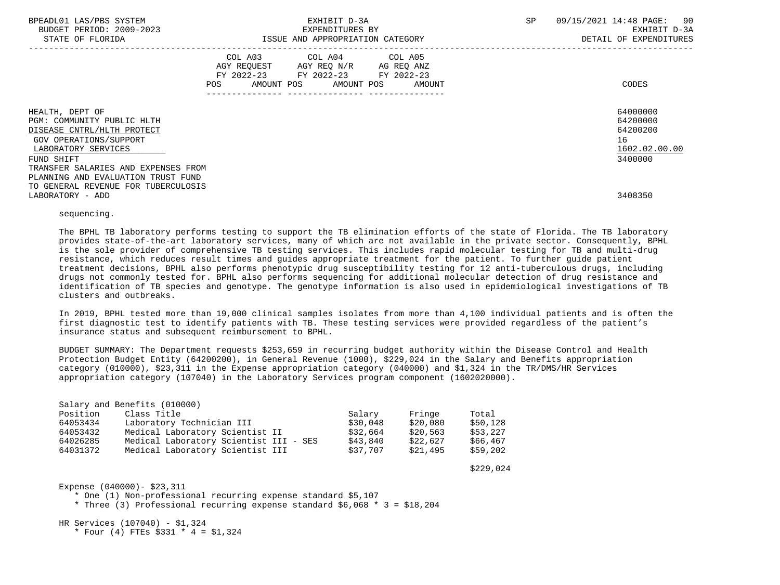| BPEADL01 LAS/PBS SYSTEM<br>BUDGET PERIOD: 2009-2023<br>STATE OF FLORIDA                                                                    |     | EXHIBIT D-3A<br>EXPENDITURES BY<br>ISSUE AND APPROPRIATION CATEGORY                                                        |        | SP | 09/15/2021 14:48 PAGE: 90<br>EXHIBIT D-3A<br>DETAIL OF EXPENDITURES |
|--------------------------------------------------------------------------------------------------------------------------------------------|-----|----------------------------------------------------------------------------------------------------------------------------|--------|----|---------------------------------------------------------------------|
|                                                                                                                                            | POS | COL A03 COL A04 COL A05<br>AGY REQUEST AGY REQ N/R AG REQ ANZ<br>FY 2022-23 FY 2022-23 FY 2022-23<br>AMOUNT POS AMOUNT POS | AMOUNT |    | CODES                                                               |
| HEALTH, DEPT OF<br>PGM: COMMUNITY PUBLIC HLTH<br>DISEASE CNTRL/HLTH PROTECT<br>GOV OPERATIONS/SUPPORT<br>LABORATORY SERVICES<br>FUND SHIFT |     |                                                                                                                            |        |    | 64000000<br>64200000<br>64200200<br>16<br>1602.02.00.00<br>3400000  |
| TRANSFER SALARIES AND EXPENSES FROM<br>PLANNING AND EVALUATION TRUST FUND<br>TO GENERAL REVENUE FOR TUBERCULOSIS<br>LABORATORY - ADD       |     |                                                                                                                            |        |    | 3408350                                                             |

## sequencing.

 The BPHL TB laboratory performs testing to support the TB elimination efforts of the state of Florida. The TB laboratory provides state-of-the-art laboratory services, many of which are not available in the private sector. Consequently, BPHL is the sole provider of comprehensive TB testing services. This includes rapid molecular testing for TB and multi-drug resistance, which reduces result times and guides appropriate treatment for the patient. To further guide patient treatment decisions, BPHL also performs phenotypic drug susceptibility testing for 12 anti-tuberculous drugs, including drugs not commonly tested for. BPHL also performs sequencing for additional molecular detection of drug resistance and identification of TB species and genotype. The genotype information is also used in epidemiological investigations of TB clusters and outbreaks.

 In 2019, BPHL tested more than 19,000 clinical samples isolates from more than 4,100 individual patients and is often the first diagnostic test to identify patients with TB. These testing services were provided regardless of the patient's insurance status and subsequent reimbursement to BPHL.

 BUDGET SUMMARY: The Department requests \$253,659 in recurring budget authority within the Disease Control and Health Protection Budget Entity (64200200), in General Revenue (1000), \$229,024 in the Salary and Benefits appropriation category (010000), \$23,311 in the Expense appropriation category (040000) and \$1,324 in the TR/DMS/HR Services appropriation category (107040) in the Laboratory Services program component (1602020000).

|          | Salary and Benefits (010000)           |          |          |          |
|----------|----------------------------------------|----------|----------|----------|
| Position | Class Title                            | Salary   | Fringe   | Total    |
| 64053434 | Laboratory Technician III              | \$30.048 | \$20,080 | \$50.128 |
| 64053432 | Medical Laboratory Scientist II        | \$32,664 | \$20,563 | \$53,227 |
| 64026285 | Medical Laboratory Scientist III - SES | \$43,840 | \$22,627 | \$66,467 |
| 64031372 | Medical Laboratory Scientist III       | \$37.707 | \$21,495 | \$59.202 |

 $$229,024$ 

Expense (040000)- \$23,311

\* One (1) Non-professional recurring expense standard \$5,107

\* Three (3) Professional recurring expense standard  $$6,068$  \* 3 = \$18,204

HR Services (107040) - \$1,324

\* Four (4) FTEs \$331 \* 4 = \$1,324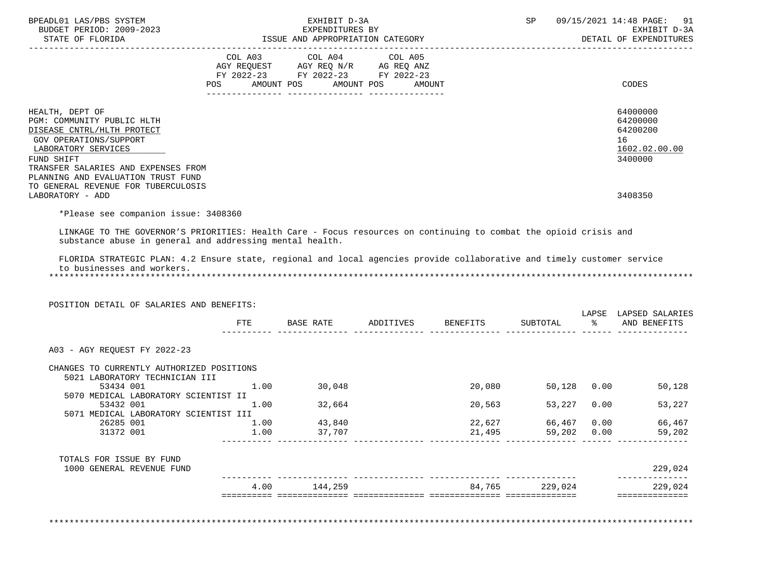| BPEADL01 LAS/PBS SYSTEM<br>BUDGET PERIOD: 2009-2023                                                                                                                                                               |      | EXHIBIT D-3A<br>EXPENDITURES BY  |        |        | SP       |               | 09/15/2021 14:48 PAGE:<br>91<br>EXHIBIT D-3A                                                          |
|-------------------------------------------------------------------------------------------------------------------------------------------------------------------------------------------------------------------|------|----------------------------------|--------|--------|----------|---------------|-------------------------------------------------------------------------------------------------------|
| STATE OF FLORIDA                                                                                                                                                                                                  |      | ISSUE AND APPROPRIATION CATEGORY |        |        |          |               | DETAIL OF EXPENDITURES                                                                                |
|                                                                                                                                                                                                                   |      |                                  |        |        |          |               |                                                                                                       |
|                                                                                                                                                                                                                   |      |                                  |        |        |          |               |                                                                                                       |
|                                                                                                                                                                                                                   |      | FY 2022-23 FY 2022-23 FY 2022-23 |        |        |          |               |                                                                                                       |
|                                                                                                                                                                                                                   |      | POS AMOUNT POS AMOUNT POS        | AMOUNT |        |          |               | CODES                                                                                                 |
|                                                                                                                                                                                                                   |      |                                  |        |        |          |               |                                                                                                       |
| HEALTH, DEPT OF                                                                                                                                                                                                   |      |                                  |        |        |          |               | 64000000                                                                                              |
| PGM: COMMUNITY PUBLIC HLTH                                                                                                                                                                                        |      |                                  |        |        |          |               | 64200000                                                                                              |
| DISEASE CNTRL/HLTH PROTECT                                                                                                                                                                                        |      |                                  |        |        |          |               | 64200200                                                                                              |
| <b>GOV OPERATIONS/SUPPORT</b>                                                                                                                                                                                     |      |                                  |        |        |          |               | 16                                                                                                    |
| LABORATORY SERVICES                                                                                                                                                                                               |      |                                  |        |        |          |               | 1602.02.00.00                                                                                         |
| FUND SHIFT                                                                                                                                                                                                        |      |                                  |        |        |          |               | 3400000                                                                                               |
| TRANSFER SALARIES AND EXPENSES FROM                                                                                                                                                                               |      |                                  |        |        |          |               |                                                                                                       |
| PLANNING AND EVALUATION TRUST FUND                                                                                                                                                                                |      |                                  |        |        |          |               |                                                                                                       |
| TO GENERAL REVENUE FOR TUBERCULOSIS                                                                                                                                                                               |      |                                  |        |        |          |               |                                                                                                       |
| LABORATORY - ADD                                                                                                                                                                                                  |      |                                  |        |        |          |               | 3408350                                                                                               |
| *Please see companion issue: 3408360                                                                                                                                                                              |      |                                  |        |        |          |               |                                                                                                       |
|                                                                                                                                                                                                                   |      |                                  |        |        |          |               |                                                                                                       |
| LINKAGE TO THE GOVERNOR'S PRIORITIES: Health Care - Focus resources on continuing to combat the opioid crisis and                                                                                                 |      |                                  |        |        |          |               |                                                                                                       |
|                                                                                                                                                                                                                   |      |                                  |        |        |          |               |                                                                                                       |
| substance abuse in general and addressing mental health.<br>FLORIDA STRATEGIC PLAN: 4.2 Ensure state, regional and local agencies provide collaborative and timely customer service<br>to businesses and workers. |      |                                  |        |        |          |               |                                                                                                       |
| POSITION DETAIL OF SALARIES AND BENEFITS:                                                                                                                                                                         |      |                                  |        |        |          |               |                                                                                                       |
|                                                                                                                                                                                                                   | FTE. | BASE RATE ADDITIVES BENEFITS     |        |        | SUBTOTAL | $\sim$ $\sim$ | AND BENEFITS                                                                                          |
| A03 - AGY REQUEST FY 2022-23                                                                                                                                                                                      |      |                                  |        |        |          |               |                                                                                                       |
|                                                                                                                                                                                                                   |      |                                  |        |        |          |               |                                                                                                       |
| CHANGES TO CURRENTLY AUTHORIZED POSITIONS                                                                                                                                                                         |      |                                  |        |        |          |               |                                                                                                       |
| 5021 LABORATORY TECHNICIAN III                                                                                                                                                                                    |      |                                  |        |        |          |               |                                                                                                       |
| 53434 001                                                                                                                                                                                                         | 1.00 | 30,048                           |        | 20,080 |          |               | 50,128 0.00                                                                                           |
| 5070 MEDICAL LABORATORY SCIENTIST II                                                                                                                                                                              |      |                                  |        |        |          |               |                                                                                                       |
| 53432 001                                                                                                                                                                                                         | 1.00 | 32,664                           |        | 20,563 | 53,227   | 0.00          |                                                                                                       |
| 5071 MEDICAL LABORATORY SCIENTIST III                                                                                                                                                                             |      |                                  |        |        |          |               |                                                                                                       |
| 26285 001                                                                                                                                                                                                         | 1.00 | 43,840                           |        | 22,627 | 66,467   | 0.00          |                                                                                                       |
| 31372 001                                                                                                                                                                                                         | 1.00 | 37,707                           |        | 21,495 |          | 59,202 0.00   |                                                                                                       |
| TOTALS FOR ISSUE BY FUND                                                                                                                                                                                          |      |                                  |        |        |          |               |                                                                                                       |
| 1000 GENERAL REVENUE FUND                                                                                                                                                                                         |      |                                  |        |        |          |               |                                                                                                       |
|                                                                                                                                                                                                                   | 4.00 | 144,259                          |        | 84,765 | 229.024  |               | LAPSE LAPSED SALARIES<br>50,128<br>53,227<br>66,467<br>59,202<br>229,024<br>--------------<br>229,024 |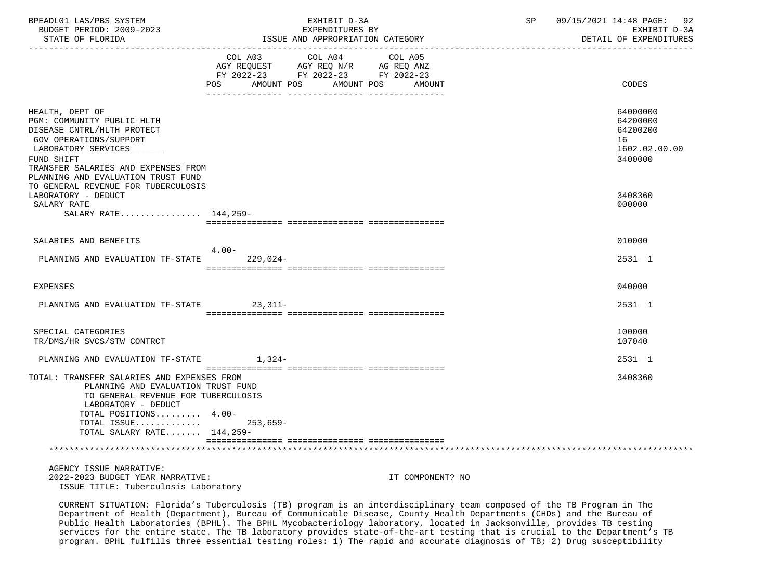| BPEADL01 LAS/PBS SYSTEM<br>BUDGET PERIOD: 2009-2023<br>STATE OF FLORIDA                                                                                                                                                                                                |                                                                                                                                          | EXHIBIT D-3A<br>EXPENDITURES BY<br>ISSUE AND APPROPRIATION CATEGORY |                  | SP | 09/15/2021 14:48 PAGE: 92<br>EXHIBIT D-3A<br>DETAIL OF EXPENDITURES |
|------------------------------------------------------------------------------------------------------------------------------------------------------------------------------------------------------------------------------------------------------------------------|------------------------------------------------------------------------------------------------------------------------------------------|---------------------------------------------------------------------|------------------|----|---------------------------------------------------------------------|
|                                                                                                                                                                                                                                                                        | COL A03 COL A04 COL A05<br>AGY REQUEST AGY REQ N/R AG REQ ANZ<br>FY 2022-23 FY 2022-23 FY 2022-23<br><b>POS</b><br>AMOUNT POS AMOUNT POS |                                                                     | AMOUNT           |    | <b>CODES</b>                                                        |
| HEALTH, DEPT OF<br>PGM: COMMUNITY PUBLIC HLTH<br>DISEASE CNTRL/HLTH PROTECT<br>GOV OPERATIONS/SUPPORT<br>LABORATORY SERVICES<br>FUND SHIFT<br>TRANSFER SALARIES AND EXPENSES FROM<br>PLANNING AND EVALUATION TRUST FUND                                                |                                                                                                                                          |                                                                     |                  |    | 64000000<br>64200000<br>64200200<br>16<br>1602.02.00.00<br>3400000  |
| TO GENERAL REVENUE FOR TUBERCULOSIS<br>LABORATORY - DEDUCT<br>SALARY RATE<br>SALARY RATE 144,259-                                                                                                                                                                      |                                                                                                                                          |                                                                     |                  |    | 3408360<br>000000                                                   |
| SALARIES AND BENEFITS<br>PLANNING AND EVALUATION TF-STATE                                                                                                                                                                                                              | $4.00 -$<br>229,024-                                                                                                                     |                                                                     |                  |    | 010000<br>2531 1                                                    |
| <b>EXPENSES</b>                                                                                                                                                                                                                                                        |                                                                                                                                          |                                                                     |                  |    | 040000                                                              |
| PLANNING AND EVALUATION TF-STATE                                                                                                                                                                                                                                       | $23,311-$                                                                                                                                |                                                                     |                  |    | 2531 1                                                              |
| SPECIAL CATEGORIES<br>TR/DMS/HR SVCS/STW CONTRCT                                                                                                                                                                                                                       |                                                                                                                                          |                                                                     |                  |    | 100000<br>107040                                                    |
| PLANNING AND EVALUATION TF-STATE                                                                                                                                                                                                                                       | $1,324-$                                                                                                                                 |                                                                     |                  |    | 2531 1                                                              |
| TOTAL: TRANSFER SALARIES AND EXPENSES FROM<br>PLANNING AND EVALUATION TRUST FUND<br>TO GENERAL REVENUE FOR TUBERCULOSIS<br>LABORATORY - DEDUCT<br>TOTAL POSITIONS $4.00-$<br>TOTAL ISSUE 253,659-<br>TOTAL SALARY RATE 144,259-<br>*********************************** |                                                                                                                                          |                                                                     |                  |    | 3408360                                                             |
| AGENCY ISSUE NARRATIVE:                                                                                                                                                                                                                                                |                                                                                                                                          |                                                                     |                  |    |                                                                     |
| 2022-2023 BUDGET YEAR NARRATIVE:<br>ISSUE TITLE: Tuberculosis Laboratory                                                                                                                                                                                               |                                                                                                                                          |                                                                     | IT COMPONENT? NO |    |                                                                     |

 CURRENT SITUATION: Florida's Tuberculosis (TB) program is an interdisciplinary team composed of the TB Program in The Department of Health (Department), Bureau of Communicable Disease, County Health Departments (CHDs) and the Bureau of Public Health Laboratories (BPHL). The BPHL Mycobacteriology laboratory, located in Jacksonville, provides TB testing services for the entire state. The TB laboratory provides state-of-the-art testing that is crucial to the Department's TB program. BPHL fulfills three essential testing roles: 1) The rapid and accurate diagnosis of TB; 2) Drug susceptibility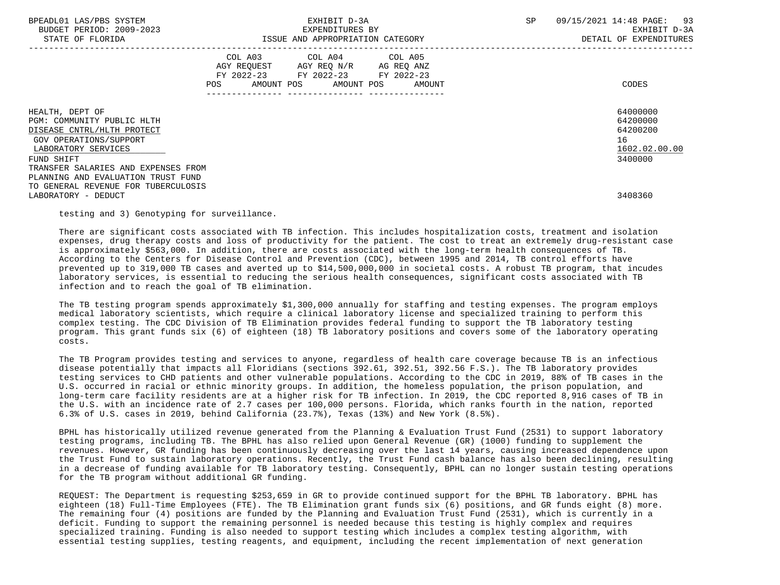| BPEADL01 LAS/PBS SYSTEM |                   |                          |
|-------------------------|-------------------|--------------------------|
|                         |                   | BUDGET PERIOD: 2009-2023 |
|                         | גתדכת זה הת היהיה |                          |

|                                                                                                                                                                                   | COL A03<br>AGY REQUEST<br>FY 2022-23<br>POS.<br>AMOUNT POS | COL A04<br>AGY REQ N/R<br>FY 2022-23<br>AMOUNT POS | COL A05<br>AG REQ ANZ<br>FY 2022-23<br>AMOUNT | CODES                                                              |
|-----------------------------------------------------------------------------------------------------------------------------------------------------------------------------------|------------------------------------------------------------|----------------------------------------------------|-----------------------------------------------|--------------------------------------------------------------------|
| HEALTH, DEPT OF<br>PGM: COMMUNITY PUBLIC HLTH<br>DISEASE CNTRL/HLTH PROTECT<br>GOV OPERATIONS/SUPPORT<br>LABORATORY SERVICES<br>FUND SHIFT<br>TRANSFER SALARIES AND EXPENSES FROM |                                                            |                                                    |                                               | 64000000<br>64200000<br>64200200<br>16<br>1602.02.00.00<br>3400000 |
| PLANNING AND EVALUATION TRUST FUND<br>TO GENERAL REVENUE FOR TUBERCULOSIS<br>LABORATORY - DEDUCT                                                                                  |                                                            |                                                    |                                               | 3408360                                                            |

testing and 3) Genotyping for surveillance.

 There are significant costs associated with TB infection. This includes hospitalization costs, treatment and isolation expenses, drug therapy costs and loss of productivity for the patient. The cost to treat an extremely drug-resistant case is approximately \$563,000. In addition, there are costs associated with the long-term health consequences of TB. According to the Centers for Disease Control and Prevention (CDC), between 1995 and 2014, TB control efforts have prevented up to 319,000 TB cases and averted up to \$14,500,000,000 in societal costs. A robust TB program, that incudes laboratory services, is essential to reducing the serious health consequences, significant costs associated with TB infection and to reach the goal of TB elimination.

 The TB testing program spends approximately \$1,300,000 annually for staffing and testing expenses. The program employs medical laboratory scientists, which require a clinical laboratory license and specialized training to perform this complex testing. The CDC Division of TB Elimination provides federal funding to support the TB laboratory testing program. This grant funds six (6) of eighteen (18) TB laboratory positions and covers some of the laboratory operating costs.

 The TB Program provides testing and services to anyone, regardless of health care coverage because TB is an infectious disease potentially that impacts all Floridians (sections 392.61, 392.51, 392.56 F.S.). The TB laboratory provides testing services to CHD patients and other vulnerable populations. According to the CDC in 2019, 88% of TB cases in the U.S. occurred in racial or ethnic minority groups. In addition, the homeless population, the prison population, and long-term care facility residents are at a higher risk for TB infection. In 2019, the CDC reported 8,916 cases of TB in the U.S. with an incidence rate of 2.7 cases per 100,000 persons. Florida, which ranks fourth in the nation, reported 6.3% of U.S. cases in 2019, behind California (23.7%), Texas (13%) and New York (8.5%).

 BPHL has historically utilized revenue generated from the Planning & Evaluation Trust Fund (2531) to support laboratory testing programs, including TB. The BPHL has also relied upon General Revenue (GR) (1000) funding to supplement the revenues. However, GR funding has been continuously decreasing over the last 14 years, causing increased dependence upon the Trust Fund to sustain laboratory operations. Recently, the Trust Fund cash balance has also been declining, resulting in a decrease of funding available for TB laboratory testing. Consequently, BPHL can no longer sustain testing operations for the TB program without additional GR funding.

 REQUEST: The Department is requesting \$253,659 in GR to provide continued support for the BPHL TB laboratory. BPHL has eighteen (18) Full-Time Employees (FTE). The TB Elimination grant funds six (6) positions, and GR funds eight (8) more. The remaining four (4) positions are funded by the Planning and Evaluation Trust Fund (2531), which is currently in a deficit. Funding to support the remaining personnel is needed because this testing is highly complex and requires specialized training. Funding is also needed to support testing which includes a complex testing algorithm, with essential testing supplies, testing reagents, and equipment, including the recent implementation of next generation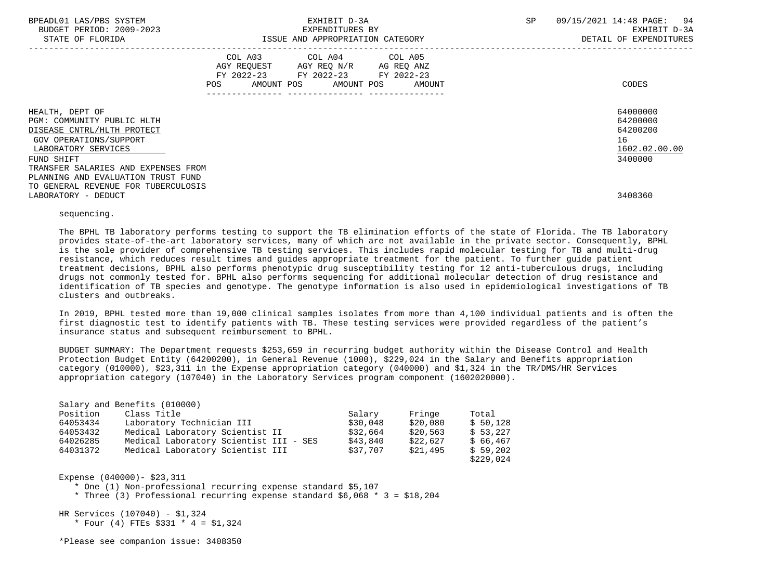| BPEADL01 LAS/PBS SYSTEM<br>BUDGET PERIOD: 2009-2023<br>STATE OF FLORIDA                                                                    |     | EXHIBIT D-3A<br>EXPENDITURES BY<br>ISSUE AND APPROPRIATION CATEGORY                                                        |        |  | 09/15/2021 14:48 PAGE: 94<br>EXHIBIT D-3A<br>DETAIL OF EXPENDITURES |
|--------------------------------------------------------------------------------------------------------------------------------------------|-----|----------------------------------------------------------------------------------------------------------------------------|--------|--|---------------------------------------------------------------------|
|                                                                                                                                            | POS | COL A03 COL A04 COL A05<br>AGY REQUEST AGY REQ N/R AG REQ ANZ<br>FY 2022-23 FY 2022-23 FY 2022-23<br>AMOUNT POS AMOUNT POS | AMOUNT |  | CODES                                                               |
| HEALTH, DEPT OF<br>PGM: COMMUNITY PUBLIC HLTH<br>DISEASE CNTRL/HLTH PROTECT<br>GOV OPERATIONS/SUPPORT<br>LABORATORY SERVICES<br>FUND SHIFT |     |                                                                                                                            |        |  | 64000000<br>64200000<br>64200200<br>16<br>1602.02.00.00<br>3400000  |
| TRANSFER SALARIES AND EXPENSES FROM<br>PLANNING AND EVALUATION TRUST FUND<br>TO GENERAL REVENUE FOR TUBERCULOSIS<br>LABORATORY - DEDUCT    |     |                                                                                                                            |        |  | 3408360                                                             |

## sequencing.

 The BPHL TB laboratory performs testing to support the TB elimination efforts of the state of Florida. The TB laboratory provides state-of-the-art laboratory services, many of which are not available in the private sector. Consequently, BPHL is the sole provider of comprehensive TB testing services. This includes rapid molecular testing for TB and multi-drug resistance, which reduces result times and guides appropriate treatment for the patient. To further guide patient treatment decisions, BPHL also performs phenotypic drug susceptibility testing for 12 anti-tuberculous drugs, including drugs not commonly tested for. BPHL also performs sequencing for additional molecular detection of drug resistance and identification of TB species and genotype. The genotype information is also used in epidemiological investigations of TB clusters and outbreaks.

 In 2019, BPHL tested more than 19,000 clinical samples isolates from more than 4,100 individual patients and is often the first diagnostic test to identify patients with TB. These testing services were provided regardless of the patient's insurance status and subsequent reimbursement to BPHL.

 BUDGET SUMMARY: The Department requests \$253,659 in recurring budget authority within the Disease Control and Health Protection Budget Entity (64200200), in General Revenue (1000), \$229,024 in the Salary and Benefits appropriation category (010000), \$23,311 in the Expense appropriation category (040000) and \$1,324 in the TR/DMS/HR Services appropriation category (107040) in the Laboratory Services program component (1602020000).

| Position | Class Title                            | Salary   | Fringe   | Total     |
|----------|----------------------------------------|----------|----------|-----------|
| 64053434 | Laboratory Technician III              | \$30,048 | \$20,080 | \$50.128  |
| 64053432 | Medical Laboratory Scientist II        | \$32,664 | \$20.563 | \$53.227  |
| 64026285 | Medical Laboratory Scientist III - SES | \$43,840 | \$22,627 | \$66.467  |
| 64031372 | Medical Laboratory Scientist III       | \$37,707 | \$21,495 | \$59.202  |
|          |                                        |          |          | \$229,024 |

Expense (040000)- \$23,311

\* One (1) Non-professional recurring expense standard \$5,107

\* Three (3) Professional recurring expense standard \$6,068 \* 3 = \$18,204

HR Services (107040) - \$1,324

\* Four (4) FTEs  $$331 * 4 = $1,324$ 

\*Please see companion issue: 3408350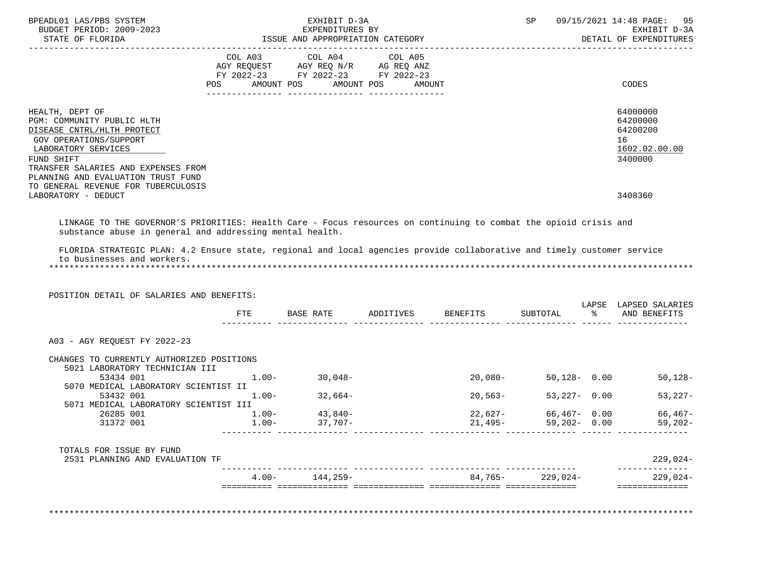| STATE OF FLORIDA                                                                                                                                                              |                | EXPENDITURES BY<br>ISSUE AND APPROPRIATION CATEGORY | EXHIBIT D-3A      |                    |                      |      | SP 09/15/2021 14:48 PAGE: 95<br>EXHIBIT D-3A<br>DETAIL OF EXPENDITURES |
|-------------------------------------------------------------------------------------------------------------------------------------------------------------------------------|----------------|-----------------------------------------------------|-------------------|--------------------|----------------------|------|------------------------------------------------------------------------|
|                                                                                                                                                                               |                | COL A03 COL A04 COL A05                             |                   |                    |                      |      |                                                                        |
|                                                                                                                                                                               |                | AGY REQUEST AGY REQ N/R AG REQ ANZ                  |                   |                    |                      |      |                                                                        |
|                                                                                                                                                                               |                | FY 2022-23 FY 2022-23 FY 2022-23                    |                   |                    |                      |      |                                                                        |
|                                                                                                                                                                               | POS AMOUNT POS |                                                     | AMOUNT POS AMOUNT |                    |                      |      | CODES                                                                  |
| HEALTH, DEPT OF                                                                                                                                                               |                |                                                     |                   |                    |                      |      | 64000000                                                               |
| PGM: COMMUNITY PUBLIC HLTH                                                                                                                                                    |                |                                                     |                   |                    |                      |      | 64200000                                                               |
| DISEASE CNTRL/HLTH PROTECT                                                                                                                                                    |                |                                                     |                   |                    |                      |      | 64200200                                                               |
| GOV OPERATIONS/SUPPORT                                                                                                                                                        |                |                                                     |                   |                    |                      |      | 16                                                                     |
| LABORATORY SERVICES<br>FUND SHIFT                                                                                                                                             |                |                                                     |                   |                    |                      |      | 1602.02.00.00<br>3400000                                               |
| TRANSFER SALARIES AND EXPENSES FROM                                                                                                                                           |                |                                                     |                   |                    |                      |      |                                                                        |
| PLANNING AND EVALUATION TRUST FUND                                                                                                                                            |                |                                                     |                   |                    |                      |      |                                                                        |
| TO GENERAL REVENUE FOR TUBERCULOSIS                                                                                                                                           |                |                                                     |                   |                    |                      |      |                                                                        |
| LABORATORY - DEDUCT                                                                                                                                                           |                |                                                     |                   |                    |                      |      | 3408360                                                                |
|                                                                                                                                                                               |                |                                                     |                   |                    |                      |      |                                                                        |
| LINKAGE TO THE GOVERNOR'S PRIORITIES: Health Care - Focus resources on continuing to combat the opioid crisis and<br>substance abuse in general and addressing mental health. |                |                                                     |                   |                    |                      |      |                                                                        |
|                                                                                                                                                                               |                |                                                     |                   |                    |                      |      |                                                                        |
|                                                                                                                                                                               |                |                                                     |                   |                    |                      |      |                                                                        |
| FLORIDA STRATEGIC PLAN: 4.2 Ensure state, regional and local agencies provide collaborative and timely customer service                                                       |                |                                                     |                   |                    |                      |      |                                                                        |
| to businesses and workers.                                                                                                                                                    |                |                                                     |                   |                    |                      |      |                                                                        |
|                                                                                                                                                                               |                |                                                     |                   |                    |                      |      |                                                                        |
|                                                                                                                                                                               |                |                                                     |                   |                    |                      |      |                                                                        |
| POSITION DETAIL OF SALARIES AND BENEFITS:                                                                                                                                     |                |                                                     |                   |                    |                      |      | LAPSE LAPSED SALARIES                                                  |
|                                                                                                                                                                               | FTE            | BASE RATE                                           |                   | ADDITIVES BENEFITS | SUBTOTAL             | ော ေ | AND BENEFITS                                                           |
|                                                                                                                                                                               |                |                                                     |                   |                    |                      |      |                                                                        |
| A03 - AGY REQUEST FY 2022-23                                                                                                                                                  |                |                                                     |                   |                    |                      |      |                                                                        |
| CHANGES TO CURRENTLY AUTHORIZED POSITIONS                                                                                                                                     |                |                                                     |                   |                    |                      |      |                                                                        |
| 5021 LABORATORY TECHNICIAN III<br>53434 001                                                                                                                                   | $1.00 -$       | 30,048-                                             |                   | $20,080-$          | 50,128- 0.00         |      |                                                                        |
| 5070 MEDICAL LABORATORY SCIENTIST II                                                                                                                                          |                |                                                     |                   |                    |                      |      |                                                                        |
| 53432 001                                                                                                                                                                     | $1.00-$        | $32,664-$                                           |                   | $20,563-$          | $53,227 - 0.00$      |      |                                                                        |
| 5071 MEDICAL LABORATORY SCIENTIST III                                                                                                                                         |                |                                                     |                   |                    |                      |      |                                                                        |
| 26285 001                                                                                                                                                                     |                | $1.00 - 43,840 -$                                   |                   | 22,627-            | 66,467- 0.00         |      |                                                                        |
| 31372 001                                                                                                                                                                     | $1.00-$        | 37,707-                                             |                   | 21,495-            | $59,202 - 0.00$      |      |                                                                        |
|                                                                                                                                                                               |                |                                                     |                   |                    |                      |      |                                                                        |
| TOTALS FOR ISSUE BY FUND<br>2531 PLANNING AND EVALUATION TF                                                                                                                   |                |                                                     |                   |                    |                      |      | $50,128-$<br>$53,227-$<br>66,467-<br>59,202-<br>$229,024-$             |
|                                                                                                                                                                               |                | $4.00 - 144,259 -$                                  |                   |                    | $84,765 - 229,024 -$ |      | $229,024-$                                                             |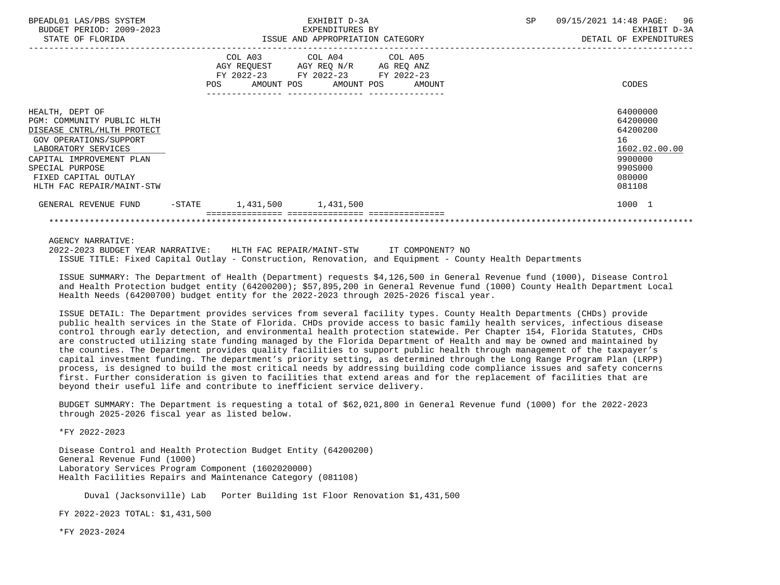| BPEADL01 LAS/PBS SYSTEM<br>BUDGET PERIOD: 2009-2023<br>STATE OF FLORIDA                                                                                                                                                          |           | EXHIBIT D-3A<br>EXPENDITURES BY<br>ISSUE AND APPROPRIATION CATEGORY |                                                                                                                            |        | SP<br>09/15/2021 14:48 PAGE:<br>EXHIBIT D-3A<br>DETAIL OF EXPENDITURES |                                                                                                   |  |
|----------------------------------------------------------------------------------------------------------------------------------------------------------------------------------------------------------------------------------|-----------|---------------------------------------------------------------------|----------------------------------------------------------------------------------------------------------------------------|--------|------------------------------------------------------------------------|---------------------------------------------------------------------------------------------------|--|
|                                                                                                                                                                                                                                  |           | POS                                                                 | COL A03 COL A04 COL A05<br>AGY REQUEST AGY REQ N/R AG REQ ANZ<br>FY 2022-23 FY 2022-23 FY 2022-23<br>AMOUNT POS AMOUNT POS | AMOUNT |                                                                        | CODES                                                                                             |  |
| HEALTH, DEPT OF<br>PGM: COMMUNITY PUBLIC HLTH<br>DISEASE CNTRL/HLTH PROTECT<br>GOV OPERATIONS/SUPPORT<br>LABORATORY SERVICES<br>CAPITAL IMPROVEMENT PLAN<br>SPECIAL PURPOSE<br>FIXED CAPITAL OUTLAY<br>HLTH FAC REPAIR/MAINT-STW |           |                                                                     |                                                                                                                            |        |                                                                        | 64000000<br>64200000<br>64200200<br>16<br>1602.02.00.00<br>9900000<br>990S000<br>080000<br>081108 |  |
| GENERAL REVENUE FUND                                                                                                                                                                                                             | $-$ STATE | 1,431,500 1,431,500                                                 |                                                                                                                            |        |                                                                        | 1000 1                                                                                            |  |
|                                                                                                                                                                                                                                  |           |                                                                     |                                                                                                                            |        |                                                                        |                                                                                                   |  |

AGENCY NARRATIVE:

 2022-2023 BUDGET YEAR NARRATIVE: HLTH FAC REPAIR/MAINT-STW IT COMPONENT? NO ISSUE TITLE: Fixed Capital Outlay - Construction, Renovation, and Equipment - County Health Departments

 ISSUE SUMMARY: The Department of Health (Department) requests \$4,126,500 in General Revenue fund (1000), Disease Control and Health Protection budget entity (64200200); \$57,895,200 in General Revenue fund (1000) County Health Department Local Health Needs (64200700) budget entity for the 2022-2023 through 2025-2026 fiscal year.

 ISSUE DETAIL: The Department provides services from several facility types. County Health Departments (CHDs) provide public health services in the State of Florida. CHDs provide access to basic family health services, infectious disease control through early detection, and environmental health protection statewide. Per Chapter 154, Florida Statutes, CHDs are constructed utilizing state funding managed by the Florida Department of Health and may be owned and maintained by the counties. The Department provides quality facilities to support public health through management of the taxpayer's capital investment funding. The department's priority setting, as determined through the Long Range Program Plan (LRPP) process, is designed to build the most critical needs by addressing building code compliance issues and safety concerns first. Further consideration is given to facilities that extend areas and for the replacement of facilities that are beyond their useful life and contribute to inefficient service delivery.

 BUDGET SUMMARY: The Department is requesting a total of \$62,021,800 in General Revenue fund (1000) for the 2022-2023 through 2025-2026 fiscal year as listed below.

\*FY 2022-2023

 Disease Control and Health Protection Budget Entity (64200200) General Revenue Fund (1000) Laboratory Services Program Component (1602020000) Health Facilities Repairs and Maintenance Category (081108)

Duval (Jacksonville) Lab Porter Building 1st Floor Renovation \$1,431,500

FY 2022-2023 TOTAL: \$1,431,500

\*FY 2023-2024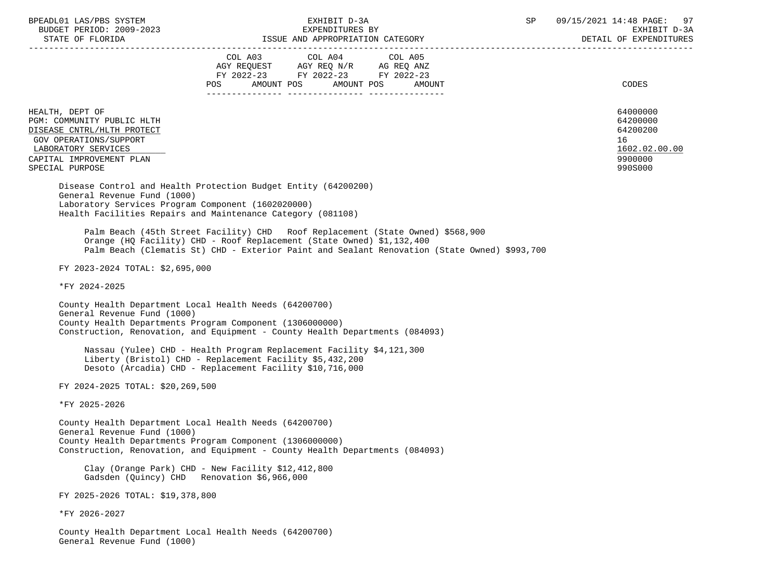| BPEADL01 LAS/PBS SYSTEM |                  |                          |
|-------------------------|------------------|--------------------------|
|                         |                  | BUDGET PERIOD: 2009-2023 |
|                         | CEARE OR RIODIDA |                          |

STATE OF FLORIDA GALL SOLUTION ISSUE AND APPROPRIATION CATEGORY CONTROL CONTROLLER STATE OF EXPENDITURES

 ----------------------------------------------------------------------------------------------------------------------------------- COL A03 COL A04 AGY REQUEST AGY REQ N/R AG REQ ANZ FY 2022-23 FY 2022-23 FY 2022-23 POS AMOUNT POS AMOUNT POS AMOUNT CODES --------------- --------------- --------------- HEALTH, DEPT OF 64000000 PGM: COMMUNITY PUBLIC HLTH 64200000<br>DISEASE CNTRL/HLTH PROTECT 64200200 DISEASE CNTRL/HLTH PROTECT GOV OPERATIONS/SUPPORT 16  $\begin{array}{l} \texttt{LABORATORY} \texttt{SERVICES} \end{array} \hspace{2cm} \begin{array}{l} \texttt{1602.02} \end{array} \end{array}$ CAPITAL IMPROVEMENT PLAN SPECIAL PURPOSE 990S000 Disease Control and Health Protection Budget Entity (64200200) General Revenue Fund (1000) Laboratory Services Program Component (1602020000) Health Facilities Repairs and Maintenance Category (081108) Palm Beach (45th Street Facility) CHD Roof Replacement (State Owned) \$568,900 Orange (HQ Facility) CHD - Roof Replacement (State Owned) \$1,132,400 Palm Beach (Clematis St) CHD - Exterior Paint and Sealant Renovation (State Owned) \$993,700 FY 2023-2024 TOTAL: \$2,695,000 \*FY 2024-2025 County Health Department Local Health Needs (64200700) General Revenue Fund (1000) County Health Departments Program Component (1306000000) Construction, Renovation, and Equipment - County Health Departments (084093) Nassau (Yulee) CHD - Health Program Replacement Facility \$4,121,300 Liberty (Bristol) CHD - Replacement Facility \$5,432,200 Desoto (Arcadia) CHD - Replacement Facility \$10,716,000 FY 2024-2025 TOTAL: \$20,269,500 \*FY 2025-2026 County Health Department Local Health Needs (64200700) General Revenue Fund (1000) County Health Departments Program Component (1306000000) Construction, Renovation, and Equipment - County Health Departments (084093) Clay (Orange Park) CHD - New Facility \$12,412,800 Gadsden (Quincy) CHD Renovation \$6,966,000 FY 2025-2026 TOTAL: \$19,378,800 \*FY 2026-2027 County Health Department Local Health Needs (64200700)

General Revenue Fund (1000)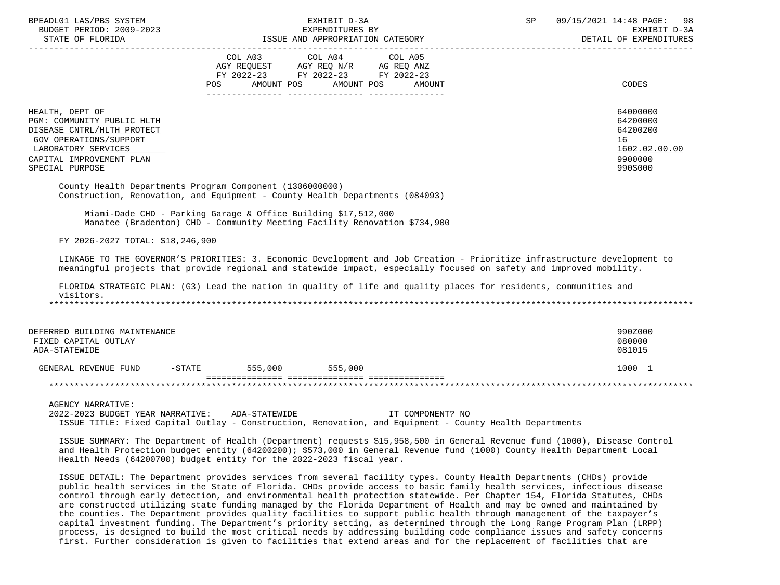| BPEADL01 LAS/PBS SYSTEM<br>BUDGET PERIOD: 2009-2023<br>STATE OF FLORIDA                                                                                                            |                                                                | EXHIBIT D-3A<br>EXPENDITURES BY<br>ISSUE AND APPROPRIATION CATEGORY                                                                                                                                                                                                                                                                                                                  | SP | 09/15/2021 14:48 PAGE: 98<br>EXHIBIT D-3A<br>DETAIL OF EXPENDITURES           |
|------------------------------------------------------------------------------------------------------------------------------------------------------------------------------------|----------------------------------------------------------------|--------------------------------------------------------------------------------------------------------------------------------------------------------------------------------------------------------------------------------------------------------------------------------------------------------------------------------------------------------------------------------------|----|-------------------------------------------------------------------------------|
|                                                                                                                                                                                    |                                                                | COL A03 COL A04 COL A05<br>AGY REQUEST AGY REQ N/R AG REQ ANZ<br>FY 2022-23 FY 2022-23 FY 2022-23<br>POS AMOUNT POS AMOUNT POS<br>AMOUNT                                                                                                                                                                                                                                             |    | CODES                                                                         |
| HEALTH, DEPT OF<br>PGM: COMMUNITY PUBLIC HLTH<br>DISEASE CNTRL/HLTH PROTECT<br><b>GOV OPERATIONS/SUPPORT</b><br>LABORATORY SERVICES<br>CAPITAL IMPROVEMENT PLAN<br>SPECIAL PURPOSE |                                                                |                                                                                                                                                                                                                                                                                                                                                                                      |    | 64000000<br>64200000<br>64200200<br>16<br>1602.02.00.00<br>9900000<br>990S000 |
| County Health Departments Program Component (1306000000)                                                                                                                           |                                                                | Construction, Renovation, and Equipment - County Health Departments (084093)                                                                                                                                                                                                                                                                                                         |    |                                                                               |
|                                                                                                                                                                                    | Miami-Dade CHD - Parking Garage & Office Building \$17,512,000 | Manatee (Bradenton) CHD - Community Meeting Facility Renovation \$734,900                                                                                                                                                                                                                                                                                                            |    |                                                                               |
| FY 2026-2027 TOTAL: \$18,246,900                                                                                                                                                   |                                                                |                                                                                                                                                                                                                                                                                                                                                                                      |    |                                                                               |
|                                                                                                                                                                                    |                                                                | LINKAGE TO THE GOVERNOR'S PRIORITIES: 3. Economic Development and Job Creation - Prioritize infrastructure development to<br>meaningful projects that provide regional and statewide impact, especially focused on safety and improved mobility.                                                                                                                                     |    |                                                                               |
| visitors.                                                                                                                                                                          |                                                                | FLORIDA STRATEGIC PLAN: (G3) Lead the nation in quality of life and quality places for residents, communities and                                                                                                                                                                                                                                                                    |    |                                                                               |
| DEFERRED BUILDING MAINTENANCE<br>FIXED CAPITAL OUTLAY<br>ADA-STATEWIDE                                                                                                             |                                                                |                                                                                                                                                                                                                                                                                                                                                                                      |    | 990Z000<br>080000<br>081015                                                   |
| GENERAL REVENUE FUND -STATE 555,000 555,000                                                                                                                                        |                                                                |                                                                                                                                                                                                                                                                                                                                                                                      |    | 1000 1                                                                        |
|                                                                                                                                                                                    |                                                                |                                                                                                                                                                                                                                                                                                                                                                                      |    |                                                                               |
| <b>AGENCY NARRATIVE:</b><br>2022-2023 BUDGET YEAR NARRATIVE: ADA-STATEWIDE                                                                                                         |                                                                | IT COMPONENT? NO<br>ISSUE TITLE: Fixed Capital Outlay - Construction, Renovation, and Equipment - County Health Departments<br>ISSUE SUMMARY: The Department of Health (Department) requests \$15,958,500 in General Revenue fund (1000), Disease Control<br>and Health Protection budget entity (64200200); \$573,000 in General Revenue fund (1000) County Health Department Local |    |                                                                               |
| Health Needs (64200700) budget entity for the 2022-2023 fiscal year.                                                                                                               |                                                                | ISSUE DETAIL: The Department provides services from several facility types. County Health Departments (CHDs) provide<br>public health services in the State of Florida. CHDs provide access to basic family health services, infectious disease                                                                                                                                      |    |                                                                               |

 control through early detection, and environmental health protection statewide. Per Chapter 154, Florida Statutes, CHDs are constructed utilizing state funding managed by the Florida Department of Health and may be owned and maintained by the counties. The Department provides quality facilities to support public health through management of the taxpayer's capital investment funding. The Department's priority setting, as determined through the Long Range Program Plan (LRPP) process, is designed to build the most critical needs by addressing building code compliance issues and safety concerns first. Further consideration is given to facilities that extend areas and for the replacement of facilities that are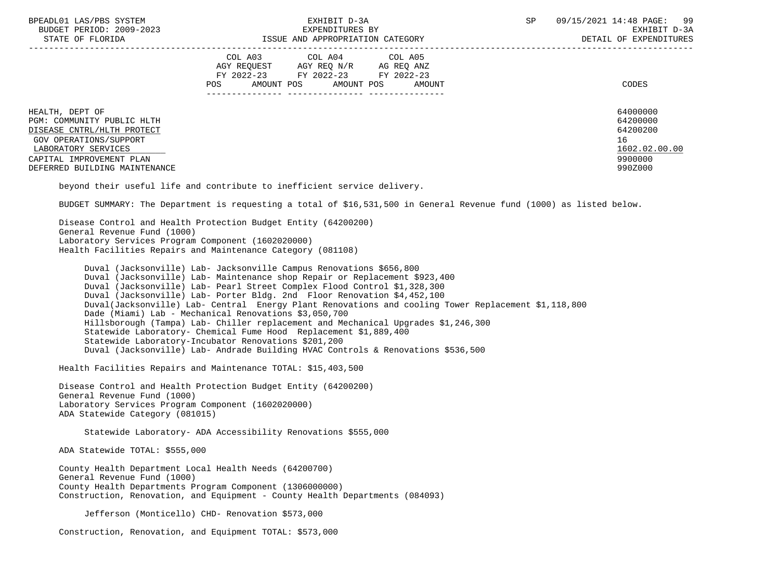| BPEADL01 LAS/PBS SYSTEM |                   |                          |
|-------------------------|-------------------|--------------------------|
|                         |                   | BUDGET PERIOD: 2009-2023 |
|                         | גתדכת זה הם היהיה |                          |

|                                                                                                                                                                                           | COL A03<br>AGY REQUEST<br>FY 2022-23<br>AMOUNT POS<br>POS | COL A04<br>AGY REQ N/R<br>FY 2022-23<br>AMOUNT POS | COL A05<br>AG REQ ANZ<br>FY 2022-23<br>AMOUNT | CODES                                                                         |
|-------------------------------------------------------------------------------------------------------------------------------------------------------------------------------------------|-----------------------------------------------------------|----------------------------------------------------|-----------------------------------------------|-------------------------------------------------------------------------------|
| HEALTH, DEPT OF<br>PGM: COMMUNITY PUBLIC HLTH<br>DISEASE CNTRL/HLTH PROTECT<br>GOV OPERATIONS/SUPPORT<br>LABORATORY SERVICES<br>CAPITAL IMPROVEMENT PLAN<br>DEFERRED BUILDING MAINTENANCE |                                                           |                                                    |                                               | 64000000<br>64200000<br>64200200<br>16<br>1602.02.00.00<br>9900000<br>990Z000 |

beyond their useful life and contribute to inefficient service delivery.

BUDGET SUMMARY: The Department is requesting a total of \$16,531,500 in General Revenue fund (1000) as listed below.

 Disease Control and Health Protection Budget Entity (64200200) General Revenue Fund (1000) Laboratory Services Program Component (1602020000) Health Facilities Repairs and Maintenance Category (081108)

 Duval (Jacksonville) Lab- Jacksonville Campus Renovations \$656,800 Duval (Jacksonville) Lab- Maintenance shop Repair or Replacement \$923,400 Duval (Jacksonville) Lab- Pearl Street Complex Flood Control \$1,328,300 Duval (Jacksonville) Lab- Porter Bldg. 2nd Floor Renovation \$4,452,100 Duval(Jacksonville) Lab- Central Energy Plant Renovations and cooling Tower Replacement \$1,118,800 Dade (Miami) Lab - Mechanical Renovations \$3,050,700 Hillsborough (Tampa) Lab- Chiller replacement and Mechanical Upgrades \$1,246,300 Statewide Laboratory- Chemical Fume Hood Replacement \$1,889,400 Statewide Laboratory-Incubator Renovations \$201,200 Duval (Jacksonville) Lab- Andrade Building HVAC Controls & Renovations \$536,500

Health Facilities Repairs and Maintenance TOTAL: \$15,403,500

 Disease Control and Health Protection Budget Entity (64200200) General Revenue Fund (1000) Laboratory Services Program Component (1602020000) ADA Statewide Category (081015)

Statewide Laboratory- ADA Accessibility Renovations \$555,000

ADA Statewide TOTAL: \$555,000

 County Health Department Local Health Needs (64200700) General Revenue Fund (1000) County Health Departments Program Component (1306000000) Construction, Renovation, and Equipment - County Health Departments (084093)

Jefferson (Monticello) CHD- Renovation \$573,000

Construction, Renovation, and Equipment TOTAL: \$573,000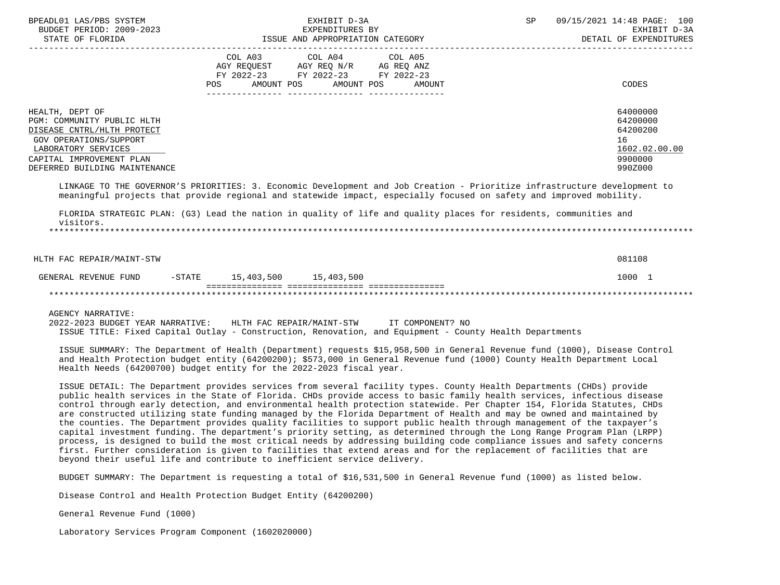| BPEADL01 LAS/PBS SYSTEM<br>BUDGET PERIOD: 2009-2023<br>STATE OF FLORIDA<br>-----------------------                                                                                                                                                                                                                                                                                                                                                                                                                                                                                                                                                                                                                                                                                                                                                                                                                                                            | ISSUE AND APPROPRIATION CATEGORY                                                                                       | EXHIBIT D-3A<br>EXPENDITURES BY |                      | SP | 09/15/2021 14:48 PAGE: 100<br>EXHIBIT D-3A<br>DETAIL OF EXPENDITURES          |
|---------------------------------------------------------------------------------------------------------------------------------------------------------------------------------------------------------------------------------------------------------------------------------------------------------------------------------------------------------------------------------------------------------------------------------------------------------------------------------------------------------------------------------------------------------------------------------------------------------------------------------------------------------------------------------------------------------------------------------------------------------------------------------------------------------------------------------------------------------------------------------------------------------------------------------------------------------------|------------------------------------------------------------------------------------------------------------------------|---------------------------------|----------------------|----|-------------------------------------------------------------------------------|
|                                                                                                                                                                                                                                                                                                                                                                                                                                                                                                                                                                                                                                                                                                                                                                                                                                                                                                                                                               | COL A03 COL A04 COL A05<br>AGY REQUEST AGY REQ N/R AG REQ ANZ<br>FY 2022-23 FY 2022-23 FY 2022-23<br>AMOUNT POS<br>POS |                                 | AMOUNT POS<br>AMOUNT |    | <b>CODES</b>                                                                  |
| HEALTH, DEPT OF<br>PGM: COMMUNITY PUBLIC HLTH<br>DISEASE CNTRL/HLTH PROTECT<br>GOV OPERATIONS/SUPPORT<br>LABORATORY SERVICES<br>CAPITAL IMPROVEMENT PLAN<br>DEFERRED BUILDING MAINTENANCE<br>LINKAGE TO THE GOVERNOR'S PRIORITIES: 3. Economic Development and Job Creation - Prioritize infrastructure development to                                                                                                                                                                                                                                                                                                                                                                                                                                                                                                                                                                                                                                        |                                                                                                                        |                                 |                      |    | 64000000<br>64200000<br>64200200<br>16<br>1602.02.00.00<br>9900000<br>990Z000 |
| meaningful projects that provide regional and statewide impact, especially focused on safety and improved mobility.<br>FLORIDA STRATEGIC PLAN: (G3) Lead the nation in quality of life and quality places for residents, communities and<br>visitors.                                                                                                                                                                                                                                                                                                                                                                                                                                                                                                                                                                                                                                                                                                         |                                                                                                                        |                                 |                      |    |                                                                               |
| HLTH FAC REPAIR/MAINT-STW                                                                                                                                                                                                                                                                                                                                                                                                                                                                                                                                                                                                                                                                                                                                                                                                                                                                                                                                     |                                                                                                                        |                                 |                      |    | 081108                                                                        |
| GENERAL REVENUE FUND                                                                                                                                                                                                                                                                                                                                                                                                                                                                                                                                                                                                                                                                                                                                                                                                                                                                                                                                          | $-STATE$ 15, 403, 500 15, 403, 500                                                                                     |                                 |                      |    | 1000 1                                                                        |
|                                                                                                                                                                                                                                                                                                                                                                                                                                                                                                                                                                                                                                                                                                                                                                                                                                                                                                                                                               |                                                                                                                        |                                 |                      |    |                                                                               |
| <b>AGENCY NARRATIVE:</b><br>2022-2023 BUDGET YEAR NARRATIVE: HLTH FAC REPAIR/MAINT-STW IT COMPONENT? NO<br>ISSUE TITLE: Fixed Capital Outlay - Construction, Renovation, and Equipment - County Health Departments<br>ISSUE SUMMARY: The Department of Health (Department) requests \$15,958,500 in General Revenue fund (1000), Disease Control<br>and Health Protection budget entity (64200200); \$573,000 in General Revenue fund (1000) County Health Department Local<br>Health Needs (64200700) budget entity for the 2022-2023 fiscal year.<br>ISSUE DETAIL: The Department provides services from several facility types. County Health Departments (CHDs) provide<br>public health services in the State of Florida. CHDs provide access to basic family health services, infectious disease                                                                                                                                                        |                                                                                                                        |                                 |                      |    |                                                                               |
| control through early detection, and environmental health protection statewide. Per Chapter 154, Florida Statutes, CHDs<br>are constructed utilizing state funding managed by the Florida Department of Health and may be owned and maintained by<br>the counties. The Department provides quality facilities to support public health through management of the taxpayer's<br>capital investment funding. The department's priority setting, as determined through the Long Range Program Plan (LRPP)<br>process, is designed to build the most critical needs by addressing building code compliance issues and safety concerns<br>first. Further consideration is given to facilities that extend areas and for the replacement of facilities that are<br>beyond their useful life and contribute to inefficient service delivery.<br>BUDGET SUMMARY: The Department is requesting a total of \$16,531,500 in General Revenue fund (1000) as listed below. |                                                                                                                        |                                 |                      |    |                                                                               |
|                                                                                                                                                                                                                                                                                                                                                                                                                                                                                                                                                                                                                                                                                                                                                                                                                                                                                                                                                               |                                                                                                                        |                                 |                      |    |                                                                               |

Disease Control and Health Protection Budget Entity (64200200)

General Revenue Fund (1000)

Laboratory Services Program Component (1602020000)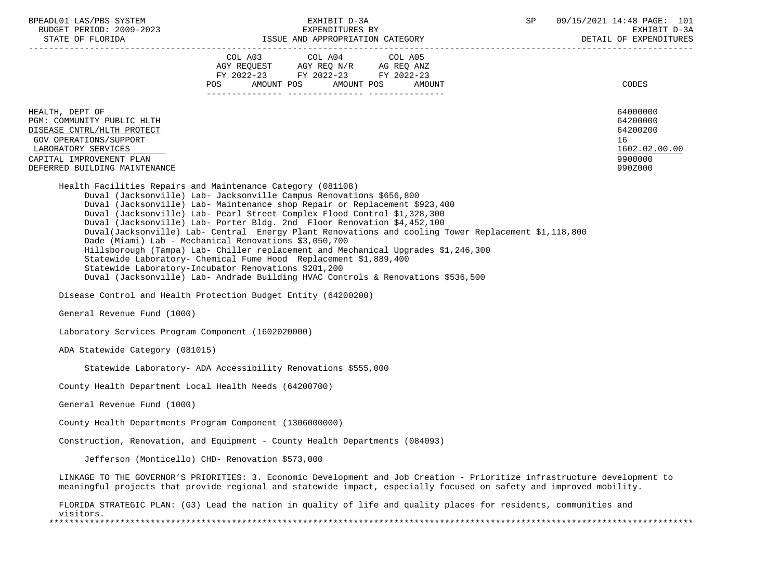| BPEADL01 LAS/PBS SYSTEM<br>BUDGET PERIOD: 2009-2023                                                                                                                                                                                                                                                                                                                                                                                                                                                                                                                                                                                                                                                                                                                                                                                          |                                                                                                                                                                                                             |                                                  | EXHIBIT D-3A<br>EXPENDITURES BY |        | SP | 09/15/2021 14:48 PAGE: 101<br>EXHIBIT D-3A                                    |
|----------------------------------------------------------------------------------------------------------------------------------------------------------------------------------------------------------------------------------------------------------------------------------------------------------------------------------------------------------------------------------------------------------------------------------------------------------------------------------------------------------------------------------------------------------------------------------------------------------------------------------------------------------------------------------------------------------------------------------------------------------------------------------------------------------------------------------------------|-------------------------------------------------------------------------------------------------------------------------------------------------------------------------------------------------------------|--------------------------------------------------|---------------------------------|--------|----|-------------------------------------------------------------------------------|
|                                                                                                                                                                                                                                                                                                                                                                                                                                                                                                                                                                                                                                                                                                                                                                                                                                              | $\begin{tabular}{lllllllll} \bf AGY & \bf REQUEST & \bf AGY & \bf REQ & \tt N/R & \bf AG & \tt REQ & \tt ANZ \\ \bf FY & \tt 2022-23 & \tt FY & \tt 2022-23 & \tt FY & \tt 2022-23 \\ \end{tabular}$<br>POS | COL A03 COL A04 COL A05<br>AMOUNT POS AMOUNT POS |                                 | AMOUNT |    | CODES                                                                         |
|                                                                                                                                                                                                                                                                                                                                                                                                                                                                                                                                                                                                                                                                                                                                                                                                                                              |                                                                                                                                                                                                             |                                                  |                                 |        |    |                                                                               |
| HEALTH, DEPT OF<br>PGM: COMMUNITY PUBLIC HLTH<br>DISEASE CNTRL/HLTH PROTECT<br>GOV OPERATIONS/SUPPORT<br>LABORATORY SERVICES<br>CAPITAL IMPROVEMENT PLAN<br>DEFERRED BUILDING MAINTENANCE                                                                                                                                                                                                                                                                                                                                                                                                                                                                                                                                                                                                                                                    |                                                                                                                                                                                                             |                                                  |                                 |        |    | 64000000<br>64200000<br>64200200<br>16<br>1602.02.00.00<br>9900000<br>990Z000 |
| Health Facilities Repairs and Maintenance Category (081108)<br>Duval (Jacksonville) Lab- Jacksonville Campus Renovations \$656,800<br>Duval (Jacksonville) Lab- Maintenance shop Repair or Replacement \$923,400<br>Duval (Jacksonville) Lab- Pearl Street Complex Flood Control \$1,328,300<br>Duval (Jacksonville) Lab- Porter Bldg. 2nd Floor Renovation \$4,452,100<br>Duval(Jacksonville) Lab- Central Energy Plant Renovations and cooling Tower Replacement \$1,118,800<br>Dade (Miami) Lab - Mechanical Renovations \$3,050,700<br>Hillsborough (Tampa) Lab- Chiller replacement and Mechanical Upgrades \$1,246,300<br>Statewide Laboratory- Chemical Fume Hood Replacement \$1,889,400<br>Statewide Laboratory-Incubator Renovations \$201,200<br>Duval (Jacksonville) Lab- Andrade Building HVAC Controls & Renovations \$536,500 |                                                                                                                                                                                                             |                                                  |                                 |        |    |                                                                               |
| Disease Control and Health Protection Budget Entity (64200200)                                                                                                                                                                                                                                                                                                                                                                                                                                                                                                                                                                                                                                                                                                                                                                               |                                                                                                                                                                                                             |                                                  |                                 |        |    |                                                                               |
| General Revenue Fund (1000)                                                                                                                                                                                                                                                                                                                                                                                                                                                                                                                                                                                                                                                                                                                                                                                                                  |                                                                                                                                                                                                             |                                                  |                                 |        |    |                                                                               |
| Laboratory Services Program Component (1602020000)                                                                                                                                                                                                                                                                                                                                                                                                                                                                                                                                                                                                                                                                                                                                                                                           |                                                                                                                                                                                                             |                                                  |                                 |        |    |                                                                               |
| ADA Statewide Category (081015)                                                                                                                                                                                                                                                                                                                                                                                                                                                                                                                                                                                                                                                                                                                                                                                                              |                                                                                                                                                                                                             |                                                  |                                 |        |    |                                                                               |
| Statewide Laboratory- ADA Accessibility Renovations \$555,000                                                                                                                                                                                                                                                                                                                                                                                                                                                                                                                                                                                                                                                                                                                                                                                |                                                                                                                                                                                                             |                                                  |                                 |        |    |                                                                               |
| County Health Department Local Health Needs (64200700)                                                                                                                                                                                                                                                                                                                                                                                                                                                                                                                                                                                                                                                                                                                                                                                       |                                                                                                                                                                                                             |                                                  |                                 |        |    |                                                                               |
| General Revenue Fund (1000)                                                                                                                                                                                                                                                                                                                                                                                                                                                                                                                                                                                                                                                                                                                                                                                                                  |                                                                                                                                                                                                             |                                                  |                                 |        |    |                                                                               |
| County Health Departments Program Component (1306000000)                                                                                                                                                                                                                                                                                                                                                                                                                                                                                                                                                                                                                                                                                                                                                                                     |                                                                                                                                                                                                             |                                                  |                                 |        |    |                                                                               |
| Construction, Renovation, and Equipment - County Health Departments (084093)                                                                                                                                                                                                                                                                                                                                                                                                                                                                                                                                                                                                                                                                                                                                                                 |                                                                                                                                                                                                             |                                                  |                                 |        |    |                                                                               |
| Jefferson (Monticello) CHD- Renovation \$573,000                                                                                                                                                                                                                                                                                                                                                                                                                                                                                                                                                                                                                                                                                                                                                                                             |                                                                                                                                                                                                             |                                                  |                                 |        |    |                                                                               |
| LINKAGE TO THE GOVERNOR'S PRIORITIES: 3. Economic Development and Job Creation - Prioritize infrastructure development to<br>meaningful projects that provide regional and statewide impact, especially focused on safety and improved mobility.                                                                                                                                                                                                                                                                                                                                                                                                                                                                                                                                                                                             |                                                                                                                                                                                                             |                                                  |                                 |        |    |                                                                               |
| FLORIDA STRATEGIC PLAN: (G3) Lead the nation in quality of life and quality places for residents, communities and<br>visitors.                                                                                                                                                                                                                                                                                                                                                                                                                                                                                                                                                                                                                                                                                                               |                                                                                                                                                                                                             |                                                  |                                 |        |    |                                                                               |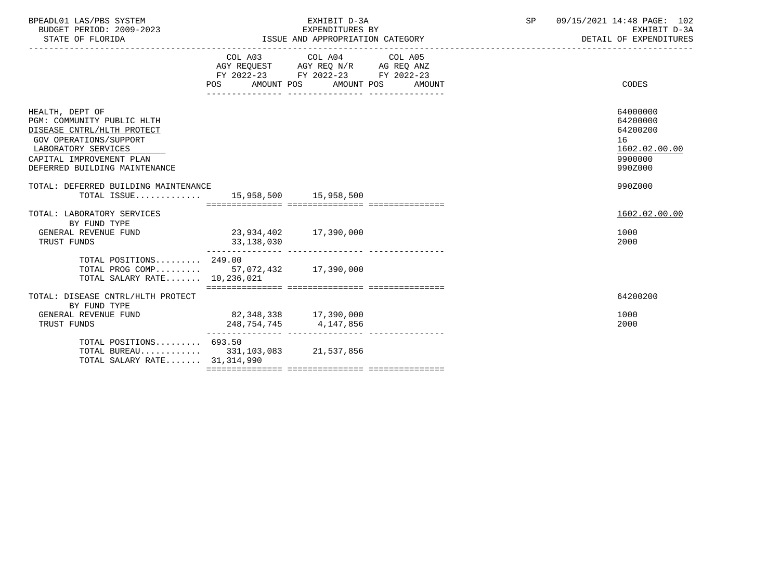| BPEADL01 LAS/PBS SYSTEM<br>BUDGET PERIOD: 2009-2023<br>STATE OF FLORIDA                                                                                                                   |                                     | EXHIBIT D-3A<br>EXPENDITURES BY                                                                                            | ISSUE AND APPROPRIATION CATEGORY | SP | 09/15/2021 14:48 PAGE: 102<br>EXHIBIT D-3A<br>DETAIL OF EXPENDITURES          |
|-------------------------------------------------------------------------------------------------------------------------------------------------------------------------------------------|-------------------------------------|----------------------------------------------------------------------------------------------------------------------------|----------------------------------|----|-------------------------------------------------------------------------------|
|                                                                                                                                                                                           | POS                                 | COL A03 COL A04 COL A05<br>AGY REQUEST AGY REQ N/R AG REQ ANZ<br>FY 2022-23 FY 2022-23 FY 2022-23<br>AMOUNT POS AMOUNT POS | AMOUNT                           |    | CODES                                                                         |
| HEALTH, DEPT OF<br>PGM: COMMUNITY PUBLIC HLTH<br>DISEASE CNTRL/HLTH PROTECT<br>GOV OPERATIONS/SUPPORT<br>LABORATORY SERVICES<br>CAPITAL IMPROVEMENT PLAN<br>DEFERRED BUILDING MAINTENANCE |                                     |                                                                                                                            |                                  |    | 64000000<br>64200000<br>64200200<br>16<br>1602.02.00.00<br>9900000<br>990Z000 |
| TOTAL: DEFERRED BUILDING MAINTENANCE<br>TOTAL ISSUE 15,958,500 15,958,500                                                                                                                 |                                     |                                                                                                                            |                                  |    | 990Z000                                                                       |
| TOTAL: LABORATORY SERVICES<br>BY FUND TYPE<br>GENERAL REVENUE FUND<br>TRUST FUNDS                                                                                                         | 23,934,402 17,390,000<br>33,138,030 |                                                                                                                            |                                  |    | 1602.02.00.00<br>1000<br>2000                                                 |
| TOTAL POSITIONS 249.00<br>TOTAL PROG COMP 57,072,432 17,390,000<br>TOTAL SALARY RATE 10,236,021                                                                                           |                                     |                                                                                                                            |                                  |    |                                                                               |
| TOTAL: DISEASE CNTRL/HLTH PROTECT                                                                                                                                                         |                                     |                                                                                                                            |                                  |    | 64200200                                                                      |
| BY FUND TYPE<br>GENERAL REVENUE FUND<br>TRUST FUNDS                                                                                                                                       | 82,348,338 17,390,000               | 248,754,745 4,147,856                                                                                                      |                                  |    | 1000<br>2000                                                                  |
| TOTAL POSITIONS 693.50<br>TOTAL BUREAU 331,103,083 21,537,856<br>TOTAL SALARY RATE 31,314,990                                                                                             |                                     |                                                                                                                            |                                  |    |                                                                               |
|                                                                                                                                                                                           |                                     |                                                                                                                            |                                  |    |                                                                               |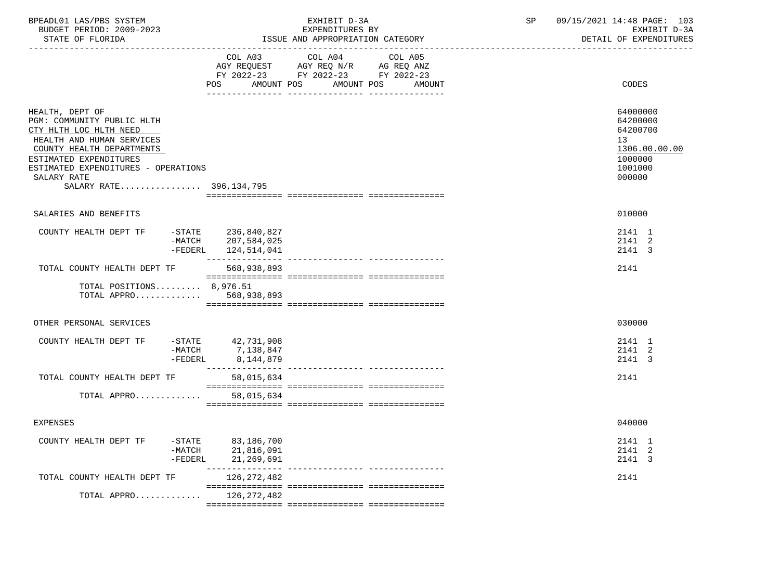| BPEADL01 LAS/PBS SYSTEM<br>BUDGET PERIOD: 2009-2023<br>STATE OF FLORIDA                                                                                                                                                                      |                                                            | EXHIBIT D-3A<br>EXPENDITURES BY<br>ISSUE AND APPROPRIATION CATEGORY                                                                 | SP | 09/15/2021 14:48 PAGE: 103<br>EXHIBIT D-3A<br>DETAIL OF EXPENDITURES                    |
|----------------------------------------------------------------------------------------------------------------------------------------------------------------------------------------------------------------------------------------------|------------------------------------------------------------|-------------------------------------------------------------------------------------------------------------------------------------|----|-----------------------------------------------------------------------------------------|
|                                                                                                                                                                                                                                              | COL A03                                                    | COL A04<br>COL A05<br>AGY REQUEST AGY REQ N/R AG REQ ANZ<br>FY 2022-23 FY 2022-23 FY 2022-23<br>POS AMOUNT POS AMOUNT POS<br>AMOUNT |    | CODES                                                                                   |
| HEALTH, DEPT OF<br>PGM: COMMUNITY PUBLIC HLTH<br>CTY HLTH LOC HLTH NEED<br>HEALTH AND HUMAN SERVICES<br>COUNTY HEALTH DEPARTMENTS<br>ESTIMATED EXPENDITURES<br>ESTIMATED EXPENDITURES - OPERATIONS<br>SALARY RATE<br>SALARY RATE 396,134,795 |                                                            |                                                                                                                                     |    | 64000000<br>64200000<br>64200700<br>13<br>1306.00.00.00<br>1000000<br>1001000<br>000000 |
| SALARIES AND BENEFITS                                                                                                                                                                                                                        |                                                            |                                                                                                                                     |    | 010000                                                                                  |
| COUNTY HEALTH DEPT TF<br>$-MATCH$<br>$-FEDERL$                                                                                                                                                                                               | -STATE 236,840,827<br>207,584,025<br>124,514,041           |                                                                                                                                     |    | 2141 1<br>2141 2<br>2141 3                                                              |
| TOTAL COUNTY HEALTH DEPT TF                                                                                                                                                                                                                  | 568,938,893                                                |                                                                                                                                     |    | 2141                                                                                    |
| TOTAL POSITIONS 8,976.51<br>TOTAL APPRO $568,938,893$                                                                                                                                                                                        |                                                            |                                                                                                                                     |    |                                                                                         |
| OTHER PERSONAL SERVICES                                                                                                                                                                                                                      |                                                            |                                                                                                                                     |    | 030000                                                                                  |
| COUNTY HEALTH DEPT TF $-$ -STATE 42,731,908<br>$-MATCH$<br>-FEDERL                                                                                                                                                                           | 7,138,847<br>8,144,879                                     |                                                                                                                                     |    | 2141 1<br>2141 2<br>2141 3                                                              |
| TOTAL COUNTY HEALTH DEPT TF                                                                                                                                                                                                                  | 58,015,634                                                 |                                                                                                                                     |    | 2141                                                                                    |
| TOTAL APPRO                                                                                                                                                                                                                                  | 58,015,634                                                 |                                                                                                                                     |    |                                                                                         |
| <b>EXPENSES</b>                                                                                                                                                                                                                              |                                                            |                                                                                                                                     |    | 040000                                                                                  |
| COUNTY HEALTH DEPT TF<br>-FEDERL                                                                                                                                                                                                             | $-STATE$ 83, 186, 700<br>$-MATCH$ 21,816,091<br>21,269,691 |                                                                                                                                     |    | 2141 1<br>2141 2<br>2141 3                                                              |
| TOTAL COUNTY HEALTH DEPT TF                                                                                                                                                                                                                  | 126,272,482                                                |                                                                                                                                     |    | 2141                                                                                    |
| TOTAL APPRO                                                                                                                                                                                                                                  | 126,272,482                                                |                                                                                                                                     |    |                                                                                         |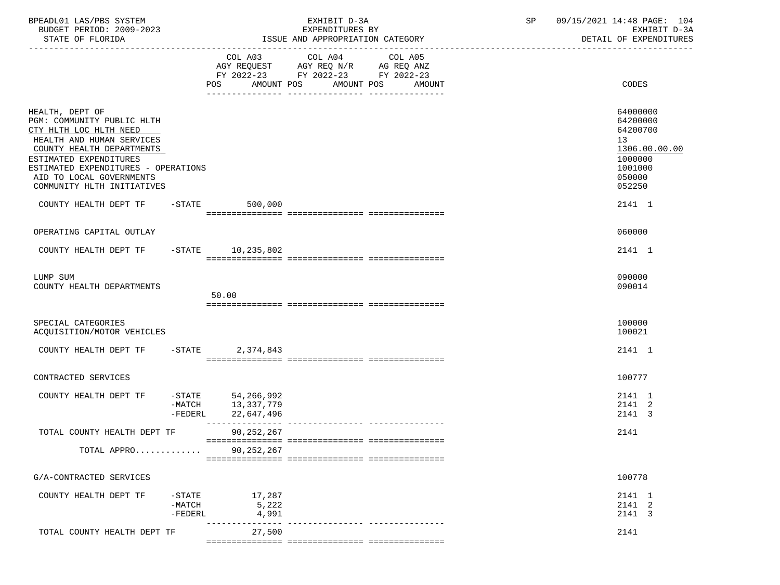| BPEADL01 LAS/PBS SYSTEM<br>BUDGET PERIOD: 2009-2023<br>STATE OF FLORIDA                                                                                                                                                                                                               |                                    |                                                                  | EXHIBIT D-3A<br>EXPENDITURES BY<br>ISSUE AND APPROPRIATION CATEGORY                                                    | SP                | 09/15/2021 14:48 PAGE: 104<br>EXHIBIT D-3A<br>DETAIL OF EXPENDITURES |                                                                                                             |
|---------------------------------------------------------------------------------------------------------------------------------------------------------------------------------------------------------------------------------------------------------------------------------------|------------------------------------|------------------------------------------------------------------|------------------------------------------------------------------------------------------------------------------------|-------------------|----------------------------------------------------------------------|-------------------------------------------------------------------------------------------------------------|
|                                                                                                                                                                                                                                                                                       |                                    |                                                                  | COL A03 COL A04<br>AGY REQUEST AGY REQ N/R AG REQ ANZ<br>FY 2022-23 FY 2022-23 FY 2022-23<br>POS AMOUNT POS AMOUNT POS | COL A05<br>AMOUNT |                                                                      | CODES                                                                                                       |
| HEALTH, DEPT OF<br>PGM: COMMUNITY PUBLIC HLTH<br>CTY HLTH LOC HLTH NEED<br>HEALTH AND HUMAN SERVICES<br>COUNTY HEALTH DEPARTMENTS<br>ESTIMATED EXPENDITURES<br>ESTIMATED EXPENDITURES - OPERATIONS<br>AID TO LOCAL GOVERNMENTS<br>COMMUNITY HLTH INITIATIVES<br>COUNTY HEALTH DEPT TF |                                    | $-STATE$ 500,000                                                 |                                                                                                                        |                   |                                                                      | 64000000<br>64200000<br>64200700<br>13<br>1306.00.00.00<br>1000000<br>1001000<br>050000<br>052250<br>2141 1 |
| OPERATING CAPITAL OUTLAY                                                                                                                                                                                                                                                              |                                    |                                                                  |                                                                                                                        |                   |                                                                      | 060000                                                                                                      |
|                                                                                                                                                                                                                                                                                       |                                    |                                                                  |                                                                                                                        |                   |                                                                      |                                                                                                             |
| COUNTY HEALTH DEPT TF -STATE 10,235,802                                                                                                                                                                                                                                               |                                    |                                                                  |                                                                                                                        |                   |                                                                      | 2141 1                                                                                                      |
| LUMP SUM<br>COUNTY HEALTH DEPARTMENTS                                                                                                                                                                                                                                                 |                                    | 50.00                                                            |                                                                                                                        |                   |                                                                      | 090000<br>090014                                                                                            |
|                                                                                                                                                                                                                                                                                       |                                    |                                                                  |                                                                                                                        |                   |                                                                      |                                                                                                             |
| SPECIAL CATEGORIES<br>ACQUISITION/MOTOR VEHICLES                                                                                                                                                                                                                                      |                                    |                                                                  |                                                                                                                        |                   |                                                                      | 100000<br>100021                                                                                            |
| COUNTY HEALTH DEPT TF                                                                                                                                                                                                                                                                 | $-$ STATE                          | 2,374,843                                                        |                                                                                                                        |                   |                                                                      | 2141 1                                                                                                      |
| CONTRACTED SERVICES                                                                                                                                                                                                                                                                   |                                    |                                                                  |                                                                                                                        |                   |                                                                      | 100777                                                                                                      |
| COUNTY HEALTH DEPT TF                                                                                                                                                                                                                                                                 |                                    | $-STATE$ 54, 266, 992<br>-MATCH 13,337,779<br>-FEDERL 22,647,496 |                                                                                                                        |                   |                                                                      | 2141 1<br>2141 2<br>2141 3                                                                                  |
| TOTAL COUNTY HEALTH DEPT TF                                                                                                                                                                                                                                                           |                                    | 90,252,267                                                       |                                                                                                                        |                   |                                                                      | 2141                                                                                                        |
| TOTAL APPRO                                                                                                                                                                                                                                                                           |                                    | ========<br>90, 252, 267                                         |                                                                                                                        |                   |                                                                      |                                                                                                             |
| G/A-CONTRACTED SERVICES                                                                                                                                                                                                                                                               |                                    |                                                                  |                                                                                                                        |                   |                                                                      | 100778                                                                                                      |
| COUNTY HEALTH DEPT TF                                                                                                                                                                                                                                                                 | $-$ STATE<br>$-MATCH$<br>$-FEDERL$ | 17,287<br>5,222<br>4,991                                         |                                                                                                                        |                   |                                                                      | 2141 1<br>2141 2<br>2141 3                                                                                  |
| TOTAL COUNTY HEALTH DEPT TF                                                                                                                                                                                                                                                           |                                    | 27,500                                                           |                                                                                                                        |                   |                                                                      | 2141                                                                                                        |
|                                                                                                                                                                                                                                                                                       |                                    |                                                                  |                                                                                                                        |                   |                                                                      |                                                                                                             |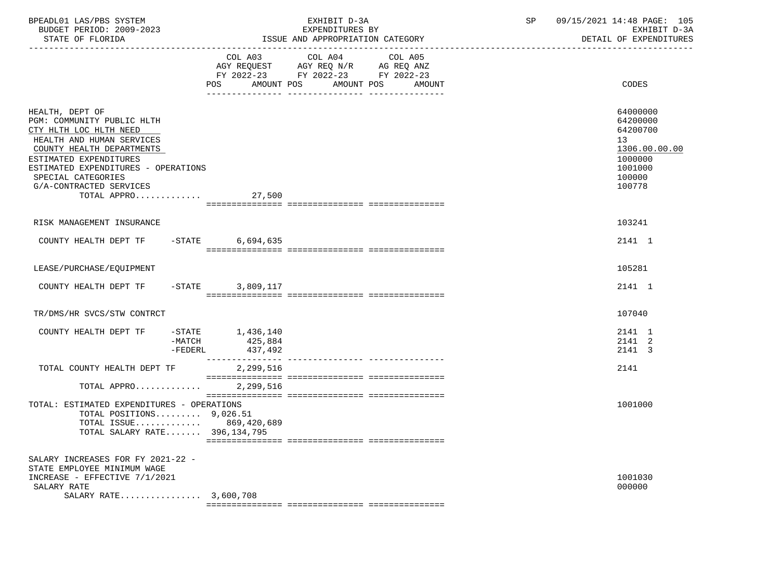| BPEADL01 LAS/PBS SYSTEM<br>BUDGET PERIOD: 2009-2023<br>STATE OF FLORIDA                                                                                                                                                                                                   |                                                        | EXHIBIT D-3A<br>EXPENDITURES BY<br>ISSUE AND APPROPRIATION CATEGORY                                                               | SP | 09/15/2021 14:48 PAGE: 105<br>EXHIBIT D-3A<br>DETAIL OF EXPENDITURES                              |
|---------------------------------------------------------------------------------------------------------------------------------------------------------------------------------------------------------------------------------------------------------------------------|--------------------------------------------------------|-----------------------------------------------------------------------------------------------------------------------------------|----|---------------------------------------------------------------------------------------------------|
|                                                                                                                                                                                                                                                                           | POS                                                    | COL A03 COL A04 COL A05<br>AGY REQUEST AGY REQ N/R AG REQ ANZ<br>FY 2022-23 FY 2022-23 FY 2022-23<br>AMOUNT POS AMOUNT POS AMOUNT |    | CODES                                                                                             |
| HEALTH, DEPT OF<br>PGM: COMMUNITY PUBLIC HLTH<br>CTY HLTH LOC HLTH NEED<br>HEALTH AND HUMAN SERVICES<br>COUNTY HEALTH DEPARTMENTS<br>ESTIMATED EXPENDITURES<br>ESTIMATED EXPENDITURES - OPERATIONS<br>SPECIAL CATEGORIES<br>G/A-CONTRACTED SERVICES<br>TOTAL APPRO 27,500 |                                                        |                                                                                                                                   |    | 64000000<br>64200000<br>64200700<br>13<br>1306.00.00.00<br>1000000<br>1001000<br>100000<br>100778 |
| RISK MANAGEMENT INSURANCE                                                                                                                                                                                                                                                 |                                                        |                                                                                                                                   |    | 103241                                                                                            |
| COUNTY HEALTH DEPT TF                                                                                                                                                                                                                                                     | -STATE 6,694,635                                       |                                                                                                                                   |    | 2141 1                                                                                            |
| LEASE/PURCHASE/EQUIPMENT                                                                                                                                                                                                                                                  |                                                        |                                                                                                                                   |    | 105281                                                                                            |
| COUNTY HEALTH DEPT TF                                                                                                                                                                                                                                                     | $-STATE$ 3,809,117                                     |                                                                                                                                   |    | 2141 1                                                                                            |
| TR/DMS/HR SVCS/STW CONTRCT                                                                                                                                                                                                                                                |                                                        |                                                                                                                                   |    | 107040                                                                                            |
| COUNTY HEALTH DEPT TF<br>-MATCH                                                                                                                                                                                                                                           | $-$ STATE $1,436,140$<br>425,884<br>-FEDERL<br>437,492 |                                                                                                                                   |    | 2141 1<br>2141 2<br>2141 3                                                                        |
| TOTAL COUNTY HEALTH DEPT TF                                                                                                                                                                                                                                               | 2,299,516                                              |                                                                                                                                   |    | 2141                                                                                              |
| TOTAL APPRO                                                                                                                                                                                                                                                               | 2,299,516                                              |                                                                                                                                   |    |                                                                                                   |
| TOTAL: ESTIMATED EXPENDITURES - OPERATIONS<br>TOTAL POSITIONS 9,026.51<br>TOTAL ISSUE 869,420,689<br>TOTAL SALARY RATE 396,134,795                                                                                                                                        |                                                        |                                                                                                                                   |    | 1001000                                                                                           |
| SALARY INCREASES FOR FY 2021-22 -<br>STATE EMPLOYEE MINIMUM WAGE<br>INCREASE - EFFECTIVE 7/1/2021<br>SALARY RATE<br>SALARY RATE 3,600,708                                                                                                                                 |                                                        |                                                                                                                                   |    | 1001030<br>000000                                                                                 |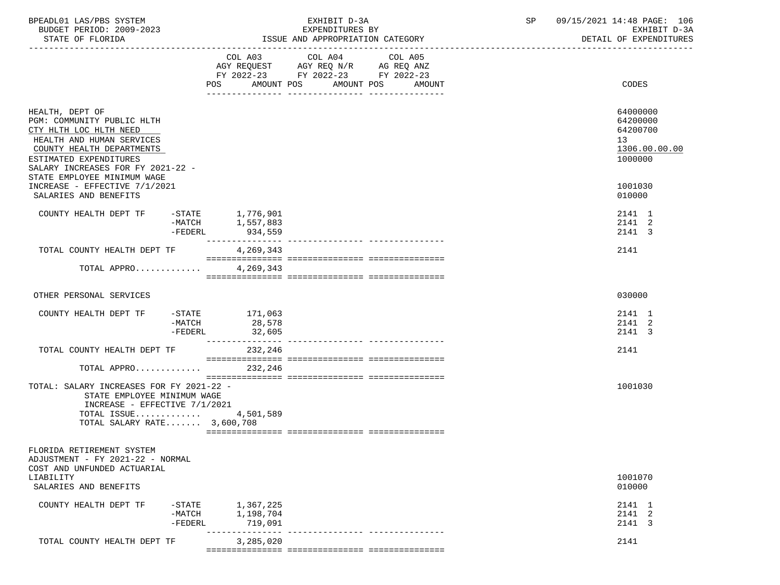| BPEADL01 LAS/PBS SYSTEM<br>BUDGET PERIOD: 2009-2023                                                                                                                                                                                                              |                                    |                                   | EXHIBIT D-3A<br>EXPENDITURES BY                                                           | SP                                          | 09/15/2021 14:48 PAGE: 106<br>EXHIBIT D-3A |                                                                               |
|------------------------------------------------------------------------------------------------------------------------------------------------------------------------------------------------------------------------------------------------------------------|------------------------------------|-----------------------------------|-------------------------------------------------------------------------------------------|---------------------------------------------|--------------------------------------------|-------------------------------------------------------------------------------|
| STATE OF FLORIDA                                                                                                                                                                                                                                                 |                                    |                                   | ISSUE AND APPROPRIATION CATEGORY                                                          |                                             |                                            | DETAIL OF EXPENDITURES                                                        |
|                                                                                                                                                                                                                                                                  |                                    |                                   | COL A03 COL A04<br>AGY REQUEST AGY REQ N/R AG REQ ANZ<br>FY 2022-23 FY 2022-23 FY 2022-23 | COL A05<br>POS AMOUNT POS AMOUNT POS AMOUNT |                                            | CODES                                                                         |
| HEALTH, DEPT OF<br>PGM: COMMUNITY PUBLIC HLTH<br>CTY HLTH LOC HLTH NEED<br>HEALTH AND HUMAN SERVICES<br>COUNTY HEALTH DEPARTMENTS<br>ESTIMATED EXPENDITURES<br>SALARY INCREASES FOR FY 2021-22 -<br>STATE EMPLOYEE MINIMUM WAGE<br>INCREASE - EFFECTIVE 7/1/2021 |                                    |                                   |                                                                                           |                                             |                                            | 64000000<br>64200000<br>64200700<br>13<br>1306.00.00.00<br>1000000<br>1001030 |
| SALARIES AND BENEFITS                                                                                                                                                                                                                                            |                                    |                                   |                                                                                           |                                             |                                            | 010000                                                                        |
| COUNTY HEALTH DEPT TF -STATE 1,776,901                                                                                                                                                                                                                           | -FEDERL                            | -MATCH 1,557,883<br>934,559       |                                                                                           |                                             |                                            | 2141 1<br>2141 2<br>2141 3                                                    |
| TOTAL COUNTY HEALTH DEPT TF                                                                                                                                                                                                                                      |                                    | 4,269,343                         |                                                                                           |                                             |                                            | 2141                                                                          |
| TOTAL APPRO 4, 269, 343                                                                                                                                                                                                                                          |                                    |                                   |                                                                                           |                                             |                                            |                                                                               |
| OTHER PERSONAL SERVICES                                                                                                                                                                                                                                          |                                    |                                   |                                                                                           |                                             |                                            | 030000                                                                        |
| COUNTY HEALTH DEPT TF -STATE 171,063                                                                                                                                                                                                                             | -MATCH<br>-FEDERL                  | 28,578<br>32,605                  |                                                                                           |                                             |                                            | 2141 1<br>2141 2<br>2141 3                                                    |
| TOTAL COUNTY HEALTH DEPT TF                                                                                                                                                                                                                                      |                                    | 232,246                           |                                                                                           |                                             |                                            | 2141                                                                          |
| TOTAL APPRO 232,246                                                                                                                                                                                                                                              |                                    |                                   |                                                                                           |                                             |                                            |                                                                               |
| TOTAL: SALARY INCREASES FOR FY 2021-22 -<br>STATE EMPLOYEE MINIMUM WAGE<br>INCREASE - EFFECTIVE 7/1/2021<br>TOTAL ISSUE 4,501,589<br>TOTAL SALARY RATE 3,600,708                                                                                                 |                                    |                                   |                                                                                           |                                             |                                            | 1001030                                                                       |
| FLORIDA RETIREMENT SYSTEM<br>ADJUSTMENT - FY 2021-22 - NORMAL<br>COST AND UNFUNDED ACTUARIAL<br>LIABILITY<br>SALARIES AND BENEFITS                                                                                                                               |                                    |                                   |                                                                                           |                                             |                                            | 1001070<br>010000                                                             |
| COUNTY HEALTH DEPT TF                                                                                                                                                                                                                                            | $-$ STATE<br>$-MATCH$<br>$-FEDERL$ | 1,367,225<br>1,198,704<br>719,091 |                                                                                           |                                             |                                            | 2141 1<br>2141 2<br>2141 3                                                    |
| TOTAL COUNTY HEALTH DEPT TF                                                                                                                                                                                                                                      |                                    | 3,285,020                         |                                                                                           |                                             |                                            | 2141                                                                          |
|                                                                                                                                                                                                                                                                  |                                    |                                   |                                                                                           |                                             |                                            |                                                                               |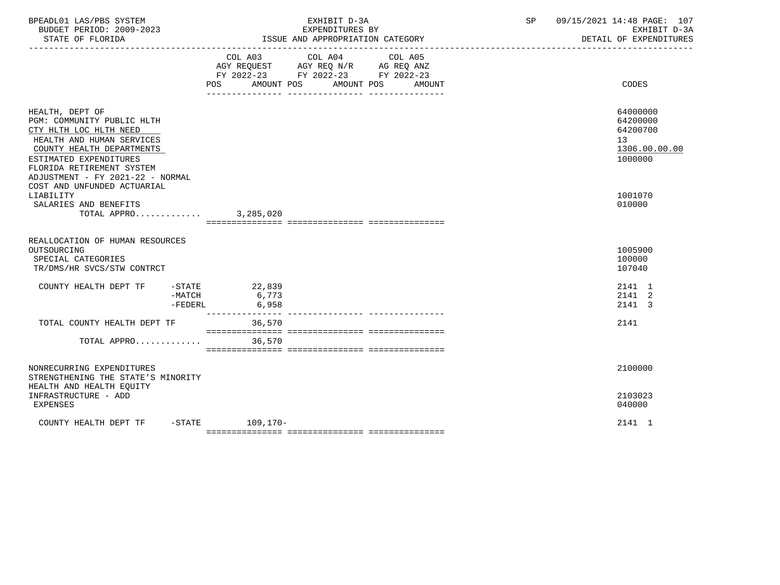| BPEADL01 LAS/PBS SYSTEM<br>BUDGET PERIOD: 2009-2023<br>STATE OF FLORIDA                                                                                                                                                                                     | EXHIBIT D-3A<br>EXPENDITURES BY<br>ISSUE AND APPROPRIATION CATEGORY                                                                            | 09/15/2021 14:48 PAGE: 107<br>SP<br>EXHIBIT D-3A<br>DETAIL OF EXPENDITURES |
|-------------------------------------------------------------------------------------------------------------------------------------------------------------------------------------------------------------------------------------------------------------|------------------------------------------------------------------------------------------------------------------------------------------------|----------------------------------------------------------------------------|
|                                                                                                                                                                                                                                                             | COL A03 COL A04 COL A05<br>AGY REQUEST AGY REQ N/R AG REQ ANZ<br>FY 2022-23 FY 2022-23 FY 2022-23<br>AMOUNT POS<br>AMOUNT POS<br>POS<br>AMOUNT | CODES                                                                      |
| HEALTH, DEPT OF<br>PGM: COMMUNITY PUBLIC HLTH<br>CTY HLTH LOC HLTH NEED<br>HEALTH AND HUMAN SERVICES<br>COUNTY HEALTH DEPARTMENTS<br>ESTIMATED EXPENDITURES<br>FLORIDA RETIREMENT SYSTEM<br>ADJUSTMENT - FY 2021-22 - NORMAL<br>COST AND UNFUNDED ACTUARIAL |                                                                                                                                                | 64000000<br>64200000<br>64200700<br>13<br>1306.00.00.00<br>1000000         |
| LIABILITY<br>SALARIES AND BENEFITS<br>TOTAL APPRO                                                                                                                                                                                                           | 3,285,020                                                                                                                                      | 1001070<br>010000                                                          |
| REALLOCATION OF HUMAN RESOURCES<br>OUTSOURCING<br>SPECIAL CATEGORIES<br>TR/DMS/HR SVCS/STW CONTRCT                                                                                                                                                          |                                                                                                                                                | 1005900<br>100000<br>107040                                                |
| COUNTY HEALTH DEPT TF<br>$-MATCH$<br>$-FEDERL$                                                                                                                                                                                                              | $-STATE$ 22,839<br>6,773<br>6,958                                                                                                              | 2141 1<br>2141 2<br>2141 3                                                 |
| TOTAL COUNTY HEALTH DEPT TF                                                                                                                                                                                                                                 | --------------- -<br>36,570                                                                                                                    | 2141                                                                       |
| TOTAL APPRO                                                                                                                                                                                                                                                 | 36,570                                                                                                                                         |                                                                            |
| NONRECURRING EXPENDITURES<br>STRENGTHENING THE STATE'S MINORITY<br>HEALTH AND HEALTH EOUITY                                                                                                                                                                 |                                                                                                                                                | 2100000                                                                    |
| INFRASTRUCTURE - ADD<br>EXPENSES                                                                                                                                                                                                                            |                                                                                                                                                | 2103023<br>040000                                                          |
| COUNTY HEALTH DEPT TF                                                                                                                                                                                                                                       | -STATE 109,170-                                                                                                                                | 2141 1                                                                     |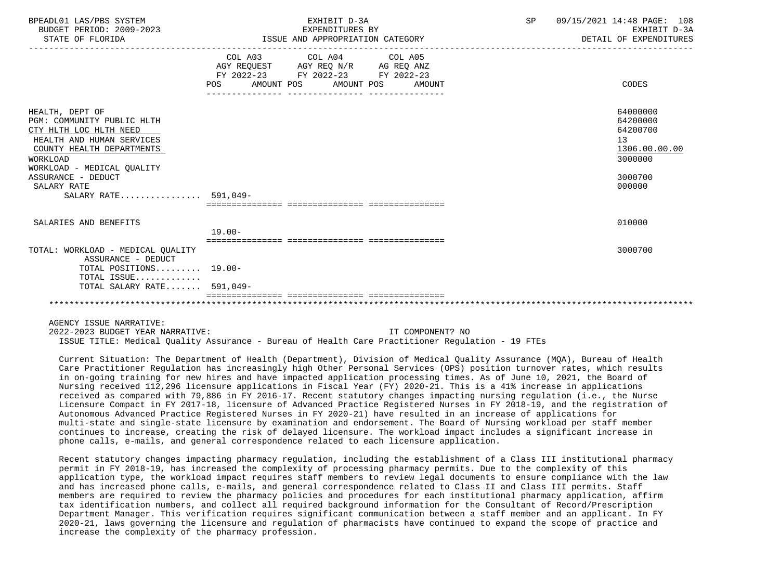| BPEADL01 LAS/PBS SYSTEM<br>BUDGET PERIOD: 2009-2023<br>STATE OF FLORIDA                                                                                                                                                                  | EXHIBIT D-3A<br>EXPENDITURES BY<br>ISSUE AND APPROPRIATION CATEGORY                                                                   | SP | 09/15/2021 14:48 PAGE: 108<br>EXHIBIT D-3A<br>DETAIL OF EXPENDITURES                    |
|------------------------------------------------------------------------------------------------------------------------------------------------------------------------------------------------------------------------------------------|---------------------------------------------------------------------------------------------------------------------------------------|----|-----------------------------------------------------------------------------------------|
|                                                                                                                                                                                                                                          | COL A03 COL A04 COL A05<br>AGY REQUEST AGY REQ N/R AG REQ ANZ<br>FY 2022-23 FY 2022-23 FY 2022-23<br>POS AMOUNT POS AMOUNT POS AMOUNT |    | CODES                                                                                   |
| HEALTH, DEPT OF<br>PGM: COMMUNITY PUBLIC HLTH<br>CTY HLTH LOC HLTH NEED<br>HEALTH AND HUMAN SERVICES<br>COUNTY HEALTH DEPARTMENTS<br>WORKLOAD<br>WORKLOAD - MEDICAL OUALITY<br>ASSURANCE - DEDUCT<br>SALARY RATE<br>SALARY RATE 591,049- |                                                                                                                                       |    | 64000000<br>64200000<br>64200700<br>13<br>1306.00.00.00<br>3000000<br>3000700<br>000000 |
| SALARIES AND BENEFITS                                                                                                                                                                                                                    | $19.00 -$                                                                                                                             |    | 010000                                                                                  |
| TOTAL: WORKLOAD - MEDICAL OUALITY<br>ASSURANCE - DEDUCT<br>TOTAL POSITIONS 19.00-                                                                                                                                                        |                                                                                                                                       |    | 3000700                                                                                 |
| TOTAL ISSUE<br>TOTAL SALARY RATE 591,049-                                                                                                                                                                                                |                                                                                                                                       |    |                                                                                         |
| AGENCY ISSUE NARRATIVE:                                                                                                                                                                                                                  |                                                                                                                                       |    |                                                                                         |

 2022-2023 BUDGET YEAR NARRATIVE: IT COMPONENT? NO ISSUE TITLE: Medical Quality Assurance - Bureau of Health Care Practitioner Regulation - 19 FTEs

 Current Situation: The Department of Health (Department), Division of Medical Quality Assurance (MQA), Bureau of Health Care Practitioner Regulation has increasingly high Other Personal Services (OPS) position turnover rates, which results in on-going training for new hires and have impacted application processing times. As of June 10, 2021, the Board of Nursing received 112,296 licensure applications in Fiscal Year (FY) 2020-21. This is a 41% increase in applications received as compared with 79,886 in FY 2016-17. Recent statutory changes impacting nursing regulation (i.e., the Nurse Licensure Compact in FY 2017-18, licensure of Advanced Practice Registered Nurses in FY 2018-19, and the registration of Autonomous Advanced Practice Registered Nurses in FY 2020-21) have resulted in an increase of applications for multi-state and single-state licensure by examination and endorsement. The Board of Nursing workload per staff member continues to increase, creating the risk of delayed licensure. The workload impact includes a significant increase in phone calls, e-mails, and general correspondence related to each licensure application.

 Recent statutory changes impacting pharmacy regulation, including the establishment of a Class III institutional pharmacy permit in FY 2018-19, has increased the complexity of processing pharmacy permits. Due to the complexity of this application type, the workload impact requires staff members to review legal documents to ensure compliance with the law and has increased phone calls, e-mails, and general correspondence related to Class II and Class III permits. Staff members are required to review the pharmacy policies and procedures for each institutional pharmacy application, affirm tax identification numbers, and collect all required background information for the Consultant of Record/Prescription Department Manager. This verification requires significant communication between a staff member and an applicant. In FY 2020-21, laws governing the licensure and regulation of pharmacists have continued to expand the scope of practice and increase the complexity of the pharmacy profession.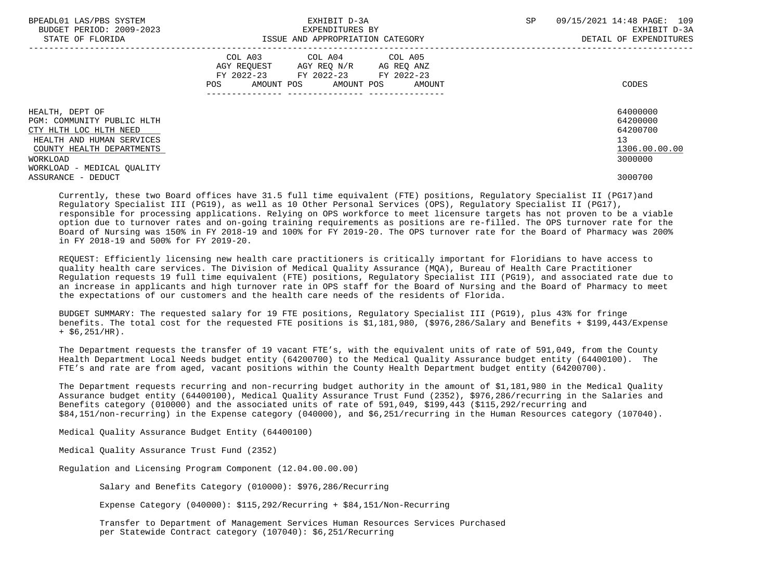| BPEADL01 LAS/PBS SYSTEM<br>BUDGET PERIOD: 2009-2023<br>STATE OF FLORIDA | EXHIBIT D-3A<br>EXPENDITURES BY<br>ISSUE AND APPROPRIATION CATEGORY                                                                         | 09/15/2021 14:48 PAGE: 109<br>SP<br>EXHIBIT D-3A<br>DETAIL OF EXPENDITURES |
|-------------------------------------------------------------------------|---------------------------------------------------------------------------------------------------------------------------------------------|----------------------------------------------------------------------------|
|                                                                         | COL A03<br>COL A04 COL A05<br>AGY REQUEST AGY REQ N/R AG REQ ANZ<br>FY 2022-23 FY 2022-23 FY 2022-23<br>AMOUNT POS AMOUNT POS AMOUNT<br>POS | CODES                                                                      |
| HEALTH, DEPT OF<br>PGM: COMMUNITY PUBLIC HLTH                           |                                                                                                                                             | 64000000<br>64200000                                                       |
| CTY HLTH LOC HLTH NEED                                                  |                                                                                                                                             | 64200700                                                                   |
| HEALTH AND HUMAN SERVICES<br>COUNTY HEALTH DEPARTMENTS                  |                                                                                                                                             | 13<br>1306.00.00.00                                                        |
| WORKLOAD                                                                |                                                                                                                                             | 3000000                                                                    |
| WORKLOAD - MEDICAL OUALITY                                              |                                                                                                                                             |                                                                            |
| ASSURANCE - DEDUCT                                                      |                                                                                                                                             | 3000700                                                                    |

 Currently, these two Board offices have 31.5 full time equivalent (FTE) positions, Regulatory Specialist II (PG17)and Regulatory Specialist III (PG19), as well as 10 Other Personal Services (OPS), Regulatory Specialist II (PG17), responsible for processing applications. Relying on OPS workforce to meet licensure targets has not proven to be a viable option due to turnover rates and on-going training requirements as positions are re-filled. The OPS turnover rate for the Board of Nursing was 150% in FY 2018-19 and 100% for FY 2019-20. The OPS turnover rate for the Board of Pharmacy was 200% in FY 2018-19 and 500% for FY 2019-20.

 REQUEST: Efficiently licensing new health care practitioners is critically important for Floridians to have access to quality health care services. The Division of Medical Quality Assurance (MQA), Bureau of Health Care Practitioner Regulation requests 19 full time equivalent (FTE) positions, Regulatory Specialist III (PG19), and associated rate due to an increase in applicants and high turnover rate in OPS staff for the Board of Nursing and the Board of Pharmacy to meet the expectations of our customers and the health care needs of the residents of Florida.

 BUDGET SUMMARY: The requested salary for 19 FTE positions, Regulatory Specialist III (PG19), plus 43% for fringe benefits. The total cost for the requested FTE positions is \$1,181,980, (\$976,286/Salary and Benefits + \$199,443/Expense  $+$  \$6,251/HR).

 The Department requests the transfer of 19 vacant FTE's, with the equivalent units of rate of 591,049, from the County Health Department Local Needs budget entity (64200700) to the Medical Quality Assurance budget entity (64400100). The FTE's and rate are from aged, vacant positions within the County Health Department budget entity (64200700).

 The Department requests recurring and non-recurring budget authority in the amount of \$1,181,980 in the Medical Quality Assurance budget entity (64400100), Medical Quality Assurance Trust Fund (2352), \$976,286/recurring in the Salaries and Benefits category (010000) and the associated units of rate of 591,049, \$199,443 (\$115,292/recurring and \$84,151/non-recurring) in the Expense category (040000), and \$6,251/recurring in the Human Resources category (107040).

Medical Quality Assurance Budget Entity (64400100)

Medical Quality Assurance Trust Fund (2352)

Regulation and Licensing Program Component (12.04.00.00.00)

Salary and Benefits Category (010000): \$976,286/Recurring

Expense Category (040000): \$115,292/Recurring + \$84,151/Non-Recurring

 Transfer to Department of Management Services Human Resources Services Purchased per Statewide Contract category (107040): \$6,251/Recurring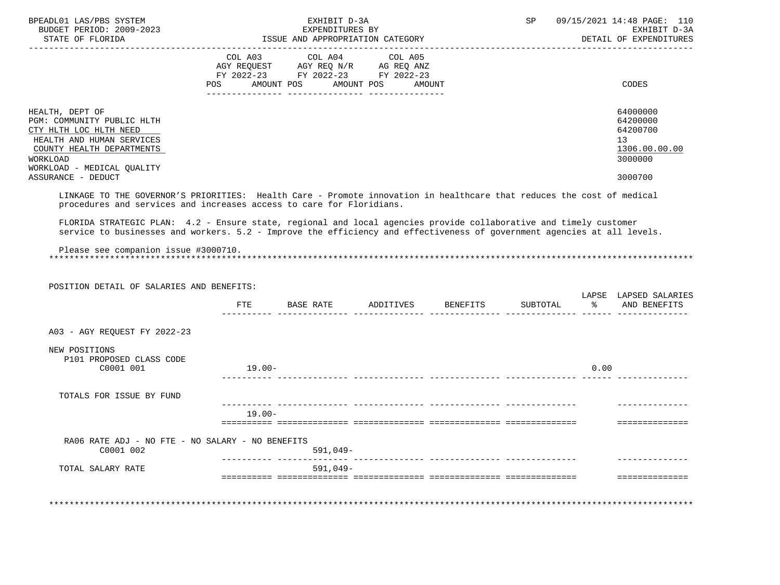| BPEADL01 LAS/PBS SYSTEM<br>BUDGET PERIOD: 2009-2023                                                                                                                                                                                          | EXHIBIT D-3A<br>EXPENDITURES BY  |                                             |            |         |  | SP | 09/15/2021 14:48 PAGE: 110                         | EXHIBIT D-3A |
|----------------------------------------------------------------------------------------------------------------------------------------------------------------------------------------------------------------------------------------------|----------------------------------|---------------------------------------------|------------|---------|--|----|----------------------------------------------------|--------------|
| STATE OF FLORIDA                                                                                                                                                                                                                             | ISSUE AND APPROPRIATION CATEGORY |                                             |            |         |  |    | DETAIL OF EXPENDITURES                             |              |
|                                                                                                                                                                                                                                              | COL A03                          | AGY REQUEST AGY REQ N/R AG REQ ANZ          | COL A04    | COL A05 |  |    |                                                    |              |
|                                                                                                                                                                                                                                              |                                  | FY 2022-23 FY 2022-23 FY 2022-23            |            |         |  |    |                                                    |              |
|                                                                                                                                                                                                                                              |                                  | POS AMOUNT POS AMOUNT POS AMOUNT            |            |         |  |    | CODES                                              |              |
|                                                                                                                                                                                                                                              |                                  |                                             |            |         |  |    |                                                    |              |
| HEALTH, DEPT OF                                                                                                                                                                                                                              |                                  |                                             |            |         |  |    | 64000000                                           |              |
| PGM: COMMUNITY PUBLIC HLTH                                                                                                                                                                                                                   |                                  |                                             |            |         |  |    | 64200000                                           |              |
| CTY HLTH LOC HLTH NEED<br>HEALTH AND HUMAN SERVICES                                                                                                                                                                                          |                                  |                                             |            |         |  |    | 64200700<br>13                                     |              |
| COUNTY HEALTH DEPARTMENTS                                                                                                                                                                                                                    |                                  |                                             |            |         |  |    | 1306.00.00.00                                      |              |
| WORKLOAD                                                                                                                                                                                                                                     |                                  |                                             |            |         |  |    | 3000000                                            |              |
| WORKLOAD - MEDICAL QUALITY                                                                                                                                                                                                                   |                                  |                                             |            |         |  |    |                                                    |              |
| ASSURANCE - DEDUCT                                                                                                                                                                                                                           |                                  |                                             |            |         |  |    | 3000700                                            |              |
| LINKAGE TO THE GOVERNOR'S PRIORITIES: Health Care - Promote innovation in healthcare that reduces the cost of medical<br>procedures and services and increases access to care for Floridians.                                                |                                  |                                             |            |         |  |    |                                                    |              |
|                                                                                                                                                                                                                                              |                                  |                                             |            |         |  |    |                                                    |              |
| FLORIDA STRATEGIC PLAN: 4.2 - Ensure state, regional and local agencies provide collaborative and timely customer<br>service to businesses and workers. 5.2 - Improve the efficiency and effectiveness of government agencies at all levels. |                                  |                                             |            |         |  |    |                                                    |              |
|                                                                                                                                                                                                                                              |                                  |                                             |            |         |  |    |                                                    |              |
| Please see companion issue #3000710.                                                                                                                                                                                                         |                                  |                                             |            |         |  |    |                                                    |              |
|                                                                                                                                                                                                                                              |                                  |                                             |            |         |  |    |                                                    |              |
| POSITION DETAIL OF SALARIES AND BENEFITS:                                                                                                                                                                                                    |                                  |                                             |            |         |  |    |                                                    |              |
|                                                                                                                                                                                                                                              |                                  |                                             |            |         |  |    | LAPSE LAPSED SALARIES                              |              |
|                                                                                                                                                                                                                                              |                                  | FTE BASE RATE ADDITIVES BENEFITS SUBTOTAL % |            |         |  |    | AND BENEFITS<br>------- -------------- ----- ----- |              |
|                                                                                                                                                                                                                                              |                                  |                                             |            |         |  |    |                                                    |              |
| A03 - AGY REQUEST FY 2022-23                                                                                                                                                                                                                 |                                  |                                             |            |         |  |    |                                                    |              |
| NEW POSITIONS                                                                                                                                                                                                                                |                                  |                                             |            |         |  |    |                                                    |              |
| P101 PROPOSED CLASS CODE                                                                                                                                                                                                                     |                                  |                                             |            |         |  |    |                                                    |              |
| C0001 001                                                                                                                                                                                                                                    | 19.00-                           |                                             |            |         |  |    | 0.00                                               |              |
| TOTALS FOR ISSUE BY FUND                                                                                                                                                                                                                     |                                  |                                             |            |         |  |    |                                                    |              |
|                                                                                                                                                                                                                                              |                                  |                                             |            |         |  |    |                                                    |              |
|                                                                                                                                                                                                                                              | $19.00 -$                        |                                             |            |         |  |    |                                                    |              |
|                                                                                                                                                                                                                                              |                                  |                                             |            |         |  |    | ==============                                     |              |
| RA06 RATE ADJ - NO FTE - NO SALARY - NO BENEFITS<br>C0001 002                                                                                                                                                                                |                                  |                                             | 591,049-   |         |  |    |                                                    |              |
| TOTAL SALARY RATE                                                                                                                                                                                                                            |                                  |                                             | $591,049-$ |         |  |    |                                                    |              |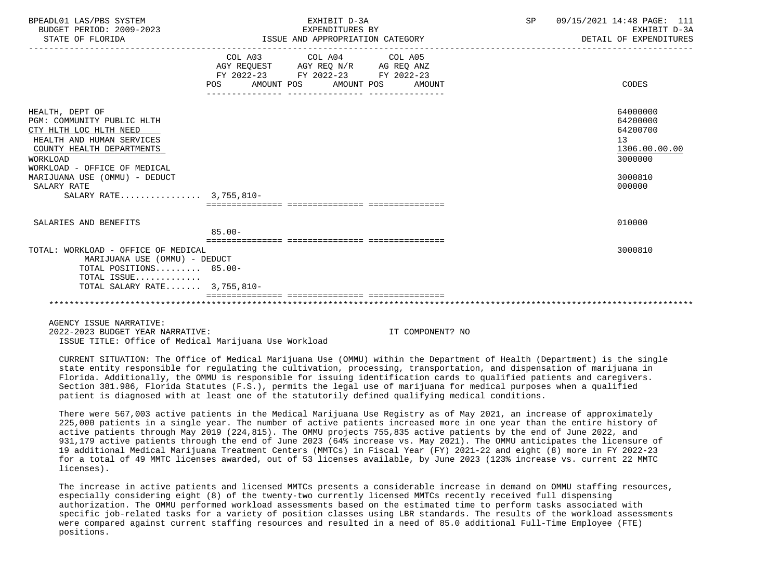| BPEADL01 LAS/PBS SYSTEM<br>BUDGET PERIOD: 2009-2023<br>STATE OF FLORIDA                                                                                                                                                                                 | EXHIBIT D-3A<br>EXPENDITURES BY<br>ISSUE AND APPROPRIATION CATEGORY                                                                   | <b>SP</b><br>09/15/2021 14:48 PAGE: 111<br>EXHIBIT D-3A<br>DETAIL OF EXPENDITURES       |
|---------------------------------------------------------------------------------------------------------------------------------------------------------------------------------------------------------------------------------------------------------|---------------------------------------------------------------------------------------------------------------------------------------|-----------------------------------------------------------------------------------------|
|                                                                                                                                                                                                                                                         | COL A03 COL A04 COL A05<br>AGY REQUEST AGY REQ N/R AG REQ ANZ<br>FY 2022-23 FY 2022-23 FY 2022-23<br>POS AMOUNT POS AMOUNT POS AMOUNT | CODES                                                                                   |
| HEALTH, DEPT OF<br>PGM: COMMUNITY PUBLIC HLTH<br>CTY HLTH LOC HLTH NEED<br>HEALTH AND HUMAN SERVICES<br>COUNTY HEALTH DEPARTMENTS<br>WORKLOAD<br>WORKLOAD - OFFICE OF MEDICAL<br>MARIJUANA USE (OMMU) - DEDUCT<br>SALARY RATE<br>SALARY RATE 3,755,810- |                                                                                                                                       | 64000000<br>64200000<br>64200700<br>13<br>1306.00.00.00<br>3000000<br>3000810<br>000000 |
| SALARIES AND BENEFITS                                                                                                                                                                                                                                   | $85.00 -$                                                                                                                             | 010000                                                                                  |
| TOTAL: WORKLOAD - OFFICE OF MEDICAL<br>MARIJUANA USE (OMMU) - DEDUCT<br>TOTAL POSITIONS 85.00-<br>TOTAL ISSUE<br>TOTAL SALARY RATE 3,755,810-                                                                                                           |                                                                                                                                       | 3000810                                                                                 |
|                                                                                                                                                                                                                                                         |                                                                                                                                       |                                                                                         |

AGENCY ISSUE NARRATIVE:

 2022-2023 BUDGET YEAR NARRATIVE: IT COMPONENT? NO ISSUE TITLE: Office of Medical Marijuana Use Workload

 CURRENT SITUATION: The Office of Medical Marijuana Use (OMMU) within the Department of Health (Department) is the single state entity responsible for regulating the cultivation, processing, transportation, and dispensation of marijuana in Florida. Additionally, the OMMU is responsible for issuing identification cards to qualified patients and caregivers. Section 381.986, Florida Statutes (F.S.), permits the legal use of marijuana for medical purposes when a qualified patient is diagnosed with at least one of the statutorily defined qualifying medical conditions.

 There were 567,003 active patients in the Medical Marijuana Use Registry as of May 2021, an increase of approximately 225,000 patients in a single year. The number of active patients increased more in one year than the entire history of active patients through May 2019 (224,815). The OMMU projects 755,835 active patients by the end of June 2022, and 931,179 active patients through the end of June 2023 (64% increase vs. May 2021). The OMMU anticipates the licensure of 19 additional Medical Marijuana Treatment Centers (MMTCs) in Fiscal Year (FY) 2021-22 and eight (8) more in FY 2022-23 for a total of 49 MMTC licenses awarded, out of 53 licenses available, by June 2023 (123% increase vs. current 22 MMTC licenses).

 The increase in active patients and licensed MMTCs presents a considerable increase in demand on OMMU staffing resources, especially considering eight (8) of the twenty-two currently licensed MMTCs recently received full dispensing authorization. The OMMU performed workload assessments based on the estimated time to perform tasks associated with specific job-related tasks for a variety of position classes using LBR standards. The results of the workload assessments were compared against current staffing resources and resulted in a need of 85.0 additional Full-Time Employee (FTE) positions.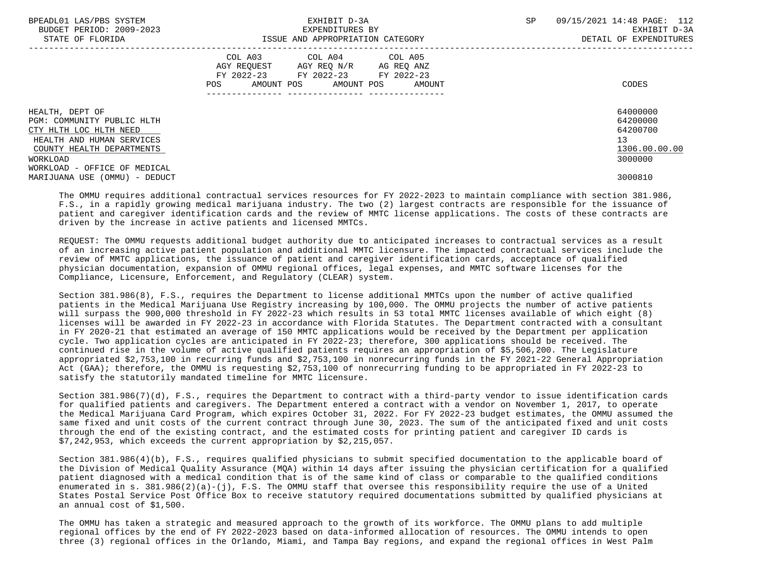| BPEADL01 LAS/PBS SYSTEM<br>BUDGET PERIOD: 2009-2023 | EXHIBIT D-3A<br>EXPENDITURES BY                                         | 09/15/2021 14:48 PAGE: 112<br>SP<br>EXHIBIT D-3A |
|-----------------------------------------------------|-------------------------------------------------------------------------|--------------------------------------------------|
| STATE OF FLORIDA                                    | ISSUE AND APPROPRIATION CATEGORY                                        | DETAIL OF EXPENDITURES                           |
|                                                     | COL A03 COL A04 COL A05                                                 |                                                  |
|                                                     | AGY REQUEST AGY REQ N/R AG REQ ANZ                                      |                                                  |
|                                                     | FY 2022-23 FY 2022-23 FY 2022-23<br>POS<br>AMOUNT POS AMOUNT POS AMOUNT | CODES                                            |
|                                                     |                                                                         |                                                  |
| HEALTH, DEPT OF                                     |                                                                         | 64000000                                         |
| PGM: COMMUNITY PUBLIC HLTH                          |                                                                         | 64200000                                         |
| CTY HLTH LOC HLTH NEED                              |                                                                         | 64200700                                         |
| HEALTH AND HUMAN SERVICES                           |                                                                         | 13                                               |
| COUNTY HEALTH DEPARTMENTS                           |                                                                         | 1306.00.00.00                                    |
| WORKLOAD                                            |                                                                         | 3000000                                          |
| WORKLOAD - OFFICE OF MEDICAL                        |                                                                         |                                                  |
| MARIJUANA USE (OMMU) - DEDUCT                       |                                                                         | 3000810                                          |

 The OMMU requires additional contractual services resources for FY 2022-2023 to maintain compliance with section 381.986, F.S., in a rapidly growing medical marijuana industry. The two (2) largest contracts are responsible for the issuance of patient and caregiver identification cards and the review of MMTC license applications. The costs of these contracts are driven by the increase in active patients and licensed MMTCs.

 REQUEST: The OMMU requests additional budget authority due to anticipated increases to contractual services as a result of an increasing active patient population and additional MMTC licensure. The impacted contractual services include the review of MMTC applications, the issuance of patient and caregiver identification cards, acceptance of qualified physician documentation, expansion of OMMU regional offices, legal expenses, and MMTC software licenses for the Compliance, Licensure, Enforcement, and Regulatory (CLEAR) system.

 Section 381.986(8), F.S., requires the Department to license additional MMTCs upon the number of active qualified patients in the Medical Marijuana Use Registry increasing by 100,000. The OMMU projects the number of active patients will surpass the 900,000 threshold in FY 2022-23 which results in 53 total MMTC licenses available of which eight (8) licenses will be awarded in FY 2022-23 in accordance with Florida Statutes. The Department contracted with a consultant in FY 2020-21 that estimated an average of 150 MMTC applications would be received by the Department per application cycle. Two application cycles are anticipated in FY 2022-23; therefore, 300 applications should be received. The continued rise in the volume of active qualified patients requires an appropriation of \$5,506,200. The Legislature appropriated \$2,753,100 in recurring funds and \$2,753,100 in nonrecurring funds in the FY 2021-22 General Appropriation Act (GAA); therefore, the OMMU is requesting \$2,753,100 of nonrecurring funding to be appropriated in FY 2022-23 to satisfy the statutorily mandated timeline for MMTC licensure.

 Section 381.986(7)(d), F.S., requires the Department to contract with a third-party vendor to issue identification cards for qualified patients and caregivers. The Department entered a contract with a vendor on November 1, 2017, to operate the Medical Marijuana Card Program, which expires October 31, 2022. For FY 2022-23 budget estimates, the OMMU assumed the same fixed and unit costs of the current contract through June 30, 2023. The sum of the anticipated fixed and unit costs through the end of the existing contract, and the estimated costs for printing patient and caregiver ID cards is \$7,242,953, which exceeds the current appropriation by \$2,215,057.

 Section 381.986(4)(b), F.S., requires qualified physicians to submit specified documentation to the applicable board of the Division of Medical Quality Assurance (MQA) within 14 days after issuing the physician certification for a qualified patient diagnosed with a medical condition that is of the same kind of class or comparable to the qualified conditions enumerated in s. 381.986(2)(a)-(j), F.S. The OMMU staff that oversee this responsibility require the use of a United States Postal Service Post Office Box to receive statutory required documentations submitted by qualified physicians at an annual cost of \$1,500.

 The OMMU has taken a strategic and measured approach to the growth of its workforce. The OMMU plans to add multiple regional offices by the end of FY 2022-2023 based on data-informed allocation of resources. The OMMU intends to open three (3) regional offices in the Orlando, Miami, and Tampa Bay regions, and expand the regional offices in West Palm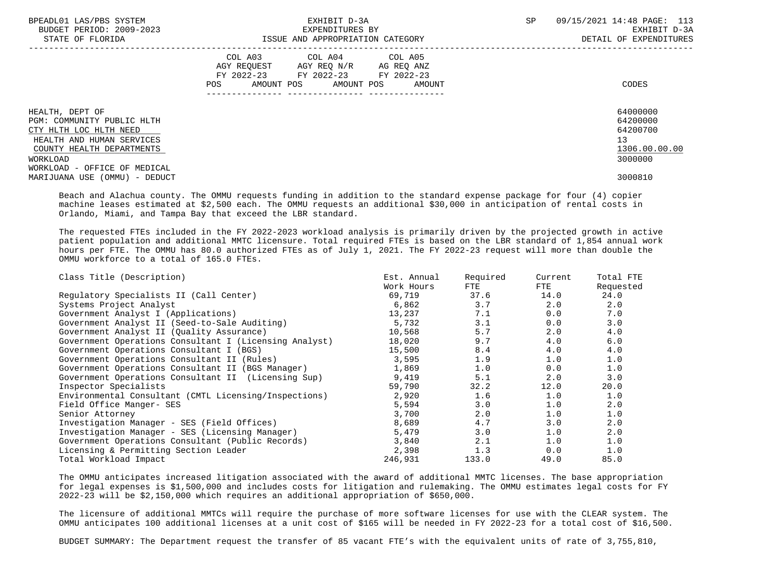| BPEADL01 LAS/PBS SYSTEM<br>BUDGET PERIOD: 2009-2023<br>STATE OF FLORIDA | EXHIBIT D-3A<br>EXPENDITURES BY<br>ISSUE AND APPROPRIATION CATEGORY                                                                   | 09/15/2021 14:48 PAGE: 113<br>SP<br>EXHIBIT D-3A<br>DETAIL OF EXPENDITURES |
|-------------------------------------------------------------------------|---------------------------------------------------------------------------------------------------------------------------------------|----------------------------------------------------------------------------|
|                                                                         | COL A03 COL A04 COL A05<br>AGY REQUEST AGY REQ N/R AG REQ ANZ<br>FY 2022-23 FY 2022-23 FY 2022-23<br>POS AMOUNT POS AMOUNT POS AMOUNT | CODES                                                                      |
| HEALTH, DEPT OF<br>PGM: COMMUNITY PUBLIC HLTH                           |                                                                                                                                       | 64000000<br>64200000                                                       |
| CTY HLTH LOC HLTH NEED                                                  |                                                                                                                                       | 64200700                                                                   |
| HEALTH AND HUMAN SERVICES                                               |                                                                                                                                       | 13                                                                         |
| COUNTY HEALTH DEPARTMENTS                                               |                                                                                                                                       | 1306.00.00.00                                                              |
| WORKLOAD                                                                |                                                                                                                                       | 3000000                                                                    |
| WORKLOAD - OFFICE OF MEDICAL                                            |                                                                                                                                       |                                                                            |
| MARIJUANA USE (OMMU) - DEDUCT                                           |                                                                                                                                       | 3000810                                                                    |

 Beach and Alachua county. The OMMU requests funding in addition to the standard expense package for four (4) copier machine leases estimated at \$2,500 each. The OMMU requests an additional \$30,000 in anticipation of rental costs in Orlando, Miami, and Tampa Bay that exceed the LBR standard.

 The requested FTEs included in the FY 2022-2023 workload analysis is primarily driven by the projected growth in active patient population and additional MMTC licensure. Total required FTEs is based on the LBR standard of 1,854 annual work hours per FTE. The OMMU has 80.0 authorized FTEs as of July 1, 2021. The FY 2022-23 request will more than double the OMMU workforce to a total of 165.0 FTEs.

| Class Title (Description)                              | Est. Annual | Required | Current | Total FTE |
|--------------------------------------------------------|-------------|----------|---------|-----------|
|                                                        | Work Hours  | FTE      | ETE     | Requested |
| Regulatory Specialists II (Call Center)                | 69,719      | 37.6     | 14.0    | 24.0      |
| Systems Project Analyst                                | 6,862       | 3.7      | 2.0     | 2.0       |
| Government Analyst I (Applications)                    | 13,237      | 7.1      | 0.0     | 7.0       |
| Government Analyst II (Seed-to-Sale Auditing)          | 5,732       | 3.1      | 0.0     | 3.0       |
| Government Analyst II (Quality Assurance)              | 10,568      | 5.7      | 2.0     | 4.0       |
| Government Operations Consultant I (Licensing Analyst) | 18,020      | 9.7      | 4.0     | 6.0       |
| Government Operations Consultant I (BGS)               | 15,500      | 8.4      | 4.0     | 4.0       |
| Government Operations Consultant II (Rules)            | 3,595       | 1.9      | 1.0     | 1.0       |
| Government Operations Consultant II (BGS Manager)      | 1,869       | 1.0      | 0.0     | 1.0       |
| Government Operations Consultant II (Licensing Sup)    | 9,419       | 5.1      | 2.0     | 3.0       |
| Inspector Specialists                                  | 59,790      | 32.2     | 12.0    | 20.0      |
| Environmental Consultant (CMTL Licensing/Inspections)  | 2,920       | 1.6      | 1.0     | 1.0       |
| Field Office Manger- SES                               | 5,594       | 3.0      | 1.0     | 2.0       |
| Senior Attorney                                        | 3,700       | 2.0      | 1.0     | 1.0       |
| Investigation Manager - SES (Field Offices)            | 8,689       | 4.7      | 3.0     | 2.0       |
| Investigation Manager - SES (Licensing Manager)        | 5,479       | 3.0      | 1.0     | 2.0       |
| Government Operations Consultant (Public Records)      | 3,840       | 2.1      | 1.0     | 1.0       |
| Licensing & Permitting Section Leader                  | 2,398       | 1.3      | 0.0     | 1.0       |
| Total Workload Impact                                  | 246,931     | 133.0    | 49.0    | 85.0      |

 The OMMU anticipates increased litigation associated with the award of additional MMTC licenses. The base appropriation for legal expenses is \$1,500,000 and includes costs for litigation and rulemaking. The OMMU estimates legal costs for FY 2022-23 will be \$2,150,000 which requires an additional appropriation of \$650,000.

 The licensure of additional MMTCs will require the purchase of more software licenses for use with the CLEAR system. The OMMU anticipates 100 additional licenses at a unit cost of \$165 will be needed in FY 2022-23 for a total cost of \$16,500.

BUDGET SUMMARY: The Department request the transfer of 85 vacant FTE's with the equivalent units of rate of 3,755,810,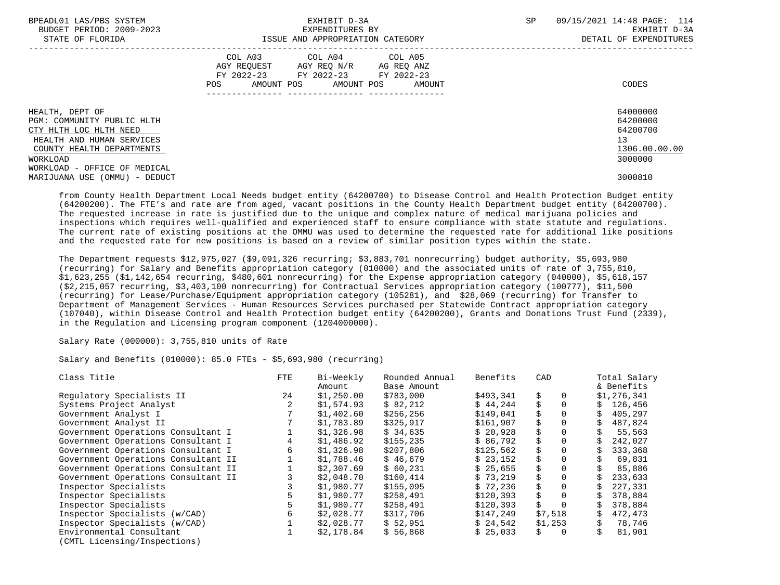| BPEADL01 LAS/PBS SYSTEM       | EXHIBIT D-3A                           | 09/15/2021 14:48 PAGE: 114<br>SP |
|-------------------------------|----------------------------------------|----------------------------------|
| BUDGET PERIOD: 2009-2023      | EXPENDITURES BY                        | EXHIBIT D-3A                     |
| STATE OF FLORIDA              | ISSUE AND APPROPRIATION CATEGORY       | DETAIL OF EXPENDITURES           |
|                               | COL A03 COL A04 COL A05                |                                  |
|                               | AGY REQUEST AGY REQ N/R AG REQ ANZ     |                                  |
|                               | FY 2022-23 FY 2022-23 FY 2022-23       |                                  |
|                               | AMOUNT POS AMOUNT POS<br>POS<br>AMOUNT | CODES                            |
|                               |                                        |                                  |
| HEALTH, DEPT OF               |                                        | 64000000                         |
| PGM: COMMUNITY PUBLIC HLTH    |                                        | 64200000                         |
| CTY HLTH LOC HLTH NEED        |                                        | 64200700                         |
| HEALTH AND HUMAN SERVICES     |                                        | 13                               |
| COUNTY HEALTH DEPARTMENTS     |                                        | 1306.00.00.00                    |
| WORKLOAD                      |                                        | 3000000                          |
| WORKLOAD - OFFICE OF MEDICAL  |                                        |                                  |
| MARIJUANA USE (OMMU) - DEDUCT |                                        | 3000810                          |

 from County Health Department Local Needs budget entity (64200700) to Disease Control and Health Protection Budget entity (64200200). The FTE's and rate are from aged, vacant positions in the County Health Department budget entity (64200700). The requested increase in rate is justified due to the unique and complex nature of medical marijuana policies and inspections which requires well-qualified and experienced staff to ensure compliance with state statute and regulations. The current rate of existing positions at the OMMU was used to determine the requested rate for additional like positions and the requested rate for new positions is based on a review of similar position types within the state.

 The Department requests \$12,975,027 (\$9,091,326 recurring; \$3,883,701 nonrecurring) budget authority, \$5,693,980 (recurring) for Salary and Benefits appropriation category (010000) and the associated units of rate of 3,755,810, \$1,623,255 (\$1,142,654 recurring, \$480,601 nonrecurring) for the Expense appropriation category (040000), \$5,618,157 (\$2,215,057 recurring, \$3,403,100 nonrecurring) for Contractual Services appropriation category (100777), \$11,500 (recurring) for Lease/Purchase/Equipment appropriation category (105281), and \$28,069 (recurring) for Transfer to Department of Management Services - Human Resources Services purchased per Statewide Contract appropriation category (107040), within Disease Control and Health Protection budget entity (64200200), Grants and Donations Trust Fund (2339), in the Regulation and Licensing program component (1204000000).

Salary Rate (000000): 3,755,810 units of Rate

Salary and Benefits (010000): 85.0 FTEs - \$5,693,980 (recurring)

| Class Title                         | <b>FTE</b> | Bi-Weekly  | Rounded Annual | Benefits  | CAD      | Total Salary |
|-------------------------------------|------------|------------|----------------|-----------|----------|--------------|
|                                     |            | Amount     | Base Amount    |           |          | & Benefits   |
| Requlatory Specialists II           | 24         | \$1,250.00 | \$783,000      | \$493,341 | Ŝ.       | \$1,276,341  |
| Systems Project Analyst             |            | \$1,574.93 | \$82.212       | \$44.244  |          | \$126,456    |
| Government Analyst I                |            | \$1,402.60 | \$256,256      | \$149,041 |          | 405,297      |
| Government Analyst II               |            | \$1,783.89 | \$325,917      | \$161,907 |          | 487,824      |
| Government Operations Consultant I  |            | \$1,326.98 | \$34,635       | \$20,928  | \$       | 55,563       |
| Government Operations Consultant I  | 4          | \$1,486.92 | \$155,235      | \$86,792  |          | 242,027      |
| Government Operations Consultant I  | 6          | \$1,326.98 | \$207,806      | \$125,562 | \$       | 333,368      |
| Government Operations Consultant II |            | \$1,788.46 | \$46.679       | \$23.152  |          | 69,831       |
| Government Operations Consultant II |            | \$2,307.69 | \$60,231       | \$25,655  | \$       | 85,886       |
| Government Operations Consultant II |            | \$2,048.70 | \$160,414      | \$73.219  | \$       | 233,633      |
| Inspector Specialists               |            | \$1,980.77 | \$155,095      | \$72.236  | \$       | 227,331      |
| Inspector Specialists               |            | \$1,980.77 | \$258,491      | \$120,393 | Ŝ.       | 378,884      |
| Inspector Specialists               |            | \$1,980.77 | \$258,491      | \$120,393 | Ŝ.       | 378,884      |
| Inspector Specialists (w/CAD)       | 6          | \$2,028.77 | \$317,706      | \$147,249 | \$7,518  | 472,473      |
| Inspector Specialists (w/CAD)       |            | \$2,028.77 | \$52,951       | \$24,542  | \$1,253  | 78,746       |
| Environmental Consultant            |            | \$2,178.84 | \$56,868       | \$25,033  | $\Omega$ | 81,901       |
| $(MTT - 1)$                         |            |            |                |           |          |              |

(CMTL Licensing/Inspections)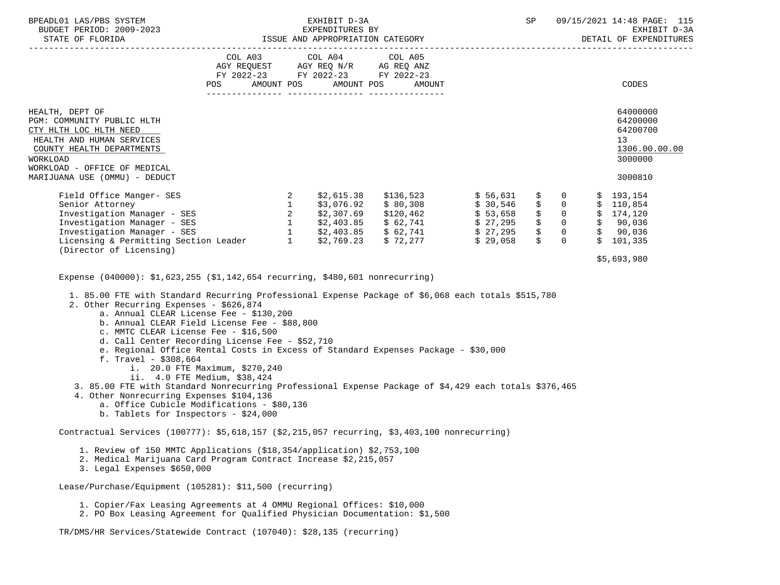| BPEADL01 LAS/PBS SYSTEM<br>BUDGET PERIOD: 2009-2023                                                                                                                                                                                                                                                                                                                                                                                                                                                                                                                                                                                                                                                                                                                                                                                              |     |  | EXHIBIT D-3A<br>EXPENDITURES BY                                                                                            |        | SP |                                                                                    | 09/15/2021 14:48 PAGE: 115<br>EXHIBIT D-3A<br>DETAIL OF EXPENDITURES                                                                        |
|--------------------------------------------------------------------------------------------------------------------------------------------------------------------------------------------------------------------------------------------------------------------------------------------------------------------------------------------------------------------------------------------------------------------------------------------------------------------------------------------------------------------------------------------------------------------------------------------------------------------------------------------------------------------------------------------------------------------------------------------------------------------------------------------------------------------------------------------------|-----|--|----------------------------------------------------------------------------------------------------------------------------|--------|----|------------------------------------------------------------------------------------|---------------------------------------------------------------------------------------------------------------------------------------------|
|                                                                                                                                                                                                                                                                                                                                                                                                                                                                                                                                                                                                                                                                                                                                                                                                                                                  | POS |  | COL A03 COL A04 COL A05<br>AGY REQUEST AGY REQ N/R AG REQ ANZ<br>FY 2022-23 FY 2022-23 FY 2022-23<br>AMOUNT POS AMOUNT POS | AMOUNT |    |                                                                                    | CODES                                                                                                                                       |
|                                                                                                                                                                                                                                                                                                                                                                                                                                                                                                                                                                                                                                                                                                                                                                                                                                                  |     |  |                                                                                                                            |        |    |                                                                                    |                                                                                                                                             |
| HEALTH, DEPT OF<br>PGM: COMMUNITY PUBLIC HLTH<br>CTY HLTH LOC HLTH NEED<br>HEALTH AND HUMAN SERVICES<br>COUNTY HEALTH DEPARTMENTS<br>WORKLOAD<br>WORKLOAD - OFFICE OF MEDICAL<br>MARIJUANA USE (OMMU) - DEDUCT                                                                                                                                                                                                                                                                                                                                                                                                                                                                                                                                                                                                                                   |     |  |                                                                                                                            |        |    |                                                                                    | 64000000<br>64200000<br>64200700<br>13<br>1306.00.00.00<br>3000000<br>3000810                                                               |
|                                                                                                                                                                                                                                                                                                                                                                                                                                                                                                                                                                                                                                                                                                                                                                                                                                                  |     |  |                                                                                                                            |        |    |                                                                                    |                                                                                                                                             |
| Field Office Manger-SES<br>Senior Attorney<br>Investigation Manager - SES<br>Investigation Manager - SES<br>Investigation Manager - SES<br>Investigation Manager - SES<br>Investigation Manager - SES<br>Investigation Manager - SES<br>Invest                                                                                                                                                                                                                                                                                                                                                                                                                                                                                                                                                                                                   |     |  |                                                                                                                            |        | \$ | $\mathbf 0$<br>$\ddot{\mathsf{S}}$<br>$\overline{0}$<br>$\overline{0}$<br>$\sin 0$ | \$193,154<br>\$110,854<br>$\begin{array}{ccccccccc} \xi & 0 & \xi & 174,120 \\ \xi & 0 & \xi & 90,036 \end{array}$<br>\$90,036<br>\$101,335 |
| (Director of Licensing)                                                                                                                                                                                                                                                                                                                                                                                                                                                                                                                                                                                                                                                                                                                                                                                                                          |     |  |                                                                                                                            |        |    |                                                                                    | \$5,693,980                                                                                                                                 |
| Expense (040000): \$1,623,255 (\$1,142,654 recurring, \$480,601 nonrecurring)<br>1. 85.00 FTE with Standard Recurring Professional Expense Package of \$6,068 each totals \$515,780<br>2. Other Recurring Expenses - \$626,874<br>a. Annual CLEAR License Fee - \$130,200<br>b. Annual CLEAR Field License Fee - \$88,800<br>c. MMTC CLEAR License Fee - \$16,500<br>d. Call Center Recording License Fee - \$52,710<br>e. Regional Office Rental Costs in Excess of Standard Expenses Package - \$30,000<br>f. Travel - $$308,664$<br>i. 20.0 FTE Maximum, \$270,240<br>ii. 4.0 FTE Medium, \$38,424<br>3. 85.00 FTE with Standard Nonrecurring Professional Expense Package of \$4,429 each totals \$376,465<br>4. Other Nonrecurring Expenses \$104,136<br>a. Office Cubicle Modifications - \$80,136<br>b. Tablets for Inspectors - \$24,000 |     |  |                                                                                                                            |        |    |                                                                                    |                                                                                                                                             |
| Contractual Services (100777): \$5,618,157 (\$2,215,057 recurring, \$3,403,100 nonrecurring)                                                                                                                                                                                                                                                                                                                                                                                                                                                                                                                                                                                                                                                                                                                                                     |     |  |                                                                                                                            |        |    |                                                                                    |                                                                                                                                             |
| 1. Review of 150 MMTC Applications (\$18,354/application) \$2,753,100<br>2. Medical Marijuana Card Program Contract Increase \$2,215,057<br>3. Legal Expenses \$650,000                                                                                                                                                                                                                                                                                                                                                                                                                                                                                                                                                                                                                                                                          |     |  |                                                                                                                            |        |    |                                                                                    |                                                                                                                                             |
| Lease/Purchase/Equipment (105281): \$11,500 (recurring)                                                                                                                                                                                                                                                                                                                                                                                                                                                                                                                                                                                                                                                                                                                                                                                          |     |  |                                                                                                                            |        |    |                                                                                    |                                                                                                                                             |
| 1. Copier/Fax Leasing Agreements at 4 OMMU Regional Offices: \$10,000<br>2. PO Box Leasing Agreement for Qualified Physician Documentation: \$1,500                                                                                                                                                                                                                                                                                                                                                                                                                                                                                                                                                                                                                                                                                              |     |  |                                                                                                                            |        |    |                                                                                    |                                                                                                                                             |

TR/DMS/HR Services/Statewide Contract (107040): \$28,135 (recurring)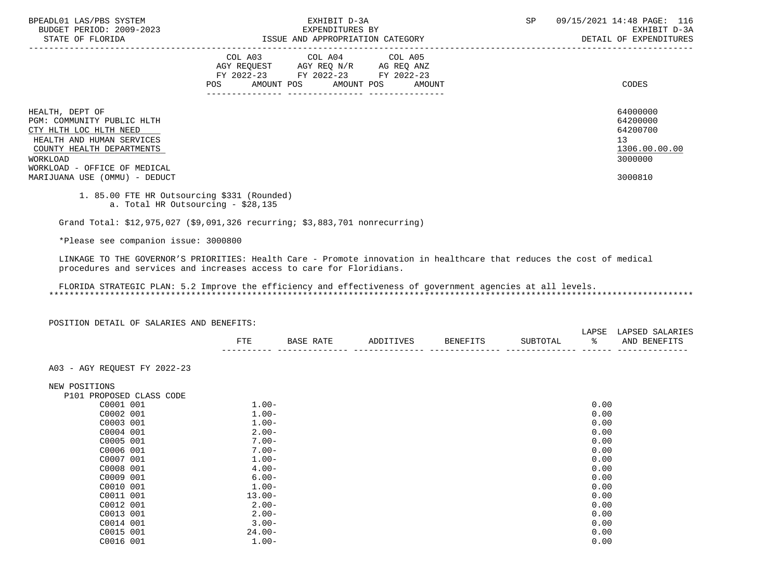| BPEADL01 LAS/PBS SYSTEM<br>BUDGET PERIOD: 2009-2023<br>STATE OF FLORIDA                                                                                                       | EXHIBIT D-3A<br>EXPENDITURES BY<br>ISSUE AND APPROPRIATION CATEGORY                                                                         | 09/15/2021 14:48 PAGE: 116<br>SP<br>EXHIBIT D-3A<br>DETAIL OF EXPENDITURES |
|-------------------------------------------------------------------------------------------------------------------------------------------------------------------------------|---------------------------------------------------------------------------------------------------------------------------------------------|----------------------------------------------------------------------------|
|                                                                                                                                                                               | COL A03 COL A04 COL A05<br>AGY REOUEST AGY REO N/R AG REO ANZ<br>FY 2022-23 FY 2022-23 FY 2022-23<br>AMOUNT POS AMOUNT POS<br>POS<br>AMOUNT | CODES                                                                      |
| HEALTH, DEPT OF<br>PGM: COMMUNITY PUBLIC HLTH<br>CTY HLTH LOC HLTH NEED<br>HEALTH AND HUMAN SERVICES<br>COUNTY HEALTH DEPARTMENTS<br>WORKLOAD<br>WORKLOAD - OFFICE OF MEDICAL |                                                                                                                                             | 64000000<br>64200000<br>64200700<br>13<br>1306.00.00.00<br>3000000         |
| MARIJUANA USE (OMMU) - DEDUCT                                                                                                                                                 |                                                                                                                                             | 3000810                                                                    |

 <sup>1. 85.00</sup> FTE HR Outsourcing \$331 (Rounded) a. Total HR Outsourcing - \$28,135

Grand Total: \$12,975,027 (\$9,091,326 recurring; \$3,883,701 nonrecurring)

\*Please see companion issue: 3000800

 LINKAGE TO THE GOVERNOR'S PRIORITIES: Health Care - Promote innovation in healthcare that reduces the cost of medical procedures and services and increases access to care for Floridians.

 FLORIDA STRATEGIC PLAN: 5.2 Improve the efficiency and effectiveness of government agencies at all levels. \*\*\*\*\*\*\*\*\*\*\*\*\*\*\*\*\*\*\*\*\*\*\*\*\*\*\*\*\*\*\*\*\*\*\*\*\*\*\*\*\*\*\*\*\*\*\*\*\*\*\*\*\*\*\*\*\*\*\*\*\*\*\*\*\*\*\*\*\*\*\*\*\*\*\*\*\*\*\*\*\*\*\*\*\*\*\*\*\*\*\*\*\*\*\*\*\*\*\*\*\*\*\*\*\*\*\*\*\*\*\*\*\*\*\*\*\*\*\*\*\*\*\*\*\*\*\*

POSITION DETAIL OF SALARIES AND BENEFITS:

|              |                  |            |        |                       | LAPSF | … ∆ D S E F<br>. A R |
|--------------|------------------|------------|--------|-----------------------|-------|----------------------|
| ᇢᆍᇢ<br>7 I D | .<br><b>RACE</b> | IVES<br>חת | RENEFT | TIRTOTA.<br><b>AA</b> |       | AN'<br><b>BENEF</b>  |
| $- - -$      |                  |            |        |                       |       | ----                 |

A03 - AGY REQUEST FY 2022-23

NEW POSITIONS<br>P101 PROPOS

| P101 PROPOSED CLASS CODE |           |      |
|--------------------------|-----------|------|
| C0001 001                | $1.00 -$  | 0.00 |
| C0002 001                | $1.00 -$  | 0.00 |
| C0003 001                | $1.00-$   | 0.00 |
| C0004 001                | $2.00-$   | 0.00 |
| C0005 001                | $7.00 -$  | 0.00 |
| C0006 001                | $7.00 -$  | 0.00 |
| C0007 001                | $1.00 -$  | 0.00 |
| C0008 001                | $4.00 -$  | 0.00 |
| C0009 001                | $6.00 -$  | 0.00 |
| C0010 001                | $1.00 -$  | 0.00 |
| C0011 001                | $13.00 -$ | 0.00 |
| C0012 001                | $2.00-$   | 0.00 |
| C0013 001                | $2.00-$   | 0.00 |
| C0014 001                | $3.00 -$  | 0.00 |
| C0015 001                | $24.00 -$ | 0.00 |
| C0016 001                | $1.00-$   | 0.00 |
|                          |           |      |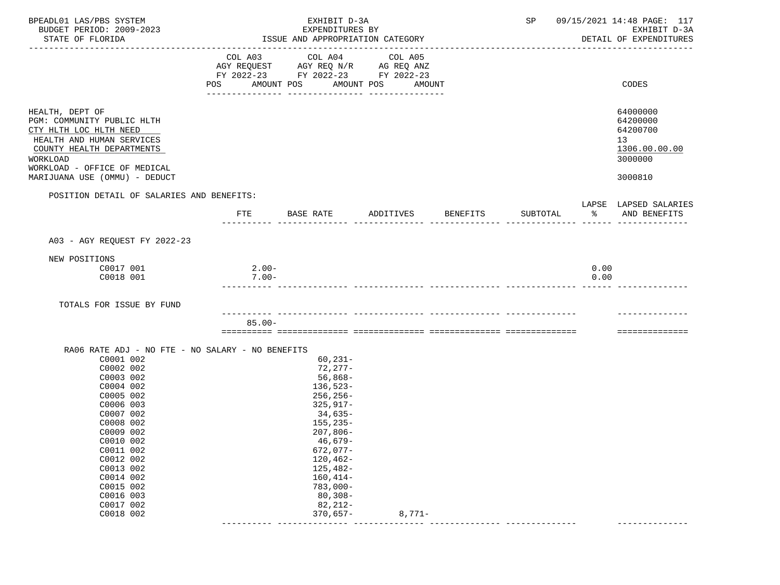|     |                                           | EXHIBIT D-3A<br>SP 09/15/2021 14:48 PAGE: 117                                                                   |                                                                                                                                                                                                                                                                                                        |                                                                                  |                    | EXHIBIT D-3A<br>DETAIL OF EXPENDITURES                                        |
|-----|-------------------------------------------|-----------------------------------------------------------------------------------------------------------------|--------------------------------------------------------------------------------------------------------------------------------------------------------------------------------------------------------------------------------------------------------------------------------------------------------|----------------------------------------------------------------------------------|--------------------|-------------------------------------------------------------------------------|
| POS |                                           | COL A05                                                                                                         |                                                                                                                                                                                                                                                                                                        |                                                                                  |                    | CODES                                                                         |
|     |                                           |                                                                                                                 |                                                                                                                                                                                                                                                                                                        |                                                                                  |                    | 64000000<br>64200000<br>64200700<br>13<br>1306.00.00.00<br>3000000<br>3000810 |
|     |                                           |                                                                                                                 |                                                                                                                                                                                                                                                                                                        |                                                                                  |                    |                                                                               |
|     |                                           |                                                                                                                 |                                                                                                                                                                                                                                                                                                        |                                                                                  |                    | LAPSE LAPSED SALARIES                                                         |
| FTE |                                           |                                                                                                                 |                                                                                                                                                                                                                                                                                                        | SUBTOTAL                                                                         | ႜႂ                 | AND BENEFITS                                                                  |
|     |                                           |                                                                                                                 |                                                                                                                                                                                                                                                                                                        |                                                                                  |                    |                                                                               |
|     |                                           |                                                                                                                 |                                                                                                                                                                                                                                                                                                        |                                                                                  |                    |                                                                               |
|     |                                           |                                                                                                                 |                                                                                                                                                                                                                                                                                                        |                                                                                  | 0.00<br>0.00       |                                                                               |
|     |                                           |                                                                                                                 |                                                                                                                                                                                                                                                                                                        |                                                                                  |                    |                                                                               |
|     |                                           |                                                                                                                 |                                                                                                                                                                                                                                                                                                        |                                                                                  |                    |                                                                               |
|     |                                           |                                                                                                                 |                                                                                                                                                                                                                                                                                                        |                                                                                  |                    | ==============                                                                |
|     | $80,308-$                                 | $82, 212 -$                                                                                                     |                                                                                                                                                                                                                                                                                                        |                                                                                  |                    |                                                                               |
|     | POSITION DETAIL OF SALARIES AND BENEFITS: | AMOUNT POS<br>BASE RATE<br>$2.00-$<br>$7.00 -$<br>$85.00 -$<br>RA06 RATE ADJ - NO FTE - NO SALARY - NO BENEFITS | EXPENDITURES BY<br>ISSUE AND APPROPRIATION CATEGORY<br>COL A03 COL A04<br>AMOUNT POS<br>$60,231-$<br>$72,277-$<br>$56,868-$<br>$136,523-$<br>$256, 256 -$<br>$325, 917 -$<br>34,635-<br>$155, 235 -$<br>$207,806-$<br>$46,679-$<br>$672,077-$<br>$120, 462 -$<br>125,482-<br>$160, 414-$<br>$783,000-$ | AGY REQUEST AGY REQ N/R AG REQ ANZ<br>FY 2022-23 FY 2022-23 FY 2022-23<br>AMOUNT | ADDITIVES BENEFITS |                                                                               |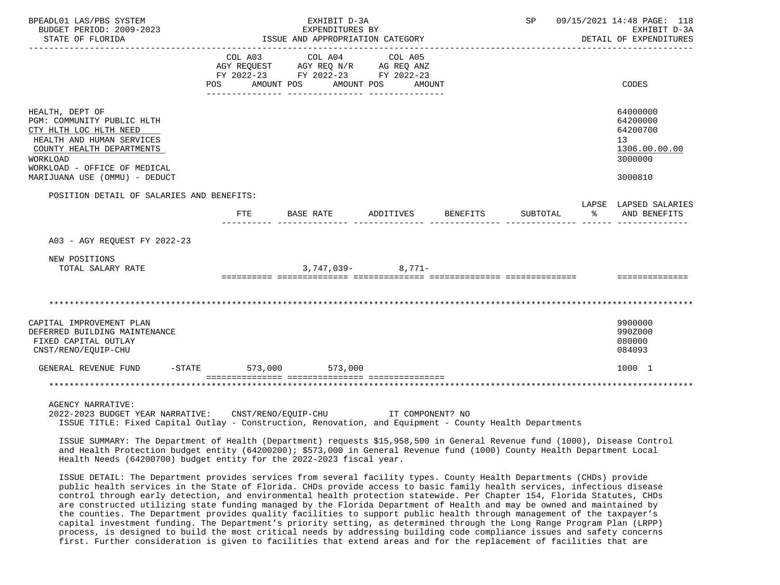| BPEADL01 LAS/PBS SYSTEM<br>BUDGET PERIOD: 2009-2023<br>STATE OF FLORIDA                                                                                                                                               |           |         | EXHIBIT D-3A<br>EXPENDITURES BY<br>ISSUE AND APPROPRIATION CATEGORY                                     |                       |                  |          |          |    | SP 09/15/2021 14:48 PAGE: 118<br>EXHIBIT D-3A<br>DETAIL OF EXPENDITURES                    |
|-----------------------------------------------------------------------------------------------------------------------------------------------------------------------------------------------------------------------|-----------|---------|---------------------------------------------------------------------------------------------------------|-----------------------|------------------|----------|----------|----|--------------------------------------------------------------------------------------------|
|                                                                                                                                                                                                                       | POS FOR   | COL A03 | COL A04 COL A05<br>AGY REQUEST AGY REQ N/R AG REQ ANZ<br>FY 2022-23 FY 2022-23 FY 2022-23<br>AMOUNT POS | AMOUNT POS            | AMOUNT           |          |          |    | CODES                                                                                      |
| HEALTH, DEPT OF<br>PGM: COMMUNITY PUBLIC HLTH<br>CTY HLTH LOC HLTH NEED<br>HEALTH AND HUMAN SERVICES<br>COUNTY HEALTH DEPARTMENTS<br><b>WORKLOAD</b><br>WORKLOAD - OFFICE OF MEDICAL<br>MARIJUANA USE (OMMU) - DEDUCT |           |         |                                                                                                         |                       |                  |          |          |    | 64000000<br>64200000<br>64200700<br>13 <sup>°</sup><br>1306.00.00.00<br>3000000<br>3000810 |
| POSITION DETAIL OF SALARIES AND BENEFITS:                                                                                                                                                                             |           | FTE     | BASE RATE                                                                                               | ADDITIVES             |                  | BENEFITS | SUBTOTAL | ႜႜ | LAPSE LAPSED SALARIES<br>AND BENEFITS                                                      |
| A03 - AGY REQUEST FY 2022-23                                                                                                                                                                                          |           |         |                                                                                                         |                       |                  |          |          |    |                                                                                            |
| NEW POSITIONS<br>TOTAL SALARY RATE                                                                                                                                                                                    |           |         |                                                                                                         | $3.747.039 - 8.771 -$ |                  |          |          |    | ==============                                                                             |
|                                                                                                                                                                                                                       |           |         |                                                                                                         |                       |                  |          |          |    |                                                                                            |
| CAPITAL IMPROVEMENT PLAN<br>DEFERRED BUILDING MAINTENANCE<br>FIXED CAPITAL OUTLAY<br>CNST/RENO/EOUIP-CHU                                                                                                              |           |         |                                                                                                         |                       |                  |          |          |    | 9900000<br>990Z000<br>080000<br>084093                                                     |
| GENERAL REVENUE FUND                                                                                                                                                                                                  | $-$ STATE |         | 573,000 573,000                                                                                         |                       |                  |          |          |    | 1000 1                                                                                     |
|                                                                                                                                                                                                                       |           |         |                                                                                                         |                       |                  |          |          |    |                                                                                            |
| <b>AGENCY NARRATIVE:</b><br>2022-2023 BUDGET YEAR NARRATIVE: CNST/RENO/EOUIP-CHU                                                                                                                                      |           |         |                                                                                                         |                       | IT COMPONENT? NO |          |          |    |                                                                                            |

ISSUE TITLE: Fixed Capital Outlay - Construction, Renovation, and Equipment - County Health Departments

 ISSUE SUMMARY: The Department of Health (Department) requests \$15,958,500 in General Revenue fund (1000), Disease Control and Health Protection budget entity (64200200); \$573,000 in General Revenue fund (1000) County Health Department Local Health Needs (64200700) budget entity for the 2022-2023 fiscal year.

 ISSUE DETAIL: The Department provides services from several facility types. County Health Departments (CHDs) provide public health services in the State of Florida. CHDs provide access to basic family health services, infectious disease control through early detection, and environmental health protection statewide. Per Chapter 154, Florida Statutes, CHDs are constructed utilizing state funding managed by the Florida Department of Health and may be owned and maintained by the counties. The Department provides quality facilities to support public health through management of the taxpayer's capital investment funding. The Department's priority setting, as determined through the Long Range Program Plan (LRPP) process, is designed to build the most critical needs by addressing building code compliance issues and safety concerns first. Further consideration is given to facilities that extend areas and for the replacement of facilities that are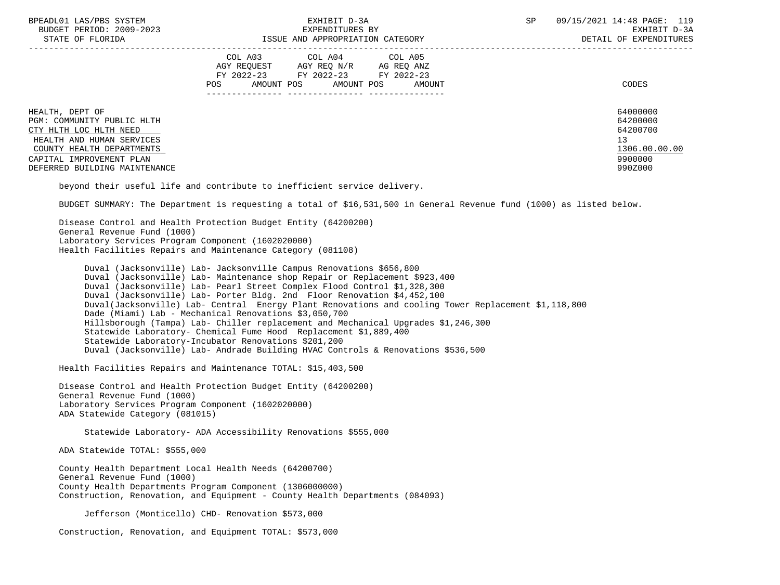| BPEADL01 LAS/PBS SYSTEM |     |                          |
|-------------------------|-----|--------------------------|
|                         |     | BUDGET PERIOD: 2009-2023 |
|                         | CDR |                          |

|                                                                                                                                                                                                | COL A03<br>COL A04<br>COL A05<br>AGY REQUEST<br>AGY REQ N/R<br>AG REQ ANZ<br>FY 2022-23<br>FY 2022-23<br>FY 2022-23<br><b>POS</b><br>AMOUNT POS<br>AMOUNT POS<br>AMOUNT | CODES                                                                         |
|------------------------------------------------------------------------------------------------------------------------------------------------------------------------------------------------|-------------------------------------------------------------------------------------------------------------------------------------------------------------------------|-------------------------------------------------------------------------------|
| HEALTH, DEPT OF<br>PGM: COMMUNITY PUBLIC HLTH<br>CTY HLTH LOC HLTH NEED<br>HEALTH AND HUMAN SERVICES<br>COUNTY HEALTH DEPARTMENTS<br>CAPITAL IMPROVEMENT PLAN<br>DEFERRED BUILDING MAINTENANCE |                                                                                                                                                                         | 64000000<br>64200000<br>64200700<br>13<br>1306.00.00.00<br>9900000<br>990Z000 |

beyond their useful life and contribute to inefficient service delivery.

BUDGET SUMMARY: The Department is requesting a total of \$16,531,500 in General Revenue fund (1000) as listed below.

 Disease Control and Health Protection Budget Entity (64200200) General Revenue Fund (1000) Laboratory Services Program Component (1602020000) Health Facilities Repairs and Maintenance Category (081108)

 Duval (Jacksonville) Lab- Jacksonville Campus Renovations \$656,800 Duval (Jacksonville) Lab- Maintenance shop Repair or Replacement \$923,400 Duval (Jacksonville) Lab- Pearl Street Complex Flood Control \$1,328,300 Duval (Jacksonville) Lab- Porter Bldg. 2nd Floor Renovation \$4,452,100 Duval(Jacksonville) Lab- Central Energy Plant Renovations and cooling Tower Replacement \$1,118,800 Dade (Miami) Lab - Mechanical Renovations \$3,050,700 Hillsborough (Tampa) Lab- Chiller replacement and Mechanical Upgrades \$1,246,300 Statewide Laboratory- Chemical Fume Hood Replacement \$1,889,400 Statewide Laboratory-Incubator Renovations \$201,200 Duval (Jacksonville) Lab- Andrade Building HVAC Controls & Renovations \$536,500

Health Facilities Repairs and Maintenance TOTAL: \$15,403,500

 Disease Control and Health Protection Budget Entity (64200200) General Revenue Fund (1000) Laboratory Services Program Component (1602020000) ADA Statewide Category (081015)

Statewide Laboratory- ADA Accessibility Renovations \$555,000

ADA Statewide TOTAL: \$555,000

 County Health Department Local Health Needs (64200700) General Revenue Fund (1000) County Health Departments Program Component (1306000000) Construction, Renovation, and Equipment - County Health Departments (084093)

Jefferson (Monticello) CHD- Renovation \$573,000

Construction, Renovation, and Equipment TOTAL: \$573,000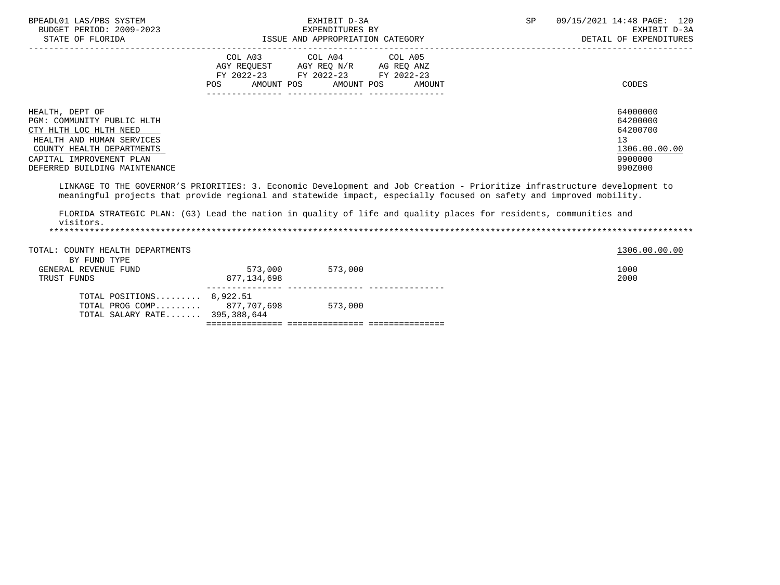| BPEADL01 LAS/PBS SYSTEM<br>BUDGET PERIOD: 2009-2023<br>STATE OF FLORIDA                                                                                                                                                                          |                        | EXHIBIT D-3A<br>EXPENDITURES BY<br>ISSUE AND APPROPRIATION CATEGORY                                                                   | SP | 09/15/2021 14:48 PAGE: 120<br>EXHIBIT D-3A<br>DETAIL OF EXPENDITURES          |
|--------------------------------------------------------------------------------------------------------------------------------------------------------------------------------------------------------------------------------------------------|------------------------|---------------------------------------------------------------------------------------------------------------------------------------|----|-------------------------------------------------------------------------------|
|                                                                                                                                                                                                                                                  |                        | COL A03 COL A04 COL A05<br>AGY REQUEST AGY REQ N/R AG REQ ANZ<br>FY 2022-23 FY 2022-23 FY 2022-23<br>POS AMOUNT POS AMOUNT POS AMOUNT |    | CODES                                                                         |
| HEALTH, DEPT OF<br>PGM: COMMUNITY PUBLIC HLTH<br>CTY HLTH LOC HLTH NEED<br>HEALTH AND HUMAN SERVICES<br>COUNTY HEALTH DEPARTMENTS<br>CAPITAL IMPROVEMENT PLAN<br>DEFERRED BUILDING MAINTENANCE                                                   |                        |                                                                                                                                       |    | 64000000<br>64200000<br>64200700<br>13<br>1306.00.00.00<br>9900000<br>990Z000 |
| LINKAGE TO THE GOVERNOR'S PRIORITIES: 3. Economic Development and Job Creation - Prioritize infrastructure development to<br>meaningful projects that provide regional and statewide impact, especially focused on safety and improved mobility. |                        |                                                                                                                                       |    |                                                                               |
| FLORIDA STRATEGIC PLAN: (G3) Lead the nation in quality of life and quality places for residents, communities and<br>visitors.                                                                                                                   |                        |                                                                                                                                       |    |                                                                               |
| TOTAL: COUNTY HEALTH DEPARTMENTS<br>BY FUND TYPE                                                                                                                                                                                                 |                        |                                                                                                                                       |    | 1306.00.00.00                                                                 |
| GENERAL REVENUE FUND<br>TRUST FUNDS                                                                                                                                                                                                              | 573,000<br>877.134.698 | 573,000                                                                                                                               |    | 1000<br>2000                                                                  |
| TOTAL POSITIONS $8.922.51$<br>TOTAL PROG COMP 877,707,698                                                                                                                                                                                        |                        | 573,000                                                                                                                               |    |                                                                               |

=============== =============== ===============

TOTAL SALARY RATE....... 395,388,644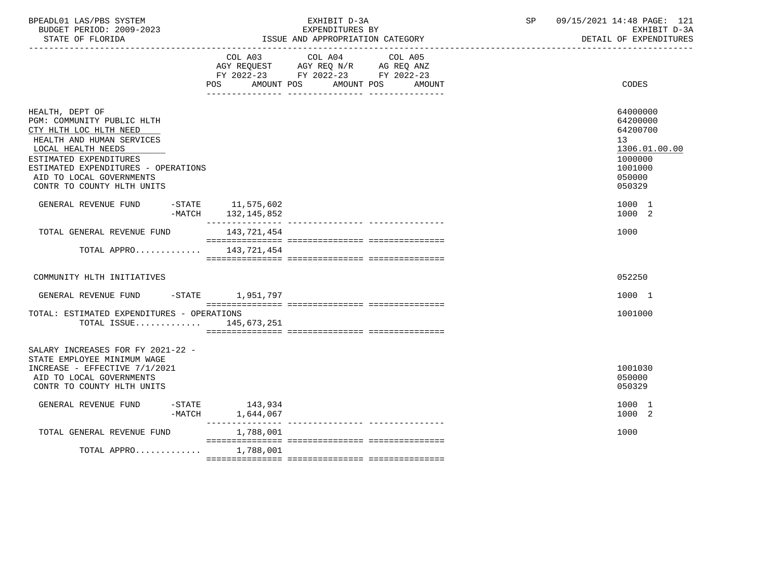| BPEADL01 LAS/PBS SYSTEM  | EXHIBIT D-3A                     | 09/15/2021 14:48 PAGE: 121 |
|--------------------------|----------------------------------|----------------------------|
| BUDGET PERIOD: 2009-2023 | EXPENDITURES BY                  | EXHIBIT D-3A               |
| STATE OF FLORIDA         | ISSUE AND APPROPRIATION CATEGORY | DETAIL OF EXPENDITURES     |

|                                                                                                                                                                                                                                                       | AMOUNT POS<br>POS                  | COL A03 COL A04 COL A05<br>AGY REQUEST AGY REQ N/R AG REQ ANZ<br>FY 2022-23 FY 2022-23 FY 2022-23<br>AMOUNT POS<br>AMOUNT | CODES                                                                                             |
|-------------------------------------------------------------------------------------------------------------------------------------------------------------------------------------------------------------------------------------------------------|------------------------------------|---------------------------------------------------------------------------------------------------------------------------|---------------------------------------------------------------------------------------------------|
| HEALTH, DEPT OF<br>PGM: COMMUNITY PUBLIC HLTH<br>CTY HLTH LOC HLTH NEED<br>HEALTH AND HUMAN SERVICES<br>LOCAL HEALTH NEEDS<br>ESTIMATED EXPENDITURES<br>ESTIMATED EXPENDITURES - OPERATIONS<br>AID TO LOCAL GOVERNMENTS<br>CONTR TO COUNTY HLTH UNITS |                                    |                                                                                                                           | 64000000<br>64200000<br>64200700<br>13<br>1306.01.00.00<br>1000000<br>1001000<br>050000<br>050329 |
| GENERAL REVENUE FUND<br>-MATCH                                                                                                                                                                                                                        | $-STATE$ 11,575,602<br>132,145,852 |                                                                                                                           | 1000 1<br>1000 2                                                                                  |
| TOTAL GENERAL REVENUE FUND                                                                                                                                                                                                                            | 143,721,454                        |                                                                                                                           | 1000                                                                                              |
| TOTAL APPRO $143,721,454$                                                                                                                                                                                                                             |                                    |                                                                                                                           |                                                                                                   |
| COMMUNITY HLTH INITIATIVES                                                                                                                                                                                                                            |                                    |                                                                                                                           | 052250                                                                                            |
| GENERAL REVENUE FUND -STATE 1,951,797                                                                                                                                                                                                                 |                                    |                                                                                                                           | 1000 1                                                                                            |
| TOTAL: ESTIMATED EXPENDITURES - OPERATIONS<br>TOTAL ISSUE 145,673,251                                                                                                                                                                                 |                                    |                                                                                                                           | 1001000                                                                                           |
| SALARY INCREASES FOR FY 2021-22 -<br>STATE EMPLOYEE MINIMUM WAGE<br>INCREASE - EFFECTIVE 7/1/2021<br>AID TO LOCAL GOVERNMENTS<br>CONTR TO COUNTY HLTH UNITS                                                                                           |                                    |                                                                                                                           | 1001030<br>050000<br>050329                                                                       |
| GENERAL REVENUE FUND<br>-MATCH                                                                                                                                                                                                                        | $-STATE$ 143,934<br>1,644,067      |                                                                                                                           | 1000 1<br>1000 2                                                                                  |
| TOTAL GENERAL REVENUE FUND                                                                                                                                                                                                                            | 1,788,001                          |                                                                                                                           | 1000                                                                                              |
| TOTAL APPRO                                                                                                                                                                                                                                           | 1,788,001                          |                                                                                                                           |                                                                                                   |
|                                                                                                                                                                                                                                                       |                                    |                                                                                                                           |                                                                                                   |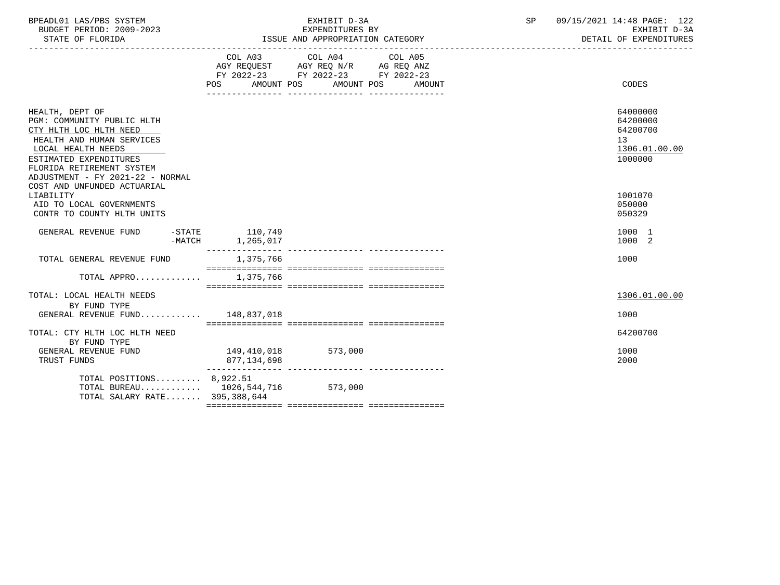| BPEADL01 LAS/PBS SYSTEM<br>BUDGET PERIOD: 2009-2023<br>STATE OF FLORIDA                                                                                                                                                                              |          | EXHIBIT D-3A<br>EXPENDITURES BY<br>ISSUE AND APPROPRIATION CATEGORY |                                                                                                                                |  |        |  | 09/15/2021 14:48 PAGE: 122<br>EXHIBIT D-3A<br>DETAIL OF EXPENDITURES            |
|------------------------------------------------------------------------------------------------------------------------------------------------------------------------------------------------------------------------------------------------------|----------|---------------------------------------------------------------------|--------------------------------------------------------------------------------------------------------------------------------|--|--------|--|---------------------------------------------------------------------------------|
|                                                                                                                                                                                                                                                      |          |                                                                     | COL A03 COL A04 COL A05<br>AGY REQUEST AGY REQ N/R AG REQ ANZ<br>FY 2022-23 FY 2022-23 FY 2022-23<br>POS AMOUNT POS AMOUNT POS |  | AMOUNT |  | CODES                                                                           |
| HEALTH, DEPT OF<br>PGM: COMMUNITY PUBLIC HLTH<br>CTY HLTH LOC HLTH NEED<br>HEALTH AND HUMAN SERVICES<br>LOCAL HEALTH NEEDS<br>ESTIMATED EXPENDITURES<br>FLORIDA RETIREMENT SYSTEM<br>ADJUSTMENT - FY 2021-22 - NORMAL<br>COST AND UNFUNDED ACTUARIAL |          |                                                                     |                                                                                                                                |  |        |  | 64000000<br>64200000<br>64200700<br>13 <sup>°</sup><br>1306.01.00.00<br>1000000 |
| LIABILITY<br>AID TO LOCAL GOVERNMENTS<br>CONTR TO COUNTY HLTH UNITS                                                                                                                                                                                  |          |                                                                     |                                                                                                                                |  |        |  | 1001070<br>050000<br>050329                                                     |
| GENERAL REVENUE FUND                                                                                                                                                                                                                                 | $-MATCH$ | $-STATE$ 110,749<br>1,265,017                                       |                                                                                                                                |  |        |  | 1000 1<br>1000 2                                                                |
| TOTAL GENERAL REVENUE FUND                                                                                                                                                                                                                           |          | 1,375,766                                                           |                                                                                                                                |  |        |  | 1000                                                                            |
| TOTAL APPRO 1.375.766                                                                                                                                                                                                                                |          |                                                                     |                                                                                                                                |  |        |  |                                                                                 |
| TOTAL: LOCAL HEALTH NEEDS<br>BY FUND TYPE<br>GENERAL REVENUE FUND 148,837,018                                                                                                                                                                        |          |                                                                     |                                                                                                                                |  |        |  | 1306.01.00.00<br>1000                                                           |
| TOTAL: CTY HLTH LOC HLTH NEED                                                                                                                                                                                                                        |          |                                                                     |                                                                                                                                |  |        |  | 64200700                                                                        |
| BY FUND TYPE<br>GENERAL REVENUE FUND<br>TRUST FUNDS                                                                                                                                                                                                  |          | 149,410,018<br>877,134,698                                          | 573,000                                                                                                                        |  |        |  | 1000<br>2000                                                                    |
| TOTAL POSITIONS $8,922.51$<br>TOTAL BUREAU $1026,544,716$<br>TOTAL SALARY RATE 395,388,644                                                                                                                                                           |          |                                                                     | 573,000                                                                                                                        |  |        |  |                                                                                 |
|                                                                                                                                                                                                                                                      |          |                                                                     |                                                                                                                                |  |        |  |                                                                                 |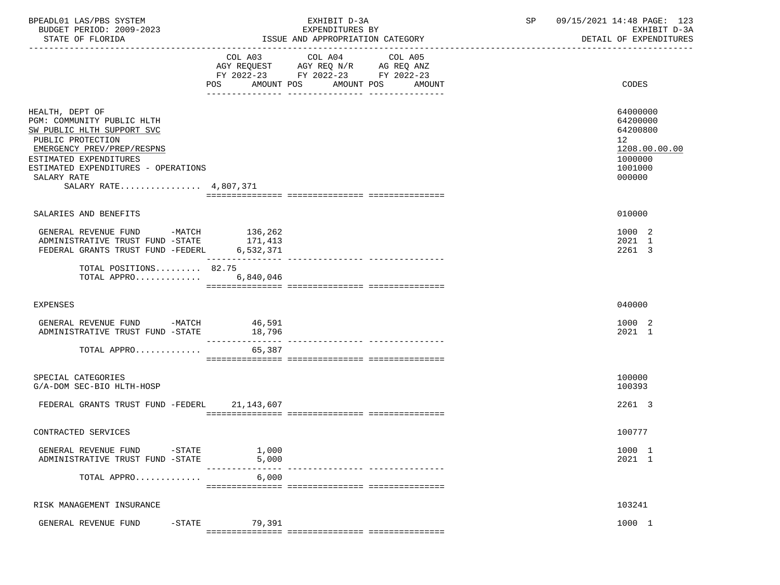| BPEADL01 LAS/PBS SYSTEM<br>BUDGET PERIOD: 2009-2023<br>STATE OF FLORIDA                                                                                                                                                                 | EXHIBIT D-3A<br>EXPENDITURES BY<br>ISSUE AND APPROPRIATION CATEGORY                                                                            | 09/15/2021 14:48 PAGE: 123<br>SP<br>EXHIBIT D-3A<br>DETAIL OF EXPENDITURES              |
|-----------------------------------------------------------------------------------------------------------------------------------------------------------------------------------------------------------------------------------------|------------------------------------------------------------------------------------------------------------------------------------------------|-----------------------------------------------------------------------------------------|
|                                                                                                                                                                                                                                         | COL A03 COL A04 COL A05<br>AGY REQUEST AGY REQ N/R AG REQ ANZ<br>FY 2022-23 FY 2022-23 FY 2022-23<br>POS<br>AMOUNT POS<br>AMOUNT POS<br>AMOUNT | CODES                                                                                   |
| HEALTH, DEPT OF<br>PGM: COMMUNITY PUBLIC HLTH<br>SW PUBLIC HLTH SUPPORT SVC<br>PUBLIC PROTECTION<br>EMERGENCY PREV/PREP/RESPNS<br>ESTIMATED EXPENDITURES<br>ESTIMATED EXPENDITURES - OPERATIONS<br>SALARY RATE<br>SALARY RATE 4,807,371 |                                                                                                                                                | 64000000<br>64200000<br>64200800<br>12<br>1208.00.00.00<br>1000000<br>1001000<br>000000 |
| SALARIES AND BENEFITS                                                                                                                                                                                                                   |                                                                                                                                                | 010000                                                                                  |
| GENERAL REVENUE FUND -MATCH 136,262<br>ADMINISTRATIVE TRUST FUND -STATE<br>FEDERAL GRANTS TRUST FUND -FEDERL                                                                                                                            | 171,413<br>6,532,371                                                                                                                           | 1000 2<br>2021 1<br>2261 3                                                              |
| TOTAL POSITIONS 82.75<br>TOTAL APPRO $6,840,046$                                                                                                                                                                                        |                                                                                                                                                |                                                                                         |
| <b>EXPENSES</b>                                                                                                                                                                                                                         |                                                                                                                                                | 040000                                                                                  |
| GENERAL REVENUE FUND -MATCH 46,591<br>ADMINISTRATIVE TRUST FUND -STATE                                                                                                                                                                  | 18,796                                                                                                                                         | 1000 2<br>2021 1                                                                        |
| TOTAL APPRO                                                                                                                                                                                                                             | 65,387                                                                                                                                         |                                                                                         |
| SPECIAL CATEGORIES<br>G/A-DOM SEC-BIO HLTH-HOSP                                                                                                                                                                                         |                                                                                                                                                | 100000<br>100393                                                                        |
| FEDERAL GRANTS TRUST FUND -FEDERL 21,143,607                                                                                                                                                                                            |                                                                                                                                                | 2261 3                                                                                  |
| CONTRACTED SERVICES                                                                                                                                                                                                                     |                                                                                                                                                | 100777                                                                                  |
| GENERAL REVENUE FUND<br>-STATE<br>ADMINISTRATIVE TRUST FUND -STATE                                                                                                                                                                      | 1,000<br>5,000                                                                                                                                 | 1000 1<br>2021 1                                                                        |
| TOTAL APPRO                                                                                                                                                                                                                             | 6,000                                                                                                                                          |                                                                                         |
| RISK MANAGEMENT INSURANCE                                                                                                                                                                                                               |                                                                                                                                                | 103241                                                                                  |
| GENERAL REVENUE FUND<br>$-$ STATE                                                                                                                                                                                                       | 79,391                                                                                                                                         | 1000 1                                                                                  |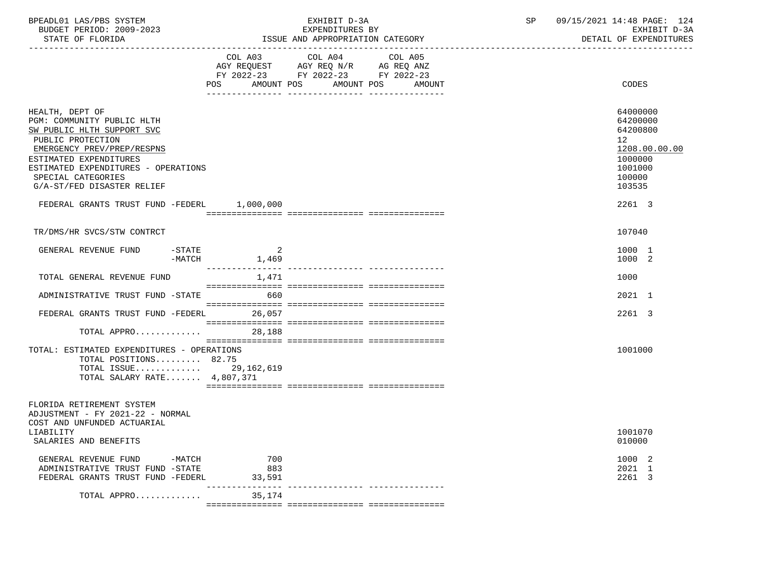| BPEADL01 LAS/PBS SYSTEM<br>BUDGET PERIOD: 2009-2023<br>STATE OF FLORIDA                                                                                                                                                                             |                                                 | EXHIBIT D-3A<br>EXPENDITURES BY<br>ISSUE AND APPROPRIATION CATEGORY                                                                   | SP | 09/15/2021 14:48 PAGE: 124<br>EXHIBIT D-3A<br>DETAIL OF EXPENDITURES                              |
|-----------------------------------------------------------------------------------------------------------------------------------------------------------------------------------------------------------------------------------------------------|-------------------------------------------------|---------------------------------------------------------------------------------------------------------------------------------------|----|---------------------------------------------------------------------------------------------------|
|                                                                                                                                                                                                                                                     |                                                 | COL A03 COL A04 COL A05<br>AGY REQUEST AGY REQ N/R AG REQ ANZ<br>FY 2022-23 FY 2022-23 FY 2022-23<br>POS AMOUNT POS AMOUNT POS AMOUNT |    | <b>CODES</b>                                                                                      |
| HEALTH, DEPT OF<br>PGM: COMMUNITY PUBLIC HLTH<br>SW PUBLIC HLTH SUPPORT SVC<br>PUBLIC PROTECTION<br>EMERGENCY PREV/PREP/RESPNS<br>ESTIMATED EXPENDITURES<br>ESTIMATED EXPENDITURES - OPERATIONS<br>SPECIAL CATEGORIES<br>G/A-ST/FED DISASTER RELIEF |                                                 |                                                                                                                                       |    | 64000000<br>64200000<br>64200800<br>12<br>1208.00.00.00<br>1000000<br>1001000<br>100000<br>103535 |
| FEDERAL GRANTS TRUST FUND -FEDERL 1,000,000                                                                                                                                                                                                         |                                                 |                                                                                                                                       |    | 2261 3                                                                                            |
| TR/DMS/HR SVCS/STW CONTRCT                                                                                                                                                                                                                          |                                                 |                                                                                                                                       |    | 107040                                                                                            |
| GENERAL REVENUE FUND<br>$-$ STATE                                                                                                                                                                                                                   | $\overline{\phantom{0}}$ 2<br>$-MATCH$<br>1,469 |                                                                                                                                       |    | 1000 1<br>1000 2                                                                                  |
| TOTAL GENERAL REVENUE FUND                                                                                                                                                                                                                          | 1,471                                           |                                                                                                                                       |    | 1000                                                                                              |
| ADMINISTRATIVE TRUST FUND -STATE                                                                                                                                                                                                                    | 660                                             |                                                                                                                                       |    | 2021 1                                                                                            |
| FEDERAL GRANTS TRUST FUND -FEDERL 26,057                                                                                                                                                                                                            |                                                 |                                                                                                                                       |    | 2261 3                                                                                            |
| TOTAL APPRO                                                                                                                                                                                                                                         | 28,188                                          |                                                                                                                                       |    |                                                                                                   |
| TOTAL: ESTIMATED EXPENDITURES - OPERATIONS<br>TOTAL POSITIONS 82.75<br>TOTAL ISSUE 29, 162, 619<br>TOTAL SALARY RATE 4,807,371                                                                                                                      |                                                 |                                                                                                                                       |    | 1001000                                                                                           |
| FLORIDA RETIREMENT SYSTEM<br>ADJUSTMENT - FY 2021-22 - NORMAL<br>COST AND UNFUNDED ACTUARIAL<br>LIABILITY<br>SALARIES AND BENEFITS                                                                                                                  |                                                 |                                                                                                                                       |    | 1001070<br>010000                                                                                 |
| GENERAL REVENUE FUND -MATCH<br>ADMINISTRATIVE TRUST FUND -STATE<br>FEDERAL GRANTS TRUST FUND -FEDERL                                                                                                                                                | 700<br>883<br>33,591                            |                                                                                                                                       |    | 1000 2<br>2021 1<br>2261 3                                                                        |
| TOTAL APPRO $35,174$                                                                                                                                                                                                                                |                                                 |                                                                                                                                       |    |                                                                                                   |
|                                                                                                                                                                                                                                                     |                                                 |                                                                                                                                       |    |                                                                                                   |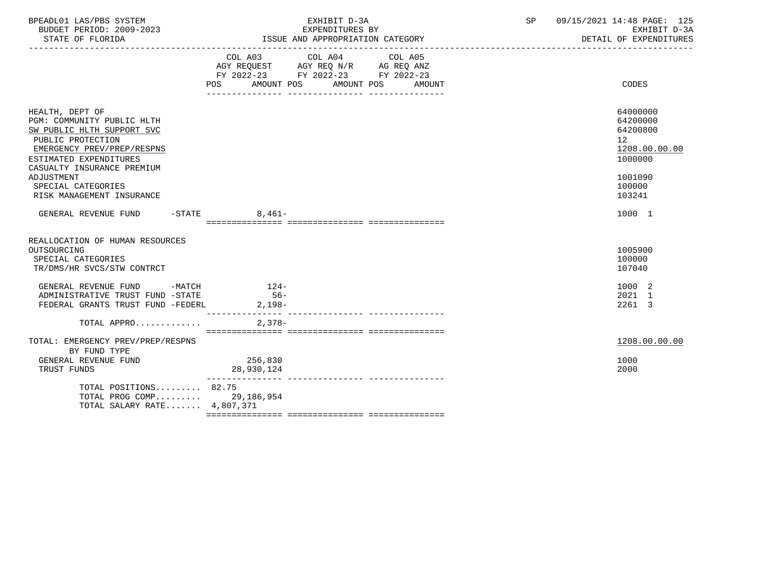| BPEADL01 LAS/PBS SYSTEM<br>BUDGET PERIOD: 2009-2023<br>STATE OF FLORIDA                                                                                                                | EXHIBIT D-3A<br>EXPENDITURES BY<br>ISSUE AND APPROPRIATION CATEGORY                                                                                   | SP<br>09/15/2021 14:48 PAGE: 125<br>EXHIBIT D-3A<br>DETAIL OF EXPENDITURES |
|----------------------------------------------------------------------------------------------------------------------------------------------------------------------------------------|-------------------------------------------------------------------------------------------------------------------------------------------------------|----------------------------------------------------------------------------|
|                                                                                                                                                                                        | COL A03 COL A04 COL A05<br>AGY REQUEST AGY REQ N/R AG REQ ANZ<br>FY 2022-23 FY 2022-23 FY 2022-23<br><b>POS</b><br>AMOUNT POS<br>AMOUNT POS<br>AMOUNT | CODES                                                                      |
| HEALTH, DEPT OF<br>PGM: COMMUNITY PUBLIC HLTH<br>SW PUBLIC HLTH SUPPORT SVC<br>PUBLIC PROTECTION<br>EMERGENCY PREV/PREP/RESPNS<br>ESTIMATED EXPENDITURES<br>CASUALTY INSURANCE PREMIUM |                                                                                                                                                       | 64000000<br>64200000<br>64200800<br>12<br>1208.00.00.00<br>1000000         |
| ADJUSTMENT<br>SPECIAL CATEGORIES<br>RISK MANAGEMENT INSURANCE                                                                                                                          |                                                                                                                                                       | 1001090<br>100000<br>103241                                                |
| GENERAL REVENUE FUND -STATE                                                                                                                                                            | $8,461-$                                                                                                                                              | 1000 1                                                                     |
| REALLOCATION OF HUMAN RESOURCES<br>OUTSOURCING<br>SPECIAL CATEGORIES<br>TR/DMS/HR SVCS/STW CONTRCT                                                                                     |                                                                                                                                                       | 1005900<br>100000<br>107040                                                |
| GENERAL REVENUE FUND -MATCH 124-<br>ADMINISTRATIVE TRUST FUND -STATE<br>FEDERAL GRANTS TRUST FUND -FEDERL                                                                              | $56-$<br>$2,198-$                                                                                                                                     | 1000 2<br>2021 1<br>2261 3                                                 |
| TOTAL APPRO                                                                                                                                                                            | $2.378-$                                                                                                                                              |                                                                            |
| TOTAL: EMERGENCY PREV/PREP/RESPNS<br>BY FUND TYPE<br>GENERAL REVENUE FUND<br>TRUST FUNDS                                                                                               | 256,830<br>28,930,124                                                                                                                                 | 1208.00.00.00<br>1000<br>2000                                              |
| TOTAL POSITIONS 82.75<br>TOTAL PROG COMP 29,186,954<br>TOTAL SALARY RATE $4,807,371$                                                                                                   |                                                                                                                                                       |                                                                            |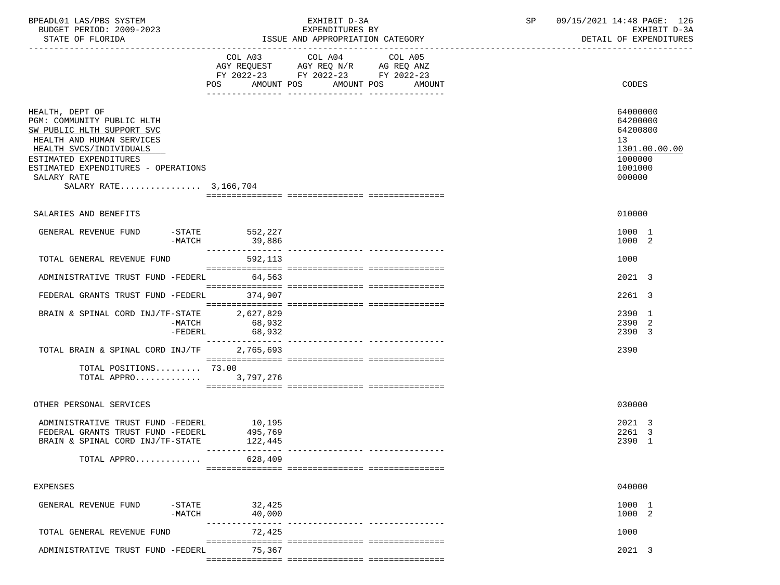| BPEADL01 LAS/PBS SYSTEM<br>BUDGET PERIOD: 2009-2023<br>STATE OF FLORIDA                                                                                                                                                                      |                               | EXHIBIT D-3A<br>EXPENDITURES BY<br>ISSUE AND APPROPRIATION CATEGORY                                        | SP      | 09/15/2021 14:48 PAGE: 126<br>EXHIBIT D-3A<br>DETAIL OF EXPENDITURES |                                                                                         |
|----------------------------------------------------------------------------------------------------------------------------------------------------------------------------------------------------------------------------------------------|-------------------------------|------------------------------------------------------------------------------------------------------------|---------|----------------------------------------------------------------------|-----------------------------------------------------------------------------------------|
|                                                                                                                                                                                                                                              |                               | COL A03 COL A04                                                                                            | COL A05 |                                                                      |                                                                                         |
|                                                                                                                                                                                                                                              |                               | AGY REQUEST AGY REQ N/R AG REQ ANZ<br>FY 2022-23 FY 2022-23 FY 2022-23<br>POS AMOUNT POS AMOUNT POS AMOUNT |         |                                                                      | CODES                                                                                   |
| HEALTH, DEPT OF<br>PGM: COMMUNITY PUBLIC HLTH<br>SW PUBLIC HLTH SUPPORT SVC<br>HEALTH AND HUMAN SERVICES<br>HEALTH SVCS/INDIVIDUALS<br>ESTIMATED EXPENDITURES<br>ESTIMATED EXPENDITURES - OPERATIONS<br>SALARY RATE<br>SALARY RATE 3,166,704 |                               |                                                                                                            |         |                                                                      | 64000000<br>64200000<br>64200800<br>13<br>1301.00.00.00<br>1000000<br>1001000<br>000000 |
| SALARIES AND BENEFITS                                                                                                                                                                                                                        |                               |                                                                                                            |         |                                                                      | 010000                                                                                  |
| GENERAL REVENUE FUND<br>-MATCH                                                                                                                                                                                                               | $-STATE$ 552, 227<br>39,886   |                                                                                                            |         |                                                                      | 1000 1<br>1000 2                                                                        |
| TOTAL GENERAL REVENUE FUND                                                                                                                                                                                                                   | 592,113                       |                                                                                                            |         |                                                                      | 1000                                                                                    |
| ADMINISTRATIVE TRUST FUND -FEDERL 64,563                                                                                                                                                                                                     |                               |                                                                                                            |         |                                                                      | 2021 3                                                                                  |
| FEDERAL GRANTS TRUST FUND -FEDERL 374,907                                                                                                                                                                                                    |                               |                                                                                                            |         |                                                                      | 2261 3                                                                                  |
| BRAIN & SPINAL CORD INJ/TF-STATE 2,627,829<br>-MATCH<br>$-FEDERL$                                                                                                                                                                            | 68,932<br>68,932              |                                                                                                            |         |                                                                      | 2390 1<br>2390 2<br>2390 3                                                              |
| TOTAL BRAIN & SPINAL CORD INJ/TF                                                                                                                                                                                                             | 2,765,693                     |                                                                                                            |         |                                                                      | 2390                                                                                    |
| TOTAL POSITIONS 73.00<br>TOTAL APPRO 3,797,276                                                                                                                                                                                               |                               |                                                                                                            |         |                                                                      |                                                                                         |
| OTHER PERSONAL SERVICES                                                                                                                                                                                                                      |                               |                                                                                                            |         |                                                                      | 030000                                                                                  |
| ADMINISTRATIVE TRUST FUND -FEDERL<br>FEDERAL GRANTS TRUST FUND -FEDERL<br>BRAIN & SPINAL CORD INJ/TF-STATE                                                                                                                                   | 10, 195<br>495,769<br>122,445 |                                                                                                            |         |                                                                      | 2021 3<br>2261 3<br>2390 1                                                              |
| TOTAL APPRO                                                                                                                                                                                                                                  | 628,409                       |                                                                                                            |         |                                                                      |                                                                                         |
| <b>EXPENSES</b>                                                                                                                                                                                                                              |                               |                                                                                                            |         |                                                                      | 040000                                                                                  |
| $-$ STATE<br>GENERAL REVENUE FUND<br>$-MATCH$                                                                                                                                                                                                | 32,425<br>40,000              |                                                                                                            |         |                                                                      | 1000 1<br>1000 2                                                                        |
| TOTAL GENERAL REVENUE FUND                                                                                                                                                                                                                   | 72,425                        |                                                                                                            |         |                                                                      | 1000                                                                                    |
| ADMINISTRATIVE TRUST FUND -FEDERL                                                                                                                                                                                                            | 75,367                        |                                                                                                            |         |                                                                      | 2021 3                                                                                  |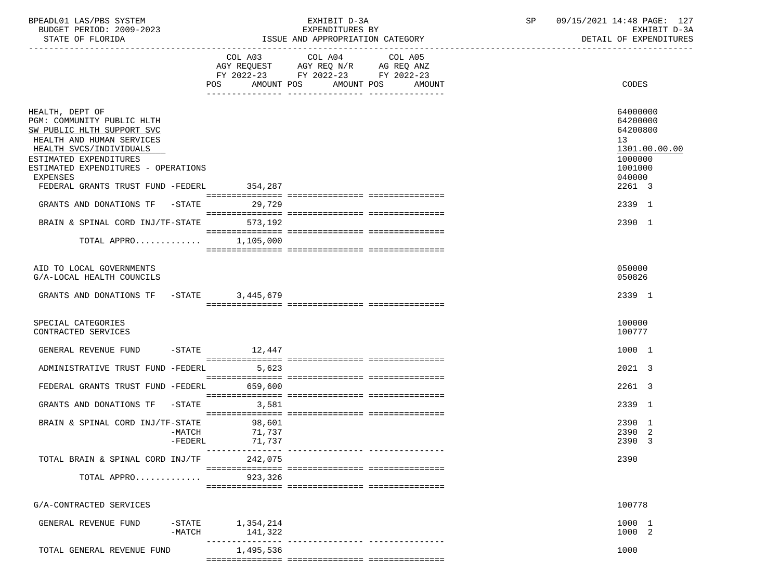| BPEADL01 LAS/PBS SYSTEM |                          |
|-------------------------|--------------------------|
|                         | BUDGET PERIOD: 2009-2023 |

|                                                                                                                                                                                                                                                       |                      | COL A03 COL A04 COL A05<br>AGY REQUEST AGY REQ N/R AG REQ ANZ<br>FY 2022-23 FY 2022-23 FY 2022-23 |                             |                                                                                                                |
|-------------------------------------------------------------------------------------------------------------------------------------------------------------------------------------------------------------------------------------------------------|----------------------|---------------------------------------------------------------------------------------------------|-----------------------------|----------------------------------------------------------------------------------------------------------------|
|                                                                                                                                                                                                                                                       |                      | POS AMOUNT POS AMOUNT POS AMOUNT<br><u>aa aaddaddaddaa</u>                                        |                             | CODES                                                                                                          |
| HEALTH, DEPT OF<br>PGM: COMMUNITY PUBLIC HLTH<br>SW PUBLIC HLTH SUPPORT SVC<br>HEALTH AND HUMAN SERVICES<br>HEALTH SVCS/INDIVIDUALS<br>ESTIMATED EXPENDITURES<br>ESTIMATED EXPENDITURES - OPERATIONS<br>EXPENSES<br>FEDERAL GRANTS TRUST FUND -FEDERL | 354,287              |                                                                                                   |                             | 64000000<br>64200000<br>64200800<br>13 <sup>7</sup><br>1301.00.00.00<br>1000000<br>1001000<br>040000<br>2261 3 |
|                                                                                                                                                                                                                                                       |                      |                                                                                                   |                             |                                                                                                                |
| GRANTS AND DONATIONS TF -STATE                                                                                                                                                                                                                        | 29,729               |                                                                                                   |                             | 2339 1                                                                                                         |
| BRAIN & SPINAL CORD INJ/TF-STATE 573,192                                                                                                                                                                                                              |                      |                                                                                                   |                             | 2390 1                                                                                                         |
|                                                                                                                                                                                                                                                       | 1,105,000            |                                                                                                   |                             |                                                                                                                |
| TOTAL APPRO                                                                                                                                                                                                                                           |                      |                                                                                                   |                             |                                                                                                                |
|                                                                                                                                                                                                                                                       |                      |                                                                                                   |                             |                                                                                                                |
| AID TO LOCAL GOVERNMENTS<br>G/A-LOCAL HEALTH COUNCILS                                                                                                                                                                                                 |                      |                                                                                                   |                             | 050000<br>050826                                                                                               |
| GRANTS AND DONATIONS TF -STATE 3,445,679                                                                                                                                                                                                              |                      |                                                                                                   |                             | 2339 1                                                                                                         |
| SPECIAL CATEGORIES<br>CONTRACTED SERVICES                                                                                                                                                                                                             |                      |                                                                                                   |                             | 100000<br>100777                                                                                               |
| GENERAL REVENUE FUND                                                                                                                                                                                                                                  | $-STATE$ 12,447      |                                                                                                   |                             | 1000 1                                                                                                         |
| ADMINISTRATIVE TRUST FUND -FEDERL                                                                                                                                                                                                                     | 5,623                |                                                                                                   |                             | 2021 3                                                                                                         |
| FEDERAL GRANTS TRUST FUND -FEDERL                                                                                                                                                                                                                     | 659,600              |                                                                                                   |                             | 2261 3                                                                                                         |
| GRANTS AND DONATIONS TF -STATE                                                                                                                                                                                                                        | 3,581                |                                                                                                   |                             | 2339 1                                                                                                         |
| BRAIN & SPINAL CORD INJ/TF-STATE                                                                                                                                                                                                                      | 98,601<br>71,737     |                                                                                                   |                             | 2390 1                                                                                                         |
| -MATCH<br>-FEDERL                                                                                                                                                                                                                                     | 71,737               |                                                                                                   |                             | 2390 2<br>2390 3                                                                                               |
|                                                                                                                                                                                                                                                       | ---------------      |                                                                                                   |                             |                                                                                                                |
| TOTAL BRAIN & SPINAL CORD INJ/TF 242,075                                                                                                                                                                                                              |                      |                                                                                                   |                             | 2390                                                                                                           |
| TOTAL APPRO                                                                                                                                                                                                                                           | 923,326              |                                                                                                   |                             |                                                                                                                |
| G/A-CONTRACTED SERVICES                                                                                                                                                                                                                               |                      |                                                                                                   |                             | 100778                                                                                                         |
| GENERAL REVENUE FUND<br>$-$ STATE<br>$-MATCH$                                                                                                                                                                                                         | 1,354,214<br>141,322 |                                                                                                   |                             | 1000 1<br>1000 2                                                                                               |
| TOTAL GENERAL REVENUE FUND                                                                                                                                                                                                                            | 1,495,536            |                                                                                                   | ----------- --------------- | 1000                                                                                                           |
|                                                                                                                                                                                                                                                       |                      |                                                                                                   |                             |                                                                                                                |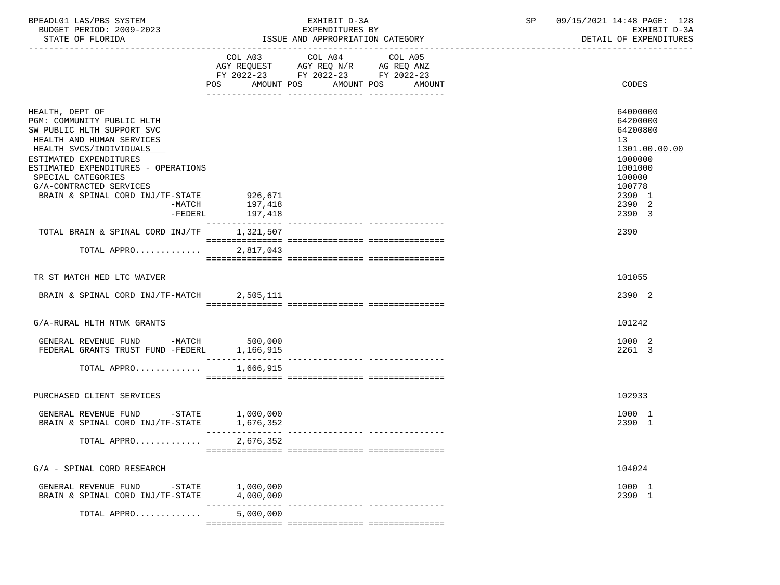| BPEADL01 LAS/PBS SYSTEM<br>BUDGET PERIOD: 2009-2023<br>STATE OF FLORIDA                                                                                                                                                                                                                           | EXHIBIT D-3A<br>EXPENDITURES BY<br>ISSUE AND APPROPRIATION CATEGORY                                                                      | 09/15/2021 14:48 PAGE: 128<br>SP<br>EXHIBIT D-3A<br>DETAIL OF EXPENDITURES                                                                   |
|---------------------------------------------------------------------------------------------------------------------------------------------------------------------------------------------------------------------------------------------------------------------------------------------------|------------------------------------------------------------------------------------------------------------------------------------------|----------------------------------------------------------------------------------------------------------------------------------------------|
|                                                                                                                                                                                                                                                                                                   | COL A03 COL A04<br>COL A05<br>AGY REQUEST AGY REQ N/R AG REQ ANZ<br>FY 2022-23 FY 2022-23 FY 2022-23<br>POS AMOUNT POS AMOUNT POS AMOUNT | CODES                                                                                                                                        |
| HEALTH, DEPT OF<br>PGM: COMMUNITY PUBLIC HLTH<br>SW PUBLIC HLTH SUPPORT SVC<br>HEALTH AND HUMAN SERVICES<br>HEALTH SVCS/INDIVIDUALS<br>ESTIMATED EXPENDITURES<br>ESTIMATED EXPENDITURES - OPERATIONS<br>SPECIAL CATEGORIES<br>G/A-CONTRACTED SERVICES<br>BRAIN & SPINAL CORD INJ/TF-STATE 926,671 | -MATCH 197,418<br>-FEDERL 197,418                                                                                                        | 64000000<br>64200000<br>64200800<br>13 <sup>°</sup><br>1301.00.00.00<br>1000000<br>1001000<br>100000<br>100778<br>2390 1<br>2390 2<br>2390 3 |
| TOTAL BRAIN & SPINAL CORD INJ/TF 1,321,507                                                                                                                                                                                                                                                        |                                                                                                                                          | 2390                                                                                                                                         |
| TOTAL APPRO                                                                                                                                                                                                                                                                                       | 2,817,043                                                                                                                                |                                                                                                                                              |
| TR ST MATCH MED LTC WAIVER                                                                                                                                                                                                                                                                        |                                                                                                                                          | 101055                                                                                                                                       |
| BRAIN & SPINAL CORD INJ/TF-MATCH 2,505,111                                                                                                                                                                                                                                                        |                                                                                                                                          | 2390 2                                                                                                                                       |
| G/A-RURAL HLTH NTWK GRANTS                                                                                                                                                                                                                                                                        |                                                                                                                                          | 101242                                                                                                                                       |
| GENERAL REVENUE FUND -MATCH 500,000<br>FEDERAL GRANTS TRUST FUND -FEDERL 1,166,915                                                                                                                                                                                                                |                                                                                                                                          | 1000 2<br>2261 3                                                                                                                             |
| TOTAL APPRO 1,666,915                                                                                                                                                                                                                                                                             |                                                                                                                                          |                                                                                                                                              |
| PURCHASED CLIENT SERVICES                                                                                                                                                                                                                                                                         |                                                                                                                                          | 102933                                                                                                                                       |
| GENERAL REVENUE FUND -STATE $1,000,000$<br>BRAIN & SPINAL CORD INJ/TF-STATE $1,676,352$                                                                                                                                                                                                           |                                                                                                                                          | 1000 1<br>2390 1                                                                                                                             |
| TOTAL APPRO                                                                                                                                                                                                                                                                                       | 2,676,352                                                                                                                                |                                                                                                                                              |
| G/A - SPINAL CORD RESEARCH                                                                                                                                                                                                                                                                        |                                                                                                                                          | 104024                                                                                                                                       |
| GENERAL REVENUE FUND<br>$-$ STATE<br>BRAIN & SPINAL CORD INJ/TF-STATE                                                                                                                                                                                                                             | 1,000,000<br>4,000,000                                                                                                                   | 1000 1<br>2390 1                                                                                                                             |
| TOTAL APPRO                                                                                                                                                                                                                                                                                       | ------------ ----------------<br>5,000,000                                                                                               |                                                                                                                                              |
|                                                                                                                                                                                                                                                                                                   |                                                                                                                                          |                                                                                                                                              |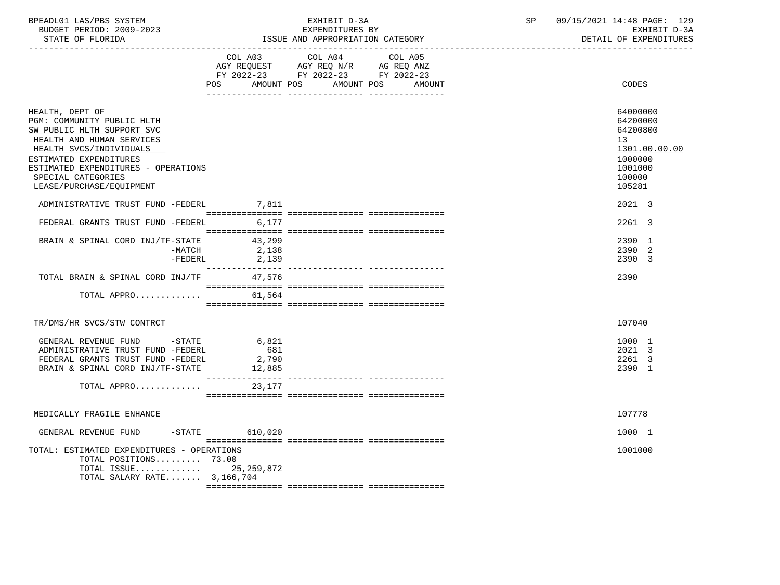| BPEADL01 LAS/PBS SYSTEM  | EXHIBIT D-3A                     | сn | 09/15/2021 14:48 PAGE: 129 |
|--------------------------|----------------------------------|----|----------------------------|
| BUDGET PERIOD: 2009-2023 | EXPENDITURES BY                  |    | EXHIBIT D-3A               |
| STATE OF FLORIDA         | ISSUE AND APPROPRIATION CATEGORY |    | DETAIL OF EXPENDITURES     |

|                                                                                                                                                                                                                                                        | POS FOR THE POST OF THE POST OF THE POST OF THE POST OF THE POST OF THE POST OF THE POST OF THE POST OF THE PO<br>AMOUNT POS | COL A03 COL A04<br>AGY REQUEST AGY REQ N/R AG REQ ANZ<br>FY 2022-23 FY 2022-23 FY 2022-23 | COL A05<br>AMOUNT POS<br>AMOUNT | CODES                                                                                             |
|--------------------------------------------------------------------------------------------------------------------------------------------------------------------------------------------------------------------------------------------------------|------------------------------------------------------------------------------------------------------------------------------|-------------------------------------------------------------------------------------------|---------------------------------|---------------------------------------------------------------------------------------------------|
| HEALTH, DEPT OF<br>PGM: COMMUNITY PUBLIC HLTH<br>SW PUBLIC HLTH SUPPORT SVC<br>HEALTH AND HUMAN SERVICES<br>HEALTH SVCS/INDIVIDUALS<br>ESTIMATED EXPENDITURES<br>ESTIMATED EXPENDITURES - OPERATIONS<br>SPECIAL CATEGORIES<br>LEASE/PURCHASE/EQUIPMENT |                                                                                                                              |                                                                                           |                                 | 64000000<br>64200000<br>64200800<br>13<br>1301.00.00.00<br>1000000<br>1001000<br>100000<br>105281 |
| ADMINISTRATIVE TRUST FUND -FEDERL 7,811                                                                                                                                                                                                                |                                                                                                                              |                                                                                           |                                 | 2021 3                                                                                            |
| FEDERAL GRANTS TRUST FUND -FEDERL                                                                                                                                                                                                                      | 6,177                                                                                                                        |                                                                                           |                                 | 2261 3                                                                                            |
| BRAIN & SPINAL CORD INJ/TF-STATE<br>-MATCH<br>-FEDERL                                                                                                                                                                                                  | 43,299<br>2,138<br>2,139<br>---------------                                                                                  |                                                                                           |                                 | 2390 1<br>2390 2<br>2390 3                                                                        |
| TOTAL BRAIN & SPINAL CORD INJ/TF 47,576                                                                                                                                                                                                                |                                                                                                                              |                                                                                           |                                 | 2390                                                                                              |
| TOTAL APPRO                                                                                                                                                                                                                                            | 61,564                                                                                                                       |                                                                                           |                                 |                                                                                                   |
| TR/DMS/HR SVCS/STW CONTRCT                                                                                                                                                                                                                             |                                                                                                                              |                                                                                           |                                 | 107040                                                                                            |
| GENERAL REVENUE FUND -STATE<br>ADMINISTRATIVE TRUST FUND -FEDERL<br>FEDERAL GRANTS TRUST FUND -FEDERL<br>BRAIN & SPINAL CORD INJ/TF-STATE<br>TOTAL APPRO                                                                                               | 6,821<br>681<br>2,790<br>12,885<br>---------------<br>23,177                                                                 |                                                                                           |                                 | 1000 1<br>2021 3<br>2261 3<br>2390 1                                                              |
|                                                                                                                                                                                                                                                        |                                                                                                                              |                                                                                           |                                 |                                                                                                   |
| MEDICALLY FRAGILE ENHANCE                                                                                                                                                                                                                              |                                                                                                                              |                                                                                           |                                 | 107778                                                                                            |
| GENERAL REVENUE FUND -STATE 610,020                                                                                                                                                                                                                    |                                                                                                                              |                                                                                           |                                 | 1000 1                                                                                            |
| TOTAL: ESTIMATED EXPENDITURES - OPERATIONS<br>TOTAL POSITIONS 73.00<br>TOTAL ISSUE 25, 259, 872<br>TOTAL SALARY RATE 3,166,704                                                                                                                         |                                                                                                                              |                                                                                           |                                 | 1001000                                                                                           |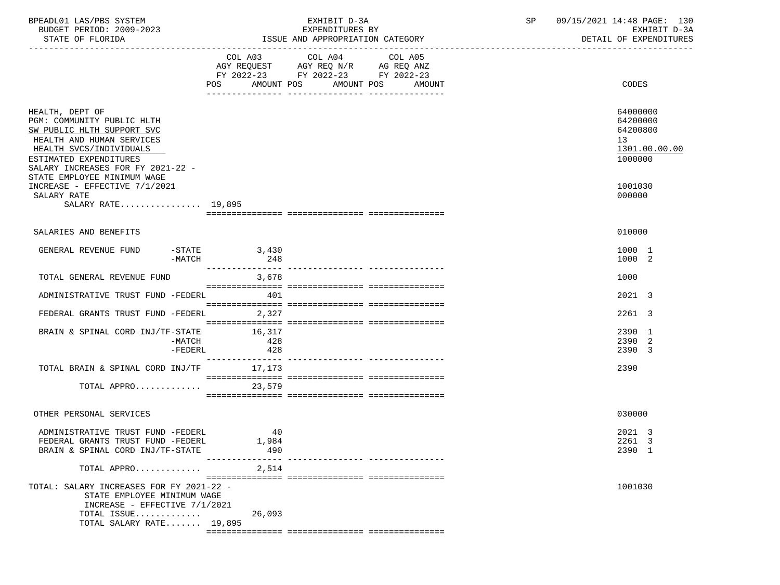| BPEADL01 LAS/PBS SYSTEM<br>BUDGET PERIOD: 2009-2023<br>STATE OF FLORIDA                                                                                                                                                           |                                         | EXHIBIT D-3A<br>EXPENDITURES BY<br>ISSUE AND APPROPRIATION CATEGORY                       |                                             | 09/15/2021 14:48 PAGE: 130<br>SP<br>EXHIBIT D-3A<br>DETAIL OF EXPENDITURES |                                                                    |  |
|-----------------------------------------------------------------------------------------------------------------------------------------------------------------------------------------------------------------------------------|-----------------------------------------|-------------------------------------------------------------------------------------------|---------------------------------------------|----------------------------------------------------------------------------|--------------------------------------------------------------------|--|
|                                                                                                                                                                                                                                   |                                         | COL A03 COL A04<br>AGY REQUEST AGY REQ N/R AG REQ ANZ<br>FY 2022-23 FY 2022-23 FY 2022-23 | COL A05<br>POS AMOUNT POS AMOUNT POS AMOUNT |                                                                            | CODES                                                              |  |
|                                                                                                                                                                                                                                   |                                         |                                                                                           |                                             |                                                                            |                                                                    |  |
| HEALTH, DEPT OF<br>PGM: COMMUNITY PUBLIC HLTH<br>SW PUBLIC HLTH SUPPORT SVC<br>HEALTH AND HUMAN SERVICES<br>HEALTH SVCS/INDIVIDUALS<br>ESTIMATED EXPENDITURES<br>SALARY INCREASES FOR FY 2021-22 -<br>STATE EMPLOYEE MINIMUM WAGE |                                         |                                                                                           |                                             |                                                                            | 64000000<br>64200000<br>64200800<br>13<br>1301.00.00.00<br>1000000 |  |
| INCREASE - EFFECTIVE 7/1/2021                                                                                                                                                                                                     |                                         |                                                                                           |                                             |                                                                            | 1001030                                                            |  |
| SALARY RATE<br>SALARY RATE 19,895                                                                                                                                                                                                 |                                         |                                                                                           |                                             |                                                                            | 000000                                                             |  |
| SALARIES AND BENEFITS                                                                                                                                                                                                             |                                         |                                                                                           |                                             |                                                                            | 010000                                                             |  |
| GENERAL REVENUE FUND<br>-MATCH                                                                                                                                                                                                    | $-STATE$ 3,430<br>248                   |                                                                                           |                                             |                                                                            | 1000 1<br>1000 2                                                   |  |
| TOTAL GENERAL REVENUE FUND                                                                                                                                                                                                        | 3,678                                   |                                                                                           |                                             |                                                                            | 1000                                                               |  |
| ADMINISTRATIVE TRUST FUND -FEDERL 401                                                                                                                                                                                             |                                         |                                                                                           |                                             |                                                                            | 2021 3                                                             |  |
| FEDERAL GRANTS TRUST FUND -FEDERL 2,327                                                                                                                                                                                           |                                         |                                                                                           |                                             |                                                                            | 2261 3                                                             |  |
| BRAIN & SPINAL CORD INJ/TF-STATE 16,317<br>-MATCH<br>$-FEDERL$                                                                                                                                                                    | 428<br>428                              |                                                                                           |                                             |                                                                            | 2390 1<br>2390 2<br>2390 3                                         |  |
| TOTAL BRAIN & SPINAL CORD INJ/TF 17,173                                                                                                                                                                                           |                                         |                                                                                           |                                             |                                                                            | 2390                                                               |  |
| TOTAL APPRO $\ldots \ldots \ldots$ 23,579                                                                                                                                                                                         |                                         |                                                                                           |                                             |                                                                            |                                                                    |  |
| OTHER PERSONAL SERVICES                                                                                                                                                                                                           |                                         |                                                                                           |                                             |                                                                            | 030000                                                             |  |
| ADMINISTRATIVE TRUST FUND -FEDERL<br>FEDERAL GRANTS TRUST FUND -FEDERL<br>BRAIN & SPINAL CORD INJ/TF-STATE                                                                                                                        | -40<br>1,984<br>490<br>---------------- |                                                                                           | -------------- ----------------             |                                                                            | 2021 3<br>2261 3<br>2390 1                                         |  |
| TOTAL APPRO                                                                                                                                                                                                                       | 2,514                                   |                                                                                           |                                             |                                                                            |                                                                    |  |
| TOTAL: SALARY INCREASES FOR FY 2021-22 -<br>STATE EMPLOYEE MINIMUM WAGE<br>INCREASE - EFFECTIVE 7/1/2021<br>TOTAL ISSUE                                                                                                           | 26,093                                  |                                                                                           |                                             |                                                                            | 1001030                                                            |  |
| TOTAL SALARY RATE 19,895                                                                                                                                                                                                          |                                         |                                                                                           |                                             |                                                                            |                                                                    |  |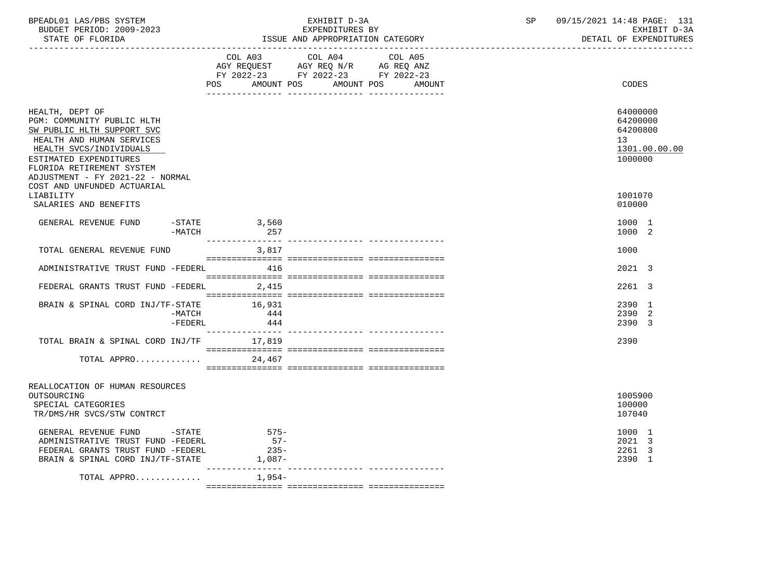| STATE OF FLORIDA                                                                                                                                              |                                     | EXPENDITURES BY<br>ISSUE AND APPROPRIATION CATEGORY                                                                                  | EXHIBIT D-3A<br>DETAIL OF EXPENDITURES                                          |
|---------------------------------------------------------------------------------------------------------------------------------------------------------------|-------------------------------------|--------------------------------------------------------------------------------------------------------------------------------------|---------------------------------------------------------------------------------|
|                                                                                                                                                               | <b>POS</b>                          | COL A03 COL A04 COL A05<br>AGY REQUEST AGY REQ N/R AG REQ ANZ<br>FY 2022-23 FY 2022-23 FY 2022-23<br>AMOUNT POS AMOUNT POS<br>AMOUNT | CODES                                                                           |
|                                                                                                                                                               |                                     |                                                                                                                                      |                                                                                 |
| HEALTH, DEPT OF<br>PGM: COMMUNITY PUBLIC HLTH<br>SW PUBLIC HLTH SUPPORT SVC<br>HEALTH AND HUMAN SERVICES<br>HEALTH SVCS/INDIVIDUALS<br>ESTIMATED EXPENDITURES |                                     |                                                                                                                                      | 64000000<br>64200000<br>64200800<br>13 <sup>°</sup><br>1301.00.00.00<br>1000000 |
| FLORIDA RETIREMENT SYSTEM<br>ADJUSTMENT - FY 2021-22 - NORMAL                                                                                                 |                                     |                                                                                                                                      |                                                                                 |
| COST AND UNFUNDED ACTUARIAL<br>LIABILITY<br>SALARIES AND BENEFITS                                                                                             |                                     |                                                                                                                                      | 1001070<br>010000                                                               |
| GENERAL REVENUE FUND -STATE 3,560<br>$-MATCH$                                                                                                                 | 257                                 |                                                                                                                                      | 1000 1<br>1000 2                                                                |
| TOTAL GENERAL REVENUE FUND                                                                                                                                    | 3,817                               |                                                                                                                                      | 1000                                                                            |
| ADMINISTRATIVE TRUST FUND -FEDERL 416                                                                                                                         |                                     |                                                                                                                                      | 2021 3                                                                          |
| FEDERAL GRANTS TRUST FUND -FEDERL 2,415                                                                                                                       |                                     |                                                                                                                                      | 2261 3                                                                          |
| BRAIN & SPINAL CORD INJ/TF-STATE 16,931<br>$-MATCH$<br>$-FEDERL$                                                                                              | 444<br>444                          |                                                                                                                                      | 2390 1<br>2390 2<br>2390 3                                                      |
| TOTAL BRAIN & SPINAL CORD INJ/TF 17,819                                                                                                                       |                                     |                                                                                                                                      | 2390                                                                            |
| TOTAL APPRO                                                                                                                                                   | 24,467                              |                                                                                                                                      |                                                                                 |
| REALLOCATION OF HUMAN RESOURCES<br>OUTSOURCING<br>SPECIAL CATEGORIES<br>TR/DMS/HR SVCS/STW CONTRCT                                                            |                                     |                                                                                                                                      | 1005900<br>100000<br>107040                                                     |
| GENERAL REVENUE FUND -STATE<br>ADMINISTRATIVE TRUST FUND -FEDERL<br>FEDERAL GRANTS TRUST FUND -FEDERL<br>BRAIN & SPINAL CORD INJ/TF-STATE                     | $575-$<br>$57-$<br>$235-$<br>1,087- |                                                                                                                                      | 1000 1<br>2021 3<br>2261 3<br>2390 1                                            |
| TOTAL APPRO                                                                                                                                                   | 1,954-                              |                                                                                                                                      |                                                                                 |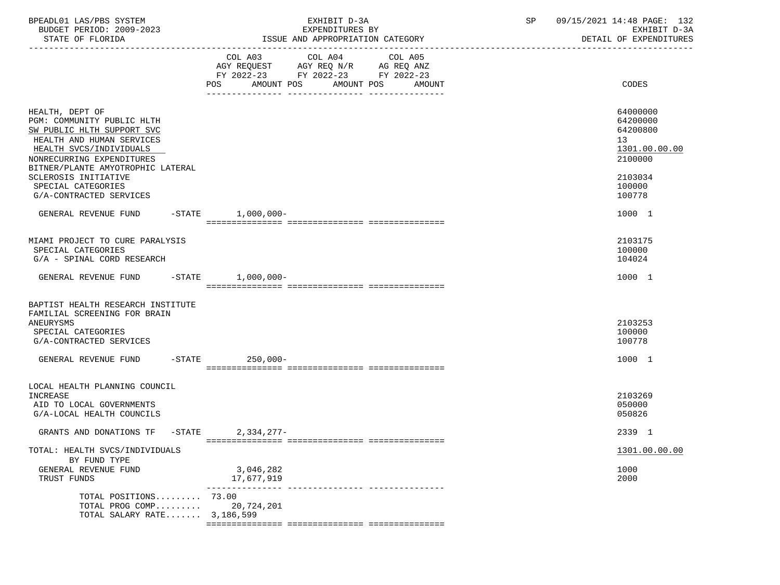| BPEADL01 LAS/PBS SYSTEM<br>BUDGET PERIOD: 2009-2023<br>STATE OF FLORIDA                                  | EXHIBIT D-3A<br>EXPENDITURES BY<br>ISSUE AND APPROPRIATION CATEGORY                                                                         | 09/15/2021 14:48 PAGE: 132<br>SP<br>EXHIBIT D-3A<br>DETAIL OF EXPENDITURES |
|----------------------------------------------------------------------------------------------------------|---------------------------------------------------------------------------------------------------------------------------------------------|----------------------------------------------------------------------------|
|                                                                                                          | COL A03 COL A04 COL A05<br>AGY REQUEST AGY REQ N/R AG REQ ANZ<br>FY 2022-23 FY 2022-23 FY 2022-23<br>AMOUNT POS AMOUNT POS<br>POS<br>AMOUNT | CODES                                                                      |
|                                                                                                          |                                                                                                                                             |                                                                            |
| HEALTH, DEPT OF<br>PGM: COMMUNITY PUBLIC HLTH<br>SW PUBLIC HLTH SUPPORT SVC<br>HEALTH AND HUMAN SERVICES |                                                                                                                                             | 64000000<br>64200000<br>64200800<br>13                                     |
| HEALTH SVCS/INDIVIDUALS<br>NONRECURRING EXPENDITURES<br>BITNER/PLANTE AMYOTROPHIC LATERAL                |                                                                                                                                             | 1301.00.00.00<br>2100000                                                   |
| SCLEROSIS INITIATIVE<br>SPECIAL CATEGORIES<br>G/A-CONTRACTED SERVICES                                    |                                                                                                                                             | 2103034<br>100000<br>100778                                                |
| GENERAL REVENUE FUND                                                                                     | $-$ STATE<br>$1,000,000-$                                                                                                                   | 1000 1                                                                     |
| MIAMI PROJECT TO CURE PARALYSIS<br>SPECIAL CATEGORIES<br>G/A - SPINAL CORD RESEARCH                      |                                                                                                                                             | 2103175<br>100000<br>104024                                                |
| GENERAL REVENUE FUND -STATE 1,000,000-                                                                   |                                                                                                                                             | 1000 1                                                                     |
| BAPTIST HEALTH RESEARCH INSTITUTE<br>FAMILIAL SCREENING FOR BRAIN                                        |                                                                                                                                             |                                                                            |
| ANEURYSMS<br>SPECIAL CATEGORIES<br>G/A-CONTRACTED SERVICES                                               |                                                                                                                                             | 2103253<br>100000<br>100778                                                |
| GENERAL REVENUE FUND                                                                                     | -STATE 250,000-                                                                                                                             | 1000 1                                                                     |
| LOCAL HEALTH PLANNING COUNCIL                                                                            |                                                                                                                                             |                                                                            |
| INCREASE<br>AID TO LOCAL GOVERNMENTS<br>G/A-LOCAL HEALTH COUNCILS                                        |                                                                                                                                             | 2103269<br>050000<br>050826                                                |
| GRANTS AND DONATIONS TF -STATE 2,334,277-                                                                |                                                                                                                                             | 2339 1                                                                     |
| TOTAL: HEALTH SVCS/INDIVIDUALS<br>BY FUND TYPE                                                           |                                                                                                                                             | 1301.00.00.00                                                              |
| GENERAL REVENUE FUND<br>TRUST FUNDS                                                                      | 3,046,282<br>17,677,919<br>-------------- -----------                                                                                       | 1000<br>2000                                                               |
| TOTAL POSITIONS 73.00<br>TOTAL PROG COMP<br>TOTAL SALARY RATE 3,186,599                                  | 20,724,201                                                                                                                                  |                                                                            |

=============== =============== ===============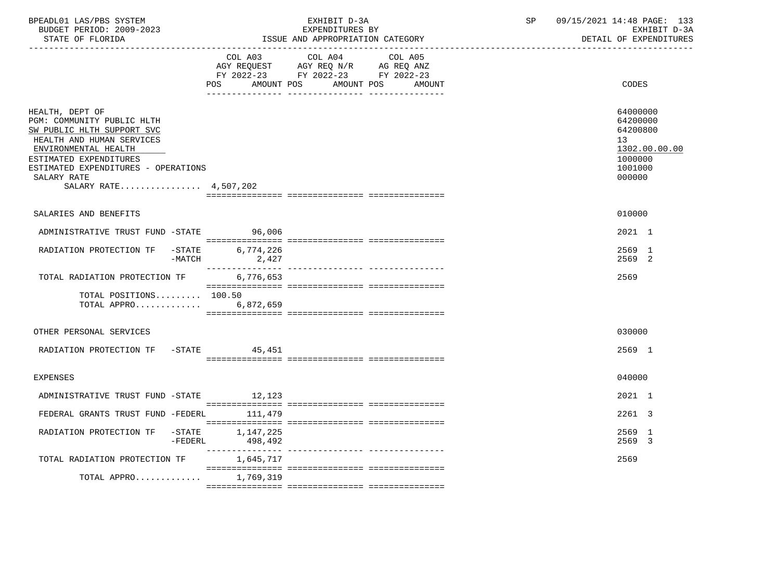| BPEADL01 LAS/PBS SYSTEM  | EXHIBIT D-3A                     | 09/15/2021 14:48 PAGE: 133 |
|--------------------------|----------------------------------|----------------------------|
| BUDGET PERIOD: 2009-2023 | EXPENDITURES BY                  | EXHIBIT D-3A               |
| STATE OF FLORIDA         | ISSUE AND APPROPRIATION CATEGORY | DETAIL OF EXPENDITURES     |

|                                                                                                                                                                                                                                           | COL A03<br>AMOUNT POS<br>POS FOR                                                                                                                                                                                                                                                                                                                                                                                                                 | COL A04<br>AGY REQUEST AGY REQ N/R AG REQ ANZ<br>FY 2022-23 FY 2022-23 FY 2022-23 | COL A05<br>AMOUNT POS | AMOUNT | CODES                                                                                   |
|-------------------------------------------------------------------------------------------------------------------------------------------------------------------------------------------------------------------------------------------|--------------------------------------------------------------------------------------------------------------------------------------------------------------------------------------------------------------------------------------------------------------------------------------------------------------------------------------------------------------------------------------------------------------------------------------------------|-----------------------------------------------------------------------------------|-----------------------|--------|-----------------------------------------------------------------------------------------|
| HEALTH, DEPT OF<br>PGM: COMMUNITY PUBLIC HLTH<br>SW PUBLIC HLTH SUPPORT SVC<br>HEALTH AND HUMAN SERVICES<br>ENVIRONMENTAL HEALTH<br>ESTIMATED EXPENDITURES<br>ESTIMATED EXPENDITURES - OPERATIONS<br>SALARY RATE<br>SALARY RATE 4,507,202 |                                                                                                                                                                                                                                                                                                                                                                                                                                                  |                                                                                   |                       |        | 64000000<br>64200000<br>64200800<br>13<br>1302.00.00.00<br>1000000<br>1001000<br>000000 |
|                                                                                                                                                                                                                                           |                                                                                                                                                                                                                                                                                                                                                                                                                                                  |                                                                                   |                       |        |                                                                                         |
| SALARIES AND BENEFITS                                                                                                                                                                                                                     |                                                                                                                                                                                                                                                                                                                                                                                                                                                  |                                                                                   |                       |        | 010000                                                                                  |
| ADMINISTRATIVE TRUST FUND -STATE                                                                                                                                                                                                          | 96,006                                                                                                                                                                                                                                                                                                                                                                                                                                           |                                                                                   |                       |        | 2021 1                                                                                  |
| RADIATION PROTECTION TF<br>$-\mathtt{STATE}$<br>$-MATCH$                                                                                                                                                                                  | 6,774,226<br>2,427<br>________________                                                                                                                                                                                                                                                                                                                                                                                                           |                                                                                   |                       |        | 2569 1<br>2569 2                                                                        |
| TOTAL RADIATION PROTECTION TF                                                                                                                                                                                                             | 6,776,653                                                                                                                                                                                                                                                                                                                                                                                                                                        |                                                                                   |                       |        | 2569                                                                                    |
| TOTAL POSITIONS 100.50<br>TOTAL APPRO 6,872,659                                                                                                                                                                                           |                                                                                                                                                                                                                                                                                                                                                                                                                                                  |                                                                                   |                       |        |                                                                                         |
| OTHER PERSONAL SERVICES                                                                                                                                                                                                                   |                                                                                                                                                                                                                                                                                                                                                                                                                                                  |                                                                                   |                       |        | 030000                                                                                  |
| RADIATION PROTECTION TF                                                                                                                                                                                                                   | $-$ STATE<br>45,451                                                                                                                                                                                                                                                                                                                                                                                                                              |                                                                                   |                       |        | 2569 1                                                                                  |
| EXPENSES                                                                                                                                                                                                                                  |                                                                                                                                                                                                                                                                                                                                                                                                                                                  |                                                                                   |                       |        | 040000                                                                                  |
| ADMINISTRATIVE TRUST FUND -STATE 12,123                                                                                                                                                                                                   |                                                                                                                                                                                                                                                                                                                                                                                                                                                  |                                                                                   |                       |        | $2021$ 1                                                                                |
| FEDERAL GRANTS TRUST FUND -FEDERL                                                                                                                                                                                                         | 111,479                                                                                                                                                                                                                                                                                                                                                                                                                                          |                                                                                   |                       |        | 2261 3                                                                                  |
| RADIATION PROTECTION TF -STATE<br>-FEDERL                                                                                                                                                                                                 | 1,147,225<br>498,492                                                                                                                                                                                                                                                                                                                                                                                                                             |                                                                                   |                       |        | 2569 1<br>2569 3                                                                        |
| TOTAL RADIATION PROTECTION TF                                                                                                                                                                                                             | 1,645,717<br>$\begin{minipage}{0.03\textwidth} \begin{tabular}{l} \textbf{1} & \textbf{2} & \textbf{3} & \textbf{5} & \textbf{5} & \textbf{6} & \textbf{6} & \textbf{7} & \textbf{8} & \textbf{8} & \textbf{9} & \textbf{9} & \textbf{9} & \textbf{9} & \textbf{9} & \textbf{9} & \textbf{9} & \textbf{9} & \textbf{9} & \textbf{9} & \textbf{9} & \textbf{9} & \textbf{9} & \textbf{9} & \textbf{9} & \textbf{9} & \textbf{9} & \textbf{9} & \$ |                                                                                   |                       |        | 2569                                                                                    |
| TOTAL APPRO                                                                                                                                                                                                                               | 1,769,319                                                                                                                                                                                                                                                                                                                                                                                                                                        |                                                                                   |                       |        |                                                                                         |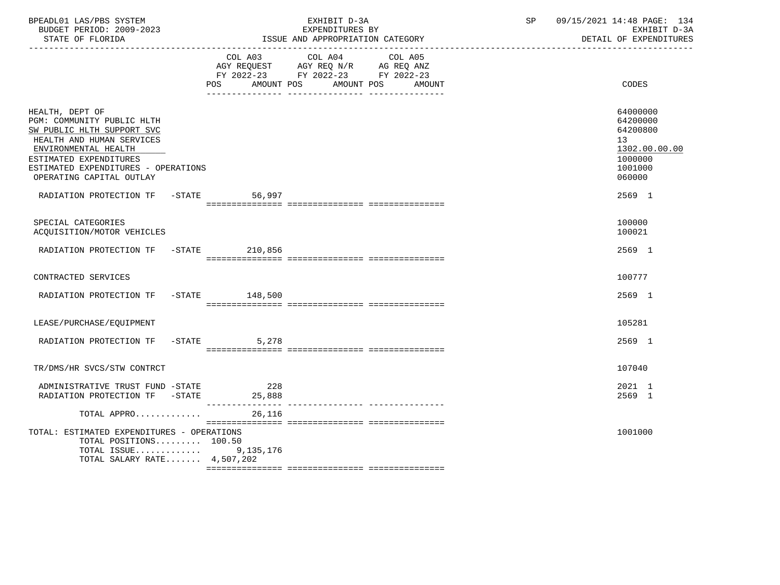| BPEADL01 LAS/PBS SYSTEM<br>BUDGET PERIOD: 2009-2023<br>STATE OF FLORIDA                                                                                                                                                       |                    | EXHIBIT D-3A<br>EXPENDITURES BY<br>ISSUE AND APPROPRIATION CATEGORY                                                       | $\operatorname{SP}$ | 09/15/2021 14:48 PAGE: 134<br>EXHIBIT D-3A<br>DETAIL OF EXPENDITURES                    |
|-------------------------------------------------------------------------------------------------------------------------------------------------------------------------------------------------------------------------------|--------------------|---------------------------------------------------------------------------------------------------------------------------|---------------------|-----------------------------------------------------------------------------------------|
|                                                                                                                                                                                                                               | AMOUNT POS<br>POS  | COL A03 COL A04 COL A05<br>AGY REQUEST AGY REQ N/R AG REQ ANZ<br>FY 2022-23 FY 2022-23 FY 2022-23<br>AMOUNT POS<br>AMOUNT |                     | CODES                                                                                   |
| HEALTH, DEPT OF<br>PGM: COMMUNITY PUBLIC HLTH<br>SW PUBLIC HLTH SUPPORT SVC<br>HEALTH AND HUMAN SERVICES<br>ENVIRONMENTAL HEALTH<br>ESTIMATED EXPENDITURES<br>ESTIMATED EXPENDITURES - OPERATIONS<br>OPERATING CAPITAL OUTLAY |                    |                                                                                                                           |                     | 64000000<br>64200000<br>64200800<br>13<br>1302.00.00.00<br>1000000<br>1001000<br>060000 |
| RADIATION PROTECTION TF -STATE                                                                                                                                                                                                | 56,997             |                                                                                                                           |                     | 2569 1                                                                                  |
| SPECIAL CATEGORIES<br>ACQUISITION/MOTOR VEHICLES                                                                                                                                                                              |                    |                                                                                                                           |                     | 100000<br>100021                                                                        |
| RADIATION PROTECTION TF -STATE 210,856                                                                                                                                                                                        |                    |                                                                                                                           |                     | 2569 1                                                                                  |
| CONTRACTED SERVICES                                                                                                                                                                                                           |                    |                                                                                                                           |                     | 100777                                                                                  |
| RADIATION PROTECTION TF -STATE 148,500                                                                                                                                                                                        |                    |                                                                                                                           |                     | 2569 1                                                                                  |
| LEASE/PURCHASE/EQUIPMENT                                                                                                                                                                                                      |                    |                                                                                                                           |                     | 105281                                                                                  |
| RADIATION PROTECTION TF                                                                                                                                                                                                       | $-$ STATE<br>5,278 |                                                                                                                           |                     | 2569 1                                                                                  |
| TR/DMS/HR SVCS/STW CONTRCT                                                                                                                                                                                                    |                    |                                                                                                                           |                     | 107040                                                                                  |
| ADMINISTRATIVE TRUST FUND -STATE<br>RADIATION PROTECTION TF -STATE 25,888                                                                                                                                                     | 228                |                                                                                                                           |                     | 2021 1<br>2569 1                                                                        |
| TOTAL APPRO                                                                                                                                                                                                                   | 26,116             |                                                                                                                           |                     |                                                                                         |
| TOTAL: ESTIMATED EXPENDITURES - OPERATIONS<br>TOTAL POSITIONS 100.50<br>TOTAL ISSUE $9,135,176$<br>TOTAL SALARY RATE $4,507,202$                                                                                              |                    |                                                                                                                           |                     | 1001000                                                                                 |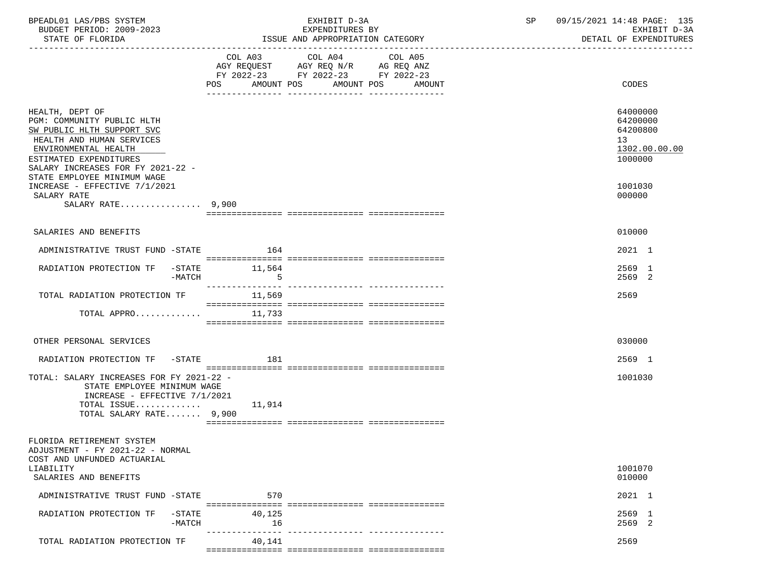| BPEADL01 LAS/PBS SYSTEM<br>BUDGET PERIOD: 2009-2023                                                                                                                                             |              | EXHIBIT D-3A<br>EXPENDITURES BY                                                                                                          | 09/15/2021 14:48 PAGE: 135<br>SP<br>EXHIBIT D-3A                   |
|-------------------------------------------------------------------------------------------------------------------------------------------------------------------------------------------------|--------------|------------------------------------------------------------------------------------------------------------------------------------------|--------------------------------------------------------------------|
| STATE OF FLORIDA                                                                                                                                                                                |              | ISSUE AND APPROPRIATION CATEGORY                                                                                                         | DETAIL OF EXPENDITURES                                             |
|                                                                                                                                                                                                 |              | COL A03 COL A04<br>COL A05<br>AGY REQUEST AGY REQ N/R AG REQ ANZ<br>FY 2022-23 FY 2022-23 FY 2022-23<br>POS AMOUNT POS AMOUNT POS AMOUNT | CODES                                                              |
| HEALTH, DEPT OF<br>PGM: COMMUNITY PUBLIC HLTH<br>SW PUBLIC HLTH SUPPORT SVC<br>HEALTH AND HUMAN SERVICES<br>ENVIRONMENTAL HEALTH<br>ESTIMATED EXPENDITURES<br>SALARY INCREASES FOR FY 2021-22 - |              |                                                                                                                                          | 64000000<br>64200000<br>64200800<br>13<br>1302.00.00.00<br>1000000 |
| STATE EMPLOYEE MINIMUM WAGE<br>INCREASE - EFFECTIVE 7/1/2021<br>SALARY RATE<br>SALARY RATE $9.900$                                                                                              |              |                                                                                                                                          | 1001030<br>000000                                                  |
|                                                                                                                                                                                                 |              |                                                                                                                                          |                                                                    |
| SALARIES AND BENEFITS                                                                                                                                                                           |              |                                                                                                                                          | 010000                                                             |
| ADMINISTRATIVE TRUST FUND -STATE                                                                                                                                                                | 164          |                                                                                                                                          | 2021 1                                                             |
| RADIATION PROTECTION TF -STATE 11,564<br>$-MATCH$                                                                                                                                               | $5^{\circ}$  |                                                                                                                                          | 2569 1<br>2569 2                                                   |
| TOTAL RADIATION PROTECTION TF                                                                                                                                                                   | 11,569       |                                                                                                                                          | 2569                                                               |
| TOTAL APPRO $11,733$                                                                                                                                                                            |              |                                                                                                                                          |                                                                    |
| OTHER PERSONAL SERVICES                                                                                                                                                                         |              |                                                                                                                                          | 030000                                                             |
| RADIATION PROTECTION TF -STATE 181                                                                                                                                                              |              |                                                                                                                                          | 2569 1                                                             |
| TOTAL: SALARY INCREASES FOR FY 2021-22 -<br>STATE EMPLOYEE MINIMUM WAGE<br>INCREASE - EFFECTIVE 7/1/2021<br>TOTAL ISSUE $11,914$<br>TOTAL SALARY RATE 9,900                                     |              |                                                                                                                                          | 1001030                                                            |
| FLORIDA RETIREMENT SYSTEM<br>ADJUSTMENT - FY 2021-22 - NORMAL<br>COST AND UNFUNDED ACTUARIAL                                                                                                    |              |                                                                                                                                          |                                                                    |
| LIABILITY<br>SALARIES AND BENEFITS                                                                                                                                                              |              |                                                                                                                                          | 1001070<br>010000                                                  |
| ADMINISTRATIVE TRUST FUND -STATE                                                                                                                                                                | 570          |                                                                                                                                          | 2021 1                                                             |
| -STATE<br>RADIATION PROTECTION TF<br>$-MATCH$                                                                                                                                                   | 40,125<br>16 |                                                                                                                                          | 2569 1<br>2569 2                                                   |
| TOTAL RADIATION PROTECTION TF                                                                                                                                                                   | 40,141       |                                                                                                                                          | 2569                                                               |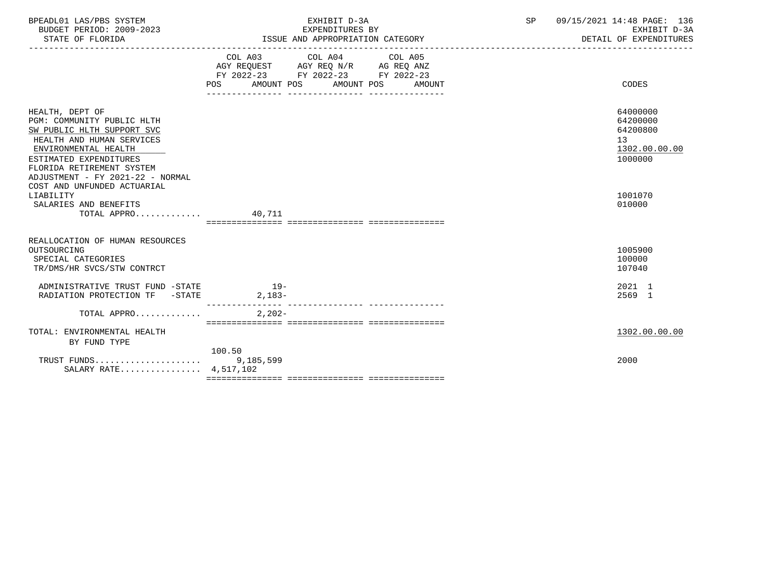| BPEADL01 LAS/PBS SYSTEM<br>BUDGET PERIOD: 2009-2023<br>STATE OF FLORIDA                                                                                                                                                     | EXHIBIT D-3A<br>EXPENDITURES BY<br>ISSUE AND APPROPRIATION CATEGORY                                                                                | 09/15/2021 14:48 PAGE: 136<br>SP<br>EXHIBIT D-3A<br>DETAIL OF EXPENDITURES |
|-----------------------------------------------------------------------------------------------------------------------------------------------------------------------------------------------------------------------------|----------------------------------------------------------------------------------------------------------------------------------------------------|----------------------------------------------------------------------------|
|                                                                                                                                                                                                                             | COL A03 COL A04 COL A05<br>AGY REQUEST AGY REQ N/R AG REQ ANZ<br>FY 2022-23 FY 2022-23 FY 2022-23<br><b>POS</b><br>AMOUNT POS AMOUNT POS<br>AMOUNT | CODES                                                                      |
| HEALTH, DEPT OF<br>PGM: COMMUNITY PUBLIC HLTH<br>SW PUBLIC HLTH SUPPORT SVC<br>HEALTH AND HUMAN SERVICES<br>ENVIRONMENTAL HEALTH<br>ESTIMATED EXPENDITURES<br>FLORIDA RETIREMENT SYSTEM<br>ADJUSTMENT - FY 2021-22 - NORMAL |                                                                                                                                                    | 64000000<br>64200000<br>64200800<br>13<br>1302.00.00.00<br>1000000         |
| COST AND UNFUNDED ACTUARIAL<br>LIABILITY<br>SALARIES AND BENEFITS<br>TOTAL APPRO $40,711$                                                                                                                                   |                                                                                                                                                    | 1001070<br>010000                                                          |
| REALLOCATION OF HUMAN RESOURCES<br>OUTSOURCING<br>SPECIAL CATEGORIES<br>TR/DMS/HR SVCS/STW CONTRCT                                                                                                                          |                                                                                                                                                    | 1005900<br>100000<br>107040                                                |
| ADMINISTRATIVE TRUST FUND -STATE<br>RADIATION PROTECTION TF -STATE                                                                                                                                                          | $19-$<br>$2,183-$                                                                                                                                  | 2021 1<br>2569 1                                                           |
| TOTAL APPRO                                                                                                                                                                                                                 | $2,202-$                                                                                                                                           |                                                                            |
| TOTAL: ENVIRONMENTAL HEALTH<br>BY FUND TYPE                                                                                                                                                                                 | 100.50                                                                                                                                             | 1302.00.00.00                                                              |
| SALARY RATE 4,517,102                                                                                                                                                                                                       |                                                                                                                                                    | 2000                                                                       |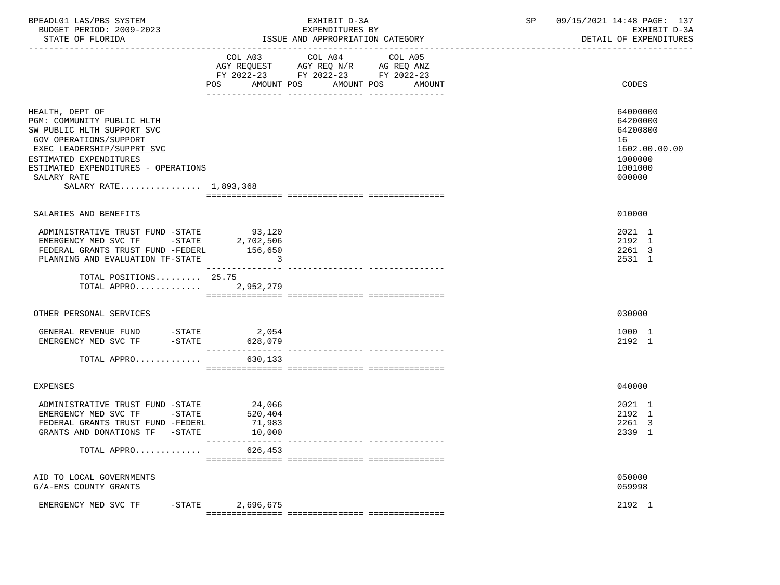| BPEADL01 LAS/PBS SYSTEM<br>BUDGET PERIOD: 2009-2023<br>STATE OF FLORIDA                                                                                                                                                                             |                                       | EXHIBIT D-3A<br>EXPENDITURES BY<br>ISSUE AND APPROPRIATION CATEGORY                                                                | SP | 09/15/2021 14:48 PAGE: 137<br>EXHIBIT D-3A<br>DETAIL OF EXPENDITURES                    |
|-----------------------------------------------------------------------------------------------------------------------------------------------------------------------------------------------------------------------------------------------------|---------------------------------------|------------------------------------------------------------------------------------------------------------------------------------|----|-----------------------------------------------------------------------------------------|
|                                                                                                                                                                                                                                                     | AMOUNT POS<br><b>POS</b>              | COL A03 COL A04 COL A05<br>AGY REQUEST AGY REQ $N/R$ AG REQ ANZ<br>FY 2022-23 FY 2022-23 FY 2022-23<br>AMOUNT POS<br><b>AMOUNT</b> |    | CODES                                                                                   |
| HEALTH, DEPT OF<br>PGM: COMMUNITY PUBLIC HLTH<br>SW PUBLIC HLTH SUPPORT SVC<br><b>GOV OPERATIONS/SUPPORT</b><br>EXEC LEADERSHIP/SUPPRT SVC<br>ESTIMATED EXPENDITURES<br>ESTIMATED EXPENDITURES - OPERATIONS<br>SALARY RATE<br>SALARY RATE 1,893,368 |                                       |                                                                                                                                    |    | 64000000<br>64200000<br>64200800<br>16<br>1602.00.00.00<br>1000000<br>1001000<br>000000 |
| SALARIES AND BENEFITS                                                                                                                                                                                                                               |                                       |                                                                                                                                    |    | 010000                                                                                  |
| ADMINISTRATIVE TRUST FUND -STATE 93,120<br>EMERGENCY MED SVC TF $-$ STATE 2,702,506<br>FEDERAL GRANTS TRUST FUND -FEDERL<br>PLANNING AND EVALUATION TF-STATE                                                                                        | 156,650<br>$\sim$ 3                   |                                                                                                                                    |    | 2021 1<br>2192 1<br>2261 3<br>2531 1                                                    |
| TOTAL POSITIONS 25.75<br>TOTAL APPRO 2,952,279                                                                                                                                                                                                      |                                       |                                                                                                                                    |    |                                                                                         |
| OTHER PERSONAL SERVICES                                                                                                                                                                                                                             |                                       |                                                                                                                                    |    | 030000                                                                                  |
| GENERAL REVENUE FUND -STATE 2,054<br>$-$ STATE<br>EMERGENCY MED SVC TF                                                                                                                                                                              | 628,079                               |                                                                                                                                    |    | 1000 1<br>2192 1                                                                        |
| TOTAL APPRO                                                                                                                                                                                                                                         | 630,133                               |                                                                                                                                    |    |                                                                                         |
| <b>EXPENSES</b>                                                                                                                                                                                                                                     |                                       |                                                                                                                                    |    | 040000                                                                                  |
| ADMINISTRATIVE TRUST FUND -STATE<br>EMERGENCY MED SVC TF -STATE<br>FEDERAL GRANTS TRUST FUND -FEDERL<br>GRANTS AND DONATIONS TF -STATE                                                                                                              | 24,066<br>520,404<br>71,983<br>10,000 |                                                                                                                                    |    | 2021 1<br>2192 1<br>2261 3<br>2339 1                                                    |
| TOTAL APPRO                                                                                                                                                                                                                                         | 626,453                               |                                                                                                                                    |    |                                                                                         |
| AID TO LOCAL GOVERNMENTS<br>G/A-EMS COUNTY GRANTS                                                                                                                                                                                                   |                                       |                                                                                                                                    |    | 050000<br>059998                                                                        |
| EMERGENCY MED SVC TF<br>-STATE                                                                                                                                                                                                                      | 2,696,675                             |                                                                                                                                    |    | 2192 1                                                                                  |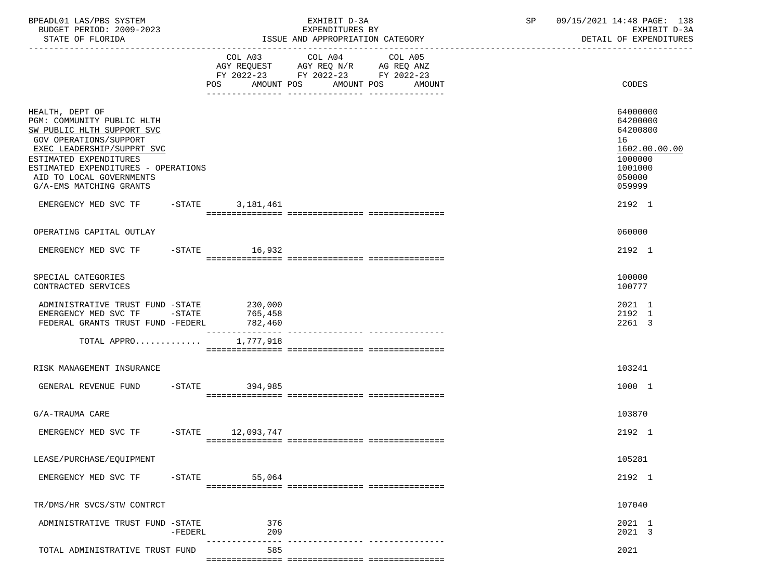| BPEADL01 LAS/PBS SYSTEM<br>BUDGET PERIOD: 2009-2023<br>STATE OF FLORIDA                                                                                                                                                                                     |           |            | EXHIBIT D-3A<br>EXPENDITURES BY<br>ISSUE AND APPROPRIATION CATEGORY                                                                      | 09/15/2021 14:48 PAGE: 138<br>SP<br>EXHIBIT D-3A<br>DETAIL OF EXPENDITURES                        |
|-------------------------------------------------------------------------------------------------------------------------------------------------------------------------------------------------------------------------------------------------------------|-----------|------------|------------------------------------------------------------------------------------------------------------------------------------------|---------------------------------------------------------------------------------------------------|
|                                                                                                                                                                                                                                                             |           |            | COL A03 COL A04<br>COL A05<br>AGY REQUEST AGY REQ N/R AG REQ ANZ<br>FY 2022-23 FY 2022-23 FY 2022-23<br>POS AMOUNT POS AMOUNT POS AMOUNT | CODES                                                                                             |
| HEALTH, DEPT OF<br>PGM: COMMUNITY PUBLIC HLTH<br>SW PUBLIC HLTH SUPPORT SVC<br>GOV OPERATIONS/SUPPORT<br>EXEC LEADERSHIP/SUPPRT SVC<br>ESTIMATED EXPENDITURES<br>ESTIMATED EXPENDITURES - OPERATIONS<br>AID TO LOCAL GOVERNMENTS<br>G/A-EMS MATCHING GRANTS |           |            |                                                                                                                                          | 64000000<br>64200000<br>64200800<br>16<br>1602.00.00.00<br>1000000<br>1001000<br>050000<br>059999 |
| EMERGENCY MED SVC TF -STATE 3,181,461                                                                                                                                                                                                                       |           |            |                                                                                                                                          | 2192 1                                                                                            |
| OPERATING CAPITAL OUTLAY                                                                                                                                                                                                                                    |           |            |                                                                                                                                          | 060000                                                                                            |
| EMERGENCY MED SVC TF -STATE 16,932                                                                                                                                                                                                                          |           |            |                                                                                                                                          | 2192 1                                                                                            |
| SPECIAL CATEGORIES<br>CONTRACTED SERVICES                                                                                                                                                                                                                   |           |            |                                                                                                                                          | 100000<br>100777                                                                                  |
| ADMINISTRATIVE TRUST FUND -STATE 230,000<br>EMERGENCY MED SVC TF -STATE 765,458<br>FEDERAL GRANTS TRUST FUND -FEDERL                                                                                                                                        |           | 782,460    |                                                                                                                                          | 2021 1<br>2192 1<br>2261 3                                                                        |
| TOTAL APPRO $1,777,918$                                                                                                                                                                                                                                     |           |            |                                                                                                                                          |                                                                                                   |
| RISK MANAGEMENT INSURANCE                                                                                                                                                                                                                                   |           |            |                                                                                                                                          | 103241                                                                                            |
| GENERAL REVENUE FUND -STATE 394,985                                                                                                                                                                                                                         |           |            |                                                                                                                                          | 1000 1                                                                                            |
| G/A-TRAUMA CARE                                                                                                                                                                                                                                             |           |            |                                                                                                                                          | 103870                                                                                            |
| EMERGENCY MED SVC TF -STATE 12,093,747                                                                                                                                                                                                                      |           |            |                                                                                                                                          | 2192 1                                                                                            |
| LEASE/PURCHASE/EQUIPMENT                                                                                                                                                                                                                                    |           |            |                                                                                                                                          | 105281                                                                                            |
| EMERGENCY MED SVC TF                                                                                                                                                                                                                                        | $-$ STATE | 55,064     |                                                                                                                                          | 2192 1                                                                                            |
| TR/DMS/HR SVCS/STW CONTRCT                                                                                                                                                                                                                                  |           |            |                                                                                                                                          | 107040                                                                                            |
| ADMINISTRATIVE TRUST FUND -STATE                                                                                                                                                                                                                            | -FEDERL   | 376<br>209 |                                                                                                                                          | 2021 1<br>2021 3                                                                                  |
| TOTAL ADMINISTRATIVE TRUST FUND                                                                                                                                                                                                                             |           | 585        |                                                                                                                                          | 2021                                                                                              |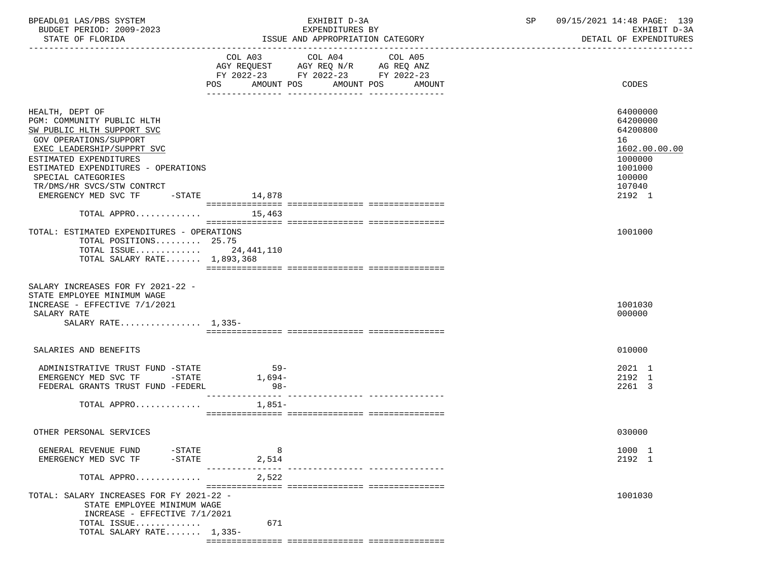| BPEADL01 LAS/PBS SYSTEM<br>BUDGET PERIOD: 2009-2023<br>STATE OF FLORIDA                                                                                                                                                                                                                        | EXHIBIT D-3A<br>EXPENDITURES BY<br>ISSUE AND APPROPRIATION CATEGORY    | 09/15/2021 14:48 PAGE: 139<br>SP<br>EXHIBIT D-3A<br>DETAIL OF EXPENDITURES                                  |
|------------------------------------------------------------------------------------------------------------------------------------------------------------------------------------------------------------------------------------------------------------------------------------------------|------------------------------------------------------------------------|-------------------------------------------------------------------------------------------------------------|
|                                                                                                                                                                                                                                                                                                | COL A03 COL A04<br>COL A05                                             |                                                                                                             |
|                                                                                                                                                                                                                                                                                                | AGY REQUEST AGY REQ N/R AG REQ ANZ<br>FY 2022-23 FY 2022-23 FY 2022-23 |                                                                                                             |
|                                                                                                                                                                                                                                                                                                | POS AMOUNT POS AMOUNT POS<br>AMOUNT                                    | CODES                                                                                                       |
| HEALTH, DEPT OF<br>PGM: COMMUNITY PUBLIC HLTH<br>SW PUBLIC HLTH SUPPORT SVC<br>GOV OPERATIONS/SUPPORT<br>EXEC LEADERSHIP/SUPPRT SVC<br>ESTIMATED EXPENDITURES<br>ESTIMATED EXPENDITURES - OPERATIONS<br>SPECIAL CATEGORIES<br>TR/DMS/HR SVCS/STW CONTRCT<br>EMERGENCY MED SVC TF -STATE 14,878 |                                                                        | 64000000<br>64200000<br>64200800<br>16<br>1602.00.00.00<br>1000000<br>1001000<br>100000<br>107040<br>2192 1 |
| TOTAL APPRO $15,463$                                                                                                                                                                                                                                                                           |                                                                        |                                                                                                             |
| TOTAL: ESTIMATED EXPENDITURES - OPERATIONS<br>TOTAL POSITIONS 25.75<br>TOTAL ISSUE $24,441,110$<br>TOTAL SALARY RATE 1,893,368                                                                                                                                                                 |                                                                        | 1001000                                                                                                     |
| SALARY INCREASES FOR FY 2021-22 -<br>STATE EMPLOYEE MINIMUM WAGE<br>INCREASE - EFFECTIVE 7/1/2021<br>SALARY RATE<br>SALARY RATE 1,335-                                                                                                                                                         |                                                                        | 1001030<br>000000                                                                                           |
| SALARIES AND BENEFITS                                                                                                                                                                                                                                                                          |                                                                        | 010000                                                                                                      |
| ADMINISTRATIVE TRUST FUND -STATE<br>EMERGENCY MED SVC TF -STATE<br>FEDERAL GRANTS TRUST FUND -FEDERL<br>TOTAL APPRO                                                                                                                                                                            | 59-<br>1,694–<br>$98-$<br>1,851–                                       | 2021 1<br>2192 1<br>2261 3                                                                                  |
|                                                                                                                                                                                                                                                                                                |                                                                        |                                                                                                             |
| OTHER PERSONAL SERVICES                                                                                                                                                                                                                                                                        |                                                                        | 030000                                                                                                      |
| $-$ STATE<br>GENERAL REVENUE FUND<br>EMERGENCY MED SVC TF<br>$-STATE$                                                                                                                                                                                                                          | 8<br>2,514                                                             | 1000 1<br>2192 1                                                                                            |
| TOTAL APPRO                                                                                                                                                                                                                                                                                    | 2,522                                                                  |                                                                                                             |
| TOTAL: SALARY INCREASES FOR FY 2021-22 -<br>STATE EMPLOYEE MINIMUM WAGE<br>INCREASE - EFFECTIVE 7/1/2021<br>TOTAL ISSUE<br>TOTAL SALARY RATE 1,335-                                                                                                                                            | 671                                                                    | 1001030                                                                                                     |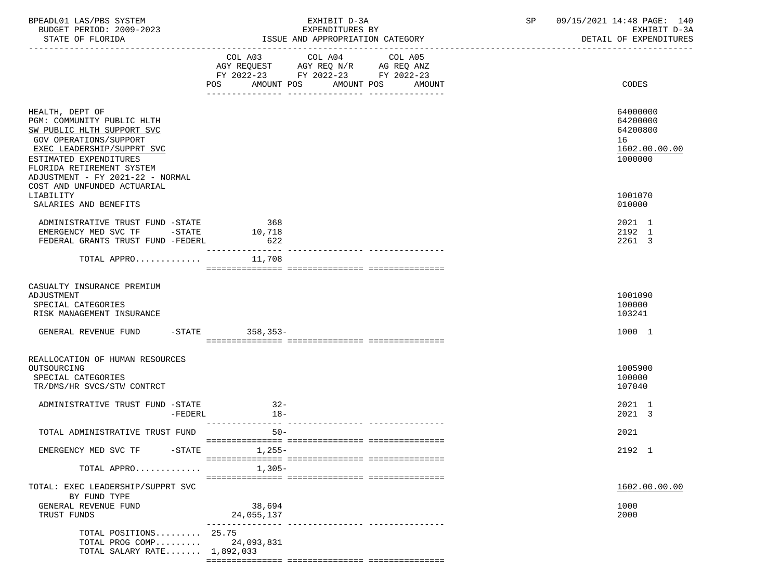| BPEADL01 LAS/PBS SYSTEM<br>BUDGET PERIOD: 2009-2023                                                                                                                                                                                                           | EXHIBIT D-3A<br>EXPENDITURES BY                                                                                                          | 09/15/2021 14:48 PAGE: 140<br>SP<br>EXHIBIT D-3A                   |
|---------------------------------------------------------------------------------------------------------------------------------------------------------------------------------------------------------------------------------------------------------------|------------------------------------------------------------------------------------------------------------------------------------------|--------------------------------------------------------------------|
|                                                                                                                                                                                                                                                               |                                                                                                                                          | DETAIL OF EXPENDITURES                                             |
|                                                                                                                                                                                                                                                               | COL A03 COL A04<br>COL A05<br>AGY REQUEST AGY REQ N/R AG REQ ANZ<br>FY 2022-23 FY 2022-23 FY 2022-23<br>POS AMOUNT POS AMOUNT POS AMOUNT | CODES                                                              |
| HEALTH, DEPT OF<br>PGM: COMMUNITY PUBLIC HLTH<br>SW PUBLIC HLTH SUPPORT SVC<br>GOV OPERATIONS/SUPPORT<br>EXEC LEADERSHIP/SUPPRT SVC<br>ESTIMATED EXPENDITURES<br>FLORIDA RETIREMENT SYSTEM<br>ADJUSTMENT - FY 2021-22 - NORMAL<br>COST AND UNFUNDED ACTUARIAL |                                                                                                                                          | 64000000<br>64200000<br>64200800<br>16<br>1602.00.00.00<br>1000000 |
| LIABILITY<br>SALARIES AND BENEFITS                                                                                                                                                                                                                            |                                                                                                                                          | 1001070<br>010000                                                  |
| ADMINISTRATIVE TRUST FUND -STATE 368<br>EMERGENCY MED SVC TF -STATE<br>FEDERAL GRANTS TRUST FUND -FEDERL                                                                                                                                                      | 10,718<br>622<br>________________                                                                                                        | 2021 1<br>2192 1<br>2261 3                                         |
| TOTAL APPRO                                                                                                                                                                                                                                                   | 11,708                                                                                                                                   |                                                                    |
| CASUALTY INSURANCE PREMIUM<br>ADJUSTMENT<br>SPECIAL CATEGORIES<br>RISK MANAGEMENT INSURANCE                                                                                                                                                                   |                                                                                                                                          | 1001090<br>100000<br>103241                                        |
| GENERAL REVENUE FUND -STATE 358,353-                                                                                                                                                                                                                          |                                                                                                                                          | 1000 1                                                             |
| REALLOCATION OF HUMAN RESOURCES<br>OUTSOURCING<br>SPECIAL CATEGORIES<br>TR/DMS/HR SVCS/STW CONTRCT                                                                                                                                                            |                                                                                                                                          | 1005900<br>100000<br>107040                                        |
| ADMINISTRATIVE TRUST FUND -STATE<br>$-FEDERL$                                                                                                                                                                                                                 | $32 -$<br>18-                                                                                                                            | 2021 1<br>2021 3                                                   |
| TOTAL ADMINISTRATIVE TRUST FUND                                                                                                                                                                                                                               | $50 -$                                                                                                                                   | 2021                                                               |
| EMERGENCY MED SVC TF<br>-STATE                                                                                                                                                                                                                                | $1,255-$                                                                                                                                 | 2192 1                                                             |
| TOTAL APPRO                                                                                                                                                                                                                                                   | $1,305-$                                                                                                                                 |                                                                    |
| TOTAL: EXEC LEADERSHIP/SUPPRT SVC<br>BY FUND TYPE                                                                                                                                                                                                             |                                                                                                                                          | 1602.00.00.00                                                      |
| GENERAL REVENUE FUND<br>TRUST FUNDS                                                                                                                                                                                                                           | 38,694<br>24,055,137                                                                                                                     | 1000<br>2000                                                       |
| TOTAL POSITIONS 25.75<br>TOTAL PROG COMP<br>TOTAL SALARY RATE 1,892,033                                                                                                                                                                                       | 24,093,831                                                                                                                               |                                                                    |

=============== =============== ===============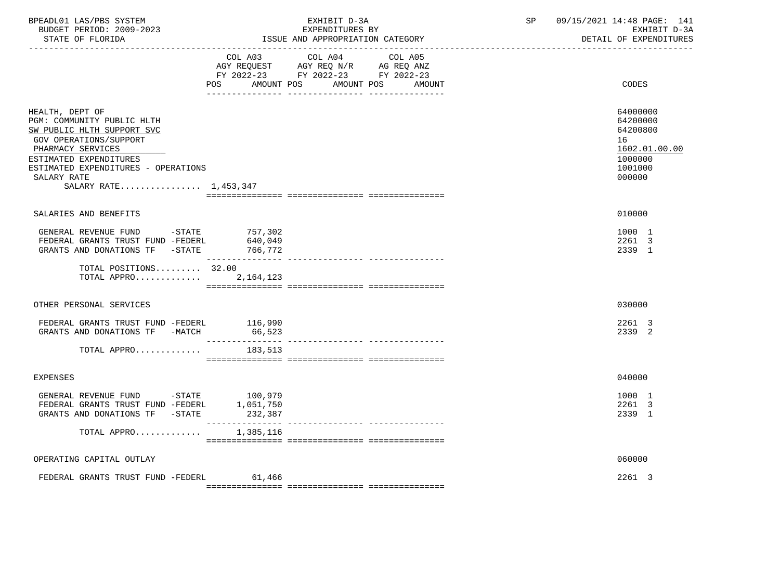| BPEADL01 LAS/PBS SYSTEM<br>BUDGET PERIOD: 2009-2023<br>STATE OF FLORIDA                                                                                                                                                             | EXHIBIT D-3A<br>ISSUE AND APPROPRIATION CATEGORY                                        | EXPENDITURES BY                  | SP | 09/15/2021 14:48 PAGE: 141<br>EXHIBIT D-3A<br>DETAIL OF EXPENDITURES                    |
|-------------------------------------------------------------------------------------------------------------------------------------------------------------------------------------------------------------------------------------|-----------------------------------------------------------------------------------------|----------------------------------|----|-----------------------------------------------------------------------------------------|
|                                                                                                                                                                                                                                     | COL A03 COL A04<br>FY 2022-23 FY 2022-23 FY 2022-23<br>POS AMOUNT POS AMOUNT POS AMOUNT | COL A05                          |    | CODES                                                                                   |
| HEALTH, DEPT OF<br>PGM: COMMUNITY PUBLIC HLTH<br>SW PUBLIC HLTH SUPPORT SVC<br>GOV OPERATIONS/SUPPORT<br>PHARMACY SERVICES<br>ESTIMATED EXPENDITURES<br>ESTIMATED EXPENDITURES - OPERATIONS<br>SALARY RATE<br>SALARY RATE 1,453,347 |                                                                                         |                                  |    | 64000000<br>64200000<br>64200800<br>16<br>1602.01.00.00<br>1000000<br>1001000<br>000000 |
| SALARIES AND BENEFITS                                                                                                                                                                                                               |                                                                                         |                                  |    | 010000                                                                                  |
| GENERAL REVENUE FUND $-$ STATE 757, 302<br>FEDERAL GRANTS TRUST FUND -FEDERL<br>GRANTS AND DONATIONS TF -STATE 766,772                                                                                                              | 640,049                                                                                 |                                  |    | 1000 1<br>2261 3<br>2339 1                                                              |
| TOTAL POSITIONS 32.00<br>TOTAL APPRO                                                                                                                                                                                                | 2, 164, 123                                                                             |                                  |    |                                                                                         |
| OTHER PERSONAL SERVICES                                                                                                                                                                                                             |                                                                                         |                                  |    | 030000                                                                                  |
| FEDERAL GRANTS TRUST FUND -FEDERL 116,990<br>GRANTS AND DONATIONS TF -MATCH                                                                                                                                                         | 66,523<br>________________                                                              | ---------------- --------------- |    | 2261 3<br>2339 2                                                                        |
| TOTAL APPRO                                                                                                                                                                                                                         | 183,513                                                                                 |                                  |    |                                                                                         |
| <b>EXPENSES</b>                                                                                                                                                                                                                     |                                                                                         |                                  |    | 040000                                                                                  |
| GENERAL REVENUE FUND -STATE 100,979<br>FEDERAL GRANTS TRUST FUND -FEDERL 1,051,750<br>GRANTS AND DONATIONS TF -STATE                                                                                                                | 232,387                                                                                 |                                  |    | 1000 1<br>2261 3<br>2339 1                                                              |
| TOTAL APPRO                                                                                                                                                                                                                         | 1,385,116                                                                               |                                  |    |                                                                                         |
| OPERATING CAPITAL OUTLAY                                                                                                                                                                                                            |                                                                                         |                                  |    | 060000                                                                                  |
| FEDERAL GRANTS TRUST FUND -FEDERL                                                                                                                                                                                                   | 61,466                                                                                  |                                  |    | 2261 3                                                                                  |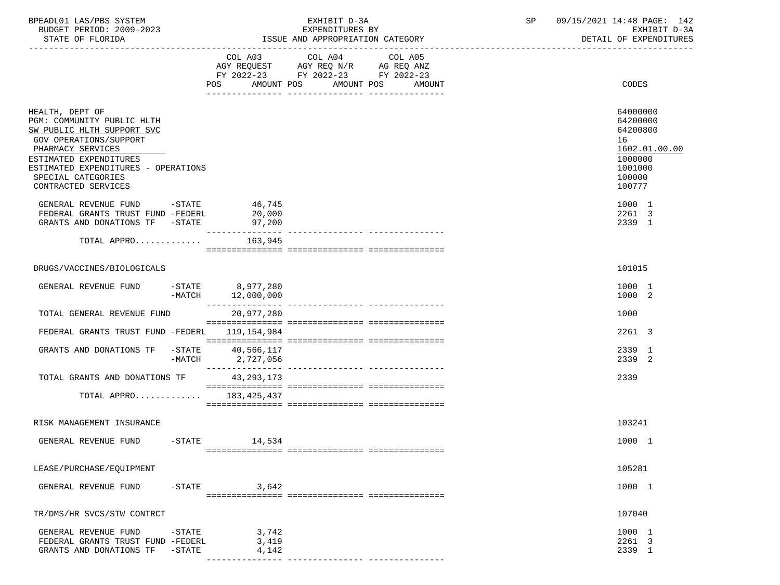| BPEADL01 LAS/PBS SYSTEM  | EXHIBIT D-3A                     | 09/15/2021 14:48 PAGE: 142 |
|--------------------------|----------------------------------|----------------------------|
| BUDGET PERIOD: 2009-2023 | EXPENDITURES BY                  | EXHIBIT D-3A               |
| STATE OF FLORIDA         | ISSUE AND APPROPRIATION CATEGORY | DETAIL OF EXPENDITURES     |

COL A03 COL A04 COL A05

## -----------------------------------------------------------------------------------------------------------------------------------

|                                                                                                                                                                                                                                          |                       | AGY REQUEST AGY REQ N/R AG REQ ANZ<br>FY 2022-23 FY 2022-23 FY 2022-23 |                       |        |                                                                                  |               |
|------------------------------------------------------------------------------------------------------------------------------------------------------------------------------------------------------------------------------------------|-----------------------|------------------------------------------------------------------------|-----------------------|--------|----------------------------------------------------------------------------------|---------------|
|                                                                                                                                                                                                                                          |                       | POS                                                                    | AMOUNT POS AMOUNT POS | AMOUNT | CODES                                                                            |               |
| HEALTH, DEPT OF<br>PGM: COMMUNITY PUBLIC HLTH<br>SW PUBLIC HLTH SUPPORT SVC<br>GOV OPERATIONS/SUPPORT<br>PHARMACY SERVICES<br>ESTIMATED EXPENDITURES<br>ESTIMATED EXPENDITURES - OPERATIONS<br>SPECIAL CATEGORIES<br>CONTRACTED SERVICES |                       |                                                                        |                       |        | 64000000<br>64200000<br>64200800<br>16<br>1000000<br>1001000<br>100000<br>100777 | 1602.01.00.00 |
| GENERAL REVENUE FUND -STATE 46,745<br>FEDERAL GRANTS TRUST FUND -FEDERL<br>GRANTS AND DONATIONS TF -STATE                                                                                                                                |                       | 20,000<br>97,200                                                       |                       |        | 1000 1<br>2261 3<br>2339 1                                                       |               |
| TOTAL APPRO                                                                                                                                                                                                                              |                       | 163,945                                                                |                       |        |                                                                                  |               |
|                                                                                                                                                                                                                                          |                       |                                                                        |                       |        |                                                                                  |               |
| DRUGS/VACCINES/BIOLOGICALS                                                                                                                                                                                                               |                       |                                                                        |                       |        | 101015                                                                           |               |
| GENERAL REVENUE FUND                                                                                                                                                                                                                     |                       | -STATE 8,977,280<br>$-MATCH$ 12,000,000                                |                       |        | 1000 1<br>1000 2                                                                 |               |
| TOTAL GENERAL REVENUE FUND                                                                                                                                                                                                               |                       | 20,977,280                                                             |                       |        | 1000                                                                             |               |
| FEDERAL GRANTS TRUST FUND -FEDERL 119,154,984                                                                                                                                                                                            |                       |                                                                        |                       |        | 2261 3                                                                           |               |
| GRANTS AND DONATIONS TF                                                                                                                                                                                                                  | $-$ STATE<br>$-MATCH$ | 40,566,117<br>2,727,056                                                |                       |        | 2339 1<br>2339 2                                                                 |               |
| TOTAL GRANTS AND DONATIONS TF                                                                                                                                                                                                            |                       | 43, 293, 173                                                           |                       |        | 2339                                                                             |               |
| TOTAL APPRO 183,425,437                                                                                                                                                                                                                  |                       |                                                                        |                       |        |                                                                                  |               |
| RISK MANAGEMENT INSURANCE                                                                                                                                                                                                                |                       |                                                                        |                       |        | 103241                                                                           |               |
| GENERAL REVENUE FUND                                                                                                                                                                                                                     |                       | $-$ STATE $14,534$                                                     |                       |        | 1000 1                                                                           |               |
| LEASE/PURCHASE/EQUIPMENT                                                                                                                                                                                                                 |                       |                                                                        |                       |        | 105281                                                                           |               |
| GENERAL REVENUE FUND                                                                                                                                                                                                                     | $-$ STATE             | 3,642                                                                  |                       |        | 1000 1                                                                           |               |
| TR/DMS/HR SVCS/STW CONTRCT                                                                                                                                                                                                               |                       |                                                                        |                       |        | 107040                                                                           |               |
| GENERAL REVENUE FUND                                                                                                                                                                                                                     | $-STATE$              | 3,742                                                                  |                       |        | 1000 1                                                                           |               |

 FEDERAL GRANTS TRUST FUND -FEDERL 3,419 2261 3 GRANTS AND DONATIONS TF -STATE 4,142 2339 1

--------------- --------------- ---------------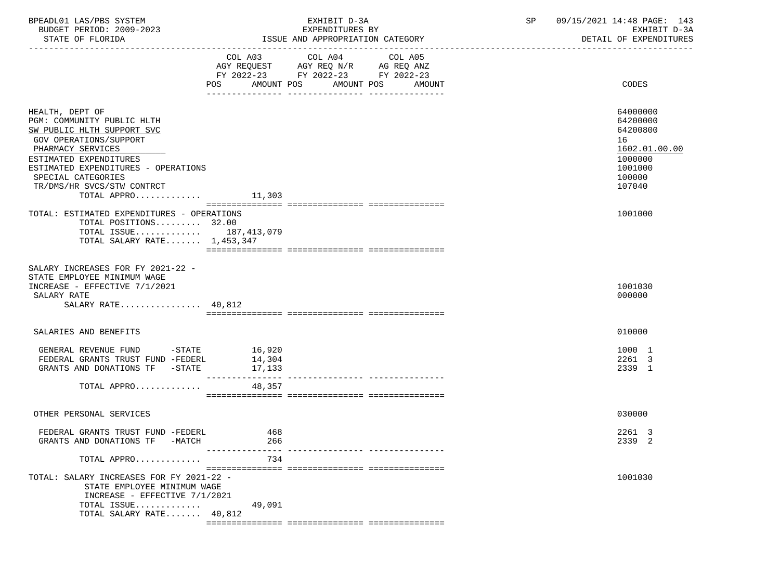| BPEADL01 LAS/PBS SYSTEM |                          |
|-------------------------|--------------------------|
|                         | BUDGET PERIOD: 2009-2023 |

|                                                                                                                                                                                                                                                                | COL A03                                        | COL A04<br>AGY REQUEST AGY REQ N/R AG REQ ANZ<br>FY 2022-23 FY 2022-23 FY 2022-23 | COL A05 |                                                                                                   |
|----------------------------------------------------------------------------------------------------------------------------------------------------------------------------------------------------------------------------------------------------------------|------------------------------------------------|-----------------------------------------------------------------------------------|---------|---------------------------------------------------------------------------------------------------|
|                                                                                                                                                                                                                                                                | AMOUNT POS<br>POS                              | AMOUNT POS                                                                        | AMOUNT  | CODES                                                                                             |
| HEALTH, DEPT OF<br>PGM: COMMUNITY PUBLIC HLTH<br>SW PUBLIC HLTH SUPPORT SVC<br>GOV OPERATIONS/SUPPORT<br>PHARMACY SERVICES<br>ESTIMATED EXPENDITURES<br>ESTIMATED EXPENDITURES - OPERATIONS<br>SPECIAL CATEGORIES<br>TR/DMS/HR SVCS/STW CONTRCT<br>TOTAL APPRO | 11,303                                         |                                                                                   |         | 64000000<br>64200000<br>64200800<br>16<br>1602.01.00.00<br>1000000<br>1001000<br>100000<br>107040 |
| TOTAL: ESTIMATED EXPENDITURES - OPERATIONS                                                                                                                                                                                                                     |                                                |                                                                                   |         | 1001000                                                                                           |
| TOTAL POSITIONS 32.00<br>TOTAL ISSUE 187,413,079<br>TOTAL SALARY RATE $1,453,347$                                                                                                                                                                              |                                                |                                                                                   |         |                                                                                                   |
| SALARY INCREASES FOR FY 2021-22 -<br>STATE EMPLOYEE MINIMUM WAGE<br>INCREASE - EFFECTIVE 7/1/2021<br>SALARY RATE<br>SALARY RATE $40,812$                                                                                                                       |                                                |                                                                                   |         | 1001030<br>000000                                                                                 |
| SALARIES AND BENEFITS                                                                                                                                                                                                                                          |                                                |                                                                                   |         | 010000                                                                                            |
| GENERAL REVENUE FUND -STATE<br>FEDERAL GRANTS TRUST FUND -FEDERL<br>GRANTS AND DONATIONS TF -STATE                                                                                                                                                             | 16,920<br>14,304<br>17,133<br>---------------- |                                                                                   |         | 1000 1<br>2261 3<br>2339 1                                                                        |
| TOTAL APPRO                                                                                                                                                                                                                                                    | 48,357                                         |                                                                                   |         |                                                                                                   |
|                                                                                                                                                                                                                                                                |                                                |                                                                                   |         |                                                                                                   |
| OTHER PERSONAL SERVICES                                                                                                                                                                                                                                        |                                                |                                                                                   |         | 030000                                                                                            |
| FEDERAL GRANTS TRUST FUND -FEDERL<br>GRANTS AND DONATIONS TF -MATCH                                                                                                                                                                                            | 468<br>266                                     |                                                                                   |         | 2261 3<br>2339 2                                                                                  |
| TOTAL APPRO                                                                                                                                                                                                                                                    | $- - - -$<br>734                               |                                                                                   |         |                                                                                                   |
| TOTAL: SALARY INCREASES FOR FY 2021-22 -<br>STATE EMPLOYEE MINIMUM WAGE<br>INCREASE - EFFECTIVE 7/1/2021<br>TOTAL ISSUE<br>TOTAL SALARY RATE 40,812                                                                                                            | 49,091                                         |                                                                                   |         | 1001030                                                                                           |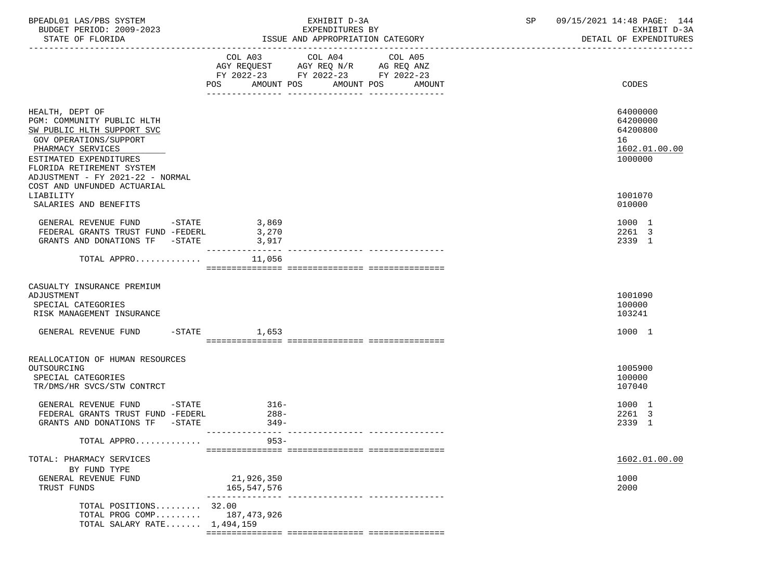| BPEADL01 LAS/PBS SYSTEM<br>BUDGET PERIOD: 2009-2023                                                                                                                                                                   | EXHIBIT D-3A<br>EXPENDITURES BY                                                                                |                                                                                                                    |                   | 09/15/2021 14:48 PAGE: 144<br>SP<br>EXHIBIT D-3A<br>DETAIL OF EXPENDITURES |                                                                    |  |
|-----------------------------------------------------------------------------------------------------------------------------------------------------------------------------------------------------------------------|----------------------------------------------------------------------------------------------------------------|--------------------------------------------------------------------------------------------------------------------|-------------------|----------------------------------------------------------------------------|--------------------------------------------------------------------|--|
|                                                                                                                                                                                                                       | POS FOR THE POST OF THE STATE STATE STATE STATE STATE STATE STATE STATE STATE STATE STATE STATE STATE STATE ST | COL A03 COL A04<br>AGY REQUEST AGY REQ N/R AG REQ ANZ<br>FY 2022-23 FY 2022-23 FY 2022-23<br>AMOUNT POS AMOUNT POS | COL A05<br>AMOUNT |                                                                            | CODES                                                              |  |
| HEALTH, DEPT OF<br>PGM: COMMUNITY PUBLIC HLTH<br>SW PUBLIC HLTH SUPPORT SVC<br>GOV OPERATIONS/SUPPORT<br>PHARMACY SERVICES<br>ESTIMATED EXPENDITURES<br>FLORIDA RETIREMENT SYSTEM<br>ADJUSTMENT - FY 2021-22 - NORMAL |                                                                                                                |                                                                                                                    |                   |                                                                            | 64000000<br>64200000<br>64200800<br>16<br>1602.01.00.00<br>1000000 |  |
| COST AND UNFUNDED ACTUARIAL<br>LIABILITY<br>SALARIES AND BENEFITS                                                                                                                                                     |                                                                                                                |                                                                                                                    |                   |                                                                            | 1001070<br>010000                                                  |  |
| GENERAL REVENUE FUND -STATE 3,869<br>FEDERAL GRANTS TRUST FUND -FEDERL<br>GRANTS AND DONATIONS TF -STATE                                                                                                              | 3,270<br>3,917<br>_________________                                                                            |                                                                                                                    |                   |                                                                            | 1000 1<br>2261 3<br>2339 1                                         |  |
| TOTAL APPRO                                                                                                                                                                                                           | 11,056                                                                                                         |                                                                                                                    |                   |                                                                            |                                                                    |  |
| CASUALTY INSURANCE PREMIUM<br>ADJUSTMENT<br>SPECIAL CATEGORIES<br>RISK MANAGEMENT INSURANCE                                                                                                                           |                                                                                                                |                                                                                                                    |                   |                                                                            | 1001090<br>100000<br>103241                                        |  |
| GENERAL REVENUE FUND -STATE 1,653                                                                                                                                                                                     |                                                                                                                |                                                                                                                    |                   |                                                                            | 1000 1                                                             |  |
| REALLOCATION OF HUMAN RESOURCES<br>OUTSOURCING<br>SPECIAL CATEGORIES<br>TR/DMS/HR SVCS/STW CONTRCT                                                                                                                    |                                                                                                                |                                                                                                                    |                   |                                                                            | 1005900<br>100000<br>107040                                        |  |
| GENERAL REVENUE FUND -STATE<br>FEDERAL GRANTS TRUST FUND -FEDERL<br>GRANTS AND DONATIONS TF -STATE                                                                                                                    | $316-$<br>$288-$<br>$349-$                                                                                     |                                                                                                                    |                   |                                                                            | 1000 1<br>2261 3<br>2339 1                                         |  |
| TOTAL APPRO                                                                                                                                                                                                           | $953 -$                                                                                                        |                                                                                                                    |                   |                                                                            |                                                                    |  |
| TOTAL: PHARMACY SERVICES<br>BY FUND TYPE<br>GENERAL REVENUE FUND<br>TRUST FUNDS                                                                                                                                       | 21,926,350<br>165,547,576                                                                                      |                                                                                                                    |                   |                                                                            | 1602.01.00.00<br>1000<br>2000                                      |  |
| TOTAL POSITIONS 32.00<br>TOTAL PROG COMP<br>TOTAL SALARY RATE 1,494,159                                                                                                                                               | 187,473,926                                                                                                    | -------------- -------------                                                                                       |                   |                                                                            |                                                                    |  |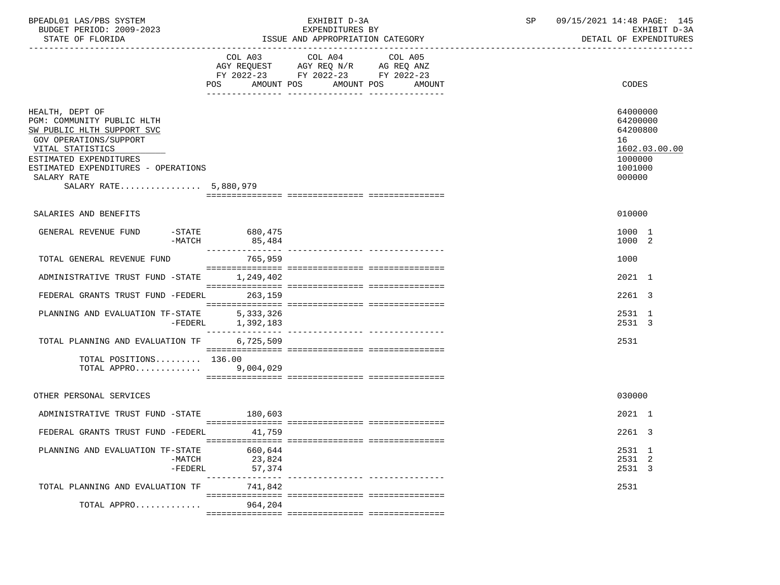| BPEADL01 LAS/PBS SYSTEM<br>BUDGET PERIOD: 2009-2023<br>STATE OF FLORIDA                                                                                                                                                            |                             | EXHIBIT D-3A<br>EXPENDITURES BY<br>ISSUE AND APPROPRIATION CATEGORY                                                               | SP | 09/15/2021 14:48 PAGE: 145<br>EXHIBIT D-3A<br>DETAIL OF EXPENDITURES                    |
|------------------------------------------------------------------------------------------------------------------------------------------------------------------------------------------------------------------------------------|-----------------------------|-----------------------------------------------------------------------------------------------------------------------------------|----|-----------------------------------------------------------------------------------------|
|                                                                                                                                                                                                                                    | <b>POS</b>                  | COL A03 COL A04 COL A05<br>AGY REQUEST AGY REQ N/R AG REQ ANZ<br>FY 2022-23 FY 2022-23 FY 2022-23<br>AMOUNT POS AMOUNT POS AMOUNT |    | CODES                                                                                   |
| HEALTH, DEPT OF<br>PGM: COMMUNITY PUBLIC HLTH<br>SW PUBLIC HLTH SUPPORT SVC<br>GOV OPERATIONS/SUPPORT<br>VITAL STATISTICS<br>ESTIMATED EXPENDITURES<br>ESTIMATED EXPENDITURES - OPERATIONS<br>SALARY RATE<br>SALARY RATE 5,880,979 |                             |                                                                                                                                   |    | 64000000<br>64200000<br>64200800<br>16<br>1602.03.00.00<br>1000000<br>1001000<br>000000 |
|                                                                                                                                                                                                                                    |                             |                                                                                                                                   |    |                                                                                         |
| SALARIES AND BENEFITS                                                                                                                                                                                                              |                             |                                                                                                                                   |    | 010000                                                                                  |
| GENERAL REVENUE FUND -STATE 680,475<br>-MATCH                                                                                                                                                                                      | 85,484                      |                                                                                                                                   |    | 1000 1<br>1000 2                                                                        |
| TOTAL GENERAL REVENUE FUND                                                                                                                                                                                                         | 765,959                     |                                                                                                                                   |    | 1000                                                                                    |
| ADMINISTRATIVE TRUST FUND -STATE 1,249,402                                                                                                                                                                                         |                             |                                                                                                                                   |    | 2021 1                                                                                  |
| FEDERAL GRANTS TRUST FUND -FEDERL 263,159                                                                                                                                                                                          |                             |                                                                                                                                   |    | 2261 3                                                                                  |
| PLANNING AND EVALUATION TF-STATE 5,333,326                                                                                                                                                                                         | -FEDERL 1,392,183           |                                                                                                                                   |    | 2531 1<br>2531 3                                                                        |
| TOTAL PLANNING AND EVALUATION TF                                                                                                                                                                                                   | 6,725,509                   |                                                                                                                                   |    | 2531                                                                                    |
| TOTAL POSITIONS $136.00$<br>TOTAL APPRO 9,004,029                                                                                                                                                                                  |                             |                                                                                                                                   |    |                                                                                         |
| OTHER PERSONAL SERVICES                                                                                                                                                                                                            |                             |                                                                                                                                   |    | 030000                                                                                  |
| ADMINISTRATIVE TRUST FUND -STATE 180,603                                                                                                                                                                                           |                             |                                                                                                                                   |    | 2021 1                                                                                  |
| FEDERAL GRANTS TRUST FUND -FEDERL 41,759                                                                                                                                                                                           |                             |                                                                                                                                   |    | 2261 3                                                                                  |
| PLANNING AND EVALUATION TF-STATE<br>$-MATCH$<br>-FEDERL                                                                                                                                                                            | 660,644<br>23,824<br>57,374 |                                                                                                                                   |    | 2531 1<br>2531 2<br>2531 3                                                              |
| TOTAL PLANNING AND EVALUATION TF                                                                                                                                                                                                   | 741,842                     |                                                                                                                                   |    | 2531                                                                                    |
| TOTAL APPRO                                                                                                                                                                                                                        | 964,204                     |                                                                                                                                   |    |                                                                                         |
|                                                                                                                                                                                                                                    |                             |                                                                                                                                   |    |                                                                                         |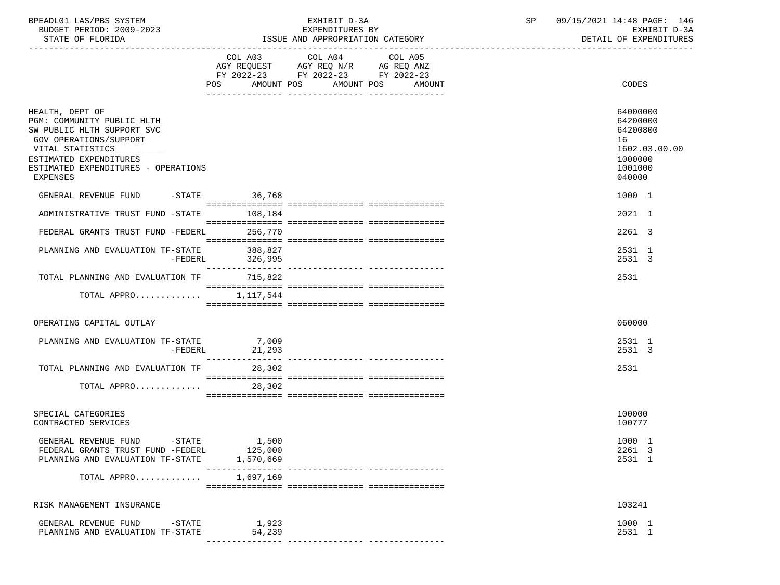| BPEADL01 LAS/PBS SYSTEM  | EXHIBIT D                             | 09/15/2021 14:48 PAGE:<br>146 |
|--------------------------|---------------------------------------|-------------------------------|
| BUDGET PERIOD: 2009-2023 | EXPENDITURES BY                       | EXHIBIT D-3A                  |
| STATE OF FLORIDA         | : AND APPROPRIATION CATEGORY<br>"SSUE | DETAIL OF EXPENDITURES        |

|                                                                                                                                                                                                        | POS AMOUNT POS AMOUNT POS     | FY 2022-23 FY 2022-23 FY 2022-23 | AMOUNT | CODES                                                                                   |
|--------------------------------------------------------------------------------------------------------------------------------------------------------------------------------------------------------|-------------------------------|----------------------------------|--------|-----------------------------------------------------------------------------------------|
| HEALTH, DEPT OF<br>PGM: COMMUNITY PUBLIC HLTH<br>SW PUBLIC HLTH SUPPORT SVC<br>GOV OPERATIONS/SUPPORT<br>VITAL STATISTICS<br>ESTIMATED EXPENDITURES<br>ESTIMATED EXPENDITURES - OPERATIONS<br>EXPENSES |                               |                                  |        | 64000000<br>64200000<br>64200800<br>16<br>1602.03.00.00<br>1000000<br>1001000<br>040000 |
| GENERAL REVENUE FUND -STATE 36,768                                                                                                                                                                     |                               |                                  |        | 1000 1                                                                                  |
| ADMINISTRATIVE TRUST FUND -STATE                                                                                                                                                                       | 108,184                       |                                  |        | 2021 1                                                                                  |
| FEDERAL GRANTS TRUST FUND -FEDERL 256,770                                                                                                                                                              |                               |                                  |        | 2261 3                                                                                  |
| PLANNING AND EVALUATION TF-STATE<br>-FEDERL                                                                                                                                                            | 388,827<br>326,995            |                                  |        | 2531 1<br>2531 3                                                                        |
| TOTAL PLANNING AND EVALUATION TF 715,822                                                                                                                                                               |                               |                                  |        | 2531                                                                                    |
| TOTAL APPRO $1,117,544$                                                                                                                                                                                |                               |                                  |        |                                                                                         |
| OPERATING CAPITAL OUTLAY                                                                                                                                                                               |                               |                                  |        | 060000                                                                                  |
| PLANNING AND EVALUATION TF-STATE 7,009<br>-FEDERL                                                                                                                                                      | 21,293<br>----------------    |                                  |        | 2531 1<br>2531 3                                                                        |
| TOTAL PLANNING AND EVALUATION TF                                                                                                                                                                       | 28,302                        |                                  |        | 2531                                                                                    |
| TOTAL APPRO                                                                                                                                                                                            | 28,302                        |                                  |        |                                                                                         |
| SPECIAL CATEGORIES<br>CONTRACTED SERVICES                                                                                                                                                              |                               |                                  |        | 100000<br>100777                                                                        |
| GENERAL REVENUE FUND -STATE<br>FEDERAL GRANTS TRUST FUND -FEDERL<br>PLANNING AND EVALUATION TF-STATE                                                                                                   | 1,500<br>125,000<br>1,570,669 |                                  |        | 1000 1<br>2261 3<br>2531 1                                                              |
| TOTAL APPRO                                                                                                                                                                                            | 1,697,169                     |                                  |        |                                                                                         |
| RISK MANAGEMENT INSURANCE                                                                                                                                                                              |                               |                                  |        | 103241                                                                                  |
| GENERAL REVENUE FUND<br>$-$ STATE<br>PLANNING AND EVALUATION TF-STATE                                                                                                                                  | 1,923<br>54,239               |                                  |        | 1000 1<br>2531 1                                                                        |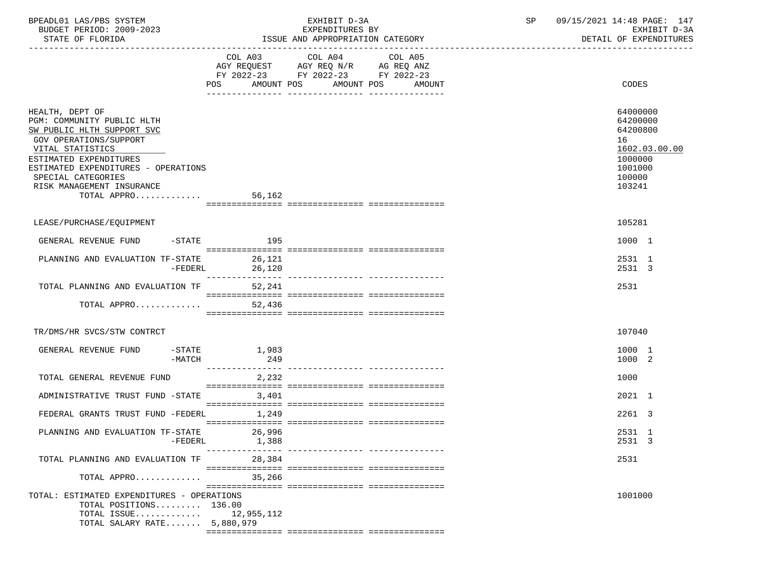| BPEADL01 LAS/PBS SYSTEM<br>BUDGET PERIOD: 2009-2023<br>STATE OF FLORIDA                                                                                                                                                                                             |              | EXHIBIT D-3A<br>EXPENDITURES BY<br>ISSUE AND APPROPRIATION CATEGORY | SP | 09/15/2021 14:48 PAGE: 147<br>EXHIBIT D-3A<br>DETAIL OF EXPENDITURES                              |  |
|---------------------------------------------------------------------------------------------------------------------------------------------------------------------------------------------------------------------------------------------------------------------|--------------|---------------------------------------------------------------------|----|---------------------------------------------------------------------------------------------------|--|
|                                                                                                                                                                                                                                                                     |              | FY 2022-23 FY 2022-23 FY 2022-23<br>AMOUNT POS AMOUNT POS AMOUNT    |    | CODES                                                                                             |  |
| HEALTH, DEPT OF<br>PGM: COMMUNITY PUBLIC HLTH<br>SW PUBLIC HLTH SUPPORT SVC<br><b>GOV OPERATIONS/SUPPORT</b><br>VITAL STATISTICS<br>ESTIMATED EXPENDITURES<br>ESTIMATED EXPENDITURES - OPERATIONS<br>SPECIAL CATEGORIES<br>RISK MANAGEMENT INSURANCE<br>TOTAL APPRO | 56,162       |                                                                     |    | 64000000<br>64200000<br>64200800<br>16<br>1602.03.00.00<br>1000000<br>1001000<br>100000<br>103241 |  |
| LEASE/PURCHASE/EOUIPMENT                                                                                                                                                                                                                                            |              |                                                                     |    | 105281                                                                                            |  |
| GENERAL REVENUE FUND -STATE                                                                                                                                                                                                                                         | 195          |                                                                     |    | 1000 1                                                                                            |  |
| PLANNING AND EVALUATION TF-STATE 26,121<br>-FEDERL                                                                                                                                                                                                                  | 26,120       |                                                                     |    | 2531 1<br>2531 3                                                                                  |  |
| TOTAL PLANNING AND EVALUATION TF                                                                                                                                                                                                                                    | 52,241       |                                                                     |    | 2531                                                                                              |  |
| TOTAL APPRO                                                                                                                                                                                                                                                         | 52,436       |                                                                     |    |                                                                                                   |  |
| TR/DMS/HR SVCS/STW CONTRCT                                                                                                                                                                                                                                          |              |                                                                     |    | 107040                                                                                            |  |
| $-\mathtt{STATE}$<br>GENERAL REVENUE FUND<br>$-MATCH$                                                                                                                                                                                                               | 1,983<br>249 |                                                                     |    | 1000 1<br>1000 2                                                                                  |  |
| TOTAL GENERAL REVENUE FUND                                                                                                                                                                                                                                          | 2,232        |                                                                     |    | 1000                                                                                              |  |
| ADMINISTRATIVE TRUST FUND -STATE                                                                                                                                                                                                                                    | 3,401        |                                                                     |    | 2021 1                                                                                            |  |
| FEDERAL GRANTS TRUST FUND -FEDERL                                                                                                                                                                                                                                   | 1,249        |                                                                     |    | 2261 3                                                                                            |  |
| PLANNING AND EVALUATION TF-STATE 26,996<br>-FEDERL                                                                                                                                                                                                                  | 1,388        |                                                                     |    | 2531 1<br>2531 3                                                                                  |  |
| TOTAL PLANNING AND EVALUATION TF                                                                                                                                                                                                                                    | 28,384       |                                                                     |    | 2531                                                                                              |  |
| TOTAL APPRO                                                                                                                                                                                                                                                         | 35,266       |                                                                     |    |                                                                                                   |  |
| TOTAL: ESTIMATED EXPENDITURES - OPERATIONS<br>TOTAL POSITIONS 136.00<br>TOTAL ISSUE $12,955,112$<br>TOTAL SALARY RATE 5,880,979                                                                                                                                     |              |                                                                     |    | 1001000                                                                                           |  |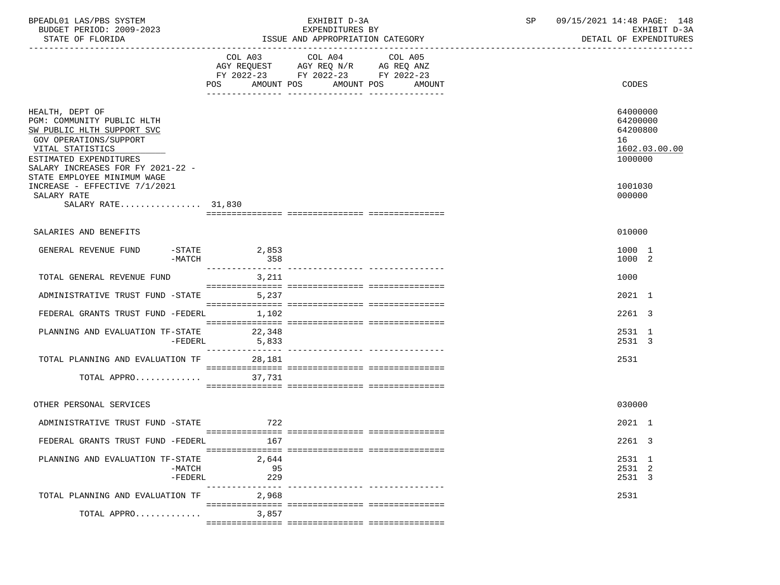| BPEADL01 LAS/PBS SYSTEM<br>BUDGET PERIOD: 2009-2023<br>STATE OF FLORIDA                                                                                                                                                 |                                                                                                                           | EXHIBIT D-3A<br>EXPENDITURES BY<br>ISSUE AND APPROPRIATION CATEGORY | SP | 09/15/2021 14:48 PAGE: 148<br>EXHIBIT D-3A<br>DETAIL OF EXPENDITURES |
|-------------------------------------------------------------------------------------------------------------------------------------------------------------------------------------------------------------------------|---------------------------------------------------------------------------------------------------------------------------|---------------------------------------------------------------------|----|----------------------------------------------------------------------|
|                                                                                                                                                                                                                         | COL A03 COL A04<br>AGY REQUEST AGY REQ N/R AG REQ ANZ<br>FY 2022-23 FY 2022-23 FY 2022-23<br>POS<br>AMOUNT POS AMOUNT POS | COL A05<br>AMOUNT                                                   |    | <b>CODES</b>                                                         |
| HEALTH, DEPT OF<br>PGM: COMMUNITY PUBLIC HLTH<br>SW PUBLIC HLTH SUPPORT SVC<br>GOV OPERATIONS/SUPPORT<br>VITAL STATISTICS<br>ESTIMATED EXPENDITURES<br>SALARY INCREASES FOR FY 2021-22 -<br>STATE EMPLOYEE MINIMUM WAGE |                                                                                                                           |                                                                     |    | 64000000<br>64200000<br>64200800<br>16<br>1602.03.00.00<br>1000000   |
| INCREASE - EFFECTIVE 7/1/2021<br>SALARY RATE<br>SALARY RATE 31,830                                                                                                                                                      |                                                                                                                           |                                                                     |    | 1001030<br>000000                                                    |
| SALARIES AND BENEFITS                                                                                                                                                                                                   |                                                                                                                           |                                                                     |    | 010000                                                               |
| GENERAL REVENUE FUND<br>$-$ STATE<br>-MATCH                                                                                                                                                                             | 2,853<br>358                                                                                                              |                                                                     |    | 1000 1<br>1000 2                                                     |
| TOTAL GENERAL REVENUE FUND                                                                                                                                                                                              | 3,211                                                                                                                     |                                                                     |    | 1000                                                                 |
| ADMINISTRATIVE TRUST FUND -STATE                                                                                                                                                                                        | 5,237                                                                                                                     |                                                                     |    | 2021 1                                                               |
| FEDERAL GRANTS TRUST FUND -FEDERL 1,102                                                                                                                                                                                 |                                                                                                                           |                                                                     |    | 2261 3                                                               |
| PLANNING AND EVALUATION TF-STATE 22,348                                                                                                                                                                                 | $-FEDERL$ 5,833                                                                                                           |                                                                     |    | 2531 1<br>2531 3                                                     |
| TOTAL PLANNING AND EVALUATION TF 28,181                                                                                                                                                                                 |                                                                                                                           |                                                                     |    | 2531                                                                 |
| TOTAL APPRO                                                                                                                                                                                                             | 37,731                                                                                                                    |                                                                     |    |                                                                      |
| OTHER PERSONAL SERVICES                                                                                                                                                                                                 |                                                                                                                           |                                                                     |    | 030000                                                               |
| ADMINISTRATIVE TRUST FUND -STATE                                                                                                                                                                                        | 722                                                                                                                       |                                                                     |    | 2021 1                                                               |
| FEDERAL GRANTS TRUST FUND -FEDERL                                                                                                                                                                                       | 167                                                                                                                       |                                                                     |    | 2261 3                                                               |
| PLANNING AND EVALUATION TF-STATE<br>$-MATCH$<br>$-FEDERL$                                                                                                                                                               | 2,644<br>95<br>229<br>---------------                                                                                     | ___________ _______________                                         |    | 2531 1<br>2531 2<br>2531 3                                           |
| TOTAL PLANNING AND EVALUATION TF                                                                                                                                                                                        | 2,968                                                                                                                     |                                                                     |    | 2531                                                                 |
| TOTAL APPRO                                                                                                                                                                                                             | 3,857                                                                                                                     |                                                                     |    |                                                                      |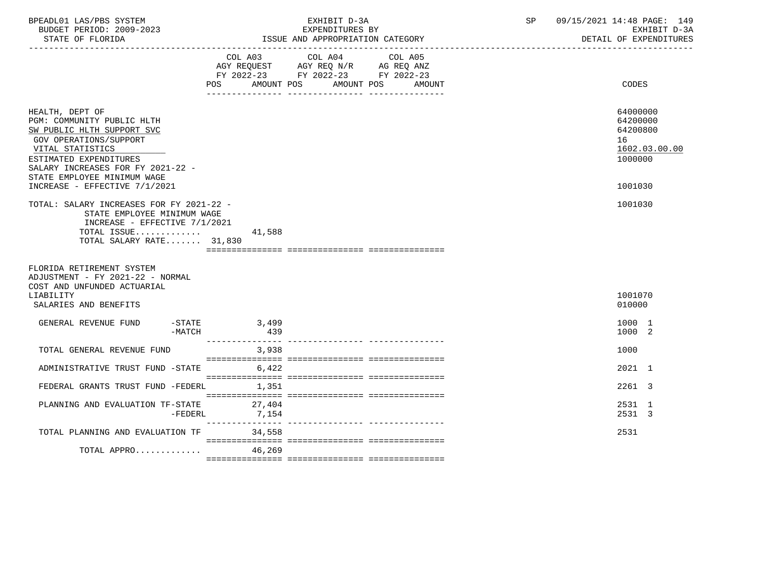| BPEADL01 LAS/PBS SYSTEM<br>BUDGET PERIOD: 2009-2023<br>STATE OF FLORIDA                                                                                                                                                 |          | EXHIBIT D-3A<br>EXPENDITURES BY<br>ISSUE AND APPROPRIATION CATEGORY                                                    |  |  |         | SP and the set of the set of the set of the set of the set of the set of the set of the set of the set of the set of the set of the set of the set of the set of the set of the set of the set of the set of the set of the se | 09/15/2021 14:48 PAGE: 149 |  | EXHIBIT D-3A<br>DETAIL OF EXPENDITURES            |               |
|-------------------------------------------------------------------------------------------------------------------------------------------------------------------------------------------------------------------------|----------|------------------------------------------------------------------------------------------------------------------------|--|--|---------|--------------------------------------------------------------------------------------------------------------------------------------------------------------------------------------------------------------------------------|----------------------------|--|---------------------------------------------------|---------------|
|                                                                                                                                                                                                                         |          | COL A03 COL A04<br>AGY REQUEST AGY REQ N/R AG REQ ANZ<br>FY 2022-23 FY 2022-23 FY 2022-23<br>POS AMOUNT POS AMOUNT POS |  |  | COL A05 | <b>AMOUNT</b>                                                                                                                                                                                                                  |                            |  | CODES                                             |               |
| HEALTH, DEPT OF<br>PGM: COMMUNITY PUBLIC HLTH<br>SW PUBLIC HLTH SUPPORT SVC<br>GOV OPERATIONS/SUPPORT<br>VITAL STATISTICS<br>ESTIMATED EXPENDITURES<br>SALARY INCREASES FOR FY 2021-22 -<br>STATE EMPLOYEE MINIMUM WAGE |          |                                                                                                                        |  |  |         |                                                                                                                                                                                                                                |                            |  | 64000000<br>64200000<br>64200800<br>16<br>1000000 | 1602.03.00.00 |
| INCREASE - EFFECTIVE 7/1/2021                                                                                                                                                                                           |          |                                                                                                                        |  |  |         |                                                                                                                                                                                                                                |                            |  | 1001030                                           |               |
| STATE EMPLOYEE MINIMUM WAGE<br>INCREASE - EFFECTIVE 7/1/2021<br>TOTAL ISSUE<br>TOTAL SALARY RATE 31,830<br>FLORIDA RETIREMENT SYSTEM<br>ADJUSTMENT - FY 2021-22 - NORMAL                                                |          | 41,588                                                                                                                 |  |  |         |                                                                                                                                                                                                                                |                            |  |                                                   |               |
| COST AND UNFUNDED ACTUARIAL<br>LIABILITY                                                                                                                                                                                |          |                                                                                                                        |  |  |         |                                                                                                                                                                                                                                |                            |  | 1001070                                           |               |
| SALARIES AND BENEFITS                                                                                                                                                                                                   |          |                                                                                                                        |  |  |         |                                                                                                                                                                                                                                |                            |  | 010000                                            |               |
| $-STATE$<br>GENERAL REVENUE FUND                                                                                                                                                                                        | $-MATCH$ | 3,499<br>439                                                                                                           |  |  |         |                                                                                                                                                                                                                                |                            |  | 1000 1<br>1000 2                                  |               |
| TOTAL GENERAL REVENUE FUND                                                                                                                                                                                              |          | 3,938                                                                                                                  |  |  |         |                                                                                                                                                                                                                                |                            |  | 1000                                              |               |
| ADMINISTRATIVE TRUST FUND -STATE 6,422                                                                                                                                                                                  |          |                                                                                                                        |  |  |         |                                                                                                                                                                                                                                |                            |  | $2021$ 1                                          |               |
| FEDERAL GRANTS TRUST FUND -FEDERL 1,351                                                                                                                                                                                 |          |                                                                                                                        |  |  |         |                                                                                                                                                                                                                                |                            |  | 2261 3                                            |               |
| PLANNING AND EVALUATION TF-STATE                                                                                                                                                                                        | -FEDERL  | 27,404<br>7,154                                                                                                        |  |  |         |                                                                                                                                                                                                                                |                            |  | 2531 1<br>2531 3                                  |               |
| TOTAL PLANNING AND EVALUATION TF 34,558                                                                                                                                                                                 |          |                                                                                                                        |  |  |         |                                                                                                                                                                                                                                |                            |  | 2531                                              |               |
| TOTAL APPRO $46,269$                                                                                                                                                                                                    |          |                                                                                                                        |  |  |         |                                                                                                                                                                                                                                |                            |  |                                                   |               |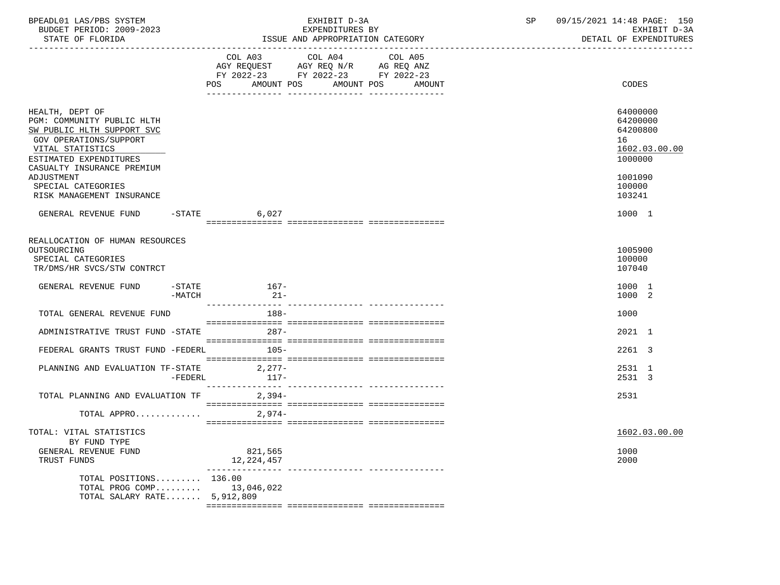| BPEADL01 LAS/PBS SYSTEM<br>BUDGET PERIOD: 2009-2023<br>STATE OF FLORIDA                                                                                                                         | EXHIBIT D-3A<br>EXPENDITURES BY<br>ISSUE AND APPROPRIATION CATEGORY |                                                                                                                | SP                                                                                                | 09/15/2021 14:48 PAGE: 150<br>EXHIBIT D-3A<br>DETAIL OF EXPENDITURES |  |                                                                               |
|-------------------------------------------------------------------------------------------------------------------------------------------------------------------------------------------------|---------------------------------------------------------------------|----------------------------------------------------------------------------------------------------------------|---------------------------------------------------------------------------------------------------|----------------------------------------------------------------------|--|-------------------------------------------------------------------------------|
|                                                                                                                                                                                                 |                                                                     | POS FOR THE POST OF THE STATE STATE STATE STATE STATE STATE STATE STATE STATE STATE STATE STATE STATE STATE ST | COL A03 COL A04 COL A05<br>AGY REQUEST AGY REQ N/R AG REQ ANZ<br>FY 2022-23 FY 2022-23 FY 2022-23 | AMOUNT POS AMOUNT POS AMOUNT                                         |  | CODES                                                                         |
| HEALTH, DEPT OF<br>PGM: COMMUNITY PUBLIC HLTH<br>SW PUBLIC HLTH SUPPORT SVC<br>GOV OPERATIONS/SUPPORT<br>VITAL STATISTICS<br>ESTIMATED EXPENDITURES<br>CASUALTY INSURANCE PREMIUM<br>ADJUSTMENT |                                                                     |                                                                                                                |                                                                                                   |                                                                      |  | 64000000<br>64200000<br>64200800<br>16<br>1602.03.00.00<br>1000000<br>1001090 |
| SPECIAL CATEGORIES<br>RISK MANAGEMENT INSURANCE                                                                                                                                                 |                                                                     |                                                                                                                |                                                                                                   |                                                                      |  | 100000<br>103241                                                              |
| GENERAL REVENUE FUND -STATE                                                                                                                                                                     |                                                                     | 6,027                                                                                                          |                                                                                                   |                                                                      |  | 1000 1                                                                        |
| REALLOCATION OF HUMAN RESOURCES<br>OUTSOURCING<br>SPECIAL CATEGORIES<br>TR/DMS/HR SVCS/STW CONTRCT                                                                                              |                                                                     |                                                                                                                |                                                                                                   |                                                                      |  | 1005900<br>100000<br>107040                                                   |
| GENERAL REVENUE FUND                                                                                                                                                                            | -MATCH                                                              | $-$ STATE $167-$<br>$21-$                                                                                      |                                                                                                   |                                                                      |  | 1000 1<br>1000 2                                                              |
| TOTAL GENERAL REVENUE FUND                                                                                                                                                                      |                                                                     | 188-                                                                                                           |                                                                                                   |                                                                      |  | 1000                                                                          |
| ADMINISTRATIVE TRUST FUND -STATE 287-                                                                                                                                                           |                                                                     |                                                                                                                |                                                                                                   |                                                                      |  | 2021 1                                                                        |
| FEDERAL GRANTS TRUST FUND -FEDERL 105-                                                                                                                                                          |                                                                     |                                                                                                                |                                                                                                   |                                                                      |  | 2261 3                                                                        |
| PLANNING AND EVALUATION TF-STATE 2,277-                                                                                                                                                         | -FEDERL                                                             | $117-$                                                                                                         |                                                                                                   |                                                                      |  | 2531 1<br>2531 3                                                              |
| TOTAL PLANNING AND EVALUATION TF 2,394-                                                                                                                                                         |                                                                     |                                                                                                                |                                                                                                   |                                                                      |  | 2531                                                                          |
| TOTAL APPRO                                                                                                                                                                                     |                                                                     | 2,974-                                                                                                         |                                                                                                   |                                                                      |  |                                                                               |
| TOTAL: VITAL STATISTICS<br>BY FUND TYPE<br>GENERAL REVENUE FUND<br>TRUST FUNDS                                                                                                                  |                                                                     | 821,565<br>12, 224, 457                                                                                        |                                                                                                   |                                                                      |  | 1602.03.00.00<br>1000<br>2000                                                 |
| TOTAL POSITIONS<br>TOTAL PROG COMP<br>TOTAL SALARY RATE 5,912,809                                                                                                                               |                                                                     | 136.00<br>13,046,022                                                                                           |                                                                                                   |                                                                      |  |                                                                               |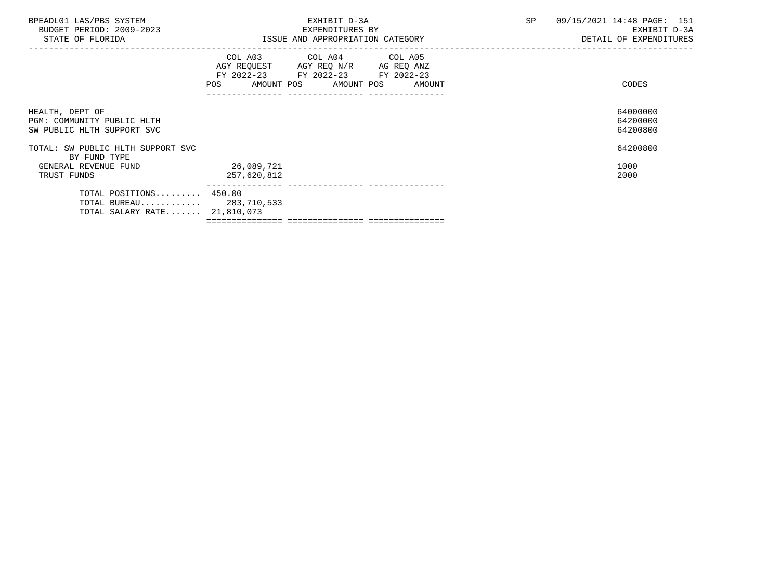| BPEADL01 LAS/PBS SYSTEM<br>BUDGET PERIOD: 2009-2023<br>STATE OF FLORIDA            | EXHIBIT D-3A<br>EXPENDITURES BY<br>ISSUE AND APPROPRIATION CATEGORY                                                                   | <b>SP</b><br>09/15/2021 14:48 PAGE: 151<br>EXHIBIT D-3A<br>DETAIL OF EXPENDITURES |
|------------------------------------------------------------------------------------|---------------------------------------------------------------------------------------------------------------------------------------|-----------------------------------------------------------------------------------|
|                                                                                    | COL A03 COL A04 COL A05<br>AGY REQUEST AGY REQ N/R AG REQ ANZ<br>FY 2022-23 FY 2022-23 FY 2022-23<br>POS AMOUNT POS AMOUNT POS AMOUNT | CODES                                                                             |
| HEALTH, DEPT OF<br>PGM: COMMUNITY PUBLIC HLTH<br>SW PUBLIC HLTH SUPPORT SVC        |                                                                                                                                       | 64000000<br>64200000<br>64200800                                                  |
| TOTAL: SW PUBLIC HLTH SUPPORT SVC<br>BY FUND TYPE                                  |                                                                                                                                       | 64200800                                                                          |
| GENERAL REVENUE FUND<br>TRUST FUNDS                                                | 26,089,721<br>257,620,812                                                                                                             | 1000<br>2000                                                                      |
| TOTAL POSITIONS 450.00<br>TOTAL BUREAU 283,710,533<br>TOTAL SALARY RATE 21,810,073 |                                                                                                                                       |                                                                                   |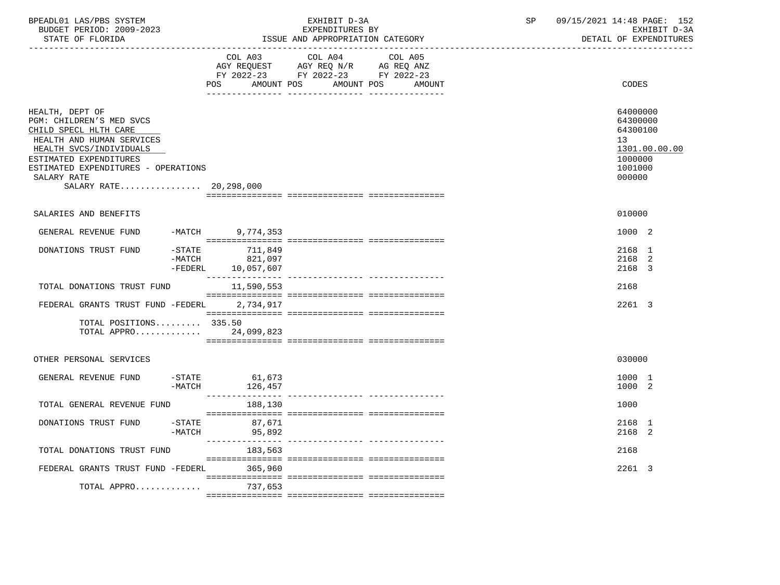| BPEADL01 LAS/PBS SYSTEM<br>BUDGET PERIOD: 2009-2023<br>STATE OF FLORIDA                                                                                                                                                                |                       |                                           | EXHIBIT D-3A<br>EXPENDITURES BY<br>ISSUE AND APPROPRIATION CATEGORY                                                                      | SP | 09/15/2021 14:48 PAGE: 152<br>EXHIBIT D-3A<br>DETAIL OF EXPENDITURES                    |
|----------------------------------------------------------------------------------------------------------------------------------------------------------------------------------------------------------------------------------------|-----------------------|-------------------------------------------|------------------------------------------------------------------------------------------------------------------------------------------|----|-----------------------------------------------------------------------------------------|
|                                                                                                                                                                                                                                        |                       |                                           | COL A03 COL A04<br>COL A05<br>AGY REQUEST AGY REQ N/R AG REQ ANZ<br>FY 2022-23 FY 2022-23 FY 2022-23<br>POS AMOUNT POS AMOUNT POS AMOUNT |    | CODES                                                                                   |
| HEALTH, DEPT OF<br>PGM: CHILDREN'S MED SVCS<br>CHILD SPECL HLTH CARE<br>HEALTH AND HUMAN SERVICES<br>HEALTH SVCS/INDIVIDUALS<br>ESTIMATED EXPENDITURES<br>ESTIMATED EXPENDITURES - OPERATIONS<br>SALARY RATE<br>SALARY RATE 20,298,000 |                       |                                           |                                                                                                                                          |    | 64000000<br>64300000<br>64300100<br>13<br>1301.00.00.00<br>1000000<br>1001000<br>000000 |
|                                                                                                                                                                                                                                        |                       |                                           |                                                                                                                                          |    |                                                                                         |
| SALARIES AND BENEFITS                                                                                                                                                                                                                  |                       |                                           |                                                                                                                                          |    | 010000                                                                                  |
| GENERAL REVENUE FUND                                                                                                                                                                                                                   |                       | -MATCH 9,774,353                          |                                                                                                                                          |    | 1000 2                                                                                  |
| DONATIONS TRUST FUND                                                                                                                                                                                                                   | $-MATCH$<br>$-FEDERL$ | $-STATE$ 711,849<br>821,097<br>10,057,607 |                                                                                                                                          |    | 2168 1<br>2168 2<br>2168 3                                                              |
| TOTAL DONATIONS TRUST FUND                                                                                                                                                                                                             |                       | 11,590,553                                |                                                                                                                                          |    | 2168                                                                                    |
| FEDERAL GRANTS TRUST FUND -FEDERL 2,734,917                                                                                                                                                                                            |                       |                                           |                                                                                                                                          |    | 2261 3                                                                                  |
| TOTAL POSITIONS 335.50<br>TOTAL APPRO                                                                                                                                                                                                  |                       | 24,099,823                                |                                                                                                                                          |    |                                                                                         |
| OTHER PERSONAL SERVICES                                                                                                                                                                                                                |                       |                                           |                                                                                                                                          |    | 030000                                                                                  |
| GENERAL REVENUE FUND                                                                                                                                                                                                                   | $-STATE$<br>$-MATCH$  | 61,673<br>126,457                         |                                                                                                                                          |    | 1000 1<br>1000 2                                                                        |
| TOTAL GENERAL REVENUE FUND                                                                                                                                                                                                             |                       | 188,130                                   |                                                                                                                                          |    | 1000                                                                                    |
| DONATIONS TRUST FUND                                                                                                                                                                                                                   | -STATE<br>-MATCH      | 87,671<br>95,892                          |                                                                                                                                          |    | 2168 1<br>2168 2                                                                        |
| TOTAL DONATIONS TRUST FUND                                                                                                                                                                                                             |                       | 183,563                                   |                                                                                                                                          |    | 2168                                                                                    |
| FEDERAL GRANTS TRUST FUND -FEDERL                                                                                                                                                                                                      |                       | 365,960                                   |                                                                                                                                          |    | 2261 3                                                                                  |
| TOTAL APPRO 737,653                                                                                                                                                                                                                    |                       |                                           |                                                                                                                                          |    |                                                                                         |
|                                                                                                                                                                                                                                        |                       |                                           |                                                                                                                                          |    |                                                                                         |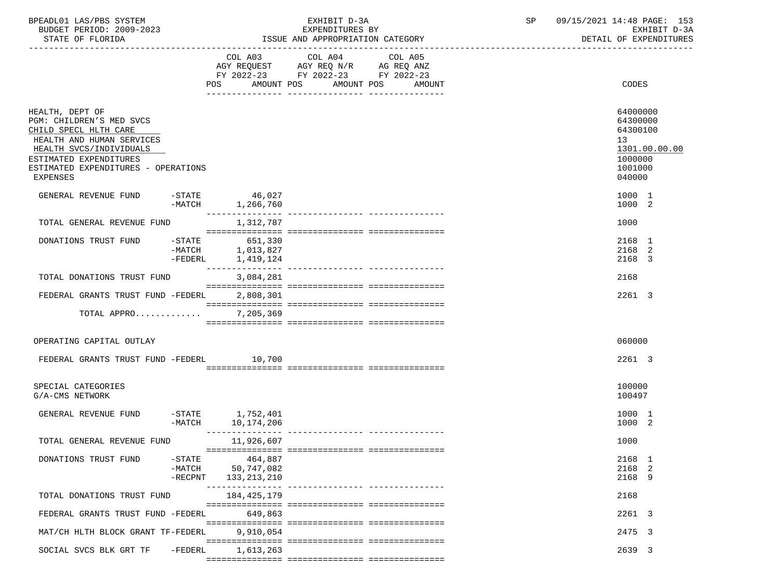| BPEADL01 LAS/PBS SYSTEM<br>BUDGET PERIOD: 2009-2023<br>STATE OF FLORIDA                                                                                                                                             | EXHIBIT D-3A<br>EXPENDITURES BY<br>ISSUE AND APPROPRIATION CATEGORY |                                        |                                                                                                                 |        | SP | 09/15/2021 14:48 PAGE: 153<br>EXHIBIT D-3A<br>DETAIL OF EXPENDITURES                    |
|---------------------------------------------------------------------------------------------------------------------------------------------------------------------------------------------------------------------|---------------------------------------------------------------------|----------------------------------------|-----------------------------------------------------------------------------------------------------------------|--------|----|-----------------------------------------------------------------------------------------|
|                                                                                                                                                                                                                     |                                                                     | POS<br>AMOUNT POS                      | COL A03 COL A04 COL A05<br>AGY REQUEST AGY REQ N/R AG REQ ANZ<br>FY 2022-23 FY 2022-23 FY 2022-23<br>AMOUNT POS | AMOUNT |    | CODES                                                                                   |
| HEALTH, DEPT OF<br>PGM: CHILDREN'S MED SVCS<br>CHILD SPECL HLTH CARE<br>HEALTH AND HUMAN SERVICES<br>HEALTH SVCS/INDIVIDUALS<br>ESTIMATED EXPENDITURES<br>ESTIMATED EXPENDITURES - OPERATIONS<br><b>EXPENSES</b>    |                                                                     |                                        |                                                                                                                 |        |    | 64000000<br>64300000<br>64300100<br>13<br>1301.00.00.00<br>1000000<br>1001000<br>040000 |
| GENERAL REVENUE FUND                                                                                                                                                                                                |                                                                     | 27 .9 .46 - STATE<br>-MATCH 1,266 ,760 |                                                                                                                 |        |    | 1000 1<br>1000 2                                                                        |
| TOTAL GENERAL REVENUE FUND                                                                                                                                                                                          |                                                                     | ________________<br>1,312,787          |                                                                                                                 |        |    | 1000                                                                                    |
| $\begin{tabular}{lllllllllll} \multicolumn{2}{l}{{\small\textrm{DONATIONS}}}&\texttt{TRUE} &\texttt{--STATE} &\texttt{--651,330}\\ & \multicolumn{2}{l}{\small\textrm{--MATE}} &\texttt{--1,013,827} \end{tabular}$ |                                                                     | 1,013,827<br>-FEDERL 1,419,124         |                                                                                                                 |        |    | 2168 1<br>2168 2<br>2168 3                                                              |
| TOTAL DONATIONS TRUST FUND                                                                                                                                                                                          |                                                                     | 3,084,281                              |                                                                                                                 |        |    | 2168                                                                                    |
| FEDERAL GRANTS TRUST FUND -FEDERL                                                                                                                                                                                   |                                                                     | 2,808,301                              |                                                                                                                 |        |    | 2261 3                                                                                  |
| TOTAL APPRO                                                                                                                                                                                                         |                                                                     | 7,205,369                              |                                                                                                                 |        |    |                                                                                         |
| OPERATING CAPITAL OUTLAY                                                                                                                                                                                            |                                                                     |                                        |                                                                                                                 |        |    | 060000                                                                                  |
| FEDERAL GRANTS TRUST FUND -FEDERL 10,700                                                                                                                                                                            |                                                                     |                                        |                                                                                                                 |        |    | 2261 3                                                                                  |
| SPECIAL CATEGORIES<br>G/A-CMS NETWORK                                                                                                                                                                               |                                                                     |                                        |                                                                                                                 |        |    | 100000<br>100497                                                                        |
| GENERAL REVENUE FUND                                                                                                                                                                                                | -MATCH                                                              | $-STATE$ 1,752,401<br>10, 174, 206     |                                                                                                                 |        |    | 1000 1<br>1000 2                                                                        |
| TOTAL GENERAL REVENUE FUND                                                                                                                                                                                          |                                                                     | 11,926,607                             |                                                                                                                 |        |    | 1000                                                                                    |
| DONATIONS TRUST FUND                                                                                                                                                                                                | $-$ STATE<br>$-MATCH$<br>$-$ RECPNT                                 | 464,887<br>50,747,082<br>133,213,210   |                                                                                                                 |        |    | 2168 1<br>2168 2<br>2168 9                                                              |
| TOTAL DONATIONS TRUST FUND                                                                                                                                                                                          |                                                                     | 184,425,179                            |                                                                                                                 |        |    | 2168                                                                                    |
| FEDERAL GRANTS TRUST FUND -FEDERL                                                                                                                                                                                   |                                                                     | 649,863                                |                                                                                                                 |        |    | 2261 3                                                                                  |
| MAT/CH HLTH BLOCK GRANT TF-FEDERL                                                                                                                                                                                   |                                                                     | 9,910,054                              |                                                                                                                 |        |    | 2475 3                                                                                  |
| SOCIAL SVCS BLK GRT TF                                                                                                                                                                                              | $-FEDERL$                                                           | 1,613,263                              |                                                                                                                 |        |    | 2639 3                                                                                  |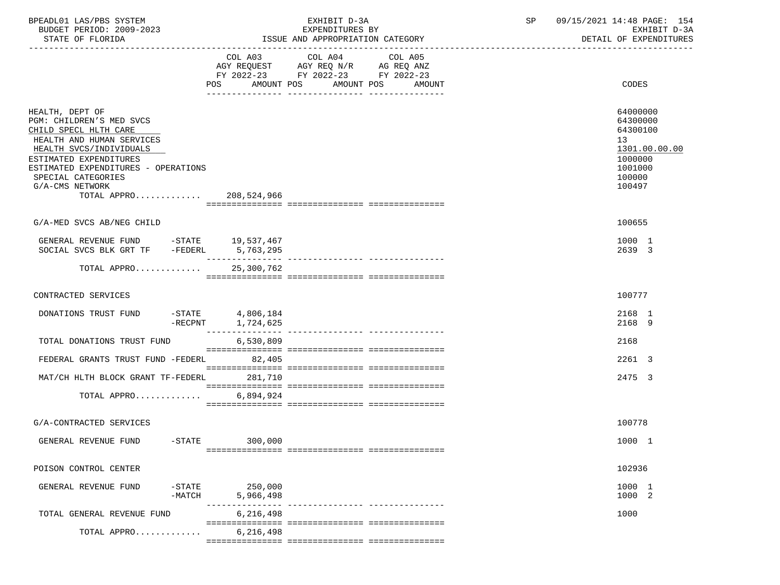| BPEADL01 LAS/PBS SYSTEM |                          |
|-------------------------|--------------------------|
|                         | BUDGET PERIOD: 2009-2023 |

|                                                                                                                                                                                                                                                       | COL A03<br>POS AMOUNT POS AMOUNT POS AMOUNT                                                                                                                                                                                                                                                                                                                                                                                                                     | COL A04<br>AGY REQUEST AGY REQ N/R AG REQ ANZ<br>FY 2022-23 FY 2022-23 FY 2022-23 | COL A05 | CODES                                                                                             |
|-------------------------------------------------------------------------------------------------------------------------------------------------------------------------------------------------------------------------------------------------------|-----------------------------------------------------------------------------------------------------------------------------------------------------------------------------------------------------------------------------------------------------------------------------------------------------------------------------------------------------------------------------------------------------------------------------------------------------------------|-----------------------------------------------------------------------------------|---------|---------------------------------------------------------------------------------------------------|
| HEALTH, DEPT OF<br>PGM: CHILDREN'S MED SVCS<br>CHILD SPECL HLTH CARE<br>HEALTH AND HUMAN SERVICES<br>HEALTH SVCS/INDIVIDUALS<br>ESTIMATED EXPENDITURES<br>ESTIMATED EXPENDITURES - OPERATIONS<br>SPECIAL CATEGORIES<br>G/A-CMS NETWORK<br>TOTAL APPRO | 208,524,966                                                                                                                                                                                                                                                                                                                                                                                                                                                     |                                                                                   |         | 64000000<br>64300000<br>64300100<br>13<br>1301.00.00.00<br>1000000<br>1001000<br>100000<br>100497 |
| G/A-MED SVCS AB/NEG CHILD                                                                                                                                                                                                                             |                                                                                                                                                                                                                                                                                                                                                                                                                                                                 |                                                                                   |         | 100655                                                                                            |
| GENERAL REVENUE FUND -STATE 19,537,467<br>SOCIAL SVCS BLK GRT TF -FEDERL 5,763,295                                                                                                                                                                    |                                                                                                                                                                                                                                                                                                                                                                                                                                                                 |                                                                                   |         | 1000 1<br>2639 3                                                                                  |
| TOTAL APPRO                                                                                                                                                                                                                                           | 25,300,762                                                                                                                                                                                                                                                                                                                                                                                                                                                      |                                                                                   |         |                                                                                                   |
| CONTRACTED SERVICES                                                                                                                                                                                                                                   |                                                                                                                                                                                                                                                                                                                                                                                                                                                                 |                                                                                   |         | 100777                                                                                            |
| DONATIONS TRUST FUND                                                                                                                                                                                                                                  | $-$ STATE 4,806,184<br>-RECPNT 1,724,625                                                                                                                                                                                                                                                                                                                                                                                                                        |                                                                                   |         | 2168 1<br>2168 9                                                                                  |
| TOTAL DONATIONS TRUST FUND                                                                                                                                                                                                                            | 6,530,809                                                                                                                                                                                                                                                                                                                                                                                                                                                       |                                                                                   |         | 2168                                                                                              |
| FEDERAL GRANTS TRUST FUND -FEDERL 82,405                                                                                                                                                                                                              |                                                                                                                                                                                                                                                                                                                                                                                                                                                                 |                                                                                   |         | 2261 3                                                                                            |
| MAT/CH HLTH BLOCK GRANT TF-FEDERL 281,710                                                                                                                                                                                                             |                                                                                                                                                                                                                                                                                                                                                                                                                                                                 |                                                                                   |         | 2475 3                                                                                            |
| TOTAL APPRO 6,894,924                                                                                                                                                                                                                                 | $\begin{minipage}{0.03\textwidth} \begin{tabular}{l} \textbf{0.04\textwidth} \textbf{0.04\textwidth} \textbf{0.04\textwidth} \textbf{0.04\textwidth} \textbf{0.04\textwidth} \textbf{0.04\textwidth} \textbf{0.04\textwidth} \textbf{0.04\textwidth} \textbf{0.04\textwidth} \textbf{0.04\textwidth} \textbf{0.04\textwidth} \textbf{0.04\textwidth} \textbf{0.04\textwidth} \textbf{0.04\textwidth} \textbf{0.04\textwidth} \textbf{0.04\textwidth} \textbf{0$ |                                                                                   |         |                                                                                                   |
| G/A-CONTRACTED SERVICES                                                                                                                                                                                                                               |                                                                                                                                                                                                                                                                                                                                                                                                                                                                 |                                                                                   |         | 100778                                                                                            |
| GENERAL REVENUE FUND                                                                                                                                                                                                                                  | $-STATE$ 300,000                                                                                                                                                                                                                                                                                                                                                                                                                                                |                                                                                   |         | 1000 1                                                                                            |
| POISON CONTROL CENTER                                                                                                                                                                                                                                 |                                                                                                                                                                                                                                                                                                                                                                                                                                                                 |                                                                                   |         | 102936                                                                                            |
| GENERAL REVENUE FUND<br>$-$ STATE<br>-MATCH                                                                                                                                                                                                           | 250,000<br>5,966,498                                                                                                                                                                                                                                                                                                                                                                                                                                            |                                                                                   |         | 1000 1<br>1000 2                                                                                  |
| TOTAL GENERAL REVENUE FUND                                                                                                                                                                                                                            | 6,216,498                                                                                                                                                                                                                                                                                                                                                                                                                                                       |                                                                                   |         | 1000                                                                                              |
| TOTAL APPRO                                                                                                                                                                                                                                           | 6,216,498                                                                                                                                                                                                                                                                                                                                                                                                                                                       |                                                                                   |         |                                                                                                   |

ISSUE AND APPROPRIATION CATEGORY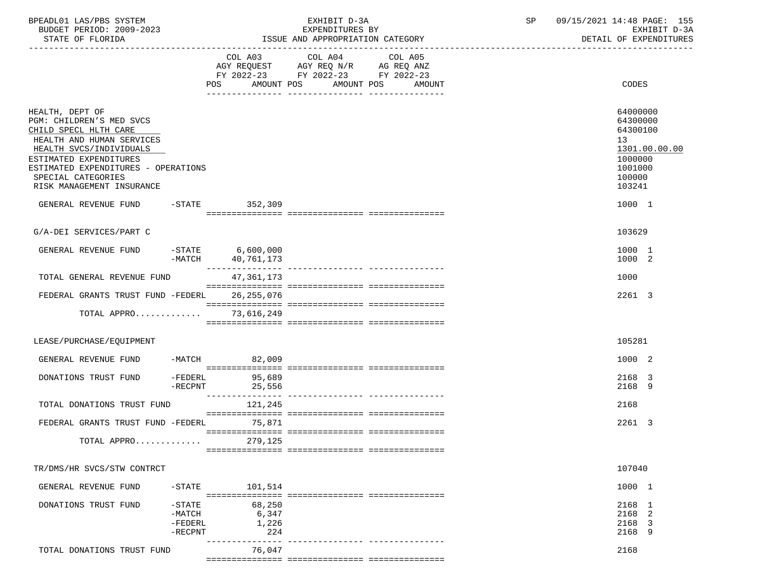| BPEADL01 LAS/PBS SYSTEM<br>BUDGET PERIOD: 2009-2023<br>STATE OF FLORIDA                                                                                                                                                                          |                                                 |                                 | EXHIBIT D-3A<br>EXPENDITURES BY<br>ISSUE AND APPROPRIATION CATEGORY                       |                                             | SP | 09/15/2021 14:48 PAGE: 155<br>EXHIBIT D-3A<br>DETAIL OF EXPENDITURES                                           |
|--------------------------------------------------------------------------------------------------------------------------------------------------------------------------------------------------------------------------------------------------|-------------------------------------------------|---------------------------------|-------------------------------------------------------------------------------------------|---------------------------------------------|----|----------------------------------------------------------------------------------------------------------------|
|                                                                                                                                                                                                                                                  |                                                 |                                 | COL A03 COL A04<br>AGY REQUEST AGY REQ N/R AG REQ ANZ<br>FY 2022-23 FY 2022-23 FY 2022-23 | COL A05<br>POS AMOUNT POS AMOUNT POS AMOUNT |    | CODES                                                                                                          |
| HEALTH, DEPT OF<br>PGM: CHILDREN'S MED SVCS<br>CHILD SPECL HLTH CARE<br>HEALTH AND HUMAN SERVICES<br>HEALTH SVCS/INDIVIDUALS<br>ESTIMATED EXPENDITURES<br>ESTIMATED EXPENDITURES - OPERATIONS<br>SPECIAL CATEGORIES<br>RISK MANAGEMENT INSURANCE |                                                 |                                 |                                                                                           |                                             |    | 64000000<br>64300000<br>64300100<br>13 <sup>°</sup><br>1301.00.00.00<br>1000000<br>1001000<br>100000<br>103241 |
| GENERAL REVENUE FUND -STATE 352,309                                                                                                                                                                                                              |                                                 |                                 |                                                                                           |                                             |    | 1000 1                                                                                                         |
| G/A-DEI SERVICES/PART C                                                                                                                                                                                                                          |                                                 |                                 |                                                                                           |                                             |    | 103629                                                                                                         |
| GENERAL REVENUE FUND                                                                                                                                                                                                                             |                                                 | STATE 6,600,000 – STATE 6,600–  |                                                                                           |                                             |    | 1000 1<br>1000 2                                                                                               |
| TOTAL GENERAL REVENUE FUND                                                                                                                                                                                                                       |                                                 | 47,361,173                      |                                                                                           |                                             |    | 1000                                                                                                           |
| FEDERAL GRANTS TRUST FUND -FEDERL                                                                                                                                                                                                                |                                                 | 26,255,076                      |                                                                                           |                                             |    | 2261 3                                                                                                         |
| TOTAL APPRO 73,616,249                                                                                                                                                                                                                           |                                                 |                                 |                                                                                           |                                             |    |                                                                                                                |
| LEASE/PURCHASE/EQUIPMENT                                                                                                                                                                                                                         |                                                 |                                 |                                                                                           |                                             |    | 105281                                                                                                         |
| GENERAL REVENUE FUND -MATCH 82,009                                                                                                                                                                                                               |                                                 |                                 |                                                                                           |                                             |    | 1000 2                                                                                                         |
| DONATIONS TRUST FUND                                                                                                                                                                                                                             | $-RECPNT$                                       | -FEDERL 95,689<br>25,556        |                                                                                           |                                             |    | 2168 3<br>2168 9                                                                                               |
| TOTAL DONATIONS TRUST FUND                                                                                                                                                                                                                       |                                                 | 121,245                         |                                                                                           |                                             |    | 2168                                                                                                           |
| FEDERAL GRANTS TRUST FUND -FEDERL 75.871                                                                                                                                                                                                         |                                                 |                                 |                                                                                           |                                             |    | 2261 3                                                                                                         |
| TOTAL APPRO                                                                                                                                                                                                                                      |                                                 | 279,125                         |                                                                                           |                                             |    |                                                                                                                |
| TR/DMS/HR SVCS/STW CONTRCT                                                                                                                                                                                                                       |                                                 |                                 |                                                                                           |                                             |    | 107040                                                                                                         |
| GENERAL REVENUE FUND                                                                                                                                                                                                                             | $-STATE$                                        | 101,514                         |                                                                                           |                                             |    | 1000 1                                                                                                         |
| DONATIONS TRUST FUND                                                                                                                                                                                                                             | $-STATE$<br>$-MATCH$<br>$-FEDERL$<br>$-$ RECPNT | 68,250<br>6,347<br>1,226<br>224 |                                                                                           |                                             |    | 2168 1<br>2168 2<br>2168 3<br>2168 9                                                                           |
| TOTAL DONATIONS TRUST FUND                                                                                                                                                                                                                       |                                                 | 76,047                          |                                                                                           |                                             |    | 2168                                                                                                           |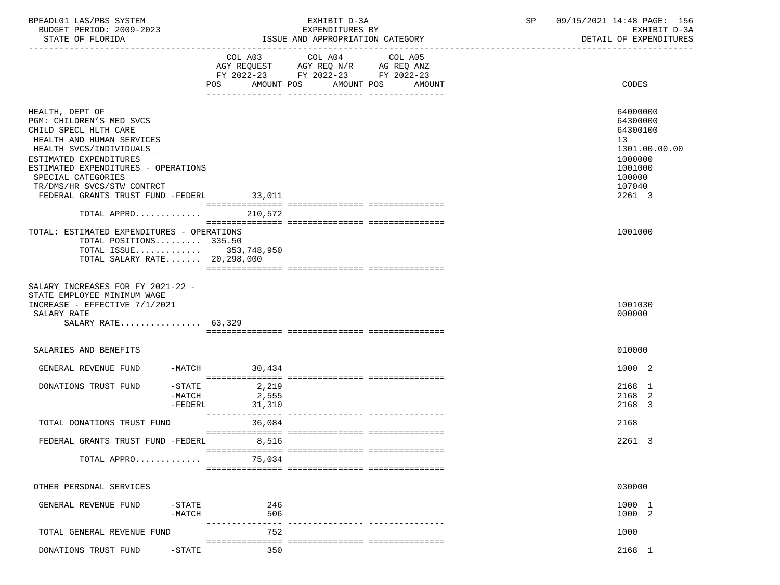| BPEADL01 LAS/PBS SYSTEM<br>BUDGET PERIOD: 2009-2023                                                                                    |                     | EXHIBIT D-3A<br>EXPENDITURES BY                                                                                                             | SP | 09/15/2021 14:48 PAGE: 156<br>EXHIBIT D-3A |  |
|----------------------------------------------------------------------------------------------------------------------------------------|---------------------|---------------------------------------------------------------------------------------------------------------------------------------------|----|--------------------------------------------|--|
| STATE OF FLORIDA                                                                                                                       |                     | ISSUE AND APPROPRIATION CATEGORY                                                                                                            |    | DETAIL OF EXPENDITURES                     |  |
|                                                                                                                                        |                     | COL A03 COL A04<br>COL A05<br>AGY REQUEST AGY REQ N/R AG REQ ANZ<br>FY 2022-23 FY 2022-23 FY 2022-23<br>POS AMOUNT POS AMOUNT POS<br>AMOUNT |    | CODES                                      |  |
| HEALTH, DEPT OF                                                                                                                        |                     |                                                                                                                                             |    | 64000000                                   |  |
| PGM: CHILDREN'S MED SVCS                                                                                                               |                     |                                                                                                                                             |    | 64300000                                   |  |
| CHILD SPECL HLTH CARE                                                                                                                  |                     |                                                                                                                                             |    | 64300100                                   |  |
| HEALTH AND HUMAN SERVICES                                                                                                              |                     |                                                                                                                                             |    | 13                                         |  |
| HEALTH SVCS/INDIVIDUALS                                                                                                                |                     |                                                                                                                                             |    | 1301.00.00.00                              |  |
| ESTIMATED EXPENDITURES<br>ESTIMATED EXPENDITURES - OPERATIONS                                                                          |                     |                                                                                                                                             |    | 1000000<br>1001000                         |  |
| SPECIAL CATEGORIES                                                                                                                     |                     |                                                                                                                                             |    | 100000                                     |  |
| TR/DMS/HR SVCS/STW CONTRCT                                                                                                             |                     |                                                                                                                                             |    | 107040                                     |  |
| FEDERAL GRANTS TRUST FUND -FEDERL                                                                                                      | 33,011              |                                                                                                                                             |    | 2261 3                                     |  |
|                                                                                                                                        |                     |                                                                                                                                             |    |                                            |  |
| TOTAL APPRO 210,572                                                                                                                    |                     |                                                                                                                                             |    |                                            |  |
|                                                                                                                                        |                     |                                                                                                                                             |    |                                            |  |
| TOTAL: ESTIMATED EXPENDITURES - OPERATIONS<br>TOTAL POSITIONS 335.50                                                                   |                     |                                                                                                                                             |    | 1001000                                    |  |
| TOTAL ISSUE 353,748,950                                                                                                                |                     |                                                                                                                                             |    |                                            |  |
| TOTAL SALARY RATE 20,298,000                                                                                                           |                     |                                                                                                                                             |    |                                            |  |
|                                                                                                                                        |                     |                                                                                                                                             |    |                                            |  |
| SALARY INCREASES FOR FY 2021-22 -<br>STATE EMPLOYEE MINIMUM WAGE<br>INCREASE - EFFECTIVE 7/1/2021<br>SALARY RATE<br>SALARY RATE 63,329 |                     |                                                                                                                                             |    | 1001030<br>000000                          |  |
| SALARIES AND BENEFITS                                                                                                                  |                     |                                                                                                                                             |    | 010000                                     |  |
|                                                                                                                                        |                     |                                                                                                                                             |    | 1000 2                                     |  |
| GENERAL REVENUE FUND                                                                                                                   | $-MATCH$ 30,434     |                                                                                                                                             |    |                                            |  |
| DONATIONS TRUST FUND                                                                                                                   | $-$ STATE<br>2,219  |                                                                                                                                             |    | 2168 1                                     |  |
|                                                                                                                                        | -MATCH<br>2,555     |                                                                                                                                             |    | 2168 2                                     |  |
|                                                                                                                                        | $-FEDERL$<br>31,310 |                                                                                                                                             |    | 2168 3                                     |  |
| TOTAL DONATIONS TRUST FUND                                                                                                             | 36,084              |                                                                                                                                             |    | 2168                                       |  |
| FEDERAL GRANTS TRUST FUND -FEDERL                                                                                                      | 8,516               |                                                                                                                                             |    | 2261 3                                     |  |
|                                                                                                                                        |                     |                                                                                                                                             |    |                                            |  |
| TOTAL APPRO                                                                                                                            | 75,034              |                                                                                                                                             |    |                                            |  |
|                                                                                                                                        |                     |                                                                                                                                             |    |                                            |  |
| OTHER PERSONAL SERVICES                                                                                                                |                     |                                                                                                                                             |    | 030000                                     |  |
| GENERAL REVENUE FUND                                                                                                                   | 246<br>$-$ STATE    |                                                                                                                                             |    | 1000 1                                     |  |
|                                                                                                                                        | $-MATCH$<br>506     |                                                                                                                                             |    | 1000 2                                     |  |
|                                                                                                                                        |                     |                                                                                                                                             |    |                                            |  |
| TOTAL GENERAL REVENUE FUND                                                                                                             | 752                 |                                                                                                                                             |    | 1000                                       |  |
| DONATIONS TRUST FUND                                                                                                                   | 350<br>$-STATE$     |                                                                                                                                             |    | 2168 1                                     |  |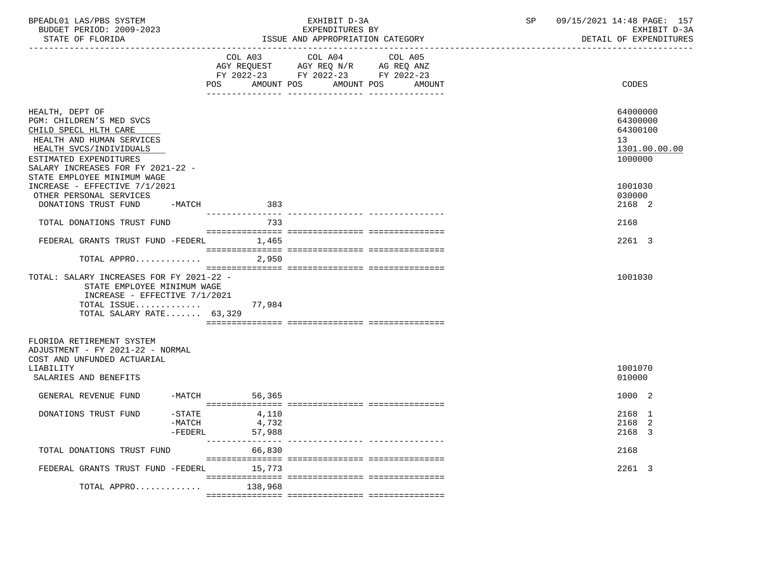| BPEADL01 LAS/PBS SYSTEM<br>BUDGET PERIOD: 2009-2023<br>STATE OF FLORIDA                                                                                                                                                    |                                  | EXHIBIT D-3A<br>EXPENDITURES BY<br>ISSUE AND APPROPRIATION CATEGORY |                                                                                                                               |        | SP | 09/15/2021 14:48 PAGE: 157<br>EXHIBIT D-3A<br>DETAIL OF EXPENDITURES |
|----------------------------------------------------------------------------------------------------------------------------------------------------------------------------------------------------------------------------|----------------------------------|---------------------------------------------------------------------|-------------------------------------------------------------------------------------------------------------------------------|--------|----|----------------------------------------------------------------------|
|                                                                                                                                                                                                                            |                                  | POS                                                                 | COL A03 COL A04 COL A05<br>AGY REQUEST AGY REQ N/R AG REQ ANZ<br>FY 2022-23 FY 2022-23 FY 2022-23<br>AMOUNT POS<br>AMOUNT POS | AMOUNT |    | <b>CODES</b>                                                         |
| HEALTH, DEPT OF<br>PGM: CHILDREN'S MED SVCS<br>CHILD SPECL HLTH CARE<br>HEALTH AND HUMAN SERVICES<br>HEALTH SVCS/INDIVIDUALS<br>ESTIMATED EXPENDITURES<br>SALARY INCREASES FOR FY 2021-22 -<br>STATE EMPLOYEE MINIMUM WAGE |                                  |                                                                     |                                                                                                                               |        |    | 64000000<br>64300000<br>64300100<br>13<br>1301.00.00.00<br>1000000   |
| INCREASE - EFFECTIVE 7/1/2021<br>OTHER PERSONAL SERVICES<br>DONATIONS TRUST FUND -MATCH                                                                                                                                    |                                  | 383                                                                 |                                                                                                                               |        |    | 1001030<br>030000<br>2168 2                                          |
| TOTAL DONATIONS TRUST FUND                                                                                                                                                                                                 |                                  | 733                                                                 |                                                                                                                               |        |    | 2168                                                                 |
| FEDERAL GRANTS TRUST FUND -FEDERL 1,465                                                                                                                                                                                    |                                  |                                                                     |                                                                                                                               |        |    | 2261 3                                                               |
| TOTAL APPRO                                                                                                                                                                                                                |                                  | 2,950                                                               |                                                                                                                               |        |    |                                                                      |
| TOTAL: SALARY INCREASES FOR FY 2021-22 -<br>STATE EMPLOYEE MINIMUM WAGE<br>INCREASE - EFFECTIVE 7/1/2021<br>TOTAL ISSUE 77,984<br>TOTAL SALARY RATE 63,329                                                                 |                                  |                                                                     |                                                                                                                               |        |    | 1001030                                                              |
| FLORIDA RETIREMENT SYSTEM<br>ADJUSTMENT - FY 2021-22 - NORMAL<br>COST AND UNFUNDED ACTUARIAL<br>LIABILITY<br>SALARIES AND BENEFITS                                                                                         |                                  |                                                                     |                                                                                                                               |        |    | 1001070<br>010000                                                    |
| GENERAL REVENUE FUND -MATCH 56,365                                                                                                                                                                                         |                                  |                                                                     |                                                                                                                               |        |    | 1000 2                                                               |
| DONATIONS TRUST FUND                                                                                                                                                                                                       | $-$ STATE<br>$-MATCH$<br>-FEDERL | 4,110<br>4,732<br>57,988                                            |                                                                                                                               |        |    | 2168 1<br>2168 2<br>2168 3                                           |
| TOTAL DONATIONS TRUST FUND                                                                                                                                                                                                 |                                  | 66,830                                                              |                                                                                                                               |        |    | 2168                                                                 |
| FEDERAL GRANTS TRUST FUND -FEDERL 15,773                                                                                                                                                                                   |                                  |                                                                     |                                                                                                                               |        |    | 2261 3                                                               |
| TOTAL APPRO $\ldots \ldots \ldots$ 138,968                                                                                                                                                                                 |                                  |                                                                     |                                                                                                                               |        |    |                                                                      |
|                                                                                                                                                                                                                            |                                  |                                                                     |                                                                                                                               |        |    |                                                                      |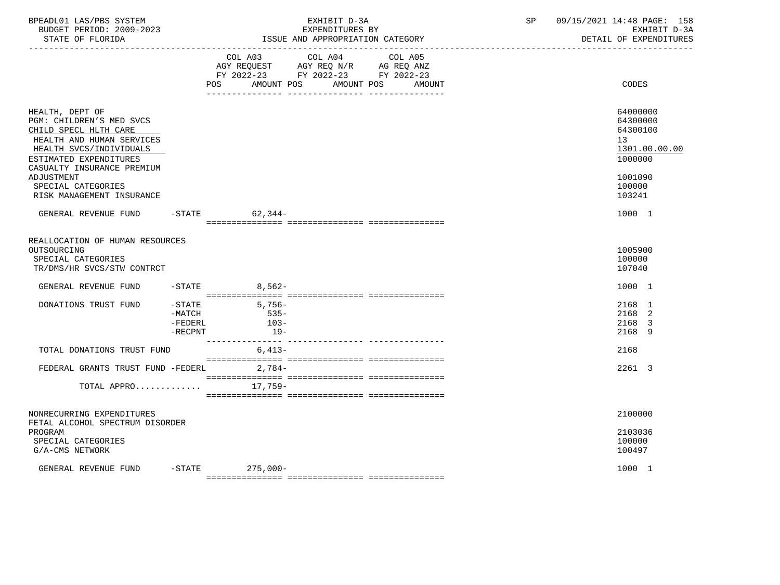| BPEADL01 LAS/PBS SYSTEM<br>BUDGET PERIOD: 2009-2023<br>STATE OF FLORIDA                                                                                                                                                                               |                                           | EXHIBIT D-3A<br>EXPENDITURES BY<br>ISSUE AND APPROPRIATION CATEGORY                                                        | SP     | 09/15/2021 14:48 PAGE: 158<br>EXHIBIT D-3A<br>DETAIL OF EXPENDITURES                              |
|-------------------------------------------------------------------------------------------------------------------------------------------------------------------------------------------------------------------------------------------------------|-------------------------------------------|----------------------------------------------------------------------------------------------------------------------------|--------|---------------------------------------------------------------------------------------------------|
|                                                                                                                                                                                                                                                       | <b>POS</b>                                | COL A03 COL A04 COL A05<br>AGY REQUEST AGY REQ N/R AG REQ ANZ<br>FY 2022-23 FY 2022-23 FY 2022-23<br>AMOUNT POS AMOUNT POS | AMOUNT | CODES                                                                                             |
| HEALTH, DEPT OF<br>PGM: CHILDREN'S MED SVCS<br>CHILD SPECL HLTH CARE<br>HEALTH AND HUMAN SERVICES<br>HEALTH SVCS/INDIVIDUALS<br>ESTIMATED EXPENDITURES<br>CASUALTY INSURANCE PREMIUM<br>ADJUSTMENT<br>SPECIAL CATEGORIES<br>RISK MANAGEMENT INSURANCE |                                           |                                                                                                                            |        | 64000000<br>64300000<br>64300100<br>13<br>1301.00.00.00<br>1000000<br>1001090<br>100000<br>103241 |
| GENERAL REVENUE FUND                                                                                                                                                                                                                                  | $-$ STATE                                 | 62,344-                                                                                                                    |        | 1000 1                                                                                            |
| REALLOCATION OF HUMAN RESOURCES<br>OUTSOURCING<br>SPECIAL CATEGORIES<br>TR/DMS/HR SVCS/STW CONTRCT<br>GENERAL REVENUE FUND                                                                                                                            | $-$ STATE                                 | 8,562-                                                                                                                     |        | 1005900<br>100000<br>107040<br>1000 1                                                             |
| DONATIONS TRUST FUND                                                                                                                                                                                                                                  | $-$ STATE<br>-MATCH<br>-FEDERL<br>-RECPNT | $5,756-$<br>$535-$<br>$103-$<br>$19-$                                                                                      |        | 2168 1<br>2168 2<br>2168 3<br>2168 9                                                              |
| TOTAL DONATIONS TRUST FUND                                                                                                                                                                                                                            |                                           | 6,413-                                                                                                                     |        | 2168                                                                                              |
| FEDERAL GRANTS TRUST FUND -FEDERL 2,784-<br>TOTAL APPRO                                                                                                                                                                                               |                                           | 17,759-                                                                                                                    |        | 2261 3                                                                                            |
| NONRECURRING EXPENDITURES<br>FETAL ALCOHOL SPECTRUM DISORDER<br>PROGRAM<br>SPECIAL CATEGORIES<br>G/A-CMS NETWORK                                                                                                                                      |                                           |                                                                                                                            |        | 2100000<br>2103036<br>100000<br>100497                                                            |
| GENERAL REVENUE FUND                                                                                                                                                                                                                                  |                                           | $-$ STATE 275,000 -                                                                                                        |        | 1000 1                                                                                            |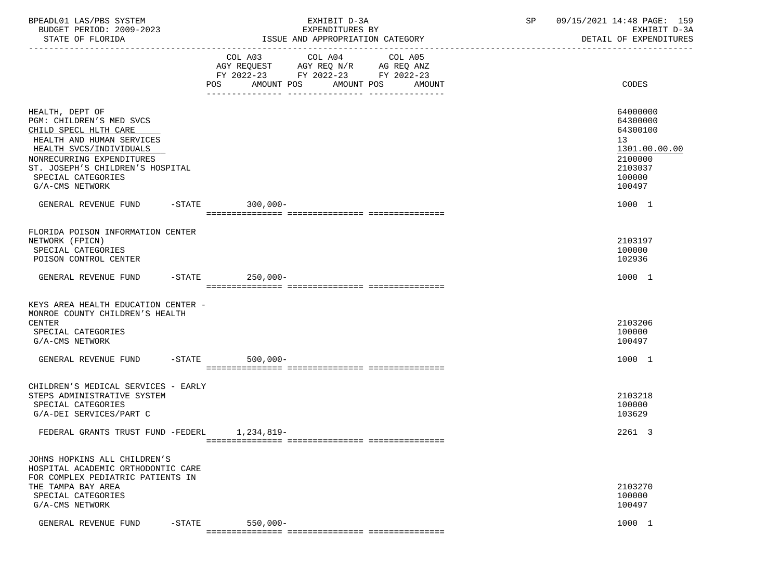| BPEADL01 LAS/PBS SYSTEM<br>BUDGET PERIOD: 2009-2023<br>STATE OF FLORIDA                                                                                                                                                                | EXHIBIT D-3A<br>EXPENDITURES BY<br>ISSUE AND APPROPRIATION CATEGORY                                                                                                                                                                                    | 09/15/2021 14:48 PAGE: 159<br>SP<br>EXHIBIT D-3A<br>DETAIL OF EXPENDITURES                        |
|----------------------------------------------------------------------------------------------------------------------------------------------------------------------------------------------------------------------------------------|--------------------------------------------------------------------------------------------------------------------------------------------------------------------------------------------------------------------------------------------------------|---------------------------------------------------------------------------------------------------|
|                                                                                                                                                                                                                                        | COL A03 COL A04<br>COL A05<br>AGY REQUEST AGY REQ N/R AG REQ ANZ<br>FY 2022-23 FY 2022-23 FY 2022-23<br>POS FOR THE POST OF THE STATE STATE STATE STATE STATE STATE STATE STATE STATE STATE STATE STATE STATE STATE ST<br>AMOUNT POS AMOUNT POS AMOUNT | CODES                                                                                             |
| HEALTH, DEPT OF<br>PGM: CHILDREN'S MED SVCS<br>CHILD SPECL HLTH CARE<br>HEALTH AND HUMAN SERVICES<br>HEALTH SVCS/INDIVIDUALS<br>NONRECURRING EXPENDITURES<br>ST. JOSEPH'S CHILDREN'S HOSPITAL<br>SPECIAL CATEGORIES<br>G/A-CMS NETWORK |                                                                                                                                                                                                                                                        | 64000000<br>64300000<br>64300100<br>13<br>1301.00.00.00<br>2100000<br>2103037<br>100000<br>100497 |
| GENERAL REVENUE FUND -STATE 300,000-                                                                                                                                                                                                   |                                                                                                                                                                                                                                                        | 1000 1                                                                                            |
| FLORIDA POISON INFORMATION CENTER<br>NETWORK (FPICN)<br>SPECIAL CATEGORIES<br>POISON CONTROL CENTER                                                                                                                                    |                                                                                                                                                                                                                                                        | 2103197<br>100000<br>102936                                                                       |
| GENERAL REVENUE FUND -STATE 250,000-                                                                                                                                                                                                   |                                                                                                                                                                                                                                                        | 1000 1                                                                                            |
| KEYS AREA HEALTH EDUCATION CENTER -<br>MONROE COUNTY CHILDREN'S HEALTH<br>CENTER<br>SPECIAL CATEGORIES<br>G/A-CMS NETWORK                                                                                                              |                                                                                                                                                                                                                                                        | 2103206<br>100000<br>100497                                                                       |
| GENERAL REVENUE FUND -STATE                                                                                                                                                                                                            | $500,000 -$                                                                                                                                                                                                                                            | 1000 1                                                                                            |
| CHILDREN'S MEDICAL SERVICES - EARLY<br>STEPS ADMINISTRATIVE SYSTEM<br>SPECIAL CATEGORIES<br>G/A-DEI SERVICES/PART C                                                                                                                    |                                                                                                                                                                                                                                                        | 2103218<br>100000<br>103629                                                                       |
| FEDERAL GRANTS TRUST FUND -FEDERL 1, 234, 819-                                                                                                                                                                                         |                                                                                                                                                                                                                                                        | 2261 3                                                                                            |
| JOHNS HOPKINS ALL CHILDREN'S<br>HOSPITAL ACADEMIC ORTHODONTIC CARE<br>FOR COMPLEX PEDIATRIC PATIENTS IN<br>THE TAMPA BAY AREA<br>SPECIAL CATEGORIES<br>G/A-CMS NETWORK                                                                 |                                                                                                                                                                                                                                                        | 2103270<br>100000<br>100497                                                                       |
| GENERAL REVENUE FUND<br>$-$ STATE                                                                                                                                                                                                      | $550,000 -$                                                                                                                                                                                                                                            | 1000 1                                                                                            |
|                                                                                                                                                                                                                                        |                                                                                                                                                                                                                                                        |                                                                                                   |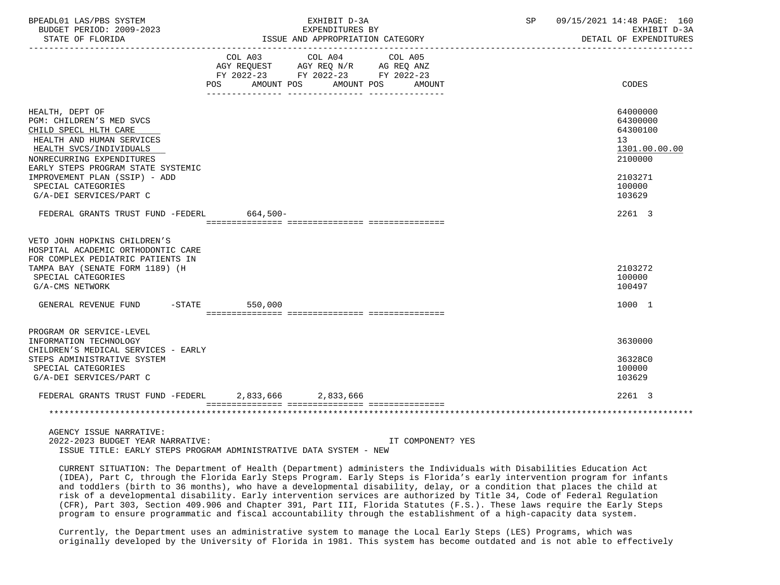| BPEADL01 LAS/PBS SYSTEM<br>BUDGET PERIOD: 2009-2023<br>STATE OF FLORIDA                                                                                                                                                                                                           | EXHIBIT D-3A<br>EXPENDITURES BY<br>ISSUE AND APPROPRIATION CATEGORY |                                                                                                                                       | SP | 09/15/2021 14:48 PAGE: 160<br>EXHIBIT D-3A<br>DETAIL OF EXPENDITURES                                           |
|-----------------------------------------------------------------------------------------------------------------------------------------------------------------------------------------------------------------------------------------------------------------------------------|---------------------------------------------------------------------|---------------------------------------------------------------------------------------------------------------------------------------|----|----------------------------------------------------------------------------------------------------------------|
|                                                                                                                                                                                                                                                                                   |                                                                     | COL A03 COL A04 COL A05<br>AGY REQUEST AGY REQ N/R AG REQ ANZ<br>FY 2022-23 FY 2022-23 FY 2022-23<br>POS AMOUNT POS AMOUNT POS AMOUNT |    | CODES                                                                                                          |
| HEALTH, DEPT OF<br>PGM: CHILDREN'S MED SVCS<br>CHILD SPECL HLTH CARE<br>HEALTH AND HUMAN SERVICES<br>HEALTH SVCS/INDIVIDUALS<br>NONRECURRING EXPENDITURES<br>EARLY STEPS PROGRAM STATE SYSTEMIC<br>IMPROVEMENT PLAN (SSIP) - ADD<br>SPECIAL CATEGORIES<br>G/A-DEI SERVICES/PART C |                                                                     |                                                                                                                                       |    | 64000000<br>64300000<br>64300100<br>13 <sup>°</sup><br>1301.00.00.00<br>2100000<br>2103271<br>100000<br>103629 |
| FEDERAL GRANTS TRUST FUND -FEDERL 664,500-                                                                                                                                                                                                                                        |                                                                     |                                                                                                                                       |    | 2261 3                                                                                                         |
| VETO JOHN HOPKINS CHILDREN'S<br>HOSPITAL ACADEMIC ORTHODONTIC CARE<br>FOR COMPLEX PEDIATRIC PATIENTS IN<br>TAMPA BAY (SENATE FORM 1189) (H<br>SPECIAL CATEGORIES<br>G/A-CMS NETWORK                                                                                               |                                                                     |                                                                                                                                       |    | 2103272<br>100000<br>100497                                                                                    |
| GENERAL REVENUE FUND -STATE                                                                                                                                                                                                                                                       | 550,000                                                             |                                                                                                                                       |    | 1000 1                                                                                                         |
| PROGRAM OR SERVICE-LEVEL<br>INFORMATION TECHNOLOGY<br>CHILDREN'S MEDICAL SERVICES - EARLY<br>STEPS ADMINISTRATIVE SYSTEM<br>SPECIAL CATEGORIES<br>G/A-DEI SERVICES/PART C                                                                                                         |                                                                     |                                                                                                                                       |    | 3630000<br>36328C0<br>100000<br>103629                                                                         |
| FEDERAL GRANTS TRUST FUND -FEDERL 2,833,666 2,833,666                                                                                                                                                                                                                             |                                                                     |                                                                                                                                       |    | 2261 3                                                                                                         |
|                                                                                                                                                                                                                                                                                   |                                                                     |                                                                                                                                       |    |                                                                                                                |

 AGENCY ISSUE NARRATIVE: 2022-2023 BUDGET YEAR NARRATIVE: IT COMPONENT? YES ISSUE TITLE: EARLY STEPS PROGRAM ADMINISTRATIVE DATA SYSTEM - NEW

 CURRENT SITUATION: The Department of Health (Department) administers the Individuals with Disabilities Education Act (IDEA), Part C, through the Florida Early Steps Program. Early Steps is Florida's early intervention program for infants and toddlers (birth to 36 months), who have a developmental disability, delay, or a condition that places the child at risk of a developmental disability. Early intervention services are authorized by Title 34, Code of Federal Regulation (CFR), Part 303, Section 409.906 and Chapter 391, Part III, Florida Statutes (F.S.). These laws require the Early Steps program to ensure programmatic and fiscal accountability through the establishment of a high-capacity data system.

 Currently, the Department uses an administrative system to manage the Local Early Steps (LES) Programs, which was originally developed by the University of Florida in 1981. This system has become outdated and is not able to effectively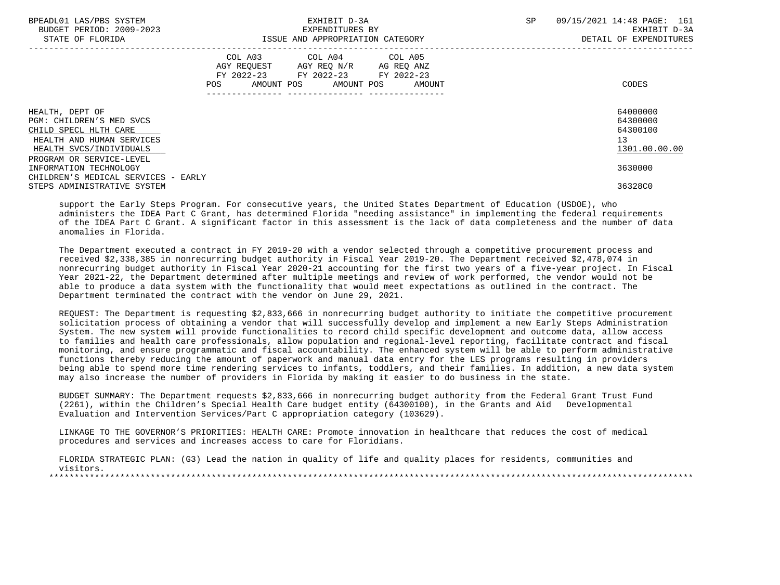| BPEADL01 LAS/PBS SYSTEM<br>BUDGET PERIOD: 2009-2023<br>STATE OF FLORIDA                                                      | EXHIBIT D-3A<br>EXPENDITURES BY<br>ISSUE AND APPROPRIATION CATEGORY                                                                         | 09/15/2021 14:48 PAGE: 161<br>SP.<br>EXHIBIT D-3A<br>DETAIL OF EXPENDITURES |
|------------------------------------------------------------------------------------------------------------------------------|---------------------------------------------------------------------------------------------------------------------------------------------|-----------------------------------------------------------------------------|
|                                                                                                                              | COL A03 COL A04 COL A05<br>AGY REOUEST AGY REO N/R AG REO ANZ<br>FY 2022-23 FY 2022-23 FY 2022-23<br>AMOUNT POS AMOUNT POS AMOUNT<br>POS DO | CODES                                                                       |
| HEALTH, DEPT OF<br>PGM: CHILDREN'S MED SVCS<br>CHILD SPECL HLTH CARE<br>HEALTH AND HUMAN SERVICES<br>HEALTH SVCS/INDIVIDUALS |                                                                                                                                             | 64000000<br>64300000<br>64300100<br>13<br>1301.00.00.00                     |
| PROGRAM OR SERVICE-LEVEL<br>INFORMATION TECHNOLOGY<br>CHILDREN'S MEDICAL SERVICES - EARLY<br>STEPS ADMINISTRATIVE SYSTEM     |                                                                                                                                             | 3630000<br>36328C0                                                          |

 support the Early Steps Program. For consecutive years, the United States Department of Education (USDOE), who administers the IDEA Part C Grant, has determined Florida "needing assistance" in implementing the federal requirements of the IDEA Part C Grant. A significant factor in this assessment is the lack of data completeness and the number of data anomalies in Florida.

 The Department executed a contract in FY 2019-20 with a vendor selected through a competitive procurement process and received \$2,338,385 in nonrecurring budget authority in Fiscal Year 2019-20. The Department received \$2,478,074 in nonrecurring budget authority in Fiscal Year 2020-21 accounting for the first two years of a five-year project. In Fiscal Year 2021-22, the Department determined after multiple meetings and review of work performed, the vendor would not be able to produce a data system with the functionality that would meet expectations as outlined in the contract. The Department terminated the contract with the vendor on June 29, 2021.

 REQUEST: The Department is requesting \$2,833,666 in nonrecurring budget authority to initiate the competitive procurement solicitation process of obtaining a vendor that will successfully develop and implement a new Early Steps Administration System. The new system will provide functionalities to record child specific development and outcome data, allow access to families and health care professionals, allow population and regional-level reporting, facilitate contract and fiscal monitoring, and ensure programmatic and fiscal accountability. The enhanced system will be able to perform administrative functions thereby reducing the amount of paperwork and manual data entry for the LES programs resulting in providers being able to spend more time rendering services to infants, toddlers, and their families. In addition, a new data system may also increase the number of providers in Florida by making it easier to do business in the state.

 BUDGET SUMMARY: The Department requests \$2,833,666 in nonrecurring budget authority from the Federal Grant Trust Fund (2261), within the Children's Special Health Care budget entity (64300100), in the Grants and Aid Developmental Evaluation and Intervention Services/Part C appropriation category (103629).

 LINKAGE TO THE GOVERNOR'S PRIORITIES: HEALTH CARE: Promote innovation in healthcare that reduces the cost of medical procedures and services and increases access to care for Floridians.

 FLORIDA STRATEGIC PLAN: (G3) Lead the nation in quality of life and quality places for residents, communities and visitors. \*\*\*\*\*\*\*\*\*\*\*\*\*\*\*\*\*\*\*\*\*\*\*\*\*\*\*\*\*\*\*\*\*\*\*\*\*\*\*\*\*\*\*\*\*\*\*\*\*\*\*\*\*\*\*\*\*\*\*\*\*\*\*\*\*\*\*\*\*\*\*\*\*\*\*\*\*\*\*\*\*\*\*\*\*\*\*\*\*\*\*\*\*\*\*\*\*\*\*\*\*\*\*\*\*\*\*\*\*\*\*\*\*\*\*\*\*\*\*\*\*\*\*\*\*\*\*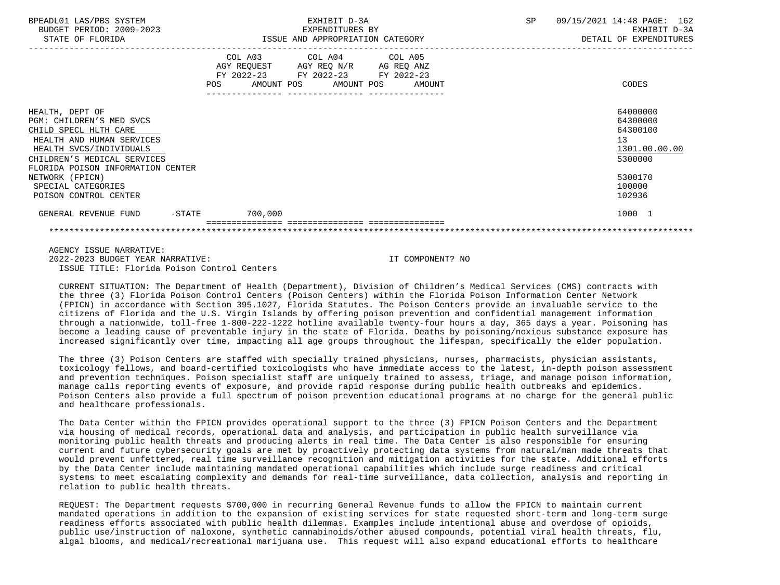| BPEADL01 LAS/PBS SYSTEM<br>BUDGET PERIOD: 2009-2023 | EXHIBIT D-3A<br>EXPENDITURES BY                                                                                                                                                    | 09/15/2021 14:48 PAGE: 162<br>SP<br>EXHIBIT D-3A |
|-----------------------------------------------------|------------------------------------------------------------------------------------------------------------------------------------------------------------------------------------|--------------------------------------------------|
| STATE OF FLORIDA                                    | ISSUE AND APPROPRIATION CATEGORY                                                                                                                                                   | DETAIL OF EXPENDITURES                           |
|                                                     | COL A03 COL A04 COL A05                                                                                                                                                            |                                                  |
|                                                     | AGY REQUEST AGY REQ N/R AG REQ ANZ                                                                                                                                                 |                                                  |
|                                                     | FY 2022-23 FY 2022-23 FY 2022-23<br>POS FOR THE POST OF THE STATE STATE STATE STATE STATE STATE STATE STATE STATE STATE STATE STATE STATE STATE ST<br>AMOUNT POS AMOUNT POS AMOUNT | CODES                                            |
|                                                     |                                                                                                                                                                                    |                                                  |
|                                                     |                                                                                                                                                                                    |                                                  |
| HEALTH, DEPT OF                                     |                                                                                                                                                                                    | 64000000                                         |
| PGM: CHILDREN'S MED SVCS                            |                                                                                                                                                                                    | 64300000                                         |
| CHILD SPECL HLTH CARE                               |                                                                                                                                                                                    | 64300100                                         |
| HEALTH AND HUMAN SERVICES                           |                                                                                                                                                                                    | 13                                               |
| HEALTH SVCS/INDIVIDUALS                             |                                                                                                                                                                                    | 1301.00.00.00                                    |
| CHILDREN'S MEDICAL SERVICES                         |                                                                                                                                                                                    | 5300000                                          |
| FLORIDA POISON INFORMATION CENTER                   |                                                                                                                                                                                    |                                                  |
| NETWORK (FPICN)                                     |                                                                                                                                                                                    | 5300170                                          |
| SPECIAL CATEGORIES                                  |                                                                                                                                                                                    | 100000                                           |
| POISON CONTROL CENTER                               |                                                                                                                                                                                    | 102936                                           |
| GENERAL REVENUE FUND -STATE 700,000                 |                                                                                                                                                                                    | 1000 1                                           |
|                                                     |                                                                                                                                                                                    |                                                  |

 AGENCY ISSUE NARRATIVE: 2022-2023 BUDGET YEAR NARRATIVE: IT COMPONENT? NO ISSUE TITLE: Florida Poison Control Centers

 CURRENT SITUATION: The Department of Health (Department), Division of Children's Medical Services (CMS) contracts with the three (3) Florida Poison Control Centers (Poison Centers) within the Florida Poison Information Center Network (FPICN) in accordance with Section 395.1027, Florida Statutes. The Poison Centers provide an invaluable service to the citizens of Florida and the U.S. Virgin Islands by offering poison prevention and confidential management information through a nationwide, toll-free 1-800-222-1222 hotline available twenty-four hours a day, 365 days a year. Poisoning has become a leading cause of preventable injury in the state of Florida. Deaths by poisoning/noxious substance exposure has increased significantly over time, impacting all age groups throughout the lifespan, specifically the elder population.

 The three (3) Poison Centers are staffed with specially trained physicians, nurses, pharmacists, physician assistants, toxicology fellows, and board-certified toxicologists who have immediate access to the latest, in-depth poison assessment and prevention techniques. Poison specialist staff are uniquely trained to assess, triage, and manage poison information, manage calls reporting events of exposure, and provide rapid response during public health outbreaks and epidemics. Poison Centers also provide a full spectrum of poison prevention educational programs at no charge for the general public and healthcare professionals.

 The Data Center within the FPICN provides operational support to the three (3) FPICN Poison Centers and the Department via housing of medical records, operational data and analysis, and participation in public health surveillance via monitoring public health threats and producing alerts in real time. The Data Center is also responsible for ensuring current and future cybersecurity goals are met by proactively protecting data systems from natural/man made threats that would prevent unfettered, real time surveillance recognition and mitigation activities for the state. Additional efforts by the Data Center include maintaining mandated operational capabilities which include surge readiness and critical systems to meet escalating complexity and demands for real-time surveillance, data collection, analysis and reporting in relation to public health threats.

 REQUEST: The Department requests \$700,000 in recurring General Revenue funds to allow the FPICN to maintain current mandated operations in addition to the expansion of existing services for state requested short-term and long-term surge readiness efforts associated with public health dilemmas. Examples include intentional abuse and overdose of opioids, public use/instruction of naloxone, synthetic cannabinoids/other abused compounds, potential viral health threats, flu, algal blooms, and medical/recreational marijuana use. This request will also expand educational efforts to healthcare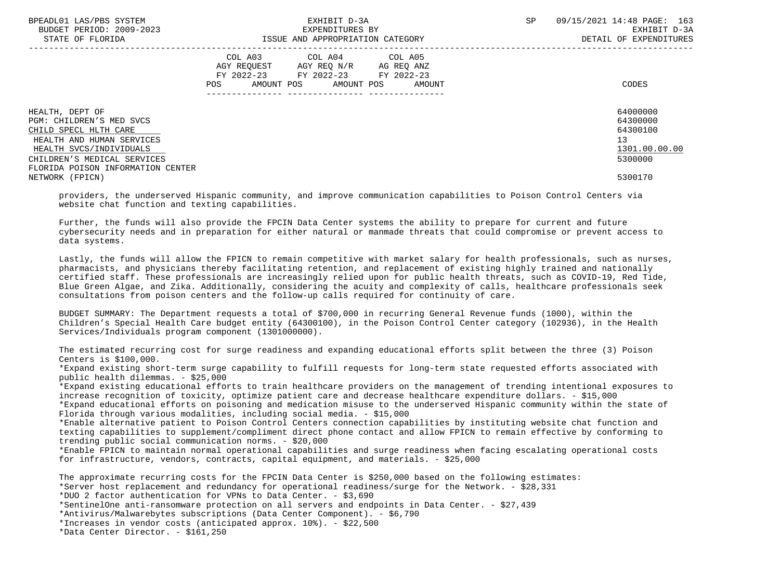| BPEADL01 LAS/PBS SYSTEM<br>BUDGET PERIOD: 2009-2023<br>STATE OF FLORIDA                                                                                                                          | EXHIBIT D-3A<br>EXPENDITURES BY<br>ISSUE AND APPROPRIATION CATEGORY                                                                            | SP | 09/15/2021 14:48 PAGE: 163<br>EXHIBIT D-3A<br>DETAIL OF EXPENDITURES |
|--------------------------------------------------------------------------------------------------------------------------------------------------------------------------------------------------|------------------------------------------------------------------------------------------------------------------------------------------------|----|----------------------------------------------------------------------|
|                                                                                                                                                                                                  | COL A03 COL A04 COL A05<br>AGY REOUEST AGY REO N/R<br>AG REO ANZ<br>FY 2022-23 FY 2022-23 FY 2022-23<br>AMOUNT POS AMOUNT POS<br>POS<br>AMOUNT |    | CODES                                                                |
| HEALTH, DEPT OF<br>PGM: CHILDREN'S MED SVCS<br>CHILD SPECL HLTH CARE<br>HEALTH AND HUMAN SERVICES<br>HEALTH SVCS/INDIVIDUALS<br>CHILDREN'S MEDICAL SERVICES<br>FLORIDA POISON INFORMATION CENTER |                                                                                                                                                |    | 64000000<br>64300000<br>64300100<br>13<br>1301.00.00.00<br>5300000   |
| NETWORK (FPICN)                                                                                                                                                                                  |                                                                                                                                                |    | 5300170                                                              |

 providers, the underserved Hispanic community, and improve communication capabilities to Poison Control Centers via website chat function and texting capabilities.

 Further, the funds will also provide the FPCIN Data Center systems the ability to prepare for current and future cybersecurity needs and in preparation for either natural or manmade threats that could compromise or prevent access to data systems.

 Lastly, the funds will allow the FPICN to remain competitive with market salary for health professionals, such as nurses, pharmacists, and physicians thereby facilitating retention, and replacement of existing highly trained and nationally certified staff. These professionals are increasingly relied upon for public health threats, such as COVID-19, Red Tide, Blue Green Algae, and Zika. Additionally, considering the acuity and complexity of calls, healthcare professionals seek consultations from poison centers and the follow-up calls required for continuity of care.

 BUDGET SUMMARY: The Department requests a total of \$700,000 in recurring General Revenue funds (1000), within the Children's Special Health Care budget entity (64300100), in the Poison Control Center category (102936), in the Health Services/Individuals program component (1301000000).

 The estimated recurring cost for surge readiness and expanding educational efforts split between the three (3) Poison Centers is \$100,000.

 \*Expand existing short-term surge capability to fulfill requests for long-term state requested efforts associated with public health dilemmas. - \$25,000

 \*Expand existing educational efforts to train healthcare providers on the management of trending intentional exposures to increase recognition of toxicity, optimize patient care and decrease healthcare expenditure dollars. - \$15,000

 \*Expand educational efforts on poisoning and medication misuse to the underserved Hispanic community within the state of Florida through various modalities, including social media. - \$15,000

 \*Enable alternative patient to Poison Control Centers connection capabilities by instituting website chat function and texting capabilities to supplement/compliment direct phone contact and allow FPICN to remain effective by conforming to trending public social communication norms. - \$20,000

 \*Enable FPICN to maintain normal operational capabilities and surge readiness when facing escalating operational costs for infrastructure, vendors, contracts, capital equipment, and materials. - \$25,000

 The approximate recurring costs for the FPCIN Data Center is \$250,000 based on the following estimates: \*Server host replacement and redundancy for operational readiness/surge for the Network. - \$28,331 \*DUO 2 factor authentication for VPNs to Data Center. - \$3,690 \*SentinelOne anti-ransomware protection on all servers and endpoints in Data Center. - \$27,439 \*Antivirus/Malwarebytes subscriptions (Data Center Component). - \$6,790 \*Increases in vendor costs (anticipated approx. 10%). - \$22,500 \*Data Center Director. - \$161,250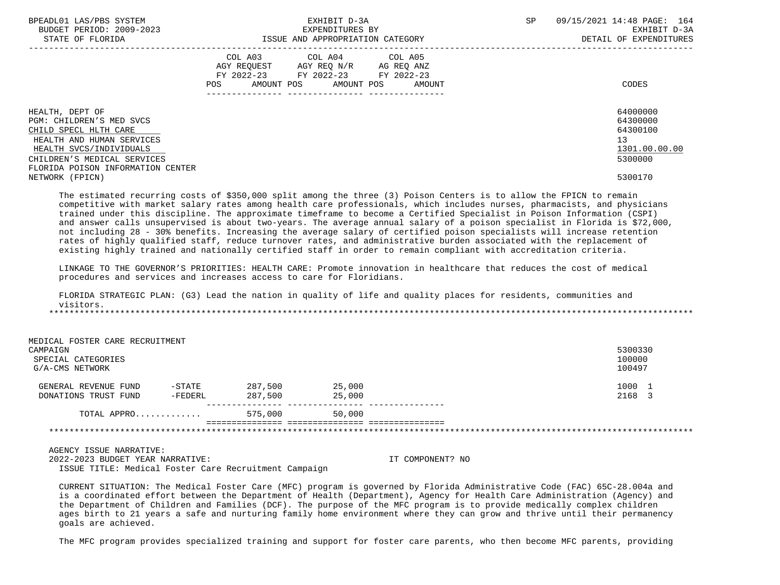| BPEADL01 LAS/PBS SYSTEM<br>BUDGET PERIOD: 2009-2023<br>STATE OF FLORIDA                                                                                                                          |                              | EXHIBIT D-3A<br>EXPENDITURES BY<br>ISSUE AND APPROPRIATION CATEGORY                                                            | <b>SP</b> | 09/15/2021 14:48 PAGE: 164<br>EXHIBIT D-3A<br>DETAIL OF EXPENDITURES |  |
|--------------------------------------------------------------------------------------------------------------------------------------------------------------------------------------------------|------------------------------|--------------------------------------------------------------------------------------------------------------------------------|-----------|----------------------------------------------------------------------|--|
|                                                                                                                                                                                                  | FY 2022-23 FY 2022-23<br>POS | COL A03 COL A04 COL A05<br>AGY REQUEST AGY REQ N/R AG REQ ANZ<br>FY 2022-23<br>AMOUNT POS AMOUNT POS AMOUNT<br>--------------- |           | CODES                                                                |  |
| HEALTH, DEPT OF<br>PGM: CHILDREN'S MED SVCS<br>CHILD SPECL HLTH CARE<br>HEALTH AND HUMAN SERVICES<br>HEALTH SVCS/INDIVIDUALS<br>CHILDREN'S MEDICAL SERVICES<br>FLORIDA POISON INFORMATION CENTER |                              |                                                                                                                                |           | 64000000<br>64300000<br>64300100<br>13<br>1301.00.00.00<br>5300000   |  |
| NETWORK (FPICN)                                                                                                                                                                                  |                              |                                                                                                                                |           | 5300170                                                              |  |

 The estimated recurring costs of \$350,000 split among the three (3) Poison Centers is to allow the FPICN to remain competitive with market salary rates among health care professionals, which includes nurses, pharmacists, and physicians trained under this discipline. The approximate timeframe to become a Certified Specialist in Poison Information (CSPI) and answer calls unsupervised is about two-years. The average annual salary of a poison specialist in Florida is \$72,000, not including 28 - 30% benefits. Increasing the average salary of certified poison specialists will increase retention rates of highly qualified staff, reduce turnover rates, and administrative burden associated with the replacement of existing highly trained and nationally certified staff in order to remain compliant with accreditation criteria.

 LINKAGE TO THE GOVERNOR'S PRIORITIES: HEALTH CARE: Promote innovation in healthcare that reduces the cost of medical procedures and services and increases access to care for Floridians.

 FLORIDA STRATEGIC PLAN: (G3) Lead the nation in quality of life and quality places for residents, communities and visitors. \*\*\*\*\*\*\*\*\*\*\*\*\*\*\*\*\*\*\*\*\*\*\*\*\*\*\*\*\*\*\*\*\*\*\*\*\*\*\*\*\*\*\*\*\*\*\*\*\*\*\*\*\*\*\*\*\*\*\*\*\*\*\*\*\*\*\*\*\*\*\*\*\*\*\*\*\*\*\*\*\*\*\*\*\*\*\*\*\*\*\*\*\*\*\*\*\*\*\*\*\*\*\*\*\*\*\*\*\*\*\*\*\*\*\*\*\*\*\*\*\*\*\*\*\*\*\*

 MEDICAL FOSTER CARE RECRUITMENT CAMPAIGN 5300330 SPECIAL CATEGORIES 100000 G/A-CMS NETWORK 100497 GENERAL REVENUE FUND -STATE 287,500 25,000<br>DONATIONS TRUST FUND -FEDERL 287.500 25.000 25.000 25,000 25,000 2168 3 DONATIONS TRUST FUND -FEDERL --------------- --------------- --------------- TOTAL APPRO............. 575,000 50,000 =============== =============== =============== \*\*\*\*\*\*\*\*\*\*\*\*\*\*\*\*\*\*\*\*\*\*\*\*\*\*\*\*\*\*\*\*\*\*\*\*\*\*\*\*\*\*\*\*\*\*\*\*\*\*\*\*\*\*\*\*\*\*\*\*\*\*\*\*\*\*\*\*\*\*\*\*\*\*\*\*\*\*\*\*\*\*\*\*\*\*\*\*\*\*\*\*\*\*\*\*\*\*\*\*\*\*\*\*\*\*\*\*\*\*\*\*\*\*\*\*\*\*\*\*\*\*\*\*\*\*\*

 AGENCY ISSUE NARRATIVE: 2022-2023 BUDGET YEAR NARRATIVE: IT COMPONENT? NO ISSUE TITLE: Medical Foster Care Recruitment Campaign

 CURRENT SITUATION: The Medical Foster Care (MFC) program is governed by Florida Administrative Code (FAC) 65C-28.004a and is a coordinated effort between the Department of Health (Department), Agency for Health Care Administration (Agency) and the Department of Children and Families (DCF). The purpose of the MFC program is to provide medically complex children ages birth to 21 years a safe and nurturing family home environment where they can grow and thrive until their permanency goals are achieved.

The MFC program provides specialized training and support for foster care parents, who then become MFC parents, providing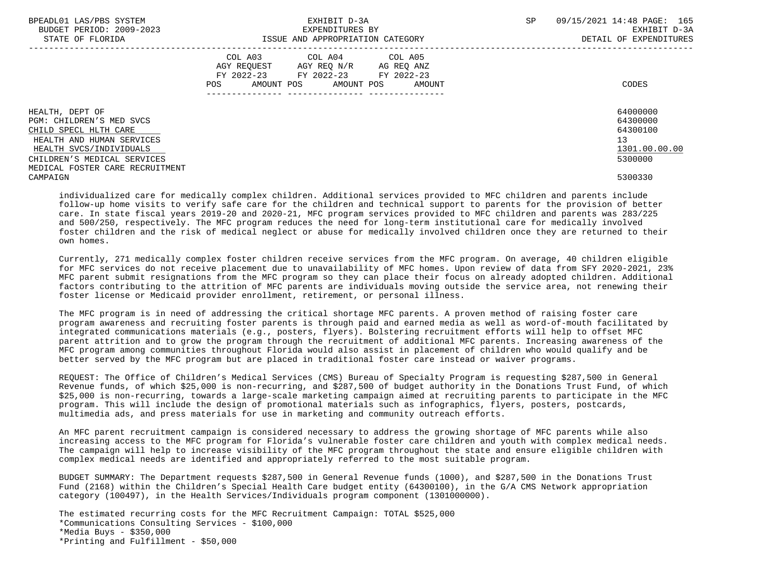| BPEADL01 LAS/PBS SYSTEM<br>BUDGET PERIOD: 2009-2023<br>STATE OF FLORIDA | EXHIBIT D-3A<br>EXPENDITURES BY<br>ISSUE AND APPROPRIATION CATEGORY                                                                   | 09/15/2021 14:48 PAGE: 165<br>SP<br>EXHIBIT D-3A<br>DETAIL OF EXPENDITURES |
|-------------------------------------------------------------------------|---------------------------------------------------------------------------------------------------------------------------------------|----------------------------------------------------------------------------|
|                                                                         | COL A03 COL A04 COL A05<br>AGY REOUEST AGY REO N/R AG REO ANZ<br>FY 2022-23 FY 2022-23 FY 2022-23<br>POS AMOUNT POS AMOUNT POS AMOUNT | CODES                                                                      |
| HEALTH, DEPT OF<br>PGM: CHILDREN'S MED SVCS                             |                                                                                                                                       | 64000000<br>64300000                                                       |
| CHILD SPECL HLTH CARE<br>HEALTH AND HUMAN SERVICES                      |                                                                                                                                       | 64300100<br>13                                                             |
| HEALTH SVCS/INDIVIDUALS                                                 |                                                                                                                                       | 1301.00.00.00                                                              |
| CHILDREN'S MEDICAL SERVICES                                             |                                                                                                                                       | 5300000                                                                    |
| MEDICAL FOSTER CARE RECRUITMENT                                         |                                                                                                                                       |                                                                            |
| CAMPAIGN                                                                |                                                                                                                                       | 5300330                                                                    |

 individualized care for medically complex children. Additional services provided to MFC children and parents include follow-up home visits to verify safe care for the children and technical support to parents for the provision of better care. In state fiscal years 2019-20 and 2020-21, MFC program services provided to MFC children and parents was 283/225 and 500/250, respectively. The MFC program reduces the need for long-term institutional care for medically involved foster children and the risk of medical neglect or abuse for medically involved children once they are returned to their own homes.

 Currently, 271 medically complex foster children receive services from the MFC program. On average, 40 children eligible for MFC services do not receive placement due to unavailability of MFC homes. Upon review of data from SFY 2020-2021, 23% MFC parent submit resignations from the MFC program so they can place their focus on already adopted children. Additional factors contributing to the attrition of MFC parents are individuals moving outside the service area, not renewing their foster license or Medicaid provider enrollment, retirement, or personal illness.

 The MFC program is in need of addressing the critical shortage MFC parents. A proven method of raising foster care program awareness and recruiting foster parents is through paid and earned media as well as word-of-mouth facilitated by integrated communications materials (e.g., posters, flyers). Bolstering recruitment efforts will help to offset MFC parent attrition and to grow the program through the recruitment of additional MFC parents. Increasing awareness of the MFC program among communities throughout Florida would also assist in placement of children who would qualify and be better served by the MFC program but are placed in traditional foster care instead or waiver programs.

 REQUEST: The Office of Children's Medical Services (CMS) Bureau of Specialty Program is requesting \$287,500 in General Revenue funds, of which \$25,000 is non-recurring, and \$287,500 of budget authority in the Donations Trust Fund, of which \$25,000 is non-recurring, towards a large-scale marketing campaign aimed at recruiting parents to participate in the MFC program. This will include the design of promotional materials such as infographics, flyers, posters, postcards, multimedia ads, and press materials for use in marketing and community outreach efforts.

 An MFC parent recruitment campaign is considered necessary to address the growing shortage of MFC parents while also increasing access to the MFC program for Florida's vulnerable foster care children and youth with complex medical needs. The campaign will help to increase visibility of the MFC program throughout the state and ensure eligible children with complex medical needs are identified and appropriately referred to the most suitable program.

 BUDGET SUMMARY: The Department requests \$287,500 in General Revenue funds (1000), and \$287,500 in the Donations Trust Fund (2168) within the Children's Special Health Care budget entity (64300100), in the G/A CMS Network appropriation category (100497), in the Health Services/Individuals program component (1301000000).

 The estimated recurring costs for the MFC Recruitment Campaign: TOTAL \$525,000 \*Communications Consulting Services - \$100,000 \*Media Buys - \$350,000 \*Printing and Fulfillment - \$50,000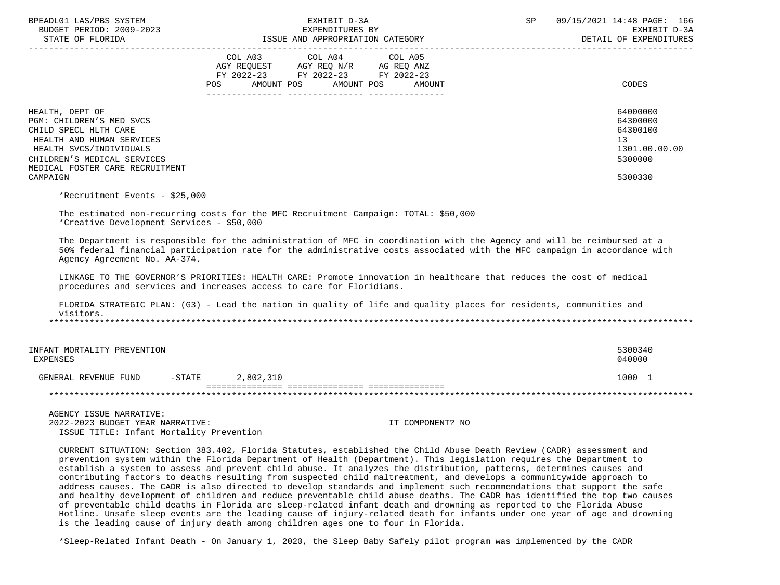| BPEADL01 LAS/PBS SYSTEM<br>BUDGET PERIOD: 2009-2023         | EXHIBIT D-3A<br>EXPENDITURES BY                                                                                                                                                                                                                                                                                                                                                                                                                                                           | 09/15/2021 14:48 PAGE: 166<br>SP<br>EXHIBIT D-3A |
|-------------------------------------------------------------|-------------------------------------------------------------------------------------------------------------------------------------------------------------------------------------------------------------------------------------------------------------------------------------------------------------------------------------------------------------------------------------------------------------------------------------------------------------------------------------------|--------------------------------------------------|
| STATE OF FLORIDA                                            | ISSUE AND APPROPRIATION CATEGORY                                                                                                                                                                                                                                                                                                                                                                                                                                                          | DETAIL OF EXPENDITURES                           |
|                                                             | COL A03 COL A04 COL A05<br>AGY REQUEST AGY REQ N/R AG REQ ANZ                                                                                                                                                                                                                                                                                                                                                                                                                             |                                                  |
|                                                             | FY 2022-23 FY 2022-23 FY 2022-23                                                                                                                                                                                                                                                                                                                                                                                                                                                          |                                                  |
|                                                             | <b>POS</b><br>AMOUNT POS<br>AMOUNT POS<br>AMOUNT                                                                                                                                                                                                                                                                                                                                                                                                                                          | CODES                                            |
| HEALTH, DEPT OF                                             |                                                                                                                                                                                                                                                                                                                                                                                                                                                                                           | 64000000                                         |
| PGM: CHILDREN'S MED SVCS                                    |                                                                                                                                                                                                                                                                                                                                                                                                                                                                                           | 64300000                                         |
| CHILD SPECL HLTH CARE                                       |                                                                                                                                                                                                                                                                                                                                                                                                                                                                                           | 64300100                                         |
| HEALTH AND HUMAN SERVICES                                   |                                                                                                                                                                                                                                                                                                                                                                                                                                                                                           | 13                                               |
| HEALTH SVCS/INDIVIDUALS<br>CHILDREN'S MEDICAL SERVICES      |                                                                                                                                                                                                                                                                                                                                                                                                                                                                                           | 1301.00.00.00<br>5300000                         |
| MEDICAL FOSTER CARE RECRUITMENT                             |                                                                                                                                                                                                                                                                                                                                                                                                                                                                                           |                                                  |
| CAMPAIGN                                                    |                                                                                                                                                                                                                                                                                                                                                                                                                                                                                           | 5300330                                          |
| *Recruitment Events - \$25,000                              |                                                                                                                                                                                                                                                                                                                                                                                                                                                                                           |                                                  |
| *Creative Development Services - \$50,000                   | The estimated non-recurring costs for the MFC Recruitment Campaign: TOTAL: \$50,000                                                                                                                                                                                                                                                                                                                                                                                                       |                                                  |
| Agency Agreement No. AA-374.                                | The Department is responsible for the administration of MFC in coordination with the Agency and will be reimbursed at a<br>50% federal financial participation rate for the administrative costs associated with the MFC campaign in accordance with                                                                                                                                                                                                                                      |                                                  |
|                                                             | LINKAGE TO THE GOVERNOR'S PRIORITIES: HEALTH CARE: Promote innovation in healthcare that reduces the cost of medical<br>procedures and services and increases access to care for Floridians.                                                                                                                                                                                                                                                                                              |                                                  |
| visitors.                                                   | FLORIDA STRATEGIC PLAN: (G3) - Lead the nation in quality of life and quality places for residents, communities and                                                                                                                                                                                                                                                                                                                                                                       |                                                  |
|                                                             |                                                                                                                                                                                                                                                                                                                                                                                                                                                                                           |                                                  |
| INFANT MORTALITY PREVENTION<br>EXPENSES                     |                                                                                                                                                                                                                                                                                                                                                                                                                                                                                           | 5300340<br>040000                                |
| GENERAL REVENUE FUND                                        | $-$ STATE<br>2,802,310                                                                                                                                                                                                                                                                                                                                                                                                                                                                    | 1000 1                                           |
|                                                             |                                                                                                                                                                                                                                                                                                                                                                                                                                                                                           |                                                  |
| AGENCY ISSUE NARRATIVE:<br>2022-2023 BUDGET YEAR NARRATIVE: | IT COMPONENT? NO                                                                                                                                                                                                                                                                                                                                                                                                                                                                          |                                                  |
| ISSUE TITLE: Infant Mortality Prevention                    |                                                                                                                                                                                                                                                                                                                                                                                                                                                                                           |                                                  |
|                                                             | CURRENT SITUATION: Section 383.402, Florida Statutes, established the Child Abuse Death Review (CADR) assessment and<br>prevention system within the Florida Department of Health (Department). This legislation requires the Department to<br>establish a system to assess and prevent child abuse. It analyzes the distribution, patterns, determines causes and<br>contributing factors to do the resulting from suspected shild maltreatment, and develops a community de approach to |                                                  |

 contributing factors to deaths resulting from suspected child maltreatment, and develops a communitywide approach to address causes. The CADR is also directed to develop standards and implement such recommendations that support the safe and healthy development of children and reduce preventable child abuse deaths. The CADR has identified the top two causes of preventable child deaths in Florida are sleep-related infant death and drowning as reported to the Florida Abuse Hotline. Unsafe sleep events are the leading cause of injury-related death for infants under one year of age and drowning is the leading cause of injury death among children ages one to four in Florida.

\*Sleep-Related Infant Death - On January 1, 2020, the Sleep Baby Safely pilot program was implemented by the CADR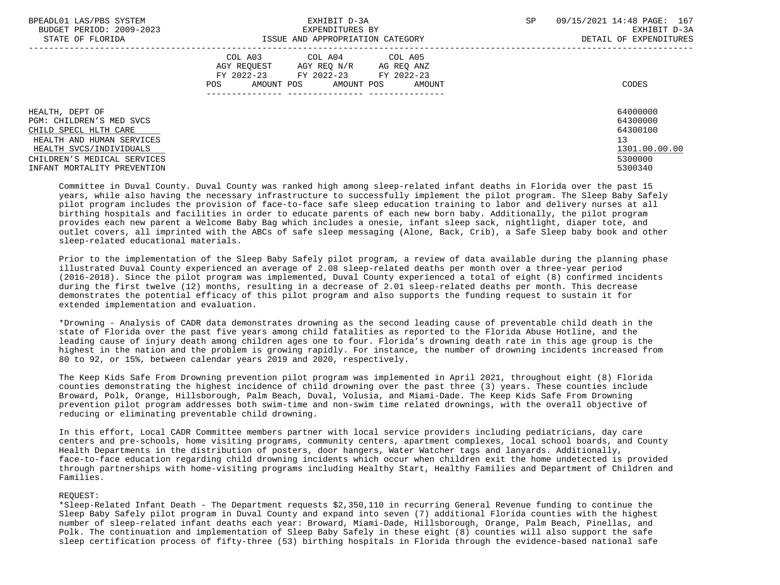| BPEADL01 LAS/PBS SYSTEM<br>BUDGET PERIOD: 2009-2023                                               | EXHIBIT D-3A<br>EXPENDITURES BY                                                                                                                   | SP<br>09/15/2021 14:48 PAGE: 167<br>EXHIBIT D-3A |
|---------------------------------------------------------------------------------------------------|---------------------------------------------------------------------------------------------------------------------------------------------------|--------------------------------------------------|
| STATE OF FLORIDA                                                                                  | ISSUE AND APPROPRIATION CATEGORY                                                                                                                  | DETAIL OF EXPENDITURES                           |
|                                                                                                   | COL A03 COL A04 COL A05<br>AGY REOUEST<br>AGY REO N/R<br>AG REO ANZ<br>FY 2022-23 FY 2022-23 FY 2022-23<br>AMOUNT POS AMOUNT POS<br>AMOUNT<br>POS | CODES                                            |
| HEALTH, DEPT OF<br>PGM: CHILDREN'S MED SVCS<br>CHILD SPECL HLTH CARE<br>HEALTH AND HUMAN SERVICES |                                                                                                                                                   | 64000000<br>64300000<br>64300100<br>13           |
| HEALTH SVCS/INDIVIDUALS<br>CHILDREN'S MEDICAL SERVICES<br>INFANT MORTALITY PREVENTION             |                                                                                                                                                   | 1301.00.00.00<br>5300000<br>5300340              |

 Committee in Duval County. Duval County was ranked high among sleep-related infant deaths in Florida over the past 15 years, while also having the necessary infrastructure to successfully implement the pilot program. The Sleep Baby Safely pilot program includes the provision of face-to-face safe sleep education training to labor and delivery nurses at all birthing hospitals and facilities in order to educate parents of each new born baby. Additionally, the pilot program provides each new parent a Welcome Baby Bag which includes a onesie, infant sleep sack, nightlight, diaper tote, and outlet covers, all imprinted with the ABCs of safe sleep messaging (Alone, Back, Crib), a Safe Sleep baby book and other sleep-related educational materials.

 Prior to the implementation of the Sleep Baby Safely pilot program, a review of data available during the planning phase illustrated Duval County experienced an average of 2.08 sleep-related deaths per month over a three-year period (2016-2018). Since the pilot program was implemented, Duval County experienced a total of eight (8) confirmed incidents during the first twelve (12) months, resulting in a decrease of 2.01 sleep-related deaths per month. This decrease demonstrates the potential efficacy of this pilot program and also supports the funding request to sustain it for extended implementation and evaluation.

 \*Drowning - Analysis of CADR data demonstrates drowning as the second leading cause of preventable child death in the state of Florida over the past five years among child fatalities as reported to the Florida Abuse Hotline, and the leading cause of injury death among children ages one to four. Florida's drowning death rate in this age group is the highest in the nation and the problem is growing rapidly. For instance, the number of drowning incidents increased from 80 to 92, or 15%, between calendar years 2019 and 2020, respectively.

 The Keep Kids Safe From Drowning prevention pilot program was implemented in April 2021, throughout eight (8) Florida counties demonstrating the highest incidence of child drowning over the past three (3) years. These counties include Broward, Polk, Orange, Hillsborough, Palm Beach, Duval, Volusia, and Miami-Dade. The Keep Kids Safe From Drowning prevention pilot program addresses both swim-time and non-swim time related drownings, with the overall objective of reducing or eliminating preventable child drowning.

 In this effort, Local CADR Committee members partner with local service providers including pediatricians, day care centers and pre-schools, home visiting programs, community centers, apartment complexes, local school boards, and County Health Departments in the distribution of posters, door hangers, Water Watcher tags and lanyards. Additionally, face-to-face education regarding child drowning incidents which occur when children exit the home undetected is provided through partnerships with home-visiting programs including Healthy Start, Healthy Families and Department of Children and Families.

## REQUEST:

 \*Sleep-Related Infant Death - The Department requests \$2,350,110 in recurring General Revenue funding to continue the Sleep Baby Safely pilot program in Duval County and expand into seven (7) additional Florida counties with the highest number of sleep-related infant deaths each year: Broward, Miami-Dade, Hillsborough, Orange, Palm Beach, Pinellas, and Polk. The continuation and implementation of Sleep Baby Safely in these eight (8) counties will also support the safe sleep certification process of fifty-three (53) birthing hospitals in Florida through the evidence-based national safe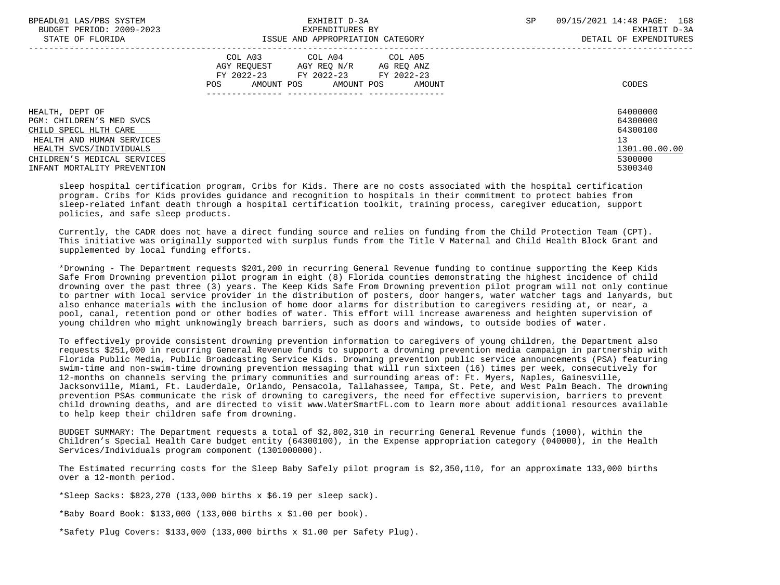| BPEADL01 LAS/PBS SYSTEM<br>BUDGET PERIOD: 2009-2023<br>STATE OF FLORIDA                                                                                                                    | EXHIBIT D-3A<br>EXPENDITURES BY<br>ISSUE AND APPROPRIATION CATEGORY                                                                      | SP<br>09/15/2021 14:48 PAGE: 168<br>EXHIBIT D-3A<br>DETAIL OF EXPENDITURES    |
|--------------------------------------------------------------------------------------------------------------------------------------------------------------------------------------------|------------------------------------------------------------------------------------------------------------------------------------------|-------------------------------------------------------------------------------|
|                                                                                                                                                                                            | COL A03 COL A04 COL A05<br>AGY REQUEST AGY REQ N/R AG REQ ANZ<br>FY 2022-23 FY 2022-23 FY 2022-23<br>AMOUNT POS AMOUNT POS AMOUNT<br>POS | CODES                                                                         |
| HEALTH, DEPT OF<br>PGM: CHILDREN'S MED SVCS<br>CHILD SPECL HLTH CARE<br>HEALTH AND HUMAN SERVICES<br>HEALTH SVCS/INDIVIDUALS<br>CHILDREN'S MEDICAL SERVICES<br>INFANT MORTALITY PREVENTION |                                                                                                                                          | 64000000<br>64300000<br>64300100<br>13<br>1301.00.00.00<br>5300000<br>5300340 |

 sleep hospital certification program, Cribs for Kids. There are no costs associated with the hospital certification program. Cribs for Kids provides guidance and recognition to hospitals in their commitment to protect babies from sleep-related infant death through a hospital certification toolkit, training process, caregiver education, support policies, and safe sleep products.

 Currently, the CADR does not have a direct funding source and relies on funding from the Child Protection Team (CPT). This initiative was originally supported with surplus funds from the Title V Maternal and Child Health Block Grant and supplemented by local funding efforts.

 \*Drowning - The Department requests \$201,200 in recurring General Revenue funding to continue supporting the Keep Kids Safe From Drowning prevention pilot program in eight (8) Florida counties demonstrating the highest incidence of child drowning over the past three (3) years. The Keep Kids Safe From Drowning prevention pilot program will not only continue to partner with local service provider in the distribution of posters, door hangers, water watcher tags and lanyards, but also enhance materials with the inclusion of home door alarms for distribution to caregivers residing at, or near, a pool, canal, retention pond or other bodies of water. This effort will increase awareness and heighten supervision of young children who might unknowingly breach barriers, such as doors and windows, to outside bodies of water.

 To effectively provide consistent drowning prevention information to caregivers of young children, the Department also requests \$251,000 in recurring General Revenue funds to support a drowning prevention media campaign in partnership with Florida Public Media, Public Broadcasting Service Kids. Drowning prevention public service announcements (PSA) featuring swim-time and non-swim-time drowning prevention messaging that will run sixteen (16) times per week, consecutively for 12-months on channels serving the primary communities and surrounding areas of: Ft. Myers, Naples, Gainesville, Jacksonville, Miami, Ft. Lauderdale, Orlando, Pensacola, Tallahassee, Tampa, St. Pete, and West Palm Beach. The drowning prevention PSAs communicate the risk of drowning to caregivers, the need for effective supervision, barriers to prevent child drowning deaths, and are directed to visit www.WaterSmartFL.com to learn more about additional resources available to help keep their children safe from drowning.

 BUDGET SUMMARY: The Department requests a total of \$2,802,310 in recurring General Revenue funds (1000), within the Children's Special Health Care budget entity (64300100), in the Expense appropriation category (040000), in the Health Services/Individuals program component (1301000000).

 The Estimated recurring costs for the Sleep Baby Safely pilot program is \$2,350,110, for an approximate 133,000 births over a 12-month period.

\*Sleep Sacks:  $$823,270$  (133,000 births x  $$6.19$  per sleep sack).

\*Baby Board Book: \$133,000 (133,000 births  $x$  \$1,00 per book).

\*Safety Plug Covers: \$133,000 (133,000 births x \$1.00 per Safety Plug).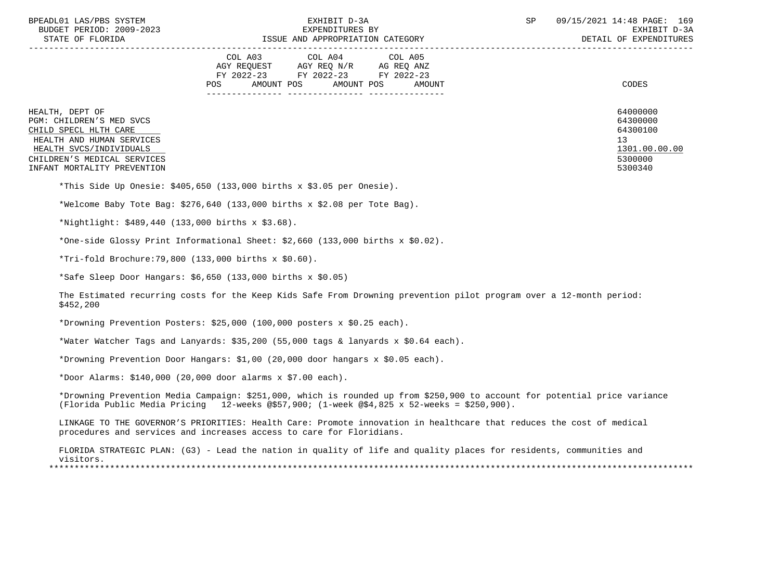| BPEADL01 LAS/PBS SYSTEM |                   |                          |
|-------------------------|-------------------|--------------------------|
|                         |                   | BUDGET PERIOD: 2009-2023 |
|                         | גתדכת זה הת היהיה |                          |

|                                                                                                                              | COL A04<br>COL A05<br>COL A03<br>AGY REQUEST<br>AGY REQ N/R<br>AG REQ ANZ<br>FY 2022-23<br>FY 2022-23<br>FY 2022-23<br>AMOUNT POS<br><b>POS</b><br>AMOUNT POS<br>AMOUNT | CODES                                                   |
|------------------------------------------------------------------------------------------------------------------------------|-------------------------------------------------------------------------------------------------------------------------------------------------------------------------|---------------------------------------------------------|
| HEALTH, DEPT OF<br>PGM: CHILDREN'S MED SVCS<br>CHILD SPECL HLTH CARE<br>HEALTH AND HUMAN SERVICES<br>HEALTH SVCS/INDIVIDUALS |                                                                                                                                                                         | 64000000<br>64300000<br>64300100<br>13<br>1301.00.00.00 |
| CHILDREN'S MEDICAL SERVICES<br>INFANT MORTALITY PREVENTION                                                                   |                                                                                                                                                                         | 5300000<br>5300340                                      |

\*This Side Up Onesie: \$405,650 (133,000 births x \$3.05 per Onesie).

\*Welcome Baby Tote Bag: \$276,640 (133,000 births x \$2.08 per Tote Bag).

\*Nightlight: \$489,440 (133,000 births x \$3.68).

\*One-side Glossy Print Informational Sheet: \$2,660 (133,000 births x \$0.02).

\*Tri-fold Brochure:79,800 (133,000 births x \$0.60).

\*Safe Sleep Door Hangars: \$6,650 (133,000 births x \$0.05)

 The Estimated recurring costs for the Keep Kids Safe From Drowning prevention pilot program over a 12-month period: \$452,200

\*Drowning Prevention Posters: \$25,000 (100,000 posters x \$0.25 each).

\*Water Watcher Tags and Lanyards: \$35,200 (55,000 tags & lanyards x \$0.64 each).

\*Drowning Prevention Door Hangars: \$1,00 (20,000 door hangars x \$0.05 each).

\*Door Alarms: \$140,000 (20,000 door alarms x \$7.00 each).

 \*Drowning Prevention Media Campaign: \$251,000, which is rounded up from \$250,900 to account for potential price variance (Florida Public Media Pricing 12-weeks @\$57,900; (1-week @\$4,825 x 52-weeks = \$250,900).

 LINKAGE TO THE GOVERNOR'S PRIORITIES: Health Care: Promote innovation in healthcare that reduces the cost of medical procedures and services and increases access to care for Floridians.

 FLORIDA STRATEGIC PLAN: (G3) - Lead the nation in quality of life and quality places for residents, communities and visitors. \*\*\*\*\*\*\*\*\*\*\*\*\*\*\*\*\*\*\*\*\*\*\*\*\*\*\*\*\*\*\*\*\*\*\*\*\*\*\*\*\*\*\*\*\*\*\*\*\*\*\*\*\*\*\*\*\*\*\*\*\*\*\*\*\*\*\*\*\*\*\*\*\*\*\*\*\*\*\*\*\*\*\*\*\*\*\*\*\*\*\*\*\*\*\*\*\*\*\*\*\*\*\*\*\*\*\*\*\*\*\*\*\*\*\*\*\*\*\*\*\*\*\*\*\*\*\*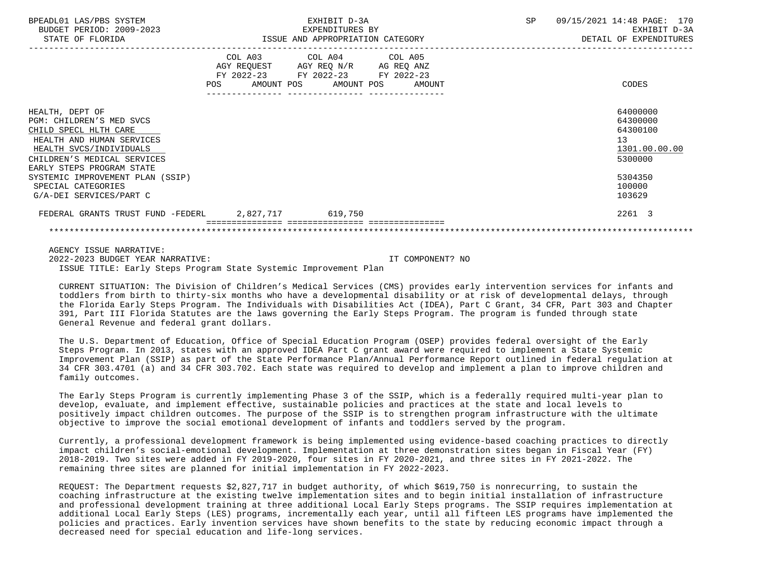| BPEADL01 LAS/PBS SYSTEM<br>BUDGET PERIOD: 2009-2023                                                                                                                                      |                                                                                                                | EXHIBIT D-3A<br>EXPENDITURES BY                                                                                                   | SP | 09/15/2021 14:48 PAGE: 170<br>EXHIBIT D-3A                         |
|------------------------------------------------------------------------------------------------------------------------------------------------------------------------------------------|----------------------------------------------------------------------------------------------------------------|-----------------------------------------------------------------------------------------------------------------------------------|----|--------------------------------------------------------------------|
| STATE OF FLORIDA                                                                                                                                                                         |                                                                                                                | ISSUE AND APPROPRIATION CATEGORY                                                                                                  |    | DETAIL OF EXPENDITURES                                             |
|                                                                                                                                                                                          | POS FOR THE POST OF THE STATE STATE STATE STATE STATE STATE STATE STATE STATE STATE STATE STATE STATE STATE ST | COL A03 COL A04 COL A05<br>AGY REQUEST AGY REQ N/R AG REQ ANZ<br>FY 2022-23 FY 2022-23 FY 2022-23<br>AMOUNT POS AMOUNT POS AMOUNT |    | CODES                                                              |
| HEALTH, DEPT OF<br>PGM: CHILDREN'S MED SVCS<br>CHILD SPECL HLTH CARE<br>HEALTH AND HUMAN SERVICES<br>HEALTH SVCS/INDIVIDUALS<br>CHILDREN'S MEDICAL SERVICES<br>EARLY STEPS PROGRAM STATE |                                                                                                                |                                                                                                                                   |    | 64000000<br>64300000<br>64300100<br>13<br>1301.00.00.00<br>5300000 |
| SYSTEMIC IMPROVEMENT PLAN (SSIP)<br>SPECIAL CATEGORIES<br>G/A-DEI SERVICES/PART C                                                                                                        |                                                                                                                |                                                                                                                                   |    | 5304350<br>100000<br>103629                                        |
| FEDERAL GRANTS TRUST FUND -FEDERL 2,827,717 619,750                                                                                                                                      |                                                                                                                |                                                                                                                                   |    | 2261 3                                                             |
|                                                                                                                                                                                          |                                                                                                                |                                                                                                                                   |    |                                                                    |

 AGENCY ISSUE NARRATIVE: 2022-2023 BUDGET YEAR NARRATIVE: IT COMPONENT? NO ISSUE TITLE: Early Steps Program State Systemic Improvement Plan

 CURRENT SITUATION: The Division of Children's Medical Services (CMS) provides early intervention services for infants and toddlers from birth to thirty-six months who have a developmental disability or at risk of developmental delays, through the Florida Early Steps Program. The Individuals with Disabilities Act (IDEA), Part C Grant, 34 CFR, Part 303 and Chapter 391, Part III Florida Statutes are the laws governing the Early Steps Program. The program is funded through state General Revenue and federal grant dollars.

 The U.S. Department of Education, Office of Special Education Program (OSEP) provides federal oversight of the Early Steps Program. In 2013, states with an approved IDEA Part C grant award were required to implement a State Systemic Improvement Plan (SSIP) as part of the State Performance Plan/Annual Performance Report outlined in federal regulation at 34 CFR 303.4701 (a) and 34 CFR 303.702. Each state was required to develop and implement a plan to improve children and family outcomes.

 The Early Steps Program is currently implementing Phase 3 of the SSIP, which is a federally required multi-year plan to develop, evaluate, and implement effective, sustainable policies and practices at the state and local levels to positively impact children outcomes. The purpose of the SSIP is to strengthen program infrastructure with the ultimate objective to improve the social emotional development of infants and toddlers served by the program.

 Currently, a professional development framework is being implemented using evidence-based coaching practices to directly impact children's social-emotional development. Implementation at three demonstration sites began in Fiscal Year (FY) 2018-2019. Two sites were added in FY 2019-2020, four sites in FY 2020-2021, and three sites in FY 2021-2022. The remaining three sites are planned for initial implementation in FY 2022-2023.

 REQUEST: The Department requests \$2,827,717 in budget authority, of which \$619,750 is nonrecurring, to sustain the coaching infrastructure at the existing twelve implementation sites and to begin initial installation of infrastructure and professional development training at three additional Local Early Steps programs. The SSIP requires implementation at additional Local Early Steps (LES) programs, incrementally each year, until all fifteen LES programs have implemented the policies and practices. Early invention services have shown benefits to the state by reducing economic impact through a decreased need for special education and life-long services.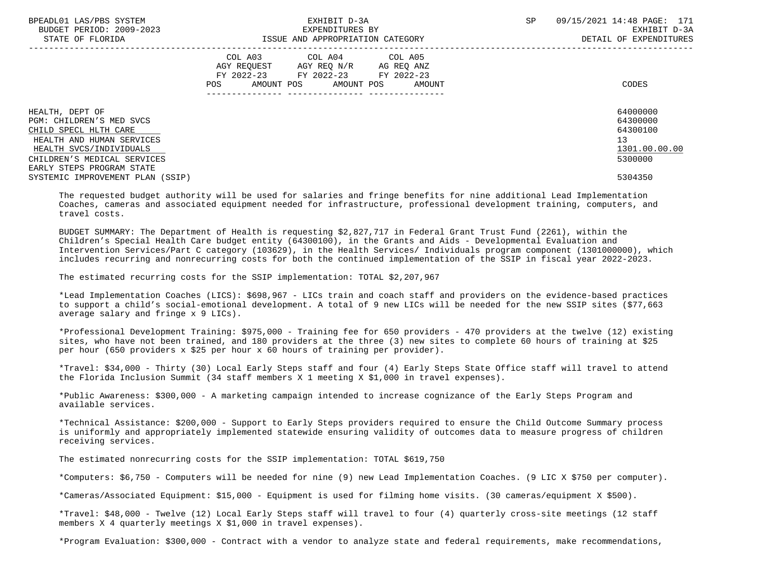| BPEADL01 LAS/PBS SYSTEM<br>BUDGET PERIOD: 2009-2023<br>STATE OF FLORIDA                                                                                     | EXHIBIT D-3A<br>EXPENDITURES BY<br>ISSUE AND APPROPRIATION CATEGORY                                                                   | <b>SP</b><br>09/15/2021 14:48 PAGE: 171<br>EXHIBIT D-3A<br>DETAIL OF EXPENDITURES |
|-------------------------------------------------------------------------------------------------------------------------------------------------------------|---------------------------------------------------------------------------------------------------------------------------------------|-----------------------------------------------------------------------------------|
|                                                                                                                                                             | COL A03 COL A04 COL A05<br>AGY REQUEST AGY REQ N/R AG REQ ANZ<br>FY 2022-23 FY 2022-23 FY 2022-23<br>POS AMOUNT POS AMOUNT POS AMOUNT | CODES                                                                             |
| HEALTH, DEPT OF<br>PGM: CHILDREN'S MED SVCS<br>CHILD SPECL HLTH CARE<br>HEALTH AND HUMAN SERVICES<br>HEALTH SVCS/INDIVIDUALS<br>CHILDREN'S MEDICAL SERVICES |                                                                                                                                       | 64000000<br>64300000<br>64300100<br>13<br>1301.00.00.00<br>5300000                |
| EARLY STEPS PROGRAM STATE<br>SYSTEMIC IMPROVEMENT PLAN (SSIP)                                                                                               |                                                                                                                                       | 5304350                                                                           |

 The requested budget authority will be used for salaries and fringe benefits for nine additional Lead Implementation Coaches, cameras and associated equipment needed for infrastructure, professional development training, computers, and travel costs.

 BUDGET SUMMARY: The Department of Health is requesting \$2,827,717 in Federal Grant Trust Fund (2261), within the Children's Special Health Care budget entity (64300100), in the Grants and Aids - Developmental Evaluation and Intervention Services/Part C category (103629), in the Health Services/ Individuals program component (1301000000), which includes recurring and nonrecurring costs for both the continued implementation of the SSIP in fiscal year 2022-2023.

The estimated recurring costs for the SSIP implementation: TOTAL \$2,207,967

 \*Lead Implementation Coaches (LICS): \$698,967 - LICs train and coach staff and providers on the evidence-based practices to support a child's social-emotional development. A total of 9 new LICs will be needed for the new SSIP sites (\$77,663 average salary and fringe x 9 LICs).

 \*Professional Development Training: \$975,000 - Training fee for 650 providers - 470 providers at the twelve (12) existing sites, who have not been trained, and 180 providers at the three (3) new sites to complete 60 hours of training at \$25 per hour (650 providers x \$25 per hour x 60 hours of training per provider).

 \*Travel: \$34,000 - Thirty (30) Local Early Steps staff and four (4) Early Steps State Office staff will travel to attend the Florida Inclusion Summit (34 staff members X 1 meeting X \$1,000 in travel expenses).

 \*Public Awareness: \$300,000 - A marketing campaign intended to increase cognizance of the Early Steps Program and available services.

 \*Technical Assistance: \$200,000 - Support to Early Steps providers required to ensure the Child Outcome Summary process is uniformly and appropriately implemented statewide ensuring validity of outcomes data to measure progress of children receiving services.

The estimated nonrecurring costs for the SSIP implementation: TOTAL \$619,750

\*Computers: \$6,750 - Computers will be needed for nine (9) new Lead Implementation Coaches. (9 LIC X \$750 per computer).

\*Cameras/Associated Equipment: \$15,000 - Equipment is used for filming home visits. (30 cameras/equipment X \$500).

 \*Travel: \$48,000 - Twelve (12) Local Early Steps staff will travel to four (4) quarterly cross-site meetings (12 staff members X 4 quarterly meetings X \$1,000 in travel expenses).

\*Program Evaluation: \$300,000 - Contract with a vendor to analyze state and federal requirements, make recommendations,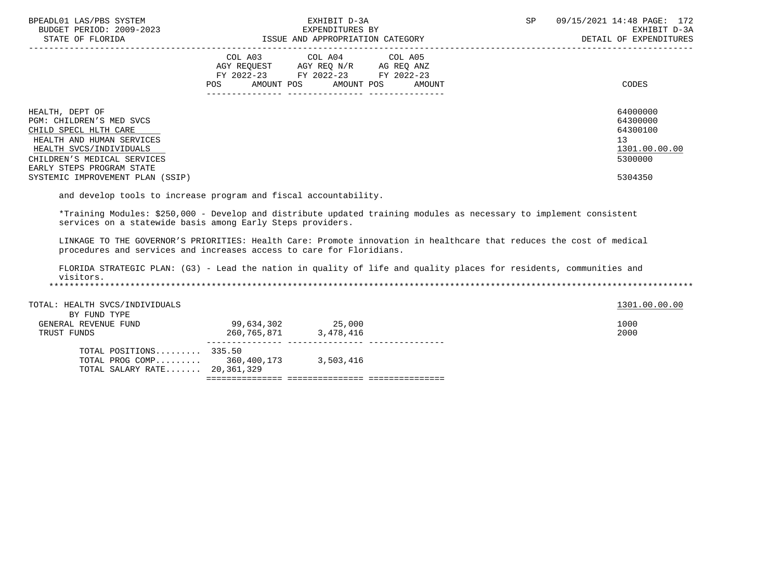| BPEADL01 LAS/PBS SYSTEM<br>BUDGET PERIOD: 2009-2023<br>STATE OF FLORIDA                                                                                                                  | EXHIBIT D-3A<br>EXPENDITURES BY<br>ISSUE AND APPROPRIATION CATEGORY                                                                         | 09/15/2021 14:48 PAGE: 172<br><b>SP</b><br>EXHIBIT D-3A<br>DETAIL OF EXPENDITURES |
|------------------------------------------------------------------------------------------------------------------------------------------------------------------------------------------|---------------------------------------------------------------------------------------------------------------------------------------------|-----------------------------------------------------------------------------------|
|                                                                                                                                                                                          | COL A03 COL A04 COL A05<br>AGY REOUEST AGY REO N/R AG REO ANZ<br>FY 2022-23 FY 2022-23 FY 2022-23<br>AMOUNT POS AMOUNT POS<br>AMOUNT<br>POS | CODES                                                                             |
| HEALTH, DEPT OF<br>PGM: CHILDREN'S MED SVCS<br>CHILD SPECL HLTH CARE<br>HEALTH AND HUMAN SERVICES<br>HEALTH SVCS/INDIVIDUALS<br>CHILDREN'S MEDICAL SERVICES<br>EARLY STEPS PROGRAM STATE |                                                                                                                                             | 64000000<br>64300000<br>64300100<br>13<br>1301.00.00.00<br>5300000                |
| SYSTEMIC IMPROVEMENT PLAN (SSIP)                                                                                                                                                         |                                                                                                                                             | 5304350                                                                           |

and develop tools to increase program and fiscal accountability.

 \*Training Modules: \$250,000 - Develop and distribute updated training modules as necessary to implement consistent services on a statewide basis among Early Steps providers.

 LINKAGE TO THE GOVERNOR'S PRIORITIES: Health Care: Promote innovation in healthcare that reduces the cost of medical procedures and services and increases access to care for Floridians.

 FLORIDA STRATEGIC PLAN: (G3) - Lead the nation in quality of life and quality places for residents, communities and visitors. \*\*\*\*\*\*\*\*\*\*\*\*\*\*\*\*\*\*\*\*\*\*\*\*\*\*\*\*\*\*\*\*\*\*\*\*\*\*\*\*\*\*\*\*\*\*\*\*\*\*\*\*\*\*\*\*\*\*\*\*\*\*\*\*\*\*\*\*\*\*\*\*\*\*\*\*\*\*\*\*\*\*\*\*\*\*\*\*\*\*\*\*\*\*\*\*\*\*\*\*\*\*\*\*\*\*\*\*\*\*\*\*\*\*\*\*\*\*\*\*\*\*\*\*\*\*\*

| TOTAL: HEALTH SVCS/INDIVIDUALS |             |           | 1301.00.00.00 |
|--------------------------------|-------------|-----------|---------------|
| BY FUND TYPE                   |             |           |               |
| GENERAL REVENUE FUND           | 99,634,302  | 25,000    | 1000          |
| TRUST FUNDS                    | 260,765,871 | 3,478,416 | 2000          |
| TOTAL POSITIONS $335.50$       |             |           |               |
| TOTAL PROG COMP 360,400,173    |             | 3,503,416 |               |
| TOTAL SALARY RATE 20,361,329   |             |           |               |
|                                |             |           |               |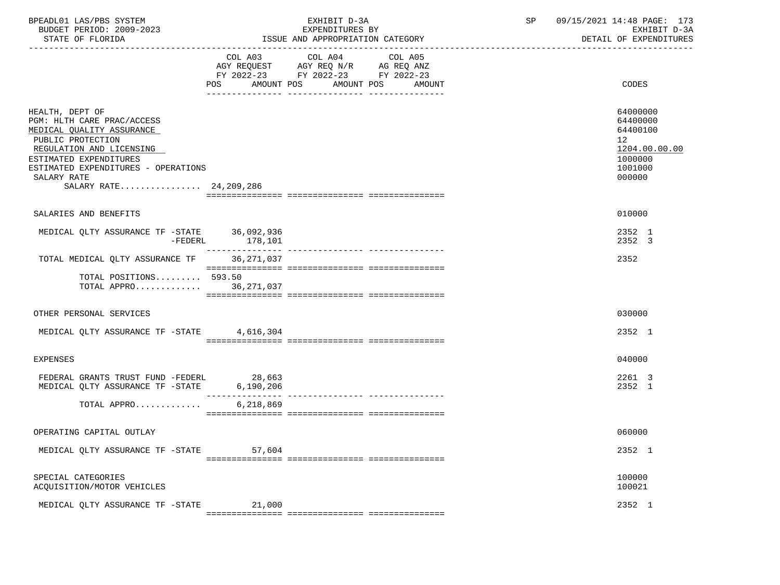| BPEADL01 LAS/PBS SYSTEM<br>BUDGET PERIOD: 2009-2023<br>STATE OF FLORIDA                                                                                                                                     |                | EXHIBIT D-3A<br>EXPENDITURES BY<br>ISSUE AND APPROPRIATION CATEGORY                                                          | SP | 09/15/2021 14:48 PAGE: 173<br>EXHIBIT D-3A<br>DETAIL OF EXPENDITURES                    |
|-------------------------------------------------------------------------------------------------------------------------------------------------------------------------------------------------------------|----------------|------------------------------------------------------------------------------------------------------------------------------|----|-----------------------------------------------------------------------------------------|
|                                                                                                                                                                                                             | COL A03<br>POS | COL A04 COL A05<br>AGY REQUEST AGY REQ N/R AG REQ ANZ<br>FY 2022-23 FY 2022-23 FY 2022-23<br>AMOUNT POS AMOUNT POS<br>AMOUNT |    | CODES                                                                                   |
|                                                                                                                                                                                                             |                |                                                                                                                              |    |                                                                                         |
| HEALTH, DEPT OF<br>PGM: HLTH CARE PRAC/ACCESS<br>MEDICAL QUALITY ASSURANCE<br>PUBLIC PROTECTION<br>REGULATION AND LICENSING<br>ESTIMATED EXPENDITURES<br>ESTIMATED EXPENDITURES - OPERATIONS<br>SALARY RATE |                |                                                                                                                              |    | 64000000<br>64400000<br>64400100<br>12<br>1204.00.00.00<br>1000000<br>1001000<br>000000 |
| SALARY RATE 24, 209, 286                                                                                                                                                                                    |                |                                                                                                                              |    |                                                                                         |
| SALARIES AND BENEFITS                                                                                                                                                                                       |                |                                                                                                                              |    | 010000                                                                                  |
| MEDICAL QLTY ASSURANCE TF -STATE 36,092,936<br>$-FEDERL$                                                                                                                                                    | 178,101        |                                                                                                                              |    | 2352 1<br>2352 3                                                                        |
| TOTAL MEDICAL OLTY ASSURANCE TF                                                                                                                                                                             | 36,271,037     |                                                                                                                              |    | 2352                                                                                    |
| TOTAL POSITIONS 593.50<br>TOTAL APPRO 36,271,037                                                                                                                                                            |                |                                                                                                                              |    |                                                                                         |
| OTHER PERSONAL SERVICES                                                                                                                                                                                     |                |                                                                                                                              |    | 030000                                                                                  |
| MEDICAL QLTY ASSURANCE TF -STATE 4,616,304                                                                                                                                                                  |                |                                                                                                                              |    | 2352 1                                                                                  |
| <b>EXPENSES</b>                                                                                                                                                                                             |                |                                                                                                                              |    | 040000                                                                                  |
| FEDERAL GRANTS TRUST FUND -FEDERL<br>MEDICAL QLTY ASSURANCE TF -STATE 6,190,206                                                                                                                             | 28,663         |                                                                                                                              |    | 2261 3<br>2352 1                                                                        |
| TOTAL APPRO                                                                                                                                                                                                 | 6,218,869      |                                                                                                                              |    |                                                                                         |
| OPERATING CAPITAL OUTLAY                                                                                                                                                                                    |                |                                                                                                                              |    | 060000                                                                                  |
|                                                                                                                                                                                                             |                |                                                                                                                              |    |                                                                                         |
| MEDICAL QLTY ASSURANCE TF -STATE                                                                                                                                                                            | 57,604         |                                                                                                                              |    | 2352 1                                                                                  |
| SPECIAL CATEGORIES<br>ACQUISITION/MOTOR VEHICLES                                                                                                                                                            |                |                                                                                                                              |    | 100000<br>100021                                                                        |
| MEDICAL OLTY ASSURANCE TF -STATE                                                                                                                                                                            | 21,000         |                                                                                                                              |    | 2352 1                                                                                  |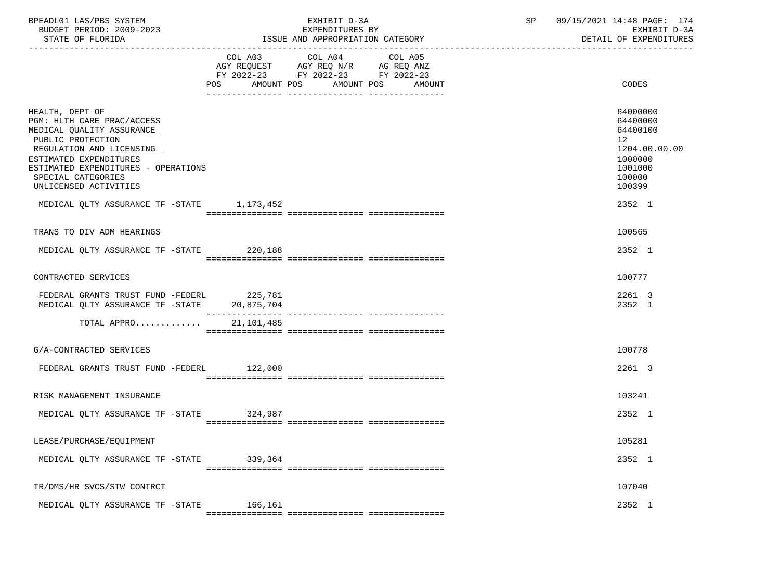| BPEADL01 LAS/PBS SYSTEM<br>BUDGET PERIOD: 2009-2023<br>STATE OF FLORIDA                                                                                                                                                                     |                              | EXHIBIT D-3A<br>EXPENDITURES BY<br>ISSUE AND APPROPRIATION CATEGORY                                               | SP | 09/15/2021 14:48 PAGE: 174<br>EXHIBIT D-3A<br>DETAIL OF EXPENDITURES                              |
|---------------------------------------------------------------------------------------------------------------------------------------------------------------------------------------------------------------------------------------------|------------------------------|-------------------------------------------------------------------------------------------------------------------|----|---------------------------------------------------------------------------------------------------|
|                                                                                                                                                                                                                                             | COL A03<br>AMOUNT POS<br>POS | COL A04 COL A05<br>AGY REQUEST AGY REQ N/R AG REQ ANZ<br>FY 2022-23 FY 2022-23 FY 2022-23<br>AMOUNT POS<br>AMOUNT |    | CODES                                                                                             |
| HEALTH, DEPT OF<br>PGM: HLTH CARE PRAC/ACCESS<br>MEDICAL QUALITY ASSURANCE<br>PUBLIC PROTECTION<br>REGULATION AND LICENSING<br>ESTIMATED EXPENDITURES<br>ESTIMATED EXPENDITURES - OPERATIONS<br>SPECIAL CATEGORIES<br>UNLICENSED ACTIVITIES |                              |                                                                                                                   |    | 64000000<br>64400000<br>64400100<br>12<br>1204.00.00.00<br>1000000<br>1001000<br>100000<br>100399 |
| MEDICAL QLTY ASSURANCE TF -STATE 1,173,452                                                                                                                                                                                                  |                              |                                                                                                                   |    | 2352 1                                                                                            |
| TRANS TO DIV ADM HEARINGS                                                                                                                                                                                                                   |                              |                                                                                                                   |    | 100565                                                                                            |
| MEDICAL QLTY ASSURANCE TF -STATE 220,188                                                                                                                                                                                                    |                              |                                                                                                                   |    | 2352 1                                                                                            |
| CONTRACTED SERVICES                                                                                                                                                                                                                         |                              |                                                                                                                   |    | 100777                                                                                            |
| FEDERAL GRANTS TRUST FUND -FEDERL 225,781<br>MEDICAL QLTY ASSURANCE TF -STATE 20,875,704                                                                                                                                                    | ________________             |                                                                                                                   |    | 2261 3<br>2352 1                                                                                  |
| TOTAL APPRO                                                                                                                                                                                                                                 | 21,101,485                   |                                                                                                                   |    |                                                                                                   |
| G/A-CONTRACTED SERVICES                                                                                                                                                                                                                     |                              |                                                                                                                   |    | 100778                                                                                            |
| FEDERAL GRANTS TRUST FUND -FEDERL 122,000                                                                                                                                                                                                   |                              |                                                                                                                   |    | 2261 3                                                                                            |
| RISK MANAGEMENT INSURANCE                                                                                                                                                                                                                   |                              |                                                                                                                   |    | 103241                                                                                            |
| MEDICAL QLTY ASSURANCE TF -STATE 324,987                                                                                                                                                                                                    |                              |                                                                                                                   |    | 2352 1                                                                                            |
|                                                                                                                                                                                                                                             |                              |                                                                                                                   |    |                                                                                                   |
| LEASE/PURCHASE/EQUIPMENT                                                                                                                                                                                                                    |                              |                                                                                                                   |    | 105281                                                                                            |
| MEDICAL QLTY ASSURANCE TF -STATE                                                                                                                                                                                                            | 339,364                      |                                                                                                                   |    | 2352 1                                                                                            |
| TR/DMS/HR SVCS/STW CONTRCT                                                                                                                                                                                                                  |                              |                                                                                                                   |    | 107040                                                                                            |
| MEDICAL QLTY ASSURANCE TF -STATE                                                                                                                                                                                                            | 166,161                      |                                                                                                                   |    | 2352 1                                                                                            |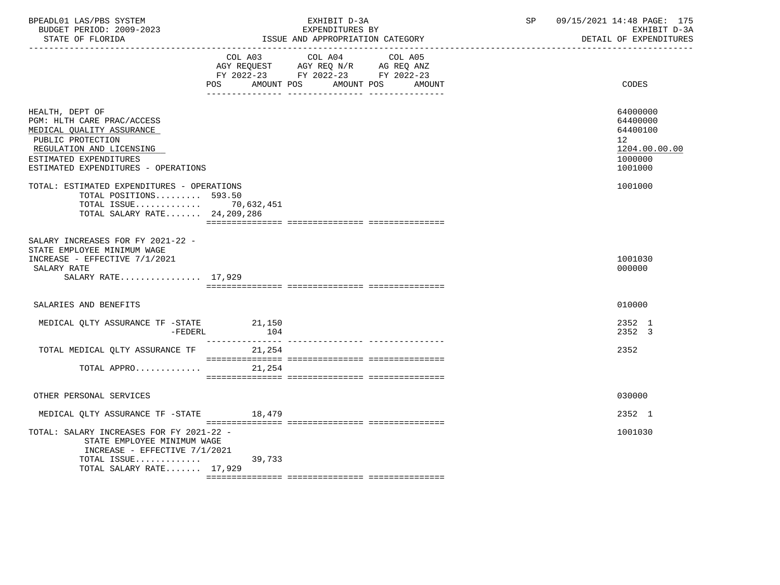| BPEADL01 LAS/PBS SYSTEM<br>BUDGET PERIOD: 2009-2023<br>STATE OF FLORIDA<br>______________________                                                                                            | EXHIBIT D-3A<br>EXPENDITURES BY<br>ISSUE AND APPROPRIATION CATEGORY                                                                            | 09/15/2021 14:48 PAGE: 175<br>SP<br>EXHIBIT D-3A<br>DETAIL OF EXPENDITURES    |
|----------------------------------------------------------------------------------------------------------------------------------------------------------------------------------------------|------------------------------------------------------------------------------------------------------------------------------------------------|-------------------------------------------------------------------------------|
|                                                                                                                                                                                              | COL A03 COL A04 COL A05<br>AGY REQUEST AGY REQ N/R AG REQ ANZ<br>FY 2022-23 FY 2022-23 FY 2022-23<br>POS<br>AMOUNT POS<br>AMOUNT POS<br>AMOUNT | CODES                                                                         |
| HEALTH, DEPT OF<br>PGM: HLTH CARE PRAC/ACCESS<br>MEDICAL QUALITY ASSURANCE<br>PUBLIC PROTECTION<br>REGULATION AND LICENSING<br>ESTIMATED EXPENDITURES<br>ESTIMATED EXPENDITURES - OPERATIONS |                                                                                                                                                | 64000000<br>64400000<br>64400100<br>12<br>1204.00.00.00<br>1000000<br>1001000 |
| TOTAL: ESTIMATED EXPENDITURES - OPERATIONS<br>TOTAL POSITIONS 593.50<br>TOTAL ISSUE 70,632,451<br>TOTAL SALARY RATE 24, 209, 286                                                             |                                                                                                                                                | 1001000                                                                       |
| SALARY INCREASES FOR FY 2021-22 -<br>STATE EMPLOYEE MINIMUM WAGE<br>INCREASE - EFFECTIVE 7/1/2021<br>SALARY RATE<br>SALARY RATE 17,929                                                       |                                                                                                                                                | 1001030<br>000000                                                             |
| SALARIES AND BENEFITS                                                                                                                                                                        |                                                                                                                                                | 010000                                                                        |
| MEDICAL QLTY ASSURANCE TF -STATE<br>-FEDERL                                                                                                                                                  | 21,150<br>104                                                                                                                                  | 2352 1<br>2352 3                                                              |
| TOTAL MEDICAL QLTY ASSURANCE TF                                                                                                                                                              | 21,254                                                                                                                                         | 2352                                                                          |
| TOTAL APPRO 21,254                                                                                                                                                                           |                                                                                                                                                |                                                                               |
| OTHER PERSONAL SERVICES                                                                                                                                                                      |                                                                                                                                                | 030000                                                                        |
| MEDICAL OLTY ASSURANCE TF -STATE 18,479                                                                                                                                                      |                                                                                                                                                | 2352 1                                                                        |
| TOTAL: SALARY INCREASES FOR FY 2021-22 -<br>STATE EMPLOYEE MINIMUM WAGE<br>INCREASE - EFFECTIVE 7/1/2021                                                                                     |                                                                                                                                                | 1001030                                                                       |
| TOTAL ISSUE<br>TOTAL SALARY RATE 17,929                                                                                                                                                      | 39,733                                                                                                                                         |                                                                               |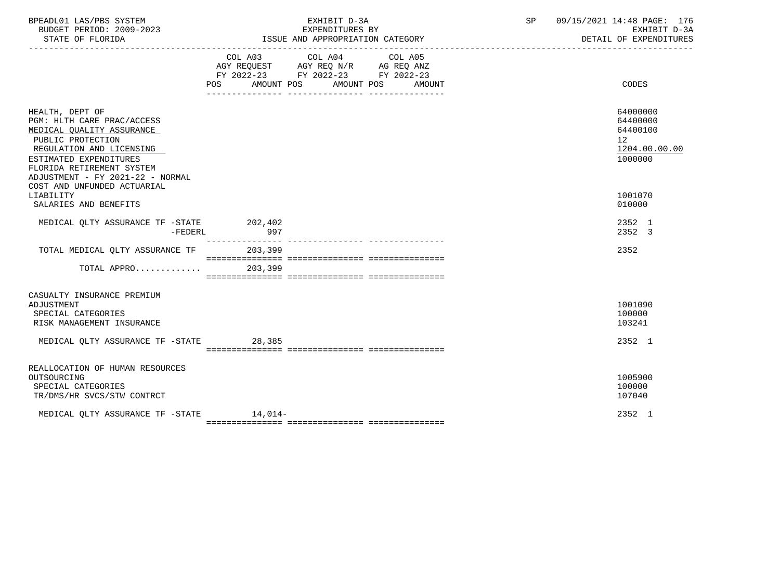| BPEADL01 LAS/PBS SYSTEM<br>BUDGET PERIOD: 2009-2023<br>STATE OF FLORIDA                                                                                                                                                                                            | EXHIBIT D-3A<br>EXPENDITURES BY<br>ISSUE AND APPROPRIATION CATEGORY                                                                                                                                                                                                  | 09/15/2021 14:48 PAGE: 176<br>SP<br>EXHIBIT D-3A<br>DETAIL OF EXPENDITURES                 |
|--------------------------------------------------------------------------------------------------------------------------------------------------------------------------------------------------------------------------------------------------------------------|----------------------------------------------------------------------------------------------------------------------------------------------------------------------------------------------------------------------------------------------------------------------|--------------------------------------------------------------------------------------------|
|                                                                                                                                                                                                                                                                    | COL A03 COL A04 COL A05<br>$\begin{tabular}{lllllll} AGY & \texttt{REQUEST} & \texttt{AGY} & \texttt{REG} & \texttt{N/R} & \texttt{AG} & \texttt{REQ} & \texttt{ANZ} \end{tabular}$<br>FY 2022-23 FY 2022-23 FY 2022-23<br>AMOUNT POS<br>AMOUNT POS<br><b>AMOUNT</b> | CODES                                                                                      |
| HEALTH, DEPT OF<br>PGM: HLTH CARE PRAC/ACCESS<br>MEDICAL QUALITY ASSURANCE<br>PUBLIC PROTECTION<br>REGULATION AND LICENSING<br>ESTIMATED EXPENDITURES<br>FLORIDA RETIREMENT SYSTEM<br>ADJUSTMENT - FY 2021-22 - NORMAL<br>COST AND UNFUNDED ACTUARIAL<br>LIABILITY |                                                                                                                                                                                                                                                                      | 64000000<br>64400000<br>64400100<br>12 <sup>°</sup><br>1204.00.00.00<br>1000000<br>1001070 |
| SALARIES AND BENEFITS                                                                                                                                                                                                                                              |                                                                                                                                                                                                                                                                      | 010000                                                                                     |
| MEDICAL QLTY ASSURANCE TF -STATE 202,402<br>-FEDERL                                                                                                                                                                                                                | 997                                                                                                                                                                                                                                                                  | 2352 1<br>2352 3                                                                           |
| TOTAL MEDICAL OLTY ASSURANCE TF                                                                                                                                                                                                                                    | 203,399                                                                                                                                                                                                                                                              | 2352                                                                                       |
| $TOTAL$ APPRO 203,399                                                                                                                                                                                                                                              |                                                                                                                                                                                                                                                                      |                                                                                            |
| CASUALTY INSURANCE PREMIUM<br>ADJUSTMENT<br>SPECIAL CATEGORIES<br>RISK MANAGEMENT INSURANCE<br>MEDICAL QLTY ASSURANCE TF -STATE 28,385                                                                                                                             |                                                                                                                                                                                                                                                                      | 1001090<br>100000<br>103241<br>2352 1                                                      |
|                                                                                                                                                                                                                                                                    |                                                                                                                                                                                                                                                                      |                                                                                            |
| REALLOCATION OF HUMAN RESOURCES<br>OUTSOURCING<br>SPECIAL CATEGORIES<br>TR/DMS/HR SVCS/STW CONTRCT                                                                                                                                                                 |                                                                                                                                                                                                                                                                      | 1005900<br>100000<br>107040                                                                |
| MEDICAL OLTY ASSURANCE TF -STATE 14,014-                                                                                                                                                                                                                           |                                                                                                                                                                                                                                                                      | 2352 1                                                                                     |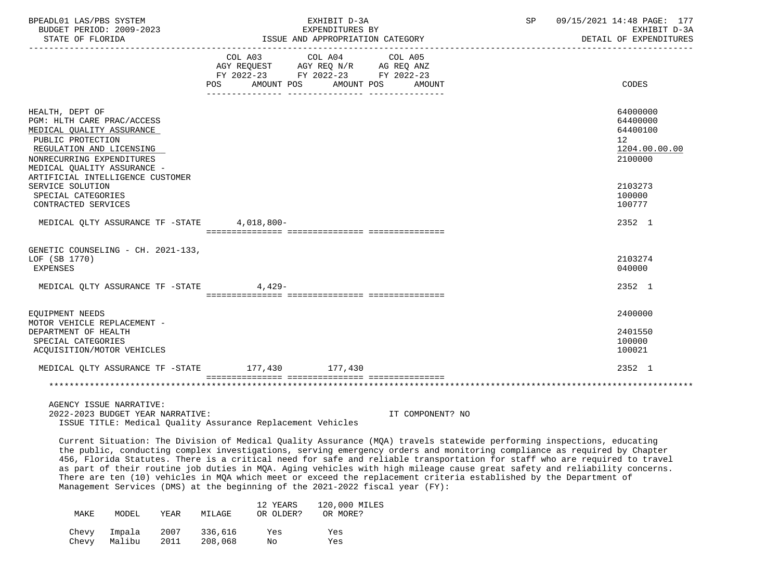| BPEADL01 LAS/PBS SYSTEM<br>BUDGET PERIOD: 2009-2023                                                                                                                                                                                                                                                                                                                                                                                                                                                                                                                                                                                                                                                                |                                  | EXHIBIT D-3A<br>EXPENDITURES BY                               |                  | SP                                   | 09/15/2021 14:48 PAGE: 177<br>EXHIBIT D-3A                         |  |  |
|--------------------------------------------------------------------------------------------------------------------------------------------------------------------------------------------------------------------------------------------------------------------------------------------------------------------------------------------------------------------------------------------------------------------------------------------------------------------------------------------------------------------------------------------------------------------------------------------------------------------------------------------------------------------------------------------------------------------|----------------------------------|---------------------------------------------------------------|------------------|--------------------------------------|--------------------------------------------------------------------|--|--|
| STATE OF FLORIDA                                                                                                                                                                                                                                                                                                                                                                                                                                                                                                                                                                                                                                                                                                   |                                  | ISSUE AND APPROPRIATION CATEGORY                              |                  | DETAIL OF EXPENDITURES<br>. <u>.</u> |                                                                    |  |  |
|                                                                                                                                                                                                                                                                                                                                                                                                                                                                                                                                                                                                                                                                                                                    | FY 2022-23 FY 2022-23 FY 2022-23 | COL A03 COL A04 COL A05<br>AGY REQUEST AGY REQ N/R AG REQ ANZ |                  |                                      |                                                                    |  |  |
|                                                                                                                                                                                                                                                                                                                                                                                                                                                                                                                                                                                                                                                                                                                    | POS AMOUNT POS AMOUNT POS AMOUNT |                                                               |                  |                                      | CODES                                                              |  |  |
| HEALTH, DEPT OF<br>PGM: HLTH CARE PRAC/ACCESS<br>MEDICAL QUALITY ASSURANCE<br>PUBLIC PROTECTION<br>REGULATION AND LICENSING<br>NONRECURRING EXPENDITURES<br>MEDICAL OUALITY ASSURANCE -                                                                                                                                                                                                                                                                                                                                                                                                                                                                                                                            |                                  |                                                               |                  |                                      | 64000000<br>64400000<br>64400100<br>12<br>1204.00.00.00<br>2100000 |  |  |
| ARTIFICIAL INTELLIGENCE CUSTOMER<br>SERVICE SOLUTION<br>SPECIAL CATEGORIES<br>CONTRACTED SERVICES                                                                                                                                                                                                                                                                                                                                                                                                                                                                                                                                                                                                                  |                                  |                                                               |                  |                                      | 2103273<br>100000<br>100777                                        |  |  |
| MEDICAL QLTY ASSURANCE TF -STATE 4,018,800-                                                                                                                                                                                                                                                                                                                                                                                                                                                                                                                                                                                                                                                                        |                                  |                                                               |                  |                                      | 2352 1                                                             |  |  |
| GENETIC COUNSELING - CH. 2021-133,<br>LOF (SB 1770)<br><b>EXPENSES</b>                                                                                                                                                                                                                                                                                                                                                                                                                                                                                                                                                                                                                                             |                                  |                                                               |                  |                                      | 2103274<br>040000                                                  |  |  |
| MEDICAL QLTY ASSURANCE TF -STATE 4,429-                                                                                                                                                                                                                                                                                                                                                                                                                                                                                                                                                                                                                                                                            |                                  |                                                               |                  |                                      | 2352 1                                                             |  |  |
| EQUIPMENT NEEDS                                                                                                                                                                                                                                                                                                                                                                                                                                                                                                                                                                                                                                                                                                    |                                  |                                                               |                  |                                      | 2400000                                                            |  |  |
| MOTOR VEHICLE REPLACEMENT -<br>DEPARTMENT OF HEALTH<br>SPECIAL CATEGORIES<br>ACQUISITION/MOTOR VEHICLES                                                                                                                                                                                                                                                                                                                                                                                                                                                                                                                                                                                                            |                                  |                                                               |                  |                                      | 2401550<br>100000<br>100021                                        |  |  |
| MEDICAL QLTY ASSURANCE TF -STATE 177,430 177,430                                                                                                                                                                                                                                                                                                                                                                                                                                                                                                                                                                                                                                                                   |                                  |                                                               |                  |                                      | 2352 1                                                             |  |  |
|                                                                                                                                                                                                                                                                                                                                                                                                                                                                                                                                                                                                                                                                                                                    |                                  |                                                               |                  |                                      |                                                                    |  |  |
| AGENCY ISSUE NARRATIVE:<br>2022-2023 BUDGET YEAR NARRATIVE:<br>ISSUE TITLE: Medical Ouality Assurance Replacement Vehicles                                                                                                                                                                                                                                                                                                                                                                                                                                                                                                                                                                                         |                                  |                                                               | IT COMPONENT? NO |                                      |                                                                    |  |  |
| Current Situation: The Division of Medical Quality Assurance (MQA) travels statewide performing inspections, educating<br>the public, conducting complex investigations, serving emergency orders and monitoring compliance as required by Chapter<br>456, Florida Statutes. There is a critical need for safe and reliable transportation for staff who are required to travel<br>as part of their routine job duties in MQA. Aging vehicles with high mileage cause great safety and reliability concerns.<br>There are ten (10) vehicles in MQA which meet or exceed the replacement criteria established by the Department of<br>Management Services (DMS) at the beginning of the 2021-2022 fiscal year (FY): |                                  |                                                               |                  |                                      |                                                                    |  |  |
| MAKE<br>MODEL<br>YEAR                                                                                                                                                                                                                                                                                                                                                                                                                                                                                                                                                                                                                                                                                              | 12 YEARS<br>MILAGE<br>OR OLDER?  | 120,000 MILES<br>OR MORE?                                     |                  |                                      |                                                                    |  |  |
| Impala<br>2007<br>Chevy<br>Malibu<br>Chevy<br>2011                                                                                                                                                                                                                                                                                                                                                                                                                                                                                                                                                                                                                                                                 | 336,616<br>Yes<br>208,068<br>No  | Yes<br>Yes                                                    |                  |                                      |                                                                    |  |  |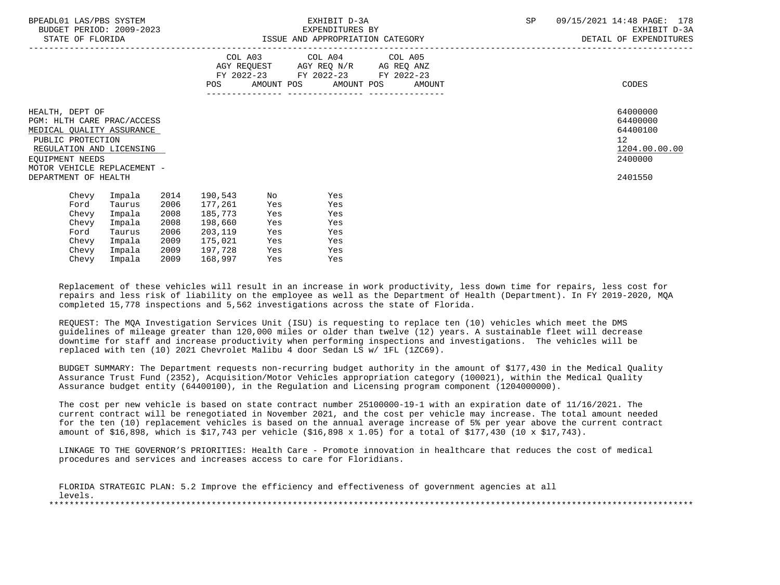| BPEADL01 LAS/PBS SYSTEM<br>BUDGET PERIOD: 2009-2023<br>STATE OF FLORIDA                                                                                                                               | ISSUE AND APPROPRIATION CATEGORY                                                                                                                                                  | EXHIBIT D-3A<br>EXPENDITURES BY                                                                                                       | <b>SP</b><br>09/15/2021 14:48 PAGE: 178<br>EXHIBIT D-3A<br>DETAIL OF EXPENDITURES |
|-------------------------------------------------------------------------------------------------------------------------------------------------------------------------------------------------------|-----------------------------------------------------------------------------------------------------------------------------------------------------------------------------------|---------------------------------------------------------------------------------------------------------------------------------------|-----------------------------------------------------------------------------------|
|                                                                                                                                                                                                       |                                                                                                                                                                                   | COL A03 COL A04 COL A05<br>AGY REQUEST AGY REQ N/R AG REQ ANZ<br>FY 2022-23 FY 2022-23 FY 2022-23<br>POS AMOUNT POS AMOUNT POS AMOUNT | CODES                                                                             |
| HEALTH, DEPT OF<br>PGM: HLTH CARE PRAC/ACCESS<br>MEDICAL QUALITY ASSURANCE<br>PUBLIC PROTECTION<br>REGULATION AND LICENSING<br>EOUIPMENT NEEDS<br>MOTOR VEHICLE REPLACEMENT -<br>DEPARTMENT OF HEALTH |                                                                                                                                                                                   |                                                                                                                                       | 64000000<br>64400000<br>64400100<br>12<br>1204.00.00.00<br>2400000<br>2401550     |
| Impala<br>Chevy<br>Ford<br>Taurus<br>Impala<br>Chevy<br>Impala<br>Chevy<br>Taurus<br>Ford<br>Impala<br>Chevy<br>Chevy<br>Impala                                                                       | 2014<br>190,543<br>No<br>2006<br>177,261<br>Yes<br>2008<br>185,773<br>Yes<br>2008<br>198,660<br>Yes<br>2006<br>203,119<br>Yes<br>2009<br>175,021<br>Yes<br>2009<br>197,728<br>Yes | Yes<br>Yes<br>Yes<br>Yes<br>Yes<br>Yes<br>Yes                                                                                         |                                                                                   |

 Replacement of these vehicles will result in an increase in work productivity, less down time for repairs, less cost for repairs and less risk of liability on the employee as well as the Department of Health (Department). In FY 2019-2020, MQA completed 15,778 inspections and 5,562 investigations across the state of Florida.

 REQUEST: The MQA Investigation Services Unit (ISU) is requesting to replace ten (10) vehicles which meet the DMS guidelines of mileage greater than 120,000 miles or older than twelve (12) years. A sustainable fleet will decrease downtime for staff and increase productivity when performing inspections and investigations. The vehicles will be replaced with ten (10) 2021 Chevrolet Malibu 4 door Sedan LS w/ 1FL (1ZC69).

Chevy Impala 2009 168,997 Yes Yes

 BUDGET SUMMARY: The Department requests non-recurring budget authority in the amount of \$177,430 in the Medical Quality Assurance Trust Fund (2352), Acquisition/Motor Vehicles appropriation category (100021), within the Medical Quality Assurance budget entity (64400100), in the Regulation and Licensing program component (1204000000).

 The cost per new vehicle is based on state contract number 25100000-19-1 with an expiration date of 11/16/2021. The current contract will be renegotiated in November 2021, and the cost per vehicle may increase. The total amount needed for the ten (10) replacement vehicles is based on the annual average increase of 5% per year above the current contract amount of \$16,898, which is \$17,743 per vehicle (\$16,898 x 1.05) for a total of \$177,430 (10 x \$17,743).

 LINKAGE TO THE GOVERNOR'S PRIORITIES: Health Care - Promote innovation in healthcare that reduces the cost of medical procedures and services and increases access to care for Floridians.

|         |  |  |  | FLORIDA STRATEGIC PLAN: 5.2 Improve the efficiency and effectiveness of government agencies at all |  |  |  |
|---------|--|--|--|----------------------------------------------------------------------------------------------------|--|--|--|
| levels. |  |  |  |                                                                                                    |  |  |  |
|         |  |  |  |                                                                                                    |  |  |  |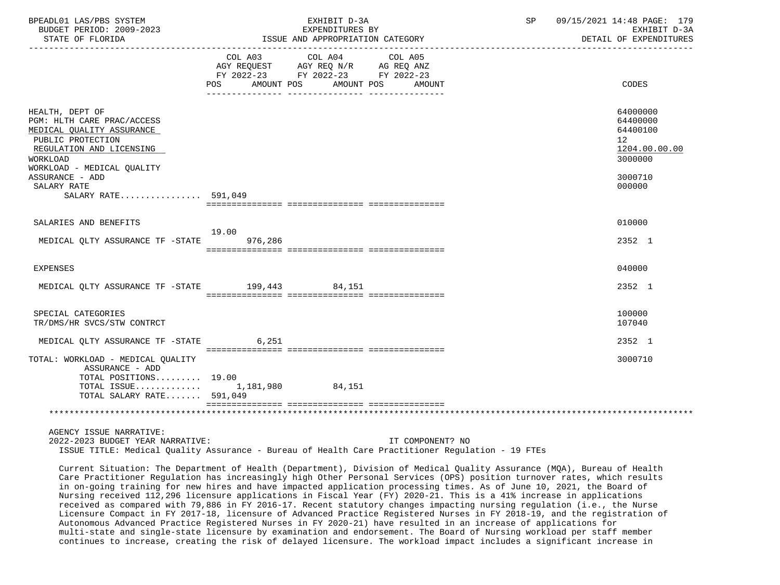| BPEADL01 LAS/PBS SYSTEM<br>BUDGET PERIOD: 2009-2023<br>STATE OF FLORIDA                                                                      |                  | EXHIBIT D-3A<br>EXPENDITURES BY<br>ISSUE AND APPROPRIATION CATEGORY  | SP 09/15/2021 14:48 PAGE: 179<br>DETAIL OF EXPENDITURES                         | EXHIBIT D-3A |  |
|----------------------------------------------------------------------------------------------------------------------------------------------|------------------|----------------------------------------------------------------------|---------------------------------------------------------------------------------|--------------|--|
|                                                                                                                                              |                  | FY 2022-23 FY 2022-23 FY 2022-23<br>POS AMOUNT POS AMOUNT POS AMOUNT | CODES                                                                           |              |  |
| HEALTH, DEPT OF<br>PGM: HLTH CARE PRAC/ACCESS<br>MEDICAL QUALITY ASSURANCE<br>PUBLIC PROTECTION<br>REGULATION AND LICENSING<br>WORKLOAD      |                  |                                                                      | 64000000<br>64400000<br>64400100<br>12 <sup>°</sup><br>1204.00.00.00<br>3000000 |              |  |
| WORKLOAD - MEDICAL OUALITY<br>ASSURANCE - ADD<br>SALARY RATE<br>SALARY RATE 591,049                                                          |                  |                                                                      | 3000710<br>000000                                                               |              |  |
| SALARIES AND BENEFITS                                                                                                                        |                  |                                                                      | 010000                                                                          |              |  |
| MEDICAL QLTY ASSURANCE TF -STATE                                                                                                             | 19.00<br>976,286 |                                                                      | 2352 1                                                                          |              |  |
| EXPENSES                                                                                                                                     |                  |                                                                      | 040000                                                                          |              |  |
| MEDICAL QLTY ASSURANCE TF -STATE 199,443 84,151                                                                                              |                  |                                                                      | 2352 1                                                                          |              |  |
| SPECIAL CATEGORIES<br>TR/DMS/HR SVCS/STW CONTRCT                                                                                             |                  |                                                                      | 100000<br>107040                                                                |              |  |
| MEDICAL QLTY ASSURANCE TF -STATE 6,251                                                                                                       |                  |                                                                      | 2352 1                                                                          |              |  |
| TOTAL: WORKLOAD - MEDICAL QUALITY<br>ASSURANCE - ADD<br>TOTAL POSITIONS $19.00$<br>TOTAL ISSUE 1,181,980 84,151<br>TOTAL SALARY RATE 591,049 |                  |                                                                      | 3000710                                                                         |              |  |
|                                                                                                                                              |                  |                                                                      |                                                                                 |              |  |
| AGENCY ISSUE NARRATIVE:<br>2022-2023 BUDGET YEAR NARRATIVE:                                                                                  |                  | IT COMPONENT? NO                                                     |                                                                                 |              |  |

ISSUE TITLE: Medical Quality Assurance - Bureau of Health Care Practitioner Regulation - 19 FTEs

 Current Situation: The Department of Health (Department), Division of Medical Quality Assurance (MQA), Bureau of Health Care Practitioner Regulation has increasingly high Other Personal Services (OPS) position turnover rates, which results in on-going training for new hires and have impacted application processing times. As of June 10, 2021, the Board of Nursing received 112,296 licensure applications in Fiscal Year (FY) 2020-21. This is a 41% increase in applications received as compared with 79,886 in FY 2016-17. Recent statutory changes impacting nursing regulation (i.e., the Nurse Licensure Compact in FY 2017-18, licensure of Advanced Practice Registered Nurses in FY 2018-19, and the registration of Autonomous Advanced Practice Registered Nurses in FY 2020-21) have resulted in an increase of applications for multi-state and single-state licensure by examination and endorsement. The Board of Nursing workload per staff member continues to increase, creating the risk of delayed licensure. The workload impact includes a significant increase in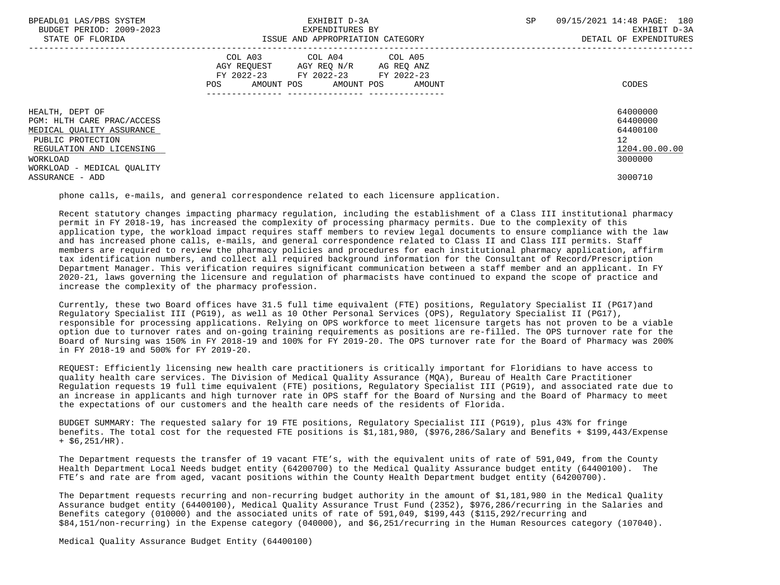| BPEADL01 LAS/PBS SYSTEM<br>BUDGET PERIOD: 2009-2023<br>STATE OF FLORIDA                                                                 | EXHIBIT D-3A<br>EXPENDITURES BY<br>ISSUE AND APPROPRIATION CATEGORY                                                                         | 09/15/2021 14:48 PAGE: 180<br>SP<br>EXHIBIT D-3A<br>DETAIL OF EXPENDITURES      |
|-----------------------------------------------------------------------------------------------------------------------------------------|---------------------------------------------------------------------------------------------------------------------------------------------|---------------------------------------------------------------------------------|
|                                                                                                                                         | COL A03 COL A04 COL A05<br>AGY REQUEST AGY REQ N/R AG REQ ANZ<br>FY 2022-23 FY 2022-23 FY 2022-23<br>AMOUNT POS AMOUNT POS<br>POS<br>AMOUNT | CODES                                                                           |
| HEALTH, DEPT OF<br>PGM: HLTH CARE PRAC/ACCESS<br>MEDICAL OUALITY ASSURANCE<br>PUBLIC PROTECTION<br>REGULATION AND LICENSING<br>WORKLOAD |                                                                                                                                             | 64000000<br>64400000<br>64400100<br>12 <sup>°</sup><br>1204.00.00.00<br>3000000 |
| WORKLOAD - MEDICAL OUALITY<br>ASSURANCE - ADD                                                                                           |                                                                                                                                             | 3000710                                                                         |

phone calls, e-mails, and general correspondence related to each licensure application.

 Recent statutory changes impacting pharmacy regulation, including the establishment of a Class III institutional pharmacy permit in FY 2018-19, has increased the complexity of processing pharmacy permits. Due to the complexity of this application type, the workload impact requires staff members to review legal documents to ensure compliance with the law and has increased phone calls, e-mails, and general correspondence related to Class II and Class III permits. Staff members are required to review the pharmacy policies and procedures for each institutional pharmacy application, affirm tax identification numbers, and collect all required background information for the Consultant of Record/Prescription Department Manager. This verification requires significant communication between a staff member and an applicant. In FY 2020-21, laws governing the licensure and regulation of pharmacists have continued to expand the scope of practice and increase the complexity of the pharmacy profession.

 Currently, these two Board offices have 31.5 full time equivalent (FTE) positions, Regulatory Specialist II (PG17)and Regulatory Specialist III (PG19), as well as 10 Other Personal Services (OPS), Regulatory Specialist II (PG17), responsible for processing applications. Relying on OPS workforce to meet licensure targets has not proven to be a viable option due to turnover rates and on-going training requirements as positions are re-filled. The OPS turnover rate for the Board of Nursing was 150% in FY 2018-19 and 100% for FY 2019-20. The OPS turnover rate for the Board of Pharmacy was 200% in FY 2018-19 and 500% for FY 2019-20.

 REQUEST: Efficiently licensing new health care practitioners is critically important for Floridians to have access to quality health care services. The Division of Medical Quality Assurance (MQA), Bureau of Health Care Practitioner Regulation requests 19 full time equivalent (FTE) positions, Regulatory Specialist III (PG19), and associated rate due to an increase in applicants and high turnover rate in OPS staff for the Board of Nursing and the Board of Pharmacy to meet the expectations of our customers and the health care needs of the residents of Florida.

 BUDGET SUMMARY: The requested salary for 19 FTE positions, Regulatory Specialist III (PG19), plus 43% for fringe benefits. The total cost for the requested FTE positions is \$1,181,980, (\$976,286/Salary and Benefits + \$199,443/Expense  $+$  \$6,251/HR).

 The Department requests the transfer of 19 vacant FTE's, with the equivalent units of rate of 591,049, from the County Health Department Local Needs budget entity (64200700) to the Medical Quality Assurance budget entity (64400100). The FTE's and rate are from aged, vacant positions within the County Health Department budget entity (64200700).

 The Department requests recurring and non-recurring budget authority in the amount of \$1,181,980 in the Medical Quality Assurance budget entity (64400100), Medical Quality Assurance Trust Fund (2352), \$976,286/recurring in the Salaries and Benefits category (010000) and the associated units of rate of 591,049, \$199,443 (\$115,292/recurring and \$84,151/non-recurring) in the Expense category (040000), and \$6,251/recurring in the Human Resources category (107040).

Medical Quality Assurance Budget Entity (64400100)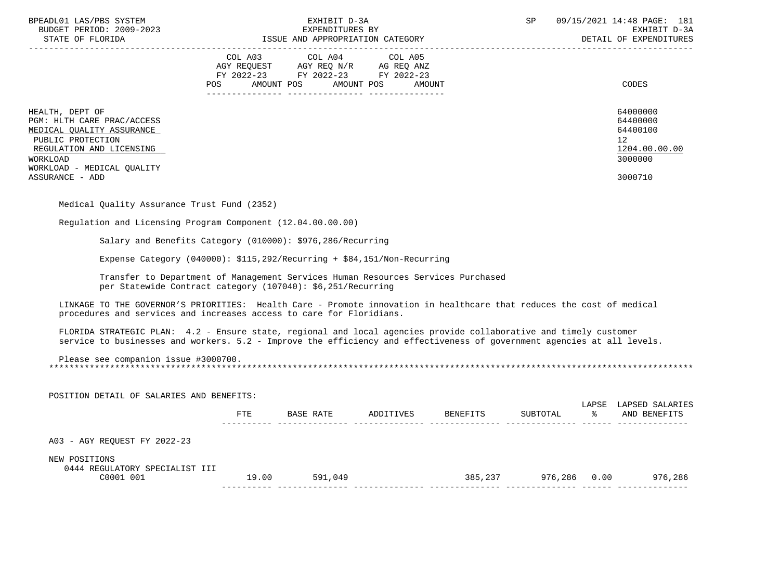| BPEADL01 LAS/PBS SYSTEM<br>BUDGET PERIOD: 2009-2023                                                                                                                                                                                          | EXHIBIT D-3A<br>EXPENDITURES BY                                                                                                                                                                                                                                                                                                   |                                                               | SP | 09/15/2021 14:48 PAGE: 181<br>EXHIBIT D-3A                                                   |
|----------------------------------------------------------------------------------------------------------------------------------------------------------------------------------------------------------------------------------------------|-----------------------------------------------------------------------------------------------------------------------------------------------------------------------------------------------------------------------------------------------------------------------------------------------------------------------------------|---------------------------------------------------------------|----|----------------------------------------------------------------------------------------------|
| STATE OF FLORIDA                                                                                                                                                                                                                             | ISSUE AND APPROPRIATION CATEGORY                                                                                                                                                                                                                                                                                                  |                                                               |    | DETAIL OF EXPENDITURES                                                                       |
|                                                                                                                                                                                                                                              | $\begin{tabular}{lllllllll} COL & A03 & \multicolumn{3}{l}COL & A04 & \multicolumn{3}{l}COL & A05 \\ AGY & REQUEST & \multicolumn{3}{l}AGY & REQ & N/R & \multicolumn{3}{l}AG & REQ & ANZ \\ FY & 2022-23 & \multicolumn{3}{l}FY & 2022-23 & \multicolumn{3}{l}FY & 2022-23 \\ \end{tabular}$<br>POS AMOUNT POS AMOUNT POS AMOUNT |                                                               |    | CODES                                                                                        |
| HEALTH, DEPT OF<br>PGM: HLTH CARE PRAC/ACCESS<br>MEDICAL QUALITY ASSURANCE<br>PUBLIC PROTECTION<br>REGULATION AND LICENSING<br>WORKLOAD<br>WORKLOAD - MEDICAL QUALITY<br>ASSURANCE - ADD                                                     |                                                                                                                                                                                                                                                                                                                                   |                                                               |    | 64000000<br>64400000<br>64400100<br>$12 \overline{ }$<br>1204.00.00.00<br>3000000<br>3000710 |
| Medical Quality Assurance Trust Fund (2352)                                                                                                                                                                                                  |                                                                                                                                                                                                                                                                                                                                   |                                                               |    |                                                                                              |
| Requlation and Licensing Program Component (12.04.00.00.00)                                                                                                                                                                                  |                                                                                                                                                                                                                                                                                                                                   |                                                               |    |                                                                                              |
| Salary and Benefits Category (010000): \$976,286/Recurring                                                                                                                                                                                   |                                                                                                                                                                                                                                                                                                                                   |                                                               |    |                                                                                              |
| Expense Category $(040000)$ : \$115,292/Recurring + \$84,151/Non-Recurring                                                                                                                                                                   |                                                                                                                                                                                                                                                                                                                                   |                                                               |    |                                                                                              |
| Transfer to Department of Management Services Human Resources Services Purchased<br>per Statewide Contract category (107040): \$6,251/Recurring                                                                                              |                                                                                                                                                                                                                                                                                                                                   |                                                               |    |                                                                                              |
| LINKAGE TO THE GOVERNOR'S PRIORITIES: Health Care - Promote innovation in healthcare that reduces the cost of medical<br>procedures and services and increases access to care for Floridians.                                                |                                                                                                                                                                                                                                                                                                                                   |                                                               |    |                                                                                              |
| FLORIDA STRATEGIC PLAN: 4.2 - Ensure state, regional and local agencies provide collaborative and timely customer<br>service to businesses and workers. 5.2 - Improve the efficiency and effectiveness of government agencies at all levels. |                                                                                                                                                                                                                                                                                                                                   |                                                               |    |                                                                                              |
| Please see companion issue #3000700.                                                                                                                                                                                                         |                                                                                                                                                                                                                                                                                                                                   |                                                               |    |                                                                                              |
| POSITION DETAIL OF SALARIES AND BENEFITS:                                                                                                                                                                                                    |                                                                                                                                                                                                                                                                                                                                   |                                                               |    | LAPSE LAPSED SALARIES                                                                        |
|                                                                                                                                                                                                                                              |                                                                                                                                                                                                                                                                                                                                   | FTE BASE RATE ADDITIVES BENEFITS SUBTOTAL $\ast$ AND BENEFITS |    |                                                                                              |
| A03 - AGY REQUEST FY 2022-23                                                                                                                                                                                                                 |                                                                                                                                                                                                                                                                                                                                   |                                                               |    |                                                                                              |
| NEW POSITIONS<br>0444 REGULATORY SPECIALIST III<br>C0001 001                                                                                                                                                                                 | $19.00$ 591,049                                                                                                                                                                                                                                                                                                                   |                                                               |    | 385,237 976,286 0.00 976,286                                                                 |
|                                                                                                                                                                                                                                              |                                                                                                                                                                                                                                                                                                                                   |                                                               |    |                                                                                              |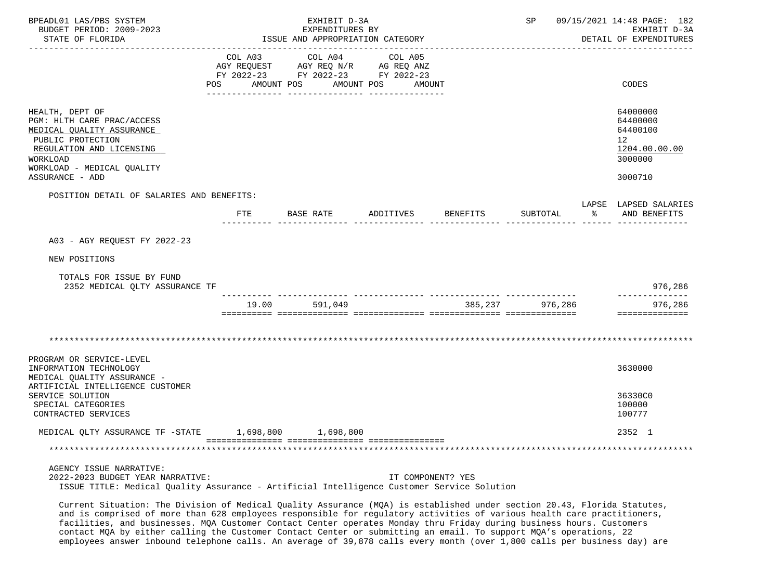| BPEADL01 LAS/PBS SYSTEM<br>BUDGET PERIOD: 2009-2023<br>STATE OF FLORIDA                                                                                               |                                          | EXHIBIT D-3A<br>EXPENDITURES BY<br>ISSUE AND APPROPRIATION CATEGORY                 |                   |          | SP       |    | 09/15/2021 14:48 PAGE: 182<br>EXHIBIT D-3A<br>DETAIL OF EXPENDITURES            |
|-----------------------------------------------------------------------------------------------------------------------------------------------------------------------|------------------------------------------|-------------------------------------------------------------------------------------|-------------------|----------|----------|----|---------------------------------------------------------------------------------|
|                                                                                                                                                                       | COL A03<br>AGY REQUEST<br>POS AMOUNT POS | COL A04<br>AGY REQ N/R AG REQ ANZ<br>FY 2022-23 FY 2022-23 FY 2022-23<br>AMOUNT POS | COL A05<br>AMOUNT |          |          |    | CODES                                                                           |
| HEALTH, DEPT OF<br>PGM: HLTH CARE PRAC/ACCESS<br>MEDICAL QUALITY ASSURANCE<br>PUBLIC PROTECTION<br>REGULATION AND LICENSING<br>WORKLOAD<br>WORKLOAD - MEDICAL QUALITY |                                          |                                                                                     |                   |          |          |    | 64000000<br>64400000<br>64400100<br>12 <sup>°</sup><br>1204.00.00.00<br>3000000 |
| ASSURANCE - ADD                                                                                                                                                       |                                          |                                                                                     |                   |          |          |    | 3000710                                                                         |
| POSITION DETAIL OF SALARIES AND BENEFITS:                                                                                                                             |                                          | FTE BASE RATE                                                                       | ADDITIVES         | BENEFITS | SUBTOTAL | ႜႂ | LAPSE LAPSED SALARIES<br>AND BENEFITS                                           |
| A03 - AGY REQUEST FY 2022-23                                                                                                                                          |                                          |                                                                                     |                   |          |          |    |                                                                                 |
| NEW POSITIONS                                                                                                                                                         |                                          |                                                                                     |                   |          |          |    |                                                                                 |
| TOTALS FOR ISSUE BY FUND<br>2352 MEDICAL QLTY ASSURANCE TF                                                                                                            |                                          |                                                                                     |                   |          |          |    | 976,286                                                                         |
|                                                                                                                                                                       | 19.00                                    | 591,049                                                                             |                   | 385,237  | 976,286  |    | 976,286<br>==============                                                       |
| PROGRAM OR SERVICE-LEVEL<br>INFORMATION TECHNOLOGY                                                                                                                    |                                          |                                                                                     |                   |          |          |    | 3630000                                                                         |
| MEDICAL QUALITY ASSURANCE -<br>ARTIFICIAL INTELLIGENCE CUSTOMER<br>SERVICE SOLUTION<br>SPECIAL CATEGORIES<br>CONTRACTED SERVICES                                      |                                          |                                                                                     |                   |          |          |    | 36330C0<br>100000<br>100777                                                     |
| MEDICAL QLTY ASSURANCE TF -STATE 1,698,800 1,698,800                                                                                                                  |                                          |                                                                                     |                   |          |          |    | 2352 1                                                                          |
|                                                                                                                                                                       |                                          |                                                                                     |                   |          |          |    |                                                                                 |
| AGENCY ISSUE NARRATIVE:<br>2022-2023 BUDGET YEAR NARRATIVE:<br>ISSUE TITLE: Medical Quality Assurance - Artificial Intelligence Customer Service Solution             |                                          |                                                                                     | IT COMPONENT? YES |          |          |    |                                                                                 |

 Current Situation: The Division of Medical Quality Assurance (MQA) is established under section 20.43, Florida Statutes, and is comprised of more than 628 employees responsible for regulatory activities of various health care practitioners, facilities, and businesses. MQA Customer Contact Center operates Monday thru Friday during business hours. Customers contact MQA by either calling the Customer Contact Center or submitting an email. To support MQA's operations, 22 employees answer inbound telephone calls. An average of 39,878 calls every month (over 1,800 calls per business day) are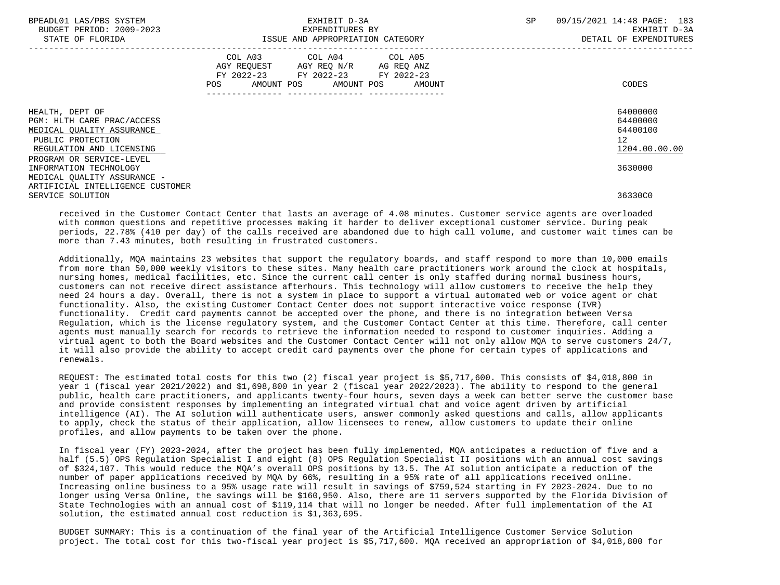| BPEADL01 LAS/PBS SYSTEM<br>BUDGET PERIOD: 2009-2023<br>STATE OF FLORIDA                         | EXHIBIT D-3A<br>EXPENDITURES BY<br>ISSUE AND APPROPRIATION CATEGORY                                                                         | 09/15/2021 14:48 PAGE: 183<br>SP<br>EXHIBIT D-3A<br>DETAIL OF EXPENDITURES |
|-------------------------------------------------------------------------------------------------|---------------------------------------------------------------------------------------------------------------------------------------------|----------------------------------------------------------------------------|
|                                                                                                 | COL A03 COL A04 COL A05<br>AGY REQUEST AGY REQ N/R AG REQ ANZ<br>FY 2022-23 FY 2022-23<br>FY 2022-23<br>POS<br>AMOUNT POS AMOUNT POS AMOUNT | CODES                                                                      |
| HEALTH, DEPT OF<br>PGM: HLTH CARE PRAC/ACCESS<br>MEDICAL QUALITY ASSURANCE<br>PUBLIC PROTECTION | ----------------                                                                                                                            | 64000000<br>64400000<br>64400100<br>12                                     |
| REGULATION AND LICENSING<br>PROGRAM OR SERVICE-LEVEL<br>INFORMATION TECHNOLOGY                  |                                                                                                                                             | 1204.00.00.00<br>3630000                                                   |
| MEDICAL OUALITY ASSURANCE -<br>ARTIFICIAL INTELLIGENCE CUSTOMER<br>SERVICE SOLUTION             |                                                                                                                                             | 36330C0                                                                    |

 received in the Customer Contact Center that lasts an average of 4.08 minutes. Customer service agents are overloaded with common questions and repetitive processes making it harder to deliver exceptional customer service. During peak periods, 22.78% (410 per day) of the calls received are abandoned due to high call volume, and customer wait times can be more than 7.43 minutes, both resulting in frustrated customers.

 Additionally, MQA maintains 23 websites that support the regulatory boards, and staff respond to more than 10,000 emails from more than 50,000 weekly visitors to these sites. Many health care practitioners work around the clock at hospitals, nursing homes, medical facilities, etc. Since the current call center is only staffed during normal business hours, customers can not receive direct assistance afterhours. This technology will allow customers to receive the help they need 24 hours a day. Overall, there is not a system in place to support a virtual automated web or voice agent or chat functionality. Also, the existing Customer Contact Center does not support interactive voice response (IVR) functionality. Credit card payments cannot be accepted over the phone, and there is no integration between Versa Regulation, which is the license regulatory system, and the Customer Contact Center at this time. Therefore, call center agents must manually search for records to retrieve the information needed to respond to customer inquiries. Adding a virtual agent to both the Board websites and the Customer Contact Center will not only allow MQA to serve customers 24/7, it will also provide the ability to accept credit card payments over the phone for certain types of applications and renewals.

 REQUEST: The estimated total costs for this two (2) fiscal year project is \$5,717,600. This consists of \$4,018,800 in year 1 (fiscal year 2021/2022) and \$1,698,800 in year 2 (fiscal year 2022/2023). The ability to respond to the general public, health care practitioners, and applicants twenty-four hours, seven days a week can better serve the customer base and provide consistent responses by implementing an integrated virtual chat and voice agent driven by artificial intelligence (AI). The AI solution will authenticate users, answer commonly asked questions and calls, allow applicants to apply, check the status of their application, allow licensees to renew, allow customers to update their online profiles, and allow payments to be taken over the phone.

 In fiscal year (FY) 2023-2024, after the project has been fully implemented, MQA anticipates a reduction of five and a half (5.5) OPS Regulation Specialist I and eight (8) OPS Regulation Specialist II positions with an annual cost savings of \$324,107. This would reduce the MQA's overall OPS positions by 13.5. The AI solution anticipate a reduction of the number of paper applications received by MQA by 66%, resulting in a 95% rate of all applications received online. Increasing online business to a 95% usage rate will result in savings of \$759,524 starting in FY 2023-2024. Due to no longer using Versa Online, the savings will be \$160,950. Also, there are 11 servers supported by the Florida Division of State Technologies with an annual cost of \$119,114 that will no longer be needed. After full implementation of the AI solution, the estimated annual cost reduction is \$1,363,695.

 BUDGET SUMMARY: This is a continuation of the final year of the Artificial Intelligence Customer Service Solution project. The total cost for this two-fiscal year project is \$5,717,600. MQA received an appropriation of \$4,018,800 for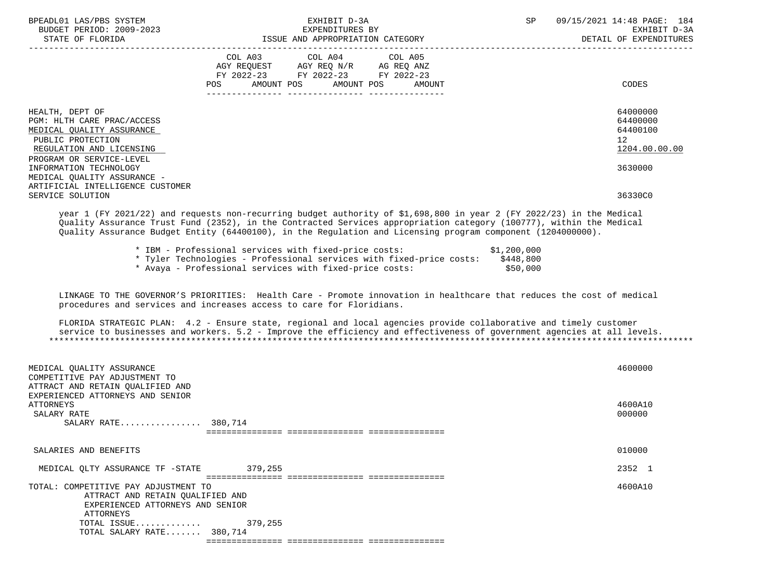| BPEADL01 LAS/PBS SYSTEM<br>BUDGET PERIOD: 2009-2023<br>STATE OF FLORIDA                                                                                                           | EXHIBIT D-3A<br>EXPENDITURES BY<br>ISSUE AND APPROPRIATION CATEGORY                                                                                                                                                                                                                                                                                                                                                                                                                                                                                                          | SP<br>09/15/2021 14:48 PAGE: 184<br>EXHIBIT D-3A<br>DETAIL OF EXPENDITURES |
|-----------------------------------------------------------------------------------------------------------------------------------------------------------------------------------|------------------------------------------------------------------------------------------------------------------------------------------------------------------------------------------------------------------------------------------------------------------------------------------------------------------------------------------------------------------------------------------------------------------------------------------------------------------------------------------------------------------------------------------------------------------------------|----------------------------------------------------------------------------|
|                                                                                                                                                                                   | FY 2022-23 FY 2022-23 FY 2022-23<br>POS AMOUNT POS AMOUNT POS<br>AMOUNT                                                                                                                                                                                                                                                                                                                                                                                                                                                                                                      | CODES                                                                      |
| HEALTH, DEPT OF<br>PGM: HLTH CARE PRAC/ACCESS<br>MEDICAL QUALITY ASSURANCE<br>PUBLIC PROTECTION<br>REGULATION AND LICENSING<br>PROGRAM OR SERVICE-LEVEL<br>INFORMATION TECHNOLOGY |                                                                                                                                                                                                                                                                                                                                                                                                                                                                                                                                                                              | 64000000<br>64400000<br>64400100<br>12<br>1204.00.00.00<br>3630000         |
| MEDICAL QUALITY ASSURANCE -<br>ARTIFICIAL INTELLIGENCE CUSTOMER<br>SERVICE SOLUTION                                                                                               |                                                                                                                                                                                                                                                                                                                                                                                                                                                                                                                                                                              | 36330C0                                                                    |
|                                                                                                                                                                                   | year 1 (FY 2021/22) and requests non-recurring budget authority of \$1,698,800 in year 2 (FY 2022/23) in the Medical<br>Quality Assurance Trust Fund (2352), in the Contracted Services appropriation category (100777), within the Medical<br>Quality Assurance Budget Entity (64400100), in the Regulation and Licensing program component (1204000000).<br>* IBM - Professional services with fixed-price costs: \$1,200,000<br>* Tyler Technologies - Professional services with fixed-price costs: \$448,800<br>* Avaya - Professional services with fixed-price costs: | \$50,000                                                                   |
|                                                                                                                                                                                   | LINKAGE TO THE GOVERNOR'S PRIORITIES: Health Care - Promote innovation in healthcare that reduces the cost of medical<br>procedures and services and increases access to care for Floridians.<br>FLORIDA STRATEGIC PLAN: 4.2 - Ensure state, regional and local agencies provide collaborative and timely customer<br>service to businesses and workers. 5.2 - Improve the efficiency and effectiveness of government agencies at all levels.                                                                                                                                |                                                                            |
| MEDICAL QUALITY ASSURANCE<br>COMPETITIVE PAY ADJUSTMENT TO<br>ATTRACT AND RETAIN QUALIFIED AND                                                                                    |                                                                                                                                                                                                                                                                                                                                                                                                                                                                                                                                                                              | 4600000                                                                    |
| EXPERIENCED ATTORNEYS AND SENIOR<br>ATTORNEYS<br>SALARY RATE<br>SALARY RATE 380,714                                                                                               |                                                                                                                                                                                                                                                                                                                                                                                                                                                                                                                                                                              | 4600A10<br>000000                                                          |
| SALARIES AND BENEFITS                                                                                                                                                             |                                                                                                                                                                                                                                                                                                                                                                                                                                                                                                                                                                              | 010000                                                                     |
| MEDICAL QLTY ASSURANCE TF -STATE 379,255                                                                                                                                          |                                                                                                                                                                                                                                                                                                                                                                                                                                                                                                                                                                              | 2352 1                                                                     |
| TOTAL: COMPETITIVE PAY ADJUSTMENT TO<br>ATTRACT AND RETAIN QUALIFIED AND<br>EXPERIENCED ATTORNEYS AND SENIOR                                                                      |                                                                                                                                                                                                                                                                                                                                                                                                                                                                                                                                                                              | 4600A10                                                                    |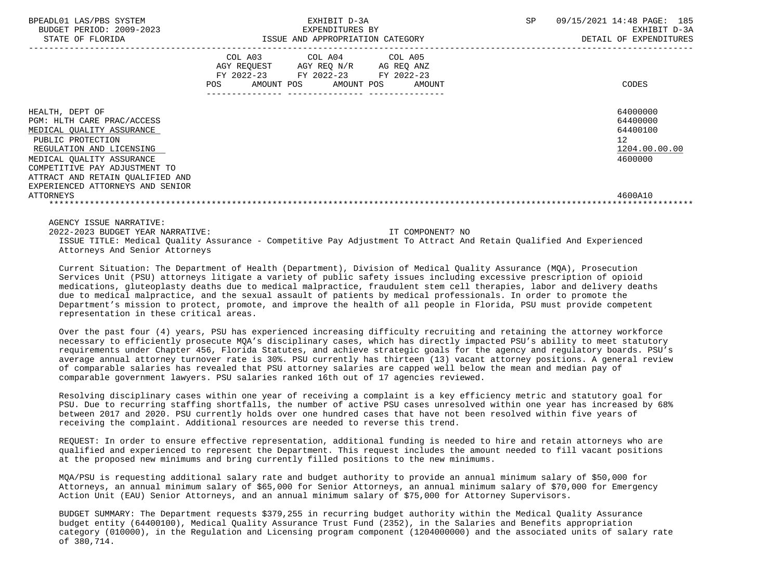| BPEADL01 LAS/PBS SYSTEM<br>BUDGET PERIOD: 2009-2023<br>STATE OF FLORIDA                                                                                                                                                                                           | EXHIBIT D-3A<br>EXPENDITURES BY<br>ISSUE AND APPROPRIATION CATEGORY                                                                   | SP<br>09/15/2021 14:48 PAGE: 185<br>EXHIBIT D-3A<br>DETAIL OF EXPENDITURES      |
|-------------------------------------------------------------------------------------------------------------------------------------------------------------------------------------------------------------------------------------------------------------------|---------------------------------------------------------------------------------------------------------------------------------------|---------------------------------------------------------------------------------|
|                                                                                                                                                                                                                                                                   | COL A03 COL A04 COL A05<br>AGY REQUEST AGY REQ N/R AG REQ ANZ<br>FY 2022-23 FY 2022-23 FY 2022-23<br>POS AMOUNT POS AMOUNT POS AMOUNT | CODES                                                                           |
| HEALTH, DEPT OF<br>PGM: HLTH CARE PRAC/ACCESS<br>MEDICAL QUALITY ASSURANCE<br>PUBLIC PROTECTION<br>REGULATION AND LICENSING<br>MEDICAL OUALITY ASSURANCE<br>COMPETITIVE PAY ADJUSTMENT TO<br>ATTRACT AND RETAIN QUALIFIED AND<br>EXPERIENCED ATTORNEYS AND SENIOR |                                                                                                                                       | 64000000<br>64400000<br>64400100<br>12 <sup>°</sup><br>1204.00.00.00<br>4600000 |
| ATTORNEYS                                                                                                                                                                                                                                                         |                                                                                                                                       | 4600A10                                                                         |
| AGENCY ISSUE NARRATIVE:                                                                                                                                                                                                                                           |                                                                                                                                       |                                                                                 |

 2022-2023 BUDGET YEAR NARRATIVE: IT COMPONENT? NO ISSUE TITLE: Medical Quality Assurance - Competitive Pay Adjustment To Attract And Retain Qualified And Experienced Attorneys And Senior Attorneys

 Current Situation: The Department of Health (Department), Division of Medical Quality Assurance (MQA), Prosecution Services Unit (PSU) attorneys litigate a variety of public safety issues including excessive prescription of opioid medications, gluteoplasty deaths due to medical malpractice, fraudulent stem cell therapies, labor and delivery deaths due to medical malpractice, and the sexual assault of patients by medical professionals. In order to promote the Department's mission to protect, promote, and improve the health of all people in Florida, PSU must provide competent representation in these critical areas.

 Over the past four (4) years, PSU has experienced increasing difficulty recruiting and retaining the attorney workforce necessary to efficiently prosecute MQA's disciplinary cases, which has directly impacted PSU's ability to meet statutory requirements under Chapter 456, Florida Statutes, and achieve strategic goals for the agency and regulatory boards. PSU's average annual attorney turnover rate is 30%. PSU currently has thirteen (13) vacant attorney positions. A general review of comparable salaries has revealed that PSU attorney salaries are capped well below the mean and median pay of comparable government lawyers. PSU salaries ranked 16th out of 17 agencies reviewed.

 Resolving disciplinary cases within one year of receiving a complaint is a key efficiency metric and statutory goal for PSU. Due to recurring staffing shortfalls, the number of active PSU cases unresolved within one year has increased by 68% between 2017 and 2020. PSU currently holds over one hundred cases that have not been resolved within five years of receiving the complaint. Additional resources are needed to reverse this trend.

 REQUEST: In order to ensure effective representation, additional funding is needed to hire and retain attorneys who are qualified and experienced to represent the Department. This request includes the amount needed to fill vacant positions at the proposed new minimums and bring currently filled positions to the new minimums.

 MQA/PSU is requesting additional salary rate and budget authority to provide an annual minimum salary of \$50,000 for Attorneys, an annual minimum salary of \$65,000 for Senior Attorneys, an annual minimum salary of \$70,000 for Emergency Action Unit (EAU) Senior Attorneys, and an annual minimum salary of \$75,000 for Attorney Supervisors.

 BUDGET SUMMARY: The Department requests \$379,255 in recurring budget authority within the Medical Quality Assurance budget entity (64400100), Medical Quality Assurance Trust Fund (2352), in the Salaries and Benefits appropriation category (010000), in the Regulation and Licensing program component (1204000000) and the associated units of salary rate of 380,714.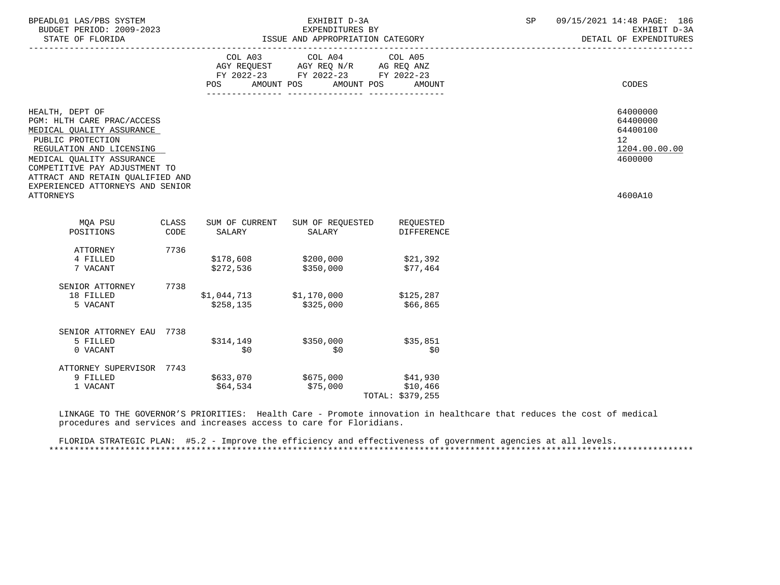| BPEADL01 LAS/PBS SYSTEM<br>BUDGET PERIOD: 2009-2023<br>STATE OF FLORIDA                                                                                                                                                                                           | EXHIBIT D-3A<br>EXPENDITURES BY<br>ISSUE AND APPROPRIATION CATEGORY |                                        |                                                                                                                    | SP                             | 09/15/2021 14:48 PAGE: 186<br>EXHIBIT D-3A<br>DETAIL OF EXPENDITURES |                                                                    |  |
|-------------------------------------------------------------------------------------------------------------------------------------------------------------------------------------------------------------------------------------------------------------------|---------------------------------------------------------------------|----------------------------------------|--------------------------------------------------------------------------------------------------------------------|--------------------------------|----------------------------------------------------------------------|--------------------------------------------------------------------|--|
|                                                                                                                                                                                                                                                                   |                                                                     | POS                                    | COL A03 COL A04<br>AGY REQUEST AGY REQ N/R AG REQ ANZ<br>FY 2022-23 FY 2022-23 FY 2022-23<br>AMOUNT POS AMOUNT POS | COL A05<br>AMOUNT              |                                                                      | CODES                                                              |  |
| HEALTH, DEPT OF<br>PGM: HLTH CARE PRAC/ACCESS<br>MEDICAL QUALITY ASSURANCE<br>PUBLIC PROTECTION<br>REGULATION AND LICENSING<br>MEDICAL OUALITY ASSURANCE<br>COMPETITIVE PAY ADJUSTMENT TO<br>ATTRACT AND RETAIN QUALIFIED AND<br>EXPERIENCED ATTORNEYS AND SENIOR |                                                                     |                                        |                                                                                                                    |                                |                                                                      | 64000000<br>64400000<br>64400100<br>12<br>1204.00.00.00<br>4600000 |  |
| ATTORNEYS                                                                                                                                                                                                                                                         |                                                                     |                                        |                                                                                                                    |                                |                                                                      | 4600A10                                                            |  |
| MQA PSU<br>POSITIONS                                                                                                                                                                                                                                              | CLASS<br>CODE                                                       | SALARY                                 | SUM OF CURRENT SUM OF REQUESTED<br>SALARY                                                                          | REQUESTED<br><b>DIFFERENCE</b> |                                                                      |                                                                    |  |
| ATTORNEY<br>4 FILLED<br>7 VACANT                                                                                                                                                                                                                                  | 7736                                                                | \$272,536                              | $$178,608$ $$200,000$<br>\$350,000                                                                                 | \$21,392<br>\$77,464           |                                                                      |                                                                    |  |
| SENIOR ATTORNEY<br>18 FILLED<br>5 VACANT                                                                                                                                                                                                                          | 7738                                                                | $$1,044,713$ $$1,170,000$<br>\$258,135 | \$325,000                                                                                                          | \$125,287<br>\$66,865          |                                                                      |                                                                    |  |
| SENIOR ATTORNEY EAU 7738<br>5 FILLED<br>0 VACANT                                                                                                                                                                                                                  |                                                                     | \$314,149 \$350,000<br>\$0             | \$0                                                                                                                | \$35,851<br>\$0                |                                                                      |                                                                    |  |
| ATTORNEY SUPERVISOR 7743<br>9 FILLED<br>1 VACANT                                                                                                                                                                                                                  |                                                                     | \$64,534                               | \$633,070 \$675,000 \$41,930<br>\$75,000                                                                           | \$10,466<br>TOTAL: \$379,255   |                                                                      |                                                                    |  |

 LINKAGE TO THE GOVERNOR'S PRIORITIES: Health Care - Promote innovation in healthcare that reduces the cost of medical procedures and services and increases access to care for Floridians.

 FLORIDA STRATEGIC PLAN: #5.2 - Improve the efficiency and effectiveness of government agencies at all levels. \*\*\*\*\*\*\*\*\*\*\*\*\*\*\*\*\*\*\*\*\*\*\*\*\*\*\*\*\*\*\*\*\*\*\*\*\*\*\*\*\*\*\*\*\*\*\*\*\*\*\*\*\*\*\*\*\*\*\*\*\*\*\*\*\*\*\*\*\*\*\*\*\*\*\*\*\*\*\*\*\*\*\*\*\*\*\*\*\*\*\*\*\*\*\*\*\*\*\*\*\*\*\*\*\*\*\*\*\*\*\*\*\*\*\*\*\*\*\*\*\*\*\*\*\*\*\*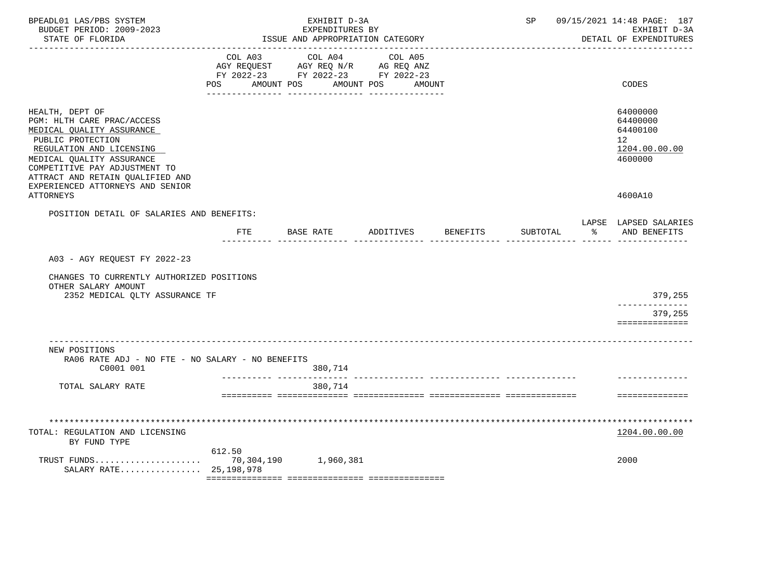| BPEADL01 LAS/PBS SYSTEM<br>BUDGET PERIOD: 2009-2023<br>STATE OF FLORIDA                                                                                                                                                       |                                                                                                        | EXHIBIT D-3A<br>EXPENDITURES BY<br>ISSUE AND APPROPRIATION CATEGORY |                                                    |          | SP       |    | 09/15/2021 14:48 PAGE: 187<br>EXHIBIT D-3A<br>DETAIL OF EXPENDITURES |
|-------------------------------------------------------------------------------------------------------------------------------------------------------------------------------------------------------------------------------|--------------------------------------------------------------------------------------------------------|---------------------------------------------------------------------|----------------------------------------------------|----------|----------|----|----------------------------------------------------------------------|
|                                                                                                                                                                                                                               | COL A03<br>AGY REQUEST AGY REQ N/R AG REQ ANZ<br>FY 2022-23 FY 2022-23 FY 2022-23<br>AMOUNT POS<br>POS | COL A04<br>_______________                                          | COL A05<br>AMOUNT POS<br>AMOUNT<br>_______________ |          |          |    | CODES                                                                |
| HEALTH, DEPT OF<br>PGM: HLTH CARE PRAC/ACCESS<br>MEDICAL QUALITY ASSURANCE<br>PUBLIC PROTECTION<br>REGULATION AND LICENSING<br>MEDICAL QUALITY ASSURANCE<br>COMPETITIVE PAY ADJUSTMENT TO<br>ATTRACT AND RETAIN QUALIFIED AND |                                                                                                        |                                                                     |                                                    |          |          |    | 64000000<br>64400000<br>64400100<br>12<br>1204.00.00.00<br>4600000   |
| EXPERIENCED ATTORNEYS AND SENIOR<br><b>ATTORNEYS</b>                                                                                                                                                                          |                                                                                                        |                                                                     |                                                    |          |          |    | 4600A10                                                              |
| POSITION DETAIL OF SALARIES AND BENEFITS:                                                                                                                                                                                     |                                                                                                        |                                                                     |                                                    |          |          |    |                                                                      |
|                                                                                                                                                                                                                               | FTE BASE RATE                                                                                          |                                                                     | ADDITIVES                                          | BENEFITS | SUBTOTAL | ွေ | LAPSE LAPSED SALARIES<br>AND BENEFITS                                |
| A03 - AGY REQUEST FY 2022-23<br>CHANGES TO CURRENTLY AUTHORIZED POSITIONS<br>OTHER SALARY AMOUNT<br>2352 MEDICAL QLTY ASSURANCE TF                                                                                            |                                                                                                        |                                                                     |                                                    |          |          |    | 379,255<br>--------------<br>379,255                                 |
|                                                                                                                                                                                                                               |                                                                                                        |                                                                     |                                                    |          |          |    | ==============                                                       |
| ____________________________<br>NEW POSITIONS<br>RA06 RATE ADJ - NO FTE - NO SALARY - NO BENEFITS<br>C0001 001                                                                                                                |                                                                                                        | 380,714                                                             |                                                    |          |          |    |                                                                      |
| TOTAL SALARY RATE                                                                                                                                                                                                             |                                                                                                        | 380,714                                                             |                                                    |          |          |    |                                                                      |
|                                                                                                                                                                                                                               |                                                                                                        |                                                                     |                                                    |          |          |    | ==============                                                       |
| TOTAL: REGULATION AND LICENSING<br>BY FUND TYPE                                                                                                                                                                               |                                                                                                        |                                                                     |                                                    |          |          |    | 1204.00.00.00                                                        |
| TRUST FUNDS<br>SALARY RATE 25,198,978                                                                                                                                                                                         | 612.50                                                                                                 | 70,304,190 1,960,381                                                |                                                    |          |          |    | 2000                                                                 |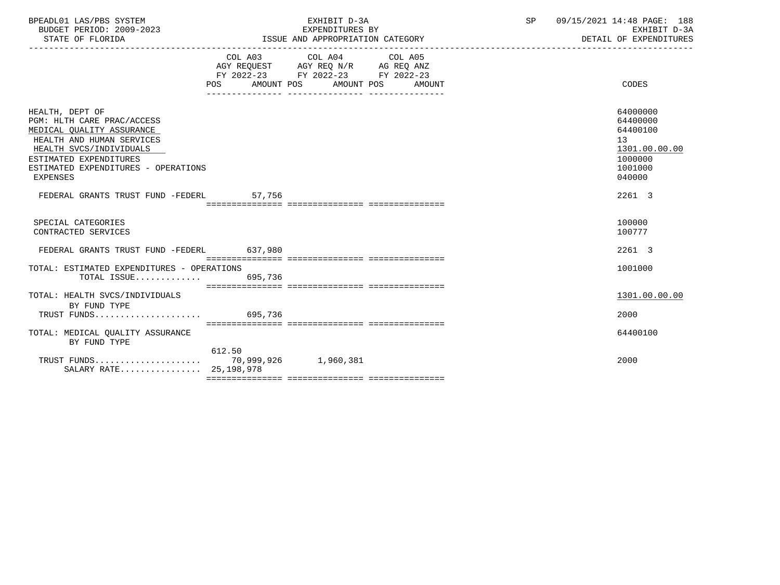| BPEADL01 LAS/PBS SYSTEM  | EXHIBIT                          | 09/15/2021 14:48 PAGE:<br>188 |
|--------------------------|----------------------------------|-------------------------------|
| BUDGET PERIOD: 2009-2023 | EXPENDITURES BY                  | EXHIBIT D-3A                  |
| STATE OF FLORIDA         | ISSUE AND APPROPRIATION CATEGORY | DETAIL OF EXPENDITURES        |

|                                            |                                  | COL A03 COL A04 COL A05                                                |  |               |
|--------------------------------------------|----------------------------------|------------------------------------------------------------------------|--|---------------|
|                                            |                                  | AGY REQUEST AGY REQ N/R AG REQ ANZ<br>FY 2022-23 FY 2022-23 FY 2022-23 |  |               |
|                                            |                                  |                                                                        |  |               |
|                                            | POS AMOUNT POS AMOUNT POS AMOUNT |                                                                        |  | CODES         |
|                                            |                                  |                                                                        |  |               |
|                                            |                                  |                                                                        |  |               |
| HEALTH, DEPT OF                            |                                  |                                                                        |  | 64000000      |
| PGM: HLTH CARE PRAC/ACCESS                 |                                  |                                                                        |  | 64400000      |
| MEDICAL QUALITY ASSURANCE                  |                                  |                                                                        |  | 64400100      |
| HEALTH AND HUMAN SERVICES                  |                                  |                                                                        |  | 13            |
| HEALTH SVCS/INDIVIDUALS                    |                                  |                                                                        |  | 1301.00.00.00 |
| ESTIMATED EXPENDITURES                     |                                  |                                                                        |  | 1000000       |
| ESTIMATED EXPENDITURES - OPERATIONS        |                                  |                                                                        |  | 1001000       |
| EXPENSES                                   |                                  |                                                                        |  | 040000        |
|                                            |                                  |                                                                        |  |               |
| FEDERAL GRANTS TRUST FUND -FEDERL 57,756   |                                  |                                                                        |  | 2261 3        |
|                                            |                                  |                                                                        |  |               |
|                                            |                                  |                                                                        |  |               |
| SPECIAL CATEGORIES                         |                                  |                                                                        |  | 100000        |
| CONTRACTED SERVICES                        |                                  |                                                                        |  | 100777        |
|                                            |                                  |                                                                        |  |               |
| FEDERAL GRANTS TRUST FUND -FEDERL 637,980  |                                  |                                                                        |  | 2261 3        |
|                                            |                                  |                                                                        |  |               |
| TOTAL: ESTIMATED EXPENDITURES - OPERATIONS |                                  |                                                                        |  | 1001000       |
| TOTAL ISSUE 695,736                        |                                  |                                                                        |  |               |
|                                            |                                  |                                                                        |  |               |
| TOTAL: HEALTH SVCS/INDIVIDUALS             |                                  |                                                                        |  | 1301.00.00.00 |
| BY FUND TYPE                               |                                  |                                                                        |  |               |
|                                            |                                  |                                                                        |  | 2000          |
|                                            |                                  |                                                                        |  |               |
| TOTAL: MEDICAL OUALITY ASSURANCE           |                                  |                                                                        |  | 64400100      |
| BY FUND TYPE                               |                                  |                                                                        |  |               |
|                                            | 612.50                           |                                                                        |  |               |
|                                            |                                  |                                                                        |  | 2000          |
| SALARY RATE 25,198,978                     |                                  |                                                                        |  |               |
|                                            |                                  |                                                                        |  |               |
|                                            |                                  |                                                                        |  |               |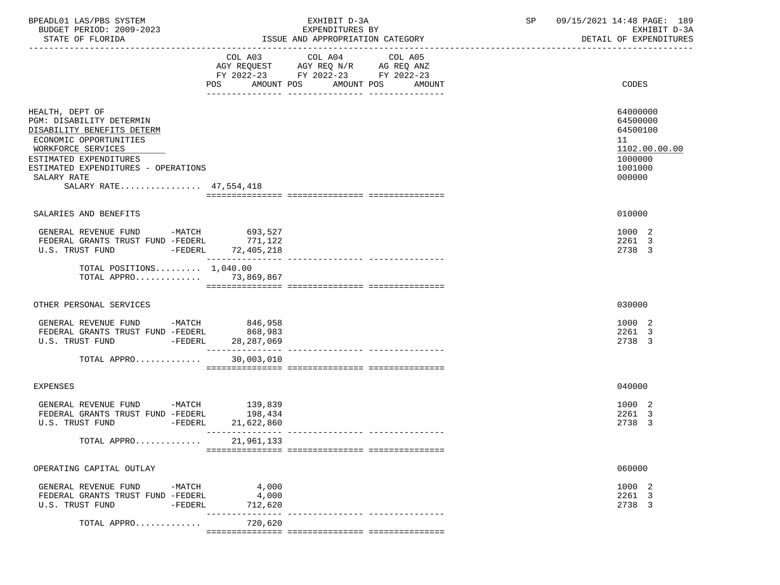| BPEADL01 LAS/PBS SYSTEM<br>BUDGET PERIOD: 2009-2023<br>STATE OF FLORIDA                                                                                                                                                             |                                                                                                                | EXHIBIT D-3A<br>EXPENDITURES BY<br>ISSUE AND APPROPRIATION CATEGORY                                                                  | SP | 09/15/2021 14:48 PAGE: 189<br>EXHIBIT D-3A<br>DETAIL OF EXPENDITURES                    |
|-------------------------------------------------------------------------------------------------------------------------------------------------------------------------------------------------------------------------------------|----------------------------------------------------------------------------------------------------------------|--------------------------------------------------------------------------------------------------------------------------------------|----|-----------------------------------------------------------------------------------------|
|                                                                                                                                                                                                                                     | POS FOR THE POST OF THE STATE STATE STATE STATE STATE STATE STATE STATE STATE STATE STATE STATE STATE STATE ST | COL A03 COL A04 COL A05<br>AGY REQUEST AGY REQ N/R AG REQ ANZ<br>FY 2022-23 FY 2022-23 FY 2022-23<br>AMOUNT POS AMOUNT POS<br>AMOUNT |    | CODES                                                                                   |
| HEALTH, DEPT OF<br>PGM: DISABILITY DETERMIN<br>DISABILITY BENEFITS DETERM<br>ECONOMIC OPPORTUNITIES<br>WORKFORCE SERVICES<br>ESTIMATED EXPENDITURES<br>ESTIMATED EXPENDITURES - OPERATIONS<br>SALARY RATE<br>SALARY RATE 47,554,418 |                                                                                                                |                                                                                                                                      |    | 64000000<br>64500000<br>64500100<br>11<br>1102.00.00.00<br>1000000<br>1001000<br>000000 |
| SALARIES AND BENEFITS                                                                                                                                                                                                               |                                                                                                                |                                                                                                                                      |    | 010000                                                                                  |
| GENERAL REVENUE FUND -MATCH 693,527<br>FEDERAL GRANTS TRUST FUND -FEDERL<br>U.S. TRUST FUND -FEDERL 72,405,218                                                                                                                      | 771,122<br>_________________                                                                                   |                                                                                                                                      |    | 1000 2<br>2261 3<br>2738 3                                                              |
| TOTAL POSITIONS $1,040.00$<br>TOTAL APPRO 73,869,867                                                                                                                                                                                |                                                                                                                |                                                                                                                                      |    |                                                                                         |
| OTHER PERSONAL SERVICES                                                                                                                                                                                                             |                                                                                                                |                                                                                                                                      |    | 030000                                                                                  |
| GENERAL REVENUE FUND -MATCH 846,958<br>FEDERAL GRANTS TRUST FUND -FEDERL<br>U.S. TRUST FUND - FEDERL 28, 287, 069                                                                                                                   | 868,983                                                                                                        |                                                                                                                                      |    | 1000 2<br>2261 3<br>2738 3                                                              |
| TOTAL APPRO                                                                                                                                                                                                                         | 30,003,010                                                                                                     |                                                                                                                                      |    |                                                                                         |
| <b>EXPENSES</b>                                                                                                                                                                                                                     |                                                                                                                |                                                                                                                                      |    | 040000                                                                                  |
| GENERAL REVENUE FUND -MATCH<br>FEDERAL GRANTS TRUST FUND -FEDERL<br>U.S. TRUST FUND<br>$ FEDERL$                                                                                                                                    | 139,839<br>198,434<br>21,622,860                                                                               |                                                                                                                                      |    | 1000 2<br>2261 3<br>2738 3                                                              |
| TOTAL APPRO                                                                                                                                                                                                                         | 21,961,133                                                                                                     |                                                                                                                                      |    |                                                                                         |
| OPERATING CAPITAL OUTLAY                                                                                                                                                                                                            |                                                                                                                |                                                                                                                                      |    | 060000                                                                                  |
| GENERAL REVENUE FUND<br>-MATCH<br>FEDERAL GRANTS TRUST FUND -FEDERL<br>U.S. TRUST FUND<br>$-FEDERL$                                                                                                                                 | 4,000<br>4,000<br>712,620                                                                                      |                                                                                                                                      |    | 1000 2<br>2261 3<br>2738 3                                                              |
| TOTAL APPRO                                                                                                                                                                                                                         | -----<br>720,620                                                                                               |                                                                                                                                      |    |                                                                                         |
|                                                                                                                                                                                                                                     |                                                                                                                |                                                                                                                                      |    |                                                                                         |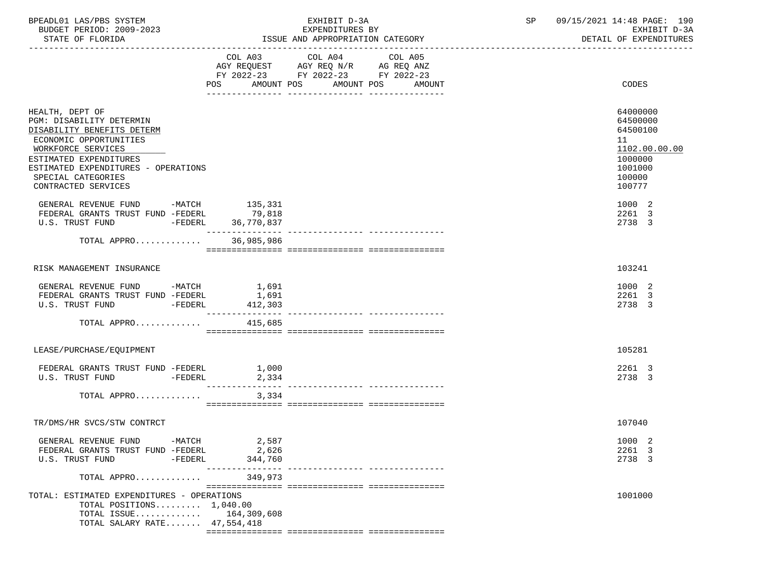| BPEADL01 LAS/PBS SYSTEM  | EXHIBIT D-3A    | 09/15/2021 14:48 PAGE: 190 |  |
|--------------------------|-----------------|----------------------------|--|
| BUDGET PERIOD: 2009-2023 | EXPENDITURES BY | EXHIBIT D-3A               |  |

|                                                                                                                                                                                                                                         | COL A03<br>AGY REQUEST AGY REQ N/R AG REQ ANZ<br>FY 2022-23 FY 2022-23 FY 2022-23 | COL A04 | COL A05           |                                                                                                   |
|-----------------------------------------------------------------------------------------------------------------------------------------------------------------------------------------------------------------------------------------|-----------------------------------------------------------------------------------|---------|-------------------|---------------------------------------------------------------------------------------------------|
|                                                                                                                                                                                                                                         | AMOUNT POS<br>POS                                                                 |         | AMOUNT POS AMOUNT | CODES                                                                                             |
| HEALTH, DEPT OF<br>PGM: DISABILITY DETERMIN<br>DISABILITY BENEFITS DETERM<br>ECONOMIC OPPORTUNITIES<br>WORKFORCE SERVICES<br>ESTIMATED EXPENDITURES<br>ESTIMATED EXPENDITURES - OPERATIONS<br>SPECIAL CATEGORIES<br>CONTRACTED SERVICES |                                                                                   |         |                   | 64000000<br>64500000<br>64500100<br>11<br>1102.00.00.00<br>1000000<br>1001000<br>100000<br>100777 |
| GENERAL REVENUE FUND -MATCH 135,331<br>FEDERAL GRANTS TRUST FUND -FEDERL<br>-FEDERL 36,770,837<br>U.S. TRUST FUND                                                                                                                       | 79,818                                                                            |         |                   | 1000 2<br>2261 3<br>2738 3                                                                        |
| TOTAL APPRO                                                                                                                                                                                                                             | 36,985,986                                                                        |         |                   |                                                                                                   |
| RISK MANAGEMENT INSURANCE                                                                                                                                                                                                               |                                                                                   |         |                   | 103241                                                                                            |
| GENERAL REVENUE FUND -MATCH<br>FEDERAL GRANTS TRUST FUND -FEDERL<br>U.S. TRUST FUND -FEDERL                                                                                                                                             | 1,691<br>1,691<br>412,303                                                         |         |                   | 1000 2<br>2261 3<br>2738 3                                                                        |
| TOTAL APPRO                                                                                                                                                                                                                             | 415,685                                                                           |         |                   |                                                                                                   |
| LEASE/PURCHASE/EQUIPMENT                                                                                                                                                                                                                |                                                                                   |         |                   | 105281                                                                                            |
| FEDERAL GRANTS TRUST FUND -FEDERL 1,000<br>U.S. TRUST FUND -FEDERL 2,334                                                                                                                                                                |                                                                                   |         |                   | 2261 3<br>2738 3                                                                                  |
| TOTAL APPRO                                                                                                                                                                                                                             | 3,334                                                                             |         |                   |                                                                                                   |
| TR/DMS/HR SVCS/STW CONTRCT                                                                                                                                                                                                              |                                                                                   |         |                   | 107040                                                                                            |
| GENERAL REVENUE FUND -MATCH<br>FEDERAL GRANTS TRUST FUND -FEDERL<br>U.S. TRUST FUND -FEDERL                                                                                                                                             | 2,587<br>2,626<br>344,760                                                         |         |                   | 1000 2<br>2261 3<br>2738 3                                                                        |
| TOTAL APPRO                                                                                                                                                                                                                             | 349,973                                                                           |         |                   |                                                                                                   |
| TOTAL: ESTIMATED EXPENDITURES - OPERATIONS<br>TOTAL POSITIONS $1,040.00$<br>TOTAL ISSUE $164,309,608$<br>TOTAL SALARY RATE 47,554,418                                                                                                   |                                                                                   |         |                   | 1001000                                                                                           |

=============== =============== ===============

ISSUE AND APPROPRIATION CATEGORY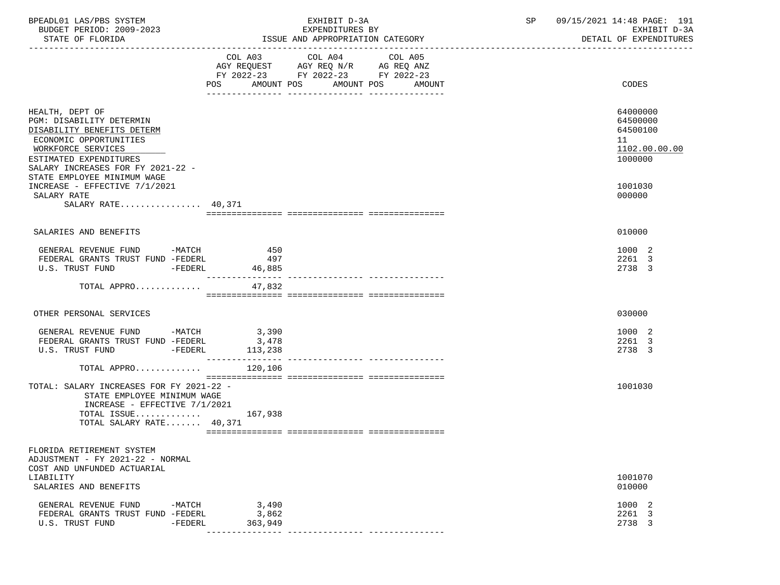| BPEADL01 LAS/PBS SYSTEM<br>BUDGET PERIOD: 2009-2023<br>STATE OF FLORIDA                                                                                                                                                 | EXHIBIT D-3A<br>EXPENDITURES BY<br>ISSUE AND APPROPRIATION CATEGORY                                                                     |         | SP | 09/15/2021 14:48 PAGE: 191<br>EXHIBIT D-3A<br>DETAIL OF EXPENDITURES |  |
|-------------------------------------------------------------------------------------------------------------------------------------------------------------------------------------------------------------------------|-----------------------------------------------------------------------------------------------------------------------------------------|---------|----|----------------------------------------------------------------------|--|
|                                                                                                                                                                                                                         | COL A03 COL A04<br>AGY REQUEST AGY REQ N/R AG REQ ANZ<br>FY 2022-23 FY 2022-23 FY 2022-23<br><b>POS</b><br>AMOUNT POS AMOUNT POS AMOUNT | COL A05 |    | CODES                                                                |  |
| HEALTH, DEPT OF<br>PGM: DISABILITY DETERMIN<br>DISABILITY BENEFITS DETERM<br>ECONOMIC OPPORTUNITIES<br>WORKFORCE SERVICES<br>ESTIMATED EXPENDITURES<br>SALARY INCREASES FOR FY 2021-22 -<br>STATE EMPLOYEE MINIMUM WAGE |                                                                                                                                         |         |    | 64000000<br>64500000<br>64500100<br>11<br>1102.00.00.00<br>1000000   |  |
| INCREASE - EFFECTIVE 7/1/2021<br>SALARY RATE<br>SALARY RATE $40,371$                                                                                                                                                    |                                                                                                                                         |         |    | 1001030<br>000000                                                    |  |
| SALARIES AND BENEFITS                                                                                                                                                                                                   |                                                                                                                                         |         |    | 010000                                                               |  |
|                                                                                                                                                                                                                         |                                                                                                                                         |         |    |                                                                      |  |
| GENERAL REVENUE FUND -MATCH<br>FEDERAL GRANTS TRUST FUND -FEDERL<br>U.S. TRUST FUND -FEDERL                                                                                                                             | 450<br>497<br>46,885                                                                                                                    |         |    | 1000 2<br>2261 3<br>2738 3                                           |  |
| TOTAL APPRO                                                                                                                                                                                                             | 47,832                                                                                                                                  |         |    |                                                                      |  |
| OTHER PERSONAL SERVICES                                                                                                                                                                                                 |                                                                                                                                         |         |    | 030000                                                               |  |
| GENERAL REVENUE FUND -MATCH 3,390<br>FEDERAL GRANTS TRUST FUND -FEDERL<br>U.S. TRUST FUND -FEDERL                                                                                                                       | 3,478<br>113,238                                                                                                                        |         |    | 1000 2<br>2261 3<br>2738 3                                           |  |
| TOTAL APPRO $120,106$                                                                                                                                                                                                   |                                                                                                                                         |         |    |                                                                      |  |
| TOTAL: SALARY INCREASES FOR FY 2021-22 -<br>STATE EMPLOYEE MINIMUM WAGE<br>INCREASE - EFFECTIVE $7/1/2021$                                                                                                              |                                                                                                                                         |         |    | 1001030                                                              |  |
| TOTAL ISSUE 167,938<br>TOTAL SALARY RATE 40,371                                                                                                                                                                         |                                                                                                                                         |         |    |                                                                      |  |
| FLORIDA RETIREMENT SYSTEM<br>ADJUSTMENT - FY 2021-22 - NORMAL<br>COST AND UNFUNDED ACTUARIAL<br>LIABILITY                                                                                                               |                                                                                                                                         |         |    | 1001070                                                              |  |
| SALARIES AND BENEFITS                                                                                                                                                                                                   |                                                                                                                                         |         |    | 010000                                                               |  |
| $-MATCH$<br>GENERAL REVENUE FUND<br>FEDERAL GRANTS TRUST FUND -FEDERL<br>U.S. TRUST FUND<br>$-FEDERL$                                                                                                                   | 3,490<br>3,862<br>363,949                                                                                                               |         |    | 1000 2<br>2261 3<br>2738 3                                           |  |